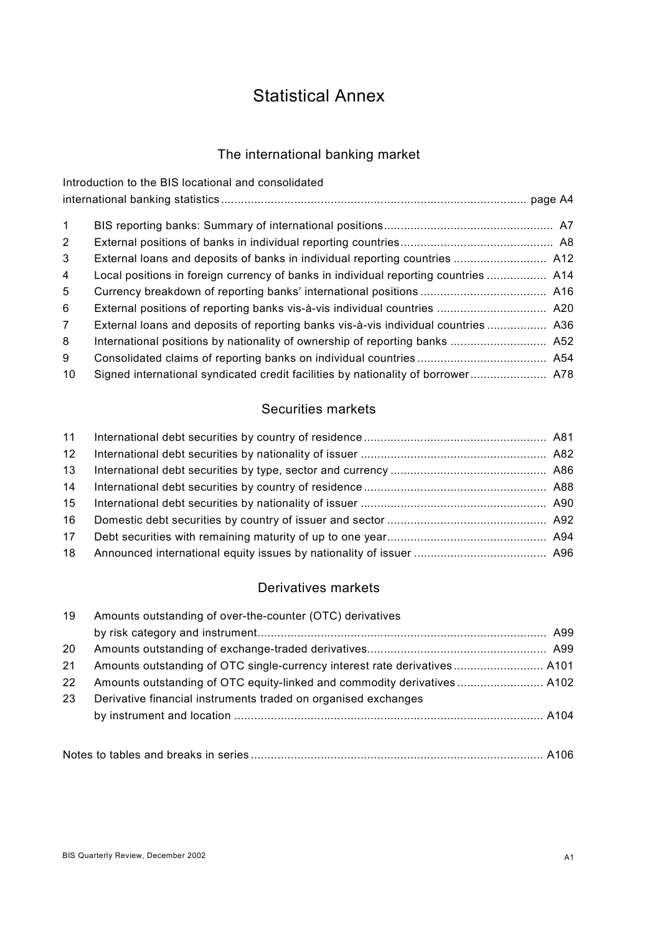# Statistical Annex

# The international banking market

|                | Introduction to the BIS locational and consolidated                                 |
|----------------|-------------------------------------------------------------------------------------|
|                |                                                                                     |
| $\mathbf{1}$   |                                                                                     |
| $2^{\circ}$    |                                                                                     |
| 3              | External loans and deposits of banks in individual reporting countries  A12         |
| 4              | Local positions in foreign currency of banks in individual reporting countries  A14 |
| 5              |                                                                                     |
| 6              |                                                                                     |
| $\overline{7}$ | External loans and deposits of reporting banks vis-à-vis individual countries  A36  |
| 8              |                                                                                     |
| 9              |                                                                                     |
| 10             | Signed international syndicated credit facilities by nationality of borrower A78    |

# Securities markets

| 11 |  |
|----|--|
| 12 |  |
| 13 |  |
| 14 |  |
| 15 |  |
| 16 |  |
| 17 |  |
| 18 |  |

## Derivatives markets

| 19 | Amounts outstanding of over-the-counter (OTC) derivatives                 |  |
|----|---------------------------------------------------------------------------|--|
|    |                                                                           |  |
| 20 |                                                                           |  |
| 21 | Amounts outstanding of OTC single-currency interest rate derivatives A101 |  |
| 22 | Amounts outstanding of OTC equity-linked and commodity derivatives  A102  |  |
| 23 | Derivative financial instruments traded on organised exchanges            |  |
|    |                                                                           |  |
|    |                                                                           |  |

|--|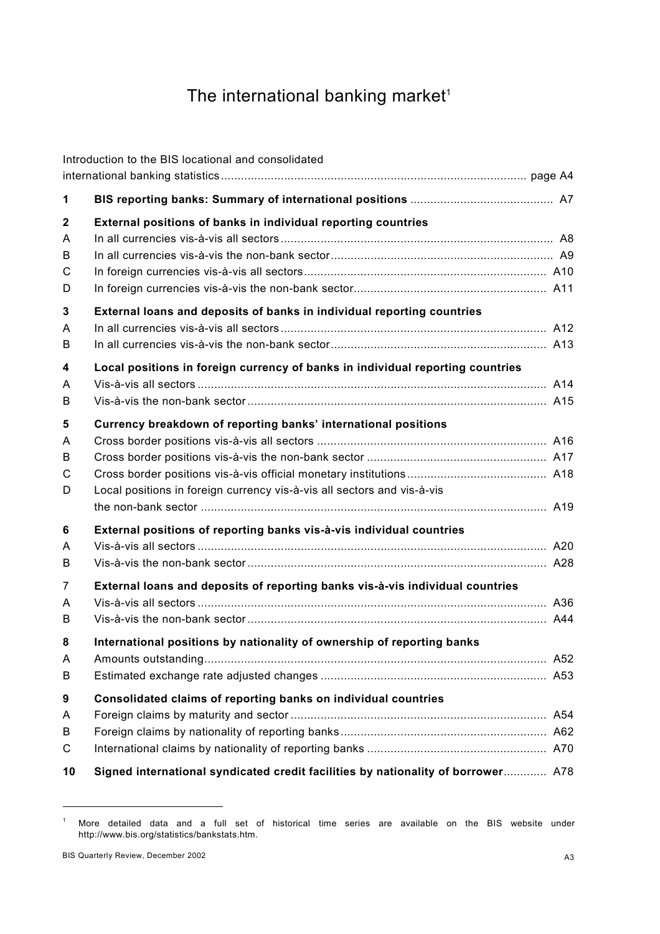# The international banking market<sup>1</sup>

|                                 | Introduction to the BIS locational and consolidated                                                                                       |  |
|---------------------------------|-------------------------------------------------------------------------------------------------------------------------------------------|--|
| 1                               |                                                                                                                                           |  |
| $\mathbf 2$<br>A<br>B<br>С<br>D | External positions of banks in individual reporting countries                                                                             |  |
| 3<br>A<br>B                     | External loans and deposits of banks in individual reporting countries                                                                    |  |
| 4<br>A<br>В                     | Local positions in foreign currency of banks in individual reporting countries                                                            |  |
| 5<br>A<br>B<br>С<br>D           | Currency breakdown of reporting banks' international positions<br>Local positions in foreign currency vis-à-vis all sectors and vis-à-vis |  |
| 6<br>A<br>B                     | External positions of reporting banks vis-à-vis individual countries                                                                      |  |
| 7<br>A<br>B                     | External loans and deposits of reporting banks vis-à-vis individual countries                                                             |  |
| 8<br>A<br>В                     | International positions by nationality of ownership of reporting banks                                                                    |  |
| 9<br>A<br>В<br>С                | Consolidated claims of reporting banks on individual countries                                                                            |  |
| 10                              | Signed international syndicated credit facilities by nationality of borrower A78                                                          |  |

l

<sup>1</sup> More detailed data and a full set of historical time series are available on the BIS website under http://www.bis.org/statistics/bankstats.htm.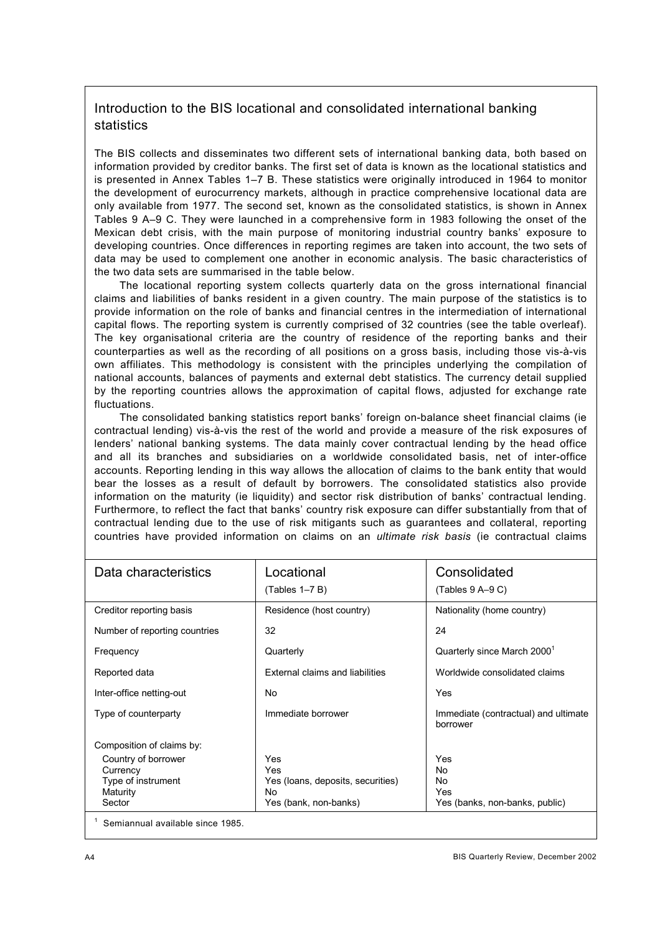### Introduction to the BIS locational and consolidated international banking statistics

The BIS collects and disseminates two different sets of international banking data, both based on information provided by creditor banks. The first set of data is known as the locational statistics and is presented in Annex Tables 1–7 B. These statistics were originally introduced in 1964 to monitor the development of eurocurrency markets, although in practice comprehensive locational data are only available from 1977. The second set, known as the consolidated statistics, is shown in Annex Tables 9 A–9 C. They were launched in a comprehensive form in 1983 following the onset of the Mexican debt crisis, with the main purpose of monitoring industrial country banks' exposure to developing countries. Once differences in reporting regimes are taken into account, the two sets of data may be used to complement one another in economic analysis. The basic characteristics of the two data sets are summarised in the table below.

The locational reporting system collects quarterly data on the gross international financial claims and liabilities of banks resident in a given country. The main purpose of the statistics is to provide information on the role of banks and financial centres in the intermediation of international capital flows. The reporting system is currently comprised of 32 countries (see the table overleaf). The key organisational criteria are the country of residence of the reporting banks and their counterparties as well as the recording of all positions on a gross basis, including those vis-à-vis own affiliates. This methodology is consistent with the principles underlying the compilation of national accounts, balances of payments and external debt statistics. The currency detail supplied by the reporting countries allows the approximation of capital flows, adjusted for exchange rate fluctuations.

The consolidated banking statistics report banks' foreign on-balance sheet financial claims (ie contractual lending) vis-à-vis the rest of the world and provide a measure of the risk exposures of lenders' national banking systems. The data mainly cover contractual lending by the head office and all its branches and subsidiaries on a worldwide consolidated basis, net of inter-office accounts. Reporting lending in this way allows the allocation of claims to the bank entity that would bear the losses as a result of default by borrowers. The consolidated statistics also provide information on the maturity (ie liquidity) and sector risk distribution of banks' contractual lending. Furthermore, to reflect the fact that banks' country risk exposure can differ substantially from that of contractual lending due to the use of risk mitigants such as guarantees and collateral, reporting countries have provided information on claims on an *ultimate risk basis* (ie contractual claims

| Data characteristics                                                        | Locational<br>$(Tables 1-7 B)$                                                               | Consolidated<br>$(Tables 9 A-9 C)$                       |
|-----------------------------------------------------------------------------|----------------------------------------------------------------------------------------------|----------------------------------------------------------|
| Creditor reporting basis                                                    | Residence (host country)                                                                     | Nationality (home country)                               |
| Number of reporting countries                                               | 32                                                                                           | 24                                                       |
| Frequency                                                                   | Quarterly                                                                                    | Quarterly since March 2000 <sup>1</sup>                  |
| Reported data                                                               | External claims and liabilities                                                              | Worldwide consolidated claims                            |
| Inter-office netting-out                                                    | <b>No</b>                                                                                    | Yes                                                      |
| Type of counterparty                                                        | Immediate borrower                                                                           | Immediate (contractual) and ultimate<br>borrower         |
| Composition of claims by:                                                   |                                                                                              |                                                          |
| Country of borrower<br>Currency<br>Type of instrument<br>Maturity<br>Sector | Yes<br><b>Yes</b><br>Yes (loans, deposits, securities)<br><b>No</b><br>Yes (bank, non-banks) | Yes<br>No<br>No<br>Yes<br>Yes (banks, non-banks, public) |

<sup>1</sup> Semiannual available since 1985.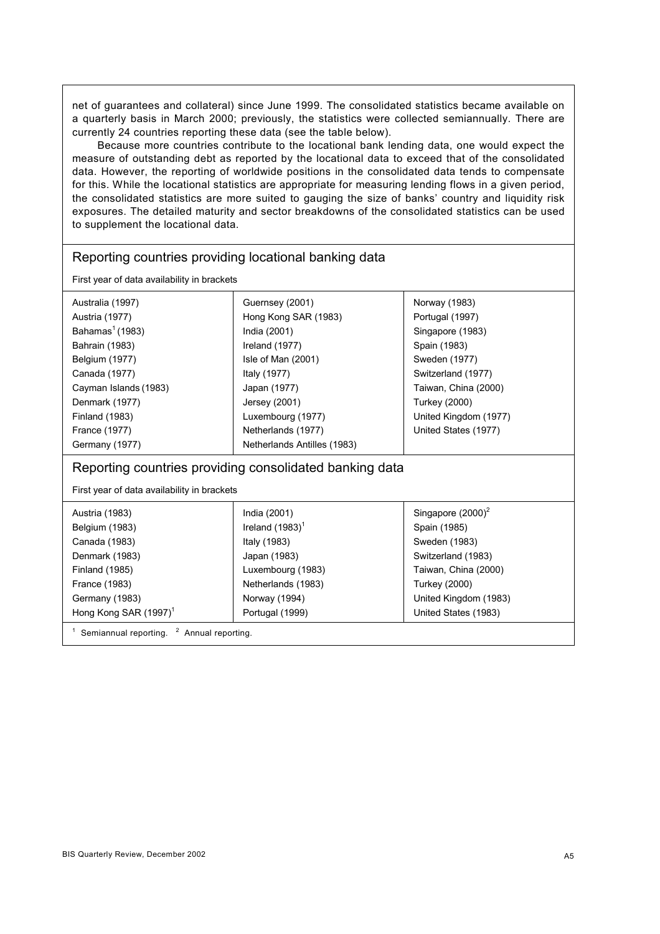net of guarantees and collateral) since June 1999. The consolidated statistics became available on a quarterly basis in March 2000; previously, the statistics were collected semiannually. There are currently 24 countries reporting these data (see the table below).

Because more countries contribute to the locational bank lending data, one would expect the measure of outstanding debt as reported by the locational data to exceed that of the consolidated data. However, the reporting of worldwide positions in the consolidated data tends to compensate for this. While the locational statistics are appropriate for measuring lending flows in a given period, the consolidated statistics are more suited to gauging the size of banks' country and liquidity risk exposures. The detailed maturity and sector breakdowns of the consolidated statistics can be used to supplement the locational data.

### Reporting countries providing locational banking data First year of data availability in brackets Australia (1997) Guernsey (2001) Norway (1983) Austria (1977) Hong Kong SAR (1983) Portugal (1997) Bahamas1 (1983) India (2001) Singapore (1983) Bahrain (1983) **Ireland (1977)** Spain (1983) Belgium (1977) **ISLE OF Man (2001)** Sweden (1977) Canada (1977) **Italy (1977)** Italy (1977) Switzerland (1977) Cayman Islands (1983) Japan (1977) Taiwan, China (2000) Denmark (1977) Jersey (2001) Turkey (2000) Finland (1983) Luxembourg (1977) United Kingdom (1977) France (1977) **Netherlands (1977)** United States (1977) Germany (1977) Netherlands Antilles (1983) Reporting countries providing consolidated banking data First year of data availability in brackets Austria (1983) **India (2001)** India (2001) Singapore (2000)<sup>2</sup> Belgium (1983) **I** Ireland (1983)<sup>1</sup> Spain (1985) Canada (1983) Italy (1983) Sweden (1983) Denmark (1983) Japan (1983) Switzerland (1983) Finland (1985) Luxembourg (1983) Taiwan, China (2000) France (1983) Netherlands (1983) Turkey (2000) Germany (1983) Norway (1994) United Kingdom (1983) Hong Kong SAR (1997)<sup>1</sup> Portugal (1999) **Discriming Law Property** United States (1983)  $1$  Semiannual reporting.  $2$ <sup>2</sup> Annual reporting.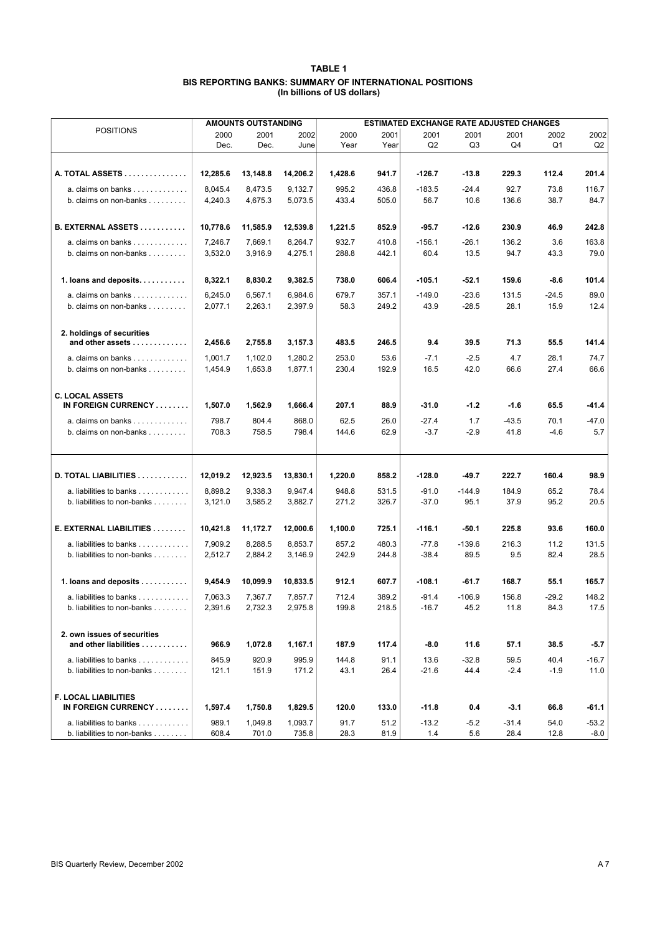### **TABLE 1 BIS REPORTING BANKS: SUMMARY OF INTERNATIONAL POSITIONS (In billions of US dollars)**

|                                                        |                    | <b>AMOUNTS OUTSTANDING</b> |                    | <b>ESTIMATED EXCHANGE RATE ADJUSTED CHANGES</b> |                |                    |                  |               |              |              |
|--------------------------------------------------------|--------------------|----------------------------|--------------------|-------------------------------------------------|----------------|--------------------|------------------|---------------|--------------|--------------|
| <b>POSITIONS</b>                                       | 2000<br>Dec.       | 2001<br>Dec.               | 2002<br>June       | 2000<br>Year                                    | 2001<br>Year   | 2001<br>Q2         | 2001<br>Q3       | 2001<br>Q4    | 2002<br>Q1   | 2002<br>Q2   |
|                                                        |                    |                            |                    |                                                 |                |                    |                  |               |              |              |
| A. TOTAL ASSETS                                        | 12,285.6           | 13,148.8                   | 14,206.2           | 1,428.6                                         | 941.7          | $-126.7$           | $-13.8$          | 229.3         | 112.4        | 201.4        |
| a. claims on banks $\dots\dots\dots\dots$              | 8,045.4            | 8,473.5                    | 9,132.7            | 995.2                                           | 436.8          | $-183.5$           | $-24.4$          | 92.7          | 73.8         | 116.7        |
| b. claims on non-banks $\dots \dots$                   | 4,240.3            | 4,675.3                    | 5,073.5            | 433.4                                           | 505.0          | 56.7               | 10.6             | 136.6         | 38.7         | 84.7         |
| <b>B. EXTERNAL ASSETS</b>                              | 10,778.6           | 11,585.9                   | 12,539.8           | 1,221.5                                         | 852.9          | $-95.7$            | $-12.6$          | 230.9         | 46.9         | 242.8        |
| $a.$ claims on banks $\dots\dots\dots\dots$            | 7,246.7            | 7,669.1                    | 8,264.7            | 932.7                                           | 410.8          | $-156.1$           | $-26.1$          | 136.2         | 3.6          | 163.8        |
| b. claims on non-banks $\ldots \ldots$                 | 3,532.0            | 3,916.9                    | 4,275.1            | 288.8                                           | 442.1          | 60.4               | 13.5             | 94.7          | 43.3         | 79.0         |
| 1. Ioans and deposits.                                 | 8,322.1            | 8,830.2                    | 9,382.5            | 738.0                                           | 606.4          | $-105.1$           | $-52.1$          | 159.6         | $-8.6$       | 101.4        |
| $a.$ claims on banks $\dots\dots\dots\dots$            | 6,245.0            | 6,567.1                    | 6,984.6            | 679.7                                           | 357.1          | $-149.0$           | $-23.6$          | 131.5         | $-24.5$      | 89.0         |
| b. claims on non-banks $\dots \dots$                   | 2,077.1            | 2,263.1                    | 2,397.9            | 58.3                                            | 249.2          | 43.9               | $-28.5$          | 28.1          | 15.9         | 12.4         |
| 2. holdings of securities                              |                    |                            |                    |                                                 |                |                    |                  |               |              |              |
| and other assets                                       | 2,456.6            | 2,755.8                    | 3,157.3            | 483.5                                           | 246.5          | 9.4                | 39.5             | 71.3          | 55.5         | 141.4        |
| $a.$ claims on banks $\dots\dots\dots\dots$            | 1,001.7            | 1,102.0                    | 1,280.2            | 253.0                                           | 53.6           | $-7.1$             | $-2.5$           | 4.7           | 28.1         | 74.7         |
| b. claims on non-banks $\dots \dots$                   | 1,454.9            | 1,653.8                    | 1,877.1            | 230.4                                           | 192.9          | 16.5               | 42.0             | 66.6          | 27.4         | 66.6         |
| <b>C. LOCAL ASSETS</b>                                 |                    |                            |                    |                                                 |                |                    |                  |               |              |              |
| IN FOREIGN CURRENCY                                    | 1,507.0            | 1,562.9                    | 1,666.4            | 207.1                                           | 88.9           | $-31.0$            | $-1.2$           | $-1.6$        | 65.5         | -41.4        |
| a. claims on banks $\dots\dots\dots\dots$              | 798.7              | 804.4                      | 868.0              | 62.5                                            | 26.0           | $-27.4$            | 1.7              | $-43.5$       | 70.1         | $-47.0$      |
| b. claims on non-banks $\dots \dots$                   | 708.3              | 758.5                      | 798.4              | 144.6                                           | 62.9           | $-3.7$             | $-2.9$           | 41.8          | $-4.6$       | 5.7          |
| D. TOTAL LIABILITIES                                   | 12,019.2           | 12,923.5                   | 13,830.1           | 1,220.0                                         | 858.2          | -128.0             | $-49.7$          | 222.7         | 160.4        | 98.9         |
|                                                        |                    |                            |                    |                                                 |                |                    |                  |               |              |              |
| a. liabilities to banks<br>b. liabilities to non-banks | 8,898.2<br>3,121.0 | 9,338.3<br>3,585.2         | 9,947.4<br>3,882.7 | 948.8<br>271.2                                  | 531.5<br>326.7 | $-91.0$<br>$-37.0$ | $-144.9$<br>95.1 | 184.9<br>37.9 | 65.2<br>95.2 | 78.4<br>20.5 |
|                                                        |                    |                            |                    |                                                 |                |                    |                  |               |              |              |
| E. EXTERNAL LIABILITIES                                | 10,421.8           | 11,172.7                   | 12,000.6           | 1,100.0                                         | 725.1          | -116.1             | $-50.1$          | 225.8         | 93.6         | 160.0        |
| a. liabilities to banks                                | 7,909.2            | 8,288.5                    | 8,853.7            | 857.2                                           | 480.3          | $-77.8$            | $-139.6$         | 216.3         | 11.2         | 131.5        |
| b. liabilities to non-banks $\ldots \ldots$            | 2,512.7            | 2,884.2                    | 3,146.9            | 242.9                                           | 244.8          | $-38.4$            | 89.5             | 9.5           | 82.4         | 28.5         |
| 1. loans and deposits                                  | 9,454.9            | 10,099.9                   | 10,833.5           | 912.1                                           | 607.7          | -108.1             | $-61.7$          | 168.7         | 55.1         | 165.7        |
| a. liabilities to banks                                | 7,063.3            | 7,367.7                    | 7,857.7            | 712.4                                           | 389.2          | $-91.4$            | $-106.9$         | 156.8         | $-29.2$      | 148.2        |
| b. liabilities to non-banks $\dots \dots$              | 2,391.6            | 2,732.3                    | 2,975.8            | 199.8                                           | 218.5          | -16.7              | 45.2             | 11.8          | 84.3         | 17.5         |
| 2. own issues of securities                            |                    |                            |                    |                                                 |                |                    |                  |               |              |              |
| and other liabilities                                  | 966.9              | 1,072.8                    | 1,167.1            | 187.9                                           | 117.4          | $-8.0$             | 11.6             | 57.1          | 38.5         | $-5.7$       |
| a. liabilities to banks                                | 845.9              | 920.9                      | 995.9              | 144.8                                           | 91.1           | 13.6               | $-32.8$          | 59.5          | 40.4         | $-16.7$      |
| b. liabilities to non-banks                            | 121.1              | 151.9                      | 171.2              | 43.1                                            | 26.4           | $-21.6$            | 44.4             | $-2.4$        | $-1.9$       | 11.0         |
| <b>F. LOCAL LIABILITIES</b>                            |                    |                            |                    |                                                 |                |                    |                  |               |              |              |
| IN FOREIGN CURRENCY                                    | 1,597.4            | 1,750.8                    | 1,829.5            | 120.0                                           | 133.0          | $-11.8$            | 0.4              | $-3.1$        | 66.8         | -61.1        |
| a. liabilities to banks                                | 989.1              | 1,049.8                    | 1,093.7            | 91.7                                            | 51.2           | $-13.2$            | $-5.2$           | $-31.4$       | 54.0         | $-53.2$      |
| b. liabilities to non-banks                            | 608.4              | 701.0                      | 735.8              | 28.3                                            | 81.9           | 1.4                | 5.6              | 28.4          | 12.8         | $-8.0$       |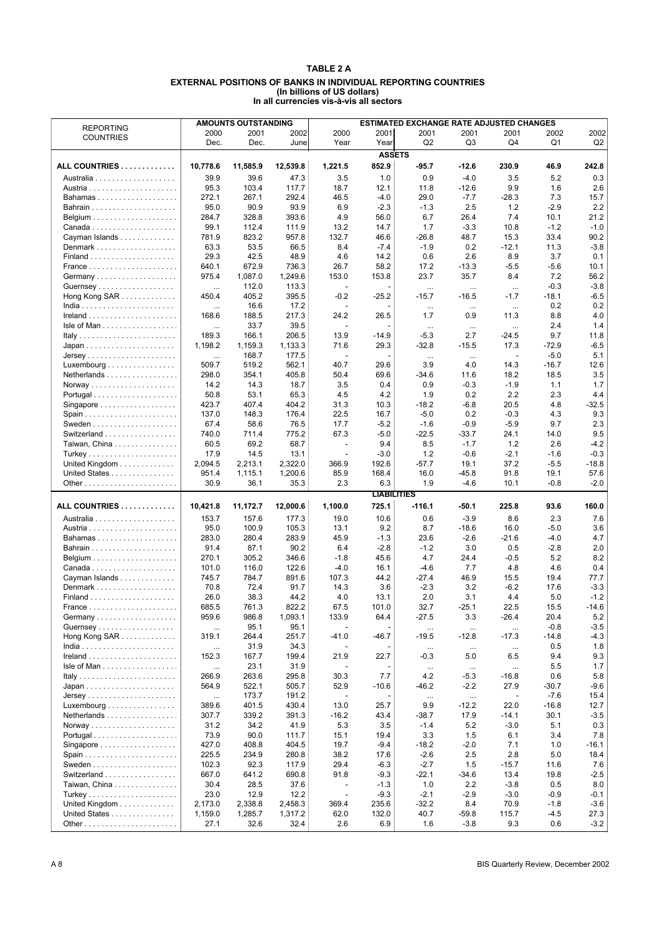### **TABLE 2 A EXTERNAL POSITIONS OF BANKS IN INDIVIDUAL REPORTING COUNTRIES (In billions of US dollars) In all currencies vis-‡-vis all sectors**

|                                                | <b>AMOUNTS OUTSTANDING</b><br><b>ESTIMATED EXCHANGE RATE ADJUSTED CHANGES</b> |          |          |                          |                    |          |          |                          |         |         |
|------------------------------------------------|-------------------------------------------------------------------------------|----------|----------|--------------------------|--------------------|----------|----------|--------------------------|---------|---------|
| <b>REPORTING</b>                               | 2000                                                                          | 2001     | 2002     | 2000                     | 2001               | 2001     | 2001     | 2001                     | 2002    | 2002    |
| <b>COUNTRIES</b>                               | Dec.                                                                          | Dec.     | June     | Year                     | Year               | Q2       | Q3       | Q4                       | Q1      | Q2      |
|                                                |                                                                               |          |          |                          | <b>ASSETS</b>      |          |          |                          |         |         |
| ALL COUNTRIES                                  | 10,778.6                                                                      | 11,585.9 | 12,539.8 | 1,221.5                  | 852.9              | $-95.7$  | $-12.6$  | 230.9                    | 46.9    | 242.8   |
|                                                |                                                                               |          |          |                          |                    |          |          |                          |         |         |
|                                                | 39.9                                                                          | 39.6     | 47.3     | 3.5                      | 1.0                | 0.9      | $-4.0$   | 3.5                      | 5.2     | 0.3     |
|                                                | 95.3                                                                          | 103.4    | 117.7    | 18.7                     | 12.1               | 11.8     | $-12.6$  | 9.9                      | 1.6     | 2.6     |
| Bahamas                                        | 272.1                                                                         | 267.1    | 292.4    | 46.5                     | $-4.0$             | 29.0     | $-7.7$   | $-28.3$                  | 7.3     | 15.7    |
|                                                | 95.0                                                                          | 90.9     | 93.9     | 6.9                      | $-2.3$             | $-1.3$   | 2.5      | 1.2                      | $-2.9$  | 2.2     |
|                                                | 284.7                                                                         | 328.8    | 393.6    | 4.9                      | 56.0               | 6.7      | 26.4     | 7.4                      | 10.1    | 21.2    |
|                                                | 99.1                                                                          | 112.4    | 111.9    | 13.2                     | 14.7               | 1.7      | $-3.3$   | 10.8                     | $-1.2$  | $-1.0$  |
| Cayman Islands                                 | 781.9                                                                         | 823.2    | 957.8    | 132.7                    | 46.6               | $-26.8$  | 48.7     | 15.3                     | 33.4    | 90.2    |
|                                                | 63.3                                                                          | 53.5     | 66.5     | 8.4                      | $-7.4$             | $-1.9$   | 0.2      | $-12.1$                  | 11.3    | $-3.8$  |
|                                                | 29.3                                                                          | 42.5     | 48.9     | 4.6                      | 14.2               | 0.6      | 2.6      | 8.9                      | 3.7     | 0.1     |
| France                                         | 640.1                                                                         | 672.9    | 736.3    | 26.7                     | 58.2               | 17.2     | $-13.3$  | $-5.5$                   | $-5.6$  | 10.1    |
|                                                | 975.4                                                                         | 1,087.0  | 1,249.6  | 153.0                    | 153.8              | 23.7     | 35.7     | 8.4                      | 7.2     | 56.2    |
| Guernsey $\dots\dots\dots\dots\dots\dots\dots$ | $\cdots$                                                                      | 112.0    | 113.3    |                          |                    | $\cdots$ | $\cdots$ | $\cdots$                 | $-0.3$  | -3.8    |
| Hong Kong SAR                                  | 450.4                                                                         | 405.2    | 395.5    | $-0.2$                   | $-25.2$            | $-15.7$  | $-16.5$  | $-1.7$                   | $-18.1$ | -6.5    |
|                                                | $\cdots$                                                                      | 16.6     | 17.2     |                          |                    | $\cdots$ | $\cdots$ | $\cdots$                 | 0.2     | 0.2     |
|                                                | 168.6                                                                         | 188.5    | 217.3    | 24.2                     | 26.5               | 1.7      | 0.9      | 11.3                     | 8.8     | 4.0     |
| Isle of Man                                    | $\cdots$                                                                      | 33.7     | 39.5     |                          |                    | $\cdots$ | $\ldots$ | $\cdots$                 | 2.4     | 1.4     |
| Italy                                          | 189.3                                                                         | 166.1    | 206.5    | 13.9                     | $-14.9$            | $-5.3$   | 2.7      | $-24.5$                  | 9.7     | 11.8    |
|                                                | 1,198.2                                                                       | 1,159.3  | 1,133.3  | 71.6                     | 29.3               | $-32.8$  | $-15.5$  | 17.3                     | $-72.9$ | $-6.5$  |
| $Jersey$                                       | $\cdots$                                                                      | 168.7    | 177.5    | $\overline{\phantom{a}}$ |                    | $\ldots$ | $\ldots$ | $\overline{\phantom{a}}$ | $-5.0$  | 5.1     |
| Luxembourg                                     | 509.7                                                                         | 519.2    | 562.1    | 40.7                     | 29.6               | 3.9      | 4.0      | 14.3                     | $-16.7$ | 12.6    |
| Netherlands                                    | 298.0                                                                         | 354.1    | 405.8    | 50.4                     | 69.6               | $-34.6$  | 11.6     | 18.2                     | 18.5    | 3.5     |
|                                                | 14.2                                                                          | 14.3     | 18.7     | 3.5                      | 0.4                | 0.9      | $-0.3$   | $-1.9$                   | 1.1     | 1.7     |
|                                                | 50.8                                                                          | 53.1     | 65.3     | 4.5                      | 4.2                | 1.9      | 0.2      | 2.2                      | 2.3     | 4.4     |
| Portugal                                       |                                                                               |          |          |                          |                    |          |          |                          |         |         |
| Singapore                                      | 423.7                                                                         | 407.4    | 404.2    | 31.3                     | 10.3               | $-18.2$  | $-6.8$   | 20.5                     | 4.8     | $-32.5$ |
| Spain                                          | 137.0                                                                         | 148.3    | 176.4    | 22.5                     | 16.7               | $-5.0$   | 0.2      | $-0.3$                   | 4.3     | 9.3     |
|                                                | 67.4                                                                          | 58.6     | 76.5     | 17.7                     | $-5.2$             | $-1.6$   | $-0.9$   | $-5.9$                   | 9.7     | 2.3     |
| Switzerland                                    | 740.0                                                                         | 711.4    | 775.2    | 67.3                     | $-5.0$             | $-22.5$  | $-33.7$  | 24.1                     | 14.0    | 9.5     |
| Taiwan, China                                  | 60.5                                                                          | 69.2     | 68.7     | $\overline{\phantom{a}}$ | 9.4                | 8.5      | $-1.7$   | 1.2                      | 2.6     | $-4.2$  |
|                                                | 17.9                                                                          | 14.5     | 13.1     |                          | $-3.0$             | 1.2      | $-0.6$   | $-2.1$                   | $-1.6$  | $-0.3$  |
| United Kingdom                                 | 2,094.5                                                                       | 2,213.1  | 2,322.0  | 366.9                    | 192.6              | $-57.7$  | 19.1     | 37.2                     | $-5.5$  | $-18.8$ |
| United States                                  | 951.4                                                                         | 1,115.1  | 1,200.6  | 85.9                     | 168.4              | 16.0     | $-45.8$  | 91.8                     | 19.1    | 57.6    |
|                                                | 30.9                                                                          | 36.1     | 35.3     | 2.3                      | 6.3                | 1.9      | $-4.6$   | 10.1                     | $-0.8$  | $-2.0$  |
|                                                |                                                                               |          |          |                          | <b>LIABILITIES</b> |          |          |                          |         |         |
| ALL COUNTRIES                                  | 10,421.8                                                                      | 11,172.7 | 12,000.6 | 1,100.0                  | 725.1              | $-116.1$ | $-50.1$  | 225.8                    | 93.6    | 160.0   |
|                                                | 153.7                                                                         | 157.6    | 177.3    | 19.0                     | 10.6               | 0.6      | $-3.9$   | 8.6                      | 2.3     | 7.6     |
|                                                | 95.0                                                                          | 100.9    | 105.3    | 13.1                     | 9.2                | 8.7      | $-18.6$  | 16.0                     | $-5.0$  | 3.6     |
| Bahamas                                        | 283.0                                                                         | 280.4    | 283.9    | 45.9                     | $-1.3$             | 23.6     | $-2.6$   | $-21.6$                  | $-4.0$  | 4.7     |
|                                                | 91.4                                                                          | 87.1     | 90.2     | 6.4                      | $-2.8$             | $-1.2$   | 3.0      | 0.5                      | $-2.8$  | 2.0     |
|                                                | 270.1                                                                         | 305.2    | 346.6    | $-1.8$                   | 45.6               | 4.7      | 24.4     | $-0.5$                   | 5.2     | 8.2     |
|                                                | 101.0                                                                         | 116.0    | 122.6    | $-4.0$                   | 16.1               | $-4.6$   | 7.7      | 4.8                      | 4.6     | 0.4     |
| Cayman Islands                                 | 745.7                                                                         | 784.7    | 891.6    | 107.3                    | 44.2               | $-27.4$  | 46.9     | 15.5                     | 19.4    | 77.7    |
| Denmark                                        | 70.8                                                                          | 72.4     | 91.7     | 14.3                     |                    |          |          |                          |         |         |
|                                                | 26.0                                                                          | 38.3     |          |                          |                    |          |          |                          |         |         |
|                                                |                                                                               |          |          |                          | 3.6                | $-2.3$   | 3.2      | $-6.2$                   | 17.6    | $-3.3$  |
|                                                |                                                                               |          | 44.2     | 4.0                      | 13.1               | 2.0      | 3.1      | 4.4                      | 5.0     | $-1.2$  |
|                                                | 685.5                                                                         | 761.3    | 822.2    | 67.5                     | 101.0              | 32.7     | $-25.1$  | 22.5                     | 15.5    | $-14.6$ |
|                                                | 959.6                                                                         | 986.8    | 1,093.1  | 133.9                    | 64.4               | -27.5    | 3.3      | $-26.4$                  | 20.4    | 5.2     |
| Guernsey                                       | $\cdots$                                                                      | 95.1     | 95.1     |                          |                    | $\ldots$ | $\cdots$ | $\ldots$                 | $-0.8$  | $-3.5$  |
| Hong Kong SAR                                  | 319.1                                                                         | 264.4    | 251.7    | $-41.0$                  | $-46.7$            | $-19.5$  | $-12.8$  | $-17.3$                  | $-14.8$ | $-4.3$  |
|                                                | $\cdots$                                                                      | 31.9     | 34.3     |                          |                    | $\cdots$ | $\ldots$ | $\cdots$                 | 0.5     | 1.8     |
|                                                | 152.3                                                                         | 167.7    | 199.4    | 21.9                     | 22.7               | $-0.3$   | 5.0      | 6.5                      | 9.4     | 9.3     |
|                                                | $\cdots$                                                                      | 23.1     | 31.9     |                          |                    | $\ldots$ | $\cdots$ | $\cdots$                 | 5.5     | 1.7     |
| Italy                                          | 266.9                                                                         | 263.6    | 295.8    | 30.3                     | 7.7                | 4.2      | $-5.3$   | $-16.8$                  | 0.6     | 5.8     |
|                                                | 564.9                                                                         | 522.1    | 505.7    | 52.9                     | $-10.6$            | $-46.2$  | $-2.2$   | 27.9                     | $-30.7$ | -9.6    |
| $Jersev \ldots \ldots \ldots$                  | $\cdots$                                                                      | 173.7    | 191.2    | $\overline{\phantom{a}}$ |                    | $\cdots$ | $\ldots$ | $\frac{1}{2}$            | $-7.6$  | 15.4    |
| Luxembourg $\dots\dots\dots\dots\dots\dots$    | 389.6                                                                         | 401.5    | 430.4    | 13.0                     | 25.7               | 9.9      | $-12.2$  | 22.0                     | $-16.8$ | 12.7    |
| Netherlands                                    | 307.7                                                                         | 339.2    | 391.3    | $-16.2$                  | 43.4               | $-38.7$  | 17.9     | -14.1                    | 30.1    | -3.5    |
|                                                | 31.2                                                                          | 34.2     | 41.9     | 5.3                      | 3.5                | $-1.4$   | 5.2      | $-3.0$                   | 5.1     | 0.3     |
|                                                | 73.9                                                                          | 90.0     | 111.7    | 15.1                     | 19.4               | 3.3      | 1.5      | 6.1                      | 3.4     | 7.8     |
| Singapore                                      | 427.0                                                                         | 408.8    | 404.5    | 19.7                     | $-9.4$             | $-18.2$  | $-2.0$   | 7.1                      | 1.0     | $-16.1$ |
|                                                | 225.5                                                                         | 234.9    | 280.8    | 38.2                     | 17.6               | $-2.6$   | 2.5      | 2.8                      | 5.0     | 18.4    |
|                                                | 102.3                                                                         | 92.3     | 117.9    | 29.4                     | $-6.3$             | $-2.7$   | 1.5      | $-15.7$                  | 11.6    | 7.6     |
| Switzerland                                    | 667.0                                                                         | 641.2    | 690.8    | 91.8                     | $-9.3$             | $-22.1$  | $-34.6$  | 13.4                     | 19.8    | -2.5    |
| Taiwan, China                                  | 30.4                                                                          | 28.5     | 37.6     | $\overline{\phantom{a}}$ | $-1.3$             | 1.0      | 2.2      | $-3.8$                   | 0.5     | 8.0     |
|                                                | 23.0                                                                          | 12.9     | 12.2     | $\overline{\phantom{a}}$ | $-9.3$             | $-2.1$   | $-2.9$   | $-3.0$                   | $-0.9$  | $-0.1$  |
| United Kingdom $\ldots \ldots \ldots \ldots$   | 2,173.0                                                                       | 2,338.8  | 2,458.3  | 369.4                    | 235.6              | $-32.2$  | 8.4      | 70.9                     | $-1.8$  | -3.6    |
| United States                                  | 1,159.0                                                                       | 1,285.7  | 1,317.2  | 62.0                     | 132.0              | 40.7     | $-59.8$  | 115.7                    | $-4.5$  | 27.3    |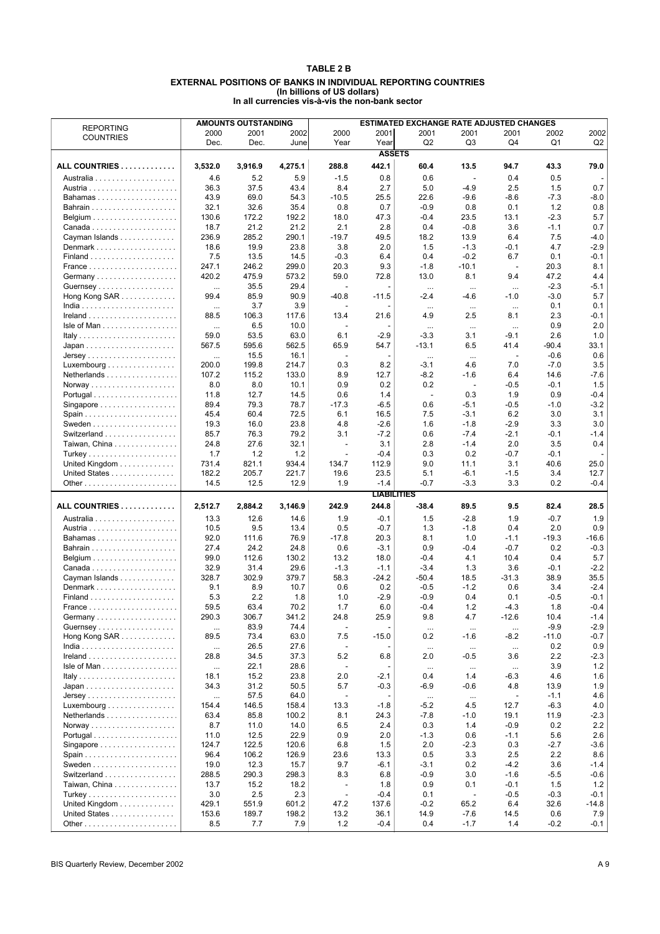### **TABLE 2 B EXTERNAL POSITIONS OF BANKS IN INDIVIDUAL REPORTING COUNTRIES (In billions of US dollars) In all currencies vis-‡-vis the non-bank sector**

|                                             |          | <b>AMOUNTS OUTSTANDING</b> |         |                          |                    | <b>ESTIMATED EXCHANGE RATE ADJUSTED CHANGES</b> |                          |                          |         |         |
|---------------------------------------------|----------|----------------------------|---------|--------------------------|--------------------|-------------------------------------------------|--------------------------|--------------------------|---------|---------|
| <b>REPORTING</b>                            | 2000     | 2001                       | 2002    | 2000                     | 2001               | 2001                                            | 2001                     | 2001                     | 2002    | 2002    |
| <b>COUNTRIES</b>                            | Dec.     | Dec.                       | June    | Year                     | Year               | Q2                                              | Q <sub>3</sub>           | Q4                       | Q1      | Q2      |
|                                             |          |                            |         |                          | <b>ASSETS</b>      |                                                 |                          |                          |         |         |
| ALL COUNTRIES                               | 3,532.0  | 3,916.9                    | 4,275.1 | 288.8                    | 442.1              | 60.4                                            | 13.5                     | 94.7                     | 43.3    | 79.0    |
|                                             |          |                            |         |                          |                    |                                                 |                          |                          |         |         |
|                                             | 4.6      | 5.2                        | 5.9     | $-1.5$                   | 0.8                | 0.6                                             | $\overline{\phantom{a}}$ | 0.4                      | 0.5     |         |
|                                             | 36.3     | 37.5                       | 43.4    | 8.4                      | 2.7                | 5.0                                             | $-4.9$                   | 2.5                      | 1.5     | 0.7     |
| Bahamas                                     | 43.9     | 69.0                       | 54.3    | $-10.5$                  | 25.5               | 22.6                                            | $-9.6$                   | $-8.6$                   | $-7.3$  | $-8.0$  |
|                                             | 32.1     | 32.6                       | 35.4    | 0.8                      | 0.7                | $-0.9$                                          | 0.8                      | 0.1                      | 1.2     | 0.8     |
|                                             | 130.6    | 172.2                      | 192.2   | 18.0                     | 47.3               | $-0.4$                                          | 23.5                     | 13.1                     | $-2.3$  | 5.7     |
|                                             | 18.7     | 21.2                       | 21.2    | 2.1                      | 2.8                | 0.4                                             | $-0.8$                   | 3.6                      | $-1.1$  | 0.7     |
| Cayman Islands                              | 236.9    | 285.2                      | 290.1   | $-19.7$                  | 49.5               | 18.2                                            | 13.9                     | 6.4                      | 7.5     | $-4.0$  |
| Denmark                                     | 18.6     | 19.9                       | 23.8    | 3.8                      | 2.0                | 1.5                                             | $-1.3$                   | $-0.1$                   | 4.7     | $-2.9$  |
|                                             | 7.5      | 13.5                       | 14.5    | $-0.3$                   | 6.4                | 0.4                                             | $-0.2$                   | 6.7                      | 0.1     | $-0.1$  |
|                                             | 247.1    | 246.2                      | 299.0   | 20.3                     | 9.3                | $-1.8$                                          | $-10.1$                  | $\overline{\phantom{a}}$ | 20.3    | 8.1     |
|                                             | 420.2    | 475.9                      | 573.2   | 59.0                     | 72.8               | 13.0                                            | 8.1                      | 9.4                      | 47.2    | 4.4     |
| Guernsey                                    | $\cdots$ | 35.5                       | 29.4    |                          |                    | $\cdots$                                        | $\cdots$                 | $\ddotsc$                | $-2.3$  | $-5.1$  |
| Hong Kong SAR                               | 99.4     | 85.9                       | 90.9    | $-40.8$                  | $-11.5$            | -2.4                                            | -4.6                     | $-1.0$                   | $-3.0$  | 5.7     |
|                                             | $\cdots$ | 3.7                        | 3.9     |                          |                    | $\cdots$                                        | $\ldots$                 | $\cdots$                 | 0.1     | 0.1     |
|                                             | 88.5     | 106.3                      | 117.6   | 13.4                     | 21.6               | 4.9                                             | 2.5                      | 8.1                      | 2.3     | $-0.1$  |
| Isle of Man                                 | $\cdots$ | 6.5                        | 10.0    |                          |                    | $\ldots$                                        | $\ldots$                 | $\cdots$                 | 0.9     | 2.0     |
| Italy                                       | 59.0     | 53.5                       | 63.0    | 6.1                      | $-2.9$             | $-3.3$                                          | 3.1                      | $-9.1$                   | 2.6     | 1.0     |
|                                             | 567.5    | 595.6                      | 562.5   | 65.9                     | 54.7               | $-13.1$                                         | 6.5                      | 41.4                     | $-90.4$ | 33.1    |
| $Jersey \ldots \ldots \ldots \ldots \ldots$ | $\cdots$ | 15.5                       | 16.1    | $\overline{a}$           |                    | $\cdots$                                        | $\cdots$                 | $\overline{\phantom{a}}$ | $-0.6$  | 0.6     |
| $Luxembourg \ldots  \ldots $                | 200.0    | 199.8                      | 214.7   | 0.3                      | 8.2                | $-3.1$                                          | 4.6                      | 7.0                      | $-7.0$  | 3.5     |
| Netherlands                                 | 107.2    | 115.2                      | 133.0   | 8.9                      | 12.7               | $-8.2$                                          | $-1.6$                   | 6.4                      | 14.6    | -7.6    |
|                                             | 8.0      | 8.0                        | 10.1    | 0.9                      | 0.2                | 0.2                                             | $\overline{\phantom{a}}$ | $-0.5$                   | $-0.1$  | 1.5     |
|                                             | 11.8     | 12.7                       | 14.5    | 0.6                      | 1.4                | $\overline{\phantom{a}}$                        | 0.3                      | 1.9                      | 0.9     | $-0.4$  |
| Singapore                                   | 89.4     | 79.3                       | 78.7    | $-17.3$                  | -6.5               | 0.6                                             | $-5.1$                   | $-0.5$                   | $-1.0$  | $-3.2$  |
|                                             | 45.4     | 60.4                       | 72.5    | 6.1                      | 16.5               | 7.5                                             | $-3.1$                   | 6.2                      | 3.0     | 3.1     |
|                                             | 19.3     | 16.0                       | 23.8    | 4.8                      | $-2.6$             | 1.6                                             | $-1.8$                   | $-2.9$                   | 3.3     | 3.0     |
| Switzerland                                 | 85.7     | 76.3                       | 79.2    | 3.1                      | $-7.2$             | 0.6                                             | $-7.4$                   | $-2.1$                   | $-0.1$  | $-1.4$  |
| Taiwan, China                               | 24.8     | 27.6                       | 32.1    | $\overline{\phantom{a}}$ | 3.1                | 2.8                                             | $-1.4$                   | 2.0                      | 3.5     | 0.4     |
| Turkey                                      | 1.7      | 1.2                        | 1.2     |                          | $-0.4$             | 0.3                                             | 0.2                      | $-0.7$                   | $-0.1$  |         |
| United Kingdom                              | 731.4    | 821.1                      | 934.4   | 134.7                    | 112.9              | 9.0                                             | 11.1                     | 3.1                      | 40.6    | 25.0    |
| United States                               | 182.2    | 205.7                      | 221.7   | 19.6                     | 23.5               | 5.1                                             | $-6.1$                   | $-1.5$                   | 3.4     | 12.7    |
|                                             | 14.5     | 12.5                       | 12.9    | 1.9                      | $-1.4$             | $-0.7$                                          | $-3.3$                   | 3.3                      | 0.2     | $-0.4$  |
|                                             |          |                            |         |                          | <b>LIABILITIES</b> |                                                 |                          |                          |         |         |
| ALL COUNTRIES                               | 2,512.7  | 2,884.2                    | 3,146.9 | 242.9                    | 244.8              | $-38.4$                                         | 89.5                     | 9.5                      | 82.4    | 28.5    |
|                                             | 13.3     | 12.6                       | 14.6    | 1.9                      | $-0.1$             | 1.5                                             | $-2.8$                   | 1.9                      | $-0.7$  | 1.9     |
|                                             | 10.5     | 9.5                        | 13.4    | 0.5                      | $-0.7$             | 1.3                                             | $-1.8$                   | 0.4                      | 2.0     | 0.9     |
| Bahamas                                     | 92.0     | 111.6                      | 76.9    | $-17.8$                  | 20.3               | 8.1                                             | 1.0                      | $-1.1$                   | $-19.3$ | $-16.6$ |
|                                             | 27.4     | 24.2                       | 24.8    | 0.6                      | $-3.1$             | 0.9                                             | $-0.4$                   | $-0.7$                   | 0.2     | $-0.3$  |
|                                             | 99.0     | 112.6                      | 130.2   | 13.2                     | 18.0               | $-0.4$                                          | 4.1                      | 10.4                     | 0.4     | 5.7     |
|                                             | 32.9     | 31.4                       | 29.6    | $-1.3$                   | $-1.1$             | $-3.4$                                          | 1.3                      | 3.6                      | $-0.1$  | $-2.2$  |
| Cayman Islands                              | 328.7    | 302.9                      | 379.7   | 58.3                     | -24.2              | $-50.4$                                         | 18.5                     | $-31.3$                  | 38.9    | 35.5    |
| Denmark                                     | 9.1      | 8.9                        | 10.7    | 0.6                      | 0.2                | $-0.5$                                          | $-1.2$                   | 0.6                      | 3.4     | $-2.4$  |
|                                             | 5.3      | 2.2                        | 1.8     | 1.0                      | -2.9               | $-0.9$                                          | 0.4                      | 0.1                      | $-0.5$  | $-0.1$  |
|                                             | 59.5     | 63.4                       | 70.2    | 1.7                      | 6.0                | $-0.4$                                          | 1.2                      | $-4.3$                   | 1.8     | $-0.4$  |
|                                             | 290.3    | 306.7                      | 341.2   | 24.8                     | 25.9               | 9.8                                             | 4.7                      | $-12.6$                  | 10.4    | $-1.4$  |
| Guernsey                                    | $\cdots$ | 83.9                       | 74.4    |                          |                    | $\cdots$                                        | $\cdots$                 | $\ldots$                 | $-9.9$  | $-2.9$  |
| Hong Kong SAR                               | 89.5     | 73.4                       | 63.0    | 7.5                      | $-15.0$            | 0.2                                             | $-1.6$                   | $-8.2$                   | $-11.0$ | $-0.7$  |
|                                             | $\ldots$ | 26.5                       | 27.6    | $\overline{\phantom{a}}$ |                    | $\dots$                                         | $\ldots$                 | $\cdots$                 | 0.2     | 0.9     |
|                                             | 28.8     | 34.5                       | 37.3    | 5.2                      | 6.8                | 2.0                                             | $-0.5$                   | 3.6                      | 2.2     | $-2.3$  |
| Isle of Man                                 | $\cdots$ | 22.1                       | 28.6    | $\overline{\phantom{a}}$ |                    | $\cdots$                                        | $\ldots$                 | $\cdots$                 | 3.9     | 1.2     |
| Italy                                       | 18.1     | 15.2                       | 23.8    | 2.0                      | -2.1               | 0.4                                             | 1.4                      | $-6.3$                   | 4.6     | 1.6     |
|                                             | 34.3     | 31.2                       | 50.5    | 5.7                      | -0.3               | $-6.9$                                          | $-0.6$                   | 4.8                      | 13.9    | 1.9     |
| $Jersev \ldots \ldots \ldots$               | $\cdots$ | 57.5                       | 64.0    | $\sim$                   |                    | $\cdots$                                        | $\ldots$                 | $\frac{1}{2}$            | $-1.1$  | 4.6     |
| $Luxembourg \ldots  \ldots $                | 154.4    | 146.5                      | 158.4   | 13.3                     | $-1.8$             | $-5.2$                                          | 4.5                      | 12.7                     | $-6.3$  | 4.0     |
| Netherlands                                 | 63.4     | 85.8                       | 100.2   | 8.1                      | 24.3               | $-7.8$                                          | $-1.0$                   | 19.1                     | 11.9    | $-2.3$  |
|                                             | 8.7      | 11.0                       | 14.0    | 6.5                      | 2.4                | 0.3                                             | 1.4                      | $-0.9$                   | 0.2     | 2.2     |
|                                             | 11.0     | 12.5                       | 22.9    | 0.9                      | 2.0                | $-1.3$                                          | 0.6                      | $-1.1$                   | 5.6     | 2.6     |
| Singapore                                   | 124.7    | 122.5                      | 120.6   | 6.8                      | 1.5                | 2.0                                             | $-2.3$                   | 0.3                      | $-2.7$  | $-3.6$  |
| Spain                                       | 96.4     | 106.2                      | 126.9   | 23.6                     | 13.3               | 0.5                                             | 3.3                      | 2.5                      | 2.2     | 8.6     |
|                                             | 19.0     | 12.3                       | 15.7    | 9.7                      | -6.1               | $-3.1$                                          | 0.2                      | $-4.2$                   | 3.6     | $-1.4$  |
| Switzerland                                 | 288.5    | 290.3                      | 298.3   | 8.3                      | 6.8                | $-0.9$                                          | 3.0                      | $-1.6$                   | $-5.5$  | $-0.6$  |
| Taiwan, China                               | 13.7     | 15.2                       | 18.2    | $\blacksquare$           | 1.8                | 0.9                                             | 0.1                      | $-0.1$                   | 1.5     | $1.2$   |
|                                             | 3.0      | 2.5                        | 2.3     | $\overline{\phantom{a}}$ | $-0.4$             | 0.1                                             | $\overline{\phantom{a}}$ | $-0.5$                   | $-0.3$  | $-0.1$  |
| United Kingdom                              | 429.1    | 551.9                      | 601.2   | 47.2                     | 137.6              | $-0.2$                                          | 65.2                     | 6.4                      | 32.6    | -14.8   |
| United States                               | 153.6    | 189.7                      | 198.2   | 13.2                     | 36.1               | 14.9                                            | $-7.6$                   | 14.5                     | 0.6     | 7.9     |
|                                             |          |                            |         | 1.2                      |                    | 0.4                                             |                          | 1.4                      | $-0.2$  |         |
|                                             | 8.5      | 7.7                        | 7.9     |                          | $-0.4$             |                                                 | $-1.7$                   |                          |         | $-0.1$  |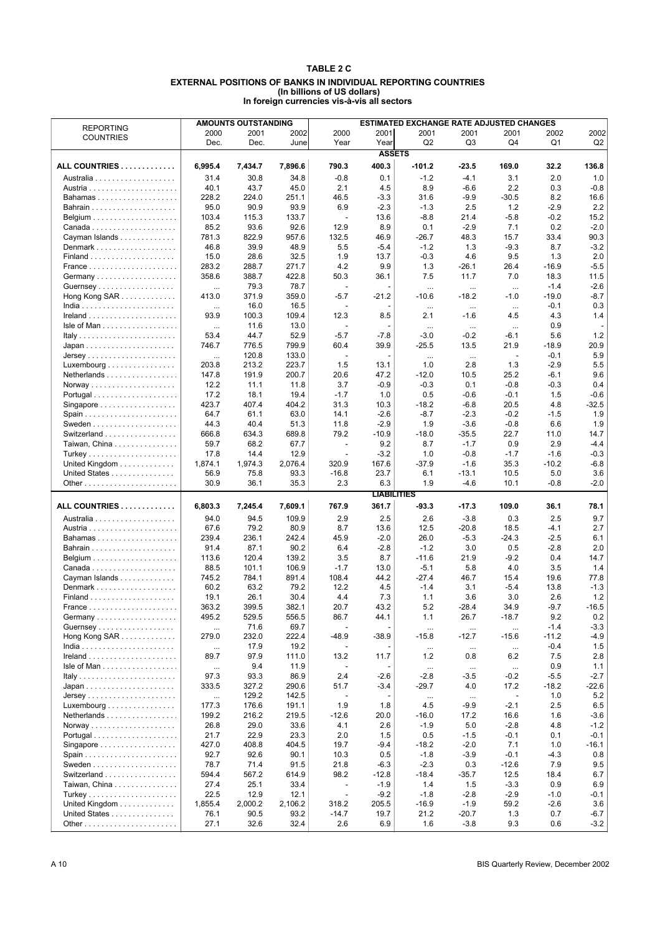#### **TABLE 2 C EXTERNAL POSITIONS OF BANKS IN INDIVIDUAL REPORTING COUNTRIES (In billions of US dollars) In foreign currencies vis-‡-vis all sectors**

|                                             | <b>ESTIMATED EXCHANGE RATE ADJUSTED CHANGES</b><br><b>AMOUNTS OUTSTANDING</b> |         |         |                          |                    |                     |                     |                          |         |         |
|---------------------------------------------|-------------------------------------------------------------------------------|---------|---------|--------------------------|--------------------|---------------------|---------------------|--------------------------|---------|---------|
| <b>REPORTING</b>                            | 2000                                                                          | 2001    | 2002    | 2000                     | 2001               | 2001                | 2001                | 2001                     | 2002    | 2002    |
| <b>COUNTRIES</b>                            | Dec.                                                                          | Dec.    | June    | Year                     | Year               | Q2                  | Q <sub>3</sub>      | Q4                       | Q1      | Q2      |
|                                             |                                                                               |         |         |                          | <b>ASSETS</b>      |                     |                     |                          |         |         |
|                                             |                                                                               |         |         |                          |                    |                     |                     |                          |         |         |
| ALL COUNTRIES                               | 6,995.4                                                                       | 7,434.7 | 7,896.6 | 790.3                    | 400.3              | $-101.2$            | $-23.5$             | 169.0                    | 32.2    | 136.8   |
|                                             | 31.4                                                                          | 30.8    | 34.8    | $-0.8$                   | 0.1                | $-1.2$              | $-4.1$              | 3.1                      | 2.0     | 1.0     |
|                                             | 40.1                                                                          | 43.7    | 45.0    | 2.1                      | 4.5                | 8.9                 | $-6.6$              | 2.2                      | 0.3     | $-0.8$  |
| Bahamas                                     | 228.2                                                                         | 224.0   | 251.1   | 46.5                     | $-3.3$             | 31.6                | $-9.9$              | $-30.5$                  | 8.2     | 16.6    |
|                                             | 95.0                                                                          | 90.9    | 93.9    | 6.9                      | $-2.3$             | $-1.3$              | 2.5                 | 1.2                      | $-2.9$  | 2.2     |
|                                             | 103.4                                                                         | 115.3   | 133.7   | $\sim$                   | 13.6               | $-8.8$              | 21.4                | $-5.8$                   | $-0.2$  | 15.2    |
|                                             | 85.2                                                                          | 93.6    | 92.6    | 12.9                     | 8.9                | 0.1                 | $-2.9$              | 7.1                      | 0.2     | $-2.0$  |
| Cayman Islands                              | 781.3                                                                         | 822.9   | 957.6   | 132.5                    | 46.9               | $-26.7$             | 48.3                | 15.7                     | 33.4    | 90.3    |
| Denmark                                     | 46.8                                                                          | 39.9    | 48.9    | 5.5                      | $-5.4$             | $-1.2$              | 1.3                 | $-9.3$                   | 8.7     | $-3.2$  |
|                                             | 15.0                                                                          | 28.6    | 32.5    | 1.9                      | 13.7               | $-0.3$              | 4.6                 | 9.5                      | 1.3     | 2.0     |
|                                             | 283.2                                                                         | 288.7   | 271.7   | 4.2                      | 9.9                | 1.3                 | $-26.1$             | 26.4                     | $-16.9$ | $-5.5$  |
|                                             | 358.6                                                                         | 388.7   | 422.8   | 50.3                     | 36.1               | 7.5                 | 11.7                | 7.0                      | 18.3    | 11.5    |
| Guernsey                                    |                                                                               | 79.3    | 78.7    | ÷,                       |                    |                     |                     |                          | $-1.4$  | $-2.6$  |
| Hong Kong SAR                               | $\cdots$<br>413.0                                                             | 371.9   | 359.0   | $-5.7$                   | -21.2              | $\cdots$<br>$-10.6$ | $\cdots$<br>$-18.2$ | $\ldots$<br>$-1.0$       | $-19.0$ | $-8.7$  |
|                                             |                                                                               | 16.0    | 16.5    | $\overline{\phantom{a}}$ |                    |                     |                     |                          | $-0.1$  | 0.3     |
|                                             | $\cdots$<br>93.9                                                              | 100.3   | 109.4   | 12.3                     | 8.5                | $\ldots$<br>2.1     | $\ldots$<br>$-1.6$  | $\cdots$<br>4.5          | 4.3     | 1.4     |
|                                             |                                                                               |         |         |                          |                    |                     |                     |                          |         |         |
| Isle of Man                                 | $\cdots$                                                                      | 11.6    | 13.0    | $\overline{a}$           |                    | $\ldots$            | $\ldots$            | $\cdots$                 | 0.9     |         |
| Italy                                       | 53.4                                                                          | 44.7    | 52.9    | $-5.7$                   | $-7.8$             | $-3.0$              | $-0.2$              | $-6.1$                   | 5.6     | 1.2     |
|                                             | 746.7                                                                         | 776.5   | 799.9   | 60.4                     | 39.9               | $-25.5$             | 13.5                | 21.9                     | $-18.9$ | 20.9    |
| $Jersey$                                    | $\cdots$                                                                      | 120.8   | 133.0   | $\overline{a}$           |                    | $\cdots$            | $\ldots$            | $\overline{\phantom{a}}$ | $-0.1$  | 5.9     |
| $Luxembourg \ldots  \ldots $                | 203.8                                                                         | 213.2   | 223.7   | 1.5                      | 13.1               | 1.0                 | 2.8                 | 1.3                      | $-2.9$  | 5.5     |
| Netherlands                                 | 147.8                                                                         | 191.9   | 200.7   | 20.6                     | 47.2               | $-12.0$             | 10.5                | 25.2                     | $-6.1$  | 9.6     |
|                                             | 12.2                                                                          | 11.1    | 11.8    | 3.7                      | $-0.9$             | $-0.3$              | 0.1                 | $-0.8$                   | $-0.3$  | 0.4     |
|                                             | 17.2                                                                          | 18.1    | 19.4    | $-1.7$                   | 1.0                | 0.5                 | $-0.6$              | $-0.1$                   | 1.5     | $-0.6$  |
| Singapore                                   | 423.7                                                                         | 407.4   | 404.2   | 31.3                     | 10.3               | $-18.2$             | $-6.8$              | 20.5                     | 4.8     | $-32.5$ |
|                                             | 64.7                                                                          | 61.1    | 63.0    | 14.1                     | $-2.6$             | $-8.7$              | $-2.3$              | $-0.2$                   | $-1.5$  | 1.9     |
|                                             | 44.3                                                                          | 40.4    | 51.3    | 11.8                     | $-2.9$             | 1.9                 | $-3.6$              | $-0.8$                   | 6.6     | 1.9     |
| Switzerland                                 | 666.8                                                                         | 634.3   | 689.8   | 79.2                     | $-10.9$            | $-18.0$             | $-35.5$             | 22.7                     | 11.0    | 14.7    |
| Taiwan, China                               | 59.7                                                                          | 68.2    | 67.7    | $\overline{\phantom{a}}$ | 9.2                | 8.7                 | $-1.7$              | 0.9                      | 2.9     | -4.4    |
| Turkey                                      | 17.8                                                                          | 14.4    | 12.9    | $\overline{\phantom{a}}$ | $-3.2$             | 1.0                 | $-0.8$              | $-1.7$                   | $-1.6$  | $-0.3$  |
| United Kingdom                              | 1,874.1                                                                       | 1,974.3 | 2,076.4 | 320.9                    | 167.6              | $-37.9$             | $-1.6$              | 35.3                     | $-10.2$ | $-6.8$  |
| United States                               | 56.9                                                                          | 75.8    | 93.3    | $-16.8$                  | 23.7               | 6.1                 | $-13.1$             | 10.5                     | 5.0     | 3.6     |
|                                             | 30.9                                                                          | 36.1    | 35.3    | 2.3                      | 6.3                | 1.9                 | $-4.6$              | 10.1                     | $-0.8$  | -2.0    |
|                                             |                                                                               |         |         |                          | <b>LIABILITIES</b> |                     |                     |                          |         |         |
| ALL COUNTRIES                               | 6,803.3                                                                       | 7,245.4 | 7,609.1 | 767.9                    | 361.7              | $-93.3$             | $-17.3$             | 109.0                    | 36.1    | 78.1    |
|                                             |                                                                               |         |         |                          |                    |                     |                     |                          |         |         |
|                                             | 94.0                                                                          | 94.5    | 109.9   | 2.9                      | 2.5                | 2.6                 | $-3.8$              | 0.3                      | 2.5     | 9.7     |
|                                             | 67.6                                                                          | 79.2    | 80.9    | 8.7                      | 13.6               | 12.5                | $-20.8$             | 18.5                     | $-4.1$  | 2.7     |
| Bahamas                                     | 239.4                                                                         | 236.1   | 242.4   | 45.9                     | $-2.0$             | 26.0                | $-5.3$              | $-24.3$                  | $-2.5$  | 6.1     |
|                                             | 91.4                                                                          | 87.1    | 90.2    | 6.4                      | $-2.8$             | $-1.2$              | 3.0                 | 0.5                      | $-2.8$  | 2.0     |
|                                             | 113.6                                                                         | 120.4   | 139.2   | 3.5                      | 8.7                | $-11.6$             | 21.9                | $-9.2$                   | 0.4     | 14.7    |
|                                             | 88.5                                                                          | 101.1   | 106.9   | $-1.7$                   | 13.0               | $-5.1$              | 5.8                 | 4.0                      | 3.5     | 1.4     |
| Cayman Islands                              | 745.2                                                                         | 784.1   | 891.4   | 108.4                    | 44.2               | $-27.4$             | 46.7                | 15.4                     | 19.6    | 77.8    |
| Denmark                                     | 60.2                                                                          | 63.2    | 79.2    | 12.2                     | 4.5                | $-1.4$              | 3.1                 | $-5.4$                   | 13.8    | $-1.3$  |
|                                             | 19.1                                                                          | 26.1    | 30.4    | 4.4                      | 7.3                | 1.1                 | 3.6                 | 3.0                      | 2.6     | $1.2$   |
| France                                      | 363.2                                                                         | 399.5   | 382.1   | 20.7                     | 43.2               | 5.2                 | $-28.4$             | 34.9                     | $-9.7$  | -16.5   |
|                                             | 495.2                                                                         | 529.5   | 556.5   | 86.7                     | 44.1               | 1.1                 | 26.7                | $-18.7$                  | 9.2     | 0.2     |
| Guernsey                                    | $\cdots$                                                                      | 71.6    | 69.7    |                          |                    | $\cdots$            | $\cdots$            | $\ldots$                 | $-1.4$  | -3.3    |
| Hong Kong SAR                               | 279.0                                                                         | 232.0   | 222.4   | $-48.9$                  | $-38.9$            | $-15.8$             | $-12.7$             | $-15.6$                  | $-11.2$ | -4.9    |
|                                             | $\cdots$                                                                      | 17.9    | 19.2    |                          |                    | $\cdots$            | $\ldots$            | $\ddotsc$                | $-0.4$  | 1.5     |
|                                             | 89.7                                                                          | 97.9    | 111.0   | 13.2                     | 11.7               | 1.2                 | 0.8                 | 6.2                      | 7.5     | 2.8     |
| Isle of Man                                 | $\cdots$                                                                      | 9.4     | 11.9    | $\sim$                   |                    | $\cdots$            | $\cdots$            | $\cdots$                 | 0.9     | 1.1     |
|                                             | 97.3                                                                          | 93.3    | 86.9    | 2.4                      | $-2.6$             | $-2.8$              | $-3.5$              | $-0.2$                   | $-5.5$  | -2.7    |
|                                             | 333.5                                                                         | 327.2   | 290.6   | 51.7                     | $-3.4$             | $-29.7$             | 4.0                 | 17.2                     | $-18.2$ | $-22.6$ |
| $Jersey$                                    | $\cdots$                                                                      | 129.2   | 142.5   | $\overline{\phantom{a}}$ |                    | $\cdots$            | $\ldots$            | $\overline{\phantom{a}}$ | 1.0     | 5.2     |
| Luxembourg $\dots\dots\dots\dots\dots\dots$ | 177.3                                                                         | 176.6   | 191.1   | 1.9                      | 1.8                | 4.5                 | $-9.9$              | $-2.1$                   | 2.5     | 6.5     |
| Netherlands                                 | 199.2                                                                         | 216.2   | 219.5   | $-12.6$                  | 20.0               | $-16.0$             | 17.2                | 16.6                     | 1.6     | -3.6    |
|                                             | 26.8                                                                          | 29.0    | 33.6    | 4.1                      | 2.6                | $-1.9$              | 5.0                 | $-2.8$                   | 4.8     | $-1.2$  |
|                                             | 21.7                                                                          | 22.9    | 23.3    | 2.0                      | 1.5                | 0.5                 | $-1.5$              | $-0.1$                   | 0.1     | $-0.1$  |
| Singapore                                   | 427.0                                                                         | 408.8   | 404.5   | 19.7                     | -9.4               | $-18.2$             | $-2.0$              | 7.1                      | 1.0     | $-16.1$ |
|                                             | 92.7                                                                          | 92.6    | 90.1    | 10.3                     | 0.5                | $-1.8$              | $-3.9$              | $-0.1$                   | $-4.3$  | 0.8     |
|                                             | 78.7                                                                          | 71.4    | 91.5    | 21.8                     | $-6.3$             | $-2.3$              | 0.3                 | $-12.6$                  | 7.9     | 9.5     |
| Switzerland                                 | 594.4                                                                         | 567.2   | 614.9   | 98.2                     | $-12.8$            | $-18.4$             | $-35.7$             | 12.5                     | 18.4    | 6.7     |
| Taiwan, China                               | 27.4                                                                          | 25.1    | 33.4    | $\overline{\phantom{a}}$ | $-1.9$             | 1.4                 | 1.5                 | $-3.3$                   | 0.9     | 6.9     |
| Turkey                                      | 22.5                                                                          | 12.9    | 12.1    | $\overline{a}$           | $-9.2$             | $-1.8$              | $-2.8$              | $-2.9$                   | $-1.0$  | $-0.1$  |
| United Kingdom                              | 1,855.4                                                                       | 2,000.2 | 2,106.2 | 318.2                    | 205.5              | $-16.9$             | $-1.9$              | 59.2                     | $-2.6$  | 3.6     |
| United States                               | 76.1                                                                          | 90.5    | 93.2    | $-14.7$                  | 19.7               | 21.2                | $-20.7$             | 1.3                      | 0.7     | $-6.7$  |
|                                             | 27.1                                                                          | 32.6    | 32.4    | 2.6                      | 6.9                | 1.6                 | $-3.8$              | 9.3                      | 0.6     | $-3.2$  |
|                                             |                                                                               |         |         |                          |                    |                     |                     |                          |         |         |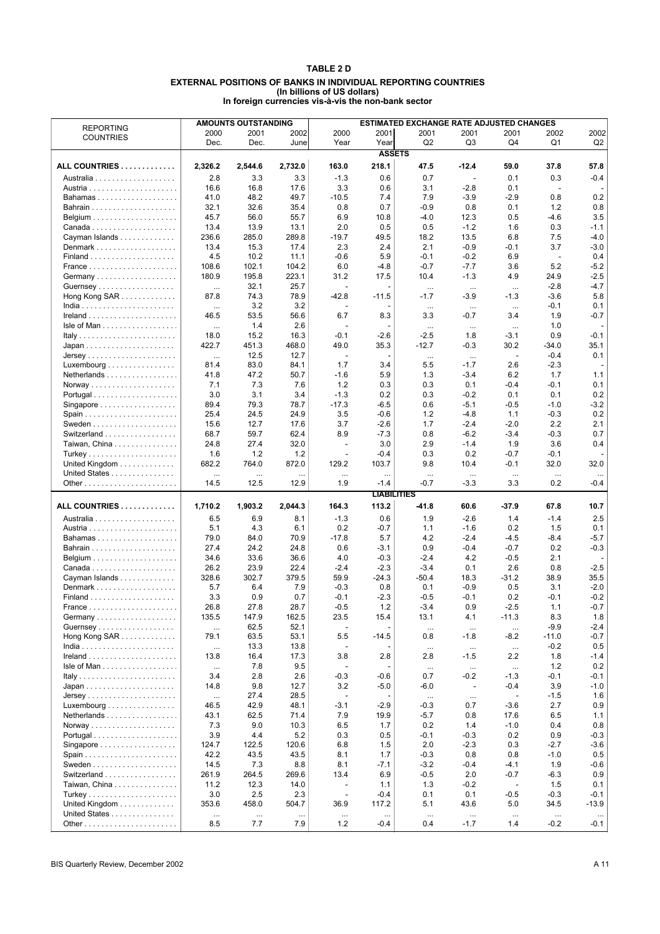#### **TABLE 2 D EXTERNAL POSITIONS OF BANKS IN INDIVIDUAL REPORTING COUNTRIES (In billions of US dollars) In foreign currencies vis-‡-vis the non-bank sector**

|                                             |                  | <b>AMOUNTS OUTSTANDING</b> |                 |                                 |                    | <b>ESTIMATED EXCHANGE RATE ADJUSTED CHANGES</b> |                          |                          |                          |               |
|---------------------------------------------|------------------|----------------------------|-----------------|---------------------------------|--------------------|-------------------------------------------------|--------------------------|--------------------------|--------------------------|---------------|
| <b>REPORTING</b>                            | 2000             | 2001                       | 2002            | 2000                            | 2001               | 2001                                            | 2001                     | 2001                     | 2002                     | 2002          |
| <b>COUNTRIES</b>                            | Dec.             | Dec.                       | June            | Year                            | Year               | Q2                                              | Q <sub>3</sub>           | Q4                       | Q1                       | Q2            |
|                                             |                  |                            |                 |                                 | <b>ASSETS</b>      |                                                 |                          |                          |                          |               |
| ALL COUNTRIES                               | 2,326.2          | 2,544.6                    | 2,732.0         | 163.0                           | 218.1              | 47.5                                            | $-12.4$                  | 59.0                     | 37.8                     | 57.8          |
|                                             | 2.8              | 3.3                        | 3.3             | $-1.3$                          | 0.6                | 0.7                                             | $\overline{\phantom{a}}$ | 0.1                      | 0.3                      | $-0.4$        |
|                                             | 16.6             | 16.8                       | 17.6            | 3.3                             | 0.6                | 3.1                                             | $-2.8$                   | 0.1                      | $\overline{\phantom{a}}$ |               |
| Bahamas                                     | 41.0             | 48.2                       | 49.7            | $-10.5$                         | 7.4                | 7.9                                             | $-3.9$                   | $-2.9$                   | 0.8                      | 0.2           |
|                                             | 32.1             | 32.6                       | 35.4            | 0.8                             | 0.7                | $-0.9$                                          | 0.8                      | 0.1                      | 1.2                      | 0.8           |
|                                             | 45.7             | 56.0                       | 55.7            | 6.9                             | 10.8               | $-4.0$                                          | 12.3                     | 0.5                      | $-4.6$                   | 3.5           |
|                                             | 13.4             | 13.9                       | 13.1            | 2.0                             | 0.5                | 0.5                                             | $-1.2$                   | 1.6                      | 0.3                      | $-1.1$        |
| Cayman Islands                              | 236.6            | 285.0                      | 289.8           | $-19.7$                         | 49.5               | 18.2                                            | 13.5                     | 6.8                      | 7.5                      | $-4.0$        |
| Denmark                                     | 13.4             | 15.3                       | 17.4            | 2.3                             | 2.4                | 2.1                                             | $-0.9$                   | $-0.1$                   | 3.7                      | $-3.0$        |
|                                             | 4.5              | 10.2                       | 11.1            | $-0.6$                          | 5.9                | $-0.1$                                          | $-0.2$                   | 6.9                      | $\overline{\phantom{a}}$ | 0.4           |
|                                             | 108.6            | 102.1                      | 104.2           | 6.0                             | $-4.8$             | $-0.7$                                          | $-7.7$                   | 3.6                      | 5.2                      | $-5.2$        |
|                                             | 180.9            | 195.8                      | 223.1           | 31.2                            | 17.5               | 10.4                                            | $-1.3$                   | 4.9                      | 24.9                     | $-2.5$        |
| Guernsey                                    | $\cdots$         | 32.1                       | 25.7            |                                 |                    | $\cdots$                                        | $\cdots$                 | $\ddotsc$                | $-2.8$                   | $-4.7$        |
| Hong Kong SAR                               | 87.8             | 74.3                       | 78.9            | $-42.8$                         | $-11.5$            | $-1.7$                                          | $-3.9$                   | $-1.3$                   | $-3.6$                   | 5.8           |
|                                             | $\ldots$         | 3.2                        | 3.2             |                                 |                    | $\ldots$                                        | $\ldots$                 | $\ldots$                 | $-0.1$                   | 0.1           |
|                                             | 46.5             | 53.5                       | 56.6            | 6.7                             | 8.3                | 3.3                                             | -0.7                     | 3.4                      | 1.9                      | $-0.7$        |
| Isle of Man                                 | $\cdots$         | 1.4                        | 2.6             |                                 |                    | $\cdots$                                        | $\ldots$                 | $\cdots$                 | 1.0                      |               |
|                                             | 18.0             | 15.2                       | 16.3            | $-0.1$                          | $-2.6$             | $-2.5$                                          | 1.8                      | $-3.1$                   | 0.9                      | $-0.1$        |
|                                             | 422.7            | 451.3                      | 468.0           | 49.0                            | 35.3               | $-12.7$                                         | $-0.3$                   | 30.2                     | $-34.0$                  | 35.1          |
| $Jersey \ldots \ldots \ldots \ldots \ldots$ | $\cdots$         | 12.5                       | 12.7            | $\overline{\phantom{a}}$        |                    | $\cdots$                                        | $\cdots$                 | $\overline{\phantom{a}}$ | $-0.4$                   | 0.1           |
| $Luxembourg \ldots  \ldots $                | 81.4             | 83.0                       | 84.1            | 1.7                             | 3.4                | 5.5                                             | $-1.7$                   | 2.6                      | $-2.3$                   |               |
| Netherlands                                 | 41.8             | 47.2                       | 50.7            | $-1.6$                          | 5.9                | 1.3                                             | $-3.4$                   | 6.2                      | 1.7                      | 1.1           |
|                                             | 7.1              | 7.3                        | 7.6             | 1.2                             | 0.3                | 0.3                                             | 0.1                      | $-0.4$                   | $-0.1$                   | 0.1           |
|                                             | 3.0              | 3.1                        | 3.4             | $-1.3$                          | 0.2                | 0.3                                             | $-0.2$                   | 0.1                      | 0.1                      | 0.2           |
| Singapore                                   | 89.4             | 79.3                       | 78.7            | $-17.3$                         | -6.5               | 0.6                                             | $-5.1$                   | $-0.5$                   | $-1.0$                   | $-3.2$        |
|                                             | 25.4             | 24.5                       | 24.9            | 3.5                             | $-0.6$             | 1.2                                             | $-4.8$                   | 1.1                      | $-0.3$                   | 0.2           |
|                                             | 15.6             | 12.7                       | 17.6            | 3.7                             | $-2.6$             | 1.7                                             | $-2.4$                   | $-2.0$                   | 2.2                      | 2.1           |
| Switzerland                                 | 68.7             | 59.7                       | 62.4            | 8.9                             | $-7.3$             | 0.8                                             | $-6.2$                   | $-3.4$                   | $-0.3$                   | 0.7           |
| Taiwan, China                               | 24.8             | 27.4                       | 32.0            | $\overline{\phantom{a}}$        | 3.0                | 2.9                                             | $-1.4$                   | 1.9                      | 3.6                      | 0.4           |
| Turkey                                      | 1.6              | 1.2                        | 1.2             |                                 | $-0.4$             | 0.3                                             | 0.2                      | $-0.7$                   | $-0.1$                   |               |
| United Kingdom                              | 682.2            | 764.0                      | 872.0           | 129.2                           | 103.7              | 9.8                                             | 10.4                     | $-0.1$                   | 32.0                     | 32.0          |
| United States                               | $\cdots$         | $\cdots$                   | $\cdots$        | $\ldots$                        | $\cdots$           | $\cdots$                                        | $\cdots$                 | $\cdots$                 | $\cdots$                 | $\cdots$      |
|                                             | 14.5             | 12.5                       | 12.9            | 1.9                             | $-1.4$             | $-0.7$                                          | $-3.3$                   | 3.3                      | 0.2                      | $-0.4$        |
|                                             |                  |                            |                 |                                 | <b>LIABILITIES</b> |                                                 |                          |                          |                          |               |
| ALL COUNTRIES                               | 1,710.2          | 1,903.2                    | 2,044.3         | 164.3                           | 113.2              | $-41.8$                                         | 60.6                     | $-37.9$                  | 67.8                     | 10.7          |
|                                             | 6.5              | 6.9                        | 8.1             | $-1.3$                          | 0.6                | 1.9                                             | $-2.6$                   | 1.4                      | $-1.4$                   | 2.5           |
|                                             | 5.1              | 4.3                        | 6.1             | 0.2                             | -0.7               | 1.1                                             | $-1.6$                   | 0.2                      | 1.5                      | 0.1           |
| Bahamas                                     | 79.0             | 84.0                       | 70.9            | $-17.8$                         | 5.7                | 4.2                                             | $-2.4$                   | $-4.5$                   | $-8.4$                   | $-5.7$        |
|                                             | 27.4             | 24.2                       | 24.8            | 0.6                             | -3.1               | 0.9                                             | $-0.4$                   | $-0.7$                   | 0.2                      | $-0.3$        |
|                                             | 34.6             | 33.6                       | 36.6            | 4.0                             | -0.3               | $-2.4$                                          | 4.2                      | $-0.5$                   | 2.1                      |               |
|                                             | 26.2             | 23.9                       | 22.4            | $-2.4$                          | $-2.3$             | $-3.4$                                          | 0.1                      | 2.6                      | 0.8                      | $-2.5$        |
| Cayman Islands                              | 328.6            | 302.7                      | 379.5           | 59.9                            | -24.3              | $-50.4$                                         | 18.3                     | $-31.2$                  | 38.9                     | 35.5          |
|                                             | 5.7              | 6.4                        | 7.9             | $-0.3$                          | 0.8                | 0.1                                             | $-0.9$                   | 0.5                      | 3.1                      | $-2.0$        |
|                                             | 3.3              | 0.9                        | 0.7             | $-0.1$                          | -2.3               | $-0.5$                                          | $-0.1$                   | 0.2                      | $-0.1$                   | $-0.2$        |
| France                                      | 26.8             | 27.8                       | 28.7            | $-0.5$                          | 1.2                | $-3.4$                                          | 0.9                      | $-2.5$                   | 1.1                      | $-0.7$        |
|                                             | 135.5            | 147.9                      | 162.5           | 23.5                            | 15.4               | 13.1                                            | 4.1                      | $-11.3$                  | 8.3                      | 1.8           |
| Guernsey                                    | $\cdots$         | 62.5                       | 52.1            |                                 |                    | $\ldots$                                        | $\cdots$                 | $\ldots$                 | $-9.9$                   | $-2.4$        |
| Hong Kong SAR                               | 79.1             | 63.5<br>13.3               | 53.1<br>13.8    | 5.5<br>$\overline{\phantom{a}}$ | $-14.5$            | 0.8                                             | $-1.8$                   | $-8.2$                   | $-11.0$<br>$-0.2$        | $-0.7$<br>0.5 |
|                                             | $\ldots$<br>13.8 | 16.4                       | 17.3            | 3.8                             | 2.8                | $\ldots$<br>2.8                                 | $\ldots$<br>$-1.5$       | $\cdots$<br>2.2          | 1.8                      | $-1.4$        |
| Isle of Man                                 |                  | 7.8                        | 9.5             | $\overline{\phantom{a}}$        |                    |                                                 |                          |                          | 1.2                      | 0.2           |
| Italy                                       | $\ldots$<br>3.4  | 2.8                        | 2.6             | $-0.3$                          | -0.6               | $\cdots$<br>0.7                                 | $\cdots$<br>$-0.2$       | $\cdots$<br>$-1.3$       | $-0.1$                   | $-0.1$        |
|                                             | 14.8             | 9.8                        | 12.7            | 3.2                             | -5.0               | $-6.0$                                          | $\overline{\phantom{a}}$ | $-0.4$                   | 3.9                      | $-1.0$        |
| $Jersey \ldots \ldots \ldots \ldots$        | $\cdots$         | 27.4                       | 28.5            | $\overline{\phantom{a}}$        |                    | $\cdots$                                        | $\cdots$                 | $\frac{1}{2}$            | $-1.5$                   | 1.6           |
| $Luxembourg \ldots  \ldots $                | 46.5             | 42.9                       | 48.1            | $-3.1$                          | $-2.9$             | -0.3                                            | 0.7                      | $-3.6$                   | 2.7                      | 0.9           |
| Netherlands                                 | 43.1             | 62.5                       | 71.4            | 7.9                             | 19.9               | $-5.7$                                          | 0.8                      | 17.6                     | 6.5                      | 1.1           |
|                                             | 7.3              | 9.0                        | 10.3            | 6.5                             | 1.7                | 0.2                                             | 1.4                      | $-1.0$                   | 0.4                      | 0.8           |
|                                             | 3.9              | 4.4                        | 5.2             | 0.3                             | 0.5                | $-0.1$                                          | $-0.3$                   | 0.2                      | 0.9                      | $-0.3$        |
| Singapore                                   | 124.7            | 122.5                      | 120.6           | 6.8                             | 1.5                | 2.0                                             | $-2.3$                   | 0.3                      | $-2.7$                   | $-3.6$        |
| Spain                                       | 42.2             | 43.5                       | 43.5            | 8.1                             | 1.7                | $-0.3$                                          | 0.8                      | 0.8                      | $-1.0$                   | 0.5           |
|                                             | 14.5             | 7.3                        | 8.8             | 8.1                             | $-7.1$             | $-3.2$                                          | $-0.4$                   | $-4.1$                   | 1.9                      | $-0.6$        |
| Switzerland                                 | 261.9            | 264.5                      | 269.6           | 13.4                            | 6.9                | $-0.5$                                          | 2.0                      | $-0.7$                   | $-6.3$                   | 0.9           |
| Taiwan, China                               | 11.2             | 12.3                       | 14.0            | $\overline{\phantom{a}}$        | 1.1                | 1.3                                             | $-0.2$                   | $\overline{\phantom{a}}$ | 1.5                      | 0.1           |
|                                             |                  |                            |                 |                                 |                    |                                                 |                          |                          |                          |               |
|                                             | 3.0              | 2.5                        | 2.3             | $\overline{\phantom{a}}$        | $-0.4$             | 0.1                                             | 0.1                      | $-0.5$                   | $-0.3$                   | $-0.1$        |
| United Kingdom                              | 353.6            | 458.0                      | 504.7           | 36.9                            | 117.2              | 5.1                                             | 43.6                     | 5.0                      | 34.5                     | $-13.9$       |
| United States                               | $\cdots$<br>8.5  | $\cdots$<br>7.7            | $\cdots$<br>7.9 | $\cdots$<br>1.2                 | $\cdots$<br>-0.4   | $\ldots$<br>0.4                                 | $\cdots$<br>$-1.7$       | $\cdots$<br>1.4          | $\dots$<br>$-0.2$        | $-0.1$        |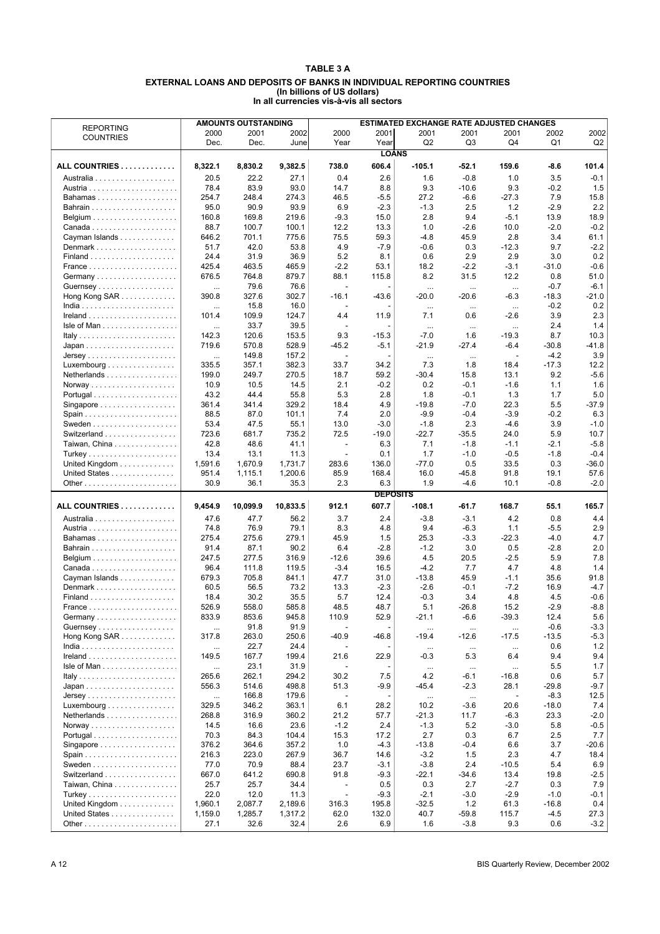#### **TABLE 3 A EXTERNAL LOANS AND DEPOSITS OF BANKS IN INDIVIDUAL REPORTING COUNTRIES (In billions of US dollars) In all currencies vis-‡-vis all sectors**

|                                              |                   | <b>AMOUNTS OUTSTANDING</b> |               |                          |                  | <b>ESTIMATED EXCHANGE RATE ADJUSTED CHANGES</b> |                     |                          |               |                |
|----------------------------------------------|-------------------|----------------------------|---------------|--------------------------|------------------|-------------------------------------------------|---------------------|--------------------------|---------------|----------------|
| <b>REPORTING</b>                             | 2000              | 2001                       | 2002          | 2000                     | 2001             | 2001                                            | 2001                | 2001                     | 2002          | 2002           |
| <b>COUNTRIES</b>                             | Dec.              | Dec.                       | June          | Year                     | Year             | Q2                                              | Q <sub>3</sub>      | Q4                       | Q1            | Q2             |
|                                              |                   |                            |               |                          | <b>LOANS</b>     |                                                 |                     |                          |               |                |
| ALL COUNTRIES                                | 8,322.1           | 8,830.2                    | 9,382.5       | 738.0                    | 606.4            | $-105.1$                                        | $-52.1$             | 159.6                    | $-8.6$        | 101.4          |
|                                              |                   |                            |               |                          |                  |                                                 |                     |                          |               |                |
|                                              | 20.5<br>78.4      | 22.2<br>83.9               | 27.1<br>93.0  | 0.4<br>14.7              | 2.6<br>8.8       | 1.6<br>9.3                                      | $-0.8$              | 1.0<br>9.3               | 3.5           | $-0.1$<br>1.5  |
|                                              |                   |                            |               |                          |                  |                                                 | $-10.6$             |                          | $-0.2$        |                |
| Bahamas                                      | 254.7<br>95.0     | 248.4<br>90.9              | 274.3<br>93.9 | 46.5<br>6.9              | $-5.5$<br>$-2.3$ | 27.2                                            | $-6.6$<br>2.5       | $-27.3$<br>1.2           | 7.9<br>$-2.9$ | 15.8<br>2.2    |
|                                              | 160.8             | 169.8                      | 219.6         | $-9.3$                   | 15.0             | $-1.3$<br>2.8                                   | 9.4                 | $-5.1$                   | 13.9          | 18.9           |
|                                              | 88.7              | 100.7                      | 100.1         | 12.2                     | 13.3             | 1.0                                             |                     | 10.0                     | $-2.0$        | $-0.2$         |
|                                              | 646.2             | 701.1                      | 775.6         | 75.5                     | 59.3             | $-4.8$                                          | $-2.6$<br>45.9      | 2.8                      | 3.4           |                |
| Cayman Islands<br>Denmark                    | 51.7              | 42.0                       | 53.8          | 4.9                      | $-7.9$           | $-0.6$                                          | 0.3                 | $-12.3$                  | 9.7           | 61.1<br>$-2.2$ |
|                                              | 24.4              | 31.9                       | 36.9          | 5.2                      | 8.1              | 0.6                                             | 2.9                 | 2.9                      | 3.0           | 0.2            |
|                                              | 425.4             | 463.5                      | 465.9         | $-2.2$                   | 53.1             | 18.2                                            | $-2.2$              | $-3.1$                   | $-31.0$       | $-0.6$         |
|                                              | 676.5             | 764.8                      | 879.7         | 88.1                     | 115.8            | 8.2                                             | 31.5                | 12.2                     | 0.8           | 51.0           |
| Guernsey                                     |                   | 79.6                       | 76.6          |                          |                  |                                                 |                     |                          | $-0.7$        | $-6.1$         |
| Hong Kong SAR                                | $\cdots$<br>390.8 | 327.6                      | 302.7         | $-16.1$                  | $-43.6$          | $\cdots$<br>$-20.0$                             | $\cdots$<br>$-20.6$ | $\ddotsc$<br>$-6.3$      | $-18.3$       | -21.0          |
|                                              |                   | 15.8                       | 16.0          |                          |                  |                                                 |                     |                          | $-0.2$        | 0.2            |
|                                              | $\ldots$<br>101.4 | 109.9                      | 124.7         | 4.4                      | 11.9             | $\cdots$<br>7.1                                 | $\cdots$<br>0.6     | $\ddotsc$<br>$-2.6$      | 3.9           | 2.3            |
| Isle of Man                                  | $\cdots$          | 33.7                       | 39.5          |                          |                  |                                                 |                     |                          | 2.4           | 1.4            |
| Italy                                        | 142.3             | 120.6                      | 153.5         | 9.3                      | $-15.3$          | $\ldots$<br>$-7.0$                              | $\ldots$<br>1.6     | $\cdots$<br>$-19.3$      | 8.7           | 10.3           |
|                                              | 719.6             | 570.8                      | 528.9         | $-45.2$                  | -5.1             | $-21.9$                                         | $-27.4$             | $-6.4$                   | $-30.8$       | $-41.8$        |
| $Jersey \ldots \ldots \ldots \ldots \ldots$  | $\cdots$          | 149.8                      | 157.2         | $\overline{\phantom{a}}$ |                  | $\cdots$                                        | $\cdots$            | $\overline{\phantom{a}}$ | $-4.2$        | 3.9            |
| $Luxembourg \ldots  \ldots $                 | 335.5             | 357.1                      | 382.3         | 33.7                     | 34.2             | 7.3                                             | 1.8                 | 18.4                     | $-17.3$       | 12.2           |
| Netherlands                                  | 199.0             | 249.7                      | 270.5         | 18.7                     | 59.2             | $-30.4$                                         | 15.8                | 13.1                     | 9.2           | $-5.6$         |
|                                              | 10.9              | 10.5                       | 14.5          | 2.1                      | $-0.2$           | 0.2                                             | $-0.1$              | $-1.6$                   | 1.1           | 1.6            |
|                                              | 43.2              | 44.4                       | 55.8          | 5.3                      | 2.8              | 1.8                                             | $-0.1$              | 1.3                      | 1.7           | 5.0            |
| Singapore                                    | 361.4             | 341.4                      | 329.2         | 18.4                     | 4.9              | $-19.8$                                         | $-7.0$              | 22.3                     | 5.5           | $-37.9$        |
|                                              | 88.5              | 87.0                       | 101.1         | 7.4                      | 2.0              | $-9.9$                                          | $-0.4$              | $-3.9$                   | $-0.2$        | 6.3            |
|                                              | 53.4              | 47.5                       | 55.1          | 13.0                     | $-3.0$           | $-1.8$                                          | 2.3                 | $-4.6$                   | 3.9           | $-1.0$         |
| Switzerland                                  | 723.6             | 681.7                      | 735.2         | 72.5                     | $-19.0$          | $-22.7$                                         | $-35.5$             | 24.0                     | 5.9           | 10.7           |
| Taiwan, China                                | 42.8              | 48.6                       | 41.1          | $\overline{\phantom{a}}$ | 6.3              | 7.1                                             | $-1.8$              | $-1.1$                   | $-2.1$        | $-5.8$         |
| Turkey                                       | 13.4              | 13.1                       | 11.3          |                          | 0.1              | 1.7                                             | $-1.0$              | $-0.5$                   | $-1.8$        | $-0.4$         |
| United Kingdom                               | 1,591.6           | 1,670.9                    | 1,731.7       | 283.6                    | 136.0            | $-77.0$                                         | 0.5                 | 33.5                     | 0.3           | $-36.0$        |
| United States                                | 951.4             | 1,115.1                    | 1,200.6       | 85.9                     | 168.4            | 16.0                                            | $-45.8$             | 91.8                     | 19.1          | 57.6           |
|                                              | 30.9              | 36.1                       | 35.3          | 2.3                      | 6.3              | 1.9                                             | $-4.6$              | 10.1                     | $-0.8$        | $-2.0$         |
|                                              |                   |                            |               |                          | <b>DEPOSITS</b>  |                                                 |                     |                          |               |                |
| ALL COUNTRIES                                | 9,454.9           | 10,099.9                   | 10,833.5      | 912.1                    | 607.7            | $-108.1$                                        | -61.7               | 168.7                    | 55.1          | 165.7          |
|                                              | 47.6              | 47.7                       | 56.2          | 3.7                      | 2.4              | $-3.8$                                          | $-3.1$              | 4.2                      | 0.8           | 4.4            |
|                                              | 74.8              | 76.9                       | 79.1          | 8.3                      | 4.8              | 9.4                                             | $-6.3$              | 1.1                      | -5.5          | 2.9            |
| Bahamas                                      | 275.4             | 275.6                      | 279.1         | 45.9                     | 1.5              | 25.3                                            | $-3.3$              | $-22.3$                  | $-4.0$        | 4.7            |
|                                              | 91.4              | 87.1                       | 90.2          | 6.4                      | $-2.8$           | $-1.2$                                          | 3.0                 | 0.5                      | $-2.8$        | 2.0            |
|                                              | 247.5             | 277.5                      | 316.9         | $-12.6$                  | 39.6             | 4.5                                             | 20.5                | $-2.5$                   | 5.9           | 7.8            |
|                                              | 96.4              | 111.8                      | 119.5         | $-3.4$                   | 16.5             | $-4.2$                                          | 7.7                 | 4.7                      | 4.8           | 1.4            |
| Cayman Islands                               | 679.3             | 705.8                      | 841.1         | 47.7                     | 31.0             | $-13.8$                                         | 45.9                | $-1.1$                   | 35.6          | 91.8           |
| Denmark                                      | 60.5              | 56.5                       | 73.2          | 13.3                     | $-2.3$           | $-2.6$                                          | $-0.1$              | $-7.2$                   | 16.9          | $-4.7$         |
|                                              | 18.4              | 30.2                       | 35.5          | 5.7                      | 12.4             | $-0.3$                                          | 3.4                 | 4.8                      | 4.5           | $-0.6$         |
| France                                       | 526.9             | 558.0                      | 585.8         | 48.5                     | 48.7             | 5.1                                             | $-26.8$             | 15.2                     | $-2.9$        | $-8.8$         |
|                                              | 833.9             | 853.6                      | 945.8         | 110.9                    | 52.9             | -21.1                                           | $-6.6$              | $-39.3$                  | 12.4          | 5.6            |
| Guernsey                                     | $\cdots$          | 91.8                       | 91.9          |                          |                  | $\cdots$                                        | $\cdots$            | $\ldots$                 | $-0.6$        | $-3.3$         |
| Hong Kong SAR                                | 317.8             | 263.0                      | 250.6         | $-40.9$                  | $-46.8$          | $-19.4$                                         | $-12.6$             | $-17.5$                  | $-13.5$       | $-5.3$         |
|                                              | $\cdots$          | 22.7                       | 24.4          | $\sim$                   |                  | $\cdots$                                        | $\ldots$            | $\cdots$                 | 0.6           | 1.2            |
|                                              | 149.5             | 167.7                      | 199.4         | 21.6                     | 22.9             | $-0.3$                                          | 5.3                 | 6.4                      | 9.4           | 9.4            |
| Isle of Man                                  | $\cdots$          | 23.1                       | 31.9          | $\sim$                   |                  | $\cdots$                                        | $\ldots$            | $\cdots$                 | 5.5           | 1.7            |
| Italy                                        | 265.6             | 262.1                      | 294.2         | 30.2                     | 7.5              | 4.2                                             | $-6.1$              | $-16.8$                  | 0.6           | 5.7            |
|                                              | 556.3             | 514.6                      | 498.8         | 51.3                     | -9.9             | $-45.4$                                         | $-2.3$              | 28.1                     | $-29.8$       | $-9.7$         |
| $Jersey \ldots \ldots \ldots \ldots$         | $\cdots$          | 166.8                      | 179.6         | $\overline{\phantom{a}}$ |                  | $\cdots$                                        | $\ldots$            | $\overline{a}$           | $-8.3$        | 12.5           |
| Luxembourg                                   | 329.5             | 346.2                      | 363.1         | 6.1                      | 28.2             | 10.2                                            | $-3.6$              | 20.6                     | $-18.0$       | 7.4            |
| Netherlands                                  | 268.8             | 316.9                      | 360.2         | 21.2                     | 57.7             | -21.3                                           | 11.7                | $-6.3$                   | 23.3          | $-2.0$         |
|                                              | 14.5              | 16.6                       | 23.6          | $-1.2$                   | 2.4              | $-1.3$                                          | 5.2                 | $-3.0$                   | 5.8           | $-0.5$         |
|                                              | 70.3              | 84.3                       | 104.4         | 15.3                     | 17.2             | 2.7                                             | 0.3                 | 6.7                      | 2.5           | 7.7            |
| Singapore                                    | 376.2             | 364.6                      | 357.2         | 1.0                      | $-4.3$           | $-13.8$                                         | $-0.4$              | 6.6                      | 3.7           | -20.6          |
|                                              | 216.3             | 223.0                      | 267.9         | 36.7                     | 14.6             | $-3.2$                                          | 1.5                 | 2.3                      | 4.7           | 18.4           |
|                                              | 77.0              | 70.9                       | 88.4          | 23.7                     | $-3.1$           | $-3.8$                                          | 2.4                 | $-10.5$                  | 5.4           | 6.9            |
| Switzerland                                  | 667.0             | 641.2                      | 690.8         | 91.8                     | -9.3             | $-22.1$                                         | $-34.6$             | 13.4                     | 19.8          | $-2.5$         |
| Taiwan, China                                | 25.7              | 25.7                       | 34.4          | $\overline{\phantom{a}}$ | 0.5              | 0.3                                             | 2.7                 | $-2.7$                   | 0.3           | 7.9            |
| Turkey                                       | 22.0              | 12.0                       | 11.3          | $\overline{\phantom{a}}$ | $-9.3$           | $-2.1$                                          | $-3.0$              | $-2.9$                   | $-1.0$        | $-0.1$         |
| United Kingdom $\ldots \ldots \ldots \ldots$ | 1,960.1           | 2,087.7                    | 2,189.6       | 316.3                    | 195.8            | $-32.5$                                         | $1.2$               | 61.3                     | $-16.8$       | 0.4            |
| United States                                | 1,159.0           | 1,285.7                    | 1,317.2       | 62.0                     | 132.0            | 40.7                                            | $-59.8$             | 115.7                    | $-4.5$        | 27.3           |
|                                              | 27.1              | 32.6                       | 32.4          | 2.6                      | 6.9              | 1.6                                             | $-3.8$              | 9.3                      | 0.6           | $-3.2$         |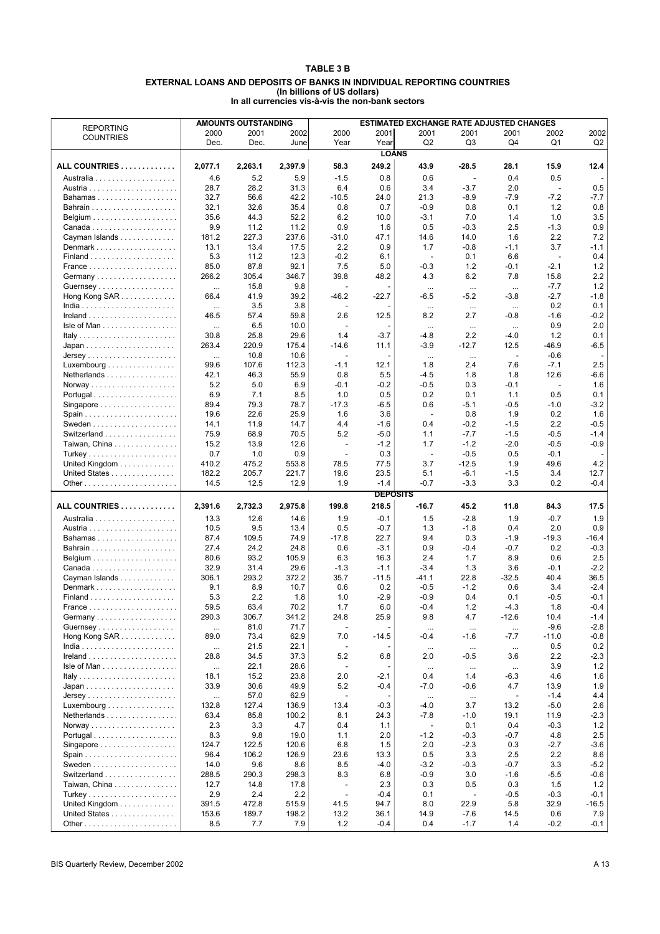#### **TABLE 3 B EXTERNAL LOANS AND DEPOSITS OF BANKS IN INDIVIDUAL REPORTING COUNTRIES (In billions of US dollars) In all currencies vis-‡-vis the non-bank sectors**

|                                                         |          | <b>AMOUNTS OUTSTANDING</b> |         |                          |                          | <b>ESTIMATED EXCHANGE RATE ADJUSTED CHANGES</b> |                          |                          |                          |         |
|---------------------------------------------------------|----------|----------------------------|---------|--------------------------|--------------------------|-------------------------------------------------|--------------------------|--------------------------|--------------------------|---------|
| <b>REPORTING</b>                                        | 2000     | 2001                       | 2002    | 2000                     | 2001                     | 2001                                            | 2001                     | 2001                     | 2002                     | 2002    |
| <b>COUNTRIES</b>                                        | Dec.     | Dec.                       | June    | Year                     | Year                     | Q <sub>2</sub>                                  | Q3                       | Q4                       | Q1                       | Q2      |
|                                                         |          |                            |         |                          | <b>LOANS</b>             |                                                 |                          |                          |                          |         |
| ALL COUNTRIES                                           | 2,077.1  | 2,263.1                    | 2,397.9 | 58.3                     | 249.2                    | 43.9                                            | $-28.5$                  | 28.1                     | 15.9                     | 12.4    |
|                                                         |          |                            |         |                          |                          |                                                 |                          |                          |                          |         |
|                                                         | 4.6      | 5.2                        | 5.9     | $-1.5$                   | 0.8                      | 0.6                                             | $\overline{\phantom{a}}$ | 0.4                      | 0.5                      |         |
|                                                         | 28.7     | 28.2                       | 31.3    | 6.4                      | 0.6                      | 3.4                                             | $-3.7$                   | 2.0                      | $\sim$                   | 0.5     |
| Bahamas                                                 | 32.7     | 56.6                       | 42.2    | $-10.5$                  | 24.0                     | 21.3                                            | $-8.9$                   | $-7.9$                   | $-7.2$                   | $-7.7$  |
|                                                         | 32.1     | 32.6                       | 35.4    | 0.8                      | 0.7                      | $-0.9$                                          | 0.8                      | 0.1                      | 1.2                      | 0.8     |
|                                                         | 35.6     | 44.3                       | 52.2    | 6.2                      | 10.0                     | $-3.1$                                          | 7.0                      | 1.4                      | 1.0                      | 3.5     |
|                                                         | 9.9      | 11.2                       | 11.2    | 0.9                      | 1.6                      | 0.5                                             | $-0.3$                   | 2.5                      | $-1.3$                   | 0.9     |
| Cayman Islands                                          | 181.2    | 227.3                      | 237.6   | $-31.0$                  | 47.1                     | 14.6                                            | 14.0                     | 1.6                      | 2.2                      | 7.2     |
|                                                         | 13.1     | 13.4                       | 17.5    | 2.2                      | 0.9                      | 1.7                                             | $-0.8$                   | $-1.1$                   | 3.7                      | $-1.1$  |
|                                                         | 5.3      | 11.2                       | 12.3    | $-0.2$                   | 6.1                      | $\overline{\phantom{a}}$                        | 0.1                      | 6.6                      | $\overline{\phantom{a}}$ | 0.4     |
|                                                         | 85.0     | 87.8                       | 92.1    | 7.5                      | 5.0                      | $-0.3$                                          | 1.2                      | $-0.1$                   | $-2.1$                   | 1.2     |
|                                                         | 266.2    | 305.4                      | 346.7   | 39.8                     | 48.2                     | 4.3                                             | 6.2                      | 7.8                      | 15.8                     | 2.2     |
| Guernsey $\ldots \ldots \ldots \ldots \ldots$           | $\cdots$ | 15.8                       | 9.8     |                          |                          | $\ldots$                                        | $\cdots$                 | $\cdots$                 | $-7.7$                   | 1.2     |
| Hong Kong SAR                                           | 66.4     | 41.9                       | 39.2    | $-46.2$                  | $-22.7$                  | $-6.5$                                          | $-5.2$                   | $-3.8$                   | $-2.7$                   | $-1.8$  |
|                                                         | $\cdots$ | 3.5                        | 3.8     | $\overline{\phantom{a}}$ |                          | $\cdots$                                        | $\ldots$                 | $\cdots$                 | 0.2                      | 0.1     |
|                                                         | 46.5     | 57.4                       | 59.8    | 2.6                      | 12.5                     | 8.2                                             | 2.7                      | $-0.8$                   | $-1.6$                   | $-0.2$  |
| Isle of Man                                             | $\cdots$ | 6.5                        | 10.0    | $\overline{\phantom{a}}$ |                          | $\cdots$                                        | $\cdots$                 | $\cdots$                 | 0.9                      | 2.0     |
| Italy                                                   | 30.8     | 25.8                       | 29.6    | 1.4                      | $-3.7$                   | -4.8                                            | 2.2                      | $-4.0$                   | 1.2                      | 0.1     |
| $Japan \dots \dots \dots \dots \dots \dots \dots \dots$ | 263.4    | 220.9                      | 175.4   | $-14.6$                  | 11.1                     | $-3.9$                                          | $-12.7$                  | 12.5                     | $-46.9$                  | $-6.5$  |
| $Jersey$                                                | $\cdots$ | 10.8                       | 10.6    | $\overline{\phantom{a}}$ | $\overline{\phantom{a}}$ | $\cdots$                                        |                          | $\overline{\phantom{a}}$ | $-0.6$                   |         |
| Luxembourg                                              | 99.6     | 107.6                      | 112.3   | $-1.1$                   | 12.1                     | 1.8                                             | $\cdots$<br>2.4          | 7.6                      | $-7.1$                   | 2.5     |
| Netherlands                                             | 42.1     | 46.3                       | 55.9    | 0.8                      | 5.5                      | $-4.5$                                          | 1.8                      | 1.8                      | 12.6                     | $-6.6$  |
|                                                         | 5.2      | 5.0                        | 6.9     | $-0.1$                   | $-0.2$                   | $-0.5$                                          | 0.3                      | $-0.1$                   | $\overline{\phantom{a}}$ | 1.6     |
|                                                         |          |                            |         | 1.0                      |                          |                                                 |                          |                          | 0.5                      |         |
|                                                         | 6.9      | 7.1                        | 8.5     |                          | 0.5                      | 0.2                                             | 0.1                      | 1.1                      |                          | 0.1     |
| Singapore                                               | 89.4     | 79.3                       | 78.7    | $-17.3$                  | $-6.5$                   | 0.6                                             | -5.1                     | $-0.5$                   | $-1.0$                   | $-3.2$  |
|                                                         | 19.6     | 22.6                       | 25.9    | 1.6                      | 3.6                      | $\overline{\phantom{a}}$                        | 0.8                      | 1.9                      | 0.2                      | 1.6     |
|                                                         | 14.1     | 11.9                       | 14.7    | 4.4                      | $-1.6$                   | 0.4                                             | $-0.2$                   | $-1.5$                   | 2.2                      | $-0.5$  |
| Switzerland                                             | 75.9     | 68.9                       | 70.5    | 5.2                      | $-5.0$                   | 1.1                                             | $-7.7$                   | $-1.5$                   | $-0.5$                   | $-1.4$  |
| Taiwan, China                                           | 15.2     | 13.9                       | 12.6    | $\overline{\phantom{a}}$ | $-1.2$                   | 1.7                                             | $-1.2$                   | $-2.0$                   | $-0.5$                   | $-0.9$  |
|                                                         | 0.7      | 1.0                        | 0.9     | $\overline{\phantom{a}}$ | 0.3                      | $\overline{\phantom{a}}$                        | $-0.5$                   | 0.5                      | $-0.1$                   |         |
| United Kingdom                                          | 410.2    | 475.2                      | 553.8   | 78.5                     | 77.5                     | 3.7                                             | $-12.5$                  | 1.9                      | 49.6                     | 4.2     |
| United States                                           | 182.2    | 205.7                      | 221.7   | 19.6                     | 23.5                     | 5.1                                             | $-6.1$                   | $-1.5$                   | 3.4                      | 12.7    |
|                                                         | 14.5     | 12.5                       | 12.9    | 1.9                      | $-1.4$                   | $-0.7$                                          | $-3.3$                   | 3.3                      | 0.2                      | $-0.4$  |
|                                                         |          |                            |         |                          | <b>DEPOSITS</b>          |                                                 |                          |                          |                          |         |
| ALL COUNTRIES                                           | 2,391.6  | 2,732.3                    | 2,975.8 | 199.8                    | 218.5                    | $-16.7$                                         | 45.2                     | 11.8                     | 84.3                     | 17.5    |
|                                                         | 13.3     | 12.6                       | 14.6    | 1.9                      | $-0.1$                   | 1.5                                             | $-2.8$                   | 1.9                      | $-0.7$                   | 1.9     |
|                                                         | 10.5     | 9.5                        |         |                          |                          |                                                 |                          |                          |                          | 0.9     |
| Bahamas                                                 |          |                            |         |                          |                          |                                                 |                          |                          |                          |         |
|                                                         |          |                            | 13.4    | 0.5                      | -0.7                     | 1.3                                             | $-1.8$                   | 0.4                      | 2.0                      |         |
|                                                         | 87.4     | 109.5                      | 74.9    | $-17.8$                  | 22.7                     | 9.4                                             | 0.3                      | $-1.9$                   | $-19.3$                  | $-16.4$ |
|                                                         | 27.4     | 24.2                       | 24.8    | 0.6                      | $-3.1$                   | 0.9                                             | -0.4                     | $-0.7$                   | 0.2                      | $-0.3$  |
|                                                         | 80.6     | 93.2                       | 105.9   | 6.3                      | 16.3                     | 2.4                                             | 1.7                      | 8.9                      | 0.6                      | 2.5     |
|                                                         | 32.9     | 31.4                       | 29.6    | $-1.3$                   | $-1.1$                   | $-3.4$                                          | 1.3                      | 3.6                      | $-0.1$                   | $-2.2$  |
| Cayman Islands                                          | 306.1    | 293.2                      | 372.2   | 35.7                     | $-11.5$                  | $-41.1$                                         | 22.8                     | $-32.5$                  | 40.4                     | 36.5    |
| Denmark                                                 | 9.1      | 8.9                        | 10.7    | 0.6                      | 0.2                      | $-0.5$                                          | $-1.2$                   | 0.6                      | 3.4                      | $-2.4$  |
|                                                         | 5.3      | 2.2                        | 1.8     | 1.0                      | $-2.9$                   | $-0.9$                                          | 0.4                      | 0.1                      | $-0.5$                   | $-0.1$  |
|                                                         | 59.5     | 63.4                       | 70.2    | 1.7                      | 6.0                      | $-0.4$                                          | 1.2                      | $-4.3$                   | 1.8                      | $-0.4$  |
|                                                         | 290.3    | 306.7                      | 341.2   | 24.8                     | 25.9                     | 9.8                                             | 4.7                      | $-12.6$                  | 10.4                     | -1.4    |
| Guernsey                                                | $\ldots$ | 81.0                       | 71.7    | $\overline{\phantom{a}}$ |                          | $\ldots$                                        | $\cdots$                 | $\ldots$                 | $-9.6$                   | $-2.8$  |
| Hong Kong SAR                                           | 89.0     | 73.4                       | 62.9    | 7.0                      | $-14.5$                  | -0.4                                            | $-1.6$                   | $-7.7$                   | $-11.0$                  | $-0.8$  |
|                                                         | $\ldots$ | 21.5                       | 22.1    | $\blacksquare$           |                          | $\ldots$                                        | $\ldots$                 | $\ldots$                 | 0.5                      | 0.2     |
|                                                         | 28.8     | 34.5                       | 37.3    | 5.2                      | 6.8                      | 2.0                                             | $-0.5$                   | 3.6                      | 2.2                      | $-2.3$  |
| Isle of Man                                             | $\cdots$ | 22.1                       | 28.6    | $\overline{\phantom{a}}$ |                          | $\cdots$                                        | $\cdots$                 | $\ldots$                 | 3.9                      | 1.2     |
|                                                         | 18.1     | 15.2                       | 23.8    | 2.0                      | $-2.1$                   | 0.4                                             | 1.4                      | $-6.3$                   | 4.6                      | 1.6     |
|                                                         | 33.9     | 30.6                       | 49.9    | 5.2                      | $-0.4$                   | $-7.0$                                          | $-0.6$                   | 4.7                      | 13.9                     | 1.9     |
| $Jersey$                                                | $\cdots$ | 57.0                       | 62.9    | $\overline{\phantom{a}}$ |                          | $\ldots$                                        | $\cdots$                 | $\overline{\phantom{a}}$ | $-1.4$                   | 4.4     |
| Luxembourg $\ldots \ldots \ldots \ldots \ldots$         | 132.8    | 127.4                      | 136.9   | 13.4                     | $-0.3$                   | $-4.0$                                          | 3.7                      | 13.2                     | $-5.0$                   | 2.6     |
| Netherlands                                             | 63.4     | 85.8                       | 100.2   | 8.1                      | 24.3                     | $-7.8$                                          | $-1.0$                   | 19.1                     | 11.9                     | $-2.3$  |
| $Normay \dots \dots \dots \dots \dots \dots$            | 2.3      | 3.3                        | 4.7     | 0.4                      | 1.1                      | $\overline{a}$                                  | 0.1                      | 0.4                      | $-0.3$                   | 1.2     |
|                                                         | 8.3      | 9.8                        | 19.0    | 1.1                      | 2.0                      | $-1.2$                                          | $-0.3$                   | $-0.7$                   | 4.8                      | 2.5     |
| Singapore                                               | 124.7    | 122.5                      | 120.6   | 6.8                      | 1.5                      | 2.0                                             | $-2.3$                   | 0.3                      | $-2.7$                   | $-3.6$  |
|                                                         | 96.4     | 106.2                      | 126.9   | 23.6                     | 13.3                     | 0.5                                             | 3.3                      | 2.5                      | 2.2                      | 8.6     |
|                                                         | 14.0     | 9.6                        | 8.6     | 8.5                      | $-4.0$                   | $-3.2$                                          | $-0.3$                   | $-0.7$                   | 3.3                      | $-5.2$  |
| Switzerland                                             | 288.5    | 290.3                      | 298.3   | 8.3                      | 6.8                      | $-0.9$                                          | 3.0                      | $-1.6$                   | $-5.5$                   | $-0.6$  |
|                                                         | 12.7     | 14.8                       | 17.8    | $\overline{\phantom{a}}$ | 2.3                      | 0.3                                             | 0.5                      | 0.3                      | 1.5                      | $1.2$   |
| Taiwan, China                                           | 2.9      | 2.4                        | 2.2     | $\overline{\phantom{a}}$ | $-0.4$                   | 0.1                                             |                          | $-0.5$                   | $-0.3$                   | $-0.1$  |
| Turkey                                                  | 391.5    | 472.8                      | 515.9   | 41.5                     | 94.7                     | 8.0                                             | 22.9                     | 5.8                      | 32.9                     | $-16.5$ |
| United Kingdom<br>United States                         | 153.6    | 189.7                      | 198.2   | 13.2                     | 36.1                     | 14.9                                            | $-7.6$                   | 14.5                     | 0.6                      | 7.9     |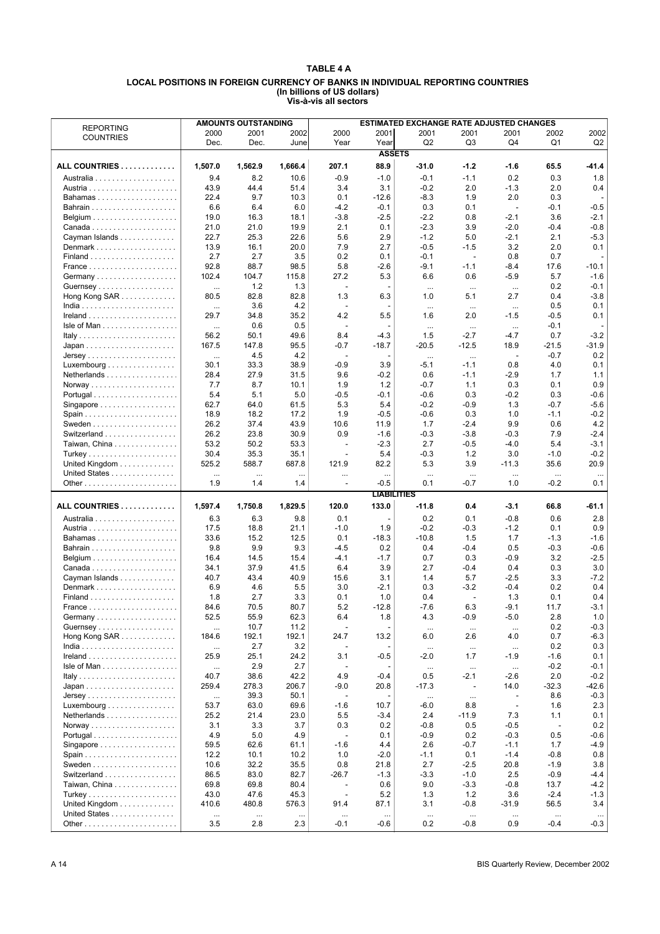#### **TABLE 4 A LOCAL POSITIONS IN FOREIGN CURRENCY OF BANKS IN INDIVIDUAL REPORTING COUNTRIES (In billions of US dollars) Vis-‡-vis all sectors**

|                                                         |                  | <b>AMOUNTS OUTSTANDING</b> |                 |                                 |                    | <b>ESTIMATED EXCHANGE RATE ADJUSTED CHANGES</b> |                                    |                          |                          |                 |
|---------------------------------------------------------|------------------|----------------------------|-----------------|---------------------------------|--------------------|-------------------------------------------------|------------------------------------|--------------------------|--------------------------|-----------------|
| <b>REPORTING</b>                                        | 2000             | 2001                       | 2002            | 2000                            | 2001               | 2001                                            | 2001                               | 2001                     | 2002                     | 2002            |
| <b>COUNTRIES</b>                                        | Dec.             | Dec.                       | June            | Year                            | Year               | Q2                                              | Q3                                 | Q4                       | Q1                       | Q2              |
|                                                         |                  |                            |                 |                                 | <b>ASSETS</b>      |                                                 |                                    |                          |                          |                 |
| ALL COUNTRIES                                           | 1,507.0          | 1,562.9                    | 1,666.4         | 207.1                           | 88.9               | $-31.0$                                         | $-1.2$                             | $-1.6$                   | 65.5                     | -41.4           |
|                                                         | 9.4              | 8.2                        | 10.6            | $-0.9$                          | $-1.0$             | $-0.1$                                          | $-1.1$                             | 0.2                      | 0.3                      | 1.8             |
|                                                         | 43.9             | 44.4                       | 51.4            | 3.4                             | 3.1                | $-0.2$                                          | 2.0                                | $-1.3$                   | 2.0                      | 0.4             |
| Bahamas                                                 | 22.4             | 9.7                        | 10.3            | 0.1                             | $-12.6$            | $-8.3$                                          | 1.9                                | 2.0                      | 0.3                      |                 |
|                                                         | 6.6              | 6.4                        | 6.0             | $-4.2$                          | $-0.1$             | 0.3                                             | 0.1                                | $\sim$                   | $-0.1$                   | $-0.5$          |
|                                                         | 19.0             | 16.3                       | 18.1            | $-3.8$                          | $-2.5$             | $-2.2$                                          | 0.8                                | $-2.1$                   | 3.6                      | $-2.1$          |
|                                                         | 21.0             | 21.0                       | 19.9            | 2.1                             | 0.1                | $-2.3$                                          | 3.9                                | $-2.0$                   | $-0.4$                   | $-0.8$          |
| Cayman Islands                                          | 22.7             | 25.3                       | 22.6            | 5.6                             | 2.9                | $-1.2$                                          | 5.0                                | $-2.1$                   | 2.1                      | $-5.3$          |
| Denmark                                                 | 13.9             | 16.1                       | 20.0            | 7.9                             | 2.7                | $-0.5$                                          | $-1.5$                             | 3.2                      | 2.0                      | 0.1             |
|                                                         | 2.7              | 2.7                        | 3.5             | 0.2                             | 0.1                | $-0.1$                                          | $\overline{\phantom{a}}$           | 0.8                      | 0.7                      |                 |
|                                                         | 92.8             | 88.7                       | 98.5            | 5.8                             | $-2.6$             | $-9.1$                                          | $-1.1$                             | $-8.4$                   | 17.6                     | -10.1           |
|                                                         | 102.4            | 104.7                      | 115.8           | 27.2                            | 5.3                | 6.6                                             | 0.6                                | $-5.9$                   | 5.7                      | $-1.6$          |
| Guernsey                                                | $\cdots$         | 1.2                        | 1.3             |                                 |                    | $\cdots$                                        | $\cdots$                           | $\cdots$                 | 0.2                      | $-0.1$          |
| Hong Kong SAR                                           | 80.5             | 82.8                       | 82.8            | 1.3<br>$\overline{\phantom{a}}$ | 6.3                | 1.0                                             | 5.1                                | 2.7                      | 0.4                      | $-3.8$          |
|                                                         | $\cdots$<br>29.7 | 3.6<br>34.8                | 4.2<br>35.2     | 4.2                             | 5.5                | $\cdots$<br>1.6                                 | $\ldots$<br>2.0                    | $\cdots$<br>$-1.5$       | 0.5<br>$-0.5$            | 0.1<br>0.1      |
|                                                         | $\cdots$         | 0.6                        | 0.5             | $\sim$                          |                    |                                                 |                                    | $\cdots$                 | $-0.1$                   |                 |
| Italy                                                   | 56.2             | 50.1                       | 49.6            | 8.4                             | $-4.3$             | $\cdots$<br>1.5                                 | $\cdots$<br>$-2.7$                 | $-4.7$                   | 0.7                      | $-3.2$          |
| $Japan \dots \dots \dots \dots \dots \dots \dots \dots$ | 167.5            | 147.8                      | 95.5            | $-0.7$                          | $-18.7$            | -20.5                                           | $-12.5$                            | 18.9                     | -21.5                    | $-31.9$         |
| $Jersey \ldots \ldots \ldots \ldots$                    | $\cdots$         | 4.5                        | 4.2             | $\overline{\phantom{a}}$        |                    | $\cdots$                                        | $\cdots$                           | $\overline{\phantom{a}}$ | $-0.7$                   | 0.2             |
| Luxembourg                                              | 30.1             | 33.3                       | 38.9            | $-0.9$                          | 3.9                | $-5.1$                                          | $-1.1$                             | 0.8                      | 4.0                      | 0.1             |
| Netherlands                                             | 28.4             | 27.9                       | 31.5            | 9.6                             | $-0.2$             | 0.6                                             | $-1.1$                             | $-2.9$                   | 1.7                      | 1.1             |
|                                                         | 7.7              | 8.7                        | 10.1            | 1.9                             | 1.2                | $-0.7$                                          | 1.1                                | 0.3                      | 0.1                      | 0.9             |
|                                                         | 5.4              | 5.1                        | 5.0             | $-0.5$                          | -0.1               | $-0.6$                                          | 0.3                                | $-0.2$                   | 0.3                      | $-0.6$          |
| Singapore                                               | 62.7             | 64.0                       | 61.5            | 5.3                             | 5.4                | $-0.2$                                          | $-0.9$                             | 1.3                      | $-0.7$                   | $-5.6$          |
|                                                         | 18.9             | 18.2                       | 17.2            | 1.9                             | $-0.5$             | $-0.6$                                          | 0.3                                | 1.0                      | $-1.1$                   | $-0.2$          |
|                                                         | 26.2             | 37.4                       | 43.9            | 10.6                            | 11.9               | 1.7                                             | $-2.4$                             | 9.9                      | 0.6                      | 4.2             |
| Switzerland                                             | 26.2             | 23.8                       | 30.9            | 0.9                             | $-1.6$             | $-0.3$                                          | $-3.8$                             | $-0.3$                   | 7.9                      | $-2.4$          |
| Taiwan, China                                           | 53.2             | 50.2                       | 53.3            | $\sim$                          | $-2.3$             | 2.7                                             | $-0.5$                             | $-4.0$                   | 5.4                      | $-3.1$          |
| Turkey                                                  | 30.4             | 35.3                       | 35.1            |                                 | 5.4                | $-0.3$                                          | 1.2                                | 3.0                      | $-1.0$                   | $-0.2$          |
| United Kingdom<br>United States                         | 525.2            | 588.7                      | 687.8           | 121.9                           | 82.2               | 5.3                                             | 3.9                                | $-11.3$                  | 35.6                     | 20.9            |
|                                                         | $\ddots$<br>1.9  | <br>1.4                    | $\cdots$<br>1.4 | $\cdots$<br>$\overline{a}$      | $\cdots$<br>$-0.5$ | $\cdots$<br>0.1                                 | $\cdots$<br>$-0.7$                 | <br>1.0                  | $\cdots$<br>$-0.2$       | $\ddots$<br>0.1 |
|                                                         |                  |                            |                 |                                 | <b>LIABILITIES</b> |                                                 |                                    |                          |                          |                 |
|                                                         |                  |                            |                 |                                 |                    |                                                 |                                    |                          |                          |                 |
| ALL COUNTRIES                                           | 1,597.4          | 1,750.8                    | 1,829.5         | 120.0                           | 133.0              | $-11.8$                                         | 0.4                                | $-3.1$                   | 66.8                     | -61.1           |
|                                                         | 6.3              | 6.3                        | 9.8             | 0.1                             |                    | 0.2                                             | 0.1                                | $-0.8$                   | 0.6                      | 2.8             |
|                                                         | 17.5             | 18.8                       | 21.1            | $-1.0$                          | 1.9                | $-0.2$                                          | -0.3                               | $-1.2$                   | 0.1                      | 0.9<br>$-1.6$   |
| Bahamas                                                 | 33.6<br>9.8      | 15.2<br>9.9                | 12.5            | 0.1                             |                    |                                                 |                                    |                          |                          |                 |
|                                                         | 16.4             |                            |                 |                                 | $-18.3$            | $-10.8$                                         | 1.5                                | 1.7                      | $-1.3$                   |                 |
|                                                         |                  |                            | 9.3             | $-4.5$                          | 0.2                | 0.4                                             | $-0.4$                             | 0.5                      | $-0.3$                   | $-0.6$          |
|                                                         |                  | 14.5                       | 15.4            | $-4.1$                          | $-1.7$             | 0.7                                             | 0.3                                | $-0.9$                   | 3.2                      | $-2.5$          |
|                                                         | 34.1             | 37.9                       | 41.5            | 6.4                             | 3.9                | 2.7                                             | $-0.4$                             | 0.4                      | 0.3                      | 3.0             |
| Cayman Islands                                          | 40.7             | 43.4                       | 40.9            | 15.6                            | 3.1                | 1.4                                             | 5.7                                | $-2.5$                   | 3.3                      | $-7.2$          |
| Denmark                                                 | 6.9              | 4.6                        | 5.5             | 3.0                             | -2.1               | 0.3                                             | $-3.2$<br>$\overline{\phantom{a}}$ | $-0.4$                   | 0.2                      | 0.4             |
| France                                                  | 1.8<br>84.6      | 2.7<br>70.5                | 3.3<br>80.7     | 0.1<br>5.2                      | 1.0<br>$-12.8$     | 0.4<br>$-7.6$                                   | 6.3                                | 1.3<br>$-9.1$            | 0.1<br>11.7              | 0.4<br>$-3.1$   |
|                                                         | 52.5             | 55.9                       | 62.3            | 6.4                             | 1.8                | 4.3                                             | -0.9                               | $-5.0$                   | 2.8                      | 1.0             |
| Guernsey $\ldots \ldots \ldots \ldots \ldots$           | $\cdots$         | 10.7                       | 11.2            | $\overline{\phantom{a}}$        |                    | $\ldots$                                        | $\ldots$                           | $\cdots$                 | 0.2                      | $-0.3$          |
| Hong Kong SAR                                           | 184.6            | 192.1                      | 192.1           | 24.7                            | 13.2               | 6.0                                             | 2.6                                | 4.0                      | 0.7                      | $-6.3$          |
|                                                         | $\cdots$         | 2.7                        | 3.2             |                                 |                    | $\cdots$                                        | $\ldots$                           | $\cdots$                 | 0.2                      | 0.3             |
|                                                         | 25.9             | 25.1                       | 24.2            | 3.1                             | -0.5               | $-2.0$                                          | 1.7                                | $-1.9$                   | -1.6                     | 0.1             |
| Isle of Man                                             | $\cdots$         | 2.9                        | 2.7             | $\overline{\phantom{a}}$        |                    | $\cdots$                                        | $\ldots$                           | $\ldots$                 | $-0.2$                   | $-0.1$          |
|                                                         | 40.7             | 38.6                       | 42.2            | 4.9                             | $-0.4$             | 0.5                                             | $-2.1$                             | $-2.6$                   | 2.0                      | $-0.2$          |
|                                                         | 259.4            | 278.3                      | 206.7           | $-9.0$                          | 20.8               | $-17.3$                                         | $\overline{\phantom{a}}$           | 14.0                     | $-32.3$                  | $-42.6$         |
|                                                         | $\cdots$         | 39.3                       | 50.1            | $\overline{\phantom{a}}$        |                    | $\cdots$                                        | $\cdots$                           | $\blacksquare$           | 8.6                      | $-0.3$          |
| $Luxembourg \ldots  \ldots $                            | 53.7             | 63.0                       | 69.6            | $-1.6$                          | 10.7               | $-6.0$                                          | 8.8                                | $\overline{\phantom{a}}$ | 1.6                      | 2.3             |
| Netherlands                                             | 25.2             | 21.4                       | 23.0            | 5.5                             | $-3.4$             | 2.4                                             | $-11.9$                            | 7.3                      | 1.1                      | 0.1             |
|                                                         | 3.1              | 3.3                        | 3.7             | 0.3                             | 0.2                | $-0.8$                                          | 0.5                                | $-0.5$                   | $\overline{\phantom{a}}$ | 0.2             |
|                                                         | 4.9              | 5.0                        | 4.9             | $\overline{\phantom{a}}$        | 0.1                | $-0.9$                                          | 0.2                                | $-0.3$                   | 0.5                      | $-0.6$          |
| Singapore                                               | 59.5             | 62.6                       | 61.1            | $-1.6$                          | 4.4                | 2.6                                             | $-0.7$                             | $-1.1$                   | 1.7                      | -4.9            |
|                                                         | 12.2             | 10.1                       | 10.2            | 1.0                             | $-2.0$             | $-1.1$<br>2.7                                   | 0.1                                | $-1.4$                   | $-0.8$                   | 0.8             |
|                                                         | 10.6<br>86.5     | 32.2<br>83.0               | 35.5<br>82.7    | 0.8<br>$-26.7$                  | 21.8<br>$-1.3$     | $-3.3$                                          | $-2.5$<br>$-1.0$                   | 20.8<br>2.5              | $-1.9$<br>$-0.9$         | 3.8<br>$-4.4$   |
| Switzerland                                             | 69.8             | 69.8                       | 80.4            | $\overline{\phantom{a}}$        | 0.6                | 9.0                                             | $-3.3$                             | $-0.8$                   | 13.7                     | $-4.2$          |
| Taiwan, China                                           | 43.0             | 47.6                       | 45.3            | $\overline{\phantom{a}}$        | 5.2                | 1.3                                             | $1.2$                              | 3.6                      | $-2.4$                   | $-1.3$          |
| United Kingdom                                          | 410.6            | 480.8                      | 576.3           | 91.4                            | 87.1               | 3.1                                             | $-0.8$                             | $-31.9$                  | 56.5                     | 3.4             |
| United States                                           | $\cdots$         | $\cdots$                   | $\cdots$        | $\cdots$                        | $\cdots$           | $\ldots$                                        | $\ldots$                           | $\cdots$                 | $\cdots$                 |                 |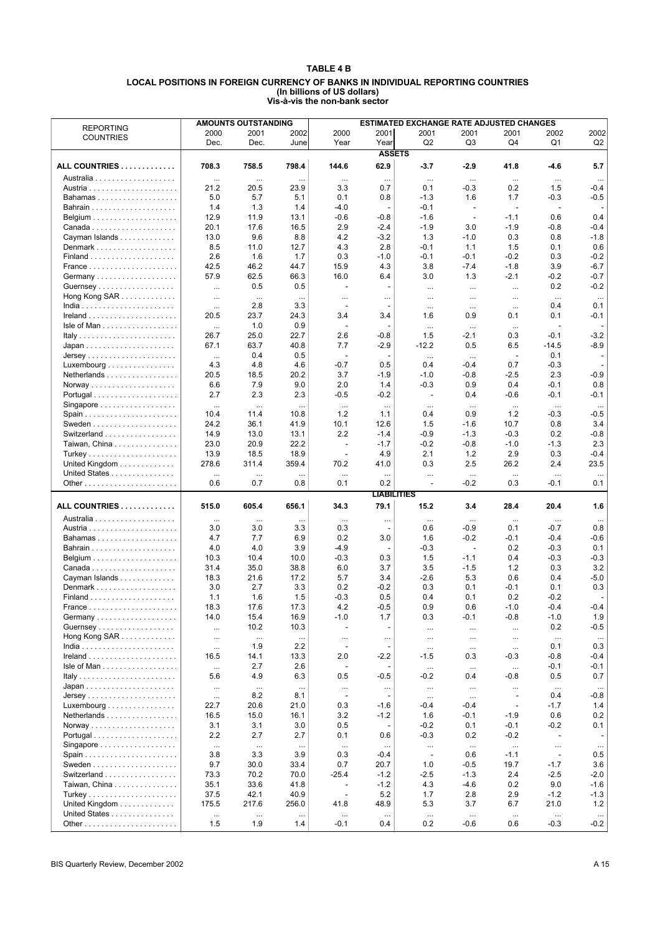### **TABLE 4 B LOCAL POSITIONS IN FOREIGN CURRENCY OF BANKS IN INDIVIDUAL REPORTING COUNTRIES**

#### **(In billions of US dollars) Vis-‡-vis the non-bank sector**

|                                                               |           | <b>AMOUNTS OUTSTANDING</b> |          |                          |                          | <b>ESTIMATED EXCHANGE RATE ADJUSTED CHANGES</b> |                          |                          |                          |                          |
|---------------------------------------------------------------|-----------|----------------------------|----------|--------------------------|--------------------------|-------------------------------------------------|--------------------------|--------------------------|--------------------------|--------------------------|
| <b>REPORTING</b>                                              | 2000      | 2001                       | 2002     | 2000                     | 2001                     | 2001                                            | 2001                     | 2001                     | 2002                     | 2002                     |
| <b>COUNTRIES</b>                                              | Dec.      | Dec.                       | June     | Year                     | Year                     | Q <sub>2</sub>                                  | Q <sub>3</sub>           | Q4                       | Q1                       | Q2                       |
|                                                               |           |                            |          |                          | <b>ASSETS</b>            |                                                 |                          |                          |                          |                          |
| ALL COUNTRIES                                                 | 708.3     | 758.5                      | 798.4    | 144.6                    | 62.9                     | $-3.7$                                          | $-2.9$                   | 41.8                     | $-4.6$                   | 5.7                      |
|                                                               | $\ddotsc$ | $\cdots$                   |          | $\ddotsc$                | $\cdots$                 | $\cdots$                                        | $\cdots$                 | $\cdots$                 | $\ddotsc$                |                          |
|                                                               | 21.2      | 20.5                       | 23.9     | 3.3                      | 0.7                      | 0.1                                             | -0.3                     | 0.2                      | 1.5                      | $-0.4$                   |
| Bahamas                                                       | 5.0       | 5.7                        | 5.1      | 0.1                      | 0.8                      | $-1.3$                                          | 1.6                      | 1.7                      | $-0.3$                   | $-0.5$                   |
|                                                               | 1.4       | 1.3                        | 1.4      | $-4.0$                   |                          | $-0.1$                                          |                          | $\overline{\phantom{a}}$ | $\overline{\phantom{a}}$ |                          |
|                                                               | 12.9      | 11.9                       | 13.1     | $-0.6$                   | $-0.8$                   | $-1.6$                                          | $\overline{\phantom{a}}$ | $-1.1$                   | 0.6                      | 0.4                      |
|                                                               | 20.1      | 17.6                       | 16.5     | 2.9                      | $-2.4$                   | $-1.9$                                          | 3.0                      | $-1.9$                   | $-0.8$                   | $-0.4$                   |
| Cayman Islands                                                | 13.0      | 9.6                        | 8.8      | 4.2                      | $-3.2$                   | 1.3                                             | $-1.0$                   | 0.3                      | 0.8                      | $-1.8$                   |
| Denmark                                                       | 8.5       | 11.0                       | 12.7     | 4.3                      | 2.8                      | $-0.1$                                          | 1.1                      | 1.5                      | 0.1                      | 0.6                      |
|                                                               | 2.6       | 1.6                        | 1.7      | 0.3                      | -1.0                     | -0.1                                            | -0.1                     | $-0.2$                   | 0.3                      | $-0.2$                   |
| France                                                        | 42.5      | 46.2                       | 44.7     | 15.9                     | 4.3                      | 3.8                                             | -7.4                     | $-1.8$                   | 3.9                      | $-6.7$                   |
|                                                               | 57.9      | 62.5                       | 66.3     | 16.0                     | 6.4                      | 3.0                                             | 1.3                      | $-2.1$                   | $-0.2$                   | $-0.7$                   |
| Guernsey                                                      | $\cdots$  | 0.5                        | 0.5      | $\sim$                   |                          | $\cdots$                                        | $\cdots$                 |                          | 0.2                      | $-0.2$                   |
| Hong Kong $SAR$                                               | $\cdots$  | $\ldots$                   | $\ldots$ | $\cdots$                 | $\cdots$                 | $\cdots$                                        | $\cdots$                 | $\cdots$                 | $\cdots$                 | $\cdots$                 |
|                                                               | $\cdots$  | 2.8                        | 3.3      |                          |                          | $\cdots$                                        | $\ldots$                 | $\cdots$                 | 0.4                      | 0.1                      |
|                                                               | 20.5      | 23.7                       | 24.3     | 3.4                      | 3.4                      | 1.6                                             | 0.9                      | 0.1                      | 0.1                      | $-0.1$                   |
| $\mathsf{Isle\ of\ Man\ } \ldots \ldots \ldots \ldots \ldots$ | $\cdots$  | 1.0                        | 0.9      |                          |                          | $\cdots$                                        | $\ldots$                 | $\cdots$                 | $\overline{a}$           |                          |
|                                                               | 26.7      | 25.0                       | 22.7     | 2.6                      | $-0.8$                   | 1.5                                             | -2.1                     | 0.3                      | $-0.1$                   | $-3.2$                   |
|                                                               | 67.1      | 63.7                       | 40.8     | 7.7                      | $-2.9$                   | $-12.2$                                         | 0.5                      | 6.5                      | $-14.5$                  | $-8.9$                   |
| $Jersey$                                                      | $\cdots$  | 0.4                        | 0.5      | $\overline{\phantom{a}}$ | $\overline{\phantom{a}}$ | $\ldots$                                        | $\ldots$                 | $\overline{\phantom{a}}$ | 0.1                      | $\overline{\phantom{a}}$ |
| Luxembourg $\ldots \ldots \ldots \ldots \ldots$               | 4.3       | 4.8                        | 4.6      | $-0.7$                   | 0.5                      | 0.4                                             | $-0.4$                   | 0.7                      | $-0.3$                   |                          |
| Netherlands                                                   | 20.5      | 18.5                       | 20.2     | 3.7                      | $-1.9$                   | $-1.0$                                          | $-0.8$                   | $-2.5$                   | 2.3                      | $-0.9$                   |
|                                                               | 6.6       | 7.9                        | 9.0      | 2.0                      | 1.4                      | $-0.3$                                          | 0.9                      | 0.4                      | $-0.1$                   | 0.8                      |
|                                                               | 2.7       | 2.3                        | 2.3      | $-0.5$                   | $-0.2$                   | $\overline{\phantom{a}}$                        | 0.4                      | $-0.6$                   | $-0.1$                   | $-0.1$                   |
| Singapore                                                     | $\cdots$  | $\cdots$                   |          | $\cdots$                 | $\cdots$                 | $\cdots$                                        | $\ldots$                 | $\cdots$                 | $\ldots$                 | $\ddotsc$                |
|                                                               | 10.4      | 11.4                       | 10.8     | $1.2$                    | 1.1                      | 0.4                                             | 0.9                      | 1.2                      | $-0.3$                   | $-0.5$                   |
|                                                               | 24.2      | 36.1                       | 41.9     | 10.1                     | 12.6                     | 1.5                                             | $-1.6$                   | 10.7                     | 0.8                      | 3.4                      |
| Switzerland                                                   | 14.9      | 13.0                       | 13.1     | 2.2                      | $-1.4$                   | -0.9                                            | $-1.3$                   | $-0.3$                   | 0.2                      | $-0.8$                   |
| Taiwan, China                                                 | 23.0      | 20.9                       | 22.2     | $\overline{\phantom{a}}$ | $-1.7$                   | $-0.2$                                          | $-0.8$                   | $-1.0$                   | $-1.3$                   | 2.3                      |
|                                                               | 13.9      | 18.5                       | 18.9     | $\overline{\phantom{a}}$ | 4.9                      | 2.1                                             | 1.2                      | 2.9                      | 0.3                      | $-0.4$                   |
| United Kingdom                                                | 278.6     | 311.4                      | 359.4    | 70.2                     | 41.0                     | 0.3                                             | 2.5                      | 26.2                     | 2.4                      | 23.5                     |
| United States                                                 | $\cdots$  | $\cdots$                   | $\cdots$ | $\cdots$                 |                          | $\cdots$                                        | $\cdots$                 | $\cdots$                 | $\cdots$                 |                          |
|                                                               | 0.6       | 0.7                        | 0.8      | 0.1                      | 0.2                      | $\overline{a}$                                  | $-0.2$                   | 0.3                      | $-0.1$                   | 0.1                      |
|                                                               |           |                            |          |                          | <b>LIABILITIES</b>       |                                                 |                          |                          |                          |                          |
|                                                               |           |                            | 656.1    |                          | 79.1                     |                                                 |                          |                          |                          |                          |
| ALL COUNTRIES                                                 | 515.0     | 605.4                      |          | 34.3                     |                          | 15.2                                            | 3.4                      | 28.4                     | 20.4                     | 1.6                      |
|                                                               | $\cdots$  | $\cdots$                   | $\cdots$ | $\ldots$                 | $\ldots$                 | $\ldots$                                        | $\cdots$                 | $\cdots$                 | $\cdots$                 |                          |
|                                                               | 3.0       | 3.0                        | 3.3      | 0.3                      |                          | 0.6                                             | $-0.9$                   | 0.1                      | -0.7                     | 0.8                      |
| Bahamas                                                       | 4.7       | 7.7                        | 6.9      | 0.2                      | 3.0                      | 1.6                                             | $-0.2$                   | $-0.1$                   | $-0.4$                   | $-0.6$                   |
|                                                               | 4.0       | 4.0                        | 3.9      | $-4.9$                   |                          | $-0.3$                                          | $\sim$                   | 0.2                      | $-0.3$                   | 0.1                      |
|                                                               | 10.3      | 10.4                       | 10.0     | $-0.3$                   | 0.3                      | 1.5                                             | $-1.1$                   | 0.4                      | $-0.3$                   | $-0.3$                   |
|                                                               | 31.4      | 35.0                       | 38.8     | 6.0                      | 3.7                      | 3.5                                             | $-1.5$                   | 1.2                      | 0.3                      | 3.2                      |
| Cayman Islands                                                | 18.3      | 21.6                       | 17.2     | 5.7                      | 3.4                      | $-2.6$                                          | 5.3                      | 0.6                      | 0.4                      | $-5.0$                   |
| Denmark                                                       | 3.0       | 2.7                        | 3.3      | 0.2                      | $-0.2$                   | 0.3                                             | 0.1                      | $-0.1$                   | 0.1                      | 0.3                      |
|                                                               | 1.1       | 1.6                        | 1.5      | $-0.3$                   | 0.5                      | 0.4                                             | 0.1                      | 0.2                      | $-0.2$                   |                          |
| France                                                        | 18.3      | 17.6                       | 17.3     | 4.2                      | $-0.5$                   | 0.9                                             | 0.6                      | $-1.0$                   | $-0.4$                   | $-0.4$                   |
|                                                               | 14.0      | 15.4                       | 16.9     | $-1.0$                   | 1.7                      | 0.3                                             | $-0.1$                   | $-0.8$                   | $-1.0$                   | 1.9                      |
| Guernsey                                                      | $\cdots$  | 10.2                       | 10.3     | $\overline{\phantom{a}}$ |                          | $\cdots$                                        | $\cdots$                 | $\cdots$                 | 0.2                      | $-0.5$                   |
| Hong Kong SAR                                                 | $\cdots$  | $\ldots$                   | $\cdots$ | $\cdots$                 | $\cdots$                 | $\ldots$                                        | $\cdots$                 | $\cdots$                 | $\ldots$                 | $\cdots$                 |
|                                                               | $\ldots$  | 1.9                        | 2.2      | $\sim$                   | $\overline{\phantom{a}}$ | $\cdots$                                        | $\cdots$                 | $\cdots$                 | 0.1                      | 0.3                      |
|                                                               | 16.5      | 14.1                       | 13.3     | 2.0                      | $-2.2$                   | $-1.5$                                          | 0.3                      | $-0.3$                   | $-0.8$                   | $-0.4$                   |
| Isle of Man                                                   | $\cdots$  | 2.7                        | 2.6      | $\overline{\phantom{a}}$ |                          | $\cdots$                                        | $\cdots$                 | $\cdots$                 | $-0.1$                   | $-0.1$                   |
| Italy                                                         | 5.6       | 4.9                        | 6.3      | 0.5                      | $-0.5$                   | $-0.2$                                          | 0.4                      | $-0.8$                   | 0.5                      | 0.7                      |
| $Japan \dots \dots \dots \dots \dots \dots \dots$             | $\ddotsc$ | $\ldots$                   | $\cdots$ | $\ldots$                 | $\cdots$                 | $\cdots$                                        | $\cdots$                 | $\ddotsc$                | $\ldots$                 | $\cdots$                 |
| $Jersey$                                                      | $\cdots$  | 8.2                        | 8.1      | $\sim$                   | $\overline{\phantom{a}}$ | $\cdots$                                        | $\cdots$                 | $\overline{\phantom{a}}$ | 0.4                      | $-0.8$                   |
| Luxembourg $\ldots \ldots \ldots \ldots$                      | 22.7      | 20.6                       | 21.0     | 0.3                      | -1.6                     | -0.4                                            | -0.4                     | $\overline{\phantom{a}}$ | $-1.7$                   | 1.4                      |
| Netherlands                                                   | 16.5      | 15.0                       | 16.1     | 3.2                      | $-1.2$                   | 1.6                                             | -0.1                     | $-1.9$                   | 0.6                      | 0.2                      |
|                                                               | 3.1       | 3.1                        | 3.0      | 0.5                      | $\overline{\phantom{a}}$ | $-0.2$                                          | 0.1                      | $-0.1$                   | $-0.2$                   | 0.1                      |
|                                                               | 2.2       | 2.7                        | 2.7      | 0.1                      | 0.6                      | $-0.3$                                          | 0.2                      | $-0.2$                   | $\overline{\phantom{a}}$ |                          |
| Singapore                                                     | $\cdots$  | $\ldots$                   | $\ldots$ | $\cdots$                 | $\ldots$                 | $\cdots$                                        | $\cdots$                 | $\ldots$                 | $\ldots$                 | $\cdots$                 |
|                                                               | 3.8       | 3.3                        | 3.9      | 0.3                      | $-0.4$                   | $\overline{\phantom{a}}$                        | 0.6                      | $-1.1$                   | $\blacksquare$           | 0.5                      |
|                                                               | 9.7       | 30.0                       | 33.4     | 0.7                      | 20.7                     | 1.0                                             | $-0.5$                   | 19.7                     | $-1.7$                   | 3.6                      |
| Switzerland                                                   | 73.3      | 70.2                       | 70.0     | $-25.4$                  | $-1.2$                   | $-2.5$                                          | $-1.3$                   | 2.4                      | $-2.5$                   | $-2.0$                   |
| Taiwan, China                                                 | 35.1      | 33.6                       | 41.8     | $\overline{\phantom{a}}$ | $-1.2$                   | 4.3                                             | $-4.6$                   | 0.2                      | 9.0                      | $-1.6$                   |
|                                                               | 37.5      | 42.1                       | 40.9     | $\overline{\phantom{a}}$ | 5.2                      | 1.7                                             | 2.8                      | 2.9                      | $-1.2$                   | $-1.3$                   |
| United Kingdom                                                | 175.5     | 217.6                      | 256.0    | 41.8                     | 48.9                     | 5.3                                             | 3.7                      | 6.7                      | 21.0                     | 1.2                      |
| United States                                                 | $\cdots$  | $\cdots$                   | $\cdots$ | $\dots$                  | $\cdots$                 | $\ldots$                                        | $\ldots$                 | $\ldots$                 | $\ldots$                 |                          |
|                                                               | 1.5       | 1.9                        | 1.4      | $-0.1$                   | 0.4                      | 0.2                                             | $-0.6$                   | 0.6                      | $-0.3$                   | $-0.2$                   |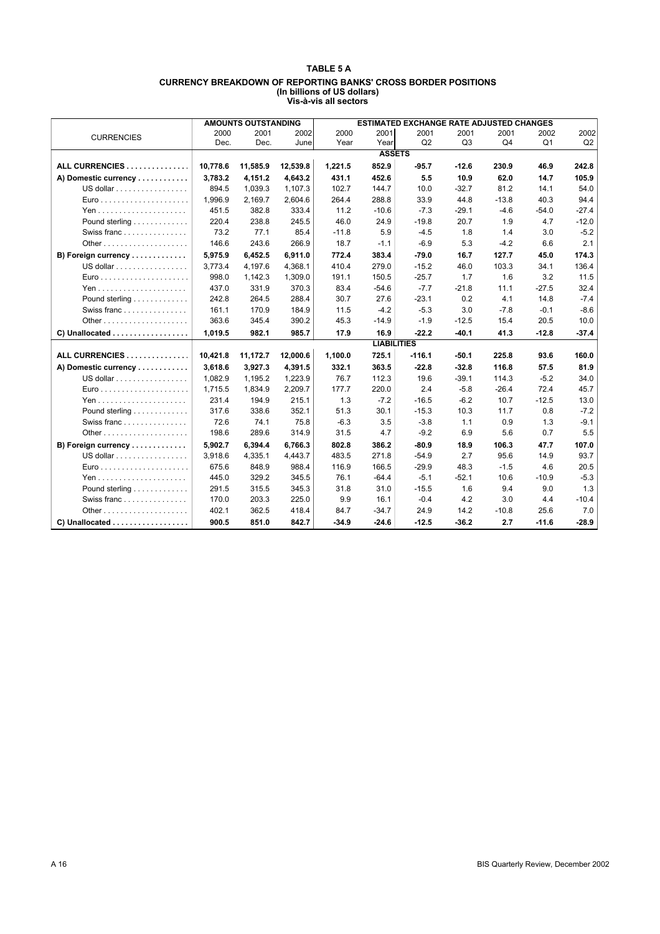#### **TABLE 5 A CURRENCY BREAKDOWN OF REPORTING BANKS' CROSS BORDER POSITIONS (In billions of US dollars) Vis-‡-vis all sectors**

|                                                        |          | <b>AMOUNTS OUTSTANDING</b> |          |         |                    | <b>ESTIMATED EXCHANGE RATE ADJUSTED CHANGES</b> |                |         |                |         |
|--------------------------------------------------------|----------|----------------------------|----------|---------|--------------------|-------------------------------------------------|----------------|---------|----------------|---------|
| <b>CURRENCIES</b>                                      | 2000     | 2001                       | 2002     | 2000    | 2001               | 2001                                            | 2001           | 2001    | 2002           | 2002    |
|                                                        | Dec.     | Dec.                       | June     | Year    | Year               | Q2                                              | Q <sub>3</sub> | Q4      | Q <sub>1</sub> | Q2      |
|                                                        |          |                            |          |         | <b>ASSETS</b>      |                                                 |                |         |                |         |
| ALL CURRENCIES                                         | 10.778.6 | 11,585.9                   | 12,539.8 | 1,221.5 | 852.9              | $-95.7$                                         | $-12.6$        | 230.9   | 46.9           | 242.8   |
| A) Domestic currency                                   | 3,783.2  | 4,151.2                    | 4,643.2  | 431.1   | 452.6              | 5.5                                             | 10.9           | 62.0    | 14.7           | 105.9   |
| US dollar                                              | 894.5    | 1,039.3                    | 1,107.3  | 102.7   | 144.7              | 10.0                                            | $-32.7$        | 81.2    | 14.1           | 54.0    |
| $Euro$                                                 | 1,996.9  | 2,169.7                    | 2,604.6  | 264.4   | 288.8              | 33.9                                            | 44.8           | $-13.8$ | 40.3           | 94.4    |
|                                                        | 451.5    | 382.8                      | 333.4    | 11.2    | $-10.6$            | $-7.3$                                          | $-29.1$        | -4.6    | $-54.0$        | $-27.4$ |
| Pound sterling                                         | 220.4    | 238.8                      | 245.5    | 46.0    | 24.9               | $-19.8$                                         | 20.7           | 1.9     | 4.7            | $-12.0$ |
| Swiss franc                                            | 73.2     | 77.1                       | 85.4     | $-11.8$ | 5.9                | $-4.5$                                          | 1.8            | 1.4     | 3.0            | $-5.2$  |
|                                                        | 146.6    | 243.6                      | 266.9    | 18.7    | $-1.1$             | $-6.9$                                          | 5.3            | $-4.2$  | 6.6            | 2.1     |
| B) Foreign currency                                    | 5.975.9  | 6,452.5                    | 6.911.0  | 772.4   | 383.4              | $-79.0$                                         | 16.7           | 127.7   | 45.0           | 174.3   |
| US dollar                                              | 3,773.4  | 4,197.6                    | 4,368.1  | 410.4   | 279.0              | $-15.2$                                         | 46.0           | 103.3   | 34.1           | 136.4   |
| $Euro$                                                 | 998.0    | 1,142.3                    | 1,309.0  | 191.1   | 150.5              | $-25.7$                                         | 1.7            | 1.6     | 3.2            | 11.5    |
|                                                        | 437.0    | 331.9                      | 370.3    | 83.4    | $-54.6$            | $-7.7$                                          | $-21.8$        | 11.1    | $-27.5$        | 32.4    |
| Pound sterling                                         | 242.8    | 264.5                      | 288.4    | 30.7    | 27.6               | $-23.1$                                         | 0.2            | 4.1     | 14.8           | $-7.4$  |
| Swiss franc                                            | 161.1    | 170.9                      | 184.9    | 11.5    | $-4.2$             | $-5.3$                                          | 3.0            | $-7.8$  | $-0.1$         | $-8.6$  |
|                                                        | 363.6    | 345.4                      | 390.2    | 45.3    | $-14.9$            | $-1.9$                                          | $-12.5$        | 15.4    | 20.5           | 10.0    |
| C) Unallocated                                         | 1,019.5  | 982.1                      | 985.7    | 17.9    | 16.9               | $-22.2$                                         | $-40.1$        | 41.3    | $-12.8$        | $-37.4$ |
|                                                        |          |                            |          |         | <b>LIABILITIES</b> |                                                 |                |         |                |         |
| ALL CURRENCIES                                         | 10,421.8 | 11,172.7                   | 12,000.6 | 1,100.0 | 725.1              | $-116.1$                                        | $-50.1$        | 225.8   | 93.6           | 160.0   |
| A) Domestic currency                                   | 3.618.6  | 3,927.3                    | 4.391.5  | 332.1   | 363.5              | $-22.8$                                         | $-32.8$        | 116.8   | 57.5           | 81.9    |
| US dollar $\ldots \ldots \ldots \ldots \ldots$         | 1.082.9  | 1.195.2                    | 1.223.9  | 76.7    | 112.3              | 19.6                                            | $-39.1$        | 114.3   | $-5.2$         | 34.0    |
| $Euro$                                                 | 1,715.5  | 1,834.9                    | 2,209.7  | 177.7   | 220.0              | 2.4                                             | $-5.8$         | $-26.4$ | 72.4           | 45.7    |
|                                                        | 231.4    | 194.9                      | 215.1    | 1.3     | $-7.2$             | $-16.5$                                         | $-6.2$         | 10.7    | $-12.5$        | 13.0    |
| Pound sterling                                         | 317.6    | 338.6                      | 352.1    | 51.3    | 30.1               | $-15.3$                                         | 10.3           | 11.7    | 0.8            | $-7.2$  |
| Swiss franc                                            | 72.6     | 74.1                       | 75.8     | $-6.3$  | 3.5                | $-3.8$                                          | 1.1            | 0.9     | 1.3            | $-9.1$  |
|                                                        | 198.6    | 289.6                      | 314.9    | 31.5    | 4.7                | $-9.2$                                          | 6.9            | 5.6     | 0.7            | 5.5     |
| B) Foreign currency                                    | 5,902.7  | 6,394.4                    | 6.766.3  | 802.8   | 386.2              | $-80.9$                                         | 18.9           | 106.3   | 47.7           | 107.0   |
| US dollar                                              | 3,918.6  | 4,335.1                    | 4,443.7  | 483.5   | 271.8              | $-54.9$                                         | 2.7            | 95.6    | 14.9           | 93.7    |
| $Euro$                                                 | 675.6    | 848.9                      | 988.4    | 116.9   | 166.5              | $-29.9$                                         | 48.3           | $-1.5$  | 4.6            | 20.5    |
|                                                        | 445.0    | 329.2                      | 345.5    | 76.1    | $-64.4$            | $-5.1$                                          | $-52.1$        | 10.6    | $-10.9$        | $-5.3$  |
| Pound sterling                                         | 291.5    | 315.5                      | 345.3    | 31.8    | 31.0               | $-15.5$                                         | 1.6            | 9.4     | 9.0            | 1.3     |
| Swiss franc                                            | 170.0    | 203.3                      | 225.0    | 9.9     | 16.1               | $-0.4$                                          | 4.2            | 3.0     | 4.4            | $-10.4$ |
|                                                        | 402.1    | 362.5                      | 418.4    | 84.7    | $-34.7$            | 24.9                                            | 14.2           | $-10.8$ | 25.6           | 7.0     |
| $C$ ) Unallocated $\ldots \ldots \ldots \ldots \ldots$ | 900.5    | 851.0                      | 842.7    | $-34.9$ | $-24.6$            | $-12.5$                                         | $-36.2$        | 2.7     | $-11.6$        | $-28.9$ |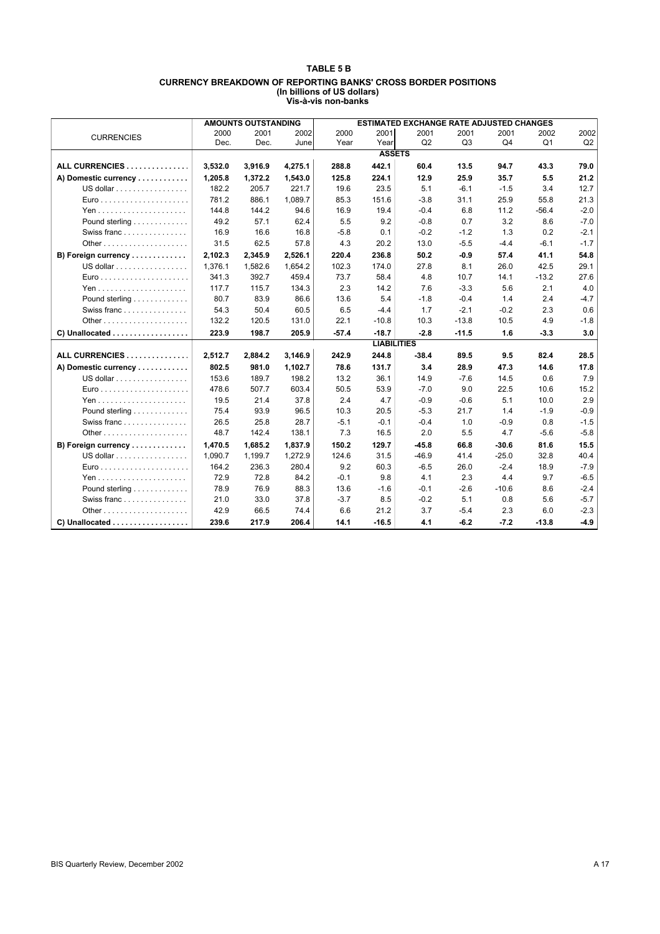#### **TABLE 5 B CURRENCY BREAKDOWN OF REPORTING BANKS' CROSS BORDER POSITIONS (In billions of US dollars) Vis-‡-vis non-banks**

|                                                         |         | <b>AMOUNTS OUTSTANDING</b> |         |         |                    | <b>ESTIMATED EXCHANGE RATE ADJUSTED CHANGES</b> |                |         |                |        |
|---------------------------------------------------------|---------|----------------------------|---------|---------|--------------------|-------------------------------------------------|----------------|---------|----------------|--------|
| <b>CURRENCIES</b>                                       | 2000    | 2001                       | 2002    | 2000    | 2001               | 2001                                            | 2001           | 2001    | 2002           | 2002   |
|                                                         | Dec.    | Dec.                       | June    | Year    | Year               | Q2                                              | Q <sub>3</sub> | Q4      | Q <sub>1</sub> | Q2     |
|                                                         |         |                            |         |         | <b>ASSETS</b>      |                                                 |                |         |                |        |
| ALL CURRENCIES                                          | 3,532.0 | 3,916.9                    | 4,275.1 | 288.8   | 442.1              | 60.4                                            | 13.5           | 94.7    | 43.3           | 79.0   |
| A) Domestic currency                                    | 1.205.8 | 1,372.2                    | 1,543.0 | 125.8   | 224.1              | 12.9                                            | 25.9           | 35.7    | 5.5            | 21.2   |
| US dollar                                               | 182.2   | 205.7                      | 221.7   | 19.6    | 23.5               | 5.1                                             | $-6.1$         | $-1.5$  | 3.4            | 12.7   |
| $Euro \ldots \ldots \ldots \ldots \ldots \ldots \ldots$ | 781.2   | 886.1                      | 1,089.7 | 85.3    | 151.6              | $-3.8$                                          | 31.1           | 25.9    | 55.8           | 21.3   |
|                                                         | 144.8   | 144.2                      | 94.6    | 16.9    | 19.4               | $-0.4$                                          | 6.8            | 11.2    | $-56.4$        | $-2.0$ |
| Pound sterling                                          | 49.2    | 57.1                       | 62.4    | 5.5     | 9.2                | $-0.8$                                          | 0.7            | 3.2     | 8.6            | $-7.0$ |
| Swiss franc                                             | 16.9    | 16.6                       | 16.8    | $-5.8$  | 0.1                | $-0.2$                                          | $-1.2$         | 1.3     | 0.2            | $-2.1$ |
|                                                         | 31.5    | 62.5                       | 57.8    | 4.3     | 20.2               | 13.0                                            | $-5.5$         | $-4.4$  | $-6.1$         | $-1.7$ |
| B) Foreign currency                                     | 2,102.3 | 2,345.9                    | 2,526.1 | 220.4   | 236.8              | 50.2                                            | $-0.9$         | 57.4    | 41.1           | 54.8   |
| US dollar                                               | 1,376.1 | 1,582.6                    | 1,654.2 | 102.3   | 174.0              | 27.8                                            | 8.1            | 26.0    | 42.5           | 29.1   |
| $Euro$                                                  | 341.3   | 392.7                      | 459.4   | 73.7    | 58.4               | 4.8                                             | 10.7           | 14.1    | $-13.2$        | 27.6   |
|                                                         | 117.7   | 115.7                      | 134.3   | 2.3     | 14.2               | 7.6                                             | $-3.3$         | 5.6     | 2.1            | 4.0    |
| Pound sterling                                          | 80.7    | 83.9                       | 86.6    | 13.6    | 5.4                | $-1.8$                                          | $-0.4$         | 1.4     | 2.4            | $-4.7$ |
| Swiss franc                                             | 54.3    | 50.4                       | 60.5    | 6.5     | $-4.4$             | 1.7                                             | $-2.1$         | $-0.2$  | 2.3            | 0.6    |
|                                                         | 132.2   | 120.5                      | 131.0   | 22.1    | $-10.8$            | 10.3                                            | $-13.8$        | 10.5    | 4.9            | $-1.8$ |
| C) Unallocated                                          | 223.9   | 198.7                      | 205.9   | $-57.4$ | $-18.7$            | $-2.8$                                          | $-11.5$        | 1.6     | $-3.3$         | 3.0    |
|                                                         |         |                            |         |         | <b>LIABILITIES</b> |                                                 |                |         |                |        |
| ALL CURRENCIES                                          | 2,512.7 | 2,884.2                    | 3,146.9 | 242.9   | 244.8              | $-38.4$                                         | 89.5           | 9.5     | 82.4           | 28.5   |
| A) Domestic currency                                    | 802.5   | 981.0                      | 1,102.7 | 78.6    | 131.7              | 3.4                                             | 28.9           | 47.3    | 14.6           | 17.8   |
| US dollar                                               | 153.6   | 189.7                      | 198.2   | 13.2    | 36.1               | 14.9                                            | $-7.6$         | 14.5    | 0.6            | 7.9    |
| $Euro$                                                  | 478.6   | 507.7                      | 603.4   | 50.5    | 53.9               | $-7.0$                                          | 9.0            | 22.5    | 10.6           | 15.2   |
|                                                         | 19.5    | 21.4                       | 37.8    | 2.4     | 4.7                | $-0.9$                                          | $-0.6$         | 5.1     | 10.0           | 2.9    |
| Pound sterling                                          | 75.4    | 93.9                       | 96.5    | 10.3    | 20.5               | $-5.3$                                          | 21.7           | 1.4     | $-1.9$         | $-0.9$ |
| Swiss franc                                             | 26.5    | 25.8                       | 28.7    | $-5.1$  | $-0.1$             | $-0.4$                                          | 1.0            | $-0.9$  | 0.8            | $-1.5$ |
|                                                         | 48.7    | 142.4                      | 138.1   | 7.3     | 16.5               | 2.0                                             | 5.5            | 4.7     | $-5.6$         | $-5.8$ |
| B) Foreign currency                                     | 1,470.5 | 1,685.2                    | 1,837.9 | 150.2   | 129.7              | $-45.8$                                         | 66.8           | $-30.6$ | 81.6           | 15.5   |
| US dollar $\dots\dots\dots\dots\dots\dots$              | 1,090.7 | 1,199.7                    | 1,272.9 | 124.6   | 31.5               | $-46.9$                                         | 41.4           | $-25.0$ | 32.8           | 40.4   |
|                                                         | 164.2   | 236.3                      | 280.4   | 9.2     | 60.3               | $-6.5$                                          | 26.0           | $-2.4$  | 18.9           | $-7.9$ |
|                                                         | 72.9    | 72.8                       | 84.2    | $-0.1$  | 9.8                | 4.1                                             | 2.3            | 4.4     | 9.7            | $-6.5$ |
| Pound sterling                                          | 78.9    | 76.9                       | 88.3    | 13.6    | $-1.6$             | $-0.1$                                          | $-2.6$         | $-10.6$ | 8.6            | $-2.4$ |
| Swiss franc $\ldots \ldots \ldots \ldots$               | 21.0    | 33.0                       | 37.8    | $-3.7$  | 8.5                | $-0.2$                                          | 5.1            | 0.8     | 5.6            | $-5.7$ |
|                                                         | 42.9    | 66.5                       | 74.4    | 6.6     | 21.2               | 3.7                                             | $-5.4$         | 2.3     | 6.0            | $-2.3$ |
| C) Unallocated                                          | 239.6   | 217.9                      | 206.4   | 14.1    | $-16.5$            | 4.1                                             | $-6.2$         | $-7.2$  | $-13.8$        | $-4.9$ |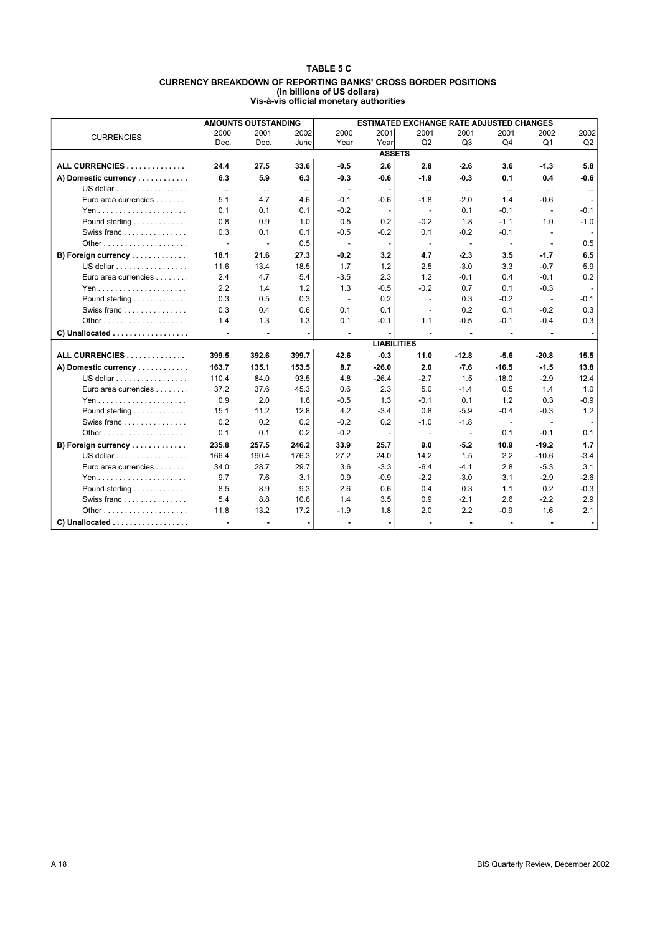#### **TABLE 5 C CURRENCY BREAKDOWN OF REPORTING BANKS' CROSS BORDER POSITIONS (In billions of US dollars) Vis-‡-vis official monetary authorities**

|                      |          | <b>AMOUNTS OUTSTANDING</b> |       |        |                    | <b>ESTIMATED EXCHANGE RATE ADJUSTED CHANGES</b> |          |          |                          |          |
|----------------------|----------|----------------------------|-------|--------|--------------------|-------------------------------------------------|----------|----------|--------------------------|----------|
| <b>CURRENCIES</b>    | 2000     | 2001                       | 2002  | 2000   | 2001               | 2001                                            | 2001     | 2001     | 2002                     | 2002     |
|                      | Dec.     | Dec.                       | June  | Year   | Year               | Q2                                              | Q3       | Q4       | Q <sub>1</sub>           | Q2       |
|                      |          |                            |       |        | <b>ASSETS</b>      |                                                 |          |          |                          |          |
| ALL CURRENCIES       | 24.4     | 27.5                       | 33.6  | $-0.5$ | 2.6                | 2.8                                             | $-2.6$   | 3.6      | $-1.3$                   | 5.8      |
| A) Domestic currency | 6.3      | 5.9                        | 6.3   | $-0.3$ | $-0.6$             | $-1.9$                                          | $-0.3$   | 0.1      | 0.4                      | $-0.6$   |
| US dollar            | $\cdots$ | $\cdots$                   |       |        |                    | $\cdots$                                        | $\cdots$ | $\cdots$ | $\ddotsc$                | $\cdots$ |
| Euro area currencies | 5.1      | 4.7                        | 4.6   | $-0.1$ | $-0.6$             | $-1.8$                                          | $-2.0$   | 1.4      | $-0.6$                   |          |
|                      | 0.1      | 0.1                        | 0.1   | $-0.2$ |                    | $\blacksquare$                                  | 0.1      | $-0.1$   | $\blacksquare$           | $-0.1$   |
| Pound sterling       | 0.8      | 0.9                        | 1.0   | 0.5    | 0.2                | $-0.2$                                          | 1.8      | $-1.1$   | 1.0                      | $-1.0$   |
| Swiss franc          | 0.3      | 0.1                        | 0.1   | $-0.5$ | $-0.2$             | 0.1                                             | $-0.2$   | $-0.1$   |                          |          |
|                      | L.       | $\sim$                     | 0.5   |        |                    |                                                 | $\sim$   | $\sim$   |                          | 0.5      |
| B) Foreign currency  | 18.1     | 21.6                       | 27.3  | $-0.2$ | 3.2                | 4.7                                             | $-2.3$   | 3.5      | $-1.7$                   | 6.5      |
| US dollar            | 11.6     | 13.4                       | 18.5  | 1.7    | 1.2                | 2.5                                             | $-3.0$   | 3.3      | $-0.7$                   | 5.9      |
| Euro area currencies | 2.4      | 4.7                        | 5.4   | $-3.5$ | 2.3                | 1.2                                             | $-0.1$   | 0.4      | $-0.1$                   | 0.2      |
|                      | 2.2      | 1.4                        | 1.2   | 1.3    | $-0.5$             | $-0.2$                                          | 0.7      | 0.1      | $-0.3$                   |          |
| Pound sterling       | 0.3      | 0.5                        | 0.3   |        | 0.2                | $\overline{\phantom{a}}$                        | 0.3      | $-0.2$   | $\overline{\phantom{a}}$ | $-0.1$   |
| Swiss franc          | 0.3      | 0.4                        | 0.6   | 0.1    | 0.1                |                                                 | 0.2      | 0.1      | $-0.2$                   | 0.3      |
|                      | 1.4      | 1.3                        | 1.3   | 0.1    | $-0.1$             | 1.1                                             | $-0.5$   | $-0.1$   | $-0.4$                   | 0.3      |
| C) Unallocated       |          |                            |       |        |                    |                                                 |          |          |                          |          |
|                      |          |                            |       |        | <b>LIABILITIES</b> |                                                 |          |          |                          |          |
| ALL CURRENCIES       | 399.5    | 392.6                      | 399.7 | 42.6   | $-0.3$             | 11.0                                            | $-12.8$  | -5.6     | $-20.8$                  | 15.5     |
| A) Domestic currency | 163.7    | 135.1                      | 153.5 | 8.7    | $-26.0$            | 2.0                                             | $-7.6$   | $-16.5$  | $-1.5$                   | 13.8     |
| US dollar            | 110.4    | 84.0                       | 93.5  | 4.8    | $-26.4$            | $-2.7$                                          | 1.5      | $-18.0$  | $-2.9$                   | 12.4     |
| Euro area currencies | 37.2     | 37.6                       | 45.3  | 0.6    | 2.3                | 5.0                                             | $-1.4$   | 0.5      | 1.4                      | 1.0      |
|                      | 0.9      | 2.0                        | 1.6   | $-0.5$ | 1.3                | -0.1                                            | 0.1      | 1.2      | 0.3                      | $-0.9$   |
| Pound sterling       | 15.1     | 11.2                       | 12.8  | 4.2    | $-3.4$             | 0.8                                             | $-5.9$   | $-0.4$   | $-0.3$                   | 1.2      |
| Swiss franc          | 0.2      | 0.2                        | 0.2   | $-0.2$ | 0.2                | $-1.0$                                          | $-1.8$   |          |                          |          |
|                      | 0.1      | 0.1                        | 0.2   | $-0.2$ |                    | ۰.                                              | $\sim$   | 0.1      | $-0.1$                   | 0.1      |
| B) Foreign currency  | 235.8    | 257.5                      | 246.2 | 33.9   | 25.7               | 9.0                                             | $-5.2$   | 10.9     | $-19.2$                  | 1.7      |
| US dollar            | 166.4    | 190.4                      | 176.3 | 27.2   | 24.0               | 14.2                                            | 1.5      | 2.2      | $-10.6$                  | $-3.4$   |
| Euro area currencies | 34.0     | 28.7                       | 29.7  | 3.6    | $-3.3$             | $-6.4$                                          | $-4.1$   | 2.8      | $-5.3$                   | 3.1      |
|                      | 9.7      | 7.6                        | 3.1   | 0.9    | $-0.9$             | $-2.2$                                          | $-3.0$   | 3.1      | $-2.9$                   | $-2.6$   |
| Pound sterling       | 8.5      | 8.9                        | 9.3   | 2.6    | 0.6                | 0.4                                             | 0.3      | 1.1      | 0.2                      | $-0.3$   |
| Swiss franc          | 5.4      | 8.8                        | 10.6  | 1.4    | 3.5                | 0.9                                             | $-2.1$   | 2.6      | $-2.2$                   | 2.9      |
|                      | 11.8     | 13.2                       | 17.2  | $-1.9$ | 1.8                | 2.0                                             | 2.2      | $-0.9$   | 1.6                      | 2.1      |
| C) Unallocated       |          |                            |       |        |                    |                                                 |          |          |                          |          |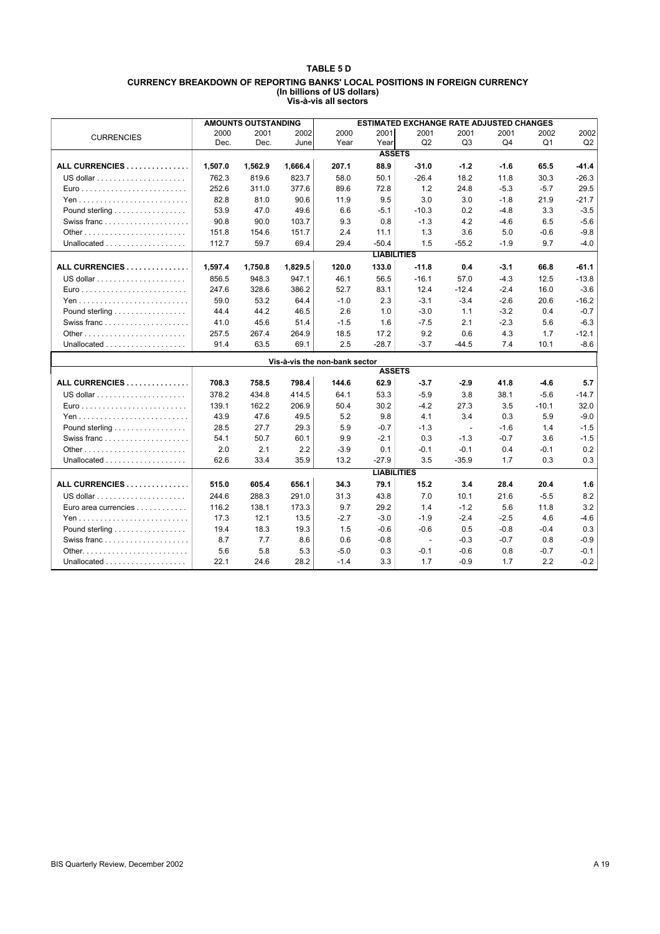#### **TABLE 5 D CURRENCY BREAKDOWN OF REPORTING BANKS' LOCAL POSITIONS IN FOREIGN CURRENCY (In billions of US dollars) Vis-‡-vis all sectors**

|                                                         |         | <b>AMOUNTS OUTSTANDING</b> |         |                               |                    | <b>ESTIMATED EXCHANGE RATE ADJUSTED CHANGES</b> |         |                |         |         |
|---------------------------------------------------------|---------|----------------------------|---------|-------------------------------|--------------------|-------------------------------------------------|---------|----------------|---------|---------|
| <b>CURRENCIES</b>                                       | 2000    | 2001                       | 2002    | 2000                          | 2001               | 2001                                            | 2001    | 2001           | 2002    | 2002    |
|                                                         | Dec.    | Dec.                       | Junel   | Year                          | Year               | Q2                                              | Q3      | Q <sub>4</sub> | Q1      | Q2      |
|                                                         |         |                            |         |                               | <b>ASSETS</b>      |                                                 |         |                |         |         |
| ALL CURRENCIES                                          | 1,507.0 | 1,562.9                    | 1,666.4 | 207.1                         | 88.9               | $-31.0$                                         | $-1.2$  | $-1.6$         | 65.5    | $-41.4$ |
|                                                         | 762.3   | 819.6                      | 823.7   | 58.0                          | 50.1               | $-26.4$                                         | 18.2    | 11.8           | 30.3    | $-26.3$ |
| $Euro$                                                  | 252.6   | 311.0                      | 377.6   | 89.6                          | 72.8               | 1.2                                             | 24.8    | $-5.3$         | $-5.7$  | 29.5    |
|                                                         | 82.8    | 81.0                       | 90.6    | 11.9                          | 9.5                | 3.0                                             | 3.0     | $-1.8$         | 21.9    | $-21.7$ |
| Pound sterling $\ldots \ldots \ldots \ldots \ldots$     | 53.9    | 47.0                       | 49.6    | 6.6                           | $-5.1$             | $-10.3$                                         | 0.2     | $-4.8$         | 3.3     | $-3.5$  |
| Swiss franc                                             | 90.8    | 90.0                       | 103.7   | 9.3                           | 0.8                | $-1.3$                                          | 4.2     | $-4.6$         | 6.5     | $-5.6$  |
|                                                         | 151.8   | 154.6                      | 151.7   | 2.4                           | 11.1               | 1.3                                             | 3.6     | 5.0            | $-0.6$  | $-9.8$  |
| Unallocated $\ldots \ldots \ldots \ldots \ldots$        | 112.7   | 59.7                       | 69.4    | 29.4                          | $-50.4$            | 1.5                                             | $-55.2$ | $-1.9$         | 9.7     | $-4.0$  |
|                                                         |         |                            |         |                               | <b>LIABILITIES</b> |                                                 |         |                |         |         |
| ALL CURRENCIES                                          | 1,597.4 | 1,750.8                    | 1,829.5 | 120.0                         | 133.0              | $-11.8$                                         | 0.4     | $-3.1$         | 66.8    | $-61.1$ |
| US dollar $\ldots \ldots \ldots \ldots \ldots \ldots$   | 856.5   | 948.3                      | 947.1   | 46.1                          | 56.5               | $-16.1$                                         | 57.0    | $-4.3$         | 12.5    | $-13.8$ |
| $Euro$                                                  | 247.6   | 328.6                      | 386.2   | 52.7                          | 83.1               | 12.4                                            | $-12.4$ | $-2.4$         | 16.0    | $-3.6$  |
|                                                         | 59.0    | 53.2                       | 64.4    | $-1.0$                        | 2.3                | $-3.1$                                          | $-3.4$  | $-2.6$         | 20.6    | $-16.2$ |
| Pound sterling $\ldots \ldots \ldots \ldots \ldots$     | 44.4    | 44.2                       | 46.5    | 2.6                           | 1.0                | $-3.0$                                          | 1.1     | $-3.2$         | 0.4     | $-0.7$  |
| Swiss franc                                             | 41.0    | 45.6                       | 51.4    | $-1.5$                        | 1.6                | $-7.5$                                          | 2.1     | $-2.3$         | 5.6     | $-6.3$  |
|                                                         | 257.5   | 267.4                      | 264.9   | 18.5                          | 17.2               | 9.2                                             | 0.6     | 4.3            | 1.7     | $-12.1$ |
|                                                         | 91.4    | 63.5                       | 69.1    | 2.5                           | $-28.7$            | $-3.7$                                          | $-44.5$ | 7.4            | 10.1    | $-8.6$  |
|                                                         |         |                            |         | Vis-à-vis the non-bank sector |                    |                                                 |         |                |         |         |
|                                                         |         |                            |         |                               | <b>ASSETS</b>      |                                                 |         |                |         |         |
| ALL CURRENCIES                                          | 708.3   | 758.5                      | 798.4   | 144.6                         | 62.9               | $-3.7$                                          | $-2.9$  | 41.8           | $-4.6$  | 5.7     |
| US dollar $\ldots \ldots \ldots \ldots \ldots \ldots$   | 378.2   | 434.8                      | 414.5   | 64.1                          | 53.3               | $-5.9$                                          | 3.8     | 38.1           | $-5.6$  | $-14.7$ |
| $Euro$                                                  | 139.1   | 162.2                      | 206.9   | 50.4                          | 30.2               | $-4.2$                                          | 27.3    | 3.5            | $-10.1$ | 32.0    |
|                                                         | 43.9    | 47.6                       | 49.5    | 5.2                           | 9.8                | 4.1                                             | 3.4     | 0.3            | 5.9     | $-9.0$  |
| Pound sterling $\ldots \ldots \ldots \ldots \ldots$     | 28.5    | 27.7                       | 29.3    | 5.9                           | $-0.7$             | $-1.3$                                          | $\sim$  | $-1.6$         | 1.4     | $-1.5$  |
| Swiss franc                                             | 54.1    | 50.7                       | 60.1    | 9.9                           | $-2.1$             | 0.3                                             | $-1.3$  | $-0.7$         | 3.6     | $-1.5$  |
|                                                         | 2.0     | 2.1                        | 2.2     | $-3.9$                        | 0.1                | $-0.1$                                          | $-0.1$  | 0.4            | $-0.1$  | 0.2     |
| Unallocated $\ldots \ldots \ldots \ldots \ldots$        | 62.6    | 33.4                       | 35.9    | 13.2                          | $-27.9$            | 3.5                                             | $-35.9$ | 1.7            | 0.3     | 0.3     |
|                                                         |         |                            |         |                               | <b>LIABILITIES</b> |                                                 |         |                |         |         |
| ALL CURRENCIES                                          | 515.0   | 605.4                      | 656.1   | 34.3                          | 79.1               | 15.2                                            | 3.4     | 28.4           | 20.4    | 1.6     |
| US dollar $\ldots \ldots \ldots \ldots \ldots \ldots$   | 244.6   | 288.3                      | 291.0   | 31.3                          | 43.8               | 7.0                                             | 10.1    | 21.6           | $-5.5$  | 8.2     |
| Euro area currencies                                    | 116.2   | 138.1                      | 173.3   | 9.7                           | 29.2               | 1.4                                             | $-1.2$  | 5.6            | 11.8    | 3.2     |
|                                                         | 17.3    | 12.1                       | 13.5    | $-2.7$                        | $-3.0$             | $-1.9$                                          | $-2.4$  | $-2.5$         | 4.6     | $-4.6$  |
| Pound sterling                                          | 19.4    | 18.3                       | 19.3    | 1.5                           | $-0.6$             | $-0.6$                                          | 0.5     | $-0.8$         | $-0.4$  | 0.3     |
| Swiss franc $\ldots \ldots \ldots \ldots \ldots \ldots$ | 8.7     | 7.7                        | 8.6     | 0.6                           | $-0.8$             | $\overline{a}$                                  | $-0.3$  | $-0.7$         | 0.8     | $-0.9$  |
|                                                         | 5.6     | 5.8                        | 5.3     | $-5.0$                        | 0.3                | $-0.1$                                          | $-0.6$  | 0.8            | $-0.7$  | $-0.1$  |
|                                                         | 22.1    | 24.6                       | 28.2    | $-1.4$                        | 3.3                | 1.7                                             | $-0.9$  | 1.7            | 2.2     | $-0.2$  |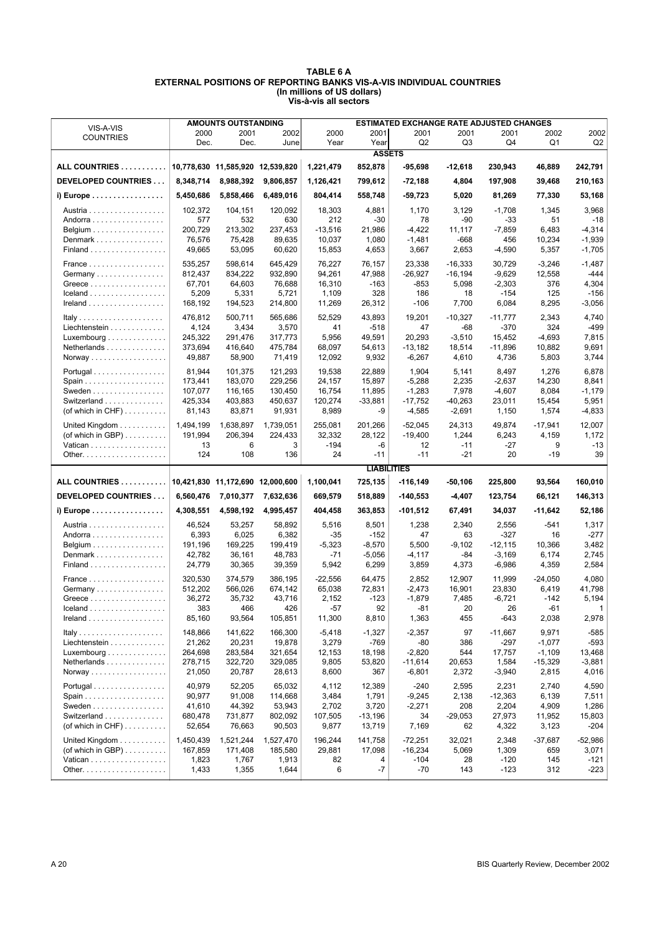|                                                    |                                  | <b>AMOUNTS OUTSTANDING</b> |                    |                   |                    | <b>ESTIMATED EXCHANGE RATE ADJUSTED CHANGES</b> |                    |                      |                    |                    |
|----------------------------------------------------|----------------------------------|----------------------------|--------------------|-------------------|--------------------|-------------------------------------------------|--------------------|----------------------|--------------------|--------------------|
| VIS-A-VIS                                          | 2000                             | 2001                       | 2002               | 2000              | 2001               | 2001                                            | 2001               | 2001                 | 2002               | 2002               |
| <b>COUNTRIES</b>                                   | Dec.                             | Dec.                       | June               | Year              | Year               | Q <sub>2</sub>                                  | Q3                 | Q4                   | Q1                 | Q <sub>2</sub>     |
|                                                    |                                  |                            |                    |                   |                    | <b>ASSETS</b>                                   |                    |                      |                    |                    |
| ALL COUNTRIES                                      | 10,778,630 11,585,920 12,539,820 |                            |                    | 1,221,479         | 852,878            | $-95,698$                                       | $-12,618$          | 230,943              | 46,889             | 242,791            |
| DEVELOPED COUNTRIES                                | 8,348,714                        | 8,988,392                  | 9,806,857          | 1,126,421         | 799,612            | $-72,188$                                       | 4,804              | 197,908              | 39,468             | 210,163            |
|                                                    |                                  |                            |                    |                   |                    |                                                 |                    |                      |                    |                    |
| $i)$ Europe $\dots \dots \dots \dots \dots \dots$  | 5,450,686                        | 5,858,466                  | 6,489,016          | 804,414           | 558,748            | $-59,723$                                       | 5,020              | 81,269               | 77,330             | 53,168             |
| Austria                                            | 102,372                          | 104,151                    | 120,092            | 18,303            | 4,881              | 1,170                                           | 3,129              | $-1,708$             | 1,345              | 3,968              |
| Andorra                                            | 577                              | 532                        | 630                | 212               | $-30$              | 78                                              | -90                | $-33$                | 51                 | $-18$              |
| Belgium                                            | 200,729                          | 213,302                    | 237,453            | $-13,516$         | 21,986             | $-4,422$                                        | 11,117             | $-7,859$             | 6,483              | $-4,314$           |
| Denmark                                            | 76,576                           | 75.428                     | 89,635             | 10,037            | 1,080              | $-1,481$                                        | $-668$             | 456                  | 10,234             | $-1,939$           |
| Finland                                            | 49,665                           | 53,095                     | 60,620             | 15,853            | 4,653              | 3,667                                           | 2,653              | $-4,590$             | 5,357              | $-1,705$           |
| France                                             | 535,257                          | 598,614                    | 645.429            | 76,227            | 76,157             | 23,338                                          | $-16,333$          | 30,729               | $-3,246$           | $-1,487$           |
| Germany                                            | 812,437                          | 834,222                    | 932,890            | 94,261            | 47,988             | $-26,927$                                       | $-16, 194$         | $-9,629$             | 12,558             | $-444$             |
|                                                    | 67,701                           | 64,603                     | 76,688             | 16,310            | $-163$             | $-853$                                          | 5,098              | $-2,303$             | 376                | 4,304              |
| $lceland \ldots \ldots \ldots \ldots \ldots$       | 5,209<br>168,192                 | 5,331<br>194,523           | 5,721<br>214,800   | 1,109<br>11,269   | 328<br>26,312      | 186<br>$-106$                                   | 18<br>7,700        | $-154$<br>6,084      | 125<br>8,295       | $-156$<br>$-3,056$ |
|                                                    |                                  |                            |                    |                   |                    |                                                 |                    |                      |                    |                    |
|                                                    | 476,812                          | 500,711                    | 565,686            | 52,529            | 43,893             | 19,201                                          | $-10,327$          | $-11,777$            | 2,343              | 4,740              |
| Liechtenstein                                      | 4,124                            | 3,434                      | 3,570              | 41                | $-518$             | 47                                              | $-68$              | $-370$               | 324                | $-499$             |
| Luxembourg<br>Netherlands                          | 245,322<br>373,694               | 291,476<br>416,640         | 317,773<br>475,784 | 5,956<br>68,097   | 49,591<br>54,613   | 20.293<br>$-13,182$                             | $-3,510$<br>18,514 | 15,452<br>$-11,896$  | $-4,693$<br>10,882 | 7,815<br>9,691     |
| Norway                                             | 49,887                           | 58,900                     | 71,419             | 12,092            | 9,932              | $-6,267$                                        | 4,610              | 4,736                | 5,803              | 3,744              |
|                                                    |                                  |                            |                    |                   |                    |                                                 |                    |                      |                    |                    |
| Portugal                                           | 81,944                           | 101,375                    | 121,293            | 19,538            | 22,889             | 1,904                                           | 5,141              | 8,497                | 1,276              | 6,878              |
| Spain<br>Sweden                                    | 173,441<br>107.077               | 183,070<br>116,165         | 229,256<br>130.450 | 24,157<br>16.754  | 15,897<br>11,895   | $-5,288$<br>$-1,283$                            | 2,235<br>7,978     | $-2,637$<br>$-4,607$ | 14,230<br>8,084    | 8,841<br>$-1,179$  |
| Switzerland                                        | 425,334                          | 403,883                    | 450.637            | 120,274           | $-33,881$          | $-17,752$                                       | $-40.263$          | 23,011               | 15,454             | 5,951              |
| (of which in $CHF$ )                               | 81,143                           | 83,871                     | 91,931             | 8,989             | -9                 | $-4,585$                                        | $-2,691$           | 1,150                | 1,574              | -4,833             |
| United Kingdom                                     | 1,494,199                        | 1,638,897                  | 1,739,051          | 255,081           | 201.266            | $-52,045$                                       | 24,313             | 49,874               | $-17,941$          | 12,007             |
| (of which in GBP) $\dots$                          | 191,994                          | 206,394                    | 224,433            | 32,332            | 28,122             | $-19,400$                                       | 1,244              | 6,243                | 4,159              | 1,172              |
| Vatican                                            | 13                               | 6                          | 3                  | $-194$            | -6                 | 12                                              | $-11$              | $-27$                | 9                  | $-13$              |
|                                                    | 124                              | 108                        | 136                | 24                | $-11$              | $-11$                                           | $-21$              | 20                   | -19                | 39                 |
|                                                    |                                  |                            |                    |                   | <b>LIABILITIES</b> |                                                 |                    |                      |                    |                    |
| ALL COUNTRIES 10,421,830 11,172,690 12,000,600     |                                  |                            |                    | 1,100,041         | 725,135            | $-116, 149$                                     | $-50,106$          | 225,800              | 93,564             | 160,010            |
| DEVELOPED COUNTRIES                                | 6,560,476                        | 7,010,377                  | 7,632,636          | 669,579           | 518,889            | $-140,553$                                      | $-4,407$           | 123,754              | 66,121             | 146,313            |
|                                                    |                                  |                            |                    |                   | 363,853            |                                                 |                    |                      | $-11,642$          |                    |
| i) Europe                                          | 4,308,551                        | 4,598,192                  | 4,995,457          | 404,458           |                    | $-101,512$                                      | 67,491             | 34,037               |                    | 52,186             |
| Austria                                            | 46,524                           | 53,257                     | 58,892             | 5,516             | 8,501              | 1,238                                           | 2,340              | 2,556                | $-541$             | 1,317              |
| Andorra                                            | 6,393<br>191,196                 | 6,025<br>169,225           | 6,382<br>199,419   | $-35$<br>$-5,323$ | $-152$<br>$-8,570$ | 47<br>5,500                                     | 63<br>$-9,102$     | $-327$<br>$-12.115$  | 16<br>10,366       | -277<br>3,482      |
| Belgium<br>Denmark                                 | 42,782                           | 36,161                     | 48,783             | -71               | $-5,056$           | $-4,117$                                        | -84                | $-3,169$             | 6,174              | 2,745              |
| Finland                                            | 24,779                           | 30,365                     | 39,359             | 5,942             | 6,299              | 3,859                                           | 4,373              | $-6,986$             | 4,359              | 2,584              |
| France                                             | 320,530                          | 374.579                    | 386.195            | $-22,556$         | 64,475             | 2,852                                           | 12,907             | 11,999               | $-24,050$          | 4,080              |
| Germany                                            | 512,202                          | 566,026                    | 674,142            | 65,038            | 72,831             | $-2,473$                                        | 16,901             | 23,830               | 6,419              | 41,798             |
| Greece $\ldots \ldots \ldots \ldots \ldots \ldots$ | 36,272                           | 35,732                     | 43,716             | 2,152             | $-123$             | $-1,879$                                        | 7,485              | $-6,721$             | $-142$             | 5,194              |
| Iceland                                            | 383                              | 466                        | 426                | -57               | 92                 | -81                                             | 20                 | 26                   | -61                | $\mathbf{1}$       |
| $I$ reland                                         | 85,160                           | 93,564                     | 105,851            | 11,300            | 8,810              | 1,363                                           | 455                | $-643$               | 2,038              | 2,978              |
|                                                    | 148,866                          | 141,622                    | 166,300            | $-5,418$          | $-1,327$           | $-2,357$                                        | 97                 | $-11,667$            | 9,971              | -585               |
| Liechtenstein                                      | 21,262                           | 20,231                     | 19,878             | 3,279             | $-769$             | -80                                             | 386                | $-297$               | $-1,077$           | -593               |
| $Luxembourg \ldots  \ldots $                       | 264,698                          | 283,584                    | 321,654            | 12,153            | 18,198             | $-2,820$                                        | 544                | 17,757               | $-1,109$           | 13,468             |
| Netherlands                                        | 278,715                          | 322,720                    | 329,085            | 9,805             | 53,820             | $-11,614$                                       | 20,653             | 1,584                | $-15,329$          | $-3,881$           |
| Norway                                             | 21,050                           | 20,787                     | 28,613             | 8,600             | 367                | $-6,801$                                        | 2,372              | $-3,940$             | 2,815              | 4,016              |
| Portugal                                           | 40,979                           | 52,205                     | 65,032             | 4,112             | 12,389             | $-240$                                          | 2,595              | 2,231                | 2,740              | 4,590              |
| Spain                                              | 90,977                           | 91,008                     | 114,668            | 3,484             | 1,791              | $-9,245$                                        | 2,138              | $-12,363$            | 6,139              | 7,511              |
| Sweden                                             | 41,610                           | 44,392                     | 53,943             | 2,702             | 3,720              | $-2,271$                                        | 208                | 2,204                | 4,909              | 1,286              |
| Switzerland                                        | 680,478                          | 731,877                    | 802,092            | 107,505           | $-13,196$          | 34                                              | $-29,053$          | 27,973               | 11,952             | 15,803             |
| (of which in $CHF$ )                               | 52,654                           | 76,663                     | 90,503             | 9,877             | 13,719             | 7,169                                           | 62                 | 4,322                | 3,123              | $-204$             |
| United Kingdom                                     | 1,450,439                        | 1,521,244                  | 1,527,470          | 196,244           | 141,758            | $-72,251$                                       | 32,021             | 2,348                | $-37,687$          | $-52,986$          |
| (of which in GBP) $\dots \dots$                    | 167,859                          | 171,408                    | 185,580            | 29,881            | 17,098             | $-16,234$                                       | 5,069              | 1,309                | 659                | 3,071              |
| Vatican                                            | 1,823                            | 1,767                      | 1,913              | 82                | 4                  | $-104$                                          | 28                 | $-120$               | 145                | $-121$             |
|                                                    | 1,433                            | 1,355                      | 1,644              | 6                 | $-7$               | -70                                             | 143                | $-123$               | 312                | -223               |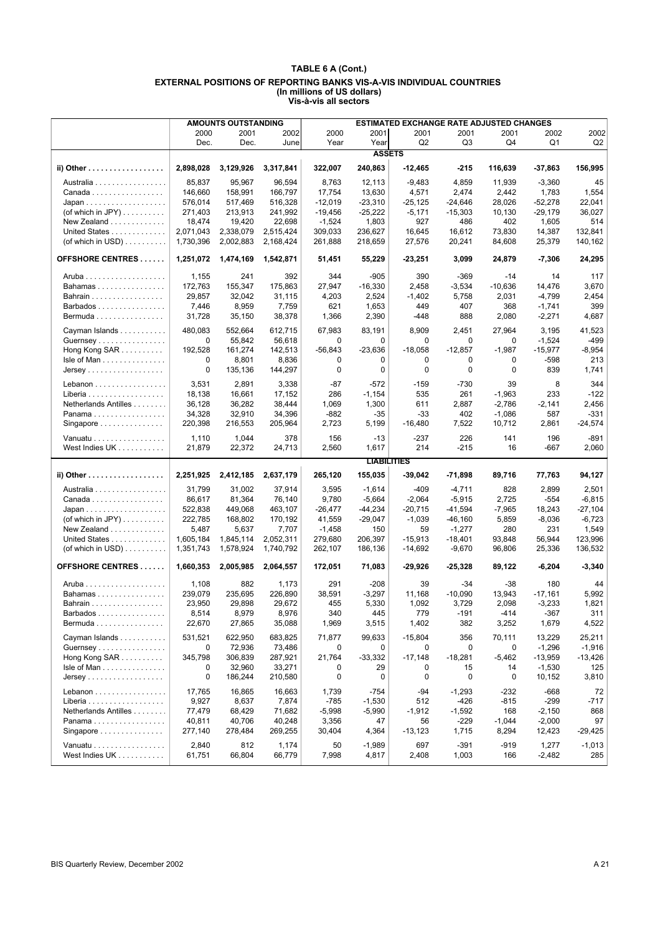|                                         |           | <b>AMOUNTS OUTSTANDING</b> |           |           |                    | <b>ESTIMATED EXCHANGE RATE ADJUSTED CHANGES</b> |                |           |           |           |
|-----------------------------------------|-----------|----------------------------|-----------|-----------|--------------------|-------------------------------------------------|----------------|-----------|-----------|-----------|
|                                         | 2000      | 2001                       | 2002      | 2000      | 2001               | 2001                                            | 2001           | 2001      | 2002      | 2002      |
|                                         | Dec.      | Dec.                       | June      | Year      | Year               | Q2                                              | Q <sub>3</sub> | Q4        | Q1        | Q2        |
|                                         |           |                            |           |           | <b>ASSETS</b>      |                                                 |                |           |           |           |
| ii) Other                               | 2,898,028 | 3,129,926                  | 3,317,841 | 322,007   | 240,863            | $-12,465$                                       | -215           | 116,639   | $-37,863$ | 156,995   |
| Australia                               | 85,837    | 95,967                     | 96,594    | 8,763     | 12,113             | $-9,483$                                        | 4,859          | 11,939    | $-3,360$  | 45        |
| Canada                                  | 146,660   | 158,991                    | 166,797   | 17,754    | 13,630             | 4,571                                           | 2,474          | 2,442     | 1,783     | 1,554     |
|                                         | 576,014   | 517,469                    | 516,328   | $-12,019$ | $-23,310$          | $-25,125$                                       | $-24,646$      | 28,026    | $-52,278$ | 22,041    |
| (of which in JPY) $\dots \dots$         | 271,403   | 213,913                    | 241,992   | $-19,456$ | $-25,222$          | $-5,171$                                        | $-15,303$      | 10,130    | $-29,179$ | 36,027    |
| New Zealand                             | 18,474    | 19,420                     | 22,698    | $-1,524$  | 1,803              | 927                                             | 486            | 402       | 1,605     | 514       |
| United States                           | 2,071,043 | 2,338,079                  | 2,515,424 | 309,033   | 236,627            | 16,645                                          | 16,612         | 73,830    | 14,387    | 132,841   |
| (of which in USD) $\dots \dots$         | 1,730,396 | 2,002,883                  | 2,168,424 | 261,888   | 218,659            | 27,576                                          | 20,241         | 84,608    | 25,379    | 140,162   |
| <b>OFFSHORE CENTRES</b>                 | 1,251,072 | 1,474,169                  | 1,542,871 | 51,451    | 55,229             | $-23,251$                                       | 3,099          | 24,879    | $-7,306$  | 24,295    |
|                                         | 1,155     | 241                        | 392       | 344       | $-905$             | 390                                             | -369           | -14       | 14        | 117       |
| Bahamas                                 | 172,763   | 155,347                    | 175,863   | 27,947    | $-16,330$          | 2,458                                           | $-3,534$       | $-10,636$ | 14,476    | 3,670     |
| Bahrain                                 | 29,857    | 32,042                     | 31,115    | 4,203     | 2,524              | $-1,402$                                        | 5,758          | 2,031     | $-4,799$  | 2,454     |
| Barbados                                | 7,446     | 8,959                      | 7,759     | 621       | 1,653              | 449                                             | 407            | 368       | $-1,741$  | 399       |
| Bermuda                                 | 31,728    | 35,150                     | 38,378    | 1,366     | 2,390              | $-448$                                          | 888            | 2,080     | $-2,271$  | 4,687     |
| Cayman Islands                          | 480,083   | 552,664                    | 612,715   | 67,983    | 83,191             | 8,909                                           | 2,451          | 27,964    | 3,195     | 41,523    |
| Guernsey                                | 0         | 55.842                     | 56,618    | 0         | 0                  | 0                                               | 0              | 0         | $-1,524$  | $-499$    |
| Hong Kong SAR                           | 192,528   | 161,274                    | 142,513   | -56,843   | $-23,636$          | $-18.058$                                       | $-12,857$      | $-1,987$  | $-15,977$ | $-8,954$  |
| Isle of Man                             | 0         | 8,801                      | 8,836     | 0         | 0                  | 0                                               | 0              | 0         | $-598$    | 213       |
| $Jersey$                                | 0         | 135,136                    | 144,297   | 0         | 0                  | $\mathbf 0$                                     | 0              | 0         | 839       | 1,741     |
| Lebanon                                 | 3,531     | 2,891                      | 3,338     | $-87$     | -572               | $-159$                                          | $-730$         | 39        | 8         | 344       |
|                                         | 18,138    | 16,661                     | 17,152    | 286       | $-1,154$           | 535                                             | 261            | $-1,963$  | 233       | $-122$    |
| Netherlands Antilles                    | 36,128    | 36,282                     | 38,444    | 1,069     | 1,300              | 611                                             | 2,887          | $-2,786$  | $-2,141$  | 2,456     |
| Panama                                  | 34,328    | 32,910                     | 34,396    | $-882$    | $-35$              | $-33$                                           | 402            | $-1,086$  | 587       | -331      |
| Singapore $\ldots \ldots \ldots \ldots$ | 220,398   | 216,553                    | 205,964   | 2,723     | 5,199              | $-16,480$                                       | 7,522          | 10,712    | 2,861     | $-24,574$ |
| Vanuatu                                 | 1,110     | 1,044                      | 378       | 156       | $-13$              | $-237$                                          | 226            | 141       | 196       | $-891$    |
| West Indies UK                          | 21,879    | 22,372                     | 24,713    | 2,560     | 1,617              | 214                                             | $-215$         | 16        | $-667$    | 2,060     |
|                                         |           |                            |           |           | <b>LIABILITIES</b> |                                                 |                |           |           |           |
| ii) Other                               | 2,251,925 | 2,412,185                  | 2,637,179 | 265,120   | 155,035            | $-39,042$                                       | $-71,898$      | 89,716    | 77,763    | 94,127    |
| Australia                               | 31,799    | 31,002                     | 37,914    | 3,595     | $-1,614$           | $-409$                                          | $-4,711$       | 828       | 2,899     | 2,501     |
| Canada                                  | 86,617    | 81,364                     | 76,140    | 9,780     | $-5,664$           | $-2,064$                                        | $-5,915$       | 2,725     | $-554$    | $-6,815$  |
|                                         | 522,838   | 449,068                    | 463,107   | $-26,477$ | $-44,234$          | $-20,715$                                       | $-41,594$      | $-7,965$  | 18,243    | $-27,104$ |
| (of which in JPY) $\dots \dots$         | 222,785   | 168,802                    | 170,192   | 41,559    | $-29,047$          | $-1,039$                                        | $-46,160$      | 5,859     | $-8,036$  | $-6,723$  |
| New Zealand                             | 5,487     | 5,637                      | 7,707     | $-1,458$  | 150                | 59                                              | $-1,277$       | 280       | 231       | 1,549     |
| United States                           | 1,605,184 | 1,845,114                  | 2,052,311 | 279,680   | 206,397            | $-15,913$                                       | $-18,401$      | 93,848    | 56,944    | 123,996   |
| (of which in USD) $\ldots$              | 1,351,743 | 1,578,924                  | 1,740,792 | 262,107   | 186,136            | $-14,692$                                       | $-9,670$       | 96,806    | 25,336    | 136,532   |
| <b>OFFSHORE CENTRES</b>                 | 1,660,353 | 2,005,985                  | 2,064,557 | 172,051   | 71,083             | -29,926                                         | $-25,328$      | 89,122    | $-6,204$  | $-3,340$  |
| Aruba                                   | 1,108     | 882                        | 1,173     | 291       | $-208$             | 39                                              | $-34$          | $-38$     | 180       | 44        |
| Bahamas                                 | 239,079   | 235.695                    | 226,890   | 38,591    | $-3,297$           | 11,168                                          | $-10,090$      | 13,943    | $-17,161$ | 5,992     |
| Bahrain                                 | 23,950    | 29,898                     | 29,672    | 455       | 5,330              | 1,092                                           | 3,729          | 2,098     | $-3,233$  | 1,821     |
| Barbados                                | 8,514     | 8,979                      | 8,976     | 340       | 445                | 779                                             | -191           | -414      | -367      | 311       |
| Bermuda                                 | 22,670    | 27,865                     | 35,088    | 1,969     | 3,515              | 1,402                                           | 382            | 3,252     | 1,679     | 4,522     |
| Cayman Islands                          | 531,521   | 622,950                    | 683,825   | 71,877    | 99,633             | $-15,804$                                       | 356            | 70.111    | 13,229    | 25,211    |
| Guernsey                                | 0         | 72,936                     | 73,486    | 0         | 0                  | 0                                               | 0              | 0         | $-1,296$  | $-1,916$  |
| Hong Kong SAR                           | 345,798   | 306,839                    | 287,921   | 21,764    | $-33,332$          | $-17,148$                                       | $-18,281$      | $-5,462$  | $-13,959$ | $-13,426$ |
| $Isle of Man$                           | 0         | 32,960                     | 33,271    | 0         | 29                 | 0                                               | 15             | 14        | $-1,530$  | 125       |
| $Jersey$                                | 0         | 186,244                    | 210,580   | 0         | $\Omega$           | $\mathbf 0$                                     | 0              | 0         | 10,152    | 3,810     |
| Lebanon                                 | 17,765    | 16,865                     | 16,663    | 1,739     | -754               | -94                                             | $-1,293$       | $-232$    | $-668$    | 72        |
|                                         | 9,927     | 8,637                      | 7,874     | $-785$    | $-1,530$           | 512                                             | -426           | $-815$    | -299      | $-717$    |
| Netherlands Antilles                    | 77,479    | 68,429                     | 71,682    | $-5,998$  | $-5,990$           | $-1,912$                                        | $-1,592$       | 168       | $-2,150$  | 868       |
| Panama                                  | 40,811    | 40,706                     | 40,248    | 3,356     | 47                 | 56                                              | $-229$         | $-1,044$  | $-2,000$  | 97        |
| Singapore                               | 277,140   | 278,484                    | 269,255   | 30,404    | 4,364              | -13,123                                         | 1,715          | 8,294     | 12,423    | -29,425   |
| Vanuatu                                 | 2,840     | 812                        | 1,174     | 50        | $-1,989$           | 697                                             | $-391$         | $-919$    | 1,277     | $-1,013$  |
| West Indies UK                          | 61,751    | 66,804                     | 66,779    | 7,998     | 4,817              | 2,408                                           | 1,003          | 166       | $-2,482$  | 285       |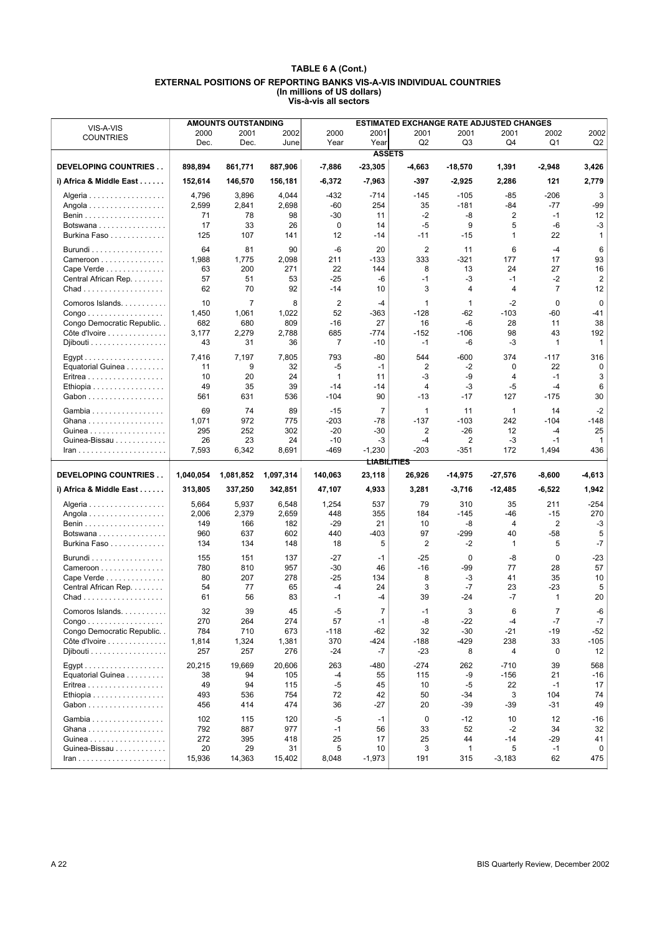|                                            |              | <b>AMOUNTS OUTSTANDING</b> |               |                |                    | <b>ESTIMATED EXCHANGE RATE ADJUSTED CHANGES</b> |                  |                   |                |              |
|--------------------------------------------|--------------|----------------------------|---------------|----------------|--------------------|-------------------------------------------------|------------------|-------------------|----------------|--------------|
| VIS-A-VIS                                  | 2000         | 2001                       | 2002          | 2000           | 2001               | 2001                                            | 2001             | 2001              | 2002           | 2002         |
| <b>COUNTRIES</b>                           | Dec.         | Dec.                       | June          | Year           | Year               | Q <sub>2</sub>                                  | Q3               | Q4                | Q1             | Q2           |
|                                            |              |                            |               |                | <b>ASSETS</b>      |                                                 |                  |                   |                |              |
| DEVELOPING COUNTRIES                       | 898,894      | 861,771                    | 887,906       | $-7,886$       | $-23,305$          | -4,663                                          | -18,570          | 1,391             | $-2,948$       | 3,426        |
| i) Africa & Middle East                    | 152,614      | 146,570                    | 156,181       | $-6,372$       | $-7,963$           | $-397$                                          | $-2,925$         | 2,286             | 121            | 2,779        |
|                                            |              |                            |               |                | $-714$             |                                                 |                  |                   | $-206$         | 3            |
| Algeria                                    | 4,796        | 3,896                      | 4,044         | $-432$<br>-60  | 254                | $-145$<br>35                                    | $-105$<br>$-181$ | -85<br>-84        | -77            | -99          |
| Angola                                     | 2,599        | 2,841                      | 2,698         |                |                    |                                                 |                  |                   |                |              |
|                                            | 71           | 78                         | 98            | -30            | 11                 | -2                                              | -8               | 2                 | $-1$           | 12           |
| Botswana<br>Burkina Faso                   | 17<br>125    | 33<br>107                  | 26<br>141     | 0<br>12        | 14<br>-14          | -5<br>$-11$                                     | 9<br>$-15$       | 5<br>$\mathbf{1}$ | -6<br>22       | -3<br>1      |
| Burundi                                    | 64           | 81                         | 90            | $-6$           | 20                 | $\overline{2}$                                  | 11               | 6                 | $-4$           | 6            |
|                                            |              |                            |               | 211            | $-133$             | 333                                             | $-321$           |                   | 17             | 93           |
| Cameroon                                   | 1,988        | 1,775                      | 2,098         |                |                    |                                                 |                  | 177               |                |              |
| Cape Verde                                 | 63           | 200                        | 271           | 22             | 144                | 8                                               | 13               | 24                | 27             | 16           |
| Central African Rep.                       | 57           | 51                         | 53            | -25            | -6                 | $-1$                                            | -3               | $-1$              | $-2$           | 2            |
|                                            | 62           | 70                         | 92            | $-14$          | 10                 | 3                                               | 4                | 4                 | $\overline{7}$ | 12           |
| Comoros Islands.                           | 10           | $\overline{7}$             | 8             | $\overline{2}$ | $-4$               | 1                                               | $\mathbf 1$      | $-2$              | $\mathbf 0$    | $\mathbf 0$  |
| $Congo \ldots \ldots \ldots \ldots \ldots$ | 1,450        | 1,061                      | 1,022         | 52             | -363               | $-128$                                          | -62              | $-103$            | -60            | $-41$        |
| Congo Democratic Republic                  | 682          | 680                        | 809           | $-16$          | 27                 | 16                                              | -6               | 28                | 11             | 38           |
| Côte d'Ivoire                              | 3,177        | 2,279                      | 2,788         | 685            | $-774$             | $-152$                                          | $-106$           | 98                | 43             | 192          |
| Djibouti                                   | 43           | 31                         | 36            | $\overline{7}$ | $-10$              | $-1$                                            | -6               | -3                | $\mathbf{1}$   | $\mathbf{1}$ |
|                                            | 7,416        | 7,197                      | 7,805         | 793            | $-80$              | 544                                             | $-600$           | 374               | $-117$         | 316          |
| Equatorial Guinea                          | 11           | 9                          | 32            | $-5$           | $-1$               | 2                                               | $-2$             | 0                 | 22             | 0            |
| Eritrea                                    | 10           | 20                         | 24            | $\mathbf{1}$   | 11                 | -3                                              | -9               | 4                 | $-1$           | 3            |
| Ethiopia                                   | 49           | 35                         | 39            | $-14$          | -14                | 4                                               | $-3$             | $-5$              | $-4$           | 6            |
| Gabon                                      | 561          | 631                        | 536           | $-104$         | 90                 | $-13$                                           | $-17$            | 127               | $-175$         | 30           |
| Gambia                                     | 69           | 74                         | 89            | $-15$          | $\overline{7}$     | $\mathbf{1}$                                    | 11               | $\mathbf{1}$      | 14             | $-2$         |
| Ghana                                      | 1,071        | 972                        | 775           | $-203$         | $-78$              | $-137$                                          | $-103$           | 242               | $-104$         | $-148$       |
| Guinea                                     | 295          | 252                        | 302           | $-20$          | $-30$              | 2                                               | $-26$            | 12                | -4             | 25           |
| Guinea-Bissau                              | 26           | 23                         | 24            | $-10$          | $-3$               | $-4$                                            | 2                | -3                | $-1$           | 1            |
| $lran$                                     | 7,593        | 6,342                      | 8,691         | $-469$         |                    | $-203$                                          | $-351$           | 172               | 1,494          | 436          |
|                                            |              |                            |               |                |                    |                                                 |                  |                   |                |              |
|                                            |              |                            |               |                | $-1,230$           |                                                 |                  |                   |                |              |
|                                            |              |                            |               |                | <u>LIABILITIES</u> |                                                 |                  |                   |                |              |
| <b>DEVELOPING COUNTRIES</b>                | 1,040,054    | 1,081,852                  | 1,097,314     | 140,063        | 23,118             | 26,926                                          | $-14,975$        | $-27,576$         | $-8,600$       | -4,613       |
| i) Africa & Middle East                    | 313,805      | 337,250                    | 342,851       | 47,107         | 4,933              | 3,281                                           | $-3,716$         | $-12,485$         | $-6,522$       | 1,942        |
| Algeria                                    | 5,664        | 5,937                      | 6,548         | 1,254          | 537                | 79                                              | 310              | 35                | 211            | $-254$       |
| Angola                                     | 2,006        | 2,379                      | 2,659         | 448            | 355                | 184                                             | $-145$           | -46               | $-15$          | 270          |
|                                            | 149          | 166                        | 182           | $-29$          | 21                 | 10                                              | -8               | 4                 | 2              | -3           |
| Botswana                                   | 960          | 637                        | 602           | 440            | -403               | 97                                              | $-299$           | 40                | $-58$          | 5            |
| Burkina Faso                               | 134          | 134                        | 148           | 18             | 5                  | 2                                               | -2               | $\mathbf{1}$      | 5              | $-7$         |
| Burundi                                    | 155          | 151                        | 137           | $-27$          | $-1$               | $-25$                                           | $\mathbf 0$      | -8                | $\mathbf 0$    | $-23$        |
| Cameroon                                   | 780          | 810                        | 957           | $-30$          | 46                 | $-16$                                           | $-99$            | 77                | 28             | 57           |
| Cape Verde                                 | 80           | 207                        | 278           | $-25$          | 134                | 8                                               | $-3$             | 41                | 35             | 10           |
| Central African Rep.                       | 54           | 77                         | 65            | $-4$           | 24                 | 3                                               | $-7$             | 23                | -23            | 5            |
|                                            | 61           | 56                         | 83            | $-1$           | $-4$               | 39                                              | $-24$            | $-7$              | $\mathbf{1}$   | 20           |
|                                            | 32           | 39                         |               | -5             | $\overline{7}$     | -1                                              | 3                | 6                 | 7              | -6           |
| Comoros Islands.                           | 270          | 264                        | 45<br>274     | 57             | $-1$               | -8                                              | -22              | $-4$              | $-7$           | $-7$         |
| $Congo \ldots \ldots \ldots \ldots \ldots$ |              |                            |               |                |                    |                                                 |                  |                   |                |              |
| Congo Democratic Republic                  | 784          | 710                        | 673           | $-118$         | -62                | 32                                              | -30              | $-21$             | -19            | -52          |
| Côte d'Ivoire<br>Djibouti                  | 1,814<br>257 | 1,324<br>257               | 1,381<br>276  | 370<br>$-24$   | -424<br>-7         | $-188$<br>-23                                   | $-429$<br>8      | 238<br>4          | 33<br>0        | -105<br>12   |
|                                            |              |                            |               |                | -480               |                                                 |                  | $-710$            | 39             |              |
|                                            | 20,215<br>38 | 19,669<br>94               | 20,606<br>105 | 263<br>$-4$    | 55                 | -274<br>115                                     | 262<br>-9        | $-156$            | 21             | 568          |
| Equatorial Guinea                          | 49           | 94                         | 115           | $-5$           |                    |                                                 |                  |                   | $-1$           | -16          |
| Eritrea                                    |              |                            |               |                | 45                 | 10                                              | -5               | 22                |                | 17           |
| Ethiopia                                   | 493          | 536                        | 754           | 72<br>36       | 42                 | 50                                              | $-34$            | 3                 | 104            | 74           |
| Gabon                                      | 456          | 414                        | 474           |                | -27                | 20                                              | -39              | -39               | -31            | 49           |
| Gambia                                     | 102          | 115                        | 120           | $-5$           | $-1$               | 0                                               | -12              | 10                | 12             | -16          |
| Ghana                                      | 792          | 887                        | 977           | $-1$           | 56                 | 33                                              | 52               | $-2$              | 34             | 32           |
| Guinea                                     | 272          | 395                        | 418           | 25             | 17                 | 25                                              | 44               | $-14$             | -29            | 41           |
| Guinea-Bissau                              | 20<br>15,936 | 29<br>14,363               | 31<br>15,402  | 5<br>8,048     | 10<br>$-1,973$     | 3<br>191                                        | 1<br>315         | 5<br>$-3,183$     | $-1$<br>62     | 0<br>475     |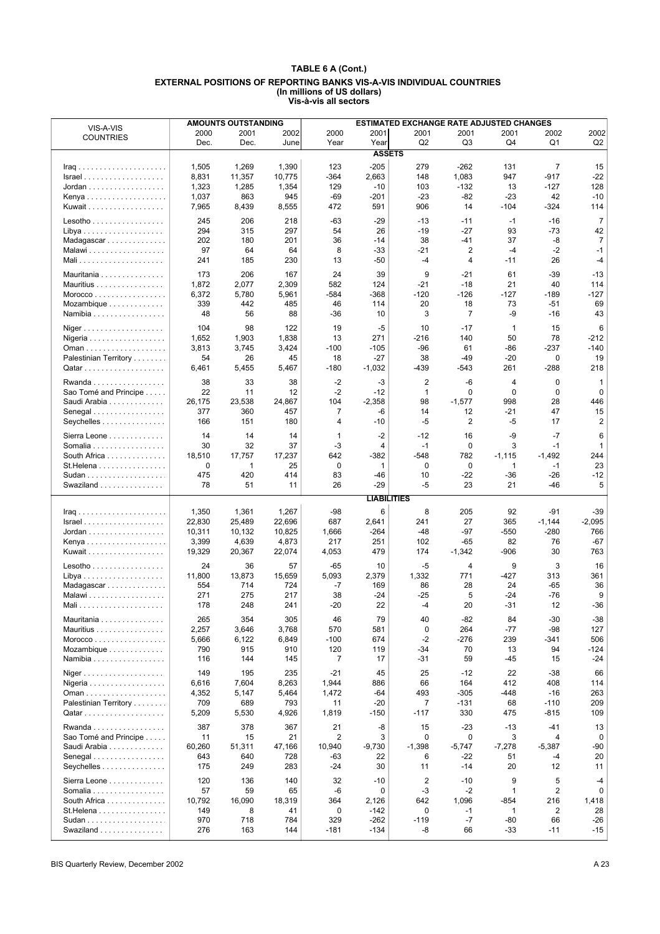|                                             |                | <b>AMOUNTS OUTSTANDING</b> |              |                |                    | ESTIMATED EXCHANGE RATE ADJUSTED CHANGES |                 |              |                |                |
|---------------------------------------------|----------------|----------------------------|--------------|----------------|--------------------|------------------------------------------|-----------------|--------------|----------------|----------------|
| VIS-A-VIS                                   | 2000           | 2001                       | 2002         | 2000           | 2001               | 2001                                     | 2001            | 2001         | 2002           | 2002           |
| <b>COUNTRIES</b>                            | Dec.           | Dec.                       | June         | Year           | Year               | Q2                                       | Q <sub>3</sub>  | Q4           | Q1             | Q2             |
|                                             |                |                            |              |                | <b>ASSETS</b>      |                                          |                 |              |                |                |
|                                             | 1,505          | 1,269                      | 1,390        | 123            | $-205$             | 279                                      | $-262$          | 131          | $\overline{7}$ | 15             |
| $Israel$                                    | 8,831          | 11,357                     | 10,775       | $-364$         | 2,663              | 148                                      | 1,083           | 947          | -917           | $-22$          |
| $Jordan \ldots \ldots \ldots \ldots \ldots$ | 1,323          | 1,285                      | 1,354        | 129            | $-10$              | 103                                      | $-132$          | 13           | $-127$         | 128            |
|                                             | 1,037          | 863                        | 945          | $-69$          | -201               | $-23$                                    | $-82$           | $-23$        | 42             | $-10$          |
| Kuwait                                      | 7,965          | 8,439                      | 8,555        | 472            | 591                | 906                                      | 14              | $-104$       | $-324$         | 114            |
| $Lesotho \ldots \ldots \ldots \ldots$       | 245            | 206                        | 218          | -63            | $-29$              | $-13$                                    | $-11$           | $-1$         | $-16$          | $\overline{7}$ |
|                                             | 294            | 315                        | 297          | 54             | 26                 | $-19$                                    | $-27$           | 93           | $-73$          | 42             |
| Madagascar                                  | 202            | 180                        | 201          | 36             | -14                | 38                                       | -41             | 37           | -8             | $\overline{7}$ |
| Malawi                                      | 97             | 64                         | 64           | 8              | $-33$              | $-21$                                    | $\overline{2}$  | $-4$         | $-2$           | $-1$           |
|                                             | 241            | 185                        | 230          | 13             | $-50$              | $-4$                                     | 4               | $-11$        | 26             | $-4$           |
|                                             |                |                            |              |                |                    |                                          |                 |              |                |                |
| Mauritania                                  | 173            | 206                        | 167          | 24             | 39                 | 9                                        | $-21$           | 61           | $-39$          | $-13$          |
| Mauritius                                   | 1,872          | 2,077                      | 2,309        | 582<br>$-584$  | 124<br>-368        | $-21$<br>$-120$                          | $-18$<br>$-126$ | 21<br>$-127$ | 40<br>$-189$   | 114<br>$-127$  |
| Mozambique                                  | 6,372<br>339   | 5,780<br>442               | 5,961<br>485 | 46             | 114                | 20                                       | 18              | 73           | -51            | 69             |
| Namibia                                     | 48             | 56                         | 88           | -36            | 10                 | 3                                        | $\overline{7}$  | -9           | $-16$          | 43             |
|                                             |                |                            |              |                |                    |                                          |                 |              |                |                |
| Niger                                       | 104            | 98                         | 122          | 19             | $-5$               | 10                                       | $-17$           | $\mathbf{1}$ | 15             | 6              |
| Nigeria                                     | 1,652          | 1,903                      | 1,838        | 13             | 271                | $-216$                                   | 140             | 50           | 78             | $-212$         |
|                                             | 3,813          | 3,745                      | 3,424        | $-100$         | $-105$             | $-96$                                    | 61              | -86          | -237           | $-140$         |
| Palestinian Territory                       | 54             | 26                         | 45           | 18             | -27                | 38                                       | $-49$           | $-20$        | 0              | 19             |
|                                             | 6,461          | 5,455                      | 5,467        | $-180$         | $-1,032$           | -439                                     | -543            | 261          | -288           | 218            |
| Rwanda                                      | 38             | 33                         | 38           | $-2$           | $-3$               | 2                                        | -6              | 4            | $\mathbf 0$    | $\mathbf{1}$   |
| Sao Tomé and Principe                       | 22             | 11                         | 12           | $-2$           | $-12$              | $\mathbf{1}$                             | $\mathbf 0$     | $\mathbf 0$  | $\mathbf 0$    | $\mathbf 0$    |
| Saudi Arabia                                | 26,175         | 23,538                     | 24,867       | 104            | $-2,358$           | 98                                       | $-1,577$        | 998          | 28             | 446            |
| Senegal                                     | 377            | 360                        | 457          | $\overline{7}$ | -6                 | 14                                       | 12              | $-21$        | 47             | 15             |
| Seychelles                                  | 166            | 151                        | 180          | 4              | $-10$              | -5                                       | 2               | -5           | 17             | 2              |
| Sierra Leone                                | 14             | 14                         | 14           | $\mathbf{1}$   | $-2$               | $-12$                                    | 16              | -9           | $-7$           | 6              |
| Somalia                                     | 30             | 32                         | 37           | -3             | 4                  | $-1$                                     | 0               | 3            | $-1$           | $\mathbf{1}$   |
| South Africa                                | 18,510         | 17,757                     | 17,237       | 642            | $-382$             | -548                                     | 782             | $-1,115$     | $-1,492$       | 244            |
| St.Helena                                   | 0              | 1                          | 25           | 0              | $\mathbf{1}$       | 0                                        | $\mathbf 0$     | 1            | $-1$           | 23             |
|                                             | 475            | 420                        | 414          | 83             | $-46$              | 10                                       | $-22$           | -36          | $-26$          | $-12$          |
| Swaziland                                   | 78             | 51                         | 11           | 26             | $-29$              | -5                                       | 23              | 21           | -46            | 5              |
|                                             |                |                            |              |                | <b>LIABILITIES</b> |                                          |                 |              |                |                |
|                                             | 1,350          | 1,361                      | 1,267        | -98            | 6                  | 8                                        | 205             | 92           | -91            | $-39$          |
|                                             | 22,830         | 25,489                     | 22,696       | 687            | 2,641              | 241                                      | 27              | 365          | $-1,144$       | $-2,095$       |
| Jordan                                      | 10,311         | 10,132                     | 10,825       | 1,666          | $-264$             | $-48$                                    | $-97$           | -550         | $-280$         | 766            |
|                                             | 3,399          | 4,639                      | 4,873        | 217            | 251                | 102                                      | -65             | 82           | 76             | $-67$          |
| Kuwait                                      | 19,329         | 20,367                     | 22,074       | 4,053          | 479                | 174                                      | $-1,342$        | $-906$       | 30             | 763            |
|                                             | 24             | 36                         | 57           | -65            | 10                 | -5                                       | 4               | 9            | 3              | 16             |
| Lesotho<br>$Libya \ldots  \ldots $          | 11,800         | 13,873                     | 15,659       | 5,093          | 2,379              | 1,332                                    | 771             | -427         | 313            | 361            |
| Madagascar                                  | 554            | 714                        | 724          | $-7$           | 169                | 86                                       | 28              | 24           | -65            | 36             |
| Malawi                                      | 271            | 275                        | 217          | 38             | $-24$              | -25                                      | 5               | $-24$        | -76            | 9              |
| Mali                                        | 178            | 248                        | 241          | $-20$          | 22                 | $-4$                                     | 20              | $-31$        | 12             | $-36$          |
|                                             |                |                            |              |                |                    |                                          |                 |              |                |                |
| Mauritania                                  | 265            | 354                        | 305<br>3,768 | 46<br>570      | 79<br>581          | 40<br>0                                  | $-82$<br>264    | 84<br>$-77$  | $-30$<br>-98   | $-38$<br>127   |
| Mauritius                                   | 2,257<br>5,666 | 3,646<br>6,122             | 6,849        | $-100$         | 674                | $-2$                                     | -276            | 239          | -341           | 506            |
| Mozambique                                  | 790            | 915                        | 910          | 120            | 119                | -34                                      | 70              | 13           | 94             | $-124$         |
| Namibia                                     | 116            | 144                        | 145          | 7              | 17                 | -31                                      | 59              | -45          | 15             | -24            |
|                                             |                |                            |              |                |                    |                                          |                 |              |                |                |
| Niger                                       | 149            | 195                        | 235          | $-21$          | 45                 | 25                                       | $-12$           | 22           | $-38$          | 66             |
| Nigeria                                     | 6,616          | 7,604                      | 8,263        | 1,944          | 886                | 66                                       | 164             | 412          | 408            | 114            |
|                                             | 4,352          | 5,147                      | 5,464        | 1,472          | -64                | 493                                      | $-305$          | -448         | $-16$          | 263            |
| Palestinian Territory                       | 709            | 689                        | 793          | 11             | $-20$              | 7                                        | $-131$          | 68           | $-110$         | 209            |
|                                             | 5,209          | 5,530                      | 4,926        | 1,819          | -150               | $-117$                                   | 330             | 475          | $-815$         | 109            |
| Rwanda                                      | 387            | 378                        | 367          | 21             | -8                 | 15                                       | $-23$           | $-13$        | -41            | 13             |
| Sao Tomé and Principe                       | 11             | 15                         | 21           | $\overline{2}$ | 3                  | 0                                        | 0               | 3            | 4              | 0              |
| Saudi Arabia                                | 60,260         | 51,311                     | 47,166       | 10,940         | $-9,730$           | $-1,398$                                 | $-5,747$        | $-7,278$     | $-5,387$       | -90            |
| Senegal                                     | 643            | 640                        | 728          | -63            | 22                 | 6                                        | -22             | 51           | -4             | 20             |
| Seychelles                                  | 175            | 249                        | 283          | $-24$          | 30                 | 11                                       | $-14$           | 20           | 12             | 11             |
| Sierra Leone                                | 120            | 136                        | 140          | 32             | $-10$              | $\overline{2}$                           | $-10$           | 9            | 5              | $-4$           |
| Somalia                                     | 57             | 59                         | 65           | -6             | 0                  | -3                                       | $-2$            | 1            | $\overline{2}$ | 0              |
| South Africa                                | 10,792         | 16,090                     | 18,319       | 364            | 2,126              | 642                                      | 1,096           | -854         | 216            | 1,418          |
| St.Helena                                   | 149            | 8                          | 41           | 0              | $-142$             | 0                                        | $-1$            | $\mathbf{1}$ | 2              | 28             |
|                                             |                |                            |              |                |                    |                                          |                 |              |                |                |
| Swaziland                                   | 970<br>276     | 718<br>163                 | 784<br>144   | 329<br>$-181$  | $-262$<br>-134     | $-119$<br>-8                             | $-7$<br>66      | -80<br>-33   | 66<br>$-11$    | -26<br>$-15$   |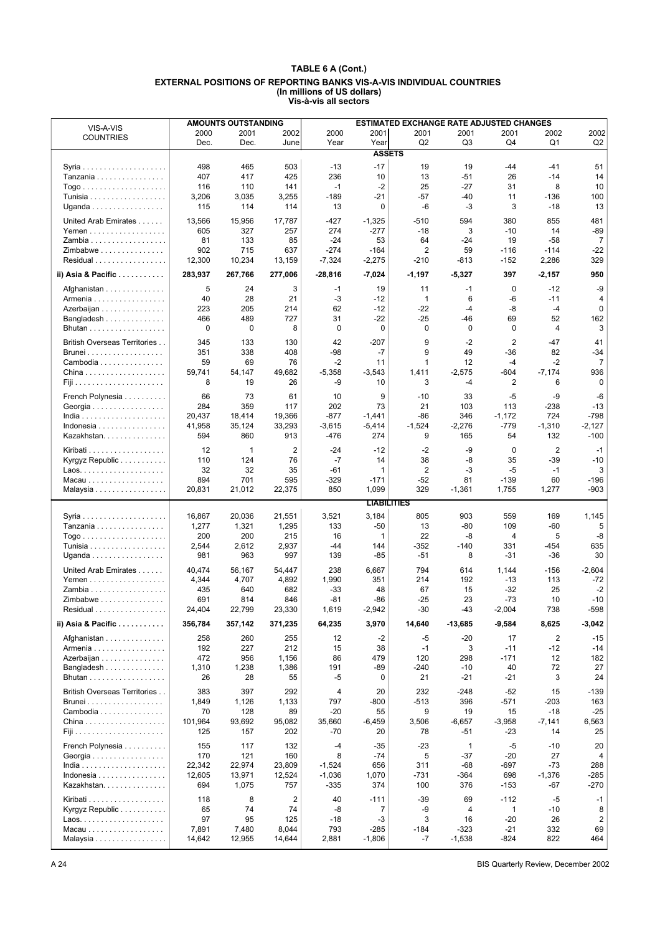| VIS-A-VIS<br>2000<br>2001<br>2000<br>2001<br>2001<br>2001<br>2002<br>2001<br>2002<br>2002<br><b>COUNTRIES</b><br>Q <sub>2</sub><br>Q4<br>Dec.<br>Dec.<br>June<br>Year<br>Year<br>Q3<br>Q1<br>Q2<br><b>ASSETS</b><br>503<br>$-17$<br>498<br>465<br>$-13$<br>19<br>19<br>-44<br>$-41$<br>51<br>417<br>425<br>236<br>407<br>10<br>13<br>-51<br>26<br>$-14$<br>14<br>Tanzania<br>$-1$<br>$-2$<br>25<br>$-27$<br>31<br>8<br>10<br>116<br>110<br>141<br>$-189$<br>$-57$<br>$-40$<br>3,206<br>3,035<br>3,255<br>$-21$<br>11<br>-136<br>100<br>Tunisia<br>$\mathbf 0$<br>13<br>115<br>114<br>114<br>13<br>-6<br>-3<br>3<br>$-18$<br>Uganda<br>481<br>United Arab Emirates<br>13,566<br>15,956<br>17,787<br>-427<br>$-1,325$<br>-510<br>594<br>380<br>855<br>605<br>327<br>257<br>274<br>$-277$<br>$-18$<br>3<br>$-10$<br>14<br>-89<br>Yemen $\ldots \ldots \ldots \ldots \ldots$<br>Zambia<br>81<br>133<br>85<br>$-24$<br>53<br>64<br>$-24$<br>19<br>-58<br>7<br>$-22$<br>Zimbabwe<br>902<br>715<br>637<br>$-274$<br>$-164$<br>2<br>59<br>$-116$<br>$-114$<br>329<br>Residual<br>12,300<br>10,234<br>13,159<br>$-7,324$<br>$-2,275$<br>$-210$<br>$-813$<br>$-152$<br>2,286<br>397<br>950<br>ii) Asia & Pacific<br>283,937<br>267,766<br>277,006<br>$-28,816$<br>$-7,024$<br>$-5,327$<br>$-2,157$<br>-1,197<br>5<br>24<br>3<br>$-1$<br>19<br>11<br>$-1$<br>0<br>$-12$<br>-9<br>Afghanistan<br>40<br>28<br>21<br>-3<br>$-12$<br>$\mathbf{1}$<br>6<br>-6<br>$-11$<br>Armenia<br>4<br>-8<br>$-4$<br>223<br>205<br>214<br>62<br>$-12$<br>-22<br>$-4$<br>0<br>Azerbaijan<br>31<br>$-46$<br>69<br>52<br>162<br>466<br>489<br>727<br>$-22$<br>$-25$<br>Bangladesh<br>$\mathbf 0$<br>3<br>0<br>0<br>8<br>0<br>0<br>0<br>0<br>4<br>Bhutan<br>133<br>130<br>42<br>$-207$<br>9<br>$-2$<br>$\overline{2}$<br>$-47$<br>41<br>British Overseas Territories<br>345<br>338<br>408<br>$-98$<br>$-7$<br>9<br>49<br>82<br>$-34$<br>351<br>$-36$<br>59<br>69<br>76<br>$-2$<br>11<br>$\mathbf{1}$<br>12<br>$-4$<br>-2<br>7<br>Cambodia<br>49,682<br>$-604$<br>936<br>59,741<br>54,147<br>$-5,358$<br>$-3,543$<br>1,411<br>$-2,575$<br>$-7,174$<br>8<br>19<br>26<br>-9<br>3<br>$-4$<br>2<br>6<br>$\mathbf 0$<br>10<br>33<br>French Polynesia<br>66<br>73<br>61<br>10<br>9<br>$-10$<br>-5<br>-9<br>-6<br>$-13$<br>284<br>359<br>117<br>202<br>73<br>21<br>103<br>113<br>-238<br>Georgia<br>$-877$<br>724<br>$-798$<br>20,437<br>18,414<br>19,366<br>$-1,441$<br>-86<br>346<br>$-1,172$<br>41,958<br>$-779$<br>$-1,310$<br>35,124<br>33,293<br>$-3,615$<br>$-5,414$<br>$-1,524$<br>$-2,276$<br>$-2,127$<br>Indonesia<br>132<br>$-100$<br>Kazakhstan.<br>594<br>860<br>913<br>-476<br>274<br>9<br>165<br>54<br>$\overline{2}$<br>Kiribati<br>12<br>$\mathbf{1}$<br>2<br>-24<br>$-12$<br>$-2$<br>-9<br>$\mathbf 0$<br>$-1$<br>Kyrgyz Republic<br>110<br>124<br>76<br>-7<br>14<br>38<br>-8<br>35<br>-39<br>$-10$<br>32<br>2<br>32<br>35<br>-61<br>-3<br>-5<br>$-1$<br>3<br>1<br>894<br>701<br>595<br>-329<br>$-171$<br>$-52$<br>81<br>$-139$<br>60<br>$-196$<br>Macau<br>20,831<br>21,012<br>22,375<br>850<br>1,099<br>329<br>$-1,361$<br>1,755<br>1,277<br>$-903$<br>Malaysia<br><b>LIABILITIES</b><br>3,184<br>805<br>16,867<br>20,036<br>21,551<br>3,521<br>903<br>559<br>169<br>1,145<br>1,277<br>133<br>$-50$<br>109<br>1,321<br>1,295<br>13<br>-80<br>-60<br>5<br>Tanzania<br>200<br>200<br>22<br>-8<br>5<br>-8<br>215<br>16<br>4<br>1<br>2,937<br>$-44$<br>-454<br>635<br>2,544<br>2,612<br>$-352$<br>$-140$<br>331<br>Tunisia<br>144<br>963<br>997<br>139<br>$-51$<br>30<br>981<br>$-85$<br>8<br>$-31$<br>$-36$<br>Uganda<br>238<br>6,667<br>794<br>United Arab Emirates<br>40,474<br>56,167<br>54,447<br>614<br>1,144<br>$-156$<br>$-2,604$<br>4,344<br>4,707<br>4,892<br>1,990<br>351<br>214<br>192<br>$-13$<br>113<br>-72<br>Yemen<br>435<br>640<br>682<br>$-33$<br>67<br>15<br>$-32$<br>25<br>$-2$<br>Zambia<br>48<br>$-10$<br>$-73$<br>691<br>814<br>846<br>$-81$<br>-86<br>$-25$<br>23<br>10<br>Zimbabwe<br>$-2.942$<br>-598<br>24,404<br>22,799<br>23,330<br>1,619<br>-30<br>-43<br>$-2,004$<br>738<br>Residual<br>64,235<br>3,970<br>ii) Asia & Pacific<br>356,784<br>357,142<br>371,235<br>14,640<br>$-13,685$<br>-9,584<br>8,625<br>$-3,042$<br>258<br>260<br>255<br>12<br>$-2$<br>$-20$<br>17<br>2<br>-15<br>Afghanistan<br>-5<br>192<br>227<br>212<br>15<br>38<br>$-1$<br>3<br>$-11$<br>$-12$<br>-14<br>Armenia<br>182<br>472<br>956<br>1,156<br>86<br>479<br>120<br>298<br>$-171$<br>12<br>Azerbaijan<br>72<br>Bangladesh<br>1,310<br>1,238<br>1,386<br>191<br>-89<br>$-240$<br>$-10$<br>40<br>27<br>3<br>55<br>-5<br>21<br>$-21$<br>24<br>Bhutan<br>26<br>28<br>0<br>-21<br>383<br>397<br>292<br>$\overline{4}$<br>232<br>$-139$<br>British Overseas Territories<br>20<br>$-248$<br>$-52$<br>15<br>797<br>$-203$<br>1,126<br>1,133<br>-800<br>$-513$<br>396<br>$-571$<br>163<br>Brunei<br>1,849<br>$-25$<br>128<br>89<br>$-20$<br>9<br>19<br>15<br>$-18$<br>Cambodia<br>70<br>55<br>101,964<br>93,692<br>95,082<br>35,660<br>$-6,459$<br>3,506<br>$-6,657$<br>$-3,958$<br>$-7,141$<br>6,563<br>$China \dots \dots \dots \dots \dots \dots \dots$<br>125<br>157<br>202<br>$-70$<br>78<br>-51<br>$-23$<br>14<br>25<br>20<br>$-23$<br>French Polynesia<br>155<br>117<br>132<br>$-4$<br>-5<br>$-10$<br>20<br>-35<br>$\mathbf{1}$<br>160<br>8<br>5<br>27<br>170<br>121<br>-74<br>$-37$<br>$-20$<br>Georgia<br>4<br>$-73$<br>288<br>22,342<br>22,974<br>23,809<br>$-1,524$<br>656<br>311<br>$-68$<br>-697<br>$-285$<br>12,605<br>13,971<br>12,524<br>$-1,036$<br>1,070<br>-731<br>698<br>$-1,376$<br>Indonesia<br>-364<br>$-270$<br>Kazakhstan.<br>694<br>1,075<br>757<br>$-335$<br>374<br>100<br>376<br>$-153$<br>-67<br>8<br>$-5$<br>118<br>$\overline{2}$<br>40<br>$-111$<br>$-39$<br>69<br>$-112$<br>$-1$<br>Kyrgyz Republic<br>65<br>74<br>74<br>-8<br>-9<br>$-10$<br>8<br>7<br>4<br>1<br>$\overline{2}$<br>97<br>95<br>125<br>$-18$<br>-3<br>3<br>16<br>$-20$<br>26<br>7,891<br>7,480<br>8,044<br>793<br>-285<br>-184<br>$-323$<br>$-21$<br>332<br>69<br>Macau<br>464<br>14,644<br>$-1,806$<br>-7<br>$-1,538$<br>-824<br>822<br>Malaysia<br>14,642<br>12,955<br>2,881 |  | <b>AMOUNTS OUTSTANDING</b> |  | <b>ESTIMATED EXCHANGE RATE ADJUSTED CHANGES</b> |  |  |
|---------------------------------------------------------------------------------------------------------------------------------------------------------------------------------------------------------------------------------------------------------------------------------------------------------------------------------------------------------------------------------------------------------------------------------------------------------------------------------------------------------------------------------------------------------------------------------------------------------------------------------------------------------------------------------------------------------------------------------------------------------------------------------------------------------------------------------------------------------------------------------------------------------------------------------------------------------------------------------------------------------------------------------------------------------------------------------------------------------------------------------------------------------------------------------------------------------------------------------------------------------------------------------------------------------------------------------------------------------------------------------------------------------------------------------------------------------------------------------------------------------------------------------------------------------------------------------------------------------------------------------------------------------------------------------------------------------------------------------------------------------------------------------------------------------------------------------------------------------------------------------------------------------------------------------------------------------------------------------------------------------------------------------------------------------------------------------------------------------------------------------------------------------------------------------------------------------------------------------------------------------------------------------------------------------------------------------------------------------------------------------------------------------------------------------------------------------------------------------------------------------------------------------------------------------------------------------------------------------------------------------------------------------------------------------------------------------------------------------------------------------------------------------------------------------------------------------------------------------------------------------------------------------------------------------------------------------------------------------------------------------------------------------------------------------------------------------------------------------------------------------------------------------------------------------------------------------------------------------------------------------------------------------------------------------------------------------------------------------------------------------------------------------------------------------------------------------------------------------------------------------------------------------------------------------------------------------------------------------------------------------------------------------------------------------------------------------------------------------------------------------------------------------------------------------------------------------------------------------------------------------------------------------------------------------------------------------------------------------------------------------------------------------------------------------------------------------------------------------------------------------------------------------------------------------------------------------------------------------------------------------------------------------------------------------------------------------------------------------------------------------------------------------------------------------------------------------------------------------------------------------------------------------------------------------------------------------------------------------------------------------------------------------------------------------------------------------------------------------------------------------------------------------------------------------------------------------------------------------------------------------------------------------------------------------------------------------------------------------------------------------------------------------------------------------------------------------------------------------------------------------------------------------------------------------------------------------------------------------------------------------------------------------------------------------------------------------------------------------------------------------------------------------------------------------------------------------------------------------------------------------------------------------------------------------------------------------------------------------------------------------------------------------------------------------------------------------------------------------------------------------------------------------------------------------------------------------------------------------------------------------------------------------------------------------------------------------------------------------------------------------------------------------------------------------------------------------------------------------------------------------------------------------|--|----------------------------|--|-------------------------------------------------|--|--|
|                                                                                                                                                                                                                                                                                                                                                                                                                                                                                                                                                                                                                                                                                                                                                                                                                                                                                                                                                                                                                                                                                                                                                                                                                                                                                                                                                                                                                                                                                                                                                                                                                                                                                                                                                                                                                                                                                                                                                                                                                                                                                                                                                                                                                                                                                                                                                                                                                                                                                                                                                                                                                                                                                                                                                                                                                                                                                                                                                                                                                                                                                                                                                                                                                                                                                                                                                                                                                                                                                                                                                                                                                                                                                                                                                                                                                                                                                                                                                                                                                                                                                                                                                                                                                                                                                                                                                                                                                                                                                                                                                                                                                                                                                                                                                                                                                                                                                                                                                                                                                                                                                                                                                                                                                                                                                                                                                                                                                                                                                                                                                                                                                                                                                                                                                                                                                                                                                                                                                                                                                                                                                                                                                         |  |                            |  |                                                 |  |  |
|                                                                                                                                                                                                                                                                                                                                                                                                                                                                                                                                                                                                                                                                                                                                                                                                                                                                                                                                                                                                                                                                                                                                                                                                                                                                                                                                                                                                                                                                                                                                                                                                                                                                                                                                                                                                                                                                                                                                                                                                                                                                                                                                                                                                                                                                                                                                                                                                                                                                                                                                                                                                                                                                                                                                                                                                                                                                                                                                                                                                                                                                                                                                                                                                                                                                                                                                                                                                                                                                                                                                                                                                                                                                                                                                                                                                                                                                                                                                                                                                                                                                                                                                                                                                                                                                                                                                                                                                                                                                                                                                                                                                                                                                                                                                                                                                                                                                                                                                                                                                                                                                                                                                                                                                                                                                                                                                                                                                                                                                                                                                                                                                                                                                                                                                                                                                                                                                                                                                                                                                                                                                                                                                                         |  |                            |  |                                                 |  |  |
|                                                                                                                                                                                                                                                                                                                                                                                                                                                                                                                                                                                                                                                                                                                                                                                                                                                                                                                                                                                                                                                                                                                                                                                                                                                                                                                                                                                                                                                                                                                                                                                                                                                                                                                                                                                                                                                                                                                                                                                                                                                                                                                                                                                                                                                                                                                                                                                                                                                                                                                                                                                                                                                                                                                                                                                                                                                                                                                                                                                                                                                                                                                                                                                                                                                                                                                                                                                                                                                                                                                                                                                                                                                                                                                                                                                                                                                                                                                                                                                                                                                                                                                                                                                                                                                                                                                                                                                                                                                                                                                                                                                                                                                                                                                                                                                                                                                                                                                                                                                                                                                                                                                                                                                                                                                                                                                                                                                                                                                                                                                                                                                                                                                                                                                                                                                                                                                                                                                                                                                                                                                                                                                                                         |  |                            |  |                                                 |  |  |
|                                                                                                                                                                                                                                                                                                                                                                                                                                                                                                                                                                                                                                                                                                                                                                                                                                                                                                                                                                                                                                                                                                                                                                                                                                                                                                                                                                                                                                                                                                                                                                                                                                                                                                                                                                                                                                                                                                                                                                                                                                                                                                                                                                                                                                                                                                                                                                                                                                                                                                                                                                                                                                                                                                                                                                                                                                                                                                                                                                                                                                                                                                                                                                                                                                                                                                                                                                                                                                                                                                                                                                                                                                                                                                                                                                                                                                                                                                                                                                                                                                                                                                                                                                                                                                                                                                                                                                                                                                                                                                                                                                                                                                                                                                                                                                                                                                                                                                                                                                                                                                                                                                                                                                                                                                                                                                                                                                                                                                                                                                                                                                                                                                                                                                                                                                                                                                                                                                                                                                                                                                                                                                                                                         |  |                            |  |                                                 |  |  |
|                                                                                                                                                                                                                                                                                                                                                                                                                                                                                                                                                                                                                                                                                                                                                                                                                                                                                                                                                                                                                                                                                                                                                                                                                                                                                                                                                                                                                                                                                                                                                                                                                                                                                                                                                                                                                                                                                                                                                                                                                                                                                                                                                                                                                                                                                                                                                                                                                                                                                                                                                                                                                                                                                                                                                                                                                                                                                                                                                                                                                                                                                                                                                                                                                                                                                                                                                                                                                                                                                                                                                                                                                                                                                                                                                                                                                                                                                                                                                                                                                                                                                                                                                                                                                                                                                                                                                                                                                                                                                                                                                                                                                                                                                                                                                                                                                                                                                                                                                                                                                                                                                                                                                                                                                                                                                                                                                                                                                                                                                                                                                                                                                                                                                                                                                                                                                                                                                                                                                                                                                                                                                                                                                         |  |                            |  |                                                 |  |  |
|                                                                                                                                                                                                                                                                                                                                                                                                                                                                                                                                                                                                                                                                                                                                                                                                                                                                                                                                                                                                                                                                                                                                                                                                                                                                                                                                                                                                                                                                                                                                                                                                                                                                                                                                                                                                                                                                                                                                                                                                                                                                                                                                                                                                                                                                                                                                                                                                                                                                                                                                                                                                                                                                                                                                                                                                                                                                                                                                                                                                                                                                                                                                                                                                                                                                                                                                                                                                                                                                                                                                                                                                                                                                                                                                                                                                                                                                                                                                                                                                                                                                                                                                                                                                                                                                                                                                                                                                                                                                                                                                                                                                                                                                                                                                                                                                                                                                                                                                                                                                                                                                                                                                                                                                                                                                                                                                                                                                                                                                                                                                                                                                                                                                                                                                                                                                                                                                                                                                                                                                                                                                                                                                                         |  |                            |  |                                                 |  |  |
|                                                                                                                                                                                                                                                                                                                                                                                                                                                                                                                                                                                                                                                                                                                                                                                                                                                                                                                                                                                                                                                                                                                                                                                                                                                                                                                                                                                                                                                                                                                                                                                                                                                                                                                                                                                                                                                                                                                                                                                                                                                                                                                                                                                                                                                                                                                                                                                                                                                                                                                                                                                                                                                                                                                                                                                                                                                                                                                                                                                                                                                                                                                                                                                                                                                                                                                                                                                                                                                                                                                                                                                                                                                                                                                                                                                                                                                                                                                                                                                                                                                                                                                                                                                                                                                                                                                                                                                                                                                                                                                                                                                                                                                                                                                                                                                                                                                                                                                                                                                                                                                                                                                                                                                                                                                                                                                                                                                                                                                                                                                                                                                                                                                                                                                                                                                                                                                                                                                                                                                                                                                                                                                                                         |  |                            |  |                                                 |  |  |
|                                                                                                                                                                                                                                                                                                                                                                                                                                                                                                                                                                                                                                                                                                                                                                                                                                                                                                                                                                                                                                                                                                                                                                                                                                                                                                                                                                                                                                                                                                                                                                                                                                                                                                                                                                                                                                                                                                                                                                                                                                                                                                                                                                                                                                                                                                                                                                                                                                                                                                                                                                                                                                                                                                                                                                                                                                                                                                                                                                                                                                                                                                                                                                                                                                                                                                                                                                                                                                                                                                                                                                                                                                                                                                                                                                                                                                                                                                                                                                                                                                                                                                                                                                                                                                                                                                                                                                                                                                                                                                                                                                                                                                                                                                                                                                                                                                                                                                                                                                                                                                                                                                                                                                                                                                                                                                                                                                                                                                                                                                                                                                                                                                                                                                                                                                                                                                                                                                                                                                                                                                                                                                                                                         |  |                            |  |                                                 |  |  |
|                                                                                                                                                                                                                                                                                                                                                                                                                                                                                                                                                                                                                                                                                                                                                                                                                                                                                                                                                                                                                                                                                                                                                                                                                                                                                                                                                                                                                                                                                                                                                                                                                                                                                                                                                                                                                                                                                                                                                                                                                                                                                                                                                                                                                                                                                                                                                                                                                                                                                                                                                                                                                                                                                                                                                                                                                                                                                                                                                                                                                                                                                                                                                                                                                                                                                                                                                                                                                                                                                                                                                                                                                                                                                                                                                                                                                                                                                                                                                                                                                                                                                                                                                                                                                                                                                                                                                                                                                                                                                                                                                                                                                                                                                                                                                                                                                                                                                                                                                                                                                                                                                                                                                                                                                                                                                                                                                                                                                                                                                                                                                                                                                                                                                                                                                                                                                                                                                                                                                                                                                                                                                                                                                         |  |                            |  |                                                 |  |  |
|                                                                                                                                                                                                                                                                                                                                                                                                                                                                                                                                                                                                                                                                                                                                                                                                                                                                                                                                                                                                                                                                                                                                                                                                                                                                                                                                                                                                                                                                                                                                                                                                                                                                                                                                                                                                                                                                                                                                                                                                                                                                                                                                                                                                                                                                                                                                                                                                                                                                                                                                                                                                                                                                                                                                                                                                                                                                                                                                                                                                                                                                                                                                                                                                                                                                                                                                                                                                                                                                                                                                                                                                                                                                                                                                                                                                                                                                                                                                                                                                                                                                                                                                                                                                                                                                                                                                                                                                                                                                                                                                                                                                                                                                                                                                                                                                                                                                                                                                                                                                                                                                                                                                                                                                                                                                                                                                                                                                                                                                                                                                                                                                                                                                                                                                                                                                                                                                                                                                                                                                                                                                                                                                                         |  |                            |  |                                                 |  |  |
|                                                                                                                                                                                                                                                                                                                                                                                                                                                                                                                                                                                                                                                                                                                                                                                                                                                                                                                                                                                                                                                                                                                                                                                                                                                                                                                                                                                                                                                                                                                                                                                                                                                                                                                                                                                                                                                                                                                                                                                                                                                                                                                                                                                                                                                                                                                                                                                                                                                                                                                                                                                                                                                                                                                                                                                                                                                                                                                                                                                                                                                                                                                                                                                                                                                                                                                                                                                                                                                                                                                                                                                                                                                                                                                                                                                                                                                                                                                                                                                                                                                                                                                                                                                                                                                                                                                                                                                                                                                                                                                                                                                                                                                                                                                                                                                                                                                                                                                                                                                                                                                                                                                                                                                                                                                                                                                                                                                                                                                                                                                                                                                                                                                                                                                                                                                                                                                                                                                                                                                                                                                                                                                                                         |  |                            |  |                                                 |  |  |
|                                                                                                                                                                                                                                                                                                                                                                                                                                                                                                                                                                                                                                                                                                                                                                                                                                                                                                                                                                                                                                                                                                                                                                                                                                                                                                                                                                                                                                                                                                                                                                                                                                                                                                                                                                                                                                                                                                                                                                                                                                                                                                                                                                                                                                                                                                                                                                                                                                                                                                                                                                                                                                                                                                                                                                                                                                                                                                                                                                                                                                                                                                                                                                                                                                                                                                                                                                                                                                                                                                                                                                                                                                                                                                                                                                                                                                                                                                                                                                                                                                                                                                                                                                                                                                                                                                                                                                                                                                                                                                                                                                                                                                                                                                                                                                                                                                                                                                                                                                                                                                                                                                                                                                                                                                                                                                                                                                                                                                                                                                                                                                                                                                                                                                                                                                                                                                                                                                                                                                                                                                                                                                                                                         |  |                            |  |                                                 |  |  |
|                                                                                                                                                                                                                                                                                                                                                                                                                                                                                                                                                                                                                                                                                                                                                                                                                                                                                                                                                                                                                                                                                                                                                                                                                                                                                                                                                                                                                                                                                                                                                                                                                                                                                                                                                                                                                                                                                                                                                                                                                                                                                                                                                                                                                                                                                                                                                                                                                                                                                                                                                                                                                                                                                                                                                                                                                                                                                                                                                                                                                                                                                                                                                                                                                                                                                                                                                                                                                                                                                                                                                                                                                                                                                                                                                                                                                                                                                                                                                                                                                                                                                                                                                                                                                                                                                                                                                                                                                                                                                                                                                                                                                                                                                                                                                                                                                                                                                                                                                                                                                                                                                                                                                                                                                                                                                                                                                                                                                                                                                                                                                                                                                                                                                                                                                                                                                                                                                                                                                                                                                                                                                                                                                         |  |                            |  |                                                 |  |  |
|                                                                                                                                                                                                                                                                                                                                                                                                                                                                                                                                                                                                                                                                                                                                                                                                                                                                                                                                                                                                                                                                                                                                                                                                                                                                                                                                                                                                                                                                                                                                                                                                                                                                                                                                                                                                                                                                                                                                                                                                                                                                                                                                                                                                                                                                                                                                                                                                                                                                                                                                                                                                                                                                                                                                                                                                                                                                                                                                                                                                                                                                                                                                                                                                                                                                                                                                                                                                                                                                                                                                                                                                                                                                                                                                                                                                                                                                                                                                                                                                                                                                                                                                                                                                                                                                                                                                                                                                                                                                                                                                                                                                                                                                                                                                                                                                                                                                                                                                                                                                                                                                                                                                                                                                                                                                                                                                                                                                                                                                                                                                                                                                                                                                                                                                                                                                                                                                                                                                                                                                                                                                                                                                                         |  |                            |  |                                                 |  |  |
|                                                                                                                                                                                                                                                                                                                                                                                                                                                                                                                                                                                                                                                                                                                                                                                                                                                                                                                                                                                                                                                                                                                                                                                                                                                                                                                                                                                                                                                                                                                                                                                                                                                                                                                                                                                                                                                                                                                                                                                                                                                                                                                                                                                                                                                                                                                                                                                                                                                                                                                                                                                                                                                                                                                                                                                                                                                                                                                                                                                                                                                                                                                                                                                                                                                                                                                                                                                                                                                                                                                                                                                                                                                                                                                                                                                                                                                                                                                                                                                                                                                                                                                                                                                                                                                                                                                                                                                                                                                                                                                                                                                                                                                                                                                                                                                                                                                                                                                                                                                                                                                                                                                                                                                                                                                                                                                                                                                                                                                                                                                                                                                                                                                                                                                                                                                                                                                                                                                                                                                                                                                                                                                                                         |  |                            |  |                                                 |  |  |
|                                                                                                                                                                                                                                                                                                                                                                                                                                                                                                                                                                                                                                                                                                                                                                                                                                                                                                                                                                                                                                                                                                                                                                                                                                                                                                                                                                                                                                                                                                                                                                                                                                                                                                                                                                                                                                                                                                                                                                                                                                                                                                                                                                                                                                                                                                                                                                                                                                                                                                                                                                                                                                                                                                                                                                                                                                                                                                                                                                                                                                                                                                                                                                                                                                                                                                                                                                                                                                                                                                                                                                                                                                                                                                                                                                                                                                                                                                                                                                                                                                                                                                                                                                                                                                                                                                                                                                                                                                                                                                                                                                                                                                                                                                                                                                                                                                                                                                                                                                                                                                                                                                                                                                                                                                                                                                                                                                                                                                                                                                                                                                                                                                                                                                                                                                                                                                                                                                                                                                                                                                                                                                                                                         |  |                            |  |                                                 |  |  |
|                                                                                                                                                                                                                                                                                                                                                                                                                                                                                                                                                                                                                                                                                                                                                                                                                                                                                                                                                                                                                                                                                                                                                                                                                                                                                                                                                                                                                                                                                                                                                                                                                                                                                                                                                                                                                                                                                                                                                                                                                                                                                                                                                                                                                                                                                                                                                                                                                                                                                                                                                                                                                                                                                                                                                                                                                                                                                                                                                                                                                                                                                                                                                                                                                                                                                                                                                                                                                                                                                                                                                                                                                                                                                                                                                                                                                                                                                                                                                                                                                                                                                                                                                                                                                                                                                                                                                                                                                                                                                                                                                                                                                                                                                                                                                                                                                                                                                                                                                                                                                                                                                                                                                                                                                                                                                                                                                                                                                                                                                                                                                                                                                                                                                                                                                                                                                                                                                                                                                                                                                                                                                                                                                         |  |                            |  |                                                 |  |  |
|                                                                                                                                                                                                                                                                                                                                                                                                                                                                                                                                                                                                                                                                                                                                                                                                                                                                                                                                                                                                                                                                                                                                                                                                                                                                                                                                                                                                                                                                                                                                                                                                                                                                                                                                                                                                                                                                                                                                                                                                                                                                                                                                                                                                                                                                                                                                                                                                                                                                                                                                                                                                                                                                                                                                                                                                                                                                                                                                                                                                                                                                                                                                                                                                                                                                                                                                                                                                                                                                                                                                                                                                                                                                                                                                                                                                                                                                                                                                                                                                                                                                                                                                                                                                                                                                                                                                                                                                                                                                                                                                                                                                                                                                                                                                                                                                                                                                                                                                                                                                                                                                                                                                                                                                                                                                                                                                                                                                                                                                                                                                                                                                                                                                                                                                                                                                                                                                                                                                                                                                                                                                                                                                                         |  |                            |  |                                                 |  |  |
|                                                                                                                                                                                                                                                                                                                                                                                                                                                                                                                                                                                                                                                                                                                                                                                                                                                                                                                                                                                                                                                                                                                                                                                                                                                                                                                                                                                                                                                                                                                                                                                                                                                                                                                                                                                                                                                                                                                                                                                                                                                                                                                                                                                                                                                                                                                                                                                                                                                                                                                                                                                                                                                                                                                                                                                                                                                                                                                                                                                                                                                                                                                                                                                                                                                                                                                                                                                                                                                                                                                                                                                                                                                                                                                                                                                                                                                                                                                                                                                                                                                                                                                                                                                                                                                                                                                                                                                                                                                                                                                                                                                                                                                                                                                                                                                                                                                                                                                                                                                                                                                                                                                                                                                                                                                                                                                                                                                                                                                                                                                                                                                                                                                                                                                                                                                                                                                                                                                                                                                                                                                                                                                                                         |  |                            |  |                                                 |  |  |
|                                                                                                                                                                                                                                                                                                                                                                                                                                                                                                                                                                                                                                                                                                                                                                                                                                                                                                                                                                                                                                                                                                                                                                                                                                                                                                                                                                                                                                                                                                                                                                                                                                                                                                                                                                                                                                                                                                                                                                                                                                                                                                                                                                                                                                                                                                                                                                                                                                                                                                                                                                                                                                                                                                                                                                                                                                                                                                                                                                                                                                                                                                                                                                                                                                                                                                                                                                                                                                                                                                                                                                                                                                                                                                                                                                                                                                                                                                                                                                                                                                                                                                                                                                                                                                                                                                                                                                                                                                                                                                                                                                                                                                                                                                                                                                                                                                                                                                                                                                                                                                                                                                                                                                                                                                                                                                                                                                                                                                                                                                                                                                                                                                                                                                                                                                                                                                                                                                                                                                                                                                                                                                                                                         |  |                            |  |                                                 |  |  |
|                                                                                                                                                                                                                                                                                                                                                                                                                                                                                                                                                                                                                                                                                                                                                                                                                                                                                                                                                                                                                                                                                                                                                                                                                                                                                                                                                                                                                                                                                                                                                                                                                                                                                                                                                                                                                                                                                                                                                                                                                                                                                                                                                                                                                                                                                                                                                                                                                                                                                                                                                                                                                                                                                                                                                                                                                                                                                                                                                                                                                                                                                                                                                                                                                                                                                                                                                                                                                                                                                                                                                                                                                                                                                                                                                                                                                                                                                                                                                                                                                                                                                                                                                                                                                                                                                                                                                                                                                                                                                                                                                                                                                                                                                                                                                                                                                                                                                                                                                                                                                                                                                                                                                                                                                                                                                                                                                                                                                                                                                                                                                                                                                                                                                                                                                                                                                                                                                                                                                                                                                                                                                                                                                         |  |                            |  |                                                 |  |  |
|                                                                                                                                                                                                                                                                                                                                                                                                                                                                                                                                                                                                                                                                                                                                                                                                                                                                                                                                                                                                                                                                                                                                                                                                                                                                                                                                                                                                                                                                                                                                                                                                                                                                                                                                                                                                                                                                                                                                                                                                                                                                                                                                                                                                                                                                                                                                                                                                                                                                                                                                                                                                                                                                                                                                                                                                                                                                                                                                                                                                                                                                                                                                                                                                                                                                                                                                                                                                                                                                                                                                                                                                                                                                                                                                                                                                                                                                                                                                                                                                                                                                                                                                                                                                                                                                                                                                                                                                                                                                                                                                                                                                                                                                                                                                                                                                                                                                                                                                                                                                                                                                                                                                                                                                                                                                                                                                                                                                                                                                                                                                                                                                                                                                                                                                                                                                                                                                                                                                                                                                                                                                                                                                                         |  |                            |  |                                                 |  |  |
|                                                                                                                                                                                                                                                                                                                                                                                                                                                                                                                                                                                                                                                                                                                                                                                                                                                                                                                                                                                                                                                                                                                                                                                                                                                                                                                                                                                                                                                                                                                                                                                                                                                                                                                                                                                                                                                                                                                                                                                                                                                                                                                                                                                                                                                                                                                                                                                                                                                                                                                                                                                                                                                                                                                                                                                                                                                                                                                                                                                                                                                                                                                                                                                                                                                                                                                                                                                                                                                                                                                                                                                                                                                                                                                                                                                                                                                                                                                                                                                                                                                                                                                                                                                                                                                                                                                                                                                                                                                                                                                                                                                                                                                                                                                                                                                                                                                                                                                                                                                                                                                                                                                                                                                                                                                                                                                                                                                                                                                                                                                                                                                                                                                                                                                                                                                                                                                                                                                                                                                                                                                                                                                                                         |  |                            |  |                                                 |  |  |
|                                                                                                                                                                                                                                                                                                                                                                                                                                                                                                                                                                                                                                                                                                                                                                                                                                                                                                                                                                                                                                                                                                                                                                                                                                                                                                                                                                                                                                                                                                                                                                                                                                                                                                                                                                                                                                                                                                                                                                                                                                                                                                                                                                                                                                                                                                                                                                                                                                                                                                                                                                                                                                                                                                                                                                                                                                                                                                                                                                                                                                                                                                                                                                                                                                                                                                                                                                                                                                                                                                                                                                                                                                                                                                                                                                                                                                                                                                                                                                                                                                                                                                                                                                                                                                                                                                                                                                                                                                                                                                                                                                                                                                                                                                                                                                                                                                                                                                                                                                                                                                                                                                                                                                                                                                                                                                                                                                                                                                                                                                                                                                                                                                                                                                                                                                                                                                                                                                                                                                                                                                                                                                                                                         |  |                            |  |                                                 |  |  |
|                                                                                                                                                                                                                                                                                                                                                                                                                                                                                                                                                                                                                                                                                                                                                                                                                                                                                                                                                                                                                                                                                                                                                                                                                                                                                                                                                                                                                                                                                                                                                                                                                                                                                                                                                                                                                                                                                                                                                                                                                                                                                                                                                                                                                                                                                                                                                                                                                                                                                                                                                                                                                                                                                                                                                                                                                                                                                                                                                                                                                                                                                                                                                                                                                                                                                                                                                                                                                                                                                                                                                                                                                                                                                                                                                                                                                                                                                                                                                                                                                                                                                                                                                                                                                                                                                                                                                                                                                                                                                                                                                                                                                                                                                                                                                                                                                                                                                                                                                                                                                                                                                                                                                                                                                                                                                                                                                                                                                                                                                                                                                                                                                                                                                                                                                                                                                                                                                                                                                                                                                                                                                                                                                         |  |                            |  |                                                 |  |  |
|                                                                                                                                                                                                                                                                                                                                                                                                                                                                                                                                                                                                                                                                                                                                                                                                                                                                                                                                                                                                                                                                                                                                                                                                                                                                                                                                                                                                                                                                                                                                                                                                                                                                                                                                                                                                                                                                                                                                                                                                                                                                                                                                                                                                                                                                                                                                                                                                                                                                                                                                                                                                                                                                                                                                                                                                                                                                                                                                                                                                                                                                                                                                                                                                                                                                                                                                                                                                                                                                                                                                                                                                                                                                                                                                                                                                                                                                                                                                                                                                                                                                                                                                                                                                                                                                                                                                                                                                                                                                                                                                                                                                                                                                                                                                                                                                                                                                                                                                                                                                                                                                                                                                                                                                                                                                                                                                                                                                                                                                                                                                                                                                                                                                                                                                                                                                                                                                                                                                                                                                                                                                                                                                                         |  |                            |  |                                                 |  |  |
|                                                                                                                                                                                                                                                                                                                                                                                                                                                                                                                                                                                                                                                                                                                                                                                                                                                                                                                                                                                                                                                                                                                                                                                                                                                                                                                                                                                                                                                                                                                                                                                                                                                                                                                                                                                                                                                                                                                                                                                                                                                                                                                                                                                                                                                                                                                                                                                                                                                                                                                                                                                                                                                                                                                                                                                                                                                                                                                                                                                                                                                                                                                                                                                                                                                                                                                                                                                                                                                                                                                                                                                                                                                                                                                                                                                                                                                                                                                                                                                                                                                                                                                                                                                                                                                                                                                                                                                                                                                                                                                                                                                                                                                                                                                                                                                                                                                                                                                                                                                                                                                                                                                                                                                                                                                                                                                                                                                                                                                                                                                                                                                                                                                                                                                                                                                                                                                                                                                                                                                                                                                                                                                                                         |  |                            |  |                                                 |  |  |
|                                                                                                                                                                                                                                                                                                                                                                                                                                                                                                                                                                                                                                                                                                                                                                                                                                                                                                                                                                                                                                                                                                                                                                                                                                                                                                                                                                                                                                                                                                                                                                                                                                                                                                                                                                                                                                                                                                                                                                                                                                                                                                                                                                                                                                                                                                                                                                                                                                                                                                                                                                                                                                                                                                                                                                                                                                                                                                                                                                                                                                                                                                                                                                                                                                                                                                                                                                                                                                                                                                                                                                                                                                                                                                                                                                                                                                                                                                                                                                                                                                                                                                                                                                                                                                                                                                                                                                                                                                                                                                                                                                                                                                                                                                                                                                                                                                                                                                                                                                                                                                                                                                                                                                                                                                                                                                                                                                                                                                                                                                                                                                                                                                                                                                                                                                                                                                                                                                                                                                                                                                                                                                                                                         |  |                            |  |                                                 |  |  |
|                                                                                                                                                                                                                                                                                                                                                                                                                                                                                                                                                                                                                                                                                                                                                                                                                                                                                                                                                                                                                                                                                                                                                                                                                                                                                                                                                                                                                                                                                                                                                                                                                                                                                                                                                                                                                                                                                                                                                                                                                                                                                                                                                                                                                                                                                                                                                                                                                                                                                                                                                                                                                                                                                                                                                                                                                                                                                                                                                                                                                                                                                                                                                                                                                                                                                                                                                                                                                                                                                                                                                                                                                                                                                                                                                                                                                                                                                                                                                                                                                                                                                                                                                                                                                                                                                                                                                                                                                                                                                                                                                                                                                                                                                                                                                                                                                                                                                                                                                                                                                                                                                                                                                                                                                                                                                                                                                                                                                                                                                                                                                                                                                                                                                                                                                                                                                                                                                                                                                                                                                                                                                                                                                         |  |                            |  |                                                 |  |  |
|                                                                                                                                                                                                                                                                                                                                                                                                                                                                                                                                                                                                                                                                                                                                                                                                                                                                                                                                                                                                                                                                                                                                                                                                                                                                                                                                                                                                                                                                                                                                                                                                                                                                                                                                                                                                                                                                                                                                                                                                                                                                                                                                                                                                                                                                                                                                                                                                                                                                                                                                                                                                                                                                                                                                                                                                                                                                                                                                                                                                                                                                                                                                                                                                                                                                                                                                                                                                                                                                                                                                                                                                                                                                                                                                                                                                                                                                                                                                                                                                                                                                                                                                                                                                                                                                                                                                                                                                                                                                                                                                                                                                                                                                                                                                                                                                                                                                                                                                                                                                                                                                                                                                                                                                                                                                                                                                                                                                                                                                                                                                                                                                                                                                                                                                                                                                                                                                                                                                                                                                                                                                                                                                                         |  |                            |  |                                                 |  |  |
|                                                                                                                                                                                                                                                                                                                                                                                                                                                                                                                                                                                                                                                                                                                                                                                                                                                                                                                                                                                                                                                                                                                                                                                                                                                                                                                                                                                                                                                                                                                                                                                                                                                                                                                                                                                                                                                                                                                                                                                                                                                                                                                                                                                                                                                                                                                                                                                                                                                                                                                                                                                                                                                                                                                                                                                                                                                                                                                                                                                                                                                                                                                                                                                                                                                                                                                                                                                                                                                                                                                                                                                                                                                                                                                                                                                                                                                                                                                                                                                                                                                                                                                                                                                                                                                                                                                                                                                                                                                                                                                                                                                                                                                                                                                                                                                                                                                                                                                                                                                                                                                                                                                                                                                                                                                                                                                                                                                                                                                                                                                                                                                                                                                                                                                                                                                                                                                                                                                                                                                                                                                                                                                                                         |  |                            |  |                                                 |  |  |
|                                                                                                                                                                                                                                                                                                                                                                                                                                                                                                                                                                                                                                                                                                                                                                                                                                                                                                                                                                                                                                                                                                                                                                                                                                                                                                                                                                                                                                                                                                                                                                                                                                                                                                                                                                                                                                                                                                                                                                                                                                                                                                                                                                                                                                                                                                                                                                                                                                                                                                                                                                                                                                                                                                                                                                                                                                                                                                                                                                                                                                                                                                                                                                                                                                                                                                                                                                                                                                                                                                                                                                                                                                                                                                                                                                                                                                                                                                                                                                                                                                                                                                                                                                                                                                                                                                                                                                                                                                                                                                                                                                                                                                                                                                                                                                                                                                                                                                                                                                                                                                                                                                                                                                                                                                                                                                                                                                                                                                                                                                                                                                                                                                                                                                                                                                                                                                                                                                                                                                                                                                                                                                                                                         |  |                            |  |                                                 |  |  |
|                                                                                                                                                                                                                                                                                                                                                                                                                                                                                                                                                                                                                                                                                                                                                                                                                                                                                                                                                                                                                                                                                                                                                                                                                                                                                                                                                                                                                                                                                                                                                                                                                                                                                                                                                                                                                                                                                                                                                                                                                                                                                                                                                                                                                                                                                                                                                                                                                                                                                                                                                                                                                                                                                                                                                                                                                                                                                                                                                                                                                                                                                                                                                                                                                                                                                                                                                                                                                                                                                                                                                                                                                                                                                                                                                                                                                                                                                                                                                                                                                                                                                                                                                                                                                                                                                                                                                                                                                                                                                                                                                                                                                                                                                                                                                                                                                                                                                                                                                                                                                                                                                                                                                                                                                                                                                                                                                                                                                                                                                                                                                                                                                                                                                                                                                                                                                                                                                                                                                                                                                                                                                                                                                         |  |                            |  |                                                 |  |  |
|                                                                                                                                                                                                                                                                                                                                                                                                                                                                                                                                                                                                                                                                                                                                                                                                                                                                                                                                                                                                                                                                                                                                                                                                                                                                                                                                                                                                                                                                                                                                                                                                                                                                                                                                                                                                                                                                                                                                                                                                                                                                                                                                                                                                                                                                                                                                                                                                                                                                                                                                                                                                                                                                                                                                                                                                                                                                                                                                                                                                                                                                                                                                                                                                                                                                                                                                                                                                                                                                                                                                                                                                                                                                                                                                                                                                                                                                                                                                                                                                                                                                                                                                                                                                                                                                                                                                                                                                                                                                                                                                                                                                                                                                                                                                                                                                                                                                                                                                                                                                                                                                                                                                                                                                                                                                                                                                                                                                                                                                                                                                                                                                                                                                                                                                                                                                                                                                                                                                                                                                                                                                                                                                                         |  |                            |  |                                                 |  |  |
|                                                                                                                                                                                                                                                                                                                                                                                                                                                                                                                                                                                                                                                                                                                                                                                                                                                                                                                                                                                                                                                                                                                                                                                                                                                                                                                                                                                                                                                                                                                                                                                                                                                                                                                                                                                                                                                                                                                                                                                                                                                                                                                                                                                                                                                                                                                                                                                                                                                                                                                                                                                                                                                                                                                                                                                                                                                                                                                                                                                                                                                                                                                                                                                                                                                                                                                                                                                                                                                                                                                                                                                                                                                                                                                                                                                                                                                                                                                                                                                                                                                                                                                                                                                                                                                                                                                                                                                                                                                                                                                                                                                                                                                                                                                                                                                                                                                                                                                                                                                                                                                                                                                                                                                                                                                                                                                                                                                                                                                                                                                                                                                                                                                                                                                                                                                                                                                                                                                                                                                                                                                                                                                                                         |  |                            |  |                                                 |  |  |
|                                                                                                                                                                                                                                                                                                                                                                                                                                                                                                                                                                                                                                                                                                                                                                                                                                                                                                                                                                                                                                                                                                                                                                                                                                                                                                                                                                                                                                                                                                                                                                                                                                                                                                                                                                                                                                                                                                                                                                                                                                                                                                                                                                                                                                                                                                                                                                                                                                                                                                                                                                                                                                                                                                                                                                                                                                                                                                                                                                                                                                                                                                                                                                                                                                                                                                                                                                                                                                                                                                                                                                                                                                                                                                                                                                                                                                                                                                                                                                                                                                                                                                                                                                                                                                                                                                                                                                                                                                                                                                                                                                                                                                                                                                                                                                                                                                                                                                                                                                                                                                                                                                                                                                                                                                                                                                                                                                                                                                                                                                                                                                                                                                                                                                                                                                                                                                                                                                                                                                                                                                                                                                                                                         |  |                            |  |                                                 |  |  |
|                                                                                                                                                                                                                                                                                                                                                                                                                                                                                                                                                                                                                                                                                                                                                                                                                                                                                                                                                                                                                                                                                                                                                                                                                                                                                                                                                                                                                                                                                                                                                                                                                                                                                                                                                                                                                                                                                                                                                                                                                                                                                                                                                                                                                                                                                                                                                                                                                                                                                                                                                                                                                                                                                                                                                                                                                                                                                                                                                                                                                                                                                                                                                                                                                                                                                                                                                                                                                                                                                                                                                                                                                                                                                                                                                                                                                                                                                                                                                                                                                                                                                                                                                                                                                                                                                                                                                                                                                                                                                                                                                                                                                                                                                                                                                                                                                                                                                                                                                                                                                                                                                                                                                                                                                                                                                                                                                                                                                                                                                                                                                                                                                                                                                                                                                                                                                                                                                                                                                                                                                                                                                                                                                         |  |                            |  |                                                 |  |  |
|                                                                                                                                                                                                                                                                                                                                                                                                                                                                                                                                                                                                                                                                                                                                                                                                                                                                                                                                                                                                                                                                                                                                                                                                                                                                                                                                                                                                                                                                                                                                                                                                                                                                                                                                                                                                                                                                                                                                                                                                                                                                                                                                                                                                                                                                                                                                                                                                                                                                                                                                                                                                                                                                                                                                                                                                                                                                                                                                                                                                                                                                                                                                                                                                                                                                                                                                                                                                                                                                                                                                                                                                                                                                                                                                                                                                                                                                                                                                                                                                                                                                                                                                                                                                                                                                                                                                                                                                                                                                                                                                                                                                                                                                                                                                                                                                                                                                                                                                                                                                                                                                                                                                                                                                                                                                                                                                                                                                                                                                                                                                                                                                                                                                                                                                                                                                                                                                                                                                                                                                                                                                                                                                                         |  |                            |  |                                                 |  |  |
|                                                                                                                                                                                                                                                                                                                                                                                                                                                                                                                                                                                                                                                                                                                                                                                                                                                                                                                                                                                                                                                                                                                                                                                                                                                                                                                                                                                                                                                                                                                                                                                                                                                                                                                                                                                                                                                                                                                                                                                                                                                                                                                                                                                                                                                                                                                                                                                                                                                                                                                                                                                                                                                                                                                                                                                                                                                                                                                                                                                                                                                                                                                                                                                                                                                                                                                                                                                                                                                                                                                                                                                                                                                                                                                                                                                                                                                                                                                                                                                                                                                                                                                                                                                                                                                                                                                                                                                                                                                                                                                                                                                                                                                                                                                                                                                                                                                                                                                                                                                                                                                                                                                                                                                                                                                                                                                                                                                                                                                                                                                                                                                                                                                                                                                                                                                                                                                                                                                                                                                                                                                                                                                                                         |  |                            |  |                                                 |  |  |
|                                                                                                                                                                                                                                                                                                                                                                                                                                                                                                                                                                                                                                                                                                                                                                                                                                                                                                                                                                                                                                                                                                                                                                                                                                                                                                                                                                                                                                                                                                                                                                                                                                                                                                                                                                                                                                                                                                                                                                                                                                                                                                                                                                                                                                                                                                                                                                                                                                                                                                                                                                                                                                                                                                                                                                                                                                                                                                                                                                                                                                                                                                                                                                                                                                                                                                                                                                                                                                                                                                                                                                                                                                                                                                                                                                                                                                                                                                                                                                                                                                                                                                                                                                                                                                                                                                                                                                                                                                                                                                                                                                                                                                                                                                                                                                                                                                                                                                                                                                                                                                                                                                                                                                                                                                                                                                                                                                                                                                                                                                                                                                                                                                                                                                                                                                                                                                                                                                                                                                                                                                                                                                                                                         |  |                            |  |                                                 |  |  |
|                                                                                                                                                                                                                                                                                                                                                                                                                                                                                                                                                                                                                                                                                                                                                                                                                                                                                                                                                                                                                                                                                                                                                                                                                                                                                                                                                                                                                                                                                                                                                                                                                                                                                                                                                                                                                                                                                                                                                                                                                                                                                                                                                                                                                                                                                                                                                                                                                                                                                                                                                                                                                                                                                                                                                                                                                                                                                                                                                                                                                                                                                                                                                                                                                                                                                                                                                                                                                                                                                                                                                                                                                                                                                                                                                                                                                                                                                                                                                                                                                                                                                                                                                                                                                                                                                                                                                                                                                                                                                                                                                                                                                                                                                                                                                                                                                                                                                                                                                                                                                                                                                                                                                                                                                                                                                                                                                                                                                                                                                                                                                                                                                                                                                                                                                                                                                                                                                                                                                                                                                                                                                                                                                         |  |                            |  |                                                 |  |  |
|                                                                                                                                                                                                                                                                                                                                                                                                                                                                                                                                                                                                                                                                                                                                                                                                                                                                                                                                                                                                                                                                                                                                                                                                                                                                                                                                                                                                                                                                                                                                                                                                                                                                                                                                                                                                                                                                                                                                                                                                                                                                                                                                                                                                                                                                                                                                                                                                                                                                                                                                                                                                                                                                                                                                                                                                                                                                                                                                                                                                                                                                                                                                                                                                                                                                                                                                                                                                                                                                                                                                                                                                                                                                                                                                                                                                                                                                                                                                                                                                                                                                                                                                                                                                                                                                                                                                                                                                                                                                                                                                                                                                                                                                                                                                                                                                                                                                                                                                                                                                                                                                                                                                                                                                                                                                                                                                                                                                                                                                                                                                                                                                                                                                                                                                                                                                                                                                                                                                                                                                                                                                                                                                                         |  |                            |  |                                                 |  |  |
|                                                                                                                                                                                                                                                                                                                                                                                                                                                                                                                                                                                                                                                                                                                                                                                                                                                                                                                                                                                                                                                                                                                                                                                                                                                                                                                                                                                                                                                                                                                                                                                                                                                                                                                                                                                                                                                                                                                                                                                                                                                                                                                                                                                                                                                                                                                                                                                                                                                                                                                                                                                                                                                                                                                                                                                                                                                                                                                                                                                                                                                                                                                                                                                                                                                                                                                                                                                                                                                                                                                                                                                                                                                                                                                                                                                                                                                                                                                                                                                                                                                                                                                                                                                                                                                                                                                                                                                                                                                                                                                                                                                                                                                                                                                                                                                                                                                                                                                                                                                                                                                                                                                                                                                                                                                                                                                                                                                                                                                                                                                                                                                                                                                                                                                                                                                                                                                                                                                                                                                                                                                                                                                                                         |  |                            |  |                                                 |  |  |
|                                                                                                                                                                                                                                                                                                                                                                                                                                                                                                                                                                                                                                                                                                                                                                                                                                                                                                                                                                                                                                                                                                                                                                                                                                                                                                                                                                                                                                                                                                                                                                                                                                                                                                                                                                                                                                                                                                                                                                                                                                                                                                                                                                                                                                                                                                                                                                                                                                                                                                                                                                                                                                                                                                                                                                                                                                                                                                                                                                                                                                                                                                                                                                                                                                                                                                                                                                                                                                                                                                                                                                                                                                                                                                                                                                                                                                                                                                                                                                                                                                                                                                                                                                                                                                                                                                                                                                                                                                                                                                                                                                                                                                                                                                                                                                                                                                                                                                                                                                                                                                                                                                                                                                                                                                                                                                                                                                                                                                                                                                                                                                                                                                                                                                                                                                                                                                                                                                                                                                                                                                                                                                                                                         |  |                            |  |                                                 |  |  |
|                                                                                                                                                                                                                                                                                                                                                                                                                                                                                                                                                                                                                                                                                                                                                                                                                                                                                                                                                                                                                                                                                                                                                                                                                                                                                                                                                                                                                                                                                                                                                                                                                                                                                                                                                                                                                                                                                                                                                                                                                                                                                                                                                                                                                                                                                                                                                                                                                                                                                                                                                                                                                                                                                                                                                                                                                                                                                                                                                                                                                                                                                                                                                                                                                                                                                                                                                                                                                                                                                                                                                                                                                                                                                                                                                                                                                                                                                                                                                                                                                                                                                                                                                                                                                                                                                                                                                                                                                                                                                                                                                                                                                                                                                                                                                                                                                                                                                                                                                                                                                                                                                                                                                                                                                                                                                                                                                                                                                                                                                                                                                                                                                                                                                                                                                                                                                                                                                                                                                                                                                                                                                                                                                         |  |                            |  |                                                 |  |  |
|                                                                                                                                                                                                                                                                                                                                                                                                                                                                                                                                                                                                                                                                                                                                                                                                                                                                                                                                                                                                                                                                                                                                                                                                                                                                                                                                                                                                                                                                                                                                                                                                                                                                                                                                                                                                                                                                                                                                                                                                                                                                                                                                                                                                                                                                                                                                                                                                                                                                                                                                                                                                                                                                                                                                                                                                                                                                                                                                                                                                                                                                                                                                                                                                                                                                                                                                                                                                                                                                                                                                                                                                                                                                                                                                                                                                                                                                                                                                                                                                                                                                                                                                                                                                                                                                                                                                                                                                                                                                                                                                                                                                                                                                                                                                                                                                                                                                                                                                                                                                                                                                                                                                                                                                                                                                                                                                                                                                                                                                                                                                                                                                                                                                                                                                                                                                                                                                                                                                                                                                                                                                                                                                                         |  |                            |  |                                                 |  |  |
|                                                                                                                                                                                                                                                                                                                                                                                                                                                                                                                                                                                                                                                                                                                                                                                                                                                                                                                                                                                                                                                                                                                                                                                                                                                                                                                                                                                                                                                                                                                                                                                                                                                                                                                                                                                                                                                                                                                                                                                                                                                                                                                                                                                                                                                                                                                                                                                                                                                                                                                                                                                                                                                                                                                                                                                                                                                                                                                                                                                                                                                                                                                                                                                                                                                                                                                                                                                                                                                                                                                                                                                                                                                                                                                                                                                                                                                                                                                                                                                                                                                                                                                                                                                                                                                                                                                                                                                                                                                                                                                                                                                                                                                                                                                                                                                                                                                                                                                                                                                                                                                                                                                                                                                                                                                                                                                                                                                                                                                                                                                                                                                                                                                                                                                                                                                                                                                                                                                                                                                                                                                                                                                                                         |  |                            |  |                                                 |  |  |
|                                                                                                                                                                                                                                                                                                                                                                                                                                                                                                                                                                                                                                                                                                                                                                                                                                                                                                                                                                                                                                                                                                                                                                                                                                                                                                                                                                                                                                                                                                                                                                                                                                                                                                                                                                                                                                                                                                                                                                                                                                                                                                                                                                                                                                                                                                                                                                                                                                                                                                                                                                                                                                                                                                                                                                                                                                                                                                                                                                                                                                                                                                                                                                                                                                                                                                                                                                                                                                                                                                                                                                                                                                                                                                                                                                                                                                                                                                                                                                                                                                                                                                                                                                                                                                                                                                                                                                                                                                                                                                                                                                                                                                                                                                                                                                                                                                                                                                                                                                                                                                                                                                                                                                                                                                                                                                                                                                                                                                                                                                                                                                                                                                                                                                                                                                                                                                                                                                                                                                                                                                                                                                                                                         |  |                            |  |                                                 |  |  |
|                                                                                                                                                                                                                                                                                                                                                                                                                                                                                                                                                                                                                                                                                                                                                                                                                                                                                                                                                                                                                                                                                                                                                                                                                                                                                                                                                                                                                                                                                                                                                                                                                                                                                                                                                                                                                                                                                                                                                                                                                                                                                                                                                                                                                                                                                                                                                                                                                                                                                                                                                                                                                                                                                                                                                                                                                                                                                                                                                                                                                                                                                                                                                                                                                                                                                                                                                                                                                                                                                                                                                                                                                                                                                                                                                                                                                                                                                                                                                                                                                                                                                                                                                                                                                                                                                                                                                                                                                                                                                                                                                                                                                                                                                                                                                                                                                                                                                                                                                                                                                                                                                                                                                                                                                                                                                                                                                                                                                                                                                                                                                                                                                                                                                                                                                                                                                                                                                                                                                                                                                                                                                                                                                         |  |                            |  |                                                 |  |  |
|                                                                                                                                                                                                                                                                                                                                                                                                                                                                                                                                                                                                                                                                                                                                                                                                                                                                                                                                                                                                                                                                                                                                                                                                                                                                                                                                                                                                                                                                                                                                                                                                                                                                                                                                                                                                                                                                                                                                                                                                                                                                                                                                                                                                                                                                                                                                                                                                                                                                                                                                                                                                                                                                                                                                                                                                                                                                                                                                                                                                                                                                                                                                                                                                                                                                                                                                                                                                                                                                                                                                                                                                                                                                                                                                                                                                                                                                                                                                                                                                                                                                                                                                                                                                                                                                                                                                                                                                                                                                                                                                                                                                                                                                                                                                                                                                                                                                                                                                                                                                                                                                                                                                                                                                                                                                                                                                                                                                                                                                                                                                                                                                                                                                                                                                                                                                                                                                                                                                                                                                                                                                                                                                                         |  |                            |  |                                                 |  |  |
|                                                                                                                                                                                                                                                                                                                                                                                                                                                                                                                                                                                                                                                                                                                                                                                                                                                                                                                                                                                                                                                                                                                                                                                                                                                                                                                                                                                                                                                                                                                                                                                                                                                                                                                                                                                                                                                                                                                                                                                                                                                                                                                                                                                                                                                                                                                                                                                                                                                                                                                                                                                                                                                                                                                                                                                                                                                                                                                                                                                                                                                                                                                                                                                                                                                                                                                                                                                                                                                                                                                                                                                                                                                                                                                                                                                                                                                                                                                                                                                                                                                                                                                                                                                                                                                                                                                                                                                                                                                                                                                                                                                                                                                                                                                                                                                                                                                                                                                                                                                                                                                                                                                                                                                                                                                                                                                                                                                                                                                                                                                                                                                                                                                                                                                                                                                                                                                                                                                                                                                                                                                                                                                                                         |  |                            |  |                                                 |  |  |
|                                                                                                                                                                                                                                                                                                                                                                                                                                                                                                                                                                                                                                                                                                                                                                                                                                                                                                                                                                                                                                                                                                                                                                                                                                                                                                                                                                                                                                                                                                                                                                                                                                                                                                                                                                                                                                                                                                                                                                                                                                                                                                                                                                                                                                                                                                                                                                                                                                                                                                                                                                                                                                                                                                                                                                                                                                                                                                                                                                                                                                                                                                                                                                                                                                                                                                                                                                                                                                                                                                                                                                                                                                                                                                                                                                                                                                                                                                                                                                                                                                                                                                                                                                                                                                                                                                                                                                                                                                                                                                                                                                                                                                                                                                                                                                                                                                                                                                                                                                                                                                                                                                                                                                                                                                                                                                                                                                                                                                                                                                                                                                                                                                                                                                                                                                                                                                                                                                                                                                                                                                                                                                                                                         |  |                            |  |                                                 |  |  |
|                                                                                                                                                                                                                                                                                                                                                                                                                                                                                                                                                                                                                                                                                                                                                                                                                                                                                                                                                                                                                                                                                                                                                                                                                                                                                                                                                                                                                                                                                                                                                                                                                                                                                                                                                                                                                                                                                                                                                                                                                                                                                                                                                                                                                                                                                                                                                                                                                                                                                                                                                                                                                                                                                                                                                                                                                                                                                                                                                                                                                                                                                                                                                                                                                                                                                                                                                                                                                                                                                                                                                                                                                                                                                                                                                                                                                                                                                                                                                                                                                                                                                                                                                                                                                                                                                                                                                                                                                                                                                                                                                                                                                                                                                                                                                                                                                                                                                                                                                                                                                                                                                                                                                                                                                                                                                                                                                                                                                                                                                                                                                                                                                                                                                                                                                                                                                                                                                                                                                                                                                                                                                                                                                         |  |                            |  |                                                 |  |  |
|                                                                                                                                                                                                                                                                                                                                                                                                                                                                                                                                                                                                                                                                                                                                                                                                                                                                                                                                                                                                                                                                                                                                                                                                                                                                                                                                                                                                                                                                                                                                                                                                                                                                                                                                                                                                                                                                                                                                                                                                                                                                                                                                                                                                                                                                                                                                                                                                                                                                                                                                                                                                                                                                                                                                                                                                                                                                                                                                                                                                                                                                                                                                                                                                                                                                                                                                                                                                                                                                                                                                                                                                                                                                                                                                                                                                                                                                                                                                                                                                                                                                                                                                                                                                                                                                                                                                                                                                                                                                                                                                                                                                                                                                                                                                                                                                                                                                                                                                                                                                                                                                                                                                                                                                                                                                                                                                                                                                                                                                                                                                                                                                                                                                                                                                                                                                                                                                                                                                                                                                                                                                                                                                                         |  |                            |  |                                                 |  |  |
|                                                                                                                                                                                                                                                                                                                                                                                                                                                                                                                                                                                                                                                                                                                                                                                                                                                                                                                                                                                                                                                                                                                                                                                                                                                                                                                                                                                                                                                                                                                                                                                                                                                                                                                                                                                                                                                                                                                                                                                                                                                                                                                                                                                                                                                                                                                                                                                                                                                                                                                                                                                                                                                                                                                                                                                                                                                                                                                                                                                                                                                                                                                                                                                                                                                                                                                                                                                                                                                                                                                                                                                                                                                                                                                                                                                                                                                                                                                                                                                                                                                                                                                                                                                                                                                                                                                                                                                                                                                                                                                                                                                                                                                                                                                                                                                                                                                                                                                                                                                                                                                                                                                                                                                                                                                                                                                                                                                                                                                                                                                                                                                                                                                                                                                                                                                                                                                                                                                                                                                                                                                                                                                                                         |  |                            |  |                                                 |  |  |
|                                                                                                                                                                                                                                                                                                                                                                                                                                                                                                                                                                                                                                                                                                                                                                                                                                                                                                                                                                                                                                                                                                                                                                                                                                                                                                                                                                                                                                                                                                                                                                                                                                                                                                                                                                                                                                                                                                                                                                                                                                                                                                                                                                                                                                                                                                                                                                                                                                                                                                                                                                                                                                                                                                                                                                                                                                                                                                                                                                                                                                                                                                                                                                                                                                                                                                                                                                                                                                                                                                                                                                                                                                                                                                                                                                                                                                                                                                                                                                                                                                                                                                                                                                                                                                                                                                                                                                                                                                                                                                                                                                                                                                                                                                                                                                                                                                                                                                                                                                                                                                                                                                                                                                                                                                                                                                                                                                                                                                                                                                                                                                                                                                                                                                                                                                                                                                                                                                                                                                                                                                                                                                                                                         |  |                            |  |                                                 |  |  |
|                                                                                                                                                                                                                                                                                                                                                                                                                                                                                                                                                                                                                                                                                                                                                                                                                                                                                                                                                                                                                                                                                                                                                                                                                                                                                                                                                                                                                                                                                                                                                                                                                                                                                                                                                                                                                                                                                                                                                                                                                                                                                                                                                                                                                                                                                                                                                                                                                                                                                                                                                                                                                                                                                                                                                                                                                                                                                                                                                                                                                                                                                                                                                                                                                                                                                                                                                                                                                                                                                                                                                                                                                                                                                                                                                                                                                                                                                                                                                                                                                                                                                                                                                                                                                                                                                                                                                                                                                                                                                                                                                                                                                                                                                                                                                                                                                                                                                                                                                                                                                                                                                                                                                                                                                                                                                                                                                                                                                                                                                                                                                                                                                                                                                                                                                                                                                                                                                                                                                                                                                                                                                                                                                         |  |                            |  |                                                 |  |  |
|                                                                                                                                                                                                                                                                                                                                                                                                                                                                                                                                                                                                                                                                                                                                                                                                                                                                                                                                                                                                                                                                                                                                                                                                                                                                                                                                                                                                                                                                                                                                                                                                                                                                                                                                                                                                                                                                                                                                                                                                                                                                                                                                                                                                                                                                                                                                                                                                                                                                                                                                                                                                                                                                                                                                                                                                                                                                                                                                                                                                                                                                                                                                                                                                                                                                                                                                                                                                                                                                                                                                                                                                                                                                                                                                                                                                                                                                                                                                                                                                                                                                                                                                                                                                                                                                                                                                                                                                                                                                                                                                                                                                                                                                                                                                                                                                                                                                                                                                                                                                                                                                                                                                                                                                                                                                                                                                                                                                                                                                                                                                                                                                                                                                                                                                                                                                                                                                                                                                                                                                                                                                                                                                                         |  |                            |  |                                                 |  |  |
|                                                                                                                                                                                                                                                                                                                                                                                                                                                                                                                                                                                                                                                                                                                                                                                                                                                                                                                                                                                                                                                                                                                                                                                                                                                                                                                                                                                                                                                                                                                                                                                                                                                                                                                                                                                                                                                                                                                                                                                                                                                                                                                                                                                                                                                                                                                                                                                                                                                                                                                                                                                                                                                                                                                                                                                                                                                                                                                                                                                                                                                                                                                                                                                                                                                                                                                                                                                                                                                                                                                                                                                                                                                                                                                                                                                                                                                                                                                                                                                                                                                                                                                                                                                                                                                                                                                                                                                                                                                                                                                                                                                                                                                                                                                                                                                                                                                                                                                                                                                                                                                                                                                                                                                                                                                                                                                                                                                                                                                                                                                                                                                                                                                                                                                                                                                                                                                                                                                                                                                                                                                                                                                                                         |  |                            |  |                                                 |  |  |
|                                                                                                                                                                                                                                                                                                                                                                                                                                                                                                                                                                                                                                                                                                                                                                                                                                                                                                                                                                                                                                                                                                                                                                                                                                                                                                                                                                                                                                                                                                                                                                                                                                                                                                                                                                                                                                                                                                                                                                                                                                                                                                                                                                                                                                                                                                                                                                                                                                                                                                                                                                                                                                                                                                                                                                                                                                                                                                                                                                                                                                                                                                                                                                                                                                                                                                                                                                                                                                                                                                                                                                                                                                                                                                                                                                                                                                                                                                                                                                                                                                                                                                                                                                                                                                                                                                                                                                                                                                                                                                                                                                                                                                                                                                                                                                                                                                                                                                                                                                                                                                                                                                                                                                                                                                                                                                                                                                                                                                                                                                                                                                                                                                                                                                                                                                                                                                                                                                                                                                                                                                                                                                                                                         |  |                            |  |                                                 |  |  |
|                                                                                                                                                                                                                                                                                                                                                                                                                                                                                                                                                                                                                                                                                                                                                                                                                                                                                                                                                                                                                                                                                                                                                                                                                                                                                                                                                                                                                                                                                                                                                                                                                                                                                                                                                                                                                                                                                                                                                                                                                                                                                                                                                                                                                                                                                                                                                                                                                                                                                                                                                                                                                                                                                                                                                                                                                                                                                                                                                                                                                                                                                                                                                                                                                                                                                                                                                                                                                                                                                                                                                                                                                                                                                                                                                                                                                                                                                                                                                                                                                                                                                                                                                                                                                                                                                                                                                                                                                                                                                                                                                                                                                                                                                                                                                                                                                                                                                                                                                                                                                                                                                                                                                                                                                                                                                                                                                                                                                                                                                                                                                                                                                                                                                                                                                                                                                                                                                                                                                                                                                                                                                                                                                         |  |                            |  |                                                 |  |  |
|                                                                                                                                                                                                                                                                                                                                                                                                                                                                                                                                                                                                                                                                                                                                                                                                                                                                                                                                                                                                                                                                                                                                                                                                                                                                                                                                                                                                                                                                                                                                                                                                                                                                                                                                                                                                                                                                                                                                                                                                                                                                                                                                                                                                                                                                                                                                                                                                                                                                                                                                                                                                                                                                                                                                                                                                                                                                                                                                                                                                                                                                                                                                                                                                                                                                                                                                                                                                                                                                                                                                                                                                                                                                                                                                                                                                                                                                                                                                                                                                                                                                                                                                                                                                                                                                                                                                                                                                                                                                                                                                                                                                                                                                                                                                                                                                                                                                                                                                                                                                                                                                                                                                                                                                                                                                                                                                                                                                                                                                                                                                                                                                                                                                                                                                                                                                                                                                                                                                                                                                                                                                                                                                                         |  |                            |  |                                                 |  |  |
|                                                                                                                                                                                                                                                                                                                                                                                                                                                                                                                                                                                                                                                                                                                                                                                                                                                                                                                                                                                                                                                                                                                                                                                                                                                                                                                                                                                                                                                                                                                                                                                                                                                                                                                                                                                                                                                                                                                                                                                                                                                                                                                                                                                                                                                                                                                                                                                                                                                                                                                                                                                                                                                                                                                                                                                                                                                                                                                                                                                                                                                                                                                                                                                                                                                                                                                                                                                                                                                                                                                                                                                                                                                                                                                                                                                                                                                                                                                                                                                                                                                                                                                                                                                                                                                                                                                                                                                                                                                                                                                                                                                                                                                                                                                                                                                                                                                                                                                                                                                                                                                                                                                                                                                                                                                                                                                                                                                                                                                                                                                                                                                                                                                                                                                                                                                                                                                                                                                                                                                                                                                                                                                                                         |  |                            |  |                                                 |  |  |
|                                                                                                                                                                                                                                                                                                                                                                                                                                                                                                                                                                                                                                                                                                                                                                                                                                                                                                                                                                                                                                                                                                                                                                                                                                                                                                                                                                                                                                                                                                                                                                                                                                                                                                                                                                                                                                                                                                                                                                                                                                                                                                                                                                                                                                                                                                                                                                                                                                                                                                                                                                                                                                                                                                                                                                                                                                                                                                                                                                                                                                                                                                                                                                                                                                                                                                                                                                                                                                                                                                                                                                                                                                                                                                                                                                                                                                                                                                                                                                                                                                                                                                                                                                                                                                                                                                                                                                                                                                                                                                                                                                                                                                                                                                                                                                                                                                                                                                                                                                                                                                                                                                                                                                                                                                                                                                                                                                                                                                                                                                                                                                                                                                                                                                                                                                                                                                                                                                                                                                                                                                                                                                                                                         |  |                            |  |                                                 |  |  |
|                                                                                                                                                                                                                                                                                                                                                                                                                                                                                                                                                                                                                                                                                                                                                                                                                                                                                                                                                                                                                                                                                                                                                                                                                                                                                                                                                                                                                                                                                                                                                                                                                                                                                                                                                                                                                                                                                                                                                                                                                                                                                                                                                                                                                                                                                                                                                                                                                                                                                                                                                                                                                                                                                                                                                                                                                                                                                                                                                                                                                                                                                                                                                                                                                                                                                                                                                                                                                                                                                                                                                                                                                                                                                                                                                                                                                                                                                                                                                                                                                                                                                                                                                                                                                                                                                                                                                                                                                                                                                                                                                                                                                                                                                                                                                                                                                                                                                                                                                                                                                                                                                                                                                                                                                                                                                                                                                                                                                                                                                                                                                                                                                                                                                                                                                                                                                                                                                                                                                                                                                                                                                                                                                         |  |                            |  |                                                 |  |  |
|                                                                                                                                                                                                                                                                                                                                                                                                                                                                                                                                                                                                                                                                                                                                                                                                                                                                                                                                                                                                                                                                                                                                                                                                                                                                                                                                                                                                                                                                                                                                                                                                                                                                                                                                                                                                                                                                                                                                                                                                                                                                                                                                                                                                                                                                                                                                                                                                                                                                                                                                                                                                                                                                                                                                                                                                                                                                                                                                                                                                                                                                                                                                                                                                                                                                                                                                                                                                                                                                                                                                                                                                                                                                                                                                                                                                                                                                                                                                                                                                                                                                                                                                                                                                                                                                                                                                                                                                                                                                                                                                                                                                                                                                                                                                                                                                                                                                                                                                                                                                                                                                                                                                                                                                                                                                                                                                                                                                                                                                                                                                                                                                                                                                                                                                                                                                                                                                                                                                                                                                                                                                                                                                                         |  |                            |  |                                                 |  |  |
|                                                                                                                                                                                                                                                                                                                                                                                                                                                                                                                                                                                                                                                                                                                                                                                                                                                                                                                                                                                                                                                                                                                                                                                                                                                                                                                                                                                                                                                                                                                                                                                                                                                                                                                                                                                                                                                                                                                                                                                                                                                                                                                                                                                                                                                                                                                                                                                                                                                                                                                                                                                                                                                                                                                                                                                                                                                                                                                                                                                                                                                                                                                                                                                                                                                                                                                                                                                                                                                                                                                                                                                                                                                                                                                                                                                                                                                                                                                                                                                                                                                                                                                                                                                                                                                                                                                                                                                                                                                                                                                                                                                                                                                                                                                                                                                                                                                                                                                                                                                                                                                                                                                                                                                                                                                                                                                                                                                                                                                                                                                                                                                                                                                                                                                                                                                                                                                                                                                                                                                                                                                                                                                                                         |  |                            |  |                                                 |  |  |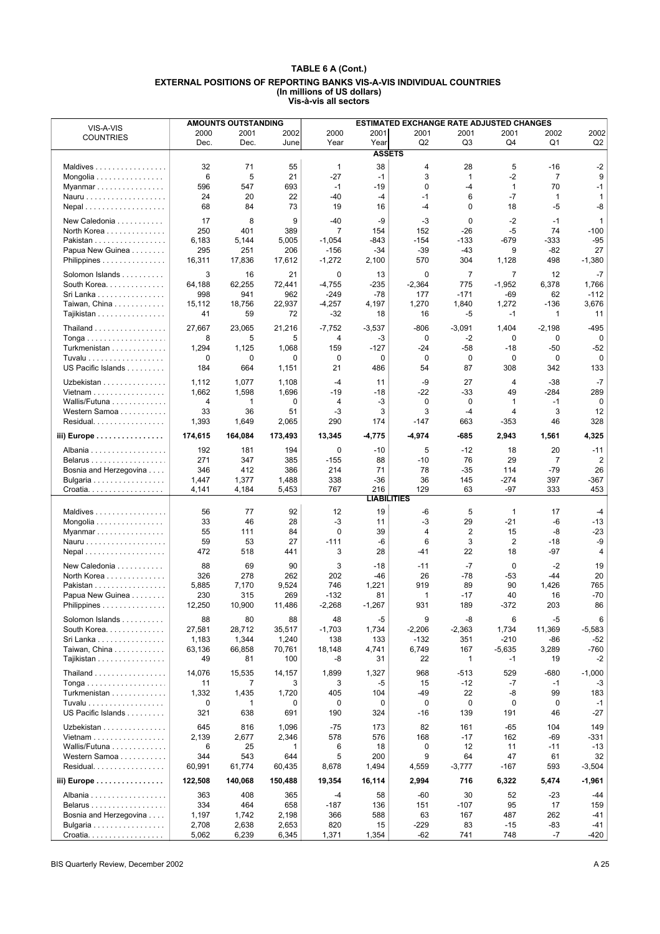|                                                               |          | <b>AMOUNTS OUTSTANDING</b> |         |                |                    | ESTIMATED EXCHANGE RATE ADJUSTED CHANGES |                |                |                |                 |
|---------------------------------------------------------------|----------|----------------------------|---------|----------------|--------------------|------------------------------------------|----------------|----------------|----------------|-----------------|
| VIS-A-VIS<br><b>COUNTRIES</b>                                 | 2000     | 2001                       | 2002    | 2000           | 2001               | 2001                                     | 2001           | 2001           | 2002           | 2002            |
|                                                               | Dec.     | Dec.                       | June    | Year           | Year               | Q2                                       | Q <sub>3</sub> | Q4             | Q <sub>1</sub> | Q <sub>2</sub>  |
|                                                               |          |                            |         |                | <b>ASSETS</b>      |                                          |                |                |                |                 |
| Maldives                                                      | 32       | 71                         | 55      | $\mathbf{1}$   | 38                 | 4                                        | 28             | 5              | -16            | $-2$            |
| Mongolia                                                      | 6        | 5                          | 21      | $-27$          | $-1$               | 3                                        | 1              | $-2$           | 7              | 9               |
| Myanmar                                                       | 596      | 547                        | 693     | $-1$           | -19                | 0                                        | $-4$           | $\mathbf{1}$   | 70             | $-1$            |
|                                                               | 24       | 20                         | 22      | -40            | $-4$               | $-1$                                     | 6              | $-7$           | 1              | 1               |
|                                                               | 68       | 84                         | 73      | 19             | 16                 | $-4$                                     | 0              | 18             | $-5$           | -8              |
| New Caledonia                                                 | 17       | 8                          | 9       | $-40$          | -9                 | -3                                       | $\mathbf 0$    | $-2$           | $-1$           | 1               |
| North Korea                                                   | 250      | 401                        | 389     | $\overline{7}$ | 154                | 152                                      | $-26$          | $-5$           | 74             | $-100$          |
| Pakistan                                                      | 6,183    | 5,144                      | 5,005   | $-1,054$       | $-843$             | $-154$                                   | $-133$         | $-679$         | -333           | $-95$           |
| Papua New Guinea                                              | 295      | 251                        | 206     | $-156$         | $-34$              | $-39$                                    | $-43$          | 9              | -82            | 27              |
| Philippines                                                   | 16,311   | 17,836                     | 17,612  | $-1,272$       | 2,100              | 570                                      | 304            | 1,128          | 498            | $-1,380$        |
|                                                               | 3        |                            | 21      | 0              | 13                 | 0                                        | $\overline{7}$ | $\overline{7}$ | 12             | $-7$            |
| Solomon Islands<br>South Korea.                               | 64,188   | 16<br>62,255               | 72,441  | $-4,755$       | -235               | $-2,364$                                 | 775            | $-1,952$       | 6,378          | 1,766           |
| Sri Lanka                                                     | 998      | 941                        | 962     | $-249$         | $-78$              | 177                                      | $-171$         | $-69$          | 62             | $-112$          |
| Taiwan, China                                                 | 15,112   | 18,756                     | 22,937  | $-4,257$       | 4,197              | 1,270                                    | 1,840          | 1,272          | $-136$         | 3,676           |
| Tajikistan                                                    | 41       | 59                         | 72      | $-32$          | 18                 | 16                                       | -5             | $-1$           | 1              | 11              |
|                                                               |          |                            |         |                |                    |                                          |                |                |                |                 |
| Thailand                                                      | 27,667   | 23,065                     | 21,216  | $-7,752$       | $-3,537$           | -806                                     | $-3,091$       | 1,404          | $-2,198$       | $-495$          |
| Tonga                                                         | 8        | 5                          | 5       | 4              | -3                 | 0                                        | $-2$           | 0              | 0              | 0               |
| Turkmenistan                                                  | 1,294    | 1,125                      | 1,068   | 159            | $-127$             | $-24$                                    | -58            | $-18$          | -50            | $-52$           |
| Tuvalu<br>US Pacific Islands                                  | 0<br>184 | 0<br>664                   | 0       | 0<br>21        | 0<br>486           | 0<br>54                                  | 0<br>87        | 0<br>308       | 0<br>342       | $\Omega$<br>133 |
|                                                               |          |                            | 1,151   |                |                    |                                          |                |                |                |                 |
| Uzbekistan                                                    | 1,112    | 1,077                      | 1,108   | $-4$           | 11                 | -9                                       | 27             | 4              | $-38$          | $-7$            |
| Vietnam                                                       | 1,662    | 1,598                      | 1,696   | $-19$          | $-18$              | $-22$                                    | $-33$          | 49             | $-284$         | 289             |
| Wallis/Futuna                                                 | 4        | 1                          | 0       | 4              | -3                 | 0                                        | 0              | $\mathbf{1}$   | $-1$           | 0               |
| Western Samoa                                                 | 33       | 36                         | 51      | $-3$           | 3                  | 3                                        | $-4$           | 4              | 3              | 12              |
| Residual.                                                     | 1,393    | 1,649                      | 2,065   | 290            | 174                | $-147$                                   | 663            | $-353$         | 46             | 328             |
| iii) Europe                                                   | 174,615  | 164,084                    | 173,493 | 13,345         | $-4,775$           | -4,974                                   | -685           | 2,943          | 1,561          | 4,325           |
| Albania                                                       | 192      | 181                        | 194     | 0              | $-10$              | 5                                        | $-12$          | 18             | 20             | $-11$           |
|                                                               | 271      | 347                        | 385     | $-155$         | 88                 | $-10$                                    | 76             | 29             | 7              | 2               |
| Bosnia and Herzegovina                                        | 346      | 412                        | 386     | 214            | 71                 | 78                                       | $-35$          | 114            | $-79$          | 26              |
| Bulgaria                                                      | 1,447    | 1,377                      | 1,488   | 338            | $-36$              | 36                                       | 145            | $-274$         | 397            | $-367$          |
| Croatia.                                                      | 4,141    | 4,184                      | 5,453   | 767            | 216                | 129                                      | 63             | $-97$          | 333            | 453             |
|                                                               |          |                            |         |                | <b>LIABILITIES</b> |                                          |                |                |                |                 |
| Maldives                                                      | 56       | 77                         | 92      | 12             | 19                 | -6                                       | 5              | $\mathbf{1}$   | 17             | $-4$            |
| Mongolia                                                      | 33       | 46                         | 28      | -3             | 11                 | -3                                       | 29             | $-21$          | $-6$           | $-13$           |
| Myanmar                                                       | 55       | 111                        | 84      | $\mathbf 0$    | 39                 | 4                                        | $\overline{2}$ | 15             | -8             | $-23$           |
|                                                               | 59       | 53                         | 27      | $-111$         | -6                 | 6                                        | 3              | $\overline{2}$ | $-18$          | -9              |
|                                                               | 472      | 518                        | 441     | 3              | 28                 | $-41$                                    | 22             | 18             | $-97$          | 4               |
| New Caledonia                                                 | 88       | 69                         | 90      | 3              | -18                | $-11$                                    | $-7$           | $\mathbf 0$    | $-2$           | 19              |
| North Korea                                                   | 326      | 278                        | 262     | 202            | -46                | 26                                       | $-78$          | $-53$          | -44            | 20              |
| Pakistan                                                      | 5,885    | 7,170                      | 9,524   | 746            | 1,221              | 919                                      | 89             | 90             | 1,426          | 765             |
| Papua New Guinea                                              | 230      | 315                        | 269     | $-132$         | 81                 | $\mathbf{1}$                             | $-17$          | 40             | 16             | $-70$           |
| Philippines                                                   | 12,250   | 10,900                     | 11,486  | $-2,268$       | $-1,267$           | 931                                      | 189            | -372           | 203            | 86              |
| Solomon Islands                                               | 88       | 80                         | 88      | 48             | $-5$               | 9                                        | -8             | 6              | -5             | 6               |
| South Korea.                                                  | 27,581   | 28,712                     | 35,517  | $-1,703$       | 1,734              | $-2,206$                                 | $-2,363$       | 1,734          | 11,369         | $-5,583$        |
| Sri Lanka                                                     | 1,183    | 1,344                      | 1,240   | 138            | 133                | $-132$                                   | 351            | $-210$         | -86            | -52             |
| Taiwan, China                                                 | 63,136   | 66,858                     | 70,761  | 18,148         | 4,741              | 6,749                                    | 167            | $-5,635$       | 3,289          | -760            |
| Tajikistan                                                    | 49       | 81                         | 100     | -8             | 31                 | 22                                       | 1              | $-1$           | 19             | $-2$            |
|                                                               | 14,076   | 15,535                     | 14,157  | 1,899          | 1,327              | 968                                      | $-513$         | 529            | $-680$         | $-1,000$        |
| Thailand<br>$Tonga \ldots \ldots \ldots \ldots \ldots \ldots$ | 11       | 7                          | 3       | 3              |                    | 15                                       | $-12$          | $-7$           | -1             | -3              |
| Turkmenistan                                                  | 1,332    | 1,435                      | 1,720   | 405            | -5<br>104          | -49                                      | 22             | -8             | 99             | 183             |
| Tuvalu                                                        | 0        | 1                          | 0       | 0              | 0                  | 0                                        | 0              | 0              | 0              | $-1$            |
| US Pacific Islands                                            | 321      | 638                        | 691     | 190            | 324                | $-16$                                    | 139            | 191            | 46             | $-27$           |
|                                                               |          |                            |         |                |                    |                                          |                |                |                |                 |
| Uzbekistan                                                    | 645      | 816                        | 1,096   | $-75$          | 173                | 82                                       | 161            | -65            | 104            | 149             |
| Vietnam                                                       | 2,139    | 2,677                      | 2,346   | 578            | 576                | 168                                      | $-17$          | 162            | $-69$          | $-331$          |
| Wallis/Futuna                                                 | 6        | 25                         | 1       | 6<br>5         | 18                 | 0<br>9                                   | 12             | 11             | $-11$          | $-13$           |
| Western Samoa                                                 | 344      | 543                        | 644     |                | 200                |                                          | 64             | 47             | 61             | 32              |
| Residual                                                      | 60,991   | 61,774                     | 60,435  | 8,678          | 1,494              | 4,559                                    | $-3,777$       | $-167$         | 593            | $-3,504$        |
| iii) Europe                                                   | 122,508  | 140,068                    | 150,488 | 19,354         | 16,114             | 2,994                                    | 716            | 6,322          | 5,474          | $-1,961$        |
| Albania                                                       | 363      | 408                        | 365     | -4             | 58                 | -60                                      | 30             | 52             | -23            | -44             |
| Belarus                                                       | 334      | 464                        | 658     | $-187$         | 136                | 151                                      | $-107$         | 95             | 17             | 159             |
| Bosnia and Herzegovina                                        | 1,197    | 1,742                      | 2,198   | 366            | 588                | 63                                       | 167            | 487            | 262            | $-41$           |
| Bulgaria                                                      | 2,708    | 2,638                      | 2,653   | 820            | 15                 | -229                                     | 83             | $-15$          | -83            | $-41$           |
| Croatia.                                                      | 5,062    | 6,239                      | 6,345   | 1,371          | 1,354              | $-62$                                    | 741            | 748            | -7             | $-420$          |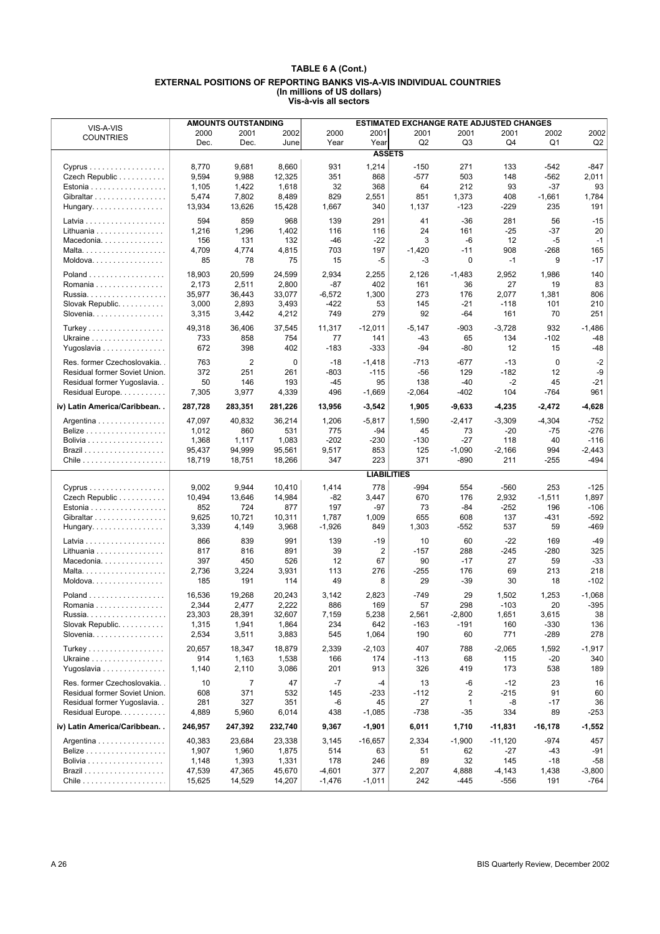|                                                |              | <b>AMOUNTS OUTSTANDING</b> |              |                |                    | ESTIMATED EXCHANGE RATE ADJUSTED CHANGES |                         |           |           |                |
|------------------------------------------------|--------------|----------------------------|--------------|----------------|--------------------|------------------------------------------|-------------------------|-----------|-----------|----------------|
| VIS-A-VIS                                      | 2000         | 2001                       | 2002         | 2000           | 2001               | 2001                                     | 2001                    | 2001      | 2002      | 2002           |
| <b>COUNTRIES</b>                               | Dec.         | Dec.                       | June         | Year           | Year               | Q2                                       | Q3                      | Q4        | Q1        | Q <sub>2</sub> |
|                                                |              |                            |              |                | <b>ASSETS</b>      |                                          |                         |           |           |                |
| Cyprus                                         | 8,770        | 9,681                      | 8,660        | 931            | 1,214              | $-150$                                   | 271                     | 133       | -542      | $-847$         |
| Czech Republic                                 | 9,594        | 9,988                      | 12,325       | 351            | 868                | $-577$                                   | 503                     | 148       | -562      | 2,011          |
| Estonia                                        | 1,105        | 1,422                      | 1,618        | 32             | 368                | 64                                       | 212                     | 93        | $-37$     | 93             |
| Gibraltar                                      | 5,474        | 7,802                      | 8,489        | 829            | 2,551              | 851                                      | 1,373                   | 408       | $-1,661$  | 1,784          |
| Hungary.                                       | 13,934       | 13,626                     | 15,428       | 1,667          | 340                | 1,137                                    | $-123$                  | -229      | 235       | 191            |
|                                                |              |                            |              |                |                    |                                          |                         |           |           |                |
|                                                | 594          | 859                        | 968          | 139            | 291                | 41                                       | $-36$                   | 281       | 56        | $-15$          |
| Lithuania                                      | 1,216        | 1,296                      | 1,402        | 116            | 116                | 24                                       | 161                     | $-25$     | $-37$     | 20             |
| Macedonia                                      | 156          | 131                        | 132          | $-46$          | $-22$              | 3                                        | -6                      | 12        | $-5$      | $-1$           |
|                                                | 4,709        | 4,774                      | 4,815        | 703            | 197                | $-1,420$                                 | $-11$                   | 908       | $-268$    | 165            |
| Moldova.                                       | 85           | 78                         | 75           | 15             | $-5$               | -3                                       | 0                       | $-1$      | 9         | $-17$          |
| Poland                                         | 18,903       | 20.599                     | 24,599       | 2,934          | 2,255              | 2,126                                    | $-1,483$                | 2,952     | 1,986     | 140            |
| Romania                                        | 2,173        | 2,511                      | 2,800        | $-87$          | 402                | 161                                      | 36                      | 27        | 19        | 83             |
| Russia.                                        | 35,977       | 36,443                     | 33,077       | $-6,572$       | 1,300              | 273                                      | 176                     | 2,077     | 1,381     | 806            |
| Slovak Republic.                               | 3,000        | 2,893                      | 3,493        | $-422$         | 53                 | 145                                      | $-21$                   | $-118$    | 101       | 210            |
| Slovenia                                       | 3,315        | 3,442                      | 4,212        | 749            | 279                | 92                                       | $-64$                   | 161       | 70        | 251            |
| Turkey                                         | 49,318       | 36,406                     | 37,545       | 11,317         | $-12,011$          | $-5,147$                                 | $-903$                  | $-3,728$  | 932       | $-1,486$       |
| Ukraine                                        | 733          | 858                        | 754          | 77             | 141                | -43                                      | 65                      | 134       | $-102$    | -48            |
| Yugoslavia                                     | 672          | 398                        | 402          | $-183$         | $-333$             | -94                                      | -80                     | 12        | 15        | $-48$          |
|                                                |              |                            |              |                |                    |                                          |                         |           |           |                |
| Res. former Czechoslovakia                     | 763          | 2                          | $\mathbf 0$  | $-18$          | $-1,418$           | $-713$                                   | $-677$                  | $-13$     | 0         | $-2$           |
| Residual former Soviet Union.                  | 372          | 251                        | 261          | $-803$         | $-115$             | $-56$                                    | 129                     | $-182$    | 12        | -9             |
| Residual former Yugoslavia                     | 50           | 146                        | 193          | $-45$          | 95                 | 138                                      | $-40$                   | $-2$      | 45        | $-21$          |
| Residual Europe.                               | 7,305        | 3,977                      | 4,339        | 496            | $-1,669$           | $-2,064$                                 | -402                    | 104       | $-764$    | 961            |
| iv) Latin America/Caribbean                    | 287,728      | 283,351                    | 281,226      | 13,956         | $-3,542$           | 1,905                                    | $-9,633$                | -4,235    | $-2,472$  | -4,628         |
| Argentina                                      | 47,097       | 40,832                     | 36,214       | 1,206          | $-5,817$           | 1,590                                    | $-2.417$                | $-3,309$  | $-4,304$  | $-752$         |
|                                                | 1,012        | 860                        | 531          | 775            | $-94$              | 45                                       | 73                      | $-20$     | $-75$     | $-276$         |
| Bolivia                                        | 1,368        | 1,117                      | 1,083        | $-202$         | $-230$             | $-130$                                   | $-27$                   | 118       | 40        | $-116$         |
|                                                | 95,437       | 94,999                     | 95,561       | 9,517          | 853                | 125                                      | $-1,090$                | $-2,166$  | 994       | $-2,443$       |
|                                                | 18,719       | 18,751                     | 18,266       | 347            | 223                | 371                                      | $-890$                  | 211       | $-255$    | $-494$         |
|                                                |              |                            |              |                | <b>LIABILITIES</b> |                                          |                         |           |           |                |
|                                                | 9,002        | 9,944                      | 10,410       |                | 778                | $-994$                                   | 554                     | -560      | 253       | $-125$         |
| Cyprus<br>Czech Republic                       | 10,494       | 13,646                     | 14,984       | 1,414<br>$-82$ | 3,447              | 670                                      | 176                     | 2,932     | $-1,511$  | 1,897          |
| Estonia                                        | 852          | 724                        | 877          | 197            | -97                | 73                                       | -84                     | $-252$    | 196       | $-106$         |
| Gibraltar                                      | 9,625        | 10,721                     | 10,311       | 1,787          | 1,009              | 655                                      | 608                     | 137       | $-431$    | $-592$         |
| Hungary.                                       | 3,339        | 4,149                      | 3,968        | $-1,926$       | 849                | 1,303                                    | $-552$                  | 537       | 59        | $-469$         |
|                                                |              |                            |              |                |                    |                                          |                         |           |           |                |
|                                                | 866          | 839                        | 991          | 139            | $-19$              | 10                                       | 60                      | $-22$     | 169       | $-49$          |
| Lithuania                                      | 817          | 816                        | 891          | 39             | 2                  | $-157$                                   | 288                     | $-245$    | $-280$    | 325            |
| Macedonia                                      | 397          | 450                        | 526          | 12             | 67                 | 90                                       | $-17$                   | 27        | 59        | $-33$          |
|                                                | 2,736        | 3,224                      | 3,931        | 113            | 276                | $-255$                                   | 176                     | 69        | 213       | 218            |
| Moldova.                                       | 185          | 191                        | 114          | 49             | 8                  | 29                                       | $-39$                   | 30        | 18        | $-102$         |
| Poland                                         | 16,536       | 19,268                     | 20,243       | 3,142          | 2,823              | $-749$                                   | 29                      | 1,502     | 1,253     | $-1,068$       |
| Romania                                        | 2,344        | 2,477                      | 2,222        | 886            | 169                | 57                                       | 298                     | $-103$    | 20        | $-395$         |
| Russia.                                        | 23,303       | 28,391                     | 32,607       | 7,159          | 5,238              | 2,561                                    | -2,800                  | 1,651     | 3,615     | 38             |
| Slovak Republic.                               | 1,315        | 1,941                      | 1,864        | 234            | 642                | $-163$                                   | $-191$                  | 160       | $-330$    | 136            |
| Slovenia                                       | 2,534        | 3,511                      | 3,883        | 545            | 1,064              | 190                                      | 60                      | 771       | $-289$    | 278            |
| Turkey                                         | 20,657       | 18,347                     | 18,879       | 2,339          | $-2,103$           | 407                                      | 788                     | $-2,065$  | 1,592     | $-1,917$       |
| Ukraine                                        | 914          | 1,163                      | 1,538        | 166            | 174                | $-113$                                   | 68                      | 115       | $-20$     | 340            |
| Yugoslavia                                     | 1,140        | 2,110                      | 3,086        | 201            | 913                | 326                                      | 419                     | 173       | 538       | 189            |
|                                                |              |                            |              |                |                    |                                          |                         |           |           |                |
| Res. former Czechoslovakia                     | 10           | 7                          | 47           | -7             | $-4$               | 13                                       | -6                      | $-12$     | 23        | 16             |
| Residual former Soviet Union.                  | 608          | 371                        | 532          | 145            | -233               | $-112$                                   | $\overline{\mathbf{c}}$ | $-215$    | 91        | 60             |
| Residual former Yugoslavia<br>Residual Europe. | 281<br>4,889 | 327<br>5,960               | 351<br>6,014 | -6<br>438      | 45<br>$-1,085$     | 27<br>-738                               | 1<br>-35                | -8<br>334 | -17<br>89 | 36<br>$-253$   |
|                                                |              |                            |              |                |                    |                                          |                         |           |           |                |
| iv) Latin America/Caribbean                    | 246,957      | 247,392                    | 232,740      | 9,367          | $-1,901$           | 6,011                                    | 1,710                   | $-11,831$ | $-16,178$ | $-1,552$       |
| Argentina                                      | 40,383       | 23,684                     | 23,338       | 3,145          | $-16,657$          | 2,334                                    | $-1,900$                | $-11,120$ | $-974$    | 457            |
|                                                | 1,907        | 1,960                      | 1,875        | 514            | 63                 | 51                                       | 62                      | $-27$     | -43       | $-91$          |
| Bolivia                                        | 1,148        | 1,393                      | 1,331        | 178            | 246                | 89                                       | 32                      | 145       | $-18$     | $-58$          |
|                                                | 47,539       | 47,365                     | 45,670       | $-4,601$       | 377                | 2,207                                    | 4,888                   | $-4,143$  | 1,438     | $-3,800$       |
|                                                | 15,625       | 14,529                     | 14,207       | $-1,476$       | $-1,011$           | 242                                      | $-445$                  | $-556$    | 191       | -764           |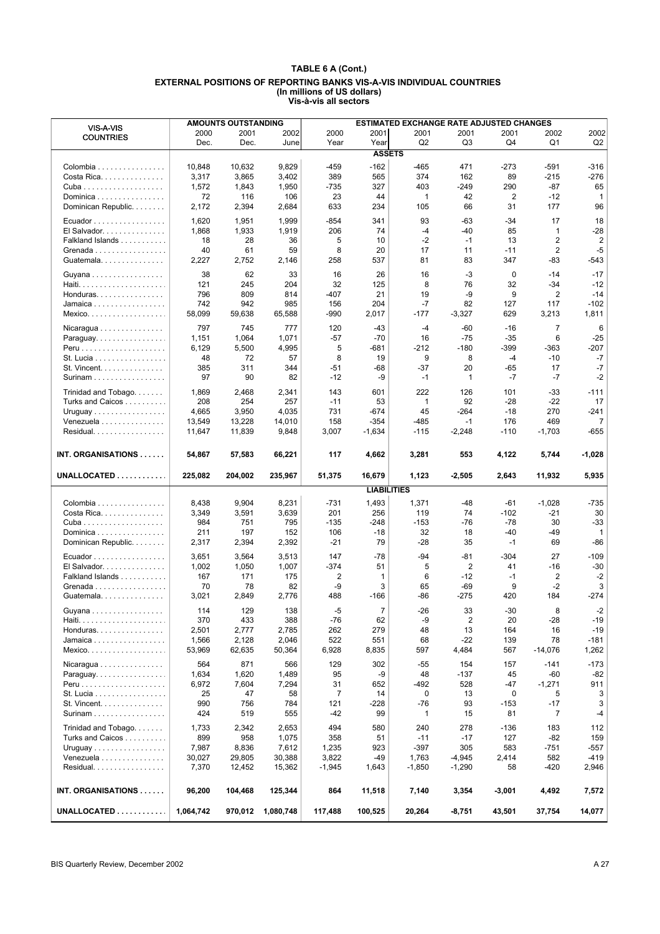|                               |         | <b>AMOUNTS OUTSTANDING</b> |         |          |                    | <b>ESTIMATED EXCHANGE RATE ADJUSTED CHANGES</b> |                |          |                |                |
|-------------------------------|---------|----------------------------|---------|----------|--------------------|-------------------------------------------------|----------------|----------|----------------|----------------|
| VIS-A-VIS<br><b>COUNTRIES</b> | 2000    | 2001                       | 2002    | 2000     | 2001               | 2001                                            | 2001           | 2001     | 2002           | 2002           |
|                               | Dec.    | Dec.                       | June    | Year     | Year               | Q2                                              | Q3             | Q4       | Q1             | Q2             |
|                               |         |                            |         |          | <b>ASSETS</b>      |                                                 |                |          |                |                |
| Colombia                      | 10,848  | 10,632                     | 9,829   | -459     | -162               | -465                                            | 471            | -273     | -591           | -316           |
| Costa Rica.                   | 3,317   | 3,865                      | 3,402   | 389      | 565                | 374                                             | 162            | 89       | $-215$         | $-276$         |
|                               | 1,572   | 1,843                      | 1,950   | $-735$   | 327                | 403                                             | $-249$         | 290      | $-87$          | 65             |
| Dominica                      | 72      | 116                        | 106     | 23       | 44                 | 1                                               | 42             | 2        | $-12$          | 1              |
| Dominican Republic.           | 2,172   | 2,394                      | 2,684   | 633      | 234                | 105                                             | 66             | 31       | 177            | 96             |
| Ecuador                       | 1,620   | 1,951                      | 1,999   | -854     | 341                | 93                                              | -63            | $-34$    | 17             | 18             |
| El Salvador.                  | 1,868   | 1,933                      | 1,919   | 206      | 74                 | $-4$                                            | $-40$          | 85       | $\mathbf{1}$   | -28            |
| Falkland Islands              | 18      | 28                         | 36      | 5        | 10                 | $-2$                                            | $-1$           | 13       | $\overline{2}$ | $\overline{2}$ |
| Grenada                       | 40      | 61                         | 59      | 8        | 20                 | 17                                              | 11             | $-11$    | $\overline{2}$ | $-5$           |
| Guatemala                     | 2,227   | 2,752                      | 2,146   | 258      | 537                | 81                                              | 83             | 347      | -83            | -543           |
| Guyana                        | 38      | 62                         | 33      | 16       | 26                 | 16                                              | -3             | 0        | $-14$          | $-17$          |
| Haiti                         | 121     | 245                        | 204     | 32       | 125                | 8                                               | 76             | 32       | $-34$          | $-12$          |
| Honduras.                     | 796     | 809                        | 814     | $-407$   | 21                 | 19                                              | -9             | 9        | 2              | -14            |
| Jamaica                       | 742     | 942                        | 985     | 156      | 204                | $-7$                                            | 82             | 127      | 117            | $-102$         |
| Mexico.                       | 58,099  | 59,638                     | 65,588  | -990     | 2,017              | $-177$                                          | $-3,327$       | 629      | 3,213          | 1,811          |
| Nicaragua                     | 797     | 745                        | 777     | 120      | $-43$              | $-4$                                            | $-60$          | $-16$    | 7              | 6              |
| Paraguay                      | 1,151   | 1,064                      | 1,071   | $-57$    | $-70$              | 16                                              | $-75$          | $-35$    | 6              | $-25$          |
|                               | 6,129   | 5,500                      | 4,995   | 5        | -681               | $-212$                                          | $-180$         | $-399$   | $-363$         | $-207$         |
| St. Lucia                     | 48      | 72                         | 57      | 8        | 19                 | 9                                               | 8              | $-4$     | $-10$          | -7             |
| St. Vincent.                  | 385     | 311                        | 344     | $-51$    | $-68$              | $-37$                                           | 20             | -65      | 17             | $-7$           |
| Surinam                       | 97      | 90                         | 82      | $-12$    | -9                 | $-1$                                            | 1              | $-7$     | $-7$           | $-2$           |
| Trinidad and Tobago.          | 1,869   | 2,468                      | 2,341   | 143      | 601                | 222                                             | 126            | 101      | $-33$          | $-111$         |
| Turks and Caicos              | 208     | 254                        | 257     | $-11$    | 53                 | 1                                               | 92             | $-28$    | $-22$          | 17             |
| Uruguay                       | 4,665   | 3,950                      | 4,035   | 731      | -674               | 45                                              | $-264$         | $-18$    | 270            | -241           |
| Venezuela                     | 13,549  | 13,228                     | 14,010  | 158      | -354               | -485                                            | $-1$           | 176      | 469            | 7              |
| Residual.                     | 11,647  | 11,839                     | 9,848   | 3,007    | $-1,634$           | $-115$                                          | $-2,248$       | $-110$   | $-1,703$       | -655           |
|                               |         |                            |         |          |                    |                                                 |                |          |                |                |
| INT. ORGANISATIONS            | 54,867  | 57,583                     | 66,221  | 117      | 4,662              | 3,281                                           | 553            | 4,122    | 5,744          | $-1,028$       |
|                               |         |                            |         |          |                    |                                                 |                |          |                |                |
|                               |         |                            |         |          |                    |                                                 |                |          |                |                |
| UNALLOCATED                   | 225,082 | 204,002                    | 235,967 | 51,375   | 16,679             | 1,123                                           | $-2,505$       | 2,643    | 11,932         | 5,935          |
|                               |         |                            |         |          |                    |                                                 |                |          |                |                |
|                               |         |                            |         |          | <b>LIABILITIES</b> |                                                 |                |          |                |                |
| Colombia                      | 8,438   | 9,904                      | 8,231   | $-731$   | 1,493              | 1,371                                           | $-48$          | -61      | $-1,028$       | -735           |
| Costa Rica.                   | 3,349   | 3,591                      | 3,639   | 201      | 256                | 119                                             | 74             | $-102$   | $-21$          | 30             |
|                               | 984     | 751                        | 795     | $-135$   | $-248$             | $-153$                                          | -76            | $-78$    | 30             | -33            |
| Dominica                      | 211     | 197                        | 152     | 106      | $-18$              | 32                                              | 18             | -40      | -49            | 1              |
| Dominican Republic.           | 2,317   | 2,394                      | 2,392   | $-21$    | 79                 | $-28$                                           | 35             | $-1$     | 69             | -86            |
| Ecuador                       | 3,651   | 3,564                      | 3,513   | 147      | $-78$              | $-94$                                           | -81            | $-304$   | 27             | -109           |
| El Salvador.                  | 1,002   | 1,050                      | 1,007   | $-374$   | 51                 | 5                                               | $\overline{c}$ | 41       | -16            | $-30$          |
| Falkland Islands              | 167     | 171                        | 175     | 2        | 1                  | 6                                               | $-12$          | $-1$     | 2              | $-2$           |
| Grenada                       | 70      | 78                         | 82      | -9       | 3                  | 65                                              | -69            | 9        | $-2$           | 3              |
| Guatemala                     | 3,021   | 2,849                      | 2,776   | 488      | $-166$             | -86                                             | $-275$         | 420      | 184            | -274           |
| Guyana.                       | 114     | 129                        | 138     | -5       | 7                  | $-26$                                           | 33             | $-30$    | 8              | $-2$           |
|                               | 370     | 433                        | 388     | $-76$    | 62                 | -9                                              | $\overline{2}$ | 20       | -28            | -19            |
| Honduras                      | 2,501   | 2,777                      | 2,785   | 262      | 279                | 48                                              | 13             | 164      | 16             | -19            |
| Jamaica                       | 1,566   | 2,128                      | 2,046   | 522      | 551                | 68                                              | $-22$          | 139      | 78             | $-181$         |
| Mexico.                       | 53,969  | 62,635                     | 50,364  | 6,928    | 8,835              | 597                                             | 4,484          | 567      | $-14,076$      | 1,262          |
| Nicaragua                     | 564     | 871                        | 566     | 129      | 302                | -55                                             | 154            | 157      | $-141$         | $-173$         |
| Paraguay                      | 1,634   | 1,620                      | 1,489   | 95       | -9                 | 48                                              | $-137$         | 45       | $-60$          | -82            |
|                               | 6,972   | 7,604                      | 7,294   | 31       | 652                | -492                                            | 528            | $-47$    | $-1,271$       | 911            |
| St. Lucia                     | 25      | 47                         | 58      | 7        | 14                 | 0                                               | 13             | 0        | 5              | 3              |
| St. Vincent.                  | 990     | 756                        | 784     | 121      | -228               | $-76$                                           | 93             | $-153$   | $-17$          | 3              |
| Surinam                       | 424     | 519                        | 555     | $-42$    | 99                 | 1                                               | 15             | 81       | 7              | -4             |
| Trinidad and Tobago           | 1,733   | 2,342                      | 2,653   | 494      | 580                | 240                                             | 278            | $-136$   | 183            | 112            |
| Turks and Caicos              | 899     | 958                        | 1,075   | 358      | 51                 | $-11$                                           | $-17$          | 127      | -82            | 159            |
| Uruguay                       | 7,987   | 8,836                      | 7,612   | 1,235    | 923                | $-397$                                          | 305            | 583      | -751           | -557           |
| Venezuela                     | 30,027  | 29,805                     | 30,388  | 3,822    | -49                | 1,763                                           | $-4,945$       | 2,414    | 582            | $-419$         |
| Residual                      | 7,370   | 12,452                     | 15,362  | $-1,945$ | 1,643              | $-1,850$                                        | $-1,290$       | 58       | -420           | 2,946          |
|                               |         |                            |         |          |                    |                                                 |                |          |                |                |
| INT. ORGANISATIONS            | 96,200  | 104,468                    | 125,344 | 864      | 11,518             | 7,140                                           | 3,354          | $-3,001$ | 4,492          | 7,572          |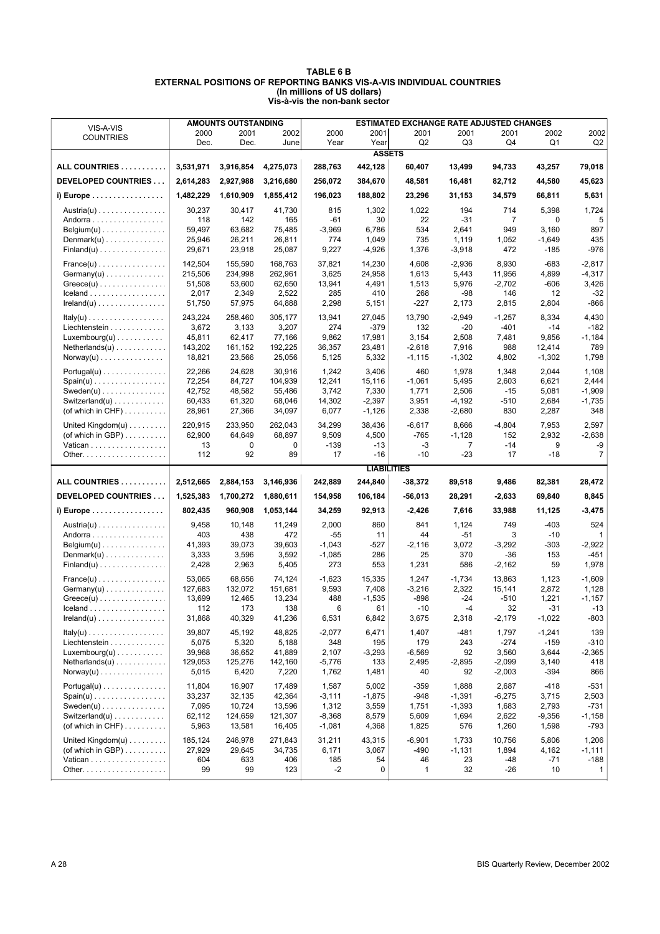|                                                   |               | <b>AMOUNTS OUTSTANDING</b> |               |          |                               | <b>ESTIMATED EXCHANGE RATE ADJUSTED CHANGES</b> |               |                |          |                 |
|---------------------------------------------------|---------------|----------------------------|---------------|----------|-------------------------------|-------------------------------------------------|---------------|----------------|----------|-----------------|
| VIS-A-VIS                                         | 2000          | 2001                       | 2002          | 2000     | 2001                          | 2001                                            | 2001          | 2001           | 2002     | 2002            |
| <b>COUNTRIES</b>                                  | Dec.          | Dec.                       | June          | Year     | Year                          | Q2                                              | Q3            | Q4             | Q1       | Q <sub>2</sub>  |
|                                                   |               |                            |               |          | <b>ASSETS</b>                 |                                                 |               |                |          |                 |
|                                                   | 3,531,971     |                            | 4,275,073     |          |                               |                                                 |               |                |          |                 |
| ALL COUNTRIES                                     |               | 3,916,854                  |               | 288,763  | 442,128                       | 60,407                                          | 13,499        | 94,733         | 43,257   | 79,018          |
| DEVELOPED COUNTRIES                               | 2,614,283     | 2,927,988                  | 3,216,680     | 256,072  | 384,670                       | 48,581                                          | 16,481        | 82,712         | 44,580   | 45,623          |
| $i)$ Europe $\dots \dots \dots \dots \dots \dots$ | 1,482,229     | 1,610,909                  | 1,855,412     | 196,023  | 188,802                       | 23,296                                          | 31,153        | 34,579         | 66,811   | 5,631           |
| Austria(u)                                        | 30,237        | 30,417                     | 41,730        | 815      | 1,302                         | 1,022                                           | 194           | 714            | 5,398    | 1,724           |
| Andorra                                           | 118           | 142                        | 165           | $-61$    | 30                            | 22                                              | $-31$         | $\overline{7}$ | 0        | 5               |
| $Belgium(u)$                                      | 59,497        | 63,682                     | 75,485        | $-3,969$ | 6,786                         | 534                                             | 2,641         | 949            | 3,160    | 897             |
| $Dennark(u) \ldots \ldots \ldots \ldots$          | 25,946        | 26,211                     | 26,811        | 774      | 1,049                         | 735                                             | 1,119         | 1,052          | $-1,649$ | 435             |
| $Findand(u)$                                      | 29,671        | 23,918                     | 25,087        | 9,227    | $-4,926$                      | 1,376                                           | $-3,918$      | 472            | $-185$   | -976            |
| $France(u) \ldots \ldots \ldots \ldots \ldots$    | 142,504       | 155,590                    | 168,763       | 37,821   | 14,230                        | 4,608                                           | $-2,936$      | 8,930          | $-683$   | $-2,817$        |
| $Germany(u)$                                      | 215,506       | 234,998                    | 262,961       | 3,625    | 24,958                        | 1,613                                           | 5,443         | 11,956         | 4,899    | $-4,317$        |
| $Greeze(u) \ldots \ldots \ldots \ldots \ldots$    | 51,508        | 53,600                     | 62,650        | 13,941   | 4,491                         | 1,513                                           | 5,976         | $-2,702$       | $-606$   | 3,426           |
| Iceland                                           | 2,017         | 2,349                      | 2,522         | 285      | 410                           | 268                                             | $-98$         | 146            | 12       | $-32$           |
| $Ireland(u) \ldots \ldots \ldots \ldots \ldots$   | 51,750        | 57,975                     | 64,888        | 2,298    | 5,151                         | $-227$                                          | 2,173         | 2,815          | 2,804    | -866            |
|                                                   |               |                            |               |          |                               |                                                 |               |                |          |                 |
| $ltaky(u)$                                        | 243,224       | 258,460                    | 305,177       | 13,941   | 27,045                        | 13,790                                          | $-2,949$      | $-1,257$       | 8,334    | 4,430           |
| Liechtenstein                                     | 3,672         | 3,133                      | 3,207         | 274      | -379                          | 132                                             | $-20$         | $-401$         | $-14$    | $-182$          |
| $Luxembourg(u) \ldots \ldots \ldots$              | 45,811        | 62,417                     | 77,166        | 9,862    | 17,981                        | 3,154                                           | 2,508         | 7,481          | 9,856    | $-1,184$        |
| $Netherlands(u) \ldots \ldots \ldots \ldots$      | 143,202       | 161,152                    | 192,225       | 36,357   | 23,481                        | $-2,618$                                        | 7,916         | 988            | 12,414   | 789             |
| $Norway(u)$                                       | 18,821        | 23,566                     | 25,056        | 5,125    | 5,332                         | $-1,115$                                        | $-1,302$      | 4,802          | $-1,302$ | 1,798           |
| $Portugal(u) \ldots \ldots \ldots \ldots$         | 22,266        | 24,628                     | 30,916        | 1,242    | 3,406                         | 460                                             | 1,978         | 1,348          | 2,044    | 1,108           |
| $Spin(u)$                                         | 72,254        | 84,727                     | 104,939       | 12,241   | 15,116                        | $-1,061$                                        | 5,495         | 2,603          | 6,621    | 2,444           |
| $Sweden(u)$                                       | 42.752        | 48.582                     | 55.486        | 3,742    | 7,330                         | 1,771                                           | 2,506         | -15            | 5,081    | $-1,909$        |
| Switzerland( $u$ )                                | 60,433        | 61,320                     | 68,046        | 14,302   | $-2,397$                      | 3,951                                           | $-4,192$      | -510           | 2,684    | $-1,735$        |
| (of which in CHF) $\dots \dots$                   | 28,961        | 27,366                     | 34,097        | 6,077    | $-1,126$                      | 2,338                                           | $-2,680$      | 830            | 2,287    | 348             |
| United Kingdom(u)                                 | 220.915       | 233,950                    | 262,043       | 34,299   | 38,436                        | $-6,617$                                        | 8,666         | $-4,804$       | 7,953    | 2,597           |
| (of which in GBP) $\dots$                         | 62,900        | 64,649                     | 68,897        | 9,509    | 4,500                         | $-765$                                          | $-1,128$      | 152            | 2,932    | $-2,638$        |
| Vatican                                           | 13            | $\mathbf 0$                | 0             | $-139$   | $-13$                         | -3                                              | 7             | $-14$          | 9        | -9              |
|                                                   | 112           | 92                         | 89            | 17       | $-16$                         | -10                                             | $-23$         | 17             | $-18$    | $\overline{7}$  |
|                                                   |               |                            |               |          |                               |                                                 |               |                |          |                 |
| ALL COUNTRIES                                     | 2,512,665     | 2,884,153                  | 3,146,936     | 242,889  | <b>LIABILITIES</b><br>244,840 | $-38,372$                                       | 89,518        | 9,486          | 82,381   | 28,472          |
| DEVELOPED COUNTRIES                               | 1,525,383     | 1,700,272                  | 1,880,611     | 154,958  | 106,184                       | $-56,013$                                       | 28,291        | $-2,633$       | 69,840   | 8,845           |
| i) Europe                                         | 802,435       | 960,908                    | 1,053,144     | 34,259   | 92,913                        | $-2,426$                                        | 7,616         | 33,988         | 11,125   | $-3,475$        |
| $A$ ustria $(u)$                                  | 9,458         | 10,148                     | 11,249        | 2,000    | 860                           | 841                                             | 1,124         | 749            | $-403$   | 524             |
| Andorra                                           | 403           | 438                        | 472           | -55      | 11                            | 44                                              | -51           | 3              | $-10$    |                 |
| $Belqium(u)$                                      | 41,393        | 39,073                     | 39,603        | $-1,043$ | -527                          | $-2,116$                                        | 3,072         | $-3,292$       | $-303$   | $-2,922$        |
| $Dennark(u) \ldots \ldots \ldots \ldots$          | 3,333         | 3,596                      | 3,592         | $-1,085$ | 286                           | 25                                              | 370           | $-36$          | 153      | -451            |
| $Finland(u)$                                      | 2,428         | 2,963                      | 5,405         | 273      | 553                           | 1,231                                           | 586           | $-2,162$       | 59       | 1,978           |
|                                                   |               |                            |               |          |                               |                                                 |               |                |          |                 |
| $France(u) \ldots \ldots \ldots \ldots \ldots$    | 53,065        | 68,656                     | 74,124        | $-1,623$ | 15.335                        | 1,247                                           | $-1,734$      | 13.863         | 1,123    | $-1,609$        |
| $Germany(u) \ldots \ldots \ldots \ldots$          | 127,683       | 132,072                    | 151,681       | 9,593    | 7,408                         | $-3,216$                                        | 2,322         | 15,141         | 2,872    | 1,128           |
| $Greeze(u) \dots \dots \dots \dots \dots$         | 13,699<br>112 | 12,465<br>173              | 13,234<br>138 | 488<br>6 | $-1,535$<br>61                | -898<br>$-10$                                   | $-24$<br>$-4$ | $-510$<br>32   | 1,221    | $-1,157$<br>-13 |
| Iceland                                           |               |                            |               |          |                               |                                                 |               |                | -31      |                 |
| $Ireland(u) \ldots \ldots \ldots \ldots \ldots$   | 31,868        | 40,329                     | 41,236        | 6,531    | 6,842                         | 3,675                                           | 2,318         | $-2,179$       | $-1,022$ | -803            |
| $ltaky(u)$                                        | 39,807        | 45,192                     | 48,825        | $-2,077$ | 6,471                         | 1,407                                           | $-481$        | 1,797          | $-1,241$ | 139             |
| Liechtenstein                                     | 5,075         | 5,320                      | 5,188         | 348      | 195                           | 179                                             | 243           | $-274$         | $-159$   | $-310$          |
| $Luxembourg(u) \ldots \ldots \ldots$              | 39,968        | 36,652                     | 41,889        | 2,107    | $-3,293$                      | -6,569                                          | 92            | 3,560          | 3,644    | $-2,365$        |
| $Netherlands(u) \ldots \ldots \ldots \ldots$      | 129,053       | 125,276                    | 142,160       | $-5,776$ | 133                           | 2,495                                           | $-2,895$      | $-2,099$       | 3,140    | 418             |
| $\text{Norway}(u)$                                | 5,015         | 6,420                      | 7,220         | 1,762    | 1,481                         | 40                                              | 92            | $-2,003$       | $-394$   | 866             |
| $Portugal(u) \ldots \ldots \ldots \ldots$         | 11,804        | 16,907                     | 17,489        | 1,587    | 5,002                         | $-359$                                          | 1,888         | 2,687          | $-418$   | -531            |
| $Span(u)$                                         | 33,237        | 32,135                     | 42,364        | $-3,111$ | $-1,875$                      | $-948$                                          | $-1,391$      | $-6,275$       | 3,715    | 2,503           |
| Sweden(u) $\dots\dots\dots\dots\dots$             | 7,095         | 10,724                     | 13,596        | 1,312    | 3,559                         | 1,751                                           | $-1,393$      | 1,683          | 2,793    | $-731$          |
| Switzerland( $u$ )                                | 62,112        | 124,659                    | 121,307       | $-8,368$ | 8,579                         | 5,609                                           | 1,694         | 2,622          | $-9,356$ | $-1,158$        |
| (of which in $CHF$ )                              | 5,963         | 13,581                     | 16,405        | $-1,081$ | 4,368                         | 1,825                                           | 576           | 1,260          | 1,598    | -793            |
| United Kingdom $(u)$                              | 185,124       | 246,978                    | 271,843       | 31,211   | 43,315                        | $-6,901$                                        | 1,733         | 10,756         | 5,806    | 1,206           |
| (of which in GBP) $\dots \dots$                   | 27,929        | 29,645                     | 34,735        | 6,171    | 3,067                         | -490                                            | $-1,131$      | 1,894          | 4,162    | $-1,111$        |
| Vatican                                           | 604           | 633                        | 406           | 185      | 54                            | 46                                              | 23            | -48            | -71      | -188            |
|                                                   | 99            | 99                         | 123           | $-2$     | 0                             | 1                                               | 32            | -26            | 10       | $\mathbf{1}$    |
|                                                   |               |                            |               |          |                               |                                                 |               |                |          |                 |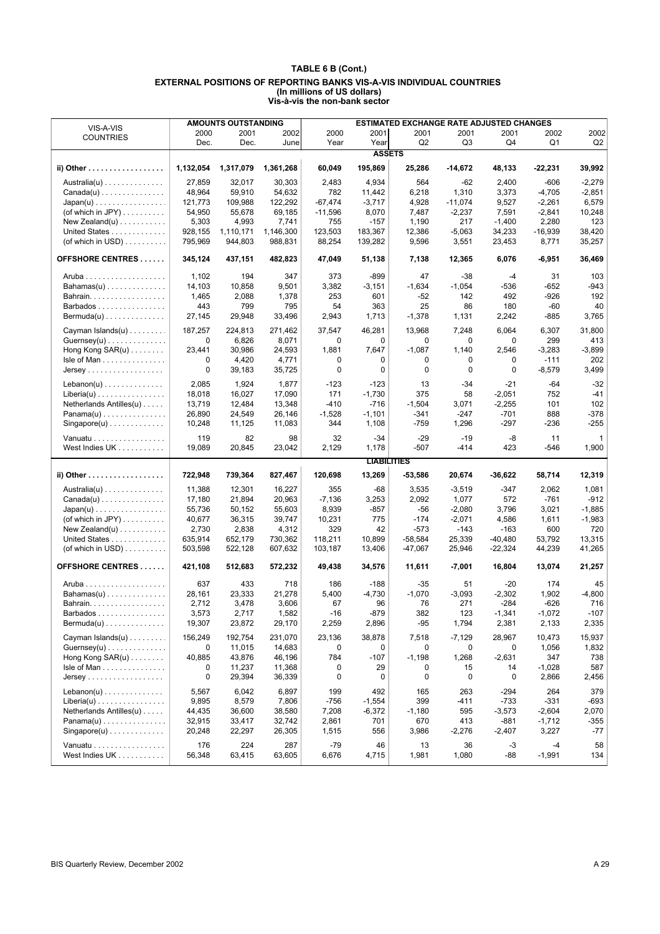|                                               |                  | <b>AMOUNTS OUTSTANDING</b> |                  |               |                    | <b>ESTIMATED EXCHANGE RATE ADJUSTED CHANGES</b> |                 |                      |            |              |
|-----------------------------------------------|------------------|----------------------------|------------------|---------------|--------------------|-------------------------------------------------|-----------------|----------------------|------------|--------------|
| VIS-A-VIS                                     | 2000             | 2001                       | 2002             | 2000          | 2001               | 2001                                            | 2001            | 2001                 | 2002       | 2002         |
| <b>COUNTRIES</b>                              | Dec.             | Dec.                       | June             | Year          | Year               | Q2                                              | Q3              | Q4                   | Q1         | Q2           |
|                                               |                  |                            |                  |               | <b>ASSETS</b>      |                                                 |                 |                      |            |              |
| ii) Other                                     | 1,132,054        | 1,317,079                  | 1,361,268        | 60,049        | 195,869            | 25,286                                          | $-14,672$       | 48,133               | -22,231    | 39,992       |
| $A$ ustralia $(u)$                            | 27,859           | 32,017                     | 30,303           | 2,483         | 4,934              | 564                                             | $-62$           | 2,400                | $-606$     | $-2,279$     |
| $Canada(u) \ldots \ldots \ldots \ldots$       | 48,964           | 59,910                     | 54,632           | 782           | 11,442             | 6,218                                           | 1,310           | 3,373                | $-4,705$   | -2,851       |
| $Japan(u) \ldots \ldots \ldots \ldots$        | 121,773          | 109,988                    | 122,292          | $-67,474$     | $-3,717$           | 4,928                                           | $-11,074$       | 9,527                | $-2,261$   | 6,579        |
| (of which in JPY) $\dots \dots$               | 54,950           | 55,678                     | 69,185           | $-11,596$     | 8,070              | 7,487                                           | $-2,237$        | 7,591                | $-2,841$   | 10,248       |
| New Zealand( $u$ ) $\dots$                    | 5,303            | 4,993                      | 7,741            | 755           | -157               | 1,190                                           | 217             | $-1,400$             | 2,280      | 123          |
| United States                                 | 928,155          | 1,110,171                  | 1,146,300        | 123,503       | 183,367            | 12,386                                          | $-5,063$        | 34,233               | $-16,939$  | 38,420       |
| (of which in USD) $\dots \dots$               | 795.969          | 944,803                    | 988,831          | 88,254        | 139,282            | 9,596                                           | 3,551           | 23,453               | 8,771      | 35,257       |
| <b>OFFSHORE CENTRES</b>                       | 345,124          | 437,151                    | 482,823          | 47,049        | 51,138             | 7,138                                           | 12,365          | 6,076                | $-6,951$   | 36,469       |
|                                               | 1,102            | 194                        | 347              | 373           | -899               | 47                                              | $-38$           | $-4$                 | 31         | 103          |
| $Bahamas(u) \ldots \ldots \ldots \ldots$      | 14,103           | 10,858                     | 9,501            | 3,382         | $-3,151$           | $-1,634$                                        | $-1,054$        | -536                 | -652       | -943         |
| Bahrain.                                      | 1,465            | 2,088                      | 1,378            | 253           | 601                | $-52$                                           | 142             | 492                  | -926       | 192          |
| Barbados                                      | 443              | 799                        | 795              | 54            | 363                | 25                                              | 86              | 180                  | $-60$      | 40           |
| $Bernuda(u) \ldots \ldots \ldots \ldots$      | 27,145           | 29,948                     | 33,496           | 2,943         | 1,713              | $-1,378$                                        | 1,131           | 2,242                | -885       | 3,765        |
| Cayman Islands(u)                             | 187,257          | 224.813                    | 271,462          | 37,547        | 46,281             | 13,968                                          | 7,248           | 6,064                | 6,307      | 31,800       |
| $Guernsey(u) \ldots \ldots \ldots \ldots$     | 0                | 6,826                      | 8,071            | 0             | 0                  | 0                                               | 0               | 0                    | 299        | 413          |
| Hong Kong SAR(u)                              | 23,441           | 30,986                     | 24,593           | 1,881         | 7,647              | $-1.087$                                        | 1,140           | 2,546                | $-3,283$   | $-3,899$     |
| $Isle of Man$                                 | 0                | 4,420                      | 4,771            | 0             | 0                  | 0                                               | 0               | 0                    | $-111$     | 202          |
| $Jersey \ldots \ldots \ldots$                 | 0                | 39,183                     | 35,725           | $\mathbf 0$   | $\Omega$           | $\mathbf 0$                                     | 0               | $\mathbf 0$          | $-8,579$   | 3,499        |
|                                               |                  |                            |                  |               |                    |                                                 |                 |                      | $-64$      |              |
| $Lebanon(u)$                                  | 2,085            | 1,924                      | 1,877            | $-123$        | $-123$             | 13                                              | $-34$           | $-21$                |            | $-32$        |
| $Liberia(u)$                                  | 18,018<br>13,719 | 16,027<br>12,484           | 17,090           | 171<br>$-410$ | $-1,730$<br>$-716$ | 375<br>$-1,504$                                 | 58              | $-2,051$<br>$-2,255$ | 752<br>101 | $-41$<br>102 |
| Netherlands Antilles(u)<br>$Panama(u)$        | 26,890           | 24,549                     | 13,348<br>26,146 | $-1,528$      | $-1,101$           | $-341$                                          | 3,071<br>$-247$ | $-701$               | 888        | $-378$       |
| $Singapore(u)$                                | 10,248           | 11,125                     | 11,083           | 344           | 1,108              | $-759$                                          | 1,296           | $-297$               | -236       | $-255$       |
|                                               |                  |                            |                  |               |                    |                                                 |                 |                      |            |              |
| Vanuatu                                       | 119              | 82                         | 98               | 32            | $-34$              | $-29$                                           | $-19$           | -8                   | 11         | $\mathbf{1}$ |
| West Indies UK                                | 19,089           | 20,845                     | 23,042           | 2,129         | 1,178              | $-507$                                          | -414            | 423                  | -546       | 1,900        |
|                                               |                  |                            |                  |               | <b>LIABILITIES</b> |                                                 |                 |                      |            |              |
| ii) Other                                     | 722,948          | 739,364                    | 827,467          | 120,698       | 13,269             | $-53,586$                                       | 20,674          | -36,622              | 58,714     | 12,319       |
| $A$ ustralia $(u)$                            | 11,388           | 12,301                     | 16,227           | 355           | $-68$              | 3,535                                           | $-3,519$        | $-347$               | 2,062      | 1,081        |
| $Canada(u) \ldots \ldots \ldots \ldots$       | 17,180           | 21,894                     | 20,963           | $-7,136$      | 3,253              | 2,092                                           | 1,077           | 572                  | $-761$     | $-912$       |
| $Japan(u) \ldots \ldots \ldots \ldots \ldots$ | 55,736           | 50,152                     | 55,603           | 8,939         | -857               | $-56$                                           | $-2,080$        | 3,796                | 3,021      | $-1,885$     |
| (of which in JPY) $\dots \dots$               | 40,677           | 36,315                     | 39,747           | 10,231        | 775                | $-174$                                          | $-2,071$        | 4,586                | 1,611      | $-1,983$     |
| New Zealand( $u$ )                            | 2,730            | 2,838                      | 4,312            | 329           | 42                 | $-573$                                          | $-143$          | $-163$               | 600        | 720          |
| United States                                 | 635,914          | 652,179                    | 730,362          | 118,211       | 10,899             | $-58,584$                                       | 25,339          | $-40,480$            | 53,792     | 13,315       |
| (of which in USD) $\ldots$                    | 503,598          | 522,128                    | 607,632          | 103,187       | 13,406             | $-47,067$                                       | 25,946          | $-22,324$            | 44,239     | 41,265       |
| <b>OFFSHORE CENTRES</b>                       | 421,108          | 512,683                    | 572,232          | 49,438        | 34,576             | 11,611                                          | $-7,001$        | 16,804               | 13,074     | 21,257       |
|                                               | 637              | 433                        | 718              | 186           | $-188$             | $-35$                                           | 51              | $-20$                | 174        | 45           |
| $Bahamas(u) \ldots \ldots \ldots \ldots$      | 28,161           | 23,333                     | 21,278           | 5,400         | -4,730             | $-1,070$                                        | $-3,093$        | $-2,302$             | 1,902      | $-4,800$     |
| Bahrain.                                      | 2,712            | 3,478                      | 3,606            | 67            | 96                 | 76                                              | 271             | -284                 | $-626$     | 716          |
| Barbados                                      | 3,573            | 2,717                      | 1,582            | $-16$         | -879               | 382                                             | 123             | -1,341               | $-1,072$   | $-107$       |
| $Bernuda(u) \ldots \ldots \ldots \ldots$      | 19,307           | 23,872                     | 29,170           | 2,259         | 2,896              | -95                                             | 1,794           | 2,381                | 2,133      | 2,335        |
| Cayman Islands(u)                             | 156,249          | 192,754                    | 231,070          | 23,136        | 38,878             | 7,518                                           | $-7,129$        | 28,967               | 10,473     | 15,937       |
| $Guernsey(u) \ldots \ldots \ldots \ldots$     | 0                | 11,015                     | 14,683           | 0             | 0                  | 0                                               | 0               | 0                    | 1,056      | 1,832        |
| Hong Kong $SAR(u)$                            | 40,885           | 43,876                     | 46,196           | 784           | -107               | $-1,198$                                        | 1,268           | $-2,631$             | 347        | 738          |
| Isle of Man                                   | 0                | 11,237                     | 11,368           | 0             | 29                 | 0                                               | 15              | 14                   | $-1,028$   | 587          |
| $Jersey$                                      | 0                | 29,394                     | 36,339           | $\mathbf 0$   | 0                  | $\mathbf 0$                                     | 0               | 0                    | 2,866      | 2,456        |
| $Lebanon(u) \ldots \ldots \ldots \ldots$      | 5,567            | 6,042                      | 6,897            | 199           | 492                | 165                                             | 263             | $-294$               | 264        | 379          |
| $Liberia(u)$                                  | 9,895            | 8,579                      | 7,806            | $-756$        | $-1,554$           | 399                                             | $-411$          | $-733$               | $-331$     | $-693$       |
| Netherlands Antilles $(u)$                    | 44,435           | 36,600                     | 38,580           | 7,208         | $-6,372$           | $-1,180$                                        | 595             | $-3,573$             | $-2,604$   | 2,070        |
| $Panama(u)$                                   | 32,915           | 33,417                     | 32,742           | 2,861         | 701                | 670                                             | 413             | -881                 | $-1,712$   | -355         |
| $Singapore(u)$                                | 20,248           | 22,297                     | 26,305           | 1,515         | 556                | 3,986                                           | $-2,276$        | $-2,407$             | 3,227      | -77          |
| Vanuatu                                       | 176              | 224                        | 287              | $-79$         | 46                 | 13                                              | 36              | $-3$                 | $-4$       | 58           |
| West Indies UK                                | 56,348           | 63,415                     | 63,605           | 6,676         | 4,715              | 1,981                                           | 1,080           | -88                  | $-1,991$   | 134          |
|                                               |                  |                            |                  |               |                    |                                                 |                 |                      |            |              |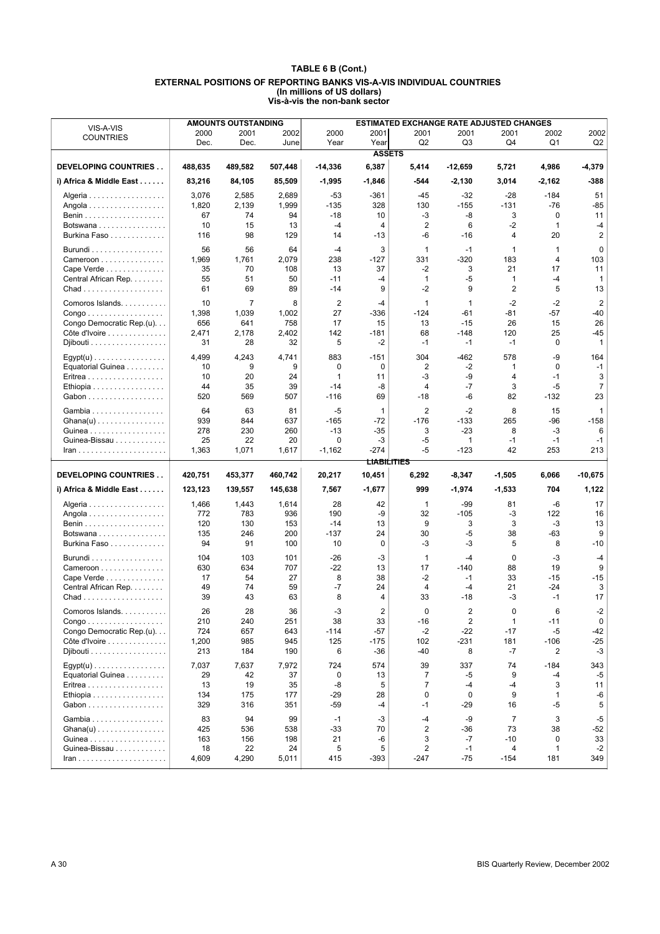|                                                                         |             | <b>AMOUNTS OUTSTANDING</b> |             |                |                    | <b>ESTIMATED EXCHANGE RATE ADJUSTED CHANGES</b> |              |                |                |                |
|-------------------------------------------------------------------------|-------------|----------------------------|-------------|----------------|--------------------|-------------------------------------------------|--------------|----------------|----------------|----------------|
| VIS-A-VIS                                                               | 2000        | 2001                       | 2002        | 2000           | 2001               | 2001                                            | 2001         | 2001           | 2002           | 2002           |
| <b>COUNTRIES</b>                                                        | Dec.        | Dec.                       | June        | Year           | Year               | Q <sub>2</sub>                                  | Q3           | Q4             | Q1             | Q2             |
|                                                                         |             |                            |             |                | <b>ASSETS</b>      |                                                 |              |                |                |                |
| <b>DEVELOPING COUNTRIES</b>                                             | 488,635     | 489,582                    | 507,448     | $-14,336$      | 6,387              | 5,414                                           | $-12,659$    | 5,721          | 4,986          | -4,379         |
|                                                                         |             |                            |             |                |                    |                                                 |              |                |                |                |
| i) Africa & Middle East                                                 | 83,216      | 84,105                     | 85,509      | $-1,995$       | $-1,846$           | -544                                            | $-2,130$     | 3,014          | $-2,162$       | -388           |
| Algeria                                                                 | 3,076       | 2,585                      | 2,689       | $-53$          | $-361$             | -45                                             | $-32$        | $-28$          | $-184$         | 51             |
| Angola                                                                  | 1,820       | 2,139                      | 1,999       | $-135$         | 328                | 130                                             | $-155$       | -131           | -76            | -85            |
|                                                                         | 67          | 74                         | 94          | $-18$          | 10                 | -3                                              | -8           | 3              | 0              | 11             |
| Botswana                                                                | 10          | 15                         | 13          | $-4$           | 4                  | 2                                               | 6            | $-2$           | $\mathbf{1}$   | $-4$           |
| Burkina Faso                                                            | 116         | 98                         | 129         | 14             | $-13$              | -6                                              | $-16$        | 4              | 20             | $\overline{2}$ |
| Burundi                                                                 | 56          | 56                         | 64          | $-4$           | 3                  | $\mathbf{1}$                                    | $-1$         | 1              | $\mathbf{1}$   | $\mathbf 0$    |
| Cameroon                                                                | 1,969       | 1,761                      | 2,079       | 238            | $-127$             | 331                                             | $-320$       | 183            | $\overline{4}$ | 103            |
| Cape Verde                                                              | 35          | 70                         | 108         | 13             | 37                 | -2                                              | 3            | 21             | 17             | 11             |
| Central African Rep.                                                    | 55          | 51                         | 50          | $-11$          | $-4$               | 1                                               | -5           | 1              | $-4$           | $\mathbf{1}$   |
|                                                                         | 61          | 69                         | 89          | $-14$          | 9                  | $-2$                                            | 9            | $\overline{2}$ | 5              | 13             |
|                                                                         |             |                            |             |                |                    |                                                 |              |                |                |                |
| Comoros Islands.                                                        | 10          | 7                          | 8           | $\overline{c}$ | $-4$               | $\mathbf{1}$                                    | $\mathbf{1}$ | $-2$           | $-2$           | $\overline{2}$ |
| Congo                                                                   | 1,398       | 1,039                      | 1,002       | 27             | -336               | $-124$                                          | $-61$        | -81            | $-57$          | $-40$          |
| Congo Democratic Rep.(u).                                               | 656         | 641                        | 758         | 17             | 15                 | 13                                              | $-15$        | 26             | 15             | 26             |
| Côte d'Ivoire                                                           | 2,471       | 2,178                      | 2,402       | 142            | $-181$             | 68                                              | $-148$       | 120            | 25             | $-45$          |
| Djibouti                                                                | 31          | 28                         | 32          | 5              | $-2$               | $-1$                                            | $-1$         | $-1$           | 0              | $\mathbf{1}$   |
| $Egypt(u)$                                                              | 4,499       | 4,243                      | 4,741       | 883            | $-151$             | 304                                             | $-462$       | 578            | -9             | 164            |
| Equatorial Guinea                                                       | 10          | 9                          | 9           | 0              | 0                  | 2                                               | $-2$         | 1              | 0              | $-1$           |
| Eritrea                                                                 | 10          | 20                         | 24          | $\mathbf{1}$   | 11                 | -3                                              | -9           | 4              | -1             | 3              |
| Ethiopia                                                                | 44          | 35                         | 39          | $-14$          | -8                 | 4                                               | $-7$         | 3              | -5             | $\overline{7}$ |
| Gabon                                                                   | 520         | 569                        | 507         | $-116$         | 69                 | -18                                             | -6           | 82             | $-132$         | 23             |
| Gambia                                                                  | 64          | 63                         | 81          | $-5$           | 1                  | $\overline{2}$                                  | $-2$         | 8              | 15             | $\mathbf{1}$   |
| $Ghana(u)$                                                              | 939         | 844                        | 637         | $-165$         | $-72$              | $-176$                                          | $-133$       | 265            | -96            | $-158$         |
| Guinea                                                                  | 278         | 230                        | 260         | $-13$          | -35                | 3                                               | $-23$        | 8              | -3             | 6              |
| Guinea-Bissau                                                           | 25          | 22                         | 20          | 0              | -3                 | -5                                              | 1            | $-1$           | $-1$           | $-1$           |
| $\mathsf{Iran} \dots \dots \dots \dots \dots \dots \dots$               | 1,363       | 1,071                      | 1,617       | $-1,162$       | $-274$             | -5                                              | $-123$       | 42             | 253            | 213            |
|                                                                         |             |                            |             |                |                    |                                                 |              |                |                |                |
|                                                                         |             |                            |             |                | <u>LIABILITIES</u> |                                                 |              |                |                |                |
| <b>DEVELOPING COUNTRIES</b>                                             | 420,751     | 453,377                    | 460,742     | 20,217         | 10,451             | 6,292                                           | $-8,347$     | $-1,505$       | 6,066          | $-10,675$      |
|                                                                         | 123,123     |                            |             |                |                    | 999                                             | $-1,974$     |                | 704            |                |
| i) Africa & Middle East                                                 |             | 139,557                    | 145,638     | 7,567          | $-1,677$           |                                                 |              | $-1,533$       |                | 1,122          |
| Algeria                                                                 | 1,466       | 1,443                      | 1,614       | 28             | 42                 | $\mathbf{1}$                                    | $-99$        | 81             | -6             | 17             |
| Angola                                                                  | 772         | 783                        | 936         | 190            | -9                 | 32                                              | $-105$       | -3             | 122            | 16             |
|                                                                         | 120         | 130                        | 153         | $-14$          | 13                 | 9                                               | 3            | 3              | -3             | 13             |
| Botswana                                                                | 135         | 246                        | 200         | $-137$         | 24                 | 30                                              | -5           | 38             | -63            | 9              |
| Burkina Faso                                                            | 94          | 91                         | 100         | 10             | 0                  | -3                                              | -3           | 5              | 8              | $-10$          |
| Burundi                                                                 | 104         | 103                        | 101         | $-26$          | -3                 | 1                                               | $-4$         | $\mathbf 0$    | -3             | $-4$           |
| Cameroon                                                                | 630         | 634                        | 707         | $-22$          | 13                 | 17                                              | $-140$       | 88             | 19             | 9              |
| Cape Verde                                                              | 17          | 54                         | 27          | 8              | 38                 | $-2$                                            | $-1$         | 33             | $-15$          | $-15$          |
| Central African Rep.                                                    | 49          | 74                         | 59          | $-7$           | 24                 | 4                                               | $-4$         | 21             | $-24$          | 3              |
|                                                                         | 39          | 43                         | 63          | 8              | 4                  | 33                                              | $-18$        | $-3$           | $-1$           | 17             |
|                                                                         | 26          | 28                         | 36          | -3             | 2                  | 0                                               | 2            | $\mathbf 0$    | 6              | $-2$           |
| Comoros Islands.<br>$\mathsf{Congo}\dots\dots\dots\dots\dots\dots\dots$ | 210         | 240                        | 251         | 38             | 33                 | $-16$                                           | 2            | 1              | $-11$          | $\mathbf 0$    |
| Congo Democratic Rep.(u).                                               | 724         | 657                        | 643         | $-114$         | -57                | $-2$                                            | $-22$        | $-17$          | -5             | -42            |
|                                                                         | 1,200       | 985                        | 945         | 125            | $-175$             | 102                                             | $-231$       | 181            | $-106$         | -25            |
| Côte d'Ivoire<br>Djibouti                                               | 213         | 184                        | 190         | 6              | -36                | -40                                             | 8            | -7             | 2              | $-3$           |
|                                                                         |             |                            |             |                |                    |                                                 |              |                |                |                |
| $Esypt(u) \ldots \ldots \ldots \ldots \ldots$                           | 7,037       | 7,637                      | 7,972       | 724<br>0       | 574                | 39                                              | 337          | 74             | $-184$         | 343            |
| Equatorial Guinea                                                       | 29          | 42                         | 37          |                | 13                 | 7                                               | -5           | 9              | -4             | -5             |
| Eritrea                                                                 | 13          | 19                         | 35          | -8             | 5                  | 7                                               | -4           | $-4$           | 3              | 11             |
| Ethiopia                                                                | 134         | 175                        | 177         | $-29$          | 28                 | 0                                               | 0            | 9              | 1              | -6             |
| Gabon                                                                   | 329         | 316                        | 351         | $-59$          | -4                 | $-1$                                            | $-29$        | 16             | -5             | 5              |
| Gambia                                                                  | 83          | 94                         | 99          | $-1$           | -3                 | -4                                              | -9           | $\overline{7}$ | 3              | -5             |
| $Ghana(u) \ldots \ldots \ldots \ldots$                                  | 425         | 536                        | 538         | $-33$          | 70                 | $\overline{2}$                                  | -36          | 73             | 38             | -52            |
| Guinea                                                                  | 163         | 156                        | 198         | 21             | -6                 | 3                                               | -7           | $-10$          | $\mathbf 0$    | 33             |
| Guinea-Bissau                                                           | 18<br>4,609 | 22<br>4,290                | 24<br>5,011 | 5<br>415       | 5<br>$-393$        | $\overline{2}$<br>-247                          | $-1$<br>-75  | 4<br>$-154$    | 1<br>181       | $-2$<br>349    |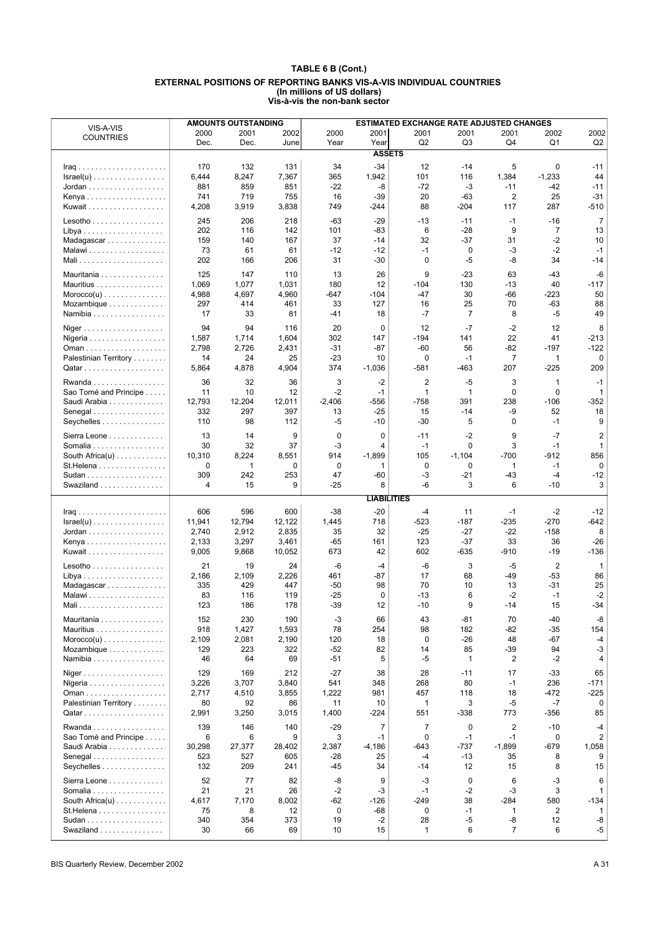|                                                        |              | <b>AMOUNTS OUTSTANDING</b> |             |             |                    | <b>ESTIMATED EXCHANGE RATE ADJUSTED CHANGES</b> |                     |                |                |                     |
|--------------------------------------------------------|--------------|----------------------------|-------------|-------------|--------------------|-------------------------------------------------|---------------------|----------------|----------------|---------------------|
| VIS-A-VIS<br><b>COUNTRIES</b>                          | 2000         | 2001                       | 2002        | 2000        | 2001               | 2001                                            | 2001                | 2001           | 2002           | 2002                |
|                                                        | Dec.         | Dec.                       | June        | Year        | Year               | Q2                                              | Q3                  | Q4             | Q1             | Q2                  |
|                                                        |              |                            |             |             | <b>ASSETS</b>      |                                                 |                     |                |                |                     |
|                                                        | 170          | 132                        | 131         | 34          | $-34$              | 12                                              | $-14$               | 5              | 0              | $-11$               |
| $\text{Israel}(u)$                                     | 6,444        | 8,247                      | 7,367       | 365         | 1,942              | 101                                             | 116                 | 1,384          | $-1,233$       | 44                  |
| $Jordan$                                               | 881          | 859                        | 851         | $-22$       | -8                 | $-72$                                           | -3                  | $-11$          | -42            | $-11$               |
| Kenya                                                  | 741          | 719                        | 755         | 16          | $-39$              | 20                                              | -63                 | 2              | 25             | $-31$               |
| Kuwait                                                 | 4,208        | 3,919                      | 3,838       | 749         | -244               | 88                                              | $-204$              | 117            | 287            | -510                |
| $Lesotho \ldots \ldots \ldots \ldots$                  | 245          | 206                        | 218         | $-63$       | $-29$              | $-13$                                           | $-11$               | $-1$           | $-16$          | $\overline{7}$      |
|                                                        | 202          | 116                        | 142         | 101         | $-83$              | 6                                               | $-28$               | 9              | $\overline{7}$ | 13                  |
| Madagascar                                             | 159          | 140                        | 167         | 37          | $-14$              | 32                                              | $-37$               | 31             | $-2$           | 10                  |
| Malawi                                                 | 73           | 61                         | 61          | $-12$       | $-12$              | $-1$                                            | $\mathbf 0$         | -3             | $-2$           | $-1$                |
|                                                        | 202          | 166                        | 206         | 31          | $-30$              | $\mathbf 0$                                     | $-5$                | -8             | 34             | -14                 |
| Mauritania                                             | 125          | 147                        | 110         | 13          | 26                 | 9                                               | $-23$               | 63             | -43            | -6                  |
| Mauritius                                              | 1,069        | 1,077                      | 1,031       | 180         | 12                 | $-104$                                          | 130                 | $-13$          | 40             | $-117$              |
| $Moreover(u) \dots \dots \dots \dots \dots$            | 4,988        | 4,697                      | 4,960       | $-647$      | $-104$             | $-47$                                           | 30                  | -66            | -223           | 50                  |
| Mozambique                                             | 297          | 414                        | 461         | 33          | 127                | 16                                              | 25                  | 70             | -63            | 88                  |
| Namibia                                                | 17           | 33                         | 81          | $-41$       | 18                 | $-7$                                            | $\overline{7}$      | 8              | -5             | 49                  |
| Niger                                                  | 94           | 94                         | 116         | 20          | 0                  | 12                                              | $-7$                | $-2$           | 12             | 8                   |
| Nigeria                                                | 1,587        | 1,714                      | 1,604       | 302         | 147                | $-194$                                          | 141                 | 22             | 41             | -213                |
|                                                        | 2,798        | 2,726                      | 2,431       | $-31$       | -87                | $-60$                                           | 56                  | $-82$          | $-197$         | $-122$              |
| Palestinian Territory                                  | 14           | 24                         | 25          | $-23$       | 10                 | 0                                               | $-1$                | 7              | $\mathbf{1}$   | 0                   |
|                                                        | 5,864        | 4,878                      | 4,904       | 374         | $-1,036$           | -581                                            | -463                | 207            | $-225$         | 209                 |
|                                                        | 36           | 32                         | 36          | 3           | $-2$               | 2                                               | $-5$                | 3              | 1              | $-1$                |
| Rwanda<br>Sao Tomé and Principe                        | 11           | 10                         | 12          | $-2$        | $-1$               | $\mathbf{1}$                                    | $\mathbf{1}$        | $\mathbf 0$    | $\mathbf 0$    | 1                   |
| Saudi Arabia                                           | 12,793       | 12,204                     | 12,011      | $-2,406$    | -556               | $-758$                                          | 391                 | 238            | $-106$         | -352                |
| Senegal                                                | 332          | 297                        | 397         | 13          | -25                | 15                                              | $-14$               | -9             | 52             | 18                  |
| Seychelles                                             | 110          | 98                         | 112         | $-5$        | $-10$              | $-30$                                           | 5                   | 0              | $-1$           | 9                   |
|                                                        |              |                            |             |             |                    |                                                 |                     |                |                |                     |
| Sierra Leone                                           | 13           | 14                         | 9           | 0           | 0                  | $-11$                                           | $-2$<br>$\mathbf 0$ | 9              | $-7$           | $\overline{2}$      |
| Somalia                                                | 30<br>10,310 | 32<br>8,224                | 37<br>8,551 | -3<br>914   | 4<br>$-1,899$      | $-1$<br>105                                     | $-1,104$            | 3<br>$-700$    | $-1$<br>$-912$ | $\mathbf{1}$<br>856 |
| South Africa $(u)$                                     | 0            | 1                          | 0           | $\mathbf 0$ | $\mathbf{1}$       | 0                                               | 0                   | 1              | $-1$           | $\mathbf 0$         |
| St.Helena                                              | 309          | 242                        | 253         | 47          | $-60$              | -3                                              | $-21$               | $-43$          | $-4$           | $-12$               |
| Swaziland                                              | 4            | 15                         | 9           | $-25$       | 8                  | -6                                              | 3                   | 6              | $-10$          | 3                   |
|                                                        |              |                            |             |             |                    |                                                 |                     |                |                |                     |
|                                                        |              |                            |             |             | <b>LIABILITIES</b> |                                                 |                     |                |                |                     |
|                                                        | 606          | 596                        | 600         | -38         | $-20$              | -4                                              | 11                  | $-1$           | -2             | $-12$               |
| $\text{Israel}(u) \dots \dots \dots \dots \dots \dots$ | 11,941       | 12,794                     | 12,122      | 1,445       | 718                | $-523$                                          | $-187$              | -235           | $-270$         | -642                |
| Jordan                                                 | 2,740        | 2,912                      | 2,835       | 35          | 32                 | $-25$                                           | $-27$               | $-22$          | $-158$         | 8                   |
|                                                        | 2,133        | 3,297                      | 3,461       | $-65$       | 161                | 123                                             | $-37$               | 33             | 36             | $-26$               |
| Kuwait                                                 | 9,005        | 9,868                      | 10,052      | 673         | 42                 | 602                                             | -635                | $-910$         | $-19$          | $-136$              |
| Lesotho                                                | 21           | 19                         | 24          | -6          | $-4$               | -6                                              | 3                   | $-5$           | $\overline{2}$ | 1                   |
|                                                        | 2,186        | 2,109                      | 2,226       | 461         | -87                | 17                                              | 68                  | $-49$          | $-53$          | 86                  |
| Madagascar                                             | 335          | 429                        | 447         | -50         | 98                 | 70                                              | 10                  | 13             | -31            | 25                  |
| Malawi                                                 | 83           | 116                        | 119         | -25         | 0                  | $-13$                                           | 6                   | $-2$           | $-1$           | $-2$                |
|                                                        | 123          | 186                        | 178         | $-39$       | 12                 | $-10$                                           | 9                   | $-14$          | 15             | -34                 |
| Mauritania                                             | 152          | 230                        | 190         | $-3$        | 66                 | 43                                              | $-81$               | 70             | $-40$          | -8                  |
| Mauritius                                              | 918          | 1,427                      | 1,593       | 78          | 254                | 98                                              | 182                 | $-82$          | $-35$          | 154                 |
| $Moreover(u) \dots \dots \dots \dots \dots$            | 2,109        | 2,081                      | 2,190       | 120         | 18                 | 0                                               | $-26$               | 48             | -67            | -4                  |
| Mozambique                                             | 129          | 223                        | 322         | $-52$       | 82                 | 14                                              | 85                  | -39            | 94             | $-3$                |
| Namibia                                                | 46           | 64                         | 69          | -51         | 5                  | -5                                              | 1                   | 2              | -2             | 4                   |
| Niger                                                  | 129          | 169                        | 212         | $-27$       | 38                 | 28                                              | $-11$               | 17             | $-33$          | 65                  |
| Nigeria                                                | 3,226        | 3,707                      | 3,840       | 541         | 348                | 268                                             | 80                  | $-1$           | 236            | $-171$              |
|                                                        | 2,717        | 4,510                      | 3,855       | 1,222       | 981                | 457                                             | 118                 | 18             | -472           | -225                |
| Palestinian Territory                                  | 80           | 92                         | 86          | 11          | 10                 | 1                                               | 3                   | -5             | -7             | 0                   |
|                                                        | 2,991        | 3,250                      | 3,015       | 1,400       | $-224$             | 551                                             | $-338$              | 773            | $-356$         | 85                  |
| Rwanda                                                 | 139          | 146                        | 140         | $-29$       | $\overline{7}$     | $\overline{7}$                                  | $\mathbf 0$         | $\overline{2}$ | $-10$          | -4                  |
| Sao Tomé and Principe                                  | 6            | 6                          | 9           | 3           | $-1$               | $\mathbf 0$                                     | $-1$                | $-1$           | 0              | $\overline{2}$      |
| Saudi Arabia                                           | 30,298       | 27,377                     | 28,402      | 2,387       | $-4,186$           | -643                                            | $-737$              | $-1,899$       | $-679$         | 1,058               |
| Senegal                                                | 523          | 527                        | 605         | -28         | 25                 | -4                                              | -13                 | 35             | 8              | 9                   |
| Seychelles                                             | 132          | 209                        | 241         | -45         | 34                 | $-14$                                           | 12                  | 15             | 8              | 15                  |
|                                                        | 52           | 77                         | 82          | -8          | 9                  | $-3$                                            | $\mathbf 0$         | 6              | -3             | 6                   |
| Sierra Leone<br>Somalia                                | 21           | 21                         | 26          | $-2$        | -3                 | $-1$                                            | $-2$                | $-3$           | 3              | 1                   |
| South Africa $(u)$                                     | 4,617        | 7,170                      | 8,002       | $-62$       | $-126$             | $-249$                                          | 38                  | $-284$         | 580            | -134                |
| St.Helena                                              | 75           | 8                          | 12          | 0           | -68                | 0                                               | $-1$                | $\mathbf{1}$   | 2              | $\mathbf{1}$        |
|                                                        | 340          | 354                        | 373         | 19          | -2                 | 28                                              | -5                  | -8             | 12             | -8                  |
| Swaziland                                              | 30           | 66                         | 69          | 10          | 15                 | 1                                               | 6                   | $\overline{7}$ | 6              | -5                  |
|                                                        |              |                            |             |             |                    |                                                 |                     |                |                |                     |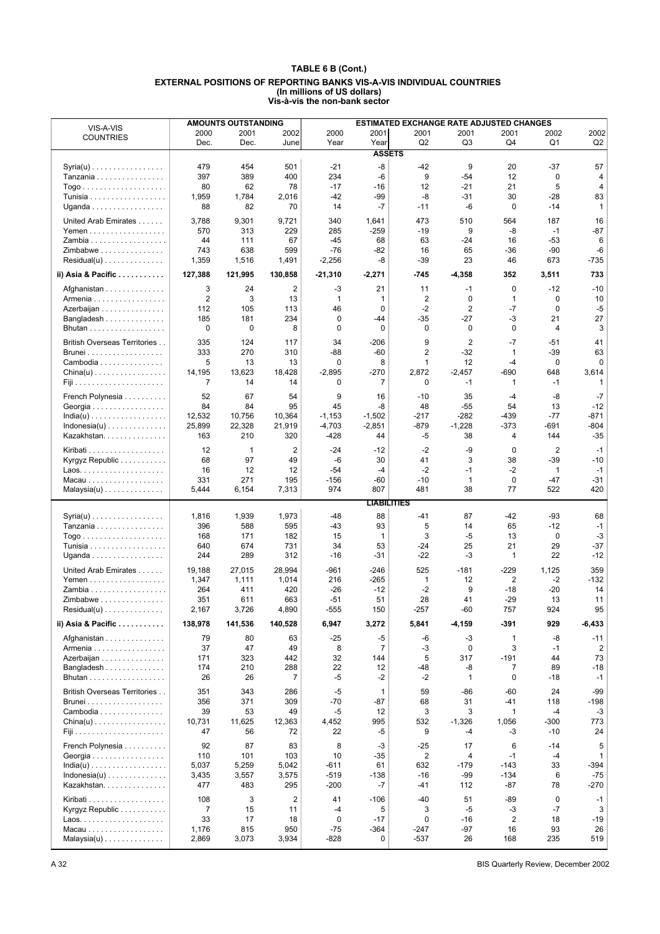|                                                  |                | <b>AMOUNTS OUTSTANDING</b> |                |              |                      | <b>ESTIMATED EXCHANGE RATE ADJUSTED CHANGES</b> |                   |                   |                |             |
|--------------------------------------------------|----------------|----------------------------|----------------|--------------|----------------------|-------------------------------------------------|-------------------|-------------------|----------------|-------------|
| VIS-A-VIS<br><b>COUNTRIES</b>                    | 2000           | 2001                       | 2002           | 2000         | 2001                 | 2001                                            | 2001              | 2001              | 2002           | 2002        |
|                                                  | Dec.           | Dec.                       | June           | Year         | Year                 | Q <sub>2</sub>                                  | Q3                | Q4                | Q1             | Q2          |
|                                                  |                |                            |                |              | <b>ASSETS</b>        |                                                 |                   |                   |                |             |
| $Syria(u)$                                       | 479            | 454                        | 501            | $-21$        | -8                   | $-42$                                           | 9                 | 20                | -37            | 57          |
| Tanzania                                         | 397            | 389                        | 400            | 234          | -6                   | 9                                               | $-54$             | 12                | 0              | 4           |
|                                                  | 80             | 62                         | 78             | $-17$        | $-16$                | 12                                              | $-21$             | 21                | 5              | 4           |
| Tunisia                                          | 1,959          | 1,784                      | 2,016          | $-42$        | $-99$                | -8                                              | $-31$             | 30                | -28            | 83          |
| Uganda                                           | 88             | 82                         | 70             | 14           | $-7$                 | $-11$                                           | -6                | 0                 | -14            | 1           |
| United Arab Emirates                             | 3,788          | 9,301                      | 9,721          | 340          | 1,641                | 473                                             | 510               | 564               | 187            | 16          |
| Yemen                                            | 570            | 313                        | 229            | 285          | $-259$               | $-19$                                           | 9                 | -8                | $-1$           | $-87$       |
| Zambia                                           | 44             | 111                        | 67             | $-45$        | 68                   | 63                                              | $-24$             | 16                | $-53$          | 6           |
| Zimbabwe                                         | 743            | 638                        | 599            | $-76$        | $-82$                | 16                                              | 65                | $-36$             | $-90$          | -6          |
| $Residual(u)$                                    | 1,359          | 1,516                      | 1,491          | $-2,256$     | -8                   | $-39$                                           | 23                | 46                | 673            | -735        |
| ii) Asia & Pacific                               | 127,388        | 121,995                    | 130,858        | $-21,310$    | $-2,271$             | -745                                            | $-4,358$          | 352               | 3,511          | 733         |
| Afghanistan                                      | 3              | 24                         | 2              | -3           | 21                   | 11                                              | $-1$              | 0                 | $-12$          | $-10$       |
| Armenia                                          | $\overline{2}$ | 3                          | 13             | $\mathbf{1}$ | 1                    | $\overline{2}$                                  | $\mathbf 0$       | $\mathbf{1}$      | $\mathbf 0$    | 10          |
| Azerbaijan                                       | 112            | 105                        | 113            | 46           | $\mathbf 0$          | $-2$                                            | $\overline{2}$    | $-7$              | $\mathbf 0$    | $-5$        |
| Bangladesh                                       | 185            | 181                        | 234            | $\mathbf 0$  | -44                  | $-35$                                           | $-27$             | $-3$              | 21             | 27          |
| Bhutan                                           | 0              | 0                          | 8              | $\mathbf 0$  | 0                    | 0                                               | 0                 | 0                 | 4              | 3           |
| British Overseas Territories                     | 335            | 124                        | 117            | 34           | -206                 | 9                                               | $\overline{2}$    | -7                | -51            | 41          |
| Brunei                                           | 333            | 270                        | 310            | $-88$        | -60                  | 2                                               | $-32$             | 1                 | -39            | 63          |
| Cambodia                                         | 5              | 13                         | 13             | 0            | 8                    | $\mathbf{1}$                                    | 12                | $-4$              | 0              | 0           |
| $China(u) \ldots \ldots \ldots \ldots \ldots$    | 14,195         | 13,623                     | 18,428         | $-2,895$     | $-270$               | 2,872                                           | $-2,457$          | $-690$            | 648            | 3,614       |
|                                                  | 7              | 14                         | 14             | 0            | 7                    | 0                                               | $-1$              | 1                 | $-1$           | 1           |
| French Polynesia                                 | 52             | 67                         | 54             | 9            | 16                   | $-10$                                           | 35                | $-4$              | -8             | -7          |
| Georgia                                          | 84             | 84                         | 95             | 45           | -8                   | 48                                              | -55               | 54                | 13             | $-12$       |
| $India(u) \ldots \ldots \ldots \ldots \ldots$    | 12,532         | 10,756                     | 10.364         | $-1,153$     | $-1,502$             | $-217$                                          | $-282$            | $-439$            | -77            | $-871$      |
| $Indonesia(u) \ldots \ldots \ldots \ldots$       | 25,899         | 22,328                     | 21,919         | $-4,703$     | $-2,851$             | -879                                            | $-1,228$          | $-373$            | -691           | -804        |
| Kazakhstan.                                      | 163            | 210                        | 320            | $-428$       | 44                   | -5                                              | 38                | 4                 | 144            | -35         |
|                                                  | 12             |                            | $\overline{2}$ | $-24$        | $-12$                | $-2$                                            | -9                | 0                 | $\overline{2}$ | $-1$        |
| Kiribati<br>Kyrgyz Republic                      | 68             | 1<br>97                    | 49             | -6           | 30                   | 41                                              | 3                 | 38                | $-39$          | $-10$       |
|                                                  | 16             | 12                         | 12             | $-54$        | $-4$                 | $-2$                                            | $-1$              | $-2$              | $\mathbf{1}$   | $-1$        |
| Macau                                            | 331            | 271                        | 195            | $-156$       | $-60$                | $-10$                                           | $\mathbf{1}$      | $\mathbf 0$       | $-47$          | $-31$       |
| $Malaysia(u) \ldots \ldots \ldots \ldots$        | 5,444          | 6,154                      | 7,313          | 974          | 807                  | 481                                             | 38                | 77                | 522            | 420         |
|                                                  |                |                            |                |              | <b>LIABILITIES</b>   |                                                 |                   |                   |                |             |
|                                                  |                |                            |                |              |                      |                                                 |                   |                   |                |             |
| $Syria(u)$                                       | 1,816          | 1,939                      | 1,973          | -48          | 88                   | -41                                             | 87                | -42               | -93            | 68          |
| Tanzania                                         | 396            | 588                        | 595            | -43          | 93                   | 5                                               | 14                | 65                | $-12$          | $-1$        |
| $Togo \ldots \ldots \ldots \ldots \ldots \ldots$ | 168<br>640     | 171<br>674                 | 182<br>731     | 15<br>34     | 1<br>53              | 3<br>-24                                        | -5<br>25          | 13<br>21          | 0<br>29        | -3<br>$-37$ |
| Tunisia<br>Uganda                                | 244            | 289                        | 312            | $-16$        | $-31$                | $-22$                                           | $-3$              | $\mathbf{1}$      | 22             | -12         |
|                                                  |                |                            |                |              |                      |                                                 |                   |                   |                |             |
| United Arab Emirates                             | 19,188         | 27,015                     | 28,994         | $-961$       | $-246$               | 525                                             | $-181$            | $-229$            | 1,125          | 359         |
| Yemen                                            | 1,347          | 1,111                      | 1,014          | 216          | -265                 | 1                                               | 12                | $\overline{2}$    | $-2$           | $-132$      |
| Zambia                                           | 264            | 411                        | 420            | $-26$        | $-12$                | $-2$                                            | 9                 | $-18$             | $-20$          | 14          |
| Zimbabwe                                         | 351            | 611                        | 663<br>4,890   | $-51$        | 51                   | 28                                              | 41                | $-29$             | 13<br>924      | 11<br>95    |
| $Residual(u) \dots \dots \dots \dots \dots$      | 2,167          | 3,726                      |                | $-555$       | 150                  | $-257$                                          | -60               | 757               |                |             |
| ii) Asia & Pacific                               | 138,978        | 141,536                    | 140,528        | 6,947        | 3,272                | 5,841                                           | $-4,159$          | $-391$            | 929            | $-6,433$    |
| Afghanistan                                      | 79<br>37       | 80<br>47                   | 63<br>49       | $-25$<br>8   | -5<br>$\overline{7}$ | -6<br>-3                                        | -3<br>$\mathbf 0$ | $\mathbf{1}$<br>3 | -8<br>$-1$     | $-11$       |
| Armenia                                          | 171            | 323                        | 442            | 32           | 144                  | 5                                               | 317               | $-191$            | 44             | 2<br>73     |
| Azerbaijan<br>Bangladesh                         | 174            | 210                        | 288            | 22           | 12                   | -48                                             | -8                | 7                 | 89             | $-18$       |
| Bhutan                                           | 26             | 26                         | 7              | $-5$         | -2                   | -2                                              | $\mathbf{1}$      | 0                 | $-18$          | $-1$        |
|                                                  |                |                            |                |              |                      |                                                 |                   |                   |                |             |
| British Overseas Territories                     | 351            | 343                        | 286            | $-5$         | 1                    | 59                                              | $-86$             | $-60$             | 24             | -99         |
| Brunei                                           | 356            | 371                        | 309            | -70          | -87                  | 68                                              | 31                | $-41$             | 118            | -198        |
| Cambodia                                         | 39             | 53                         | 49             | $-5$         | 12                   | 3                                               | 3                 | 1                 | $-4$           | $-3$        |
| $China(u) \dots \dots \dots \dots \dots \dots$   | 10,731<br>47   | 11,625<br>56               | 12,363<br>72   | 4,452<br>22  | 995<br>-5            | 532<br>9                                        | $-1,326$<br>-4    | 1,056<br>-3       | -300<br>$-10$  | 773<br>24   |
| French Polynesia                                 | 92             | 87                         | 83             | 8            | -3                   | -25                                             | 17                | 6                 | $-14$          | 5           |
| Georgia                                          | 110            | 101                        | 103            | 10           | $-35$                | 2                                               | $\overline{4}$    | $-1$              | -4             | 1           |
| $India(u) \ldots \ldots \ldots \ldots \ldots$    | 5,037          | 5,259                      | 5,042          | $-611$       | 61                   | 632                                             | $-179$            | $-143$            | 33             | -394        |
| $Indonesia(u) \ldots \ldots \ldots \ldots$       | 3,435          | 3,557                      | 3,575          | $-519$       | $-138$               | -16                                             | -99               | $-134$            | 6              | -75         |
| Kazakhstan.                                      | 477            | 483                        | 295            | $-200$       | $-7$                 | -41                                             | 112               | -87               | 78             | -270        |
| Kiribati                                         | 108            | 3                          | $\overline{2}$ | 41           | $-106$               | $-40$                                           | 51                | $-89$             | 0              | $-1$        |
| Kyrgyz Republic                                  | 7              | 15                         | 11             | $-4$         | 5                    | 3                                               | -5                | -3                | $-7$           | 3           |
|                                                  | 33             | 17                         | 18             | $\mathbf 0$  | $-17$                | $\mathbf 0$                                     | $-16$             | 2                 | 18             | -19         |
| Macau                                            | 1,176          | 815                        | 950            | $-75$        | $-364$               | -247                                            | $-97$             | 16                | 93             | 26          |
| $Malaysia(u) \ldots \ldots \ldots \ldots$        | 2,869          | 3,073                      | 3,934          | $-828$       | 0                    | -537                                            | 26                | 168               | 235            | 519         |
|                                                  |                |                            |                |              |                      |                                                 |                   |                   |                |             |

A 32 BIS Quarterly Review, December 2002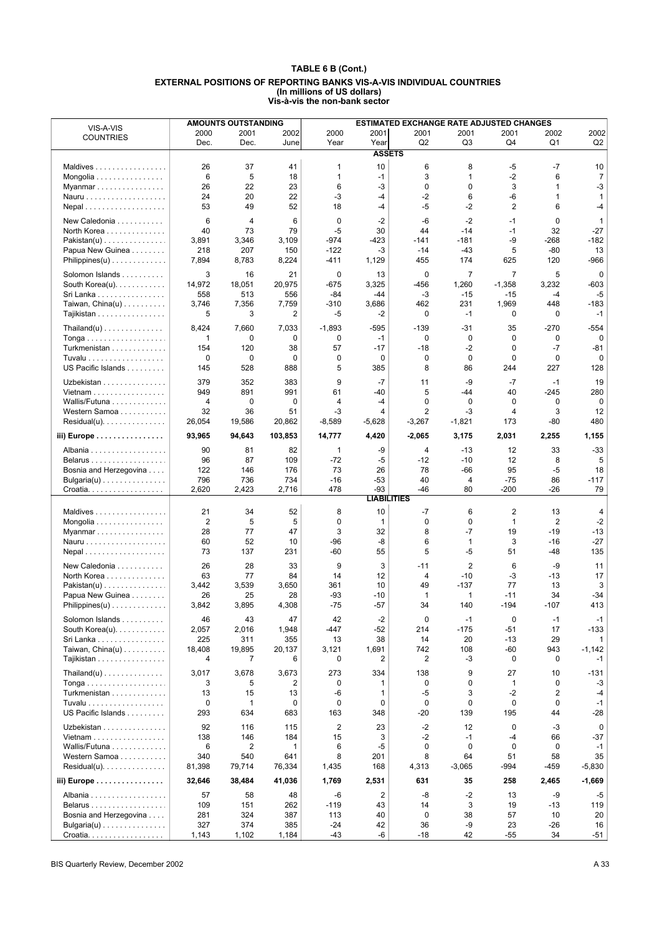|                                                    |                      | <b>AMOUNTS OUTSTANDING</b> |             |                |                    | <b>ESTIMATED EXCHANGE RATE ADJUSTED CHANGES</b> |                      |                 |                      |              |
|----------------------------------------------------|----------------------|----------------------------|-------------|----------------|--------------------|-------------------------------------------------|----------------------|-----------------|----------------------|--------------|
| VIS-A-VIS<br><b>COUNTRIES</b>                      | 2000                 | 2001                       | 2002        | 2000           | 2001               | 2001                                            | 2001                 | 2001            | 2002                 | 2002         |
|                                                    | Dec.                 | Dec.                       | June        | Year           | Year               | Q2                                              | Q3                   | Q4              | Q1                   | Q2           |
|                                                    |                      |                            |             |                | <b>ASSETS</b>      |                                                 |                      |                 |                      |              |
| Maldives                                           | 26                   | 37                         | 41          | $\mathbf{1}$   | 10                 | 6                                               | 8                    | -5              | -7                   | 10           |
| Mongolia                                           | 6                    | 5                          | 18          | 1              | $-1$               | 3                                               | 1                    | $-2$            | 6                    | 7            |
| Myanmar                                            | 26                   | 22                         | 23          | 6              | -3                 | 0                                               | $\mathbf 0$          | 3               | 1                    | -3           |
|                                                    | 24                   | 20                         | 22          | -3             | $-4$               | -2                                              | 6                    | -6              | 1                    | 1            |
|                                                    | 53                   | 49                         | 52          | 18             | $-4$               | -5                                              | $-2$                 | 2               | 6                    | -4           |
| New Caledonia                                      | 6                    | 4                          | 6           | $\mathbf 0$    | $-2$               | $-6$                                            | $-2$                 | $-1$            | $\mathbf 0$          | 1            |
| North Korea                                        | 40                   | 73                         | 79          | $-5$           | 30                 | 44                                              | $-14$                | $-1$            | 32                   | $-27$        |
| $Pakistan(u) \ldots \ldots \ldots \ldots$          | 3,891                | 3,346                      | 3,109       | $-974$         | $-423$             | $-141$                                          | $-181$               | $-9$            | -268                 | -182         |
| Papua New Guinea                                   | 218                  | 207                        | 150         | $-122$         | -3                 | $-14$                                           | $-43$                | 5               | -80                  | 13           |
| Philippines(u)                                     | 7,894                | 8,783                      | 8,224       | $-411$         | 1,129              | 455                                             | 174                  | 625             | 120                  | -966         |
| Solomon Islands                                    | 3                    | 16                         | 21          | 0              | 13                 | $\mathbf 0$                                     | $\overline{7}$       | $\overline{7}$  | 5                    | 0            |
| South Korea(u).                                    | 14,972               | 18,051                     | 20,975      | $-675$         | 3,325              | -456                                            | 1,260                | $-1,358$        | 3,232                | -603         |
| Sri Lanka                                          | 558                  | 513                        | 556         | -84            | -44                | -3                                              | $-15$                | $-15$           | -4                   | -5           |
| Taiwan, $China(u)$                                 | 3,746                | 7,356                      | 7,759       | $-310$         | 3,686              | 462                                             | 231                  | 1,969           | 448                  | $-183$       |
| Tajikistan                                         | 5                    | 3                          | 2           | $-5$           | $-2$               | $\mathbf 0$                                     | $-1$                 | 0               | 0                    | $-1$         |
| $\text{Thailand}(u) \dots \dots \dots \dots \dots$ | 8,424                | 7,660                      | 7,033       | $-1,893$       | -595               | $-139$                                          | $-31$                | 35              | -270                 | -554         |
| $Tonga \dots \dots \dots \dots \dots \dots$        | 1                    | 0                          | 0           | 0              | $-1$               | 0                                               | $\mathbf 0$          | 0               | 0                    | 0            |
| Turkmenistan                                       | 154                  | 120                        | 38          | 57             | $-17$              | $-18$                                           | $-2$                 | $\mathbf 0$     | $-7$                 | -81          |
| Tuvalu                                             | 0                    | 0                          | 0           | 0              | 0                  | 0                                               | 0                    | 0               | 0                    | $\Omega$     |
| US Pacific Islands                                 | 145                  | 528                        | 888         | 5              | 385                | 8                                               | 86                   | 244             | 227                  | 128          |
| Uzbekistan                                         | 379                  | 352                        | 383         | 9              | $-7$               | 11                                              | -9                   | $-7$            | $-1$                 | 19           |
| Vietnam                                            | 949                  | 891                        | 991         | 61             | $-40$              | 5                                               | -44                  | 40              | $-245$               | 280          |
| Wallis/Futuna                                      | 4                    | $\mathbf 0$                | 0           | $\overline{4}$ | $-4$               | 0                                               | $\mathbf 0$          | $\mathbf 0$     | 0                    | $\mathbf 0$  |
| Western Samoa                                      | 32                   | 36                         | 51          | -3             | 4                  | $\overline{2}$                                  | $-3$                 | 4               | 3                    | 12           |
| $Residual(u)$ .                                    | 26,054               | 19,586                     | 20,862      | $-8,589$       | $-5,628$           | $-3,267$                                        | $-1,821$             | 173             | -80                  | 480          |
| iii) Europe                                        | 93,965               | 94,643                     | 103,853     | 14,777         | 4,420              | $-2,065$                                        | 3,175                | 2,031           | 2,255                | 1,155        |
|                                                    |                      |                            |             |                |                    |                                                 |                      |                 |                      |              |
| Albania                                            | 90                   | 81                         | 82          | $\mathbf{1}$   | -9                 | 4                                               | $-13$                | 12              | 33                   | $-33$        |
|                                                    | 96                   | 87                         | 109         | $-72$          | $-5$               | $-12$                                           | $-10$                | 12              | 8                    | 5            |
| Bosnia and Herzegovina                             | 122                  | 146                        | 176         | 73             | 26                 | 78                                              | $-66$                | 95              | -5                   | 18           |
| $Bulgaria(u) \ldots \ldots \ldots \ldots$          | 796<br>2,620         | 736                        | 734         | $-16$<br>478   | $-53$<br>-93       | 40<br>$-46$                                     | $\overline{4}$<br>80 | $-75$<br>$-200$ | 86<br>-26            | $-117$<br>79 |
| Croatia.                                           |                      | 2,423                      | 2,716       |                | <b>LIABILITIES</b> |                                                 |                      |                 |                      |              |
|                                                    |                      |                            |             | 8              | 10                 | -7                                              | 6                    | $\overline{2}$  |                      |              |
| Maldives                                           | 21<br>$\overline{2}$ | 34<br>5                    | 52<br>5     | 0              | $\mathbf{1}$       | $\mathbf 0$                                     | $\mathbf 0$          | $\mathbf{1}$    | 13<br>$\overline{2}$ | 4<br>$-2$    |
| Mongolia<br>Myanmar                                | 28                   | 77                         | 47          | 3              | 32                 | 8                                               | $-7$                 | 19              | $-19$                | $-13$        |
|                                                    | 60                   | 52                         | 10          | $-96$          | -8                 | 6                                               | $\mathbf{1}$         | 3               | $-16$                | $-27$        |
|                                                    | 73                   | 137                        | 231         | $-60$          | 55                 | 5                                               | -5                   | 51              | $-48$                | 135          |
|                                                    |                      |                            |             |                |                    |                                                 |                      |                 |                      |              |
| New Caledonia                                      | 26                   | 28                         | 33          | 9              | 3                  | $-11$                                           | $\overline{2}$       | 6               | -9                   | 11           |
| North Korea                                        | 63                   | 77                         | 84          | 14             | 12                 | 4                                               | $-10$                | $-3$            | $-13$                | 17           |
| $Pakistan(u)$                                      | 3,442<br>26          | 3,539<br>25                | 3,650<br>28 | 361<br>$-93$   | 10<br>-10          | 49<br>1                                         | $-137$<br>1          | 77<br>$-11$     | 13<br>34             | 3<br>-34     |
| Papua New Guinea<br>Philippines(u)                 | 3,842                | 3,895                      | 4,308       | $-75$          | $-57$              | 34                                              | 140                  | $-194$          | $-107$               | 413          |
|                                                    |                      |                            |             |                |                    |                                                 |                      |                 |                      |              |
| Solomon Islands                                    | 46                   | 43                         | 47          | 42             | $-2$               | $\mathbf 0$                                     | $-1$                 | 0               | $-1$                 | -1           |
| South Korea $(u)$ .                                | 2,057                | 2,016                      | 1,948       | $-447$         | $-52$              | 214                                             | $-175$               | -51             | 17                   | $-133$       |
| Sri Lanka                                          | 225                  | 311                        | 355         | 13             | 38                 | 14                                              | 20                   | $-13$           | 29                   | 1            |
| Taiwan, $China(u)$                                 | 18,408               | 19,895                     | 20,137      | 3,121          | 1,691              | 742                                             | 108                  | -60             | 943                  | $-1,142$     |
| Tajikistan                                         | 4                    | 7                          | 6           | 0              | 2                  | 2                                               | -3                   | 0               | 0                    | $-1$         |
| $\text{Thailand}(u) \dots \dots \dots \dots \dots$ | 3,017                | 3,678                      | 3,673       | 273            | 334                | 138                                             | 9                    | 27              | 10                   | -131         |
| $Tonga \dots \dots \dots \dots \dots \dots$        | 3                    | 5                          | 2           | 0              | 1                  | 0                                               | $\Omega$             | $\mathbf{1}$    | $\Omega$             | $-3$         |
| Turkmenistan                                       | 13                   | 15                         | 13          | -6             | 1                  | $-5$                                            | 3                    | $-2$            | $\overline{2}$       | -4           |
| Tuvalu                                             | 0                    | $\mathbf{1}$               | 0           | 0              | 0                  | $\mathbf 0$                                     | $\mathbf 0$          | 0               | $\mathbf 0$          | $-1$         |
| US Pacific Islands                                 | 293                  | 634                        | 683         | 163            | 348                | $-20$                                           | 139                  | 195             | 44                   | -28          |
| Uzbekistan                                         | 92                   | 116                        | 115         | $\overline{2}$ | 23                 | $-2$                                            | 12                   | 0               | -3                   | $\mathbf 0$  |
| Vietnam                                            | 138                  | 146                        | 184         | 15             | 3                  | -2                                              | $-1$                 | $-4$            | 66                   | $-37$        |
| Wallis/Futuna                                      | 6                    | 2                          | 1           | 6              | $-5$               | $\mathbf 0$                                     | $\mathbf 0$          | 0               | 0                    | $-1$         |
| Western Samoa                                      | 340                  | 540                        | 641         | 8              | 201                | 8                                               | 64                   | 51              | 58                   | 35           |
| $Residual(u)$ .                                    | 81,398               | 79,714                     | 76,334      | 1,435          | 168                | 4,313                                           | $-3,065$             | $-994$          | -459                 | $-5,830$     |
| iii) Europe                                        | 32,646               | 38,484                     | 41,036      | 1,769          | 2,531              | 631                                             | 35                   | 258             | 2,465                | $-1,669$     |
| Albania                                            | 57                   | 58                         | 48          | -6             | 2                  | -8                                              | $-2$                 | 13              | -9                   | -5           |
| Belarus                                            | 109                  | 151                        | 262         | $-119$         | 43                 | 14                                              | 3                    | 19              | $-13$                | 119          |
| Bosnia and Herzegovina                             | 281                  | 324                        | 387         | 113            | 40                 | $\mathbf 0$                                     | 38                   | 57              | 10                   | 20           |
| $Bulgaria(u) \ldots \ldots \ldots \ldots$          | 327                  | 374                        | 385         | $-24$          | 42                 | 36                                              | -9                   | 23              | -26                  | 16           |
| Croatia.                                           | 1,143                | 1,102                      | 1,184       | -43            | -6                 | $-18$                                           | 42                   | $-55$           | 34                   | -51          |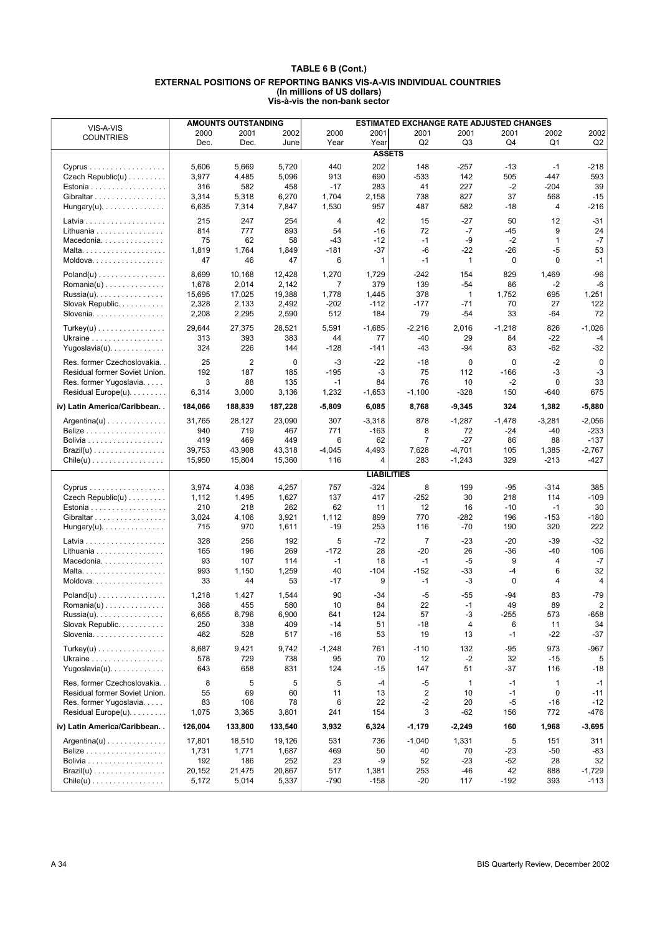|                                                |         | <b>AMOUNTS OUTSTANDING</b> |         |                |                    | <b>ESTIMATED EXCHANGE RATE ADJUSTED CHANGES</b> |                |             |                |          |
|------------------------------------------------|---------|----------------------------|---------|----------------|--------------------|-------------------------------------------------|----------------|-------------|----------------|----------|
| VIS-A-VIS                                      | 2000    | 2001                       | 2002    | 2000           | 2001               | 2001                                            | 2001           | 2001        | 2002           | 2002     |
| <b>COUNTRIES</b>                               | Dec.    | Dec.                       | June    | Year           | Year               | Q2                                              | Q3             | Q4          | Q1             | Q2       |
|                                                |         |                            |         |                | <b>ASSETS</b>      |                                                 |                |             |                |          |
|                                                |         |                            |         |                |                    |                                                 |                |             |                |          |
| $Cyprus \ldots \ldots \ldots \ldots \ldots$    | 5,606   | 5,669                      | 5,720   | 440            | 202                | 148                                             | -257           | $-13$       | $-1$           | -218     |
| Czech Republic(u)                              | 3,977   | 4,485                      | 5,096   | 913            | 690                | -533                                            | 142            | 505         | $-447$         | 593      |
| Estonia                                        | 316     | 582                        | 458     | $-17$          | 283                | 41                                              | 227            | $-2$        | $-204$         | 39       |
| Gibraltar                                      | 3,314   | 5,318                      | 6,270   | 1,704          | 2,158              | 738                                             | 827            | 37          | 568            | $-15$    |
| Hungary(u). $\ldots \ldots \ldots \ldots$      | 6,635   | 7,314                      | 7,847   | 1,530          | 957                | 487                                             | 582            | -18         | $\overline{4}$ | $-216$   |
|                                                | 215     | 247                        | 254     | 4              | 42                 | 15                                              | $-27$          | 50          | 12             | $-31$    |
| Lithuania                                      | 814     | 777                        | 893     | 54             | $-16$              | 72                                              | -7             | $-45$       | 9              | 24       |
| Macedonia                                      | 75      | 62                         | 58      | $-43$          | $-12$              | $-1$                                            | -9             | $-2$        | $\mathbf{1}$   | $-7$     |
|                                                | 1,819   | 1,764                      | 1,849   | $-181$         | $-37$              | -6                                              | $-22$          | $-26$       | -5             | 53       |
| Moldova.                                       | 47      | 46                         | 47      | 6              | $\mathbf{1}$       | $-1$                                            | 1              | 0           | $\mathbf 0$    | $-1$     |
|                                                |         |                            |         |                |                    |                                                 |                |             |                |          |
| $Poland(u) \ldots \ldots \ldots \ldots \ldots$ | 8,699   | 10,168                     | 12,428  | 1,270          | 1,729              | $-242$                                          | 154            | 829         | 1,469          | $-96$    |
| $Romania(u) \ldots \ldots \ldots \ldots$       | 1,678   | 2,014                      | 2,142   | $\overline{7}$ | 379                | 139                                             | $-54$          | 86          | $-2$           | -6       |
| $Russia(u)$ .                                  | 15,695  | 17,025                     | 19,388  | 1,778          | 1,445              | 378                                             | 1              | 1,752       | 695            | 1,251    |
| Slovak Republic.                               | 2,328   | 2,133                      | 2,492   | $-202$         | $-112$             | $-177$                                          | $-71$          | 70          | 27             | 122      |
| Slovenia                                       | 2,208   | 2,295                      | 2,590   | 512            | 184                | 79                                              | $-54$          | 33          | $-64$          | 72       |
| $Turkey(u)$                                    | 29,644  | 27,375                     | 28,521  | 5,591          | $-1,685$           | $-2,216$                                        | 2,016          | $-1,218$    | 826            | $-1,026$ |
| Ukraine                                        | 313     | 393                        | 383     | 44             | 77                 | $-40$                                           | 29             | 84          | $-22$          | -4       |
| Yugoslavia(u).                                 | 324     | 226                        | 144     | $-128$         | -141               | -43                                             | -94            | 83          | $-62$          | -32      |
|                                                |         |                            |         |                |                    |                                                 |                |             |                |          |
| Res. former Czechoslovakia                     | 25      | 2                          | 0       | -3             | -22                | $-18$                                           | $\mathbf 0$    | 0           | $-2$           | 0        |
| Residual former Soviet Union.                  | 192     | 187                        | 185     | $-195$         | -3                 | 75                                              | 112            | $-166$      | -3             | $-3$     |
| Res. former Yugoslavia.                        | 3       | 88                         | 135     | $-1$           | 84                 | 76                                              | 10             | $-2$        | 0              | 33       |
| Residual Europe(u).                            | 6,314   | 3,000                      | 3,136   | 1,232          | $-1,653$           | $-1,100$                                        | $-328$         | 150         | -640           | 675      |
| iv) Latin America/Caribbean                    | 184,066 | 188,839                    | 187,228 | -5,809         | 6,085              | 8,768                                           | $-9,345$       | 324         | 1,382          | -5,880   |
| $Argentina(u) \ldots \ldots \ldots \ldots$     | 31,765  | 28,127                     | 23,090  | 307            | $-3,318$           | 878                                             | $-1,287$       | $-1,478$    | $-3,281$       | $-2,056$ |
|                                                | 940     | 719                        | 467     | 771            | $-163$             | 8                                               | 72             | $-24$       | -40            | -233     |
| Bolivia                                        | 419     | 469                        | 449     | 6              | 62                 | 7                                               | $-27$          | 86          | 88             | $-137$   |
| $Brazil(u)$                                    | 39,753  | 43,908                     | 43,318  | $-4,045$       | 4,493              | 7,628                                           | $-4,701$       | 105         | 1,385          | $-2,767$ |
| $Chile(u)$                                     | 15,950  | 15,804                     | 15,360  | 116            | 4                  | 283                                             | $-1,243$       | 329         | $-213$         | -427     |
|                                                |         |                            |         |                |                    |                                                 |                |             |                |          |
|                                                |         |                            |         |                | <b>LIABILITIES</b> |                                                 |                |             |                |          |
| $Cyprus \ldots \ldots \ldots \ldots \ldots$    | 3,974   | 4,036                      | 4,257   | 757            | $-324$             | 8                                               | 199            | $-95$       | $-314$         | 385      |
| Czech Republic(u)                              | 1,112   | 1,495                      | 1,627   | 137            | 417                | $-252$                                          | 30             | 218         | 114            | $-109$   |
| Estonia                                        | 210     | 218                        | 262     | 62             | 11                 | 12                                              | 16             | $-10$       | $-1$           | 30       |
| Gibraltar                                      | 3,024   | 4,106                      | 3,921   | 1,112          | 899                | 770                                             | $-282$         | 196         | $-153$         | $-180$   |
| Hungary(u). $\ldots \ldots \ldots \ldots$      | 715     | 970                        | 1,611   | $-19$          | 253                | 116                                             | $-70$          | 190         | 320            | 222      |
|                                                | 328     | 256                        | 192     | 5              | -72                | $\overline{7}$                                  | $-23$          | $-20$       | $-39$          | $-32$    |
| Lithuania                                      | 165     | 196                        | 269     | $-172$         | 28                 | $-20$                                           | 26             | $-36$       | $-40$          | 106      |
| Macedonia                                      | 93      | 107                        | 114     | $-1$           | 18                 | $-1$                                            | $-5$           | 9           | 4              | -7       |
|                                                | 993     | 1,150                      | 1,259   | 40             | $-104$             | $-152$                                          | $-33$          | $-4$        | 6              | 32       |
|                                                | 33      | 44                         | 53      | $-17$          | 9                  | $-1$                                            | -3             | $\mathbf 0$ | 4              | 4        |
| Moldova.                                       |         |                            |         |                |                    |                                                 |                |             |                |          |
| $Poland(u) \ldots \ldots \ldots \ldots \ldots$ | 1,218   | 1,427                      | 1,544   | 90             | $-34$              | $-5$                                            | $-55$          | $-94$       | 83             | $-79$    |
| $Romania(u) \ldots \ldots \ldots \ldots$       | 368     | 455                        | 580     | 10             | 84                 | 22                                              | $-1$           | 49          | 89             | 2        |
| $Russia(u)$ .                                  | 6,655   | 6,796                      | 6,900   | 641            | 124                | 57                                              | -3             | -255        | 573            | -658     |
| Slovak Republic.                               | 250     | 338                        | 409     | $-14$          | 51                 | $-18$                                           | $\overline{4}$ | 6           | 11             | 34       |
| Slovenia                                       | 462     | 528                        | 517     | $-16$          | 53                 | 19                                              | 13             | $-1$        | -22            | -37      |
| $Turkey(u)$                                    | 8,687   | 9,421                      | 9,742   | $-1,248$       | 761                | $-110$                                          | 132            | $-95$       | 973            | $-967$   |
| Ukraine                                        | 578     | 729                        | 738     | 95             | 70                 | 12                                              | $-2$           | 32          | $-15$          | 5        |
| Yugoslavia(u).                                 | 643     | 658                        | 831     | 124            | $-15$              | 147                                             | 51             | $-37$       | 116            | -18      |
|                                                |         |                            |         |                |                    |                                                 |                |             |                |          |
| Res. former Czechoslovakia                     | 8       | 5                          | 5       | 5              | $-4$               | -5                                              | $\mathbf 1$    | $-1$        | $\mathbf{1}$   | $-1$     |
| Residual former Soviet Union.                  | 55      | 69                         | 60      | 11             | 13                 | $\overline{\mathbf{c}}$                         | 10             | $-1$        | $\mathbf 0$    | $-11$    |
| Res. former Yugoslavia.                        | 83      | 106                        | 78      | 6              | 22                 | $-2$                                            | 20             | $-5$        | $-16$          | $-12$    |
| Residual Europe(u).                            | 1,075   | 3,365                      | 3,801   | 241            | 154                | 3                                               | -62            | 156         | 772            | -476     |
| iv) Latin America/Caribbean                    | 126,004 | 133,800                    | 133,540 | 3,932          | 6,324              | $-1,179$                                        | $-2,249$       | 160         | 1,968          | $-3,695$ |
| $Argentina(u) \ldots \ldots \ldots \ldots$     | 17,801  | 18,510                     | 19,126  | 531            | 736                | $-1,040$                                        | 1,331          | 5           | 151            | 311      |
|                                                | 1,731   | 1,771                      | 1,687   | 469            | 50                 | 40                                              | 70             | $-23$       | -50            | -83      |
| Bolivia                                        | 192     | 186                        | 252     | 23             | -9                 | 52                                              | $-23$          | -52         | 28             | 32       |
| $Brazil(u)$                                    | 20,152  | 21,475                     | 20,867  | 517            | 1,381              | 253                                             | -46            | 42          | 888            | $-1,729$ |
| $Chile(u)$                                     | 5,172   | 5,014                      | 5,337   | $-790$         | $-158$             | -20                                             | 117            | -192        | 393            | $-113$   |
|                                                |         |                            |         |                |                    |                                                 |                |             |                |          |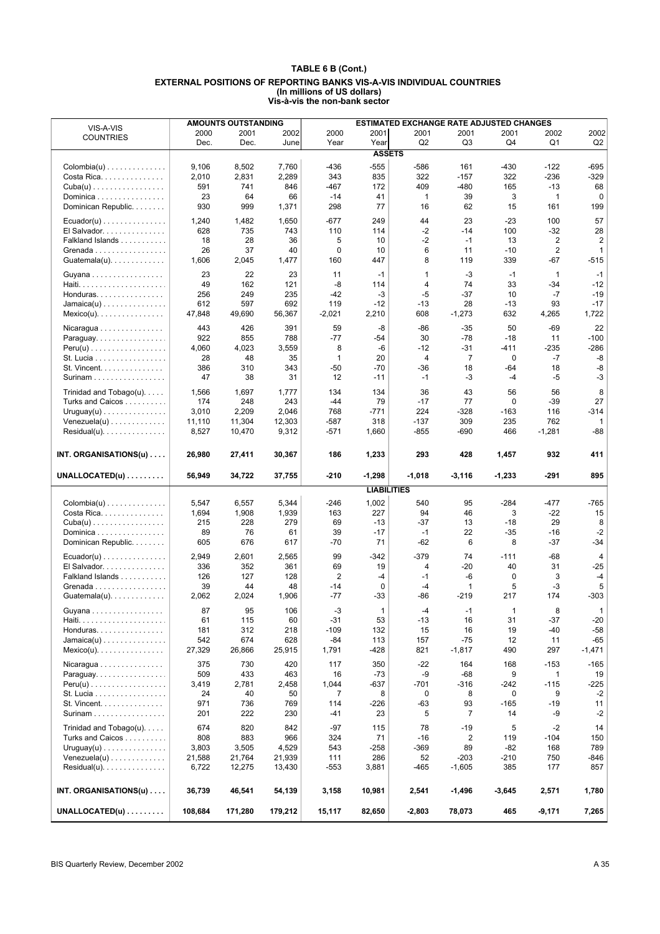|                                            |                 | <b>AMOUNTS OUTSTANDING</b> |           |              |                    | <b>ESTIMATED EXCHANGE RATE ADJUSTED CHANGES</b> |                    |               |                         |                |
|--------------------------------------------|-----------------|----------------------------|-----------|--------------|--------------------|-------------------------------------------------|--------------------|---------------|-------------------------|----------------|
| VIS-A-VIS<br><b>COUNTRIES</b>              | 2000            | 2001                       | 2002      | 2000         | 2001               | 2001                                            | 2001               | 2001          | 2002                    | 2002           |
|                                            | Dec.            | Dec.                       | June      | Year         | Year               | Q2                                              | Q3                 | Q4            | Q1                      | Q2             |
|                                            |                 |                            |           |              | <b>ASSETS</b>      |                                                 |                    |               |                         |                |
| $Colombia(u) \ldots \ldots \ldots \ldots$  | 9,106           | 8,502                      | 7,760     | -436         | $-555$             | -586                                            | 161                | $-430$        | $-122$                  | -695           |
| Costa Rica.                                | 2,010           | 2,831                      | 2,289     | 343          | 835                | 322                                             | $-157$             | 322           | $-236$                  | -329           |
| $Cuba(u)$                                  | 591             | 741                        | 846       | $-467$       | 172                | 409                                             | $-480$             | 165           | $-13$                   | 68             |
| Dominica                                   | 23              | 64                         | 66        | $-14$        | 41                 | 1                                               | 39                 | 3             | $\mathbf{1}$            | $\mathbf 0$    |
| Dominican Republic.                        | 930             | 999                        | 1,371     | 298          | 77                 | 16                                              | 62                 | 15            | 161                     | 199            |
| $Ecuador(u) \ldots \ldots \ldots \ldots$   | 1,240           | 1,482                      | 1,650     | $-677$       | 249                | 44                                              | 23                 | $-23$         | 100                     | 57             |
| El Salvador.                               | 628             | 735                        | 743       | 110          | 114                | $-2$                                            | -14                | 100           | $-32$                   | 28             |
| Falkland Islands                           | 18              | 28                         | 36        | 5            | 10                 | $-2$                                            | $-1$               | 13            | $\overline{\mathbf{c}}$ | 2              |
| Grenada                                    | 26              | 37                         | 40        | $\mathbf 0$  | 10                 | 6                                               | 11                 | $-10$         | $\overline{2}$          | 1              |
| Guatemala( $u$ ). $\ldots$ .               | 1,606           | 2,045                      | 1,477     | 160          | 447                | 8                                               | 119                | 339           | $-67$                   | $-515$         |
|                                            |                 |                            |           |              |                    |                                                 |                    |               |                         |                |
| Guyana                                     | 23              | 22                         | 23        | 11           | $-1$               | 1                                               | $-3$               | $-1$          | $\mathbf{1}$            | $-1$           |
|                                            | 49<br>256       | 162<br>249                 | 121       | -8<br>-42    | 114<br>-3          | 4<br>-5                                         | 74<br>-37          | 33<br>10      | $-34$<br>-7             | $-12$<br>-19   |
| Honduras                                   |                 |                            | 235       |              |                    |                                                 |                    |               | 93                      | $-17$          |
| $Jamaica(u) \ldots \ldots \ldots \ldots$   | 612             | 597                        | 692       | 119          | $-12$              | $-13$                                           | 28                 | $-13$         |                         |                |
| $Mexico(u)$ .                              | 47,848          | 49,690                     | 56,367    | $-2,021$     | 2,210              | 608                                             | $-1,273$           | 632           | 4,265                   | 1,722          |
| Nicaragua                                  | 443             | 426                        | 391       | 59           | -8                 | $-86$                                           | $-35$              | 50            | $-69$                   | 22             |
| Paraguay                                   | 922             | 855                        | 788       | $-77$        | $-54$              | 30                                              | $-78$              | $-18$         | 11                      | $-100$         |
|                                            | 4,060           | 4,023                      | 3,559     | 8            | -6                 | $-12$                                           | $-31$              | $-411$        | $-235$                  | -286           |
| St. Lucia                                  | 28              | 48                         | 35        | $\mathbf{1}$ | 20                 | 4                                               | 7                  | 0             | -7                      | -8             |
| St. Vincent.                               | 386             | 310                        | 343       | $-50$        | -70                | $-36$                                           | 18                 | -64           | 18                      | -8             |
| Surinam                                    | 47              | 38                         | 31        | 12           | -11                | $-1$                                            | -3                 | -4            | -5                      | $-3$           |
| Trinidad and Tobago(u).                    | 1,566           | 1,697                      | 1,777     | 134          | 134                | 36                                              | 43                 | 56            | 56                      | 8              |
| Turks and Caicos                           | 174             | 248                        | 243       | $-44$        | 79                 | $-17$                                           | 77                 | $\mathbf 0$   | $-39$                   | 27             |
| $Uruguay(u) \ldots \ldots \ldots \ldots$   | 3,010           | 2,209                      | 2,046     | 768          | -771               | 224                                             | $-328$             | $-163$        | 116                     | -314           |
| $Venezuela(u) \ldots \ldots \ldots \ldots$ | 11,110          | 11,304                     | 12,303    | $-587$       | 318                | $-137$                                          | 309                | 235           | 762                     | $\mathbf 1$    |
| Residual(u).                               | 8,527           | 10,470                     | 9,312     | $-571$       | 1,660              | -855                                            | -690               | 466           | $-1,281$                | -88            |
|                                            |                 |                            |           |              |                    |                                                 |                    |               |                         |                |
| INT. ORGANISATIONS(u)                      | 26,980          | 27,411                     | 30,367    | 186          | 1,233              | 293                                             | 428                | 1,457         | 932                     | 411            |
|                                            |                 |                            |           |              |                    |                                                 |                    |               |                         |                |
| $UNALLOCATED(u) \ldots \ldots$             | 56,949          | 34,722                     | 37,755    | $-210$       | $-1,298$           | $-1,018$                                        | $-3,116$           | $-1,233$      | -291                    | 895            |
|                                            |                 |                            |           |              | <b>LIABILITIES</b> |                                                 |                    |               |                         |                |
|                                            |                 |                            |           |              |                    |                                                 |                    |               |                         |                |
| $Colombia(u)$                              | 5,547           | 6,557                      | 5,344     | $-246$       | 1,002              | 540                                             | 95                 | $-284$        | -477                    | -765           |
| Costa Rica.                                | 1,694           | 1,908                      | 1,939     | 163          | 227                | 94                                              | 46                 | 3             | $-22$                   | 15             |
| $Cuba(u)$                                  | 215             | 228                        | 279       | 69           | $-13$              | $-37$                                           | 13                 | $-18$         | 29                      | 8              |
| Dominica                                   | 89<br>605       | 76<br>676                  | 61<br>617 | 39<br>-70    | -17<br>71          | $-1$<br>$-62$                                   | 22<br>6            | $-35$<br>8    | $-16$<br>$-37$          | $-2$           |
| Dominican Republic.                        |                 |                            |           |              |                    |                                                 |                    |               |                         | -34            |
| $Ecuador(u) \ldots \ldots \ldots \ldots$   | 2,949           | 2,601                      | 2,565     | 99           | $-342$             | $-379$                                          | 74                 | -111          | $-68$                   | $\overline{4}$ |
| El Salvador.                               | 336             | 352                        | 361       | 69           | 19                 | 4                                               | $-20$              | 40            | 31                      | $-25$          |
| Falkland Islands                           | 126             | 127                        | 128       | 2            | $-4$               | -1                                              | -6                 | $\mathbf 0$   | 3                       | $-4$           |
| Grenada                                    | 39              | 44                         | 48        | -14          | $\mathbf 0$        | -4                                              | $\mathbf{1}$       | 5             | -3                      | 5              |
| Guatemala(u).                              | 2,062           | 2,024                      | 1,906     | $-77$        | $-33$              | -86                                             | $-219$             | 217           | 174                     | -303           |
| Guyana.                                    | 87              | 95                         | 106       | $-3$         | 1                  | -4                                              | $-1$               | 1             | 8                       | $\mathbf{1}$   |
|                                            | 61              | 115                        | 60        | $-31$        | 53                 | $-13$                                           | 16                 | 31            | $-37$                   | $-20$          |
| Honduras.                                  | 181             | 312                        | 218       | $-109$       | 132                | 15                                              | 16                 | 19            | -40                     | -58            |
| $Jamaica(u)$                               | 542             | 674                        | 628       | -84          | 113                | 157                                             | -75                | 12            | 11                      | -65            |
| $Mexico(u)$                                | 27,329          | 26,866                     | 25,915    | 1,791        | -428               | 821                                             | $-1,817$           | 490           | 297                     | $-1,471$       |
| Nicaragua                                  | 375             | 730                        | 420       | 117          | 350                | $-22$                                           | 164                | 168           | $-153$                  | $-165$         |
| Paraguay.                                  | 509             | 433                        | 463       | 16           | -73                | -9                                              | $-68$              | 9             | $\mathbf 1$             | 19             |
|                                            | 3,419           | 2,781                      | 2,458     | 1,044        | -637               | -701                                            | $-316$             | -242          | $-115$                  | $-225$         |
| St. Lucia                                  | 24              | 40                         | 50        | 7            | 8                  | 0                                               | 8                  | 0             | 9                       | $-2$           |
| St. Vincent.                               | 971             | 736                        | 769       | 114          | -226               | $-63$                                           | 93                 | -165          | $-19$                   | 11             |
| Surinam                                    | 201             | 222                        | 230       | $-41$        | 23                 | 5                                               | 7                  | 14            | -9                      | -2             |
|                                            |                 |                            |           |              |                    |                                                 |                    |               |                         |                |
| Trinidad and Tobago(u).                    | 674             | 820                        | 842       | $-97$        | 115                | 78                                              | $-19$              | 5             | $-2$                    | 14             |
| Turks and Caicos                           | 808             | 883                        | 966       | 324          | 71                 | $-16$                                           | $\overline{2}$     | 119           | $-104$                  | 150            |
| $Uruguay(u) \ldots \ldots \ldots \ldots$   | 3,803           | 3,505                      | 4,529     | 543          | -258<br>286        | -369                                            | 89                 | -82           | 168<br>750              | 789            |
| $Venezuela(u) \ldots \ldots \ldots \ldots$ | 21,588<br>6,722 | 21,764                     | 21,939    | 111<br>-553  | 3,881              | 52<br>$-465$                                    | $-203$<br>$-1,605$ | $-210$<br>385 | 177                     | -846<br>857    |
| $Residual(u)$ .                            |                 | 12,275                     | 13,430    |              |                    |                                                 |                    |               |                         |                |
| INT. ORGANISATIONS(u)                      | 36,739          | 46,541                     | 54,139    | 3,158        | 10,981             | 2,541                                           | $-1,496$           | $-3,645$      | 2,571                   | 1,780          |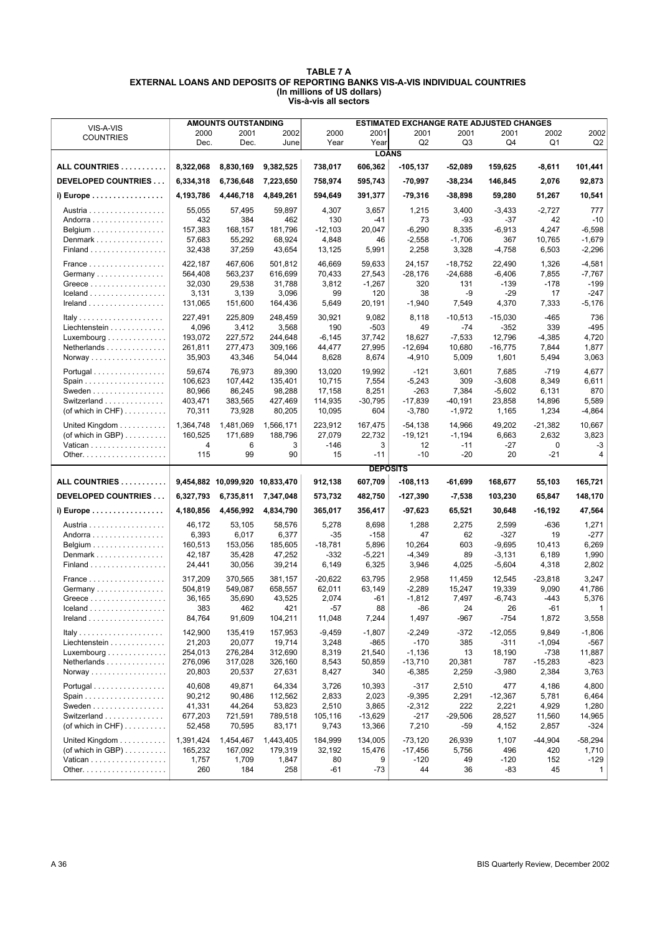|                                              |                   | <b>AMOUNTS OUTSTANDING</b>      |                   |                   |                    | <b>ESTIMATED EXCHANGE RATE ADJUSTED CHANGES</b> |                 |                      |                   |                        |
|----------------------------------------------|-------------------|---------------------------------|-------------------|-------------------|--------------------|-------------------------------------------------|-----------------|----------------------|-------------------|------------------------|
| VIS-A-VIS                                    | 2000              | 2001                            | 2002              | 2000              | 2001               | 2001                                            | 2001            | 2001                 | 2002              | 2002                   |
| <b>COUNTRIES</b>                             | Dec.              | Dec.                            | June              | Year              | Year               | Q2                                              | Q3              | Q4                   | Q1                | Q <sub>2</sub>         |
|                                              |                   |                                 |                   |                   | <b>LOANS</b>       |                                                 |                 |                      |                   |                        |
| ALL COUNTRIES                                | 8,322,068         | 8,830,169                       | 9,382,525         | 738,017           | 606,362            | -105,137                                        | $-52,089$       | 159,625              | $-8,611$          | 101,441                |
| <b>DEVELOPED COUNTRIES</b>                   |                   |                                 |                   |                   |                    |                                                 |                 |                      |                   |                        |
|                                              | 6,334,318         | 6,736,648                       | 7,223,650         | 758,974           | 595,743            | $-70,997$                                       | $-38,234$       | 146,845              | 2,076             | 92,873                 |
| i) Europe                                    | 4,193,786         | 4,446,718                       | 4,849,261         | 594,649           | 391,377            | $-79,316$                                       | $-38,898$       | 59,280               | 51,267            | 10,541                 |
| Austria                                      | 55,055            | 57,495                          | 59,897            | 4,307             | 3,657              | 1,215                                           | 3,400           | $-3,433$             | $-2,727$          | 777                    |
| Andorra                                      | 432               | 384                             | 462               | 130               | $-41$              | 73                                              | $-93$           | $-37$                | 42                | $-10$                  |
| Belgium                                      | 157,383           | 168.157                         | 181,796           | $-12,103$         | 20,047             | $-6,290$                                        | 8,335           | $-6,913$             | 4,247             | $-6,598$               |
| Denmark                                      | 57,683            | 55,292                          | 68,924            | 4,848             | 46                 | $-2,558$                                        | $-1,706$        | 367                  | 10,765            | $-1,679$               |
| Finland                                      | 32,438            | 37,259                          | 43,654            | 13,125            | 5,991              | 2,258                                           | 3,328           | $-4,758$             | 6,503             | $-2,296$               |
| France                                       | 422.187           | 467,606                         | 501,812           | 46,669            | 59,633             | 24,157                                          | $-18,752$       | 22,490               | 1,326             | $-4,581$               |
| Germany                                      | 564.408           | 563,237                         | 616,699           | 70,433            | 27,543             | $-28,176$                                       | $-24,688$       | $-6,406$             | 7,855             | $-7,767$               |
|                                              | 32,030            | 29,538                          | 31,788            | 3,812             | $-1,267$           | 320                                             | 131             | $-139$               | $-178$            | $-199$                 |
| $lceland \ldots \ldots \ldots \ldots \ldots$ | 3,131             | 3,139                           | 3,096             | 99                | 120                | 38                                              | -9              | $-29$                | 17                | $-247$                 |
|                                              | 131,065           | 151,600                         | 164,436           | 5,649             | 20,191             | $-1,940$                                        | 7,549           | 4,370                | 7,333             | $-5,176$               |
| Italy                                        | 227,491           | 225,809                         | 248,459           | 30,921            | 9,082              | 8,118                                           | $-10,513$       | $-15,030$            | $-465$            | 736                    |
| Liechtenstein                                | 4,096             | 3,412                           | 3,568             | 190               | -503               | 49                                              | -74             | $-352$               | 339               | $-495$                 |
| $Luxembourg \ldots  \ldots $                 | 193.072           | 227,572                         | 244,648           | $-6, 145$         | 37,742             | 18,627                                          | $-7,533$        | 12,796               | $-4,385$          | 4,720                  |
| Netherlands<br>Norway                        | 261,811<br>35,903 | 277,473<br>43,346               | 309,166<br>54,044 | 44,477<br>8,628   | 27,995<br>8,674    | $-12,694$<br>$-4,910$                           | 10,680<br>5,009 | $-16,775$<br>1,601   | 7,844<br>5,494    | 1,877<br>3,063         |
|                                              |                   |                                 |                   |                   |                    |                                                 |                 |                      |                   |                        |
| Portugal                                     | 59,674            | 76,973                          | 89,390            | 13,020            | 19,992             | $-121$                                          | 3,601           | 7,685                | $-719$            | 4,677                  |
| Sweden                                       | 106,623<br>80,966 | 107,442<br>86,245               | 135,401<br>98,288 | 10,715<br>17,158  | 7,554<br>8,251     | $-5,243$<br>$-263$                              | 309<br>7,384    | $-3,608$<br>$-5,602$ | 8,349<br>6,131    | 6,611<br>870           |
| Switzerland                                  | 403,471           | 383,565                         | 427,469           | 114,935           | $-30,795$          | $-17,839$                                       | $-40,191$       | 23,858               | 14,896            | 5,589                  |
| (of which in $CHF$ )                         | 70,311            | 73,928                          | 80,205            | 10,095            | 604                | $-3,780$                                        | $-1,972$        | 1,165                | 1,234             | -4,864                 |
| United Kingdom                               | 1,364,748         | 1,481,069                       | 1,566,171         | 223,912           | 167,475            | $-54,138$                                       | 14,966          | 49,202               | $-21,382$         | 10.667                 |
| (of which in GBP) $\dots$                    | 160,525           | 171,689                         | 188,796           | 27,079            | 22,732             | $-19,121$                                       | $-1,194$        | 6,663                | 2,632             | 3,823                  |
| Vatican                                      | 4                 | 6                               | 3                 | $-146$            | 3                  | 12                                              | $-11$           | $-27$                | 0                 | -3                     |
|                                              | 115               | 99                              | 90                | 15                | $-11$              | $-10$                                           | $-20$           | 20                   | $-21$             | 4                      |
|                                              |                   |                                 |                   |                   | <b>DEPOSITS</b>    |                                                 |                 |                      |                   |                        |
|                                              |                   |                                 |                   |                   |                    |                                                 |                 |                      |                   |                        |
|                                              |                   |                                 |                   |                   |                    |                                                 |                 |                      |                   |                        |
| ALL COUNTRIES                                |                   | 9,454,882 10,099,920 10,833,470 |                   | 912,138           | 607,709            | $-108, 113$                                     | $-61,699$       | 168,677              | 55,103            | 165,721                |
| DEVELOPED COUNTRIES                          | 6,327,793         | 6,735,811                       | 7,347,048         | 573,732           | 482,750            | $-127,390$                                      | $-7,538$        | 103,230              | 65,847            | 148,170                |
| i) Europe                                    | 4,180,856         | 4,456,992                       | 4,834,790         | 365,017           | 356,417            | $-97,623$                                       | 65,521          | 30,648               | $-16, 192$        | 47,564                 |
| Austria                                      | 46,172            | 53,105                          | 58,576            | 5,278             | 8,698              | 1,288                                           | 2,275           | 2,599                | $-636$            | 1,271                  |
| Andorra                                      | 6,393             | 6,017                           | 6,377             | $-35$             | $-158$             | 47                                              | 62              | $-327$               | 19                | $-277$                 |
| Belgium                                      | 160,513           | 153,056                         | 185,605           | $-18,781$         | 5,896              | 10,264                                          | 603             | $-9,695$             | 10,413            | 6,269                  |
| Denmark                                      | 42,187            | 35,428                          | 47,252            | $-332$            | $-5,221$           | $-4,349$                                        | 89              | $-3,131$             | 6,189             | 1,990                  |
| Finland                                      | 24,441            | 30,056                          | 39,214            | 6,149             | 6,325              | 3,946                                           | 4,025           | $-5,604$             | 4,318             | 2,802                  |
| France                                       | 317,209           | 370,565                         | 381,157           | $-20,622$         | 63,795             | 2,958                                           | 11,459          | 12,545               | $-23,818$         | 3,247                  |
| Germany                                      | 504,819           | 549,087                         | 658,557           | 62,011            | 63.149             | $-2,289$                                        | 15,247          | 19,339               | 9,090             | 41,786                 |
|                                              | 36,165<br>383     | 35,690<br>462                   | 43,525<br>421     | 2,074             | -61<br>88          | $-1,812$<br>-86                                 | 7,497<br>24     | $-6,743$<br>26       | $-443$<br>-61     | 5,376<br>$\mathbf{1}$  |
| $\text{Iceland}$                             | 84,764            | 91,609                          | 104,211           | $-57$<br>11,048   | 7,244              | 1,497                                           | -967            | $-754$               | 1,872             | 3,558                  |
|                                              |                   |                                 |                   |                   |                    |                                                 |                 |                      |                   |                        |
| Italy                                        | 142,900<br>21,203 | 135,419<br>20,077               | 157,953<br>19,714 | $-9,459$<br>3,248 | $-1,807$<br>$-865$ | $-2,249$<br>$-170$                              | $-372$<br>385   | $-12,055$<br>$-311$  | 9,849<br>$-1,094$ | $-1,806$<br>$-567$     |
| Liechtenstein<br>Luxembourg                  | 254,013           | 276,284                         | 312,690           | 8,319             | 21,540             | $-1,136$                                        | 13              | 18,190               | $-738$            | 11,887                 |
| Netherlands                                  | 276,096           | 317,028                         | 326,160           | 8,543             | 50,859             | $-13,710$                                       | 20,381          | 787                  | $-15,283$         | $-823$                 |
| Norway                                       | 20,803            | 20,537                          | 27,631            | 8,427             | 340                | $-6,385$                                        | 2,259           | $-3,980$             | 2,384             | 3,763                  |
| Portugal                                     | 40,608            | 49,871                          | 64,334            | 3,726             | 10,393             | $-317$                                          | 2,510           | 477                  | 4,186             | 4,800                  |
|                                              | 90,212            | 90,486                          | 112,562           | 2,833             | 2,023              | $-9,395$                                        | 2,291           | $-12,367$            | 5,781             | 6,464                  |
| Sweden                                       | 41,331            | 44,264                          | 53,823            | 2,510             | 3,865              | $-2,312$                                        | 222             | 2,221                | 4,929             | 1,280                  |
| Switzerland                                  | 677,203           | 721,591                         | 789,518           | 105,116           | $-13,629$          | $-217$                                          | $-29,506$       | 28,527               | 11,560            | 14,965                 |
| (of which in $CHF)$                          | 52,458            | 70,595                          | 83,171            | 9,743             | 13,366             | 7,210                                           | $-59$           | 4,152                | 2,857             | $-324$                 |
| United Kingdom                               | 1,391,424         | 1,454,467                       | 1,443,405         | 184,999           | 134,005            | $-73,120$                                       | 26,939          | 1,107                | $-44,904$         | $-58,294$              |
| (of which in GBP) $\dots$                    | 165,232           | 167,092                         | 179,319           | 32,192            | 15,476             | $-17,456$                                       | 5,756           | 496                  | 420               | 1,710                  |
| Vatican                                      | 1,757<br>260      | 1,709<br>184                    | 1,847<br>258      | 80<br>-61         | 9<br>-73           | $-120$<br>44                                    | 49<br>36        | $-120$<br>-83        | 152<br>45         | $-129$<br>$\mathbf{1}$ |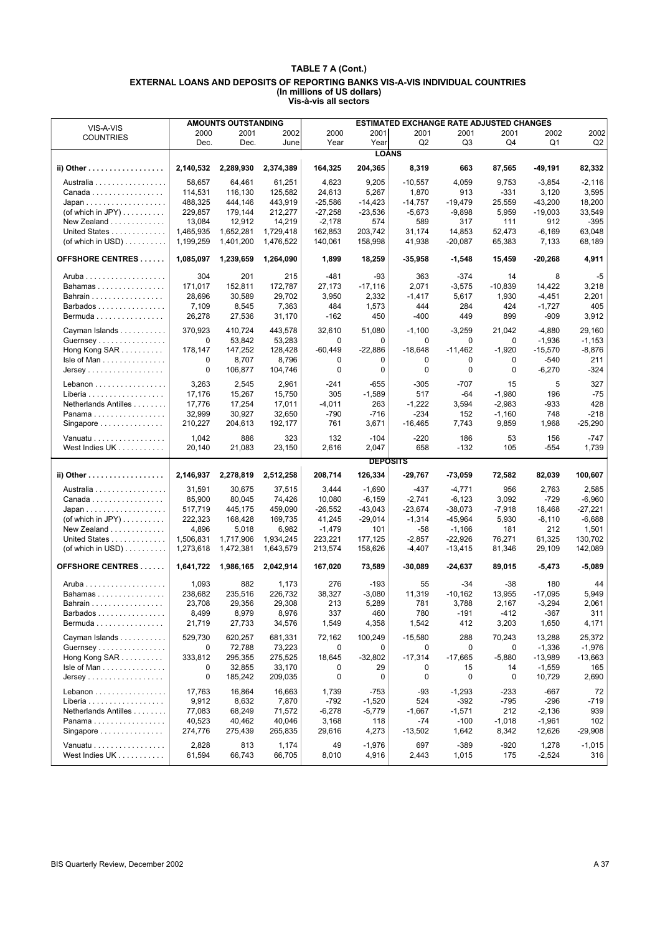|                                                |              | <b>AMOUNTS OUTSTANDING</b> |                   |             |                 | <b>ESTIMATED EXCHANGE RATE ADJUSTED CHANGES</b> |               |             |                      |                |
|------------------------------------------------|--------------|----------------------------|-------------------|-------------|-----------------|-------------------------------------------------|---------------|-------------|----------------------|----------------|
| VIS-A-VIS                                      | 2000         | 2001                       | 2002              | 2000        | 2001            | 2001                                            | 2001          | 2001        | 2002                 | 2002           |
| <b>COUNTRIES</b>                               | Dec.         | Dec.                       | June              | Year        | Year            | Q2                                              | Q3            | Q4          | Q1                   | Q <sub>2</sub> |
|                                                |              |                            |                   |             | <b>LOANS</b>    |                                                 |               |             |                      |                |
| ii) Other                                      | 2,140,532    | 2,289,930                  | 2,374,389         | 164,325     | 204,365         | 8,319                                           | 663           | 87,565      | -49,191              | 82,332         |
| Australia                                      | 58,657       | 64,461                     | 61,251            | 4,623       | 9,205           | $-10,557$                                       | 4,059         | 9,753       | $-3,854$             | $-2,116$       |
| Canada                                         | 114,531      | 116,130                    | 125,582           | 24,613      | 5,267           | 1,870                                           | 913           | $-331$      | 3,120                | 3,595          |
| $Japan \dots \dots \dots \dots \dots \dots$    | 488,325      | 444,146                    | 443,919           | $-25,586$   | $-14,423$       | $-14,757$                                       | $-19,479$     | 25,559      | $-43,200$            | 18,200         |
| (of which in JPY) $\dots \dots$                | 229,857      | 179,144                    | 212,277           | $-27,258$   | $-23,536$       | $-5,673$                                        | $-9,898$      | 5,959       | $-19,003$            | 33,549         |
| New Zealand                                    | 13,084       | 12,912                     | 14,219            | $-2,178$    | 574             | 589                                             | 317           | 111         | 912                  | $-395$         |
| United States                                  | 1,465,935    | 1,652,281                  | 1,729,418         | 162,853     | 203,742         | 31,174                                          | 14,853        | 52,473      | $-6,169$             | 63,048         |
| (of which in USD) $\dots$                      | 1,199,259    | 1,401,200                  | 1,476,522         | 140,061     | 158,998         | 41,938                                          | $-20,087$     | 65,383      | 7,133                | 68,189         |
| <b>OFFSHORE CENTRES</b>                        | 1,085,097    | 1,239,659                  | 1,264,090         | 1,899       | 18,259          | $-35,958$                                       | $-1,548$      | 15,459      | -20,268              | 4,911          |
|                                                | 304          | 201                        | 215               | $-481$      | $-93$           | 363                                             | $-374$        | 14          | 8                    | -5             |
| Bahamas                                        | 171,017      | 152,811                    | 172,787           | 27,173      | $-17,116$       | 2,071                                           | $-3,575$      | $-10,839$   | 14,422               | 3,218          |
| Bahrain                                        | 28,696       | 30,589                     | 29,702            | 3,950       | 2,332           | $-1,417$                                        | 5,617         | 1,930       | $-4,451$             | 2,201          |
| Barbados                                       | 7,109        | 8,545                      | 7,363             | 484         | 1,573           | 444                                             | 284           | 424         | $-1,727$             | 405            |
| Bermuda                                        | 26,278       | 27,536                     | 31,170            | $-162$      | 450             | $-400$                                          | 449           | 899         | $-909$               | 3,912          |
|                                                |              | 410.724                    |                   |             | 51.080          |                                                 |               |             |                      | 29.160         |
| Cayman Islands                                 | 370,923<br>0 | 53,842                     | 443,578           | 32,610<br>0 | 0               | $-1,100$<br>0                                   | $-3,259$<br>0 | 21,042<br>0 | $-4,880$<br>$-1,936$ | $-1,153$       |
| Guernsey<br>Hong Kong SAR                      | 178.147      | 147,252                    | 53,283<br>128,428 | $-60,449$   | $-22,886$       | $-18,648$                                       | $-11,462$     | $-1,920$    | $-15,570$            | $-8,876$       |
|                                                | 0            | 8,707                      | 8,796             | 0           | 0               | 0                                               | 0             | 0           | $-540$               | 211            |
| $Isle of Man$<br>$Jersey \ldots \ldots \ldots$ | 0            | 106.877                    | 104,746           | 0           | 0               | 0                                               | 0             | 0           | $-6,270$             | $-324$         |
|                                                |              |                            |                   |             |                 |                                                 |               |             |                      |                |
| Lebanon                                        | 3,263        | 2,545                      | 2,961             | $-241$      | -655            | $-305$                                          | $-707$        | 15          | 5                    | 327            |
|                                                | 17,176       | 15,267                     | 15,750            | 305         | $-1,589$        | 517                                             | -64           | $-1,980$    | 196                  | $-75$          |
| Netherlands Antilles                           | 17,776       | 17,254                     | 17,011            | $-4,011$    | 263             | $-1,222$                                        | 3,594         | $-2,983$    | $-933$               | 428            |
| Panama                                         | 32,999       | 30,927                     | 32,650            | $-790$      | $-716$          | $-234$                                          | 152           | $-1,160$    | 748                  | $-218$         |
| Singapore                                      | 210,227      | 204,613                    | 192,177           | 761         | 3,671           | $-16,465$                                       | 7,743         | 9,859       | 1,968                | $-25,290$      |
| Vanuatu                                        | 1,042        | 886                        | 323               | 132         | $-104$          | $-220$                                          | 186           | 53          | 156                  | $-747$         |
| West Indies UK                                 | 20,140       | 21,083                     | 23,150            | 2,616       | 2,047           | 658                                             | $-132$        | 105         | $-554$               | 1,739          |
|                                                |              |                            |                   |             | <b>DEPOSITS</b> |                                                 |               |             |                      |                |
| ii) Other                                      | 2,146,937    | 2,278,819                  | 2,512,258         | 208,714     | 126,334         | $-29,767$                                       | -73,059       | 72,582      | 82,039               | 100,607        |
| Australia                                      | 31,591       | 30,675                     | 37,515            | 3,444       | $-1,690$        | $-437$                                          | $-4,771$      | 956         | 2,763                | 2,585          |
| Canada                                         | 85,900       | 80,045                     | 74,426            | 10,080      | $-6,159$        | $-2,741$                                        | $-6,123$      | 3,092       | $-729$               | $-6,960$       |
|                                                | 517,719      | 445,175                    | 459,090           | $-26,552$   | $-43,043$       | $-23,674$                                       | $-38,073$     | $-7,918$    | 18,468               | -27,221        |
| (of which in JPY) $\dots \dots$                | 222,323      | 168,428                    | 169,735           | 41,245      | $-29,014$       | $-1,314$                                        | $-45,964$     | 5,930       | $-8,110$             | $-6,688$       |
| New Zealand                                    | 4,896        | 5,018                      | 6,982             | $-1,479$    | 101             | $-58$                                           | $-1,166$      | 181         | 212                  | 1,501          |
| United States                                  | 1,506,831    | 1,717,906                  | 1,934,245         | 223,221     | 177,125         | $-2,857$                                        | $-22,926$     | 76,271      | 61,325               | 130,702        |
| (of which in USD)                              | 1,273,618    | 1,472,381                  | 1,643,579         | 213,574     | 158,626         | $-4,407$                                        | $-13,415$     | 81,346      | 29,109               | 142,089        |
| <b>OFFSHORE CENTRES</b>                        | 1,641,722    | 1,986,165                  | 2,042,914         | 167,020     | 73.589          | $-30,089$                                       | $-24,637$     | 89,015      | -5,473               | $-5,089$       |
|                                                | 1,093        | 882                        | 1,173             | 276         | $-193$          | 55                                              | $-34$         | $-38$       | 180                  | 44             |
| Bahamas                                        | 238,682      | 235,516                    | 226,732           | 38,327      | $-3,080$        | 11,319                                          | $-10,162$     | 13,955      | $-17,095$            | 5,949          |
| Bahrain                                        | 23,708       | 29,356                     | 29,308            | 213         | 5,289           | 781                                             | 3,788         | 2,167       | $-3,294$             | 2,061          |
| Barbados                                       | 8,499        | 8,979                      | 8,976             | 337         | 460             | 780                                             | -191          | -412        | -367                 | 311            |
| Bermuda                                        | 21,719       | 27,733                     | 34,576            | 1,549       | 4,358           | 1,542                                           | 412           | 3,203       | 1,650                | 4,171          |
| Cayman Islands                                 | 529,730      | 620,257                    | 681,331           | 72,162      | 100,249         | $-15,580$                                       | 288           | 70,243      | 13,288               | 25,372         |
| Guernsey                                       | 0            | 72,788                     | 73,223            | 0           | 0               | 0                                               | 0             | 0           | $-1,336$             | $-1,976$       |
| Hong Kong $SAR$                                | 333,812      | 295,355                    | 275,525           | 18,645      | $-32,802$       | $-17,314$                                       | $-17,665$     | $-5,880$    | $-13,989$            | $-13,663$      |
| $Isle of Man$                                  | 0            | 32,855                     | 33,170            | 0           | 29              | 0                                               | 15            | 14          | $-1,559$             | 165            |
| $Jersey$                                       | 0            | 185,242                    | 209,035           | 0           | 0               | 0                                               | 0             | 0           | 10,729               | 2,690          |
| Lebanon                                        | 17,763       | 16,864                     | 16,663            | 1,739       | $-753$          | -93                                             | $-1,293$      | $-233$      | $-667$               | 72             |
|                                                | 9,912        | 8,632                      | 7,870             | $-792$      | $-1,520$        | 524                                             | $-392$        | $-795$      | $-296$               | $-719$         |
| Netherlands Antilles                           | 77,083       | 68,249                     | 71,572            | $-6,278$    | $-5,779$        | $-1,667$                                        | $-1,571$      | 212         | $-2,136$             | 939            |
| Panama                                         | 40,523       | 40,462                     | 40,046            | 3,168       | 118             | -74                                             | $-100$        | $-1,018$    | $-1,961$             | 102            |
| Singapore                                      | 274,776      | 275,439                    | 265,835           | 29,616      | 4,273           | $-13,502$                                       | 1,642         | 8,342       | 12,626               | -29,908        |
|                                                |              |                            |                   |             |                 |                                                 |               |             |                      |                |
| Vanuatu                                        | 2,828        | 813                        | 1,174             | 49          | $-1,976$        | 697                                             | $-389$        | $-920$      | 1,278                | $-1,015$       |
| West Indies UK                                 | 61,594       | 66,743                     | 66,705            | 8,010       | 4,916           | 2,443                                           | 1,015         | 175         | $-2,524$             | 316            |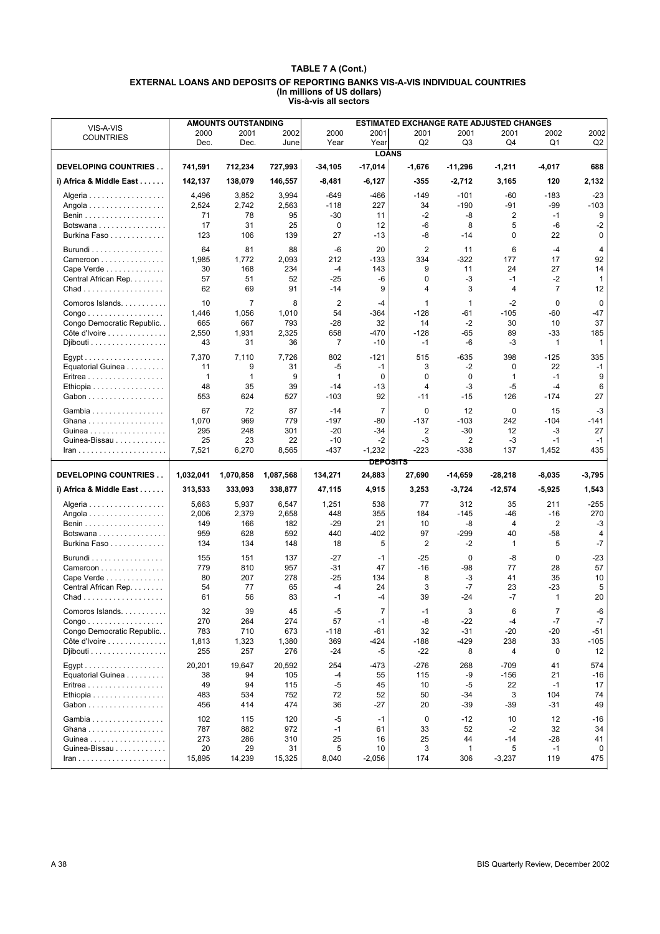| 2000<br>2001<br>2002<br>2000<br>2001<br>2001<br>2001<br>2001<br>2002<br>2002<br><b>COUNTRIES</b><br>Dec.<br>Dec.<br>Year<br>Year<br>Q <sub>2</sub><br>Q3<br>Q4<br>Q1<br>Q2<br>June<br><b>LOANS</b><br>727,993<br>DEVELOPING COUNTRIES<br>741,591<br>712,234<br>$-34,105$<br>-17,014<br>$-1,676$<br>$-11,296$<br>688<br>-1,211<br>-4,017<br>i) Africa & Middle East<br>142,137<br>138,079<br>146,557<br>$-8,481$<br>$-6,127$<br>$-355$<br>$-2,712$<br>3,165<br>120<br>2,132<br>4,496<br>3,994<br>$-183$<br>$-23$<br>3,852<br>$-649$<br>-466<br>$-149$<br>$-101$<br>-60<br>Algeria<br>2,524<br>2,742<br>2,563<br>$-118$<br>227<br>34<br>$-190$<br>-91<br>-99<br>-103<br>Angola<br>78<br>$-30$<br>-2<br>-8<br>2<br>$-1$<br>9<br>71<br>95<br>11<br>-6<br>5<br>$-2$<br>Botswana<br>17<br>31<br>25<br>0<br>12<br>8<br>-6<br>27<br>0<br>22<br>$\mathbf 0$<br>Burkina Faso<br>123<br>106<br>139<br>$-13$<br>-8<br>$-14$<br>81<br>20<br>$\overline{2}$<br>6<br>$-4$<br>64<br>88<br>$-6$<br>11<br>4<br>Burundi<br>212<br>$-133$<br>334<br>$-322$<br>17<br>92<br>Cameroon<br>1,985<br>1,772<br>2,093<br>177<br>Cape Verde<br>30<br>168<br>234<br>$-4$<br>143<br>9<br>11<br>24<br>27<br>14<br>$-3$<br>$-2$<br>Central African Rep.<br>57<br>51<br>52<br>-25<br>-6<br>0<br>$-1$<br>1<br>62<br>$\overline{7}$<br>12<br>69<br>91<br>$-14$<br>9<br>4<br>3<br>4<br>$\overline{7}$<br>$\overline{2}$<br>$\Omega$<br>$\mathbf 0$<br>Comoros Islands.<br>10<br>8<br>$\mathbf{1}$<br>$-2$<br>$-4$<br>1<br>$-47$<br>1,056<br>1,010<br>54<br>-364<br>$-128$<br>$-61$<br>$-105$<br>-60<br>$Congo \ldots \ldots \ldots \ldots \ldots$<br>1,446<br>32<br>$-2$<br>30<br>37<br>Congo Democratic Republic<br>665<br>667<br>793<br>$-28$<br>14<br>10<br>658<br>$-128$<br>89<br>Côte d'Ivoire<br>2,550<br>1,931<br>2,325<br>-470<br>-65<br>-33<br>185<br>$\overline{7}$<br>$\mathbf{1}$<br>Djibouti<br>43<br>31<br>$-10$<br>$-1$<br>-6<br>-3<br>$\mathbf{1}$<br>36<br>802<br>515<br>$-635$<br>398<br>$-125$<br>335<br>7,370<br>7,110<br>7,726<br>$-121$<br>11<br>9<br>31<br>-5<br>3<br>$-2$<br>0<br>22<br>Equatorial Guinea<br>$-1$<br>$-1$<br>0<br>9<br>1<br>$\mathbf{1}$<br>9<br>$\mathbf{1}$<br>0<br>0<br>$\mathbf{1}$<br>$-1$<br>Eritrea<br>$-3$<br>$-5$<br>48<br>35<br>39<br>$-14$<br>$-13$<br>4<br>$-4$<br>6<br>Ethiopia<br>27<br>92<br>553<br>624<br>527<br>$-103$<br>$-11$<br>$-15$<br>126<br>$-174$<br>Gabon<br>72<br>87<br>$-14$<br>$\overline{7}$<br>$\mathbf 0$<br>12<br>0<br>15<br>$-3$<br>67<br>Gambia<br>1,070<br>969<br>779<br>$-197$<br>$-80$<br>$-137$<br>$-103$<br>242<br>$-104$<br>$-141$<br>Ghana<br>295<br>248<br>301<br>$-20$<br>$-34$<br>2<br>$-30$<br>12<br>-3<br>27<br>Guinea<br>$-10$<br>$-2$<br>Guinea-Bissau<br>25<br>23<br>22<br>-3<br>2<br>-3<br>$-1$<br>$-1$<br>6,270<br>$-223$<br>$-338$<br>435<br>7,521<br>8,565<br>$-437$<br>$-1,232$<br>137<br>1,452<br>$lran$<br><u>DEPOSITS</u><br>24,883<br><b>DEVELOPING COUNTRIES</b><br>1,032,041<br>1,070,858<br>1,087,568<br>134,271<br>27,690<br>$-14,659$<br>$-28,218$<br>$-8,035$<br>$-3,795$<br>i) Africa & Middle East<br>313,533<br>333,093<br>338,877<br>47,115<br>4,915<br>3,253<br>$-3,724$<br>$-12,574$<br>$-5,925$<br>1,543<br>1,251<br>538<br>211<br>$-255$<br>5,663<br>5,937<br>6,547<br>77<br>312<br>35<br>Algeria<br>2,006<br>355<br>184<br>2,379<br>2,658<br>448<br>$-145$<br>-46<br>$-16$<br>270<br>Angola<br>149<br>166<br>182<br>$-29$<br>21<br>10<br>-8<br>4<br>2<br>-3<br>$-402$<br>97<br>$-299$<br>$-58$<br>959<br>628<br>592<br>440<br>40<br>4<br>Botswana<br>$-7$<br>Burkina Faso<br>134<br>134<br>148<br>18<br>5<br>2<br>-2<br>$\mathbf{1}$<br>5<br>$-27$<br>$-25$<br>$\mathbf 0$<br>-8<br>$\mathbf 0$<br>$-23$<br>155<br>151<br>137<br>Burundi<br>$-1$<br>$-31$<br>$-16$<br>$-98$<br>77<br>28<br>57<br>779<br>810<br>957<br>47<br>Cameroon<br>$-25$<br>8<br>$-3$<br>10<br>Cape Verde<br>80<br>207<br>278<br>134<br>41<br>35<br>3<br>$-7$<br>23<br>5<br>54<br>77<br>65<br>$-4$<br>24<br>-23<br>Central African Rep.<br>56<br>83<br>39<br>$-24$<br>$-7$<br>20<br>61<br>$-1$<br>$-4$<br>$\mathbf{1}$<br>Comoros Islands.<br>32<br>39<br>45<br>-5<br>$\overline{7}$<br>3<br>6<br>-6<br>-1<br>7<br>$-7$<br>$-7$<br>270<br>264<br>274<br>57<br>$-1$<br>-8<br>-22<br>$-4$<br>$Congo \ldots \ldots \ldots \ldots \ldots$<br>Congo Democratic Republic<br>783<br>710<br>673<br>$-118$<br>-61<br>32<br>$-31$<br>$-20$<br>-20<br>-51<br>Côte d'Ivoire<br>1,813<br>1,323<br>1,380<br>369<br>-424<br>$-188$<br>$-429$<br>238<br>33<br>-105<br>255<br>257<br>276<br>$-24$<br>-5<br>-22<br>8<br>12<br>Djibouti<br>4<br>0<br>$-709$<br>20,201<br>19,647<br>20,592<br>254<br>-473<br>-276<br>268<br>41<br>574<br>Equatorial Guinea<br>94<br>105<br>$-4$<br>55<br>115<br>-9<br>$-156$<br>21<br>-16<br>38<br>49<br>94<br>115<br>$-5$<br>45<br>10<br>-5<br>22<br>$-1$<br>17<br>483<br>534<br>752<br>72<br>52<br>50<br>$-34$<br>3<br>104<br>74<br>Ethiopia<br>414<br>474<br>36<br>-27<br>20<br>-39<br>-39<br>-31<br>49<br>Gabon<br>456<br>$-5$<br>102<br>120<br>$-1$<br>0<br>-12<br>12<br>-16<br>Gambia<br>115<br>10<br>972<br>52<br>32<br>787<br>882<br>$-1$<br>61<br>33<br>$-2$<br>34<br>Ghana<br>25<br>Guinea<br>273<br>286<br>310<br>16<br>25<br>$-14$<br>$-28$<br>41<br>44<br>Guinea-Bissau<br>20<br>29<br>31<br>5<br>10<br>3<br>1<br>5<br>$-1$<br>0<br>$-2,056$<br>15,895<br>14,239<br>15,325<br>8,040<br>174<br>306<br>$-3,237$<br>119<br>475 |           | <b>AMOUNTS OUTSTANDING</b> |  | <b>ESTIMATED EXCHANGE RATE ADJUSTED CHANGES</b> |  |  |
|--------------------------------------------------------------------------------------------------------------------------------------------------------------------------------------------------------------------------------------------------------------------------------------------------------------------------------------------------------------------------------------------------------------------------------------------------------------------------------------------------------------------------------------------------------------------------------------------------------------------------------------------------------------------------------------------------------------------------------------------------------------------------------------------------------------------------------------------------------------------------------------------------------------------------------------------------------------------------------------------------------------------------------------------------------------------------------------------------------------------------------------------------------------------------------------------------------------------------------------------------------------------------------------------------------------------------------------------------------------------------------------------------------------------------------------------------------------------------------------------------------------------------------------------------------------------------------------------------------------------------------------------------------------------------------------------------------------------------------------------------------------------------------------------------------------------------------------------------------------------------------------------------------------------------------------------------------------------------------------------------------------------------------------------------------------------------------------------------------------------------------------------------------------------------------------------------------------------------------------------------------------------------------------------------------------------------------------------------------------------------------------------------------------------------------------------------------------------------------------------------------------------------------------------------------------------------------------------------------------------------------------------------------------------------------------------------------------------------------------------------------------------------------------------------------------------------------------------------------------------------------------------------------------------------------------------------------------------------------------------------------------------------------------------------------------------------------------------------------------------------------------------------------------------------------------------------------------------------------------------------------------------------------------------------------------------------------------------------------------------------------------------------------------------------------------------------------------------------------------------------------------------------------------------------------------------------------------------------------------------------------------------------------------------------------------------------------------------------------------------------------------------------------------------------------------------------------------------------------------------------------------------------------------------------------------------------------------------------------------------------------------------------------------------------------------------------------------------------------------------------------------------------------------------------------------------------------------------------------------------------------------------------------------------------------------------------------------------------------------------------------------------------------------------------------------------------------------------------------------------------------------------------------------------------------------------------------------------------------------------------------------------------------------------------------------------------------------------------------------------------------------------------------------------------------------------------------------------------------------------------------------------------------------------------------------------------------------------------------------------------------------------------------------------------------------------------------------------------------------------------------------------------------------------------------------------------------------------------------------------------------------------------------------------------------------------------------------------------------------------------------------------------------|-----------|----------------------------|--|-------------------------------------------------|--|--|
|                                                                                                                                                                                                                                                                                                                                                                                                                                                                                                                                                                                                                                                                                                                                                                                                                                                                                                                                                                                                                                                                                                                                                                                                                                                                                                                                                                                                                                                                                                                                                                                                                                                                                                                                                                                                                                                                                                                                                                                                                                                                                                                                                                                                                                                                                                                                                                                                                                                                                                                                                                                                                                                                                                                                                                                                                                                                                                                                                                                                                                                                                                                                                                                                                                                                                                                                                                                                                                                                                                                                                                                                                                                                                                                                                                                                                                                                                                                                                                                                                                                                                                                                                                                                                                                                                                                                                                                                                                                                                                                                                                                                                                                                                                                                                                                                                                                                                                                                                                                                                                                                                                                                                                                                                                                                                                                                                                                                        | VIS-A-VIS |                            |  |                                                 |  |  |
|                                                                                                                                                                                                                                                                                                                                                                                                                                                                                                                                                                                                                                                                                                                                                                                                                                                                                                                                                                                                                                                                                                                                                                                                                                                                                                                                                                                                                                                                                                                                                                                                                                                                                                                                                                                                                                                                                                                                                                                                                                                                                                                                                                                                                                                                                                                                                                                                                                                                                                                                                                                                                                                                                                                                                                                                                                                                                                                                                                                                                                                                                                                                                                                                                                                                                                                                                                                                                                                                                                                                                                                                                                                                                                                                                                                                                                                                                                                                                                                                                                                                                                                                                                                                                                                                                                                                                                                                                                                                                                                                                                                                                                                                                                                                                                                                                                                                                                                                                                                                                                                                                                                                                                                                                                                                                                                                                                                                        |           |                            |  |                                                 |  |  |
|                                                                                                                                                                                                                                                                                                                                                                                                                                                                                                                                                                                                                                                                                                                                                                                                                                                                                                                                                                                                                                                                                                                                                                                                                                                                                                                                                                                                                                                                                                                                                                                                                                                                                                                                                                                                                                                                                                                                                                                                                                                                                                                                                                                                                                                                                                                                                                                                                                                                                                                                                                                                                                                                                                                                                                                                                                                                                                                                                                                                                                                                                                                                                                                                                                                                                                                                                                                                                                                                                                                                                                                                                                                                                                                                                                                                                                                                                                                                                                                                                                                                                                                                                                                                                                                                                                                                                                                                                                                                                                                                                                                                                                                                                                                                                                                                                                                                                                                                                                                                                                                                                                                                                                                                                                                                                                                                                                                                        |           |                            |  |                                                 |  |  |
|                                                                                                                                                                                                                                                                                                                                                                                                                                                                                                                                                                                                                                                                                                                                                                                                                                                                                                                                                                                                                                                                                                                                                                                                                                                                                                                                                                                                                                                                                                                                                                                                                                                                                                                                                                                                                                                                                                                                                                                                                                                                                                                                                                                                                                                                                                                                                                                                                                                                                                                                                                                                                                                                                                                                                                                                                                                                                                                                                                                                                                                                                                                                                                                                                                                                                                                                                                                                                                                                                                                                                                                                                                                                                                                                                                                                                                                                                                                                                                                                                                                                                                                                                                                                                                                                                                                                                                                                                                                                                                                                                                                                                                                                                                                                                                                                                                                                                                                                                                                                                                                                                                                                                                                                                                                                                                                                                                                                        |           |                            |  |                                                 |  |  |
|                                                                                                                                                                                                                                                                                                                                                                                                                                                                                                                                                                                                                                                                                                                                                                                                                                                                                                                                                                                                                                                                                                                                                                                                                                                                                                                                                                                                                                                                                                                                                                                                                                                                                                                                                                                                                                                                                                                                                                                                                                                                                                                                                                                                                                                                                                                                                                                                                                                                                                                                                                                                                                                                                                                                                                                                                                                                                                                                                                                                                                                                                                                                                                                                                                                                                                                                                                                                                                                                                                                                                                                                                                                                                                                                                                                                                                                                                                                                                                                                                                                                                                                                                                                                                                                                                                                                                                                                                                                                                                                                                                                                                                                                                                                                                                                                                                                                                                                                                                                                                                                                                                                                                                                                                                                                                                                                                                                                        |           |                            |  |                                                 |  |  |
|                                                                                                                                                                                                                                                                                                                                                                                                                                                                                                                                                                                                                                                                                                                                                                                                                                                                                                                                                                                                                                                                                                                                                                                                                                                                                                                                                                                                                                                                                                                                                                                                                                                                                                                                                                                                                                                                                                                                                                                                                                                                                                                                                                                                                                                                                                                                                                                                                                                                                                                                                                                                                                                                                                                                                                                                                                                                                                                                                                                                                                                                                                                                                                                                                                                                                                                                                                                                                                                                                                                                                                                                                                                                                                                                                                                                                                                                                                                                                                                                                                                                                                                                                                                                                                                                                                                                                                                                                                                                                                                                                                                                                                                                                                                                                                                                                                                                                                                                                                                                                                                                                                                                                                                                                                                                                                                                                                                                        |           |                            |  |                                                 |  |  |
|                                                                                                                                                                                                                                                                                                                                                                                                                                                                                                                                                                                                                                                                                                                                                                                                                                                                                                                                                                                                                                                                                                                                                                                                                                                                                                                                                                                                                                                                                                                                                                                                                                                                                                                                                                                                                                                                                                                                                                                                                                                                                                                                                                                                                                                                                                                                                                                                                                                                                                                                                                                                                                                                                                                                                                                                                                                                                                                                                                                                                                                                                                                                                                                                                                                                                                                                                                                                                                                                                                                                                                                                                                                                                                                                                                                                                                                                                                                                                                                                                                                                                                                                                                                                                                                                                                                                                                                                                                                                                                                                                                                                                                                                                                                                                                                                                                                                                                                                                                                                                                                                                                                                                                                                                                                                                                                                                                                                        |           |                            |  |                                                 |  |  |
|                                                                                                                                                                                                                                                                                                                                                                                                                                                                                                                                                                                                                                                                                                                                                                                                                                                                                                                                                                                                                                                                                                                                                                                                                                                                                                                                                                                                                                                                                                                                                                                                                                                                                                                                                                                                                                                                                                                                                                                                                                                                                                                                                                                                                                                                                                                                                                                                                                                                                                                                                                                                                                                                                                                                                                                                                                                                                                                                                                                                                                                                                                                                                                                                                                                                                                                                                                                                                                                                                                                                                                                                                                                                                                                                                                                                                                                                                                                                                                                                                                                                                                                                                                                                                                                                                                                                                                                                                                                                                                                                                                                                                                                                                                                                                                                                                                                                                                                                                                                                                                                                                                                                                                                                                                                                                                                                                                                                        |           |                            |  |                                                 |  |  |
|                                                                                                                                                                                                                                                                                                                                                                                                                                                                                                                                                                                                                                                                                                                                                                                                                                                                                                                                                                                                                                                                                                                                                                                                                                                                                                                                                                                                                                                                                                                                                                                                                                                                                                                                                                                                                                                                                                                                                                                                                                                                                                                                                                                                                                                                                                                                                                                                                                                                                                                                                                                                                                                                                                                                                                                                                                                                                                                                                                                                                                                                                                                                                                                                                                                                                                                                                                                                                                                                                                                                                                                                                                                                                                                                                                                                                                                                                                                                                                                                                                                                                                                                                                                                                                                                                                                                                                                                                                                                                                                                                                                                                                                                                                                                                                                                                                                                                                                                                                                                                                                                                                                                                                                                                                                                                                                                                                                                        |           |                            |  |                                                 |  |  |
|                                                                                                                                                                                                                                                                                                                                                                                                                                                                                                                                                                                                                                                                                                                                                                                                                                                                                                                                                                                                                                                                                                                                                                                                                                                                                                                                                                                                                                                                                                                                                                                                                                                                                                                                                                                                                                                                                                                                                                                                                                                                                                                                                                                                                                                                                                                                                                                                                                                                                                                                                                                                                                                                                                                                                                                                                                                                                                                                                                                                                                                                                                                                                                                                                                                                                                                                                                                                                                                                                                                                                                                                                                                                                                                                                                                                                                                                                                                                                                                                                                                                                                                                                                                                                                                                                                                                                                                                                                                                                                                                                                                                                                                                                                                                                                                                                                                                                                                                                                                                                                                                                                                                                                                                                                                                                                                                                                                                        |           |                            |  |                                                 |  |  |
|                                                                                                                                                                                                                                                                                                                                                                                                                                                                                                                                                                                                                                                                                                                                                                                                                                                                                                                                                                                                                                                                                                                                                                                                                                                                                                                                                                                                                                                                                                                                                                                                                                                                                                                                                                                                                                                                                                                                                                                                                                                                                                                                                                                                                                                                                                                                                                                                                                                                                                                                                                                                                                                                                                                                                                                                                                                                                                                                                                                                                                                                                                                                                                                                                                                                                                                                                                                                                                                                                                                                                                                                                                                                                                                                                                                                                                                                                                                                                                                                                                                                                                                                                                                                                                                                                                                                                                                                                                                                                                                                                                                                                                                                                                                                                                                                                                                                                                                                                                                                                                                                                                                                                                                                                                                                                                                                                                                                        |           |                            |  |                                                 |  |  |
|                                                                                                                                                                                                                                                                                                                                                                                                                                                                                                                                                                                                                                                                                                                                                                                                                                                                                                                                                                                                                                                                                                                                                                                                                                                                                                                                                                                                                                                                                                                                                                                                                                                                                                                                                                                                                                                                                                                                                                                                                                                                                                                                                                                                                                                                                                                                                                                                                                                                                                                                                                                                                                                                                                                                                                                                                                                                                                                                                                                                                                                                                                                                                                                                                                                                                                                                                                                                                                                                                                                                                                                                                                                                                                                                                                                                                                                                                                                                                                                                                                                                                                                                                                                                                                                                                                                                                                                                                                                                                                                                                                                                                                                                                                                                                                                                                                                                                                                                                                                                                                                                                                                                                                                                                                                                                                                                                                                                        |           |                            |  |                                                 |  |  |
|                                                                                                                                                                                                                                                                                                                                                                                                                                                                                                                                                                                                                                                                                                                                                                                                                                                                                                                                                                                                                                                                                                                                                                                                                                                                                                                                                                                                                                                                                                                                                                                                                                                                                                                                                                                                                                                                                                                                                                                                                                                                                                                                                                                                                                                                                                                                                                                                                                                                                                                                                                                                                                                                                                                                                                                                                                                                                                                                                                                                                                                                                                                                                                                                                                                                                                                                                                                                                                                                                                                                                                                                                                                                                                                                                                                                                                                                                                                                                                                                                                                                                                                                                                                                                                                                                                                                                                                                                                                                                                                                                                                                                                                                                                                                                                                                                                                                                                                                                                                                                                                                                                                                                                                                                                                                                                                                                                                                        |           |                            |  |                                                 |  |  |
|                                                                                                                                                                                                                                                                                                                                                                                                                                                                                                                                                                                                                                                                                                                                                                                                                                                                                                                                                                                                                                                                                                                                                                                                                                                                                                                                                                                                                                                                                                                                                                                                                                                                                                                                                                                                                                                                                                                                                                                                                                                                                                                                                                                                                                                                                                                                                                                                                                                                                                                                                                                                                                                                                                                                                                                                                                                                                                                                                                                                                                                                                                                                                                                                                                                                                                                                                                                                                                                                                                                                                                                                                                                                                                                                                                                                                                                                                                                                                                                                                                                                                                                                                                                                                                                                                                                                                                                                                                                                                                                                                                                                                                                                                                                                                                                                                                                                                                                                                                                                                                                                                                                                                                                                                                                                                                                                                                                                        |           |                            |  |                                                 |  |  |
|                                                                                                                                                                                                                                                                                                                                                                                                                                                                                                                                                                                                                                                                                                                                                                                                                                                                                                                                                                                                                                                                                                                                                                                                                                                                                                                                                                                                                                                                                                                                                                                                                                                                                                                                                                                                                                                                                                                                                                                                                                                                                                                                                                                                                                                                                                                                                                                                                                                                                                                                                                                                                                                                                                                                                                                                                                                                                                                                                                                                                                                                                                                                                                                                                                                                                                                                                                                                                                                                                                                                                                                                                                                                                                                                                                                                                                                                                                                                                                                                                                                                                                                                                                                                                                                                                                                                                                                                                                                                                                                                                                                                                                                                                                                                                                                                                                                                                                                                                                                                                                                                                                                                                                                                                                                                                                                                                                                                        |           |                            |  |                                                 |  |  |
|                                                                                                                                                                                                                                                                                                                                                                                                                                                                                                                                                                                                                                                                                                                                                                                                                                                                                                                                                                                                                                                                                                                                                                                                                                                                                                                                                                                                                                                                                                                                                                                                                                                                                                                                                                                                                                                                                                                                                                                                                                                                                                                                                                                                                                                                                                                                                                                                                                                                                                                                                                                                                                                                                                                                                                                                                                                                                                                                                                                                                                                                                                                                                                                                                                                                                                                                                                                                                                                                                                                                                                                                                                                                                                                                                                                                                                                                                                                                                                                                                                                                                                                                                                                                                                                                                                                                                                                                                                                                                                                                                                                                                                                                                                                                                                                                                                                                                                                                                                                                                                                                                                                                                                                                                                                                                                                                                                                                        |           |                            |  |                                                 |  |  |
|                                                                                                                                                                                                                                                                                                                                                                                                                                                                                                                                                                                                                                                                                                                                                                                                                                                                                                                                                                                                                                                                                                                                                                                                                                                                                                                                                                                                                                                                                                                                                                                                                                                                                                                                                                                                                                                                                                                                                                                                                                                                                                                                                                                                                                                                                                                                                                                                                                                                                                                                                                                                                                                                                                                                                                                                                                                                                                                                                                                                                                                                                                                                                                                                                                                                                                                                                                                                                                                                                                                                                                                                                                                                                                                                                                                                                                                                                                                                                                                                                                                                                                                                                                                                                                                                                                                                                                                                                                                                                                                                                                                                                                                                                                                                                                                                                                                                                                                                                                                                                                                                                                                                                                                                                                                                                                                                                                                                        |           |                            |  |                                                 |  |  |
|                                                                                                                                                                                                                                                                                                                                                                                                                                                                                                                                                                                                                                                                                                                                                                                                                                                                                                                                                                                                                                                                                                                                                                                                                                                                                                                                                                                                                                                                                                                                                                                                                                                                                                                                                                                                                                                                                                                                                                                                                                                                                                                                                                                                                                                                                                                                                                                                                                                                                                                                                                                                                                                                                                                                                                                                                                                                                                                                                                                                                                                                                                                                                                                                                                                                                                                                                                                                                                                                                                                                                                                                                                                                                                                                                                                                                                                                                                                                                                                                                                                                                                                                                                                                                                                                                                                                                                                                                                                                                                                                                                                                                                                                                                                                                                                                                                                                                                                                                                                                                                                                                                                                                                                                                                                                                                                                                                                                        |           |                            |  |                                                 |  |  |
|                                                                                                                                                                                                                                                                                                                                                                                                                                                                                                                                                                                                                                                                                                                                                                                                                                                                                                                                                                                                                                                                                                                                                                                                                                                                                                                                                                                                                                                                                                                                                                                                                                                                                                                                                                                                                                                                                                                                                                                                                                                                                                                                                                                                                                                                                                                                                                                                                                                                                                                                                                                                                                                                                                                                                                                                                                                                                                                                                                                                                                                                                                                                                                                                                                                                                                                                                                                                                                                                                                                                                                                                                                                                                                                                                                                                                                                                                                                                                                                                                                                                                                                                                                                                                                                                                                                                                                                                                                                                                                                                                                                                                                                                                                                                                                                                                                                                                                                                                                                                                                                                                                                                                                                                                                                                                                                                                                                                        |           |                            |  |                                                 |  |  |
|                                                                                                                                                                                                                                                                                                                                                                                                                                                                                                                                                                                                                                                                                                                                                                                                                                                                                                                                                                                                                                                                                                                                                                                                                                                                                                                                                                                                                                                                                                                                                                                                                                                                                                                                                                                                                                                                                                                                                                                                                                                                                                                                                                                                                                                                                                                                                                                                                                                                                                                                                                                                                                                                                                                                                                                                                                                                                                                                                                                                                                                                                                                                                                                                                                                                                                                                                                                                                                                                                                                                                                                                                                                                                                                                                                                                                                                                                                                                                                                                                                                                                                                                                                                                                                                                                                                                                                                                                                                                                                                                                                                                                                                                                                                                                                                                                                                                                                                                                                                                                                                                                                                                                                                                                                                                                                                                                                                                        |           |                            |  |                                                 |  |  |
|                                                                                                                                                                                                                                                                                                                                                                                                                                                                                                                                                                                                                                                                                                                                                                                                                                                                                                                                                                                                                                                                                                                                                                                                                                                                                                                                                                                                                                                                                                                                                                                                                                                                                                                                                                                                                                                                                                                                                                                                                                                                                                                                                                                                                                                                                                                                                                                                                                                                                                                                                                                                                                                                                                                                                                                                                                                                                                                                                                                                                                                                                                                                                                                                                                                                                                                                                                                                                                                                                                                                                                                                                                                                                                                                                                                                                                                                                                                                                                                                                                                                                                                                                                                                                                                                                                                                                                                                                                                                                                                                                                                                                                                                                                                                                                                                                                                                                                                                                                                                                                                                                                                                                                                                                                                                                                                                                                                                        |           |                            |  |                                                 |  |  |
|                                                                                                                                                                                                                                                                                                                                                                                                                                                                                                                                                                                                                                                                                                                                                                                                                                                                                                                                                                                                                                                                                                                                                                                                                                                                                                                                                                                                                                                                                                                                                                                                                                                                                                                                                                                                                                                                                                                                                                                                                                                                                                                                                                                                                                                                                                                                                                                                                                                                                                                                                                                                                                                                                                                                                                                                                                                                                                                                                                                                                                                                                                                                                                                                                                                                                                                                                                                                                                                                                                                                                                                                                                                                                                                                                                                                                                                                                                                                                                                                                                                                                                                                                                                                                                                                                                                                                                                                                                                                                                                                                                                                                                                                                                                                                                                                                                                                                                                                                                                                                                                                                                                                                                                                                                                                                                                                                                                                        |           |                            |  |                                                 |  |  |
|                                                                                                                                                                                                                                                                                                                                                                                                                                                                                                                                                                                                                                                                                                                                                                                                                                                                                                                                                                                                                                                                                                                                                                                                                                                                                                                                                                                                                                                                                                                                                                                                                                                                                                                                                                                                                                                                                                                                                                                                                                                                                                                                                                                                                                                                                                                                                                                                                                                                                                                                                                                                                                                                                                                                                                                                                                                                                                                                                                                                                                                                                                                                                                                                                                                                                                                                                                                                                                                                                                                                                                                                                                                                                                                                                                                                                                                                                                                                                                                                                                                                                                                                                                                                                                                                                                                                                                                                                                                                                                                                                                                                                                                                                                                                                                                                                                                                                                                                                                                                                                                                                                                                                                                                                                                                                                                                                                                                        |           |                            |  |                                                 |  |  |
|                                                                                                                                                                                                                                                                                                                                                                                                                                                                                                                                                                                                                                                                                                                                                                                                                                                                                                                                                                                                                                                                                                                                                                                                                                                                                                                                                                                                                                                                                                                                                                                                                                                                                                                                                                                                                                                                                                                                                                                                                                                                                                                                                                                                                                                                                                                                                                                                                                                                                                                                                                                                                                                                                                                                                                                                                                                                                                                                                                                                                                                                                                                                                                                                                                                                                                                                                                                                                                                                                                                                                                                                                                                                                                                                                                                                                                                                                                                                                                                                                                                                                                                                                                                                                                                                                                                                                                                                                                                                                                                                                                                                                                                                                                                                                                                                                                                                                                                                                                                                                                                                                                                                                                                                                                                                                                                                                                                                        |           |                            |  |                                                 |  |  |
|                                                                                                                                                                                                                                                                                                                                                                                                                                                                                                                                                                                                                                                                                                                                                                                                                                                                                                                                                                                                                                                                                                                                                                                                                                                                                                                                                                                                                                                                                                                                                                                                                                                                                                                                                                                                                                                                                                                                                                                                                                                                                                                                                                                                                                                                                                                                                                                                                                                                                                                                                                                                                                                                                                                                                                                                                                                                                                                                                                                                                                                                                                                                                                                                                                                                                                                                                                                                                                                                                                                                                                                                                                                                                                                                                                                                                                                                                                                                                                                                                                                                                                                                                                                                                                                                                                                                                                                                                                                                                                                                                                                                                                                                                                                                                                                                                                                                                                                                                                                                                                                                                                                                                                                                                                                                                                                                                                                                        |           |                            |  |                                                 |  |  |
|                                                                                                                                                                                                                                                                                                                                                                                                                                                                                                                                                                                                                                                                                                                                                                                                                                                                                                                                                                                                                                                                                                                                                                                                                                                                                                                                                                                                                                                                                                                                                                                                                                                                                                                                                                                                                                                                                                                                                                                                                                                                                                                                                                                                                                                                                                                                                                                                                                                                                                                                                                                                                                                                                                                                                                                                                                                                                                                                                                                                                                                                                                                                                                                                                                                                                                                                                                                                                                                                                                                                                                                                                                                                                                                                                                                                                                                                                                                                                                                                                                                                                                                                                                                                                                                                                                                                                                                                                                                                                                                                                                                                                                                                                                                                                                                                                                                                                                                                                                                                                                                                                                                                                                                                                                                                                                                                                                                                        |           |                            |  |                                                 |  |  |
|                                                                                                                                                                                                                                                                                                                                                                                                                                                                                                                                                                                                                                                                                                                                                                                                                                                                                                                                                                                                                                                                                                                                                                                                                                                                                                                                                                                                                                                                                                                                                                                                                                                                                                                                                                                                                                                                                                                                                                                                                                                                                                                                                                                                                                                                                                                                                                                                                                                                                                                                                                                                                                                                                                                                                                                                                                                                                                                                                                                                                                                                                                                                                                                                                                                                                                                                                                                                                                                                                                                                                                                                                                                                                                                                                                                                                                                                                                                                                                                                                                                                                                                                                                                                                                                                                                                                                                                                                                                                                                                                                                                                                                                                                                                                                                                                                                                                                                                                                                                                                                                                                                                                                                                                                                                                                                                                                                                                        |           |                            |  |                                                 |  |  |
|                                                                                                                                                                                                                                                                                                                                                                                                                                                                                                                                                                                                                                                                                                                                                                                                                                                                                                                                                                                                                                                                                                                                                                                                                                                                                                                                                                                                                                                                                                                                                                                                                                                                                                                                                                                                                                                                                                                                                                                                                                                                                                                                                                                                                                                                                                                                                                                                                                                                                                                                                                                                                                                                                                                                                                                                                                                                                                                                                                                                                                                                                                                                                                                                                                                                                                                                                                                                                                                                                                                                                                                                                                                                                                                                                                                                                                                                                                                                                                                                                                                                                                                                                                                                                                                                                                                                                                                                                                                                                                                                                                                                                                                                                                                                                                                                                                                                                                                                                                                                                                                                                                                                                                                                                                                                                                                                                                                                        |           |                            |  |                                                 |  |  |
|                                                                                                                                                                                                                                                                                                                                                                                                                                                                                                                                                                                                                                                                                                                                                                                                                                                                                                                                                                                                                                                                                                                                                                                                                                                                                                                                                                                                                                                                                                                                                                                                                                                                                                                                                                                                                                                                                                                                                                                                                                                                                                                                                                                                                                                                                                                                                                                                                                                                                                                                                                                                                                                                                                                                                                                                                                                                                                                                                                                                                                                                                                                                                                                                                                                                                                                                                                                                                                                                                                                                                                                                                                                                                                                                                                                                                                                                                                                                                                                                                                                                                                                                                                                                                                                                                                                                                                                                                                                                                                                                                                                                                                                                                                                                                                                                                                                                                                                                                                                                                                                                                                                                                                                                                                                                                                                                                                                                        |           |                            |  |                                                 |  |  |
|                                                                                                                                                                                                                                                                                                                                                                                                                                                                                                                                                                                                                                                                                                                                                                                                                                                                                                                                                                                                                                                                                                                                                                                                                                                                                                                                                                                                                                                                                                                                                                                                                                                                                                                                                                                                                                                                                                                                                                                                                                                                                                                                                                                                                                                                                                                                                                                                                                                                                                                                                                                                                                                                                                                                                                                                                                                                                                                                                                                                                                                                                                                                                                                                                                                                                                                                                                                                                                                                                                                                                                                                                                                                                                                                                                                                                                                                                                                                                                                                                                                                                                                                                                                                                                                                                                                                                                                                                                                                                                                                                                                                                                                                                                                                                                                                                                                                                                                                                                                                                                                                                                                                                                                                                                                                                                                                                                                                        |           |                            |  |                                                 |  |  |
|                                                                                                                                                                                                                                                                                                                                                                                                                                                                                                                                                                                                                                                                                                                                                                                                                                                                                                                                                                                                                                                                                                                                                                                                                                                                                                                                                                                                                                                                                                                                                                                                                                                                                                                                                                                                                                                                                                                                                                                                                                                                                                                                                                                                                                                                                                                                                                                                                                                                                                                                                                                                                                                                                                                                                                                                                                                                                                                                                                                                                                                                                                                                                                                                                                                                                                                                                                                                                                                                                                                                                                                                                                                                                                                                                                                                                                                                                                                                                                                                                                                                                                                                                                                                                                                                                                                                                                                                                                                                                                                                                                                                                                                                                                                                                                                                                                                                                                                                                                                                                                                                                                                                                                                                                                                                                                                                                                                                        |           |                            |  |                                                 |  |  |
|                                                                                                                                                                                                                                                                                                                                                                                                                                                                                                                                                                                                                                                                                                                                                                                                                                                                                                                                                                                                                                                                                                                                                                                                                                                                                                                                                                                                                                                                                                                                                                                                                                                                                                                                                                                                                                                                                                                                                                                                                                                                                                                                                                                                                                                                                                                                                                                                                                                                                                                                                                                                                                                                                                                                                                                                                                                                                                                                                                                                                                                                                                                                                                                                                                                                                                                                                                                                                                                                                                                                                                                                                                                                                                                                                                                                                                                                                                                                                                                                                                                                                                                                                                                                                                                                                                                                                                                                                                                                                                                                                                                                                                                                                                                                                                                                                                                                                                                                                                                                                                                                                                                                                                                                                                                                                                                                                                                                        |           |                            |  |                                                 |  |  |
|                                                                                                                                                                                                                                                                                                                                                                                                                                                                                                                                                                                                                                                                                                                                                                                                                                                                                                                                                                                                                                                                                                                                                                                                                                                                                                                                                                                                                                                                                                                                                                                                                                                                                                                                                                                                                                                                                                                                                                                                                                                                                                                                                                                                                                                                                                                                                                                                                                                                                                                                                                                                                                                                                                                                                                                                                                                                                                                                                                                                                                                                                                                                                                                                                                                                                                                                                                                                                                                                                                                                                                                                                                                                                                                                                                                                                                                                                                                                                                                                                                                                                                                                                                                                                                                                                                                                                                                                                                                                                                                                                                                                                                                                                                                                                                                                                                                                                                                                                                                                                                                                                                                                                                                                                                                                                                                                                                                                        |           |                            |  |                                                 |  |  |
|                                                                                                                                                                                                                                                                                                                                                                                                                                                                                                                                                                                                                                                                                                                                                                                                                                                                                                                                                                                                                                                                                                                                                                                                                                                                                                                                                                                                                                                                                                                                                                                                                                                                                                                                                                                                                                                                                                                                                                                                                                                                                                                                                                                                                                                                                                                                                                                                                                                                                                                                                                                                                                                                                                                                                                                                                                                                                                                                                                                                                                                                                                                                                                                                                                                                                                                                                                                                                                                                                                                                                                                                                                                                                                                                                                                                                                                                                                                                                                                                                                                                                                                                                                                                                                                                                                                                                                                                                                                                                                                                                                                                                                                                                                                                                                                                                                                                                                                                                                                                                                                                                                                                                                                                                                                                                                                                                                                                        |           |                            |  |                                                 |  |  |
|                                                                                                                                                                                                                                                                                                                                                                                                                                                                                                                                                                                                                                                                                                                                                                                                                                                                                                                                                                                                                                                                                                                                                                                                                                                                                                                                                                                                                                                                                                                                                                                                                                                                                                                                                                                                                                                                                                                                                                                                                                                                                                                                                                                                                                                                                                                                                                                                                                                                                                                                                                                                                                                                                                                                                                                                                                                                                                                                                                                                                                                                                                                                                                                                                                                                                                                                                                                                                                                                                                                                                                                                                                                                                                                                                                                                                                                                                                                                                                                                                                                                                                                                                                                                                                                                                                                                                                                                                                                                                                                                                                                                                                                                                                                                                                                                                                                                                                                                                                                                                                                                                                                                                                                                                                                                                                                                                                                                        |           |                            |  |                                                 |  |  |
|                                                                                                                                                                                                                                                                                                                                                                                                                                                                                                                                                                                                                                                                                                                                                                                                                                                                                                                                                                                                                                                                                                                                                                                                                                                                                                                                                                                                                                                                                                                                                                                                                                                                                                                                                                                                                                                                                                                                                                                                                                                                                                                                                                                                                                                                                                                                                                                                                                                                                                                                                                                                                                                                                                                                                                                                                                                                                                                                                                                                                                                                                                                                                                                                                                                                                                                                                                                                                                                                                                                                                                                                                                                                                                                                                                                                                                                                                                                                                                                                                                                                                                                                                                                                                                                                                                                                                                                                                                                                                                                                                                                                                                                                                                                                                                                                                                                                                                                                                                                                                                                                                                                                                                                                                                                                                                                                                                                                        |           |                            |  |                                                 |  |  |
|                                                                                                                                                                                                                                                                                                                                                                                                                                                                                                                                                                                                                                                                                                                                                                                                                                                                                                                                                                                                                                                                                                                                                                                                                                                                                                                                                                                                                                                                                                                                                                                                                                                                                                                                                                                                                                                                                                                                                                                                                                                                                                                                                                                                                                                                                                                                                                                                                                                                                                                                                                                                                                                                                                                                                                                                                                                                                                                                                                                                                                                                                                                                                                                                                                                                                                                                                                                                                                                                                                                                                                                                                                                                                                                                                                                                                                                                                                                                                                                                                                                                                                                                                                                                                                                                                                                                                                                                                                                                                                                                                                                                                                                                                                                                                                                                                                                                                                                                                                                                                                                                                                                                                                                                                                                                                                                                                                                                        |           |                            |  |                                                 |  |  |
|                                                                                                                                                                                                                                                                                                                                                                                                                                                                                                                                                                                                                                                                                                                                                                                                                                                                                                                                                                                                                                                                                                                                                                                                                                                                                                                                                                                                                                                                                                                                                                                                                                                                                                                                                                                                                                                                                                                                                                                                                                                                                                                                                                                                                                                                                                                                                                                                                                                                                                                                                                                                                                                                                                                                                                                                                                                                                                                                                                                                                                                                                                                                                                                                                                                                                                                                                                                                                                                                                                                                                                                                                                                                                                                                                                                                                                                                                                                                                                                                                                                                                                                                                                                                                                                                                                                                                                                                                                                                                                                                                                                                                                                                                                                                                                                                                                                                                                                                                                                                                                                                                                                                                                                                                                                                                                                                                                                                        |           |                            |  |                                                 |  |  |
|                                                                                                                                                                                                                                                                                                                                                                                                                                                                                                                                                                                                                                                                                                                                                                                                                                                                                                                                                                                                                                                                                                                                                                                                                                                                                                                                                                                                                                                                                                                                                                                                                                                                                                                                                                                                                                                                                                                                                                                                                                                                                                                                                                                                                                                                                                                                                                                                                                                                                                                                                                                                                                                                                                                                                                                                                                                                                                                                                                                                                                                                                                                                                                                                                                                                                                                                                                                                                                                                                                                                                                                                                                                                                                                                                                                                                                                                                                                                                                                                                                                                                                                                                                                                                                                                                                                                                                                                                                                                                                                                                                                                                                                                                                                                                                                                                                                                                                                                                                                                                                                                                                                                                                                                                                                                                                                                                                                                        |           |                            |  |                                                 |  |  |
|                                                                                                                                                                                                                                                                                                                                                                                                                                                                                                                                                                                                                                                                                                                                                                                                                                                                                                                                                                                                                                                                                                                                                                                                                                                                                                                                                                                                                                                                                                                                                                                                                                                                                                                                                                                                                                                                                                                                                                                                                                                                                                                                                                                                                                                                                                                                                                                                                                                                                                                                                                                                                                                                                                                                                                                                                                                                                                                                                                                                                                                                                                                                                                                                                                                                                                                                                                                                                                                                                                                                                                                                                                                                                                                                                                                                                                                                                                                                                                                                                                                                                                                                                                                                                                                                                                                                                                                                                                                                                                                                                                                                                                                                                                                                                                                                                                                                                                                                                                                                                                                                                                                                                                                                                                                                                                                                                                                                        |           |                            |  |                                                 |  |  |
|                                                                                                                                                                                                                                                                                                                                                                                                                                                                                                                                                                                                                                                                                                                                                                                                                                                                                                                                                                                                                                                                                                                                                                                                                                                                                                                                                                                                                                                                                                                                                                                                                                                                                                                                                                                                                                                                                                                                                                                                                                                                                                                                                                                                                                                                                                                                                                                                                                                                                                                                                                                                                                                                                                                                                                                                                                                                                                                                                                                                                                                                                                                                                                                                                                                                                                                                                                                                                                                                                                                                                                                                                                                                                                                                                                                                                                                                                                                                                                                                                                                                                                                                                                                                                                                                                                                                                                                                                                                                                                                                                                                                                                                                                                                                                                                                                                                                                                                                                                                                                                                                                                                                                                                                                                                                                                                                                                                                        |           |                            |  |                                                 |  |  |
|                                                                                                                                                                                                                                                                                                                                                                                                                                                                                                                                                                                                                                                                                                                                                                                                                                                                                                                                                                                                                                                                                                                                                                                                                                                                                                                                                                                                                                                                                                                                                                                                                                                                                                                                                                                                                                                                                                                                                                                                                                                                                                                                                                                                                                                                                                                                                                                                                                                                                                                                                                                                                                                                                                                                                                                                                                                                                                                                                                                                                                                                                                                                                                                                                                                                                                                                                                                                                                                                                                                                                                                                                                                                                                                                                                                                                                                                                                                                                                                                                                                                                                                                                                                                                                                                                                                                                                                                                                                                                                                                                                                                                                                                                                                                                                                                                                                                                                                                                                                                                                                                                                                                                                                                                                                                                                                                                                                                        |           |                            |  |                                                 |  |  |
|                                                                                                                                                                                                                                                                                                                                                                                                                                                                                                                                                                                                                                                                                                                                                                                                                                                                                                                                                                                                                                                                                                                                                                                                                                                                                                                                                                                                                                                                                                                                                                                                                                                                                                                                                                                                                                                                                                                                                                                                                                                                                                                                                                                                                                                                                                                                                                                                                                                                                                                                                                                                                                                                                                                                                                                                                                                                                                                                                                                                                                                                                                                                                                                                                                                                                                                                                                                                                                                                                                                                                                                                                                                                                                                                                                                                                                                                                                                                                                                                                                                                                                                                                                                                                                                                                                                                                                                                                                                                                                                                                                                                                                                                                                                                                                                                                                                                                                                                                                                                                                                                                                                                                                                                                                                                                                                                                                                                        |           |                            |  |                                                 |  |  |
|                                                                                                                                                                                                                                                                                                                                                                                                                                                                                                                                                                                                                                                                                                                                                                                                                                                                                                                                                                                                                                                                                                                                                                                                                                                                                                                                                                                                                                                                                                                                                                                                                                                                                                                                                                                                                                                                                                                                                                                                                                                                                                                                                                                                                                                                                                                                                                                                                                                                                                                                                                                                                                                                                                                                                                                                                                                                                                                                                                                                                                                                                                                                                                                                                                                                                                                                                                                                                                                                                                                                                                                                                                                                                                                                                                                                                                                                                                                                                                                                                                                                                                                                                                                                                                                                                                                                                                                                                                                                                                                                                                                                                                                                                                                                                                                                                                                                                                                                                                                                                                                                                                                                                                                                                                                                                                                                                                                                        |           |                            |  |                                                 |  |  |
|                                                                                                                                                                                                                                                                                                                                                                                                                                                                                                                                                                                                                                                                                                                                                                                                                                                                                                                                                                                                                                                                                                                                                                                                                                                                                                                                                                                                                                                                                                                                                                                                                                                                                                                                                                                                                                                                                                                                                                                                                                                                                                                                                                                                                                                                                                                                                                                                                                                                                                                                                                                                                                                                                                                                                                                                                                                                                                                                                                                                                                                                                                                                                                                                                                                                                                                                                                                                                                                                                                                                                                                                                                                                                                                                                                                                                                                                                                                                                                                                                                                                                                                                                                                                                                                                                                                                                                                                                                                                                                                                                                                                                                                                                                                                                                                                                                                                                                                                                                                                                                                                                                                                                                                                                                                                                                                                                                                                        |           |                            |  |                                                 |  |  |
|                                                                                                                                                                                                                                                                                                                                                                                                                                                                                                                                                                                                                                                                                                                                                                                                                                                                                                                                                                                                                                                                                                                                                                                                                                                                                                                                                                                                                                                                                                                                                                                                                                                                                                                                                                                                                                                                                                                                                                                                                                                                                                                                                                                                                                                                                                                                                                                                                                                                                                                                                                                                                                                                                                                                                                                                                                                                                                                                                                                                                                                                                                                                                                                                                                                                                                                                                                                                                                                                                                                                                                                                                                                                                                                                                                                                                                                                                                                                                                                                                                                                                                                                                                                                                                                                                                                                                                                                                                                                                                                                                                                                                                                                                                                                                                                                                                                                                                                                                                                                                                                                                                                                                                                                                                                                                                                                                                                                        |           |                            |  |                                                 |  |  |
|                                                                                                                                                                                                                                                                                                                                                                                                                                                                                                                                                                                                                                                                                                                                                                                                                                                                                                                                                                                                                                                                                                                                                                                                                                                                                                                                                                                                                                                                                                                                                                                                                                                                                                                                                                                                                                                                                                                                                                                                                                                                                                                                                                                                                                                                                                                                                                                                                                                                                                                                                                                                                                                                                                                                                                                                                                                                                                                                                                                                                                                                                                                                                                                                                                                                                                                                                                                                                                                                                                                                                                                                                                                                                                                                                                                                                                                                                                                                                                                                                                                                                                                                                                                                                                                                                                                                                                                                                                                                                                                                                                                                                                                                                                                                                                                                                                                                                                                                                                                                                                                                                                                                                                                                                                                                                                                                                                                                        |           |                            |  |                                                 |  |  |
|                                                                                                                                                                                                                                                                                                                                                                                                                                                                                                                                                                                                                                                                                                                                                                                                                                                                                                                                                                                                                                                                                                                                                                                                                                                                                                                                                                                                                                                                                                                                                                                                                                                                                                                                                                                                                                                                                                                                                                                                                                                                                                                                                                                                                                                                                                                                                                                                                                                                                                                                                                                                                                                                                                                                                                                                                                                                                                                                                                                                                                                                                                                                                                                                                                                                                                                                                                                                                                                                                                                                                                                                                                                                                                                                                                                                                                                                                                                                                                                                                                                                                                                                                                                                                                                                                                                                                                                                                                                                                                                                                                                                                                                                                                                                                                                                                                                                                                                                                                                                                                                                                                                                                                                                                                                                                                                                                                                                        |           |                            |  |                                                 |  |  |
|                                                                                                                                                                                                                                                                                                                                                                                                                                                                                                                                                                                                                                                                                                                                                                                                                                                                                                                                                                                                                                                                                                                                                                                                                                                                                                                                                                                                                                                                                                                                                                                                                                                                                                                                                                                                                                                                                                                                                                                                                                                                                                                                                                                                                                                                                                                                                                                                                                                                                                                                                                                                                                                                                                                                                                                                                                                                                                                                                                                                                                                                                                                                                                                                                                                                                                                                                                                                                                                                                                                                                                                                                                                                                                                                                                                                                                                                                                                                                                                                                                                                                                                                                                                                                                                                                                                                                                                                                                                                                                                                                                                                                                                                                                                                                                                                                                                                                                                                                                                                                                                                                                                                                                                                                                                                                                                                                                                                        |           |                            |  |                                                 |  |  |
|                                                                                                                                                                                                                                                                                                                                                                                                                                                                                                                                                                                                                                                                                                                                                                                                                                                                                                                                                                                                                                                                                                                                                                                                                                                                                                                                                                                                                                                                                                                                                                                                                                                                                                                                                                                                                                                                                                                                                                                                                                                                                                                                                                                                                                                                                                                                                                                                                                                                                                                                                                                                                                                                                                                                                                                                                                                                                                                                                                                                                                                                                                                                                                                                                                                                                                                                                                                                                                                                                                                                                                                                                                                                                                                                                                                                                                                                                                                                                                                                                                                                                                                                                                                                                                                                                                                                                                                                                                                                                                                                                                                                                                                                                                                                                                                                                                                                                                                                                                                                                                                                                                                                                                                                                                                                                                                                                                                                        |           |                            |  |                                                 |  |  |
|                                                                                                                                                                                                                                                                                                                                                                                                                                                                                                                                                                                                                                                                                                                                                                                                                                                                                                                                                                                                                                                                                                                                                                                                                                                                                                                                                                                                                                                                                                                                                                                                                                                                                                                                                                                                                                                                                                                                                                                                                                                                                                                                                                                                                                                                                                                                                                                                                                                                                                                                                                                                                                                                                                                                                                                                                                                                                                                                                                                                                                                                                                                                                                                                                                                                                                                                                                                                                                                                                                                                                                                                                                                                                                                                                                                                                                                                                                                                                                                                                                                                                                                                                                                                                                                                                                                                                                                                                                                                                                                                                                                                                                                                                                                                                                                                                                                                                                                                                                                                                                                                                                                                                                                                                                                                                                                                                                                                        |           |                            |  |                                                 |  |  |
|                                                                                                                                                                                                                                                                                                                                                                                                                                                                                                                                                                                                                                                                                                                                                                                                                                                                                                                                                                                                                                                                                                                                                                                                                                                                                                                                                                                                                                                                                                                                                                                                                                                                                                                                                                                                                                                                                                                                                                                                                                                                                                                                                                                                                                                                                                                                                                                                                                                                                                                                                                                                                                                                                                                                                                                                                                                                                                                                                                                                                                                                                                                                                                                                                                                                                                                                                                                                                                                                                                                                                                                                                                                                                                                                                                                                                                                                                                                                                                                                                                                                                                                                                                                                                                                                                                                                                                                                                                                                                                                                                                                                                                                                                                                                                                                                                                                                                                                                                                                                                                                                                                                                                                                                                                                                                                                                                                                                        |           |                            |  |                                                 |  |  |
|                                                                                                                                                                                                                                                                                                                                                                                                                                                                                                                                                                                                                                                                                                                                                                                                                                                                                                                                                                                                                                                                                                                                                                                                                                                                                                                                                                                                                                                                                                                                                                                                                                                                                                                                                                                                                                                                                                                                                                                                                                                                                                                                                                                                                                                                                                                                                                                                                                                                                                                                                                                                                                                                                                                                                                                                                                                                                                                                                                                                                                                                                                                                                                                                                                                                                                                                                                                                                                                                                                                                                                                                                                                                                                                                                                                                                                                                                                                                                                                                                                                                                                                                                                                                                                                                                                                                                                                                                                                                                                                                                                                                                                                                                                                                                                                                                                                                                                                                                                                                                                                                                                                                                                                                                                                                                                                                                                                                        |           |                            |  |                                                 |  |  |
|                                                                                                                                                                                                                                                                                                                                                                                                                                                                                                                                                                                                                                                                                                                                                                                                                                                                                                                                                                                                                                                                                                                                                                                                                                                                                                                                                                                                                                                                                                                                                                                                                                                                                                                                                                                                                                                                                                                                                                                                                                                                                                                                                                                                                                                                                                                                                                                                                                                                                                                                                                                                                                                                                                                                                                                                                                                                                                                                                                                                                                                                                                                                                                                                                                                                                                                                                                                                                                                                                                                                                                                                                                                                                                                                                                                                                                                                                                                                                                                                                                                                                                                                                                                                                                                                                                                                                                                                                                                                                                                                                                                                                                                                                                                                                                                                                                                                                                                                                                                                                                                                                                                                                                                                                                                                                                                                                                                                        |           |                            |  |                                                 |  |  |
|                                                                                                                                                                                                                                                                                                                                                                                                                                                                                                                                                                                                                                                                                                                                                                                                                                                                                                                                                                                                                                                                                                                                                                                                                                                                                                                                                                                                                                                                                                                                                                                                                                                                                                                                                                                                                                                                                                                                                                                                                                                                                                                                                                                                                                                                                                                                                                                                                                                                                                                                                                                                                                                                                                                                                                                                                                                                                                                                                                                                                                                                                                                                                                                                                                                                                                                                                                                                                                                                                                                                                                                                                                                                                                                                                                                                                                                                                                                                                                                                                                                                                                                                                                                                                                                                                                                                                                                                                                                                                                                                                                                                                                                                                                                                                                                                                                                                                                                                                                                                                                                                                                                                                                                                                                                                                                                                                                                                        |           |                            |  |                                                 |  |  |
|                                                                                                                                                                                                                                                                                                                                                                                                                                                                                                                                                                                                                                                                                                                                                                                                                                                                                                                                                                                                                                                                                                                                                                                                                                                                                                                                                                                                                                                                                                                                                                                                                                                                                                                                                                                                                                                                                                                                                                                                                                                                                                                                                                                                                                                                                                                                                                                                                                                                                                                                                                                                                                                                                                                                                                                                                                                                                                                                                                                                                                                                                                                                                                                                                                                                                                                                                                                                                                                                                                                                                                                                                                                                                                                                                                                                                                                                                                                                                                                                                                                                                                                                                                                                                                                                                                                                                                                                                                                                                                                                                                                                                                                                                                                                                                                                                                                                                                                                                                                                                                                                                                                                                                                                                                                                                                                                                                                                        |           |                            |  |                                                 |  |  |
|                                                                                                                                                                                                                                                                                                                                                                                                                                                                                                                                                                                                                                                                                                                                                                                                                                                                                                                                                                                                                                                                                                                                                                                                                                                                                                                                                                                                                                                                                                                                                                                                                                                                                                                                                                                                                                                                                                                                                                                                                                                                                                                                                                                                                                                                                                                                                                                                                                                                                                                                                                                                                                                                                                                                                                                                                                                                                                                                                                                                                                                                                                                                                                                                                                                                                                                                                                                                                                                                                                                                                                                                                                                                                                                                                                                                                                                                                                                                                                                                                                                                                                                                                                                                                                                                                                                                                                                                                                                                                                                                                                                                                                                                                                                                                                                                                                                                                                                                                                                                                                                                                                                                                                                                                                                                                                                                                                                                        |           |                            |  |                                                 |  |  |
|                                                                                                                                                                                                                                                                                                                                                                                                                                                                                                                                                                                                                                                                                                                                                                                                                                                                                                                                                                                                                                                                                                                                                                                                                                                                                                                                                                                                                                                                                                                                                                                                                                                                                                                                                                                                                                                                                                                                                                                                                                                                                                                                                                                                                                                                                                                                                                                                                                                                                                                                                                                                                                                                                                                                                                                                                                                                                                                                                                                                                                                                                                                                                                                                                                                                                                                                                                                                                                                                                                                                                                                                                                                                                                                                                                                                                                                                                                                                                                                                                                                                                                                                                                                                                                                                                                                                                                                                                                                                                                                                                                                                                                                                                                                                                                                                                                                                                                                                                                                                                                                                                                                                                                                                                                                                                                                                                                                                        |           |                            |  |                                                 |  |  |
|                                                                                                                                                                                                                                                                                                                                                                                                                                                                                                                                                                                                                                                                                                                                                                                                                                                                                                                                                                                                                                                                                                                                                                                                                                                                                                                                                                                                                                                                                                                                                                                                                                                                                                                                                                                                                                                                                                                                                                                                                                                                                                                                                                                                                                                                                                                                                                                                                                                                                                                                                                                                                                                                                                                                                                                                                                                                                                                                                                                                                                                                                                                                                                                                                                                                                                                                                                                                                                                                                                                                                                                                                                                                                                                                                                                                                                                                                                                                                                                                                                                                                                                                                                                                                                                                                                                                                                                                                                                                                                                                                                                                                                                                                                                                                                                                                                                                                                                                                                                                                                                                                                                                                                                                                                                                                                                                                                                                        |           |                            |  |                                                 |  |  |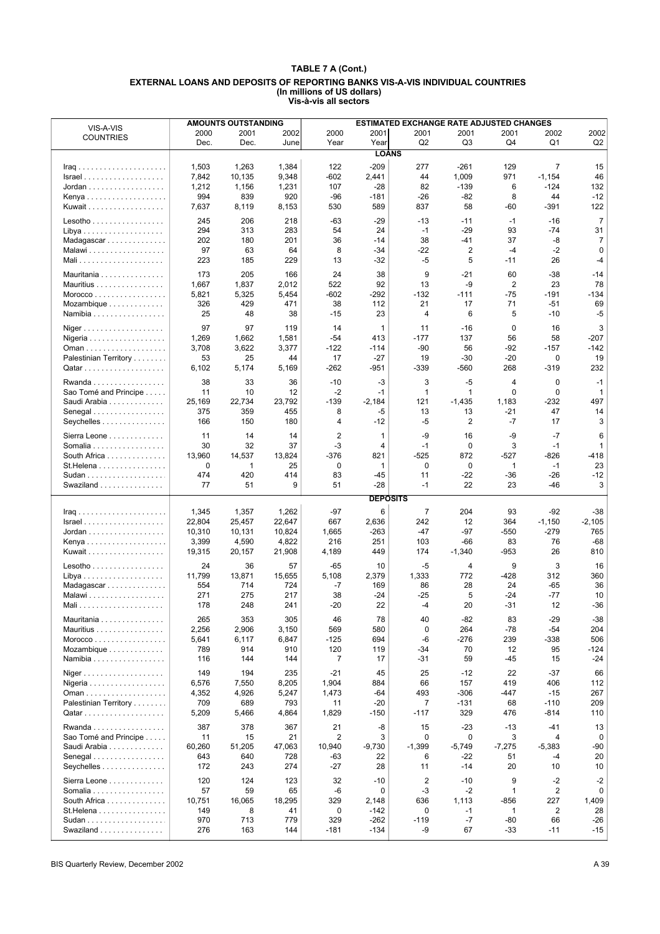|                                             |        | <b>AMOUNTS OUTSTANDING</b> |        |                |                 | <b>ESTIMATED EXCHANGE RATE ADJUSTED CHANGES</b> |                |              |                |                |
|---------------------------------------------|--------|----------------------------|--------|----------------|-----------------|-------------------------------------------------|----------------|--------------|----------------|----------------|
| VIS-A-VIS                                   | 2000   | 2001                       | 2002   | 2000           | 2001            | 2001                                            | 2001           | 2001         | 2002           | 2002           |
| <b>COUNTRIES</b>                            | Dec.   | Dec.                       | June   | Year           | Year            | Q2                                              | Q <sub>3</sub> | Q4           | Q1             | Q2             |
|                                             |        |                            |        |                | <b>LOANS</b>    |                                                 |                |              |                |                |
|                                             | 1,503  |                            | 1,384  | 122            | $-209$          | 277                                             | $-261$         | 129          | 7              | 15             |
|                                             | 7,842  | 1,263                      |        | $-602$         | 2,441           | 44                                              | 1,009          | 971          | $-1,154$       | 46             |
| $Israel \ldots \ldots \ldots \ldots \ldots$ |        | 10,135                     | 9,348  |                |                 |                                                 |                |              |                |                |
| $Jordan \ldots \ldots \ldots \ldots \ldots$ | 1,212  | 1,156                      | 1,231  | 107            | $-28$           | 82                                              | $-139$         | 6            | $-124$         | 132            |
|                                             | 994    | 839                        | 920    | $-96$          | -181            | $-26$                                           | $-82$          | 8            | 44             | $-12$          |
| Kuwait                                      | 7,637  | 8,119                      | 8,153  | 530            | 589             | 837                                             | 58             | -60          | -391           | 122            |
| $Lesotho \ldots \ldots \ldots \ldots$       | 245    | 206                        | 218    | $-63$          | $-29$           | $-13$                                           | $-11$          | $-1$         | $-16$          | $\overline{7}$ |
|                                             | 294    | 313                        | 283    | 54             | 24              | $-1$                                            | $-29$          | 93           | $-74$          | 31             |
| Madagascar                                  | 202    | 180                        | 201    | 36             | $-14$           | 38                                              | $-41$          | 37           | -8             | $\overline{7}$ |
| Malawi                                      | 97     | 63                         | 64     | 8              | $-34$           | $-22$                                           | 2              | $-4$         | $-2$           | 0              |
|                                             | 223    | 185                        | 229    | 13             | $-32$           | -5                                              | 5              | -11          | 26             | $-4$           |
|                                             |        |                            |        |                |                 |                                                 |                |              |                |                |
| Mauritania                                  | 173    | 205                        | 166    | 24             | 38              | 9                                               | $-21$          | 60           | $-38$          | $-14$          |
| Mauritius                                   | 1,667  | 1,837                      | 2,012  | 522            | 92              | 13                                              | -9             | 2            | 23             | 78             |
|                                             | 5,821  | 5,325                      | 5,454  | $-602$         | $-292$          | $-132$                                          | $-111$         | $-75$        | -191           | $-134$         |
| Mozambique                                  | 326    | 429                        | 471    | 38             | 112             | 21                                              | 17             | 71           | -51            | 69             |
| Namibia                                     | 25     | 48                         | 38     | $-15$          | 23              | 4                                               | 6              | 5            | $-10$          | $-5$           |
| Niger                                       | 97     | 97                         | 119    | 14             | 1               | 11                                              | $-16$          | 0            | 16             | 3              |
| Nigeria                                     | 1,269  | 1,662                      | 1,581  | $-54$          | 413             | $-177$                                          | 137            | 56           | 58             | $-207$         |
|                                             | 3,708  | 3,622                      | 3,377  | $-122$         | -114            | $-90$                                           | 56             | $-92$        | $-157$         | $-142$         |
|                                             |        |                            |        |                |                 |                                                 |                |              |                |                |
| Palestinian Territory                       | 53     | 25                         | 44     | 17             | $-27$           | 19                                              | $-30$          | $-20$        | 0              | 19             |
|                                             | 6,102  | 5,174                      | 5,169  | $-262$         | -951            | -339                                            | -560           | 268          | $-319$         | 232            |
| Rwanda                                      | 38     | 33                         | 36     | $-10$          | $-3$            | 3                                               | $-5$           | 4            | 0              | $-1$           |
| Sao Tomé and Principe                       | 11     | 10                         | 12     | $-2$           | $-1$            | $\mathbf{1}$                                    | 1              | $\mathbf 0$  | 0              | $\mathbf{1}$   |
| Saudi Arabia                                | 25,169 | 22,734                     | 23,792 | $-139$         | $-2,184$        | 121                                             | $-1,435$       | 1,183        | $-232$         | 497            |
| Senegal                                     | 375    | 359                        | 455    | 8              | -5              | 13                                              | 13             | $-21$        | 47             | 14             |
| Seychelles                                  | 166    | 150                        | 180    | 4              | $-12$           | -5                                              | 2              | -7           | 17             | 3              |
|                                             |        |                            |        |                |                 |                                                 |                |              |                |                |
| Sierra Leone                                | 11     | 14                         | 14     | $\overline{2}$ | 1               | -9                                              | 16             | -9           | $-7$           | 6              |
| Somalia                                     | 30     | 32                         | 37     | -3             | 4               | $-1$                                            | $\mathbf 0$    | 3            | $-1$           | 1              |
| South Africa                                | 13,960 | 14,537                     | 13,824 | $-376$         | 821             | $-525$                                          | 872            | $-527$       | -826           | -418           |
| St.Helena                                   | 0      | $\mathbf{1}$               | 25     | $\mathbf 0$    | $\mathbf{1}$    | $\mathbf 0$                                     | $\mathbf 0$    | $\mathbf{1}$ | $-1$           | 23             |
|                                             | 474    | 420                        | 414    | 83             | $-45$           | 11                                              | $-22$          | $-36$        | $-26$          | $-12$          |
| Swaziland                                   | 77     | 51                         | 9      | 51             | $-28$           | $-1$                                            | 22             | 23           | -46            | 3              |
|                                             |        |                            |        |                | <b>DEPOSITS</b> |                                                 |                |              |                |                |
|                                             |        |                            |        |                |                 |                                                 |                |              |                |                |
| $\text{Iraq}$                               | 1,345  | 1,357                      | 1,262  | -97            | 6               | 7                                               | 204            | 93           | $-92$          | $-38$          |
| $Israel \ldots \ldots \ldots \ldots \ldots$ | 22,804 | 25,457                     | 22,647 | 667            | 2,636           | 242                                             | 12             | 364          | $-1,150$       | $-2,105$       |
| Jordan                                      | 10,310 | 10,131                     | 10,824 | 1,665          | $-263$          | $-47$                                           | $-97$          | $-550$       | $-279$         | 765            |
|                                             | 3,399  | 4,590                      | 4,822  | 216            | 251             | 103                                             | -66            | 83           | 76             | $-68$          |
| Kuwait                                      | 19,315 | 20,157                     | 21,908 | 4,189          | 449             | 174                                             | $-1,340$       | $-953$       | 26             | 810            |
| Lesotho                                     | 24     | 36                         | 57     | -65            | 10              | -5                                              | 4              | 9            | 3              | 16             |
| $Libya \ldots  \ldots $                     | 11,799 | 13,871                     | 15,655 | 5,108          | 2,379           | 1,333                                           | 772            | $-428$       | 312            | 360            |
| Madagascar                                  | 554    | 714                        | 724    | $-7$           | 169             | 86                                              | 28             | 24           | -65            | 36             |
| Malawi                                      | 271    | 275                        | 217    | 38             | $-24$           | $-25$                                           | 5              | -24          | $-77$          | 10             |
|                                             | 178    | 248                        | 241    | $-20$          | 22              | $-4$                                            | 20             | $-31$        | 12             | $-36$          |
|                                             |        |                            |        |                |                 |                                                 |                |              |                |                |
| Mauritania                                  | 265    | 353                        | 305    | 46             | 78              | 40                                              | $-82$          | 83           | $-29$          | $-38$          |
| Mauritius                                   | 2,256  | 2,906                      | 3,150  | 569            | 580             | 0                                               | 264            | -78          | $-54$          | 204            |
|                                             | 5,641  | 6,117                      | 6,847  | $-125$         | 694             | -6                                              | -276           | 239          | -338           | 506            |
| Mozambique                                  | 789    | 914                        | 910    | 120            | 119             | $-34$                                           | 70             | 12           | 95             | $-124$         |
| Namibia                                     | 116    | 144                        | 144    | 7              | 17              | -31                                             | 59             | $-45$        | 15             | -24            |
|                                             | 149    | 194                        | 235    | $-21$          |                 | 25                                              | $-12$          | 22           | $-37$          | 66             |
| Niger                                       |        |                            |        |                | 45              |                                                 |                |              |                |                |
| Nigeria                                     | 6,576  | 7,550                      | 8,205  | 1,904          | 884             | 66                                              | 157            | 419          | 406            | 112            |
|                                             | 4,352  | 4,926                      | 5,247  | 1,473          | -64             | 493                                             | $-306$         | $-447$       | $-15$          | 267            |
| Palestinian Territory                       | 709    | 689                        | 793    | 11             | $-20$           | 7                                               | $-131$         | 68           | $-110$         | 209            |
|                                             | 5,209  | 5,466                      | 4,864  | 1,829          | -150            | $-117$                                          | 329            | 476          | $-814$         | 110            |
| Rwanda                                      | 387    | 378                        | 367    | 21             | -8              | 15                                              | $-23$          | $-13$        | -41            | 13             |
| Sao Tomé and Principe                       | 11     | 15                         | 21     | $\overline{2}$ | 3               | 0                                               | 0              | 3            | 4              | 0              |
| Saudi Arabia                                | 60,260 | 51,205                     | 47,063 | 10,940         | $-9,730$        | $-1,399$                                        | $-5,749$       | $-7,275$     | $-5,383$       | -90            |
| Senegal                                     | 643    | 640                        | 728    | -63            | 22              | 6                                               | -22            | 51           | -4             | 20             |
| Seychelles                                  | 172    | 243                        | 274    | -27            | 28              | 11                                              | -14            | 20           | 10             | 10             |
|                                             |        |                            |        |                |                 |                                                 |                |              |                |                |
| Sierra Leone                                | 120    | 124                        | 123    | 32             | $-10$           | $\overline{2}$                                  | $-10$          | 9            | $-2$           | $-2$           |
| Somalia                                     | 57     | 59                         | 65     | -6             | 0               | -3                                              | $-2$           | 1            | $\overline{2}$ | 0              |
| South Africa                                | 10,751 | 16,065                     | 18,295 | 329            | 2,148           | 636                                             | 1,113          | $-856$       | 227            | 1,409          |
| St.Helena                                   | 149    | 8                          | 41     | 0              | $-142$          | 0                                               | $-1$           | 1            | 2              | 28             |
|                                             | 970    | 713                        | 779    | 329            | $-262$          | $-119$                                          | $-7$           | -80          | 66             | -26            |
| Swaziland                                   | 276    | 163                        | 144    | $-181$         | -134            | -9                                              | 67             | $-33$        | $-11$          | $-15$          |
|                                             |        |                            |        |                |                 |                                                 |                |              |                |                |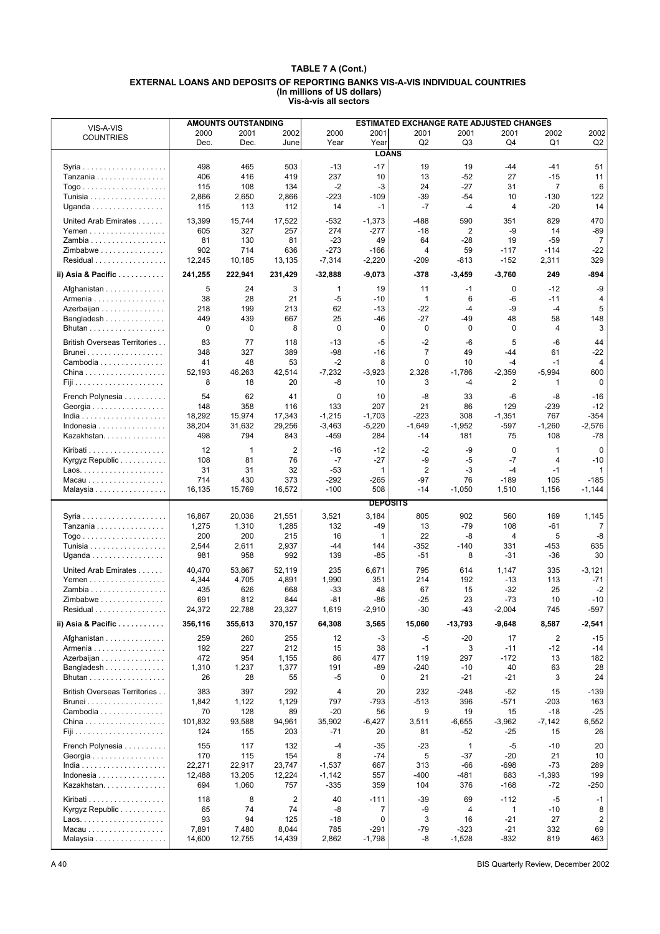|                                                  |               | <b>AMOUNTS OUTSTANDING</b> |                |                  |                 | <b>ESTIMATED EXCHANGE RATE ADJUSTED CHANGES</b> |                |                 |                |                    |
|--------------------------------------------------|---------------|----------------------------|----------------|------------------|-----------------|-------------------------------------------------|----------------|-----------------|----------------|--------------------|
| VIS-A-VIS<br><b>COUNTRIES</b>                    | 2000          | 2001                       | 2002           | 2000             | 2001            | 2001                                            | 2001           | 2001            | 2002           | 2002               |
|                                                  | Dec.          | Dec.                       | June           | Year             | Year            | Q2                                              | Q3             | Q4              | Q1             | Q2                 |
|                                                  |               |                            |                |                  | <b>LOANS</b>    |                                                 |                |                 |                |                    |
|                                                  | 498           | 465                        | 503            | $-13$            | $-17$           | 19                                              | 19             | -44             | $-41$          | 51                 |
| Tanzania                                         | 406           | 416                        | 419            | 237              | 10              | 13                                              | -52            | 27              | $-15$          | 11                 |
|                                                  | 115           | 108                        | 134            | $-2$             | $-3$            | 24                                              | -27            | 31              | $\overline{7}$ | 6                  |
| Tunisia                                          | 2,866         | 2,650                      | 2,866          | -223             | $-109$          | -39                                             | $-54$          | 10              | $-130$         | 122                |
| Uganda                                           | 115           | 113                        | 112            | 14               | $-1$            | -7                                              | -4             | 4               | -20            | 14                 |
| United Arab Emirates                             | 13,399        | 15,744                     | 17,522         | $-532$           | $-1,373$        | $-488$                                          | 590            | 351             | 829            | 470                |
| Yemen                                            | 605           | 327                        | 257            | 274              | $-277$          | $-18$                                           | $\overline{2}$ | -9              | 14             | -89                |
| Zambia                                           | 81            | 130                        | 81             | $-23$            | 49              | 64                                              | $-28$          | 19              | $-59$          | $\overline{7}$     |
| Zimbabwe                                         | 902           | 714                        | 636            | $-273$           | $-166$          | 4                                               | 59             | $-117$          | $-114$         | $-22$              |
| Residual                                         | 12,245        | 10,185                     | 13,135         | $-7,314$         | $-2,220$        | $-209$                                          | $-813$         | $-152$          | 2,311          | 329                |
| ii) Asia & Pacific                               | 241,255       | 222,941                    | 231,429        | $-32,888$        | $-9,073$        | $-378$                                          | $-3,459$       | $-3,760$        | 249            | -894               |
| Afghanistan                                      | 5             | 24                         | 3              | $\mathbf{1}$     | 19              | 11                                              | -1             | 0               | $-12$          | -9                 |
| Armenia                                          | 38            | 28                         | 21             | -5               | $-10$           | $\mathbf{1}$                                    | 6              | -6              | $-11$          | 4                  |
| Azerbaijan                                       | 218           | 199                        | 213            | 62               | $-13$           | $-22$                                           | $-4$           | -9              | $-4$           | 5                  |
| Bangladesh                                       | 449           | 439                        | 667            | 25               | -46             | $-27$                                           | $-49$          | 48              | 58             | 148                |
| Bhutan                                           | 0             | 0                          | 8              | 0                | 0               | 0                                               | 0              | 0               | 4              | 3                  |
| British Overseas Territories                     | 83            | 77                         | 118            | $-13$            | -5              | -2                                              | -6             | 5               | $-6$           | 44                 |
|                                                  | 348           | 327                        | 389            | $-98$            | -16             | 7                                               | 49             | -44             | 61             | $-22$              |
| Cambodia                                         | 41            | 48                         | 53             | $-2$             | 8               | 0                                               | 10             | $-4$            | $-1$           | $\overline{4}$     |
|                                                  | 52,193        | 46,263                     | 42,514         | $-7,232$         | $-3,923$        | 2,328                                           | $-1,786$       | $-2,359$        | $-5,994$       | 600                |
|                                                  | 8             | 18                         | 20             | -8               | 10              | 3                                               | $-4$           | 2               | 1              | $\mathbf 0$        |
| French Polynesia                                 | 54            | 62                         | 41             | 0                | 10              | -8                                              | 33             | -6              | -8             | $-16$              |
| Georgia                                          | 148           | 358                        | 116            | 133              | 207             | 21                                              | 86             | 129             | -239           | $-12$              |
|                                                  | 18,292        | 15,974                     | 17,343         | $-1,215$         | $-1,703$        | $-223$                                          | 308            | $-1,351$        | 767            | $-354$             |
| Indonesia                                        | 38,204        | 31,632                     | 29,256         | $-3,463$         | $-5,220$        | $-1,649$                                        | $-1,952$       | -597            | $-1,260$       | $-2,576$           |
| Kazakhstan                                       | 498           | 794                        | 843            | -459             | 284             | $-14$                                           | 181            | 75              | 108            | -78                |
|                                                  |               |                            |                |                  |                 |                                                 |                |                 |                |                    |
| Kiribati                                         | 12            | 1                          | 2              | -16              | $-12$           | $-2$                                            | -9             | $\mathbf 0$     | 1              | $\mathbf 0$        |
| Kyrgyz Republic                                  | 108           | 81                         | 76             | $-7$             | $-27$           | -9                                              | -5             | $-7$            | 4              | $-10$              |
|                                                  | 31            | 31                         | 32             | $-53$            | 1               | 2                                               | -3             | $-4$            | $-1$           |                    |
| Macau<br>Malaysia                                | 714<br>16,135 | 430<br>15,769              | 373<br>16,572  | $-292$<br>$-100$ | -265<br>508     | $-97$<br>$-14$                                  | 76<br>$-1,050$ | $-189$<br>1,510 | 105<br>1,156   | $-185$<br>$-1,144$ |
|                                                  |               |                            |                |                  |                 |                                                 |                |                 |                |                    |
|                                                  |               |                            |                |                  | <b>DEPOSITS</b> |                                                 |                |                 |                |                    |
|                                                  | 16,867        | 20,036                     | 21,551         | 3,521            | 3,184           | 805                                             | 902            | 560             | 169            | 1,145              |
| Tanzania                                         | 1,275         | 1,310                      | 1,285          | 132              | -49             | 13                                              | $-79$          | 108             | -61            | 7                  |
| $Togo \ldots \ldots \ldots \ldots \ldots \ldots$ | 200           | 200                        | 215            | 16               | 1               | 22                                              | -8             | 4               | 5              | -8                 |
| Tunisia                                          | 2,544         | 2,611                      | 2,937          | $-44$            | 144             | $-352$                                          | $-140$         | 331             | -453           | 635                |
| Uganda                                           | 981           | 958                        | 992            | 139              | -85             | -51                                             | 8              | $-31$           | $-36$          | 30                 |
| United Arab Emirates                             | 40,470        | 53,867                     | 52,119         | 235              | 6,671           | 795                                             | 614            | 1,147           | 335            | $-3,121$           |
| Yemen                                            | 4,344         | 4,705                      | 4,891          | 1,990            | 351             | 214                                             | 192            | $-13$           | 113            | $-71$              |
| Zambia                                           | 435           | 626                        | 668            | $-33$            | 48              | 67                                              | 15             | $-32$           | 25             | $-2$               |
| Zimbabwe                                         | 691           | 812                        | 844            | $-81$            | $-86$           | $-25$                                           | 23             | $-73$           | 10             | $-10$              |
| Residual                                         | 24,372        | 22,788                     | 23,327         | 1,619            | $-2,910$        | -30                                             | -43            | $-2,004$        | 745            | -597               |
| ii) Asia & Pacific                               | 356,116       | 355,613                    | 370,157        | 64,308           | 3,565           | 15,060                                          | $-13,793$      | -9,648          | 8,587          | $-2,541$           |
| Afghanistan                                      | 259           | 260                        | 255            | 12               | -3              | -5                                              | $-20$          | 17              | 2              | -15                |
| Armenia                                          | 192           | 227                        | 212            | 15               | 38              | $-1$                                            | 3              | $-11$           | $-12$          | -14                |
| Azerbaijan                                       | 472           | 954                        | 1,155          | 86               | 477             | 119                                             | 297            | $-172$          | 13             | 182                |
| Bangladesh                                       | 1,310         | 1,237                      | 1,377          | 191              | -89             | $-240$                                          | $-10$          | 40              | 63             | 28                 |
| Bhutan                                           | 26            | 28                         | 55             | $-5$             | 0               | 21                                              | $-21$          | $-21$           | 3              | 24                 |
| British Overseas Territories                     | 383           | 397                        | 292            | 4                | 20              | 232                                             | $-248$         | $-52$           | 15             | $-139$             |
| Brunei                                           | 1,842         | 1,122                      | 1,129          | 797              | $-793$          | $-513$                                          | 396            | $-571$          | $-203$         | 163                |
| Cambodia                                         | 70            | 128                        | 89             | $-20$            | 56              | 9                                               | 19             | 15              | $-18$          | $-25$              |
|                                                  | 101,832       | 93,588                     | 94,961         | 35,902           | $-6,427$        | 3,511                                           | $-6,655$       | $-3,962$        | $-7,142$       | 6,552              |
|                                                  | 124           | 155                        | 203            | $-71$            | 20              | 81                                              | $-52$          | $-25$           | 15             | 26                 |
| French Polynesia                                 | 155           | 117                        | 132            | $-4$             | -35             | $-23$                                           | 1              | $-5$            | $-10$          | 20                 |
| Georgia                                          | 170           | 115                        | 154            | 8                | -74             | 5                                               | $-37$          | $-20$           | 21             | 10                 |
|                                                  | 22,271        | 22,917                     | 23,747         | $-1,537$         | 667             | 313                                             | -66            | -698            | $-73$          | 289                |
| Indonesia                                        | 12,488        | 13,205                     | 12,224         | $-1,142$         | 557             | $-400$                                          | -481           | 683             | $-1,393$       | 199                |
| Kazakhstan.                                      | 694           | 1,060                      | 757            | $-335$           | 359             | 104                                             | 376            | $-168$          | $-72$          | -250               |
|                                                  | 118           | 8                          | $\overline{2}$ | 40               | $-111$          | $-39$                                           | 69             | $-112$          | $-5$           | $-1$               |
| Kyrgyz Republic                                  | 65            | 74                         | 74             | -8               | 7               | -9                                              | 4              | 1               | $-10$          | 8                  |
|                                                  | 93            | 94                         | 125            | $-18$            | 0               | 3                                               | 16             | $-21$           | 27             | $\overline{2}$     |
| Macau                                            | 7,891         | 7,480                      | 8,044          | 785              | -291            | -79                                             | $-323$         | $-21$           | 332            | 69                 |
| Malaysia                                         | 14,600        | 12,755                     | 14,439         | 2,862            | $-1,798$        | -8                                              | $-1,528$       | -832            | 819            | 463                |
|                                                  |               |                            |                |                  |                 |                                                 |                |                 |                |                    |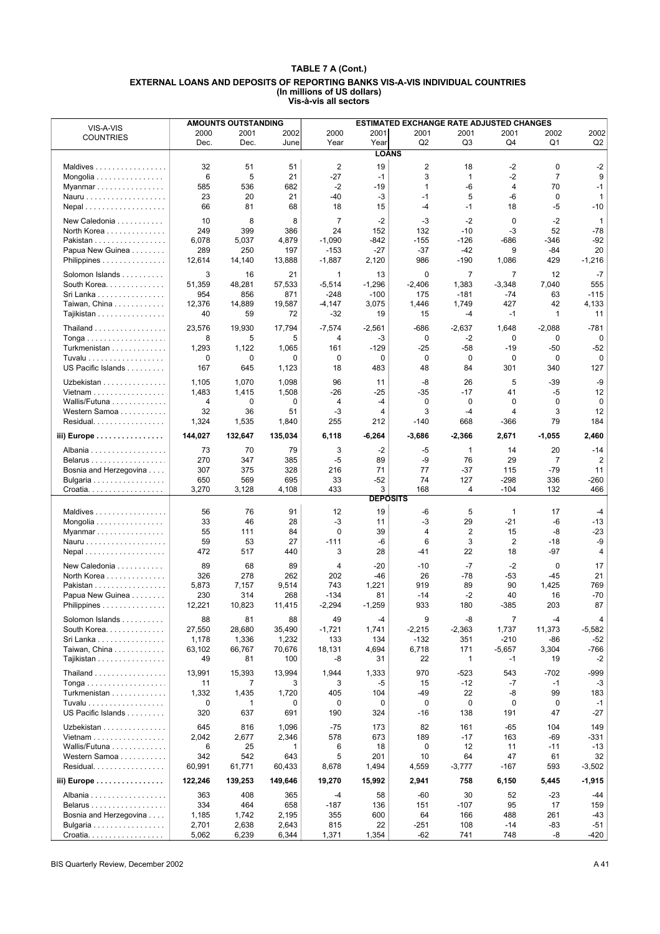|                                             |             | <b>AMOUNTS OUTSTANDING</b> |             |                |                      | ESTIMATED EXCHANGE RATE ADJUSTED CHANGES |                |                        |                |                |
|---------------------------------------------|-------------|----------------------------|-------------|----------------|----------------------|------------------------------------------|----------------|------------------------|----------------|----------------|
| VIS-A-VIS<br><b>COUNTRIES</b>               | 2000        | 2001                       | 2002        | 2000           | 2001                 | 2001                                     | 2001           | 2001                   | 2002           | 2002           |
|                                             | Dec.        | Dec.                       | June        | Year           | Year                 | Q2                                       | Q <sub>3</sub> | Q4                     | Q1             | Q2             |
|                                             |             |                            |             |                | <b>LOANS</b>         |                                          |                |                        |                |                |
| Maldives                                    | 32          | 51                         | 51          | $\overline{2}$ | 19                   | 2                                        | 18             | $-2$                   | 0              | $-2$           |
| Mongolia                                    | 6           | 5                          | 21          | $-27$          | $-1$                 | 3                                        | 1              | $-2$                   | $\overline{7}$ | 9              |
| Myanmar                                     | 585         | 536                        | 682         | $-2$           | $-19$                | 1                                        | -6             | $\overline{4}$         | 70             | $-1$           |
|                                             | 23          | 20                         | 21          | -40            | -3                   | $-1$                                     | 5              | -6                     | $\mathbf 0$    | 1              |
|                                             | 66          | 81                         | 68          | 18             | 15                   | $-4$                                     | $-1$           | 18                     | -5             | -10            |
| New Caledonia                               | 10          | 8                          | 8           | $\overline{7}$ | $-2$                 | -3                                       | $-2$           | $\mathbf 0$            | $-2$           | 1              |
| North Korea                                 | 249         | 399                        | 386         | 24             | 152                  | 132                                      | $-10$          | -3                     | 52             | $-78$          |
| Pakistan                                    | 6,078       | 5,037                      | 4,879       | $-1,090$       | $-842$               | $-155$                                   | $-126$         | -686                   | -346           | $-92$          |
| Papua New Guinea                            | 289         | 250                        | 197         | $-153$         | $-27$                | $-37$                                    | $-42$          | 9                      | $-84$          | 20             |
| Philippines                                 | 12,614      | 14,140                     | 13,888      | $-1,887$       | 2,120                | 986                                      | $-190$         | 1,086                  | 429            | $-1,216$       |
| Solomon Islands                             | 3           | 16                         | 21          | $\mathbf{1}$   | 13                   | 0                                        | $\overline{7}$ | $\overline{7}$         | 12             | $-7$           |
| South Korea.                                | 51,359      | 48,281                     | 57,533      | $-5,514$       | $-1,296$             | $-2,406$                                 | 1,383          | $-3,348$               | 7,040          | 555            |
| Sri Lanka                                   | 954         | 856                        | 871         | $-248$         | $-100$               | 175                                      | $-181$         | -74                    | 63             | $-115$         |
| Taiwan, China                               | 12,376      | 14,889                     | 19,587      | $-4,147$       | 3,075                | 1,446                                    | 1,749          | 427                    | 42             | 4,133          |
| Tajikistan                                  | 40          | 59                         | 72          | $-32$          | 19                   | 15                                       | $-4$           | $-1$                   | 1              | 11             |
| Thailand                                    | 23,576      | 19,930                     | 17,794      | $-7,574$       | $-2,561$             | -686                                     | $-2,637$       | 1,648                  | $-2,088$       | $-781$         |
| Tonga                                       | 8           | 5                          | 5           | 4              | -3                   | 0                                        | $-2$           | 0                      | 0              | 0              |
| Turkmenistan                                | 1,293       | 1,122                      | 1,065       | 161            | $-129$               | $-25$                                    | -58            | $-19$                  | $-50$          | $-52$          |
| Tuvalu                                      | 0           | 0                          | 0           | 0              | 0                    | 0                                        | 0              | 0                      | 0              | 0              |
| US Pacific Islands                          | 167         | 645                        | 1,123       | 18             | 483                  | 48                                       | 84             | 301                    | 340            | 127            |
| Uzbekistan                                  | 1,105       | 1,070                      | 1,098       | 96             | 11                   | -8                                       | 26             | 5                      | $-39$          | -9             |
| Vietnam                                     | 1,483       | 1,415                      | 1,508       | $-26$          | $-25$                | $-35$                                    | $-17$          | 41                     | $-5$           | 12             |
| Wallis/Futuna                               | 4           | 0                          | 0           | $\overline{4}$ | $-4$                 | 0                                        | $\mathbf 0$    | 0                      | $\mathbf 0$    | $\mathbf 0$    |
| Western Samoa<br>Residual.                  | 32<br>1,324 | 36<br>1,535                | 51<br>1,840 | $-3$<br>255    | 4<br>212             | 3<br>$-140$                              | $-4$<br>668    | $\overline{4}$<br>-366 | 3<br>79        | 12<br>184      |
|                                             |             |                            |             |                |                      |                                          |                |                        |                |                |
| iii) Europe                                 | 144,027     | 132,647                    | 135,034     | 6,118          | $-6,264$             | $-3,686$                                 | $-2,366$       | 2,671                  | $-1,055$       | 2,460          |
| Albania                                     | 73          | 70                         | 79          | 3              | -2                   | -5                                       | 1              | 14                     | 20             | $-14$          |
| Belarus                                     | 270         | 347                        | 385         | $-5$           | 89                   | -9                                       | 76             | 29                     | $\overline{7}$ | 2              |
| Bosnia and Herzegovina                      | 307         | 375                        | 328         | 216            | 71                   | 77                                       | $-37$          | 115                    | $-79$          | 11             |
| Bulgaria                                    | 650         | 569                        | 695         | 33             | $-52$                | 74                                       | 127            | $-298$                 | 336            | -260           |
| Croatia.                                    | 3,270       | 3,128                      | 4,108       | 433            | 3<br><b>DEPOSITS</b> | 168                                      | 4              | $-104$                 | 132            | 466            |
|                                             |             |                            |             |                |                      |                                          |                |                        |                |                |
| Maldives                                    | 56<br>33    | 76<br>46                   | 91          | 12<br>$-3$     | 19                   | -6<br>-3                                 | 5<br>29        | 1<br>$-21$             | 17<br>$-6$     | $-4$           |
| Mongolia<br>Myanmar                         | 55          | 111                        | 28<br>84    | $\mathbf 0$    | 11<br>39             | 4                                        | $\overline{2}$ | 15                     | -8             | -13<br>$-23$   |
|                                             | 59          | 53                         | 27          | $-111$         | -6                   | 6                                        | 3              | $\overline{2}$         | $-18$          | -9             |
|                                             | 472         | 517                        | 440         | 3              | 28                   | -41                                      | 22             | 18                     | $-97$          | $\overline{4}$ |
| New Caledonia                               | 89          | 68                         | 89          | 4              | $-20$                | $-10$                                    | $-7$           | $-2$                   | 0              | 17             |
| North Korea                                 | 326         | 278                        | 262         | 202            | $-46$                | 26                                       | $-78$          | -53                    | -45            | 21             |
| Pakistan                                    | 5,873       | 7,157                      | 9,514       | 743            | 1,221                | 919                                      | 89             | 90                     | 1,425          | 769            |
| Papua New Guinea                            | 230         | 314                        | 268         | $-134$         | 81                   | $-14$                                    | $-2$           | 40                     | 16             | -70            |
| Philippines                                 | 12,221      | 10,823                     | 11,415      | $-2,294$       | $-1,259$             | 933                                      | 180            | -385                   | 203            | 87             |
| Solomon Islands                             | 88          | 81                         | 88          | 49             | $-4$                 | 9                                        | -8             | $\overline{7}$         | $-4$           | 4              |
| South Korea.                                | 27,550      | 28,680                     | 35,490      | $-1,721$       | 1,741                | $-2,215$                                 | $-2,363$       | 1,737                  | 11,373         | $-5,582$       |
| Sri Lanka                                   | 1,178       | 1,336                      | 1,232       | 133            | 134                  | $-132$                                   | 351            | $-210$                 | -86            | $-52$          |
| Taiwan, China                               | 63,102      | 66,767                     | 70,676      | 18,131         | 4,694                | 6,718                                    | 171            | $-5,657$               | 3,304          | -766           |
| Tajikistan                                  | 49          | 81                         | 100         | -8             | 31                   | 22                                       | $\mathbf{1}$   | $-1$                   | 19             | $-2$           |
| Thailand                                    | 13,991      | 15,393                     | 13,994      | 1,944          | 1,333                | 970                                      | $-523$         | 543                    | $-702$         | -999           |
| $Tonga \dots \dots \dots \dots \dots \dots$ | 11          | 7                          | 3           | 3              | -5                   | 15                                       | $-12$          | -7                     | $-1$           | $-3$           |
| Turkmenistan                                | 1,332       | 1,435                      | 1,720       | 405            | 104                  | -49                                      | 22             | -8                     | 99             | 183            |
|                                             | 0           | 1                          | 0           | 0              | 0                    | $\pmb{0}$                                | $\mathbf 0$    | $\mathbf 0$            | 0              | $-1$           |
| US Pacific Islands                          | 320         | 637                        | 691         | 190            | 324                  | $-16$                                    | 138            | 191                    | 47             | $-27$          |
| Uzbekistan                                  | 645         | 816                        | 1,096       | $-75$          | 173                  | 82                                       | 161            | -65                    | 104            | 149            |
| Vietnam                                     | 2,042       | 2,677                      | 2,346       | 578            | 673                  | 189                                      | $-17$          | 163                    | $-69$          | -331           |
| Wallis/Futuna                               | 6           | 25                         | 1           | 6              | 18                   | 0                                        | 12             | 11                     | $-11$          | $-13$          |
| Western Samoa                               | 342         | 542                        | 643         | 5              | 201                  | 10                                       | 64             | 47                     | 61             | 32             |
| Residual.                                   | 60,991      | 61,771                     | 60,433      | 8,678          | 1,494                | 4,559                                    | $-3,777$       | $-167$                 | 593            | $-3,502$       |
| iii) Europe                                 | 122,246     | 139,253                    | 149,646     | 19,270         | 15,992               | 2,941                                    | 758            | 6,150                  | 5,445          | $-1,915$       |
| Albania                                     | 363         | 408                        | 365         | -4             | 58                   | -60                                      | 30             | 52                     | -23            | -44            |
| Belarus                                     | 334         | 464                        | 658         | $-187$         | 136                  | 151                                      | $-107$         | 95                     | 17             | 159            |
| Bosnia and Herzegovina                      | 1,185       | 1,742                      | 2,195       | 355            | 600                  | 64                                       | 166            | 488                    | 261            | -43            |
| Bulgaria                                    | 2,701       | 2,638                      | 2,643       | 815            | 22                   | $-251$                                   | 108            | $-14$                  | -83            | $-51$          |
| Croatia.                                    | 5,062       | 6,239                      | 6,344       | 1,371          | 1,354                | $-62$                                    | 741            | 748                    | -8             | $-420$         |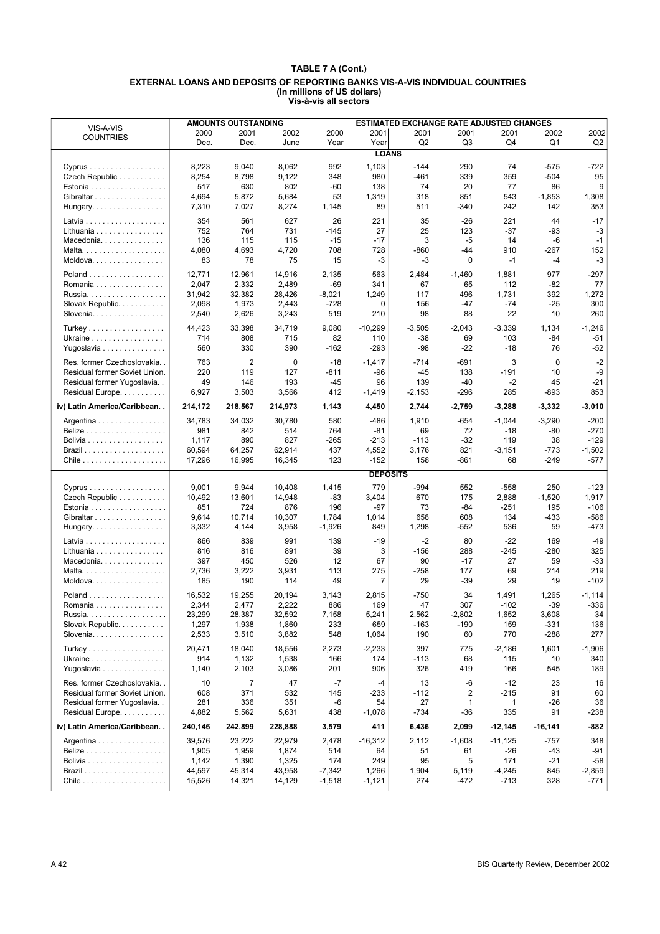|                                             |         | <b>AMOUNTS OUTSTANDING</b> |         |             |                 | <b>ESTIMATED EXCHANGE RATE ADJUSTED CHANGES</b> |                |           |                |                   |
|---------------------------------------------|---------|----------------------------|---------|-------------|-----------------|-------------------------------------------------|----------------|-----------|----------------|-------------------|
| VIS-A-VIS                                   | 2000    | 2001                       | 2002    | 2000        | 2001            | 2001                                            | 2001           | 2001      | 2002           | 2002              |
| <b>COUNTRIES</b>                            | Dec.    | Dec.                       | June    | Year        | Year            | Q2                                              | Q <sub>3</sub> | Q4        | Q1             | Q <sub>2</sub>    |
|                                             |         |                            |         |             | <b>LOANS</b>    |                                                 |                |           |                |                   |
|                                             |         |                            |         |             |                 |                                                 |                |           |                |                   |
| $Cyprus \ldots \ldots \ldots \ldots \ldots$ | 8,223   | 9,040                      | 8,062   | 992         | 1,103           | $-144$                                          | 290            | 74        | $-575$         | $-722$            |
| Czech Republic                              | 8,254   | 8,798                      | 9,122   | 348         | 980             | $-461$                                          | 339            | 359       | $-504$         | 95                |
| Estonia                                     | 517     | 630                        | 802     | $-60$       | 138             | 74                                              | 20             | 77        | 86             | 9                 |
| Gibraltar                                   | 4,694   | 5,872                      | 5,684   | 53          | 1,319           | 318                                             | 851            | 543       | $-1,853$       | 1,308             |
| Hungary.                                    | 7,310   | 7,027                      | 8,274   | 1,145       | 89              | 511                                             | -340           | 242       | 142            | 353               |
|                                             | 354     | 561                        | 627     | 26          | 221             | 35                                              | $-26$          | 221       | 44             | $-17$             |
| Lithuania                                   | 752     | 764                        | 731     | $-145$      | 27              | 25                                              | 123            | $-37$     | $-93$          | -3                |
| Macedonia                                   | 136     | 115                        | 115     | $-15$       | $-17$           | 3                                               | -5             | 14        | -6             | $-1$              |
|                                             | 4,080   | 4,693                      | 4,720   | 708         | 728             | -860                                            | $-44$          | 910       | $-267$         | 152               |
| Moldova.                                    | 83      | 78                         | 75      | 15          | $-3$            | -3                                              | 0              | $-1$      | $-4$           | $-3$              |
|                                             |         |                            |         |             |                 |                                                 |                |           |                |                   |
| Poland                                      | 12,771  | 12,961                     | 14,916  | 2,135       | 563             | 2,484                                           | $-1,460$       | 1,881     | 977            | $-297$            |
| Romania                                     | 2,047   | 2,332                      | 2,489   | $-69$       | 341             | 67                                              | 65             | 112       | $-82$          | 77                |
| Russia.                                     | 31,942  | 32,382                     | 28,426  | $-8,021$    | 1,249           | 117                                             | 496            | 1,731     | 392            | 1,272             |
| Slovak Republic.                            | 2,098   | 1,973                      | 2,443   | $-728$      | $\mathbf 0$     | 156                                             | -47            | $-74$     | $-25$          | 300               |
| Slovenia                                    | 2,540   | 2,626                      | 3,243   | 519         | 210             | 98                                              | 88             | 22        | 10             | 260               |
|                                             | 44,423  |                            |         |             |                 |                                                 |                |           |                |                   |
| Turkey                                      |         | 33,398                     | 34,719  | 9,080<br>82 | $-10,299$       | $-3,505$                                        | $-2,043$       | $-3,339$  | 1,134<br>$-84$ | $-1,246$<br>$-51$ |
| Ukraine                                     | 714     | 808                        | 715     |             | 110             | -38                                             | 69             | 103       |                |                   |
| Yugoslavia                                  | 560     | 330                        | 390     | $-162$      | -293            | -98                                             | $-22$          | $-18$     | 76             | $-52$             |
| Res. former Czechoslovakia                  | 763     | 2                          | 0       | $-18$       | $-1,417$        | $-714$                                          | -691           | 3         | 0              | $-2$              |
| Residual former Soviet Union.               | 220     | 119                        | 127     | $-811$      | $-96$           | $-45$                                           | 138            | $-191$    | 10             | -9                |
| Residual former Yugoslavia                  | 49      | 146                        | 193     | $-45$       | 96              | 139                                             | $-40$          | $-2$      | 45             | $-21$             |
| Residual Europe.                            | 6,927   | 3,503                      | 3,566   | 412         | $-1,419$        | $-2,153$                                        | -296           | 285       | -893           | 853               |
| iv) Latin America/Caribbean                 | 214,172 | 218,567                    | 214,973 | 1,143       | 4,450           | 2,744                                           | $-2,759$       | $-3,288$  | $-3,332$       | -3,010            |
| Argentina                                   | 34,783  | 34,032                     | 30,780  | 580         | -486            | 1,910                                           | -654           | $-1,044$  | $-3,290$       | $-200$            |
|                                             | 981     | 842                        | 514     | 764         | -81             | 69                                              | 72             | $-18$     | -80            | $-270$            |
| Bolivia                                     | 1,117   | 890                        | 827     | $-265$      | $-213$          | $-113$                                          | $-32$          | 119       | 38             | $-129$            |
|                                             | 60,594  | 64,257                     | 62,914  | 437         | 4,552           | 3,176                                           | 821            | $-3,151$  | -773           | $-1,502$          |
|                                             | 17,296  | 16,995                     | 16,345  | 123         | $-152$          | 158                                             | -861           | 68        | $-249$         | $-577$            |
|                                             |         |                            |         |             |                 |                                                 |                |           |                |                   |
|                                             |         |                            |         |             | <b>DEPOSITS</b> |                                                 |                |           |                |                   |
| Cyprus                                      | 9,001   | 9,944                      | 10,408  | 1,415       | 779             | $-994$                                          | 552            | $-558$    | 250            | $-123$            |
| Czech Republic                              | 10,492  | 13,601                     | 14,948  | $-83$       | 3,404           | 670                                             | 175            | 2,888     | $-1,520$       | 1,917             |
| Estonia                                     | 851     | 724                        | 876     | 196         | $-97$           | 73                                              | $-84$          | $-251$    | 195            | $-106$            |
| Gibraltar                                   | 9,614   | 10,714                     | 10,307  | 1,784       | 1,014           | 656                                             | 608            | 134       | $-433$         | $-586$            |
| Hungary.                                    | 3,332   | 4,144                      | 3,958   | $-1,926$    | 849             | 1,298                                           | -552           | 536       | 59             | $-473$            |
|                                             |         |                            |         |             |                 |                                                 |                |           |                |                   |
|                                             | 866     | 839                        | 991     | 139         | $-19$           | $-2$                                            | 80             | $-22$     | 169            | $-49$             |
| Lithuania                                   | 816     | 816                        | 891     | 39          | 3               | $-156$                                          | 288            | $-245$    | -280           | 325               |
| Macedonia                                   | 397     | 450                        | 526     | 12          | 67              | 90                                              | $-17$          | 27        | 59             | $-33$             |
|                                             | 2,736   | 3,222                      | 3,931   | 113         | 275             | $-258$                                          | 177            | 69        | 214            | 219               |
| Moldova.                                    | 185     | 190                        | 114     | 49          | 7               | 29                                              | $-39$          | 29        | 19             | $-102$            |
| Poland                                      | 16,532  | 19,255                     | 20,194  | 3,143       | 2,815           | $-750$                                          | 34             | 1,491     | 1,265          | -1,114            |
| Romania                                     | 2,344   | 2,477                      | 2,222   | 886         | 169             | 47                                              | 307            | $-102$    | $-39$          | $-336$            |
| Russia.                                     | 23,299  | 28,387                     | 32,592  | 7,158       | 5,241           | 2,562                                           | $-2,802$       | 1,652     | 3,608          | 34                |
| Slovak Republic.                            | 1,297   | 1,938                      | 1,860   | 233         | 659             | $-163$                                          | $-190$         | 159       | $-331$         | 136               |
| Slovenia                                    | 2,533   | 3,510                      | 3,882   | 548         | 1,064           | 190                                             | 60             | 770       | $-288$         | 277               |
|                                             |         |                            |         |             |                 |                                                 |                |           |                |                   |
| Turkey                                      | 20,471  | 18,040                     | 18,556  | 2,273       | $-2,233$        | 397                                             | 775            | $-2,186$  | 1,601          | $-1,906$          |
| Ukraine                                     | 914     | 1,132                      | 1,538   | 166         | 174             | $-113$                                          | 68             | 115       | 10             | 340               |
| Yugoslavia                                  | 1,140   | 2,103                      | 3,086   | 201         | 906             | 326                                             | 419            | 166       | 545            | 189               |
| Res. former Czechoslovakia                  | 10      | $\overline{7}$             | 47      | $-7$        | $-4$            | 13                                              | -6             | $-12$     | 23             | 16                |
| Residual former Soviet Union.               | 608     | 371                        | 532     | 145         | -233            | $-112$                                          | 2              | $-215$    | 91             | 60                |
| Residual former Yugoslavia                  | 281     | 336                        | 351     | -6          | 54              | 27                                              | 1              | 1         | $-26$          | 36                |
| Residual Europe.                            | 4,882   | 5,562                      | 5,631   | 438         | $-1,078$        | $-734$                                          | $-36$          | 335       | 91             | $-238$            |
| iv) Latin America/Caribbean                 | 240,146 | 242,899                    | 228,888 | 3,579       | 411             | 6,436                                           | 2,099          | $-12,145$ | -16,141        | -882              |
| Argentina                                   | 39,576  | 23,222                     | 22,979  | 2,478       | $-16,312$       | 2,112                                           | $-1,608$       | $-11,125$ | -757           | 348               |
|                                             | 1,905   | 1,959                      | 1,874   | 514         | 64              | 51                                              | 61             | -26       | -43            | $-91$             |
|                                             |         |                            |         |             |                 |                                                 |                |           |                | $-58$             |
| Bolivia                                     | 1,142   | 1,390                      | 1,325   | 174         | 249             | 95                                              | 5              | 171       | $-21$          |                   |
|                                             | 44,597  | 45,314                     | 43,958  | $-7,342$    | 1,266           | 1,904                                           | 5,119          | $-4,245$  | 845            | $-2,859$          |
|                                             | 15,526  | 14,321                     | 14,129  | $-1,518$    | $-1,121$        | 274                                             | $-472$         | $-713$    | 328            | -771              |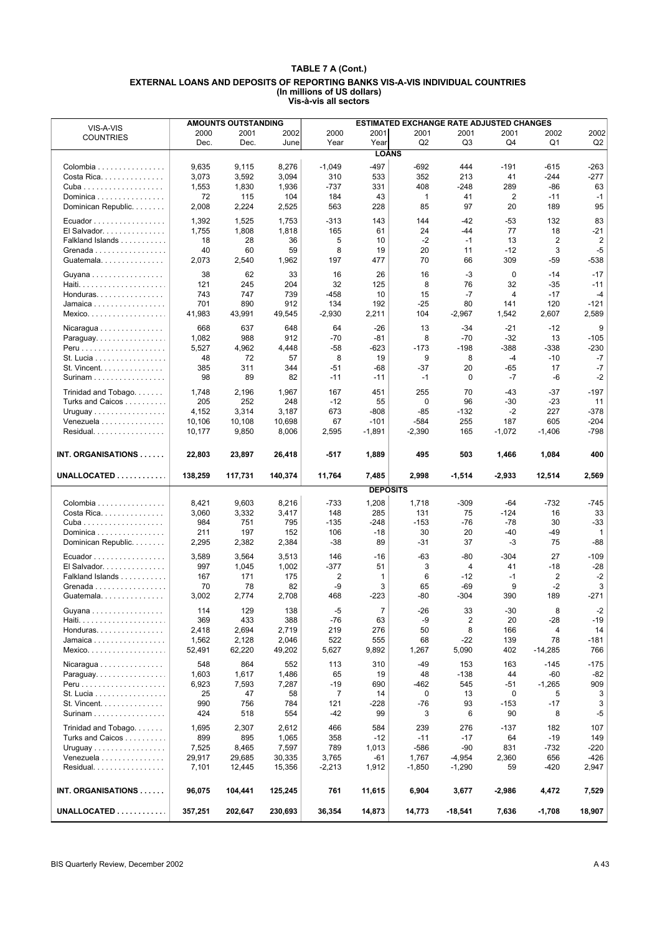|                      |              | <b>AMOUNTS OUTSTANDING</b> |         |                         |                 | <b>ESTIMATED EXCHANGE RATE ADJUSTED CHANGES</b> |                |          |           |              |
|----------------------|--------------|----------------------------|---------|-------------------------|-----------------|-------------------------------------------------|----------------|----------|-----------|--------------|
| VIS-A-VIS            | 2000         | 2001                       | 2002    | 2000                    | 2001            | 2001                                            | 2001           | 2001     | 2002      | 2002         |
| <b>COUNTRIES</b>     | Dec.         | Dec.                       | June    | Year                    | Year            | Q <sub>2</sub>                                  | Q3             | Q4       | Q1        | Q2           |
|                      |              |                            |         |                         | <b>LOANS</b>    |                                                 |                |          |           |              |
| Colombia             | 9,635        | 9,115                      | 8,276   | $-1,049$                | $-497$          | $-692$                                          | 444            | $-191$   | $-615$    | -263         |
| Costa Rica.          | 3,073        | 3,592                      | 3,094   | 310                     | 533             | 352                                             | 213            | 41       | $-244$    | $-277$       |
|                      | 1,553        | 1,830                      | 1,936   | $-737$                  | 331             | 408                                             | $-248$         | 289      | $-86$     | 63           |
| Dominica             | 72           | 115                        | 104     | 184                     | 43              | 1                                               | 41             | 2        | $-11$     | $-1$         |
| Dominican Republic.  | 2,008        | 2,224                      | 2,525   | 563                     | 228             | 85                                              | 97             | 20       | 189       | 95           |
|                      |              |                            |         |                         |                 |                                                 |                |          |           |              |
| Ecuador              | 1,392        | 1,525                      | 1,753   | $-313$                  | 143             | 144                                             | -42            | -53      | 132       | 83           |
| El Salvador.         | 1,755        | 1,808                      | 1,818   | 165                     | 61              | 24                                              | -44            | 77       | 18        | $-21$        |
| Falkland Islands     | 18           | 28                         | 36      | 5                       | 10              | $-2$                                            | $-1$           | 13       | 2         | 2            |
| Grenada              | 40           | 60                         | 59      | 8                       | 19              | 20                                              | 11             | $-12$    | 3         | $-5$         |
| Guatemala            | 2,073        | 2,540                      | 1,962   | 197                     | 477             | 70                                              | 66             | 309      | -59       | -538         |
| Guyana               | 38           | 62                         | 33      | 16                      | 26              | 16                                              | -3             | 0        | $-14$     | $-17$        |
| Haiti                | 121          | 245                        | 204     | 32                      | 125             | 8                                               | 76             | 32       | $-35$     | $-11$        |
| Honduras             | 743          | 747                        | 739     | -458                    | 10              | 15                                              | -7             | 4        | $-17$     | $-4$         |
| Jamaica              | 701          | 890                        | 912     | 134                     | 192             | $-25$                                           | 80             | 141      | 120       | $-121$       |
| Mexico.              | 41,983       | 43,991                     | 49,545  | $-2,930$                | 2,211           | 104                                             | $-2,967$       | 1,542    | 2,607     | 2,589        |
|                      |              |                            |         |                         |                 |                                                 |                |          |           |              |
| Nicaragua            | 668          | 637                        | 648     | 64                      | $-26$           | 13                                              | $-34$          | $-21$    | $-12$     | 9            |
| Paraguay             | 1,082        | 988                        | 912     | $-70$                   | $-81$           | 8                                               | $-70$          | $-32$    | 13        | $-105$       |
|                      | 5,527        | 4,962                      | 4,448   | $-58$                   | -623            | $-173$                                          | $-198$         | $-388$   | -338      | $-230$       |
| St. Lucia            | 48           | 72                         | 57      | 8                       | 19              | 9                                               | 8              | $-4$     | $-10$     | -7           |
|                      | 385          | 311                        | 344     | $-51$                   | $-68$           | $-37$                                           | 20             | -65      | 17        | $-7$         |
| Surinam              | 98           | 89                         | 82      | $-11$                   | $-11$           | $-1$                                            | 0              | -7       | -6        | $-2$         |
|                      | 1,748        | 2,196                      | 1,967   | 167                     | 451             | 255                                             | 70             | $-43$    | $-37$     | $-197$       |
| Trinidad and Tobago. | 205          |                            |         | $-12$                   |                 |                                                 |                | $-30$    |           |              |
| Turks and Caicos     |              | 252                        | 248     |                         | 55              | 0                                               | 96             |          | $-23$     | 11           |
| Uruguay              | 4,152        | 3,314                      | 3,187   | 673                     | -808            | -85                                             | $-132$         | $-2$     | 227       | $-378$       |
| Venezuela            | 10,106       | 10,108                     | 10,698  | 67                      | $-101$          | $-584$                                          | 255            | 187      | 605       | $-204$       |
| Residual.            | 10,177       | 9,850                      | 8,006   | 2,595                   | $-1,891$        | $-2,390$                                        | 165            | $-1,072$ | $-1,406$  | $-798$       |
|                      |              |                            |         |                         |                 |                                                 |                |          |           |              |
| INT. ORGANISATIONS   | 22,803       | 23,897                     | 26,418  | -517                    | 1,889           | 495                                             | 503            | 1,466    | 1,084     | 400          |
|                      |              |                            |         |                         |                 |                                                 |                |          |           |              |
|                      |              |                            |         |                         |                 |                                                 |                |          |           |              |
| UNALLOCATED          | 138,259      | 117,731                    | 140,374 | 11,764                  | 7,485           | 2,998                                           | $-1,514$       | $-2,933$ | 12,514    | 2,569        |
|                      |              |                            |         |                         |                 |                                                 |                |          |           |              |
|                      |              |                            |         |                         | <b>DEPOSITS</b> |                                                 |                |          |           |              |
| Colombia             | 8,421        | 9,603                      | 8,216   | $-733$                  | 1,208           | 1,718                                           | $-309$         | -64      | $-732$    | -745         |
| Costa Rica.          | 3,060        | 3,332                      | 3,417   | 148                     | 285             | 131                                             | 75             | $-124$   | 16        | 33           |
|                      | 984          | 751                        | 795     | $-135$                  | $-248$          | $-153$                                          | -76            | -78      | 30        | $-33$        |
| Dominica             | 211          | 197                        | 152     | 106                     | $-18$           | 30                                              | 20             | -40      | -49       | $\mathbf{1}$ |
| Dominican Republic.  | 2,295        | 2,382                      | 2,384   | $-38$                   | 89              | $-31$                                           | 37             | -3       | 75        | -88          |
|                      |              | 3,564                      | 3,513   | 146                     | -16             | $-63$                                           | -80            | -304     | 27        | $-109$       |
| Ecuador              | 3,589<br>997 |                            |         |                         | 51              |                                                 | 4              | 41       | $-18$     |              |
| El Salvador.         |              | 1,045                      | 1,002   | $-377$                  |                 | 3                                               |                | -1       |           | $-28$        |
| Falkland Islands     | 167          | 171                        | 175     | $\overline{\mathbf{c}}$ | 1               | 6                                               | $-12$          |          | 2         | $-2$         |
| Grenada              | 70           | 78                         | 82      | -9                      | 3               | 65                                              | -69            | 9        | $-2$      | 3            |
| Guatemala            | 3,002        | 2,774                      | 2,708   | 468                     | $-223$          | -80                                             | $-304$         | 390      | 189       | -271         |
| Guyana.              | 114          | 129                        | 138     | -5                      | $\overline{7}$  | $-26$                                           | 33             | $-30$    | 8         | $-2$         |
|                      | 369          | 433                        | 388     | -76                     | 63              | -9                                              | $\overline{2}$ | 20       | -28       | -19          |
| Honduras             | 2,418        | 2,694                      | 2,719   | 219                     | 276             | 50                                              | 8              | 166      | 4         | 14           |
| Jamaica              | 1,562        | 2,128                      | 2,046   | 522                     | 555             | 68                                              | $-22$          | 139      | 78        | $-181$       |
| Mexico.              | 52,491       | 62,220                     | 49,202  | 5,627                   | 9,892           | 1,267                                           | 5,090          | 402      | $-14,285$ | 766          |
|                      | 548          | 864                        | 552     |                         | 310             | -49                                             | 153            | 163      | $-145$    |              |
| Nicaragua            |              |                            |         | 113                     |                 |                                                 |                |          |           | -175         |
| Paraguay.            | 1,603        | 1,617                      | 1,486   | 65                      | 19              | 48                                              | $-138$         | 44       | -60       | -82          |
|                      | 6,923        | 7,593                      | 7,287   | $-19$                   | 690             | $-462$                                          | 545            | -51      | $-1,265$  | 909          |
| St. Lucia            | 25           | 47                         | 58      | 7                       | 14              | 0                                               | 13             | 0        | 5         | 3            |
| St. Vincent.         | 990          | 756                        | 784     | 121                     | -228            | -76                                             | 93             | $-153$   | $-17$     | 3            |
| Surinam              | 424          | 518                        | 554     | $-42$                   | 99              | 3                                               | 6              | 90       | 8         | $-5$         |
| Trinidad and Tobago  | 1,695        | 2,307                      | 2,612   | 466                     | 584             | 239                                             | 276            | $-137$   | 182       | 107          |
| Turks and Caicos     | 899          | 895                        | 1,065   | 358                     | $-12$           | $-11$                                           | $-17$          | 64       | $-19$     | 149          |
| Uruguay              | 7,525        | 8,465                      | 7,597   | 789                     | 1,013           | $-586$                                          | $-90$          | 831      | $-732$    | $-220$       |
| Venezuela            | 29,917       | 29,685                     | 30,335  | 3,765                   | -61             | 1,767                                           | $-4,954$       | 2,360    | 656       | $-426$       |
| Residual.            | 7,101        | 12,445                     | 15,356  | $-2,213$                | 1,912           | $-1,850$                                        | $-1,290$       | 59       | $-420$    | 2,947        |
|                      |              |                            |         |                         |                 |                                                 |                |          |           |              |
| INT. ORGANISATIONS   | 96,075       | 104,441                    | 125,245 | 761                     | 11,615          | 6,904                                           | 3,677          | $-2,986$ | 4,472     | 7,529        |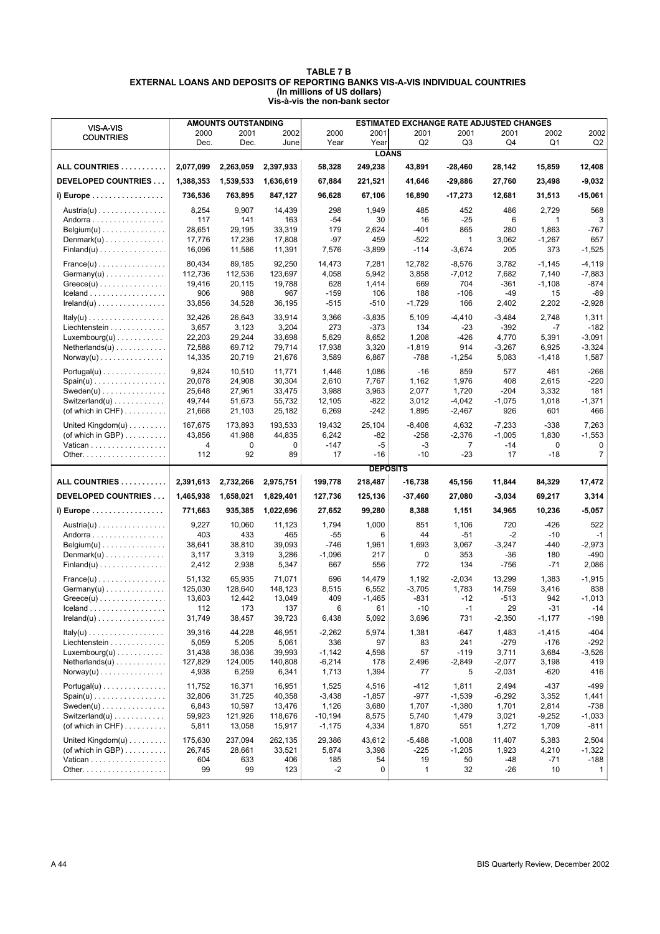|                                                                |                   | <b>AMOUNTS OUTSTANDING</b> |                   |                 |                 | <b>ESTIMATED EXCHANGE RATE ADJUSTED CHANGES</b> |                   |                  |                 |                  |
|----------------------------------------------------------------|-------------------|----------------------------|-------------------|-----------------|-----------------|-------------------------------------------------|-------------------|------------------|-----------------|------------------|
| VIS-A-VIS                                                      | 2000              | 2001                       | 2002              | 2000            | 2001            | 2001                                            | 2001              | 2001             | 2002            | 2002             |
| <b>COUNTRIES</b>                                               | Dec.              | Dec.                       | June              | Year            | Year            | Q <sub>2</sub>                                  | Q3                | Q4               | Q1              | Q2               |
|                                                                |                   |                            |                   |                 | <b>LOANS</b>    |                                                 |                   |                  |                 |                  |
| ALL COUNTRIES                                                  | 2,077,099         | 2,263,059                  | 2,397,933         | 58,328          | 249,238         | 43,891                                          | $-28,460$         | 28,142           | 15,859          | 12,408           |
|                                                                |                   |                            |                   |                 |                 |                                                 |                   |                  |                 |                  |
| <b>DEVELOPED COUNTRIES</b>                                     | 1,388,353         | 1,539,533                  | 1,636,619         | 67,884          | 221,521         | 41,646                                          | $-29,886$         | 27,760           | 23,498          | $-9,032$         |
| $i)$ Europe $\dots\dots\dots\dots\dots\dots\dots$              | 736,536           | 763,895                    | 847,127           | 96,628          | 67,106          | 16,890                                          | $-17,273$         | 12,681           | 31,513          | $-15,061$        |
| $A$ ustria $(u)$                                               | 8,254             | 9,907                      | 14,439            | 298             | 1,949           | 485                                             | 452               | 486              | 2,729           | 568              |
| Andorra                                                        | 117               | 141                        | 163               | $-54$           | 30              | 16                                              | $-25$             | 6                | 1               | 3                |
| $Belgium(u) \dots \dots \dots \dots \dots$                     | 28,651            | 29,195                     | 33,319            | 179             | 2,624           | $-401$                                          | 865               | 280              | 1,863           | -767             |
| $Dennark(u) \ldots \ldots \ldots \ldots$                       | 17,776            | 17,236                     | 17,808            | $-97$           | 459             | $-522$                                          | $\mathbf{1}$      | 3,062            | $-1,267$        | 657              |
| $Findand(u)$                                                   | 16,096            | 11,586                     | 11,391            | 7,576           | $-3,899$        | $-114$                                          | $-3,674$          | 205              | 373             | $-1,525$         |
| $France(u) \ldots \ldots \ldots \ldots \ldots$                 | 80,434            | 89,185                     | 92,250            | 14,473          | 7,281           | 12,782                                          | $-8,576$          | 3,782            | $-1,145$        | $-4,119$         |
| $Germany(u) \ldots \ldots \ldots \ldots$                       | 112,736           | 112,536                    | 123,697           | 4,058           | 5,942           | 3,858                                           | $-7,012$          | 7,682            | 7,140           | $-7,883$         |
| $Greeze(u) \ldots \ldots \ldots \ldots \ldots$                 | 19,416            | 20,115                     | 19,788            | 628             | 1,414           | 669                                             | 704               | -361             | $-1,108$        | $-874$           |
|                                                                | 906               | 988                        | 967               | $-159$          | 106             | 188                                             | $-106$            | $-49$            | 15              | -89              |
| $Ireland(u) \ldots \ldots \ldots \ldots \ldots$                | 33,856            | 34,528                     | 36,195            | $-515$          | -510            | $-1,729$                                        | 166               | 2,402            | 2,202           | $-2,928$         |
|                                                                | 32,426            | 26,643                     | 33,914            | 3,366           | $-3,835$        | 5,109                                           | $-4,410$          | $-3,484$         | 2,748           | 1,311            |
| Liechtenstein                                                  | 3,657             | 3,123                      | 3,204             | 273             | -373            | 134                                             | $-23$             | $-392$           | $-7$            | $-182$           |
| $Luxembourg(u) \ldots \ldots \ldots$                           | 22.203            | 29,244                     | 33,698            | 5,629           | 8,652           | 1,208                                           | $-426$            | 4,770            | 5,391           | $-3,091$         |
| $Netherlands(u) \ldots \ldots \ldots$                          | 72,588            | 69,712                     | 79,714            | 17,938          | 3,320           | $-1,819$                                        | 914               | $-3,267$         | 6,925           | $-3,324$         |
| $Norway(u)$                                                    | 14,335            | 20,719                     | 21,676            | 3,589           | 6,867           | $-788$                                          | $-1,254$          | 5,083            | $-1,418$        | 1,587            |
| $Portugal(u) \ldots \ldots \ldots \ldots$                      | 9,824             | 10,510                     | 11,771            | 1,446           | 1,086           | $-16$                                           | 859               | 577              | 461             | $-266$           |
| $Spin(u)$                                                      | 20,078            | 24,908                     | 30,304            | 2,610           | 7,767           | 1,162                                           | 1,976             | 408              | 2,615           | $-220$           |
| Sweden(u) $\dots\dots\dots\dots\dots$                          | 25,648            | 27,961                     | 33,475            | 3,988           | 3,963           | 2,077                                           | 1,720             | $-204$           | 3,332           | 181              |
| Switzerland( $u$ )                                             | 49,744            | 51,673                     | 55,732            | 12,105          | -822            | 3,012                                           | $-4,042$          | $-1,075$         | 1,018           | $-1,371$         |
| (of which in CHF) $\dots$                                      | 21,668            | 21,103                     | 25,182            | 6,269           | $-242$          | 1,895                                           | $-2,467$          | 926              | 601             | 466              |
| United Kingdom(u)                                              | 167,675           | 173,893                    | 193,533           | 19,432          | 25,104          | $-8,408$                                        | 4,632             | $-7,233$         | $-338$          | 7,263            |
| (of which in GBP) $\dots$                                      | 43,856            | 41,988                     | 44,835            | 6,242           | -82             | $-258$                                          | $-2,376$          | $-1,005$         | 1,830           | $-1,553$         |
| Vatican                                                        | 4                 | 0                          | $\Omega$          | $-147$          | -5              | -3                                              | 7                 | $-14$            | 0               | 0                |
|                                                                | 112               | 92                         | 89                | 17              | $-16$           | $-10$                                           | $-23$             | 17               | -18             | $\overline{7}$   |
|                                                                |                   |                            |                   |                 | <b>DEPOSITS</b> |                                                 |                   |                  |                 |                  |
| ALL COUNTRIES                                                  | 2,391,613         | 2,732,266                  | 2,975,751         | 199,778         | 218,487         | $-16,738$                                       | 45,156            | 11,844           | 84,329          | 17,472           |
| DEVELOPED COUNTRIES                                            | 1,465,938         | 1,658,021                  | 1,829,401         | 127,736         | 125,136         | $-37,460$                                       | 27,080            | $-3,034$         | 69,217          | 3,314            |
| i) Europe                                                      | 771,663           | 935,385                    | 1,022,696         | 27,652          | 99,280          | 8,388                                           | 1,151             | 34,965           | 10,236          | $-5,057$         |
|                                                                |                   |                            |                   |                 |                 |                                                 |                   |                  |                 |                  |
| $A$ ustria $(u)$                                               | 9,227             | 10,060                     | 11,123            | 1,794           | 1,000           | 851                                             | 1,106             | 720              | $-426$          | 522              |
| Andorra<br>$Belgium(u) \dots \dots \dots \dots \dots$          | 403<br>38,641     | 433<br>38,810              | 465<br>39,093     | $-55$<br>$-746$ | 6<br>1,961      | 44<br>1,693                                     | -51<br>3,067      | $-2$<br>$-3,247$ | $-10$<br>$-440$ | $-1$<br>$-2,973$ |
| $Denmark(u)$                                                   | 3,117             | 3,319                      | 3,286             | $-1,096$        | 217             | 0                                               | 353               | -36              | 180             | $-490$           |
|                                                                | 2,412             | 2,938                      | 5,347             | 667             | 556             | 772                                             | 134               | -756             | -71             | 2,086            |
|                                                                |                   |                            |                   |                 |                 |                                                 |                   |                  |                 |                  |
| $France(u) \ldots \ldots \ldots \ldots \ldots$<br>$Germany(u)$ | 51,132<br>125,030 | 65,935<br>128,640          | 71,071<br>148,123 | 696<br>8,515    | 14,479<br>6,552 | 1,192<br>$-3,705$                               | $-2,034$<br>1,783 | 13,299<br>14,759 | 1,383<br>3,416  | $-1,915$<br>838  |
| $Greeze(u) \dots \dots \dots \dots \dots \dots$                | 13.603            | 12,442                     | 13,049            | 409             | $-1,465$        | -831                                            | $-12$             | $-513$           | 942             | $-1,013$         |
|                                                                | 112               | 173                        | 137               | 6               | 61              | $-10$                                           | $-1$              | 29               | $-31$           | -14              |
| $Ireland(u) \ldots \ldots \ldots \ldots \ldots$                | 31,749            | 38,457                     | 39,723            | 6,438           | 5,092           | 3,696                                           | 731               | $-2,350$         | $-1,177$        | -198             |
|                                                                | 39,316            | 44,228                     | 46,951            | $-2,262$        | 5,974           | 1,381                                           | $-647$            | 1,483            | $-1,415$        | -404             |
| Liechtenstein                                                  | 5,059             | 5,205                      | 5,061             | 336             | 97              | 83                                              | 241               | $-279$           | $-176$          | $-292$           |
| $Luxembourg(u) \dots \dots \dots$                              | 31,438            | 36,036                     | 39,993            | $-1,142$        | 4,598           | 57                                              | $-119$            | 3,711            | 3,684           | $-3,526$         |
| $Netherlands(u) \ldots \ldots \ldots$                          | 127,829           | 124,005                    | 140,808           | $-6,214$        | 178             | 2,496                                           | $-2,849$          | $-2,077$         | 3,198           | 419              |
| $Normay(u) \ldots \ldots \ldots \ldots$                        | 4,938             | 6,259                      | 6,341             | 1,713           | 1,394           | 77                                              | 5                 | $-2,031$         | $-620$          | 416              |
| $Portugal(u)$                                                  | 11,752            | 16,371                     | 16,951            | 1,525           | 4,516           | $-412$                                          | 1,811             | 2,494            | $-437$          | -499             |
| $Spin(u)$                                                      | 32,806            | 31,725                     | 40,358            | $-3,438$        | $-1,857$        | -977                                            | $-1,539$          | $-6,292$         | 3,352           | 1,441            |
| $Sweden(u) \ldots \ldots \ldots \ldots \ldots$                 | 6,843             | 10,597                     | 13,476            | 1,126           | 3,680           | 1,707                                           | $-1,380$          | 1,701            | 2,814           | $-738$           |
| Switzerland( $u$ )                                             | 59,923            | 121,926                    | 118,676           | $-10,194$       | 8,575           | 5,740                                           | 1,479             | 3,021            | $-9,252$        | $-1,033$         |
| (of which in CHF)                                              | 5,811             | 13,058                     | 15,917            | $-1,175$        | 4,334           | 1,870                                           | 551               | 1,272            | 1,709           | -811             |
| United Kingdom(u)                                              | 175,630           | 237,094                    | 262,135           | 29,386          | 43,612          | $-5,488$                                        | $-1,008$          | 11,407           | 5,383           | 2,504            |
| (of which in GBP) $\dots \dots$                                | 26,745            | 28,661                     | 33,521            | 5,874           | 3,398           | -225                                            | $-1,205$          | 1,923            | 4,210           | $-1,322$         |
| Vatican                                                        | 604               | 633                        | 406               | 185             | 54              | 19                                              | 50                | -48              | $-71$           | -188             |
|                                                                |                   |                            |                   |                 |                 |                                                 |                   |                  |                 |                  |
|                                                                | 99                | 99                         | 123               | $-2$            | 0               | 1                                               | 32                | -26              | 10              | $\mathbf{1}$     |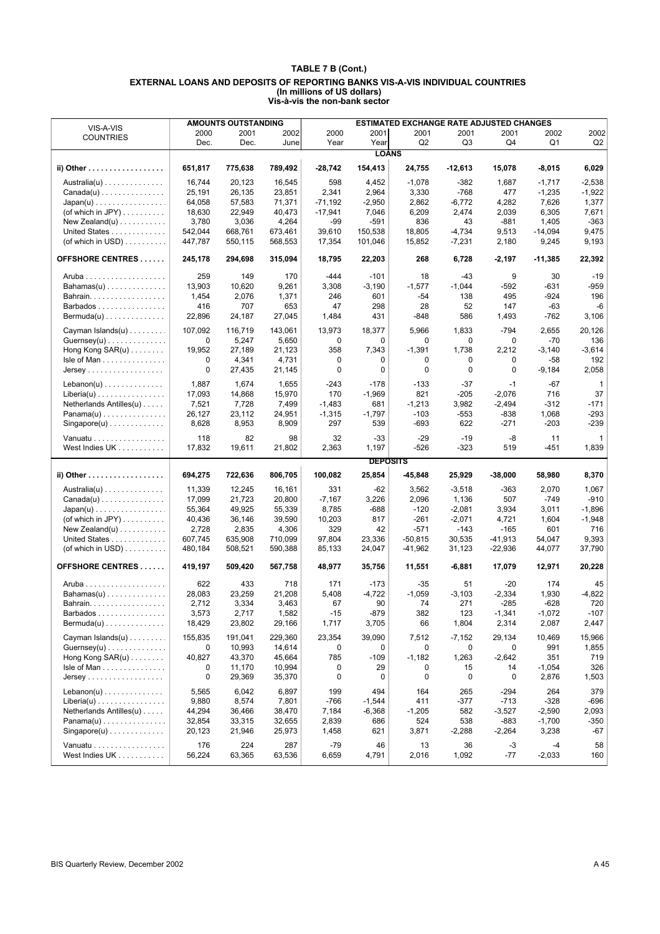|                                                |         | <b>AMOUNTS OUTSTANDING</b> |         |             |                 | <b>ESTIMATED EXCHANGE RATE ADJUSTED CHANGES</b> |           |             |           |          |
|------------------------------------------------|---------|----------------------------|---------|-------------|-----------------|-------------------------------------------------|-----------|-------------|-----------|----------|
| VIS-A-VIS                                      | 2000    | 2001                       | 2002    | 2000        | 2001            | 2001                                            | 2001      | 2001        | 2002      | 2002     |
| <b>COUNTRIES</b>                               | Dec.    | Dec.                       | June    | Year        | Year            | Q <sub>2</sub>                                  | Q3        | Q4          | Q1        | Q2       |
|                                                |         |                            |         |             | <b>LOANS</b>    |                                                 |           |             |           |          |
| ii) Other                                      | 651,817 | 775,638                    | 789,492 | $-28,742$   | 154,413         | 24,755                                          | $-12,613$ | 15,078      | -8,015    | 6,029    |
| $A$ ustralia $(u)$                             | 16.744  | 20,123                     | 16,545  | 598         | 4,452           | $-1,078$                                        | -382      | 1,687       | $-1,717$  | $-2,538$ |
| $Canada(u) \ldots \ldots \ldots \ldots$        | 25,191  | 26,135                     | 23,851  | 2,341       | 2,964           | 3,330                                           | $-768$    | 477         | $-1,235$  | -1,922   |
| $Japan(u) \ldots \ldots \ldots \ldots \ldots$  | 64,058  | 57,583                     | 71,371  | $-71,192$   | $-2,950$        | 2,862                                           | $-6,772$  | 4,282       | 7,626     | 1,377    |
| (of which in JPY) $\dots \dots$                | 18,630  | 22,949                     | 40,473  | $-17,941$   | 7,046           | 6,209                                           | 2,474     | 2,039       | 6,305     | 7,671    |
| New Zealand( $u$ ) $\dots$                     | 3,780   | 3,036                      | 4,264   | -99         | -591            | 836                                             | 43        | -881        | 1,405     | $-363$   |
| United States                                  | 542.044 | 668,761                    | 673,461 | 39,610      | 150,538         | 18,805                                          | $-4,734$  | 9,513       | $-14,094$ | 9,475    |
| (of which in $USD$ )                           | 447,787 | 550,115                    | 568,553 | 17,354      | 101,046         | 15,852                                          | $-7,231$  | 2,180       | 9,245     | 9,193    |
| <b>OFFSHORE CENTRES</b>                        | 245,178 | 294,698                    | 315,094 | 18,795      | 22,203          | 268                                             | 6,728     | -2,197      | $-11,385$ | 22,392   |
|                                                | 259     | 149                        | 170     | $-444$      | $-101$          | 18                                              | -43       | 9           | 30        | $-19$    |
| $Bahamas(u) \ldots \ldots \ldots \ldots$       | 13,903  | 10,620                     | 9,261   | 3,308       | $-3,190$        | $-1,577$                                        | $-1,044$  | $-592$      | $-631$    | -959     |
| Bahrain.                                       | 1,454   | 2,076                      | 1,371   | 246         | 601             | -54                                             | 138       | 495         | $-924$    | 196      |
| Barbados                                       | 416     | 707                        | 653     | 47          | 298             | 28                                              | 52        | 147         | $-63$     | -6       |
| $Bernuda(u) \dots \dots \dots \dots \dots$     | 22,896  | 24,187                     | 27,045  | 1,484       | 431             | $-848$                                          | 586       | 1,493       | $-762$    | 3,106    |
| Cayman Islands(u)                              | 107,092 | 116.719                    | 143.061 | 13,973      | 18,377          | 5,966                                           | 1,833     | $-794$      | 2,655     | 20,126   |
| $Guernsey(u) \ldots \ldots \ldots \ldots$      | 0       | 5,247                      | 5,650   | 0           | 0               | 0                                               | 0         | 0           | -70       | 136      |
| Hong Kong SAR(u)                               | 19,952  | 27,189                     | 21,123  | 358         | 7,343           | $-1,391$                                        | 1,738     | 2,212       | $-3,140$  | $-3,614$ |
| Isle of Man                                    | 0       | 4,341                      | 4,731   | 0           | 0               | 0                                               | 0         | 0           | $-58$     | 192      |
| $Jersey$                                       | 0       | 27,435                     | 21,145  | $\mathbf 0$ | 0               | $\mathbf 0$                                     | 0         | $\mathbf 0$ | $-9,184$  | 2,058    |
| $Lebanon(u) \ldots \ldots \ldots \ldots$       | 1,887   | 1,674                      | 1,655   | $-243$      | $-178$          | $-133$                                          | $-37$     | $-1$        | $-67$     | 1        |
| $Liberia(u)$                                   | 17,093  | 14,868                     | 15,970  | 170         | $-1,969$        | 821                                             | $-205$    | $-2,076$    | 716       | 37       |
| Netherlands Antilles(u)                        | 7,521   | 7,728                      | 7,499   | $-1,483$    | 681             | $-1,213$                                        | 3,982     | $-2,494$    | $-312$    | $-171$   |
| $Panama(u)$                                    | 26,127  | 23,112                     | 24,951  | $-1,315$    | $-1,797$        | $-103$                                          | $-553$    | $-838$      | 1,068     | $-293$   |
| $Singapore(u)$                                 | 8,628   | 8,953                      | 8,909   | 297         | 539             | $-693$                                          | 622       | $-271$      | $-203$    | $-239$   |
| Vanuatu                                        | 118     | 82                         | 98      | 32          | $-33$           | $-29$                                           | $-19$     | -8          | 11        | 1        |
| West Indies UK                                 | 17,832  | 19,611                     | 21,802  | 2,363       | 1,197           | $-526$                                          | -323      | 519         | $-451$    | 1,839    |
|                                                |         |                            |         |             | <b>DEPOSITS</b> |                                                 |           |             |           |          |
| ii) Other                                      | 694,275 | 722,636                    | 806,705 | 100,082     | 25,854          | -45,848                                         | 25,929    | $-38,000$   | 58,980    | 8,370    |
| $A$ ustralia $(u)$                             | 11,339  | 12,245                     | 16,161  | 331         | $-62$           | 3,562                                           | $-3,518$  | $-363$      | 2,070     | 1,067    |
| $Canada(u) \ldots \ldots \ldots \ldots$        | 17,099  | 21,723                     | 20,800  | $-7,167$    | 3,226           | 2,096                                           | 1,136     | 507         | $-749$    | $-910$   |
| $Japan(u) \dots \dots \dots \dots \dots \dots$ | 55,364  | 49,925                     | 55,339  | 8,785       | -688            | $-120$                                          | $-2,081$  | 3,934       | 3,011     | $-1,896$ |
| (of which in JPY) $\dots \dots$                | 40,436  | 36,146                     | 39,590  | 10,203      | 817             | $-261$                                          | $-2,071$  | 4,721       | 1,604     | $-1,948$ |
| New Zealand( $u$ )                             | 2,728   | 2,835                      | 4,306   | 329         | 42              | -571                                            | $-143$    | $-165$      | 601       | 716      |
| United States                                  | 607,745 | 635,908                    | 710,099 | 97,804      | 23,336          | $-50,815$                                       | 30,535    | $-41,913$   | 54,047    | 9,393    |
| (of which in $USD$ )                           | 480,184 | 508,521                    | 590,388 | 85,133      | 24,047          | $-41,962$                                       | 31,123    | $-22,936$   | 44,077    | 37,790   |
| <b>OFFSHORE CENTRES</b>                        | 419,197 | 509,420                    | 567,758 | 48,977      | 35,756          | 11,551                                          | -6,881    | 17,079      | 12,971    | 20,228   |
|                                                | 622     | 433                        | 718     | 171         | $-173$          | $-35$                                           | 51        | $-20$       | 174       | 45       |
| $Bahamas(u) \ldots \ldots \ldots \ldots$       | 28.083  | 23,259                     | 21,208  | 5,408       | $-4,722$        | $-1,059$                                        | $-3,103$  | $-2,334$    | 1,930     | $-4,822$ |
| Bahrain.                                       | 2,712   | 3,334                      | 3,463   | 67          | 90              | 74                                              | 271       | $-285$      | $-628$    | 720      |
| Barbados                                       | 3,573   | 2,717                      | 1,582   | $-15$       | $-879$          | 382                                             | 123       | $-1,341$    | $-1,072$  | $-107$   |
| $Bernuda(u) \dots \dots \dots \dots \dots$     | 18,429  | 23,802                     | 29,166  | 1,717       | 3,705           | 66                                              | 1,804     | 2,314       | 2,087     | 2,447    |
| Cayman Islands(u)                              | 155,835 | 191,041                    | 229,360 | 23,354      | 39,090          | 7,512                                           | $-7,152$  | 29,134      | 10.469    | 15,966   |
| Guernsey $(u)$                                 | 0       | 10,993                     | 14,614  | 0           | 0               | 0                                               | 0         | 0           | 991       | 1,855    |
| Hong Kong $SAR(u)$                             | 40,827  | 43,370                     | 45,664  | 785         | $-109$          | $-1,182$                                        | 1,263     | $-2,642$    | 351       | 719      |
| Isle of Man                                    | 0       | 11,170                     | 10,994  | 0           | 29              | 0                                               | 15        | 14          | $-1,054$  | 326      |
| $Jersey$                                       | 0       | 29,369                     | 35,370  | 0           | 0               | 0                                               | 0         | 0           | 2,876     | 1,503    |
| $Lebanon(u) \ldots \ldots \ldots \ldots$       | 5,565   | 6,042                      | 6,897   | 199         | 494             | 164                                             | 265       | $-294$      | 264       | 379      |
| $Liberia(u)$                                   | 9,880   | 8,574                      | 7,801   | $-766$      | $-1,544$        | 411                                             | -377      | $-713$      | $-328$    | $-696$   |
| Netherlands Antilles(u)                        | 44,294  | 36,466                     | 38,470  | 7,184       | $-6,368$        | $-1,205$                                        | 582       | $-3,527$    | $-2,590$  | 2,093    |
| $Panama(u)$                                    | 32,854  | 33,315                     | 32,655  | 2,839       | 686             | 524                                             | 538       | -883        | $-1,700$  | $-350$   |
| $Singapore(u)$                                 | 20,123  | 21,946                     | 25,973  | 1,458       | 621             | 3,871                                           | $-2,288$  | $-2,264$    | 3,238     | -67      |
| Vanuatu                                        | 176     | 224                        | 287     | $-79$       | 46              | 13                                              | 36        | -3          | -4        | 58       |
| West Indies UK                                 | 56,224  | 63,365                     | 63,536  | 6,659       | 4,791           | 2,016                                           | 1,092     | -77         | $-2,033$  | 160      |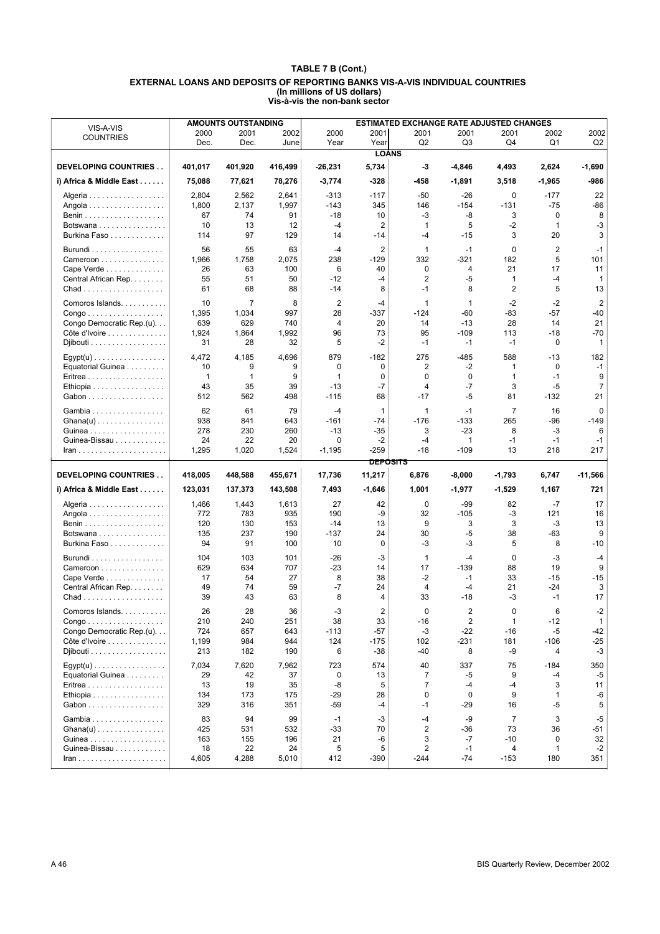|                                                                                        |             | <b>AMOUNTS OUTSTANDING</b> |             |                |                       | <b>ESTIMATED EXCHANGE RATE ADJUSTED CHANGES</b> |                         |                |                             |                |
|----------------------------------------------------------------------------------------|-------------|----------------------------|-------------|----------------|-----------------------|-------------------------------------------------|-------------------------|----------------|-----------------------------|----------------|
| VIS-A-VIS                                                                              | 2000        | 2001                       | 2002        | 2000           | 2001                  | 2001                                            | 2001                    | 2001           | 2002                        | 2002           |
| <b>COUNTRIES</b>                                                                       | Dec.        | Dec.                       | June        | Year           | Year                  | Q2                                              | Q <sub>3</sub>          | Q4             | Q1                          | Q2             |
|                                                                                        |             |                            |             |                | <b>LOANS</b>          |                                                 |                         |                |                             |                |
|                                                                                        |             |                            |             |                |                       |                                                 |                         |                |                             |                |
| <b>DEVELOPING COUNTRIES</b>                                                            | 401,017     | 401,920                    | 416,499     | $-26,231$      | 5,734                 | -3                                              | -4,846                  | 4,493          | 2,624                       | $-1,690$       |
| i) Africa & Middle East                                                                | 75,088      | 77,621                     | 78,276      | $-3,774$       | -328                  | -458                                            | $-1,891$                | 3,518          | $-1,965$                    | -986           |
|                                                                                        |             |                            |             |                |                       |                                                 |                         |                |                             |                |
| Algeria                                                                                | 2,804       | 2,562                      | 2,641       | $-313$         | $-117$                | $-50$                                           | $-26$                   | 0              | $-177$<br>$-75$             | 22             |
| Angola                                                                                 | 1,800       | 2,137                      | 1,997       | $-143$         | 345                   | 146                                             | $-154$                  | $-131$         |                             | -86            |
|                                                                                        | 67<br>10    | 74                         | 91          | $-18$          | 10                    | -3                                              | -8<br>5                 | 3              | $\mathbf 0$<br>$\mathbf{1}$ | 8              |
| Botswana<br>Burkina Faso                                                               |             | 13<br>97                   | 12<br>129   | $-4$<br>14     | $\overline{2}$<br>-14 | 1<br>$-4$                                       | $-15$                   | $-2$<br>3      | 20                          | $-3$<br>3      |
|                                                                                        | 114         |                            |             |                |                       |                                                 |                         |                |                             |                |
| Burundi                                                                                | 56          | 55                         | 63          | $-4$           | $\overline{2}$        | $\mathbf{1}$                                    | $-1$                    | 0              | 2                           | $-1$           |
| Cameroon                                                                               | 1,966       | 1,758                      | 2,075       | 238            | $-129$                | 332                                             | -321                    | 182            | 5                           | 101            |
| Cape Verde                                                                             | 26          | 63                         | 100         | 6              | 40                    | 0                                               | 4                       | 21             | 17                          | 11             |
| Central African Rep.                                                                   | 55          | 51                         | 50          | $-12$          | $-4$                  | 2                                               | $-5$                    | $\mathbf{1}$   | $-4$                        | 1              |
| $Chad \ldots \ldots \ldots \ldots \ldots \ldots$                                       | 61          | 68                         | 88          | $-14$          | 8                     | $-1$                                            | 8                       | 2              | 5                           | 13             |
| Comoros Islands.                                                                       | 10          | $\overline{7}$             | 8           | $\overline{2}$ | $-4$                  | $\mathbf{1}$                                    | 1                       | $-2$           | $-2$                        | $\overline{2}$ |
| $Congo \ldots \ldots \ldots \ldots \ldots$                                             | 1,395       | 1,034                      | 997         | 28             | -337                  | $-124$                                          | -60                     | $-83$          | -57                         | $-40$          |
| Congo Democratic Rep.(u)                                                               | 639         | 629                        | 740         | 4              | 20                    | 14                                              | $-13$                   | 28             | 14                          | 21             |
| Côte d'Ivoire                                                                          | 1,924       | 1,864                      | 1,992       | 96             | 73                    | 95                                              | $-109$                  | 113            | -18                         | $-70$          |
| Djibouti                                                                               | 31          | 28                         | 32          | 5              | -2                    | $-1$                                            | $-1$                    | $-1$           | 0                           | 1              |
|                                                                                        |             |                            |             |                |                       |                                                 |                         |                |                             |                |
| $Egypt(u)$                                                                             | 4,472       | 4,185                      | 4,696       | 879            | $-182$                | 275                                             | $-485$                  | 588            | $-13$                       | 182            |
| Equatorial Guinea                                                                      | 10          | 9                          | 9           | $\mathbf 0$    | 0                     | 2                                               | $-2$                    | 1              | $\mathbf 0$                 | $-1$           |
|                                                                                        | 1           | $\mathbf{1}$               | 9           | 1              | $\mathbf 0$           | 0                                               | $\mathbf 0$             | $\mathbf{1}$   | $-1$                        | 9              |
| Ethiopia                                                                               | 43          | 35                         | 39          | $-13$          | $-7$                  | 4                                               | $-7$                    | 3              | $-5$                        | $\overline{7}$ |
| Gabon                                                                                  | 512         | 562                        | 498         | $-115$         | 68                    | $-17$                                           | -5                      | 81             | $-132$                      | 21             |
| Gambia                                                                                 | 62          | 61                         | 79          | $-4$           | 1                     | 1                                               | $-1$                    | $\overline{7}$ | 16                          | 0              |
| $Ghana(u)$                                                                             | 938         | 841                        | 643         | $-161$         | -74                   | $-176$                                          | $-133$                  | 265            | -96                         | -149           |
| Guinea                                                                                 | 278         | 230                        | 260         | $-13$          | -35                   | 3                                               | $-23$                   | 8              | -3                          | 6              |
|                                                                                        |             |                            |             |                |                       |                                                 |                         |                |                             |                |
|                                                                                        | 24          | 22                         | 20          | 0              | $-2$                  | $-4$                                            | 1                       | $-1$           | $-1$                        | $-1$           |
| Guinea-Bissau<br>$\mathsf{tran} \dots \dots \dots \dots \dots \dots \dots \dots$       | 1,295       | 1,020                      | 1,524       | $-1,195$       | -259                  | $-18$                                           | $-109$                  | 13             | 218                         | 217            |
|                                                                                        |             |                            |             |                | <b>DEPOSITS</b>       |                                                 |                         |                |                             |                |
|                                                                                        |             |                            |             |                |                       |                                                 |                         |                |                             |                |
| <b>DEVELOPING COUNTRIES</b>                                                            | 418,005     | 448,588                    | 455,671     | 17,736         | 11,217                | 6,876                                           | $-8,000$                | $-1,793$       | 6,747                       | $-11,566$      |
| i) Africa & Middle East                                                                | 123,031     | 137,373                    | 143,508     | 7,493          | $-1,646$              | 1,001                                           | $-1,977$                | $-1,529$       | 1,167                       | 721            |
|                                                                                        |             |                            |             |                |                       |                                                 |                         |                |                             |                |
| Algeria                                                                                | 1,466       | 1,443                      | 1,613       | 27             | 42                    | $\mathbf 0$                                     | $-99$                   | 82             | $-7$                        | 17             |
|                                                                                        | 772         | 783                        | 935         | 190<br>$-14$   | -9                    | 32                                              | $-105$                  | -3             | 121                         | 16             |
|                                                                                        | 120         | 130                        | 153         |                | 13                    | 9                                               | 3                       | 3              | -3                          | 13             |
| Botswana                                                                               | 135         | 237                        | 190         | $-137$         | 24                    | 30                                              | -5                      | 38             | $-63$                       | 9              |
| Burkina Faso                                                                           | 94          | 91                         | 100         | 10             | 0                     | -3                                              | $-3$                    | 5              | 8                           | -10            |
| Burundi                                                                                | 104         | 103                        | 101         | $-26$          | -3                    | 1                                               | $-4$                    | 0              | -3                          | $-4$           |
| Cameroon                                                                               | 629         | 634                        | 707         | $-23$          | 14                    | 17                                              | $-139$                  | 88             | 19                          | 9              |
| Cape Verde                                                                             | 17          | 54                         | 27          | 8              | 38                    | -2                                              | $-1$                    | 33             | -15                         | $-15$          |
| Central African Rep.                                                                   | 49          | 74                         | 59          | -7             | 24                    | 4                                               | $-4$                    | 21             | -24                         | 3              |
|                                                                                        | 39          | 43                         | 63          | 8              | 4                     | 33                                              | $-18$                   | -3             | $-1$                        | 17             |
| Comoros Islands.                                                                       | 26          | 28                         | 36          | $-3$           | $\mathbf 2$           | 0                                               | $\overline{\mathbf{c}}$ | 0              | 6                           | $-2$           |
| Congo                                                                                  | 210         | 240                        | 251         | 38             | 33                    | -16                                             | $\overline{\mathbf{c}}$ | 1              | -12                         | $\mathbf{1}$   |
| Congo Democratic Rep.(u).                                                              | 724         | 657                        | 643         | $-113$         | $-57$                 | $-3$                                            | $-22$                   | -16            | $-5$                        | -42            |
| Côte d'Ivoire                                                                          | 1,199       | 984                        | 944         | 124            | $-175$                | 102                                             | $-231$                  | 181            | $-106$                      | -25            |
| Djibouti                                                                               | 213         | 182                        | 190         | 6              | -38                   | -40                                             | 8                       | -9             | 4                           | $-3$           |
|                                                                                        |             |                            |             |                |                       |                                                 |                         |                |                             |                |
| $Egypt(u)$                                                                             | 7,034       | 7,620                      | 7,962       | 723            | 574                   | 40                                              | 337                     | 75             | $-184$                      | 350            |
| Equatorial Guinea                                                                      | 29          | 42                         | 37          | 0              | 13                    | 7                                               | -5                      | 9              | $-4$                        | -5             |
|                                                                                        | 13          | 19                         | 35          | -8             | 5                     | 7<br>0                                          | -4<br>0                 | $-4$           | 3<br>$\mathbf{1}$           | 11             |
| Ethiopia                                                                               | 134         | 173                        | 175         | -29            | 28                    |                                                 |                         | 9              |                             | -6             |
| Gabon                                                                                  | 329         | 316                        | 351         | -59            | $-4$                  | $-1$                                            | -29                     | 16             | -5                          | 5              |
| Gambia                                                                                 | 83          | 94                         | 99          | $-1$           | -3                    | -4                                              | -9                      | 7              | 3                           | -5             |
| $Ghana(u) \ldots \ldots \ldots \ldots \ldots$                                          | 425         | 531                        | 532         | $-33$          | 70                    | 2                                               | $-36$                   | 73             | 36                          | -51            |
| Guinea                                                                                 | 163         | 155                        | 196         | 21             | -6                    | 3                                               | -7                      | $-10$          | 0                           | 32             |
| Guinea-Bissau<br>$\mathsf{lran}\ldots\ldots\ldots\ldots\ldots\ldots\ldots\ldots\ldots$ | 18<br>4,605 | 22<br>4,288                | 24<br>5,010 | 5<br>412       | 5<br>$-390$           | 2<br>$-244$                                     | $-1$<br>-74             | 4<br>$-153$    | -1<br>180                   | $-2$<br>351    |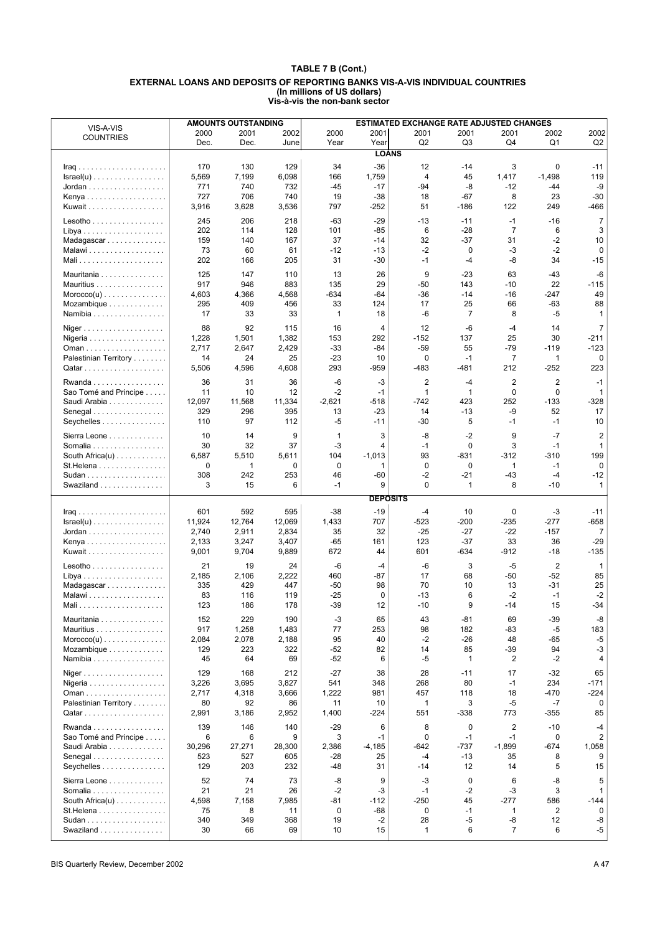| VIS-A-VIS                                              |           | <b>AMOUNTS OUTSTANDING</b> |            |                |                 | <b>ESTIMATED EXCHANGE RATE ADJUSTED CHANGES</b> |              |                      |                |                |
|--------------------------------------------------------|-----------|----------------------------|------------|----------------|-----------------|-------------------------------------------------|--------------|----------------------|----------------|----------------|
| <b>COUNTRIES</b>                                       | 2000      | 2001                       | 2002       | 2000           | 2001            | 2001                                            | 2001         | 2001                 | 2002           | 2002           |
|                                                        | Dec.      | Dec.                       | June       | Year           | Year            | Q2                                              | Q3           | Q4                   | Q1             | Q2             |
|                                                        |           |                            |            |                | <b>LOANS</b>    |                                                 |              |                      |                |                |
| $\text{Iraq}$                                          | 170       | 130                        | 129        | 34             | $-36$           | 12                                              | $-14$        | 3                    | 0              | $-11$          |
| $Israel(u) \ldots \ldots \ldots \ldots \ldots$         | 5,569     | 7,199                      | 6,098      | 166            | 1,759           | $\overline{4}$                                  | 45           | 1,417                | $-1,498$       | 119            |
|                                                        | 771       | 740                        | 732        | $-45$          | $-17$           | -94                                             | -8           | $-12$                | -44            | -9             |
|                                                        | 727       | 706                        | 740        | 19             | $-38$           | 18                                              | $-67$        | 8                    | 23             | $-30$          |
| Kuwait                                                 | 3,916     | 3,628                      | 3,536      | 797            | $-252$          | 51                                              | $-186$       | 122                  | 249            | -466           |
| $Lesotho \dots \dots \dots \dots \dots$                | 245       | 206                        | 218        | $-63$          | $-29$           | $-13$                                           | $-11$        | $-1$                 | $-16$          | 7              |
| Libya                                                  | 202       | 114                        | 128        | 101            | -85             | 6                                               | $-28$        | $\overline{7}$       | 6              | 3              |
| Madagascar                                             | 159       | 140                        | 167        | 37             | -14             | 32                                              | $-37$        | 31                   | $-2$           | 10             |
| Malawi                                                 | 73        | 60                         | 61         | $-12$          | $-13$           | $-2$                                            | $\mathbf 0$  | -3                   | $-2$           | $\mathbf 0$    |
|                                                        | 202       | 166                        | 205        | 31             | $-30$           | $-1$                                            | $-4$         | -8                   | 34             | $-15$          |
|                                                        | 125       |                            | 110        | 13             | 26              | 9                                               | $-23$        | 63                   | $-43$          |                |
| Mauritania<br>Mauritius                                | 917       | 147<br>946                 | 883        | 135            | 29              | -50                                             | 143          | $-10$                | 22             | -6<br>$-115$   |
| $Moreover(u) \dots \dots \dots \dots \dots$            | 4,603     | 4,366                      | 4,568      | $-634$         | $-64$           | -36                                             | -14          | $-16$                | -247           | 49             |
| Mozambique                                             | 295       | 409                        | 456        | 33             | 124             | 17                                              | 25           | 66                   | -63            | 88             |
| Namibia                                                | 17        | 33                         | 33         | $\mathbf{1}$   | 18              | -6                                              | 7            | 8                    | -5             | 1              |
|                                                        |           |                            |            |                |                 |                                                 |              |                      |                |                |
| Niger                                                  | 88        | 92                         | 115        | 16             | 4               | 12                                              | -6           | $-4$                 | 14             | 7              |
| Nigeria                                                | 1,228     | 1,501                      | 1,382      | 153            | 292             | $-152$                                          | 137          | 25                   | 30             | -211           |
|                                                        | 2,717     | 2,647                      | 2,429      | $-33$          | -84             | $-59$                                           | 55           | -79                  | -119           | -123           |
| Palestinian Territory                                  | 14        | 24                         | 25         | $-23$          | 10              | $\mathbf 0$                                     | $-1$         | $\overline{7}$       | $\mathbf{1}$   | 0              |
|                                                        | 5,506     | 4,596                      | 4,608      | 293            | -959            | $-483$                                          | $-481$       | 212                  | $-252$         | 223            |
| Rwanda                                                 | 36        | 31                         | 36         | -6             | -3              | 2                                               | $-4$         | 2                    | $\overline{2}$ | $-1$           |
| Sao Tomé and Principe                                  | 11        | 10                         | 12         | $-2$           | $-1$            | 1                                               | $\mathbf{1}$ | 0                    | 0              | 1              |
| Saudi Arabia                                           | 12,097    | 11,568                     | 11,334     | $-2,621$       | -518            | -742                                            | 423          | 252                  | $-133$         | -328           |
| Senegal                                                | 329       | 296                        | 395        | 13             | $-23$           | 14                                              | $-13$        | -9                   | 52             | 17             |
| Seychelles                                             | 110       | 97                         | 112        | -5             | -11             | $-30$                                           | 5            | $-1$                 | $-1$           | 10             |
| Sierra Leone                                           | 10        | 14                         | 9          | 1              | 3               | -8                                              | $-2$         | 9                    | $-7$           | $\overline{2}$ |
| Somalia                                                | 30        | 32                         | 37         | -3             | 4               | $-1$                                            | $\mathbf 0$  | 3                    | $-1$           | $\mathbf{1}$   |
| South Africa $(u)$                                     | 6,587     | 5,510                      | 5,611      | 104            | $-1,013$        | 93                                              | $-831$       | $-312$               | -310           | 199            |
| St.Helena                                              | 0         | $\mathbf{1}$               | 0          | $\mathbf 0$    | $\mathbf{1}$    | $\mathbf 0$                                     | 0            | $\mathbf{1}$         | $-1$           | 0              |
|                                                        | 308       | 242                        | 253        | 46             | $-60$           | -2                                              | $-21$        | $-43$                | $-4$           | $-12$          |
| Swaziland                                              | 3         | 15                         | 6          | $-1$           | 9               | 0                                               | 1            | 8                    | -10            | $\mathbf{1}$   |
|                                                        |           |                            |            |                | <b>DEPOSITS</b> |                                                 |              |                      |                |                |
|                                                        | 601       | 592                        | 595        | $-38$          | $-19$           | -4                                              | 10           | 0                    | $-3$           | $-11$          |
| $\text{Israel}(u) \dots \dots \dots \dots \dots \dots$ | 11,924    | 12,764                     | 12,069     | 1,433          | 707             | $-523$                                          | -200         | -235                 | $-277$         | -658           |
| $Jordan \ldots \ldots \ldots \ldots \ldots$            | 2,740     | 2,911                      | 2,834      | 35             | 32              | $-25$                                           | $-27$        | $-22$                |                | 7              |
|                                                        | 2,133     |                            |            |                |                 |                                                 |              |                      | $-157$         |                |
|                                                        |           | 3,247                      | 3,407      | $-65$          | 161             | 123                                             | $-37$        | 33                   | 36             | $-29$          |
| Kuwait                                                 | 9,001     | 9,704                      | 9,889      | 672            | 44              | 601                                             | $-634$       | $-912$               | $-18$          | -135           |
|                                                        |           |                            |            |                |                 |                                                 |              |                      |                |                |
| $Lesotho \ldots \ldots \ldots$                         | 21        | 19                         | 24         | $-6$           | $-4$            | $-6$                                            | 3            | $-5$                 | $\overline{2}$ | 1              |
|                                                        | 2,185     | 2,106                      | 2,222      | 460            | $-87$           | 17                                              | 68           | $-50$                | $-52$          | 85             |
| Madagascar                                             | 335       | 429                        | 447        | $-50$          | 98              | 70                                              | 10           | 13                   | -31            | 25             |
| Malawi                                                 | 83<br>123 | 116<br>186                 | 119<br>178 | $-25$<br>$-39$ | 0<br>12         | $-13$<br>$-10$                                  | 6<br>9       | $-2$<br>$-14$        | $-1$<br>15     | $-2$<br>-34    |
|                                                        |           |                            |            |                |                 |                                                 |              |                      |                |                |
| Mauritania                                             | 152       | 229                        | 190        | -3             | 65              | 43                                              | -81          | 69                   | -39            | -8             |
| Mauritius                                              | 917       | 1,258                      | 1,483      | 77             | 253             | 98                                              | 182          | -83                  | -5             | 183            |
| $Moreover(u) \dots \dots \dots \dots \dots$            | 2,084     | 2,078                      | 2,188      | 95             | 40              | $-2$                                            | -26          | 48                   | -65            | $-5$           |
| Mozambique                                             | 129       | 223                        | 322        | $-52$          | 82              | 14                                              | 85           | -39                  | 94             | -3             |
| Namibia                                                | 45        | 64                         | 69         | $-52$          | 6               | -5                                              | 1            | 2                    | $-2$           | 4              |
| Niger                                                  | 129       | 168                        | 212        | $-27$          | 38              | 28                                              | $-11$        | 17                   | $-32$          | 65             |
| Nigeria                                                | 3,226     | 3,695                      | 3,827      | 541            | 348             | 268                                             | 80           | $-1$                 | 234            | $-171$         |
|                                                        | 2,717     | 4,318                      | 3,666      | 1,222          | 981             | 457                                             | 118          | 18                   | -470           | -224           |
| Palestinian Territory                                  | 80        | 92                         | 86         | 11             | 10              | 1                                               | 3            | -5                   | $-7$           | $\Omega$       |
|                                                        | 2,991     | 3,186                      | 2,952      | 1,400          | -224            | 551                                             | -338         | 773                  | $-355$         | 85             |
| Rwanda                                                 | 139       | 146                        | 140        | $-29$          | 6               | 8                                               | $\mathbf 0$  | 2                    | $-10$          | -4             |
| Sao Tomé and Principe                                  | 6         | 6                          | 9          | 3              | $-1$            | $\mathbf 0$                                     | $-1$         | $-1$                 | $\mathbf 0$    | 2              |
| Saudi Arabia                                           | 30,296    | 27,271                     | 28,300     | 2,386          | $-4,185$        | $-642$                                          | $-737$       | $-1,899$             | -674           | 1,058          |
| Senegal                                                | 523       | 527                        | 605        | $-28$          | 25              | $-4$                                            | $-13$        | 35                   | 8              | 9              |
| Seychelles                                             | 129       | 203                        | 232        | -48            | 31              | $-14$                                           | 12           | 14                   | 5              | 15             |
|                                                        | 52        | 74                         | 73         | -8             | 9               | -3                                              | 0            | 6                    | -8             | 5              |
| Sierra Leone                                           | 21        | 21                         | 26         | $-2$           | -3              | $-1$                                            | $-2$         | $-3$                 | 3              | 1              |
| Somalia<br>South Africa(u) $\ldots \ldots \ldots$      | 4,598     | 7,158                      | 7,985      | $-81$          | $-112$          | $-250$                                          | 45           | $-277$               | 586            | -144           |
| $St.Helena \ldots \ldots \ldots \ldots \ldots$         | 75        | 8                          | 11         | $\mathbf 0$    | -68             | $\mathbf 0$                                     | $-1$         | $\mathbf{1}$         | $\overline{2}$ | 0              |
|                                                        | 340       | 349                        | 368        | 19             | $-2$            | 28                                              | -5           | -8<br>$\overline{7}$ | 12             | -8             |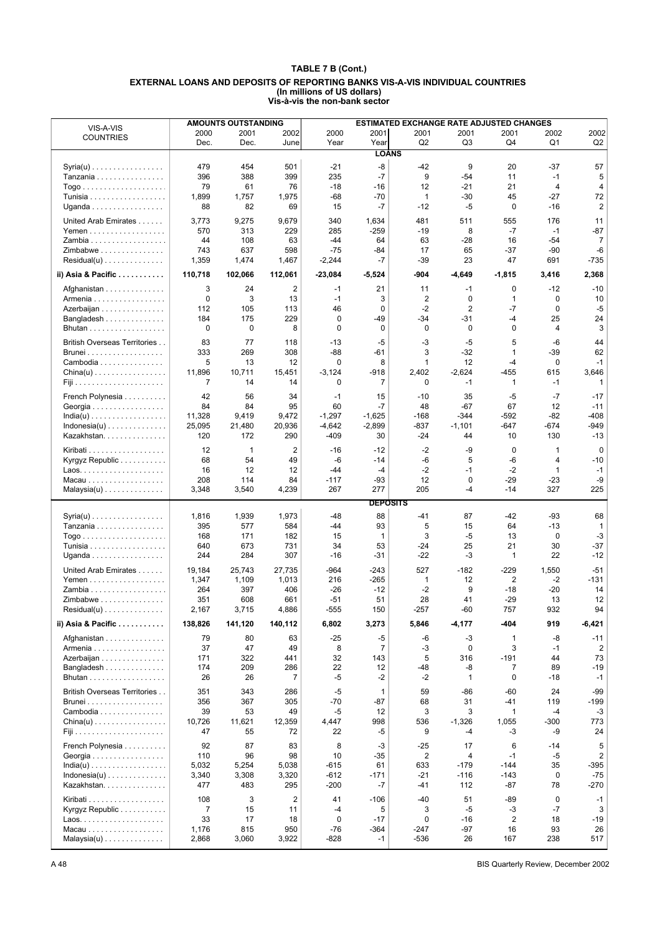|                                                  |             | <b>AMOUNTS OUTSTANDING</b> |                |             |                 | <b>ESTIMATED EXCHANGE RATE ADJUSTED CHANGES</b> |                |              |                |                |
|--------------------------------------------------|-------------|----------------------------|----------------|-------------|-----------------|-------------------------------------------------|----------------|--------------|----------------|----------------|
| VIS-A-VIS<br><b>COUNTRIES</b>                    | 2000        | 2001                       | 2002           | 2000        | 2001            | 2001                                            | 2001           | 2001         | 2002           | 2002           |
|                                                  | Dec.        | Dec.                       | June           | Year        | Year            | Q2                                              | Q <sub>3</sub> | Q4           | Q1             | Q2             |
|                                                  |             |                            |                |             | <b>LOANS</b>    |                                                 |                |              |                |                |
| $Syria(u)$                                       | 479         | 454                        | 501            | $-21$       | -8              | $-42$                                           | 9              | 20           | -37            | 57             |
| Tanzania                                         | 396         | 388                        | 399            | 235         | $-7$            | 9                                               | $-54$          | 11           | $-1$           | 5              |
|                                                  | 79          | 61                         | 76             | $-18$       | $-16$           | 12                                              | -21            | 21           | $\overline{4}$ | 4              |
| Tunisia                                          | 1,899       | 1,757                      | 1,975          | $-68$       | $-70$           | 1                                               | $-30$          | 45           | -27            | 72             |
| Uganda                                           | 88          | 82                         | 69             | 15          | -7              | $-12$                                           | -5             | 0            | $-16$          | $\overline{2}$ |
| United Arab Emirates                             | 3,773       | 9,275                      | 9,679          | 340         | 1,634           | 481                                             | 511            | 555          | 176            | 11             |
| Yemen                                            | 570         | 313                        | 229            | 285         | $-259$          | $-19$                                           | 8              | $-7$         | $-1$           | $-87$          |
| Zambia                                           | 44          | 108                        | 63             | $-44$       | 64              | 63                                              | $-28$          | 16           | -54            | $\overline{7}$ |
| Zimbabwe                                         | 743         | 637                        | 598            | $-75$       | -84             | 17                                              | 65             | $-37$        | -90            | -6             |
| $Residual(u)$                                    | 1,359       | 1,474                      | 1,467          | $-2,244$    | $-7$            | $-39$                                           | 23             | 47           | 691            | $-735$         |
| ii) Asia & Pacific                               | 110,718     | 102,066                    | 112,061        | $-23,084$   | $-5,524$        | -904                                            | $-4,649$       | $-1,815$     | 3,416          | 2,368          |
| Afghanistan                                      | 3           | 24                         | 2              | $-1$        | 21              | 11                                              | $-1$           | 0            | $-12$          | $-10$          |
| Armenia                                          | $\mathbf 0$ | 3                          | 13             | $-1$        | 3               | 2                                               | $\mathbf 0$    | $\mathbf{1}$ | 0              | 10             |
| Azerbaijan                                       | 112         | 105                        | 113            | 46          | 0               | $-2$                                            | $\overline{2}$ | $-7$         | $\mathbf 0$    | $-5$           |
| Bangladesh                                       | 184         | 175                        | 229            | $\mathbf 0$ | $-49$           | $-34$                                           | $-31$          | $-4$         | 25             | 24             |
| Bhutan                                           | 0           | 0                          | 8              | 0           | 0               | 0                                               | $\mathbf 0$    | 0            | 4              | 3              |
| British Overseas Territories                     | 83          | 77                         | 118            | $-13$       | -5              | -3                                              | -5             | 5            | -6             | 44             |
| Brunei                                           | 333         | 269                        | 308            | -88         | -61             | 3                                               | -32            | $\mathbf{1}$ | -39            | 62             |
| Cambodia                                         | 5           | 13                         | 12             | 0           | 8               | 1                                               | 12             | $-4$         | 0              | $-1$           |
| $China(u) \ldots \ldots \ldots \ldots \ldots$    | 11,896      | 10,711                     | 15,451         | $-3,124$    | $-918$          | 2,402                                           | $-2,624$       | -455         | 615            | 3,646          |
|                                                  | 7           | 14                         | 14             | $\mathbf 0$ | 7               | 0                                               | $-1$           | 1            | $-1$           | $\mathbf 1$    |
| French Polynesia                                 | 42          | 56                         | 34             | $-1$        | 15              | $-10$                                           | 35             | -5           | -7             | -17            |
| Georgia                                          | 84          | 84                         | 95             | 60          | $-7$            | 48                                              | -67            | 67           | 12             | $-11$          |
| $India(u) \ldots \ldots \ldots \ldots \ldots$    | 11,328      | 9,419                      | 9,472          | $-1,297$    | $-1,625$        | $-168$                                          | $-344$         | -592         | -82            | $-408$         |
| $Indonesia(u) \ldots \ldots \ldots \ldots$       | 25,095      | 21,480                     | 20,936         | $-4,642$    | $-2,899$        | -837                                            | $-1,101$       | -647         | $-674$         | -949           |
| Kazakhstan.                                      | 120         | 172                        | 290            | $-409$      | 30              | $-24$                                           | 44             | 10           | 130            | $-13$          |
| Kiribati                                         | 12          | 1                          | $\overline{2}$ | $-16$       | $-12$           | -2                                              | -9             | $\mathbf 0$  | 1              | $\mathbf 0$    |
| Kyrgyz Republic                                  | 68          | 54                         | 49             | -6          | $-14$           | -6                                              | 5              | -6           | 4              | $-10$          |
|                                                  | 16          | 12                         | 12             | $-44$       | $-4$            | $-2$                                            | $-1$           | $-2$         | 1              | $-1$           |
| Macau                                            | 208         | 114                        | 84             | $-117$      | $-93$           | 12                                              | $\mathbf 0$    | $-29$        | $-23$          | -9             |
| $Malaysia(u) \ldots \ldots \ldots \ldots$        | 3,348       | 3,540                      | 4,239          | 267         | 277             | 205                                             | $-4$           | -14          | 327            | 225            |
|                                                  |             |                            |                |             | <b>DEPOSITS</b> |                                                 |                |              |                |                |
| $Syria(u)$                                       | 1,816       | 1,939                      | 1,973          | $-48$       | 88              | $-41$                                           | 87             | -42          | -93            | 68             |
| Tanzania                                         | 395         | 577                        | 584            | -44         | 93              | 5                                               | 15             | 64           | $-13$          | $\mathbf{1}$   |
| $Togo \ldots \ldots \ldots \ldots \ldots \ldots$ | 168         | 171                        | 182            | 15          | 1               | 3                                               | -5             | 13           | 0              | -3             |
| Tunisia                                          | 640         | 673                        | 731            | 34          | 53              | $-24$                                           | 25             | 21           | 30             | $-37$          |
| Uganda                                           | 244         | 284                        | 307            | $-16$       | $-31$           | $-22$                                           | $-3$           | 1            | 22             | $-12$          |
| United Arab Emirates                             | 19,184      | 25,743                     | 27,735         | $-964$      | $-243$          | 527                                             | $-182$         | $-229$       | 1,550          | $-51$          |
| Yemen                                            | 1,347       | 1,109                      | 1,013          | 216         | $-265$          | $\mathbf{1}$                                    | 12             | 2            | $-2$           | $-131$         |
| Zambia                                           | 264         | 397                        | 406            | $-26$       | $-12$           | $-2$                                            | 9              | $-18$        | $-20$          | 14             |
| Zimbabwe                                         | 351         | 608                        | 661            | $-51$       | 51              | 28                                              | 41             | $-29$        | 13             | 12             |
| $Residual(u) \ldots \ldots \ldots \ldots$        | 2,167       | 3,715                      | 4,886          | $-555$      | 150             | $-257$                                          | -60            | 757          | 932            | 94             |
| ii) Asia & Pacific                               | 138,826     | 141,120                    | 140,112        | 6,802       | 3,273           | 5,846                                           | $-4,177$       | $-404$       | 919            | $-6,421$       |
| Afghanistan                                      | 79          | 80                         | 63             | $-25$       | -5              | -6                                              | -3             | 1            | -8             | $-11$          |
| Armenia                                          | 37          | 47                         | 49             | 8           | $\overline{7}$  | -3                                              | $\mathbf 0$    | 3            | $-1$           | 2              |
| Azerbaijan                                       | 171         | 322                        | 441            | 32          | 143             | 5                                               | 316            | $-191$       | 44             | 73             |
| Bangladesh                                       | 174         | 209                        | 286            | 22          | 12              | -48                                             | -8             | 7            | 89             | $-19$          |
|                                                  | 26          | 26                         | 7              | -5          | -2              | $-2$                                            | $\mathbf{1}$   | 0            | $-18$          | $-1$           |
| British Overseas Territories                     | 351         | 343                        | 286            | $-5$        | $\mathbf{1}$    | 59                                              | -86            | $-60$        | 24             | $-99$          |
|                                                  | 356         | 367                        | 305            | $-70$       | -87             | 68                                              | 31             | $-41$        | 119            | $-199$         |
| Cambodia                                         | 39          | 53                         | 49             | $-5$        | 12              | 3                                               | 3              | $\mathbf{1}$ | $-4$           | $-3$           |
| $China(u) \dots \dots \dots \dots \dots \dots$   | 10,726      | 11,621                     | 12,359         | 4,447       | 998             | 536                                             | $-1,326$       | 1,055        | $-300$         | 773            |
|                                                  | 47          | 55                         | 72             | 22          | -5              | 9                                               | -4             | $-3$         | -9             | 24             |
| French Polynesia                                 | 92          | 87                         | 83             | 8           | -3              | $-25$                                           | 17             | 6            | $-14$          | 5              |
| Georgia                                          | 110         | 96                         | 98             | 10          | $-35$           | 2                                               | $\overline{4}$ | $-1$         | -5             | 2              |
| $India(u) \ldots \ldots \ldots \ldots \ldots$    | 5,032       | 5,254                      | 5,038          | $-615$      | 61              | 633                                             | $-179$         | $-144$       | 35             | -395           |
| $Indonesia(u) \ldots \ldots \ldots \ldots$       | 3,340       | 3,308                      | 3,320          | $-612$      | -171            | $-21$<br>-41                                    | $-116$         | -143         | 0<br>78        | -75<br>$-270$  |
| Kazakhstan.                                      | 477         | 483                        | 295            | $-200$      | -7              |                                                 | 112            | -87          |                |                |
| Kiribati                                         | 108         | 3                          | $\overline{2}$ | 41          | $-106$          | $-40$                                           | 51             | $-89$        | 0              | $-1$           |
| Kyrgyz Republic                                  | 7           | 15                         | 11             | $-4$        | 5               | 3                                               | -5             | -3           | $-7$           | 3              |
|                                                  | 33          | 17                         | 18             | $\mathbf 0$ | $-17$           | 0                                               | $-16$          | 2            | 18             | $-19$          |
| Macau                                            | 1,176       | 815                        | 950            | -76         | $-364$          | $-247$                                          | $-97$          | 16           | 93             | 26             |
| $Malaysia(u) \ldots \ldots \ldots \ldots$        | 2,868       | 3,060                      | 3,922          | $-828$      | $-1$            | -536                                            | 26             | 167          | 238            | 517            |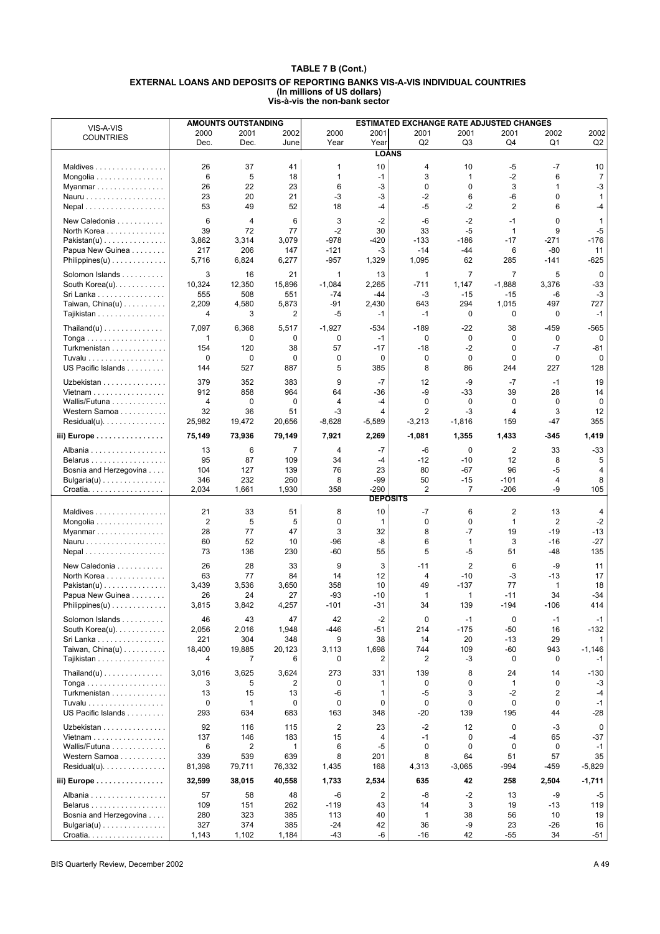|                                                                                                 |                | <b>AMOUNTS OUTSTANDING</b> |              |                      |                 | <b>ESTIMATED EXCHANGE RATE ADJUSTED CHANGES</b> |                     |                            |                |              |
|-------------------------------------------------------------------------------------------------|----------------|----------------------------|--------------|----------------------|-----------------|-------------------------------------------------|---------------------|----------------------------|----------------|--------------|
| VIS-A-VIS<br><b>COUNTRIES</b>                                                                   | 2000           | 2001                       | 2002         | 2000                 | 2001            | 2001                                            | 2001                | 2001                       | 2002           | 2002         |
|                                                                                                 | Dec.           | Dec.                       | June         | Year                 | Year            | Q <sub>2</sub>                                  | Q3                  | Q4                         | Q1             | Q2           |
|                                                                                                 |                |                            |              |                      | <b>LOANS</b>    |                                                 |                     |                            |                |              |
| Maldives                                                                                        | 26             | 37                         | 41           | 1                    | 10              | 4                                               | 10                  | -5                         | $-7$           | 10           |
| Mongolia                                                                                        | 6              | 5                          | 18           | $\mathbf{1}$         | $-1$            | 3                                               | 1                   | $-2$                       | 6              | 7            |
| Myanmar                                                                                         | 26             | 22                         | 23           | 6                    | -3              | 0                                               | $\mathbf 0$         | 3                          | $\mathbf{1}$   | -3           |
|                                                                                                 | 23             | 20                         | 21           | -3                   | -3              | -2                                              | 6                   | $-6$                       | 0              | $\mathbf{1}$ |
|                                                                                                 | 53             | 49                         | 52           | 18                   | -4              | $-5$                                            | $-2$                | 2                          | 6              | -4           |
| New Caledonia                                                                                   | 6              | 4                          | 6            | 3                    | $-2$            | -6                                              | $-2$                | $-1$                       | 0              | $\mathbf{1}$ |
| North Korea                                                                                     | 39             | 72                         | 77           | $-2$                 | 30              | 33                                              | $-5$                | 1                          | 9              | $-5$         |
| $Pakistan(u) \ldots \ldots \ldots \ldots$                                                       | 3,862          | 3,314                      | 3,079        | $-978$               | -420            | $-133$                                          | $-186$              | $-17$                      | $-271$         | $-176$       |
| Papua New Guinea                                                                                | 217            | 206                        | 147          | $-121$               | -3              | $-14$                                           | $-44$               | 6                          | $-80$          | 11           |
| $Philippines(u) \ldots \ldots \ldots \ldots$                                                    | 5,716          | 6,824                      | 6,277        | $-957$               | 1,329           | 1,095                                           | 62                  | 285                        | $-141$         | $-625$       |
| Solomon Islands                                                                                 | 3              | 16                         | 21           | $\mathbf{1}$         | 13              | $\mathbf{1}$                                    | 7                   | 7                          | 5              | 0            |
| South Korea(u).                                                                                 | 10,324         | 12,350                     | 15,896       | $-1,084$             | 2,265           | $-711$                                          | 1,147               | $-1,888$                   | 3,376          | $-33$        |
| Sri Lanka                                                                                       | 555            | 508                        | 551          | -74                  | -44             | -3                                              | $-15$               | -15                        | -6             | -3<br>727    |
| Taiwan, $China(u)$<br>Tajikistan                                                                | 2,209<br>4     | 4,580<br>3                 | 5,873<br>2   | -91<br>$-5$          | 2,430<br>-1     | 643<br>$-1$                                     | 294<br>0            | 1,015<br>0                 | 497<br>0       | $-1$         |
|                                                                                                 |                |                            |              |                      |                 |                                                 |                     |                            |                |              |
| $\text{Thailand}(u) \dots \dots \dots \dots \dots$                                              | 7,097          | 6,368                      | 5,517        | $-1,927$             | $-534$          | $-189$                                          | $-22$               | 38                         | $-459$         | $-565$       |
| Tonga                                                                                           | 1<br>154       | 0<br>120                   | 0<br>38      | $\mathbf 0$<br>57    | $-1$<br>$-17$   | $\mathbf 0$<br>$-18$                            | $\mathbf 0$<br>$-2$ | $\mathbf 0$<br>$\mathbf 0$ | 0<br>$-7$      | 0<br>$-81$   |
| Turkmenistan<br>Tuvalu                                                                          | 0              | 0                          | 0            | 0                    | 0               | 0                                               | 0                   | 0                          | 0              | $\mathbf 0$  |
| US Pacific Islands                                                                              | 144            | 527                        | 887          | 5                    | 385             | 8                                               | 86                  | 244                        | 227            | 128          |
|                                                                                                 |                |                            |              | 9                    |                 |                                                 |                     |                            |                |              |
| Uzbekistan<br>Vietnam                                                                           | 379<br>912     | 352<br>858                 | 383<br>964   | 64                   | -7<br>-36       | 12<br>-9                                        | -9<br>-33           | -7<br>39                   | $-1$<br>28     | 19<br>14     |
| Wallis/Futuna                                                                                   | 4              | $\mathbf 0$                | 0            | 4                    | -4              | 0                                               | 0                   | 0                          | 0              | $\mathbf 0$  |
| Western Samoa                                                                                   | 32             | 36                         | 51           | -3                   | 4               | 2                                               | $-3$                | 4                          | 3              | 12           |
| Residual(u).                                                                                    | 25,982         | 19,472                     | 20,656       | $-8,628$             | $-5,589$        | $-3,213$                                        | $-1,816$            | 159                        | $-47$          | 355          |
| iii) Europe                                                                                     | 75,149         | 73,936                     | 79,149       | 7,921                | 2,269           | $-1,081$                                        | 1,355               | 1,433                      | -345           | 1,419        |
|                                                                                                 |                |                            |              |                      |                 |                                                 |                     |                            |                |              |
| Albania<br>Belarus                                                                              | 13<br>95       | 6<br>87                    | 7<br>109     | $\overline{4}$<br>34 | -7<br>-4        | -6<br>$-12$                                     | 0<br>$-10$          | 2<br>12                    | 33<br>8        | -33<br>5     |
| Bosnia and Herzegovina                                                                          | 104            | 127                        | 139          | 76                   | 23              | 80                                              | $-67$               | 96                         | -5             | 4            |
| $Bulgaria(u) \ldots \ldots \ldots \ldots$                                                       | 346            | 232                        | 260          | 8                    | $-99$           | 50                                              | $-15$               | $-101$                     | $\overline{4}$ | 8            |
| Croatia.                                                                                        | 2,034          | 1,661                      | 1,930        | 358                  | $-290$          | 2                                               | 7                   | $-206$                     | -9             | 105          |
|                                                                                                 |                |                            |              |                      | <b>DEPOSITS</b> |                                                 |                     |                            |                |              |
| Maldives                                                                                        | 21             | 33                         | 51           | 8                    | 10              | -7                                              | 6                   | 2                          | 13             | 4            |
| Mongolia                                                                                        | $\overline{2}$ | 5                          | 5            | $\mathbf 0$          | 1               | 0                                               | $\mathbf 0$         | 1                          | 2              | $-2$         |
| Myanmar                                                                                         | 28             | 77                         | 47           | 3                    | 32              | 8                                               | $-7$                | 19                         | $-19$          | $-13$        |
|                                                                                                 | 60             | 52                         | 10           | -96                  | -8              | 6                                               | $\mathbf{1}$        | 3                          | $-16$          | $-27$        |
|                                                                                                 | 73             | 136                        | 230          | $-60$                | 55              | 5                                               | -5                  | 51                         | $-48$          | 135          |
| New Caledonia                                                                                   | 26             | 28                         | 33           | 9                    | 3               | $-11$                                           | $\overline{2}$      | 6                          | -9             | 11           |
| North Korea                                                                                     | 63             | 77                         | 84           | 14                   | 12              | 4                                               | $-10$               | -3                         | $-13$          | 17           |
| $Pakistan(u) \ldots \ldots \ldots \ldots$                                                       | 3,439          | 3,536                      | 3,650        | 358                  | 10              | 49                                              | $-137$              | 77                         | $\mathbf{1}$   | 18           |
| Papua New Guinea                                                                                | 26<br>3,815    | 24<br>3,842                | 27<br>4,257  | $-93$<br>$-101$      | $-10$<br>$-31$  | 1<br>34                                         | $\mathbf{1}$<br>139 | $-11$<br>$-194$            | 34<br>$-106$   | -34<br>414   |
| Philippines(u)                                                                                  |                |                            |              |                      |                 |                                                 |                     |                            |                |              |
| Solomon Islands                                                                                 | 46             | 43                         | 47           | 42                   | $-2$            | 0                                               | $-1$                | $\mathbf 0$                | $-1$           | -1           |
| South Korea(u).                                                                                 | 2,056<br>221   | 2,016<br>304               | 1,948<br>348 | $-446$<br>9          | -51<br>38       | 214<br>14                                       | $-175$<br>20        | $-50$<br>$-13$             | 16<br>29       | $-132$<br>1  |
| Sri Lanka<br>Taiwan, $China(u)$                                                                 | 18,400         | 19,885                     | 20,123       | 3,113                | 1,698           | 744                                             | 109                 | $-60$                      | 943            | $-1,146$     |
| Tajikistan                                                                                      | 4              | 7                          | 6            | 0                    | 2               | 2                                               | -3                  | 0                          | 0              | $-1$         |
|                                                                                                 |                |                            |              |                      |                 |                                                 |                     |                            |                |              |
| $\text{Thailand}(u) \ldots \ldots \ldots \ldots$<br>$Tonga \dots \dots \dots \dots \dots \dots$ | 3,016<br>3     | 3,625<br>5                 | 3,624<br>2   | 273<br>0             | 331<br>1        | 139<br>0                                        | 8<br>$\mathbf 0$    | 24<br>1                    | 14<br>0        | $-130$<br>-3 |
| Turkmenistan                                                                                    | 13             | 15                         | 13           | -6                   | 1               | $-5$                                            | 3                   | $-2$                       | 2              | $-4$         |
| Tuvalu                                                                                          | $\mathbf 0$    | 1                          | 0            | $\mathbf 0$          | 0               | $\mathbf 0$                                     | $\mathbf 0$         | $\mathbf 0$                | $\mathbf 0$    | $-1$         |
| US Pacific Islands                                                                              | 293            | 634                        | 683          | 163                  | 348             | $-20$                                           | 139                 | 195                        | 44             | $-28$        |
| Uzbekistan                                                                                      | 92             | 116                        | 115          | $\overline{2}$       | 23              | $-2$                                            | 12                  | 0                          | -3             | $\mathbf 0$  |
| Vietnam                                                                                         | 137            | 146                        | 183          | 15                   | 4               | $-1$                                            | 0                   | $-4$                       | 65             | $-37$        |
| Wallis/Futuna                                                                                   | 6              | 2                          | 1            | 6                    | -5              | 0                                               | 0                   | 0                          | 0              | $-1$         |
| Western Samoa                                                                                   | 339            | 539                        | 639          | 8                    | 201             | 8                                               | 64                  | 51                         | 57             | 35           |
| $Residual(u)$ .                                                                                 | 81,398         | 79,711                     | 76,332       | 1,435                | 168             | 4,313                                           | $-3,065$            | -994                       | $-459$         | $-5,829$     |
| iii) Europe                                                                                     | 32,599         | 38,015                     | 40,558       | 1,733                | 2,534           | 635                                             | 42                  | 258                        | 2,504          | $-1,711$     |
| Albania                                                                                         | 57             | 58                         | 48           | -6                   | 2               | -8                                              | -2                  | 13                         | -9             | -5           |
| Belarus                                                                                         | 109            | 151                        | 262          | $-119$               | 43              | 14                                              | 3                   | 19                         | $-13$          | 119          |
| Bosnia and Herzegovina                                                                          | 280            | 323                        | 385          | 113                  | 40              | $\mathbf{1}$                                    | 38                  | 56                         | 10             | 19           |
| $Bulgaria(u)$                                                                                   | 327            | 374                        | 385          | $-24$                | 42              | 36                                              | -9                  | 23                         | $-26$          | 16           |
| Croatia.                                                                                        | 1,143          | 1,102                      | 1,184        | $-43$                | -6              | $-16$                                           | 42                  | -55                        | 34             | -51          |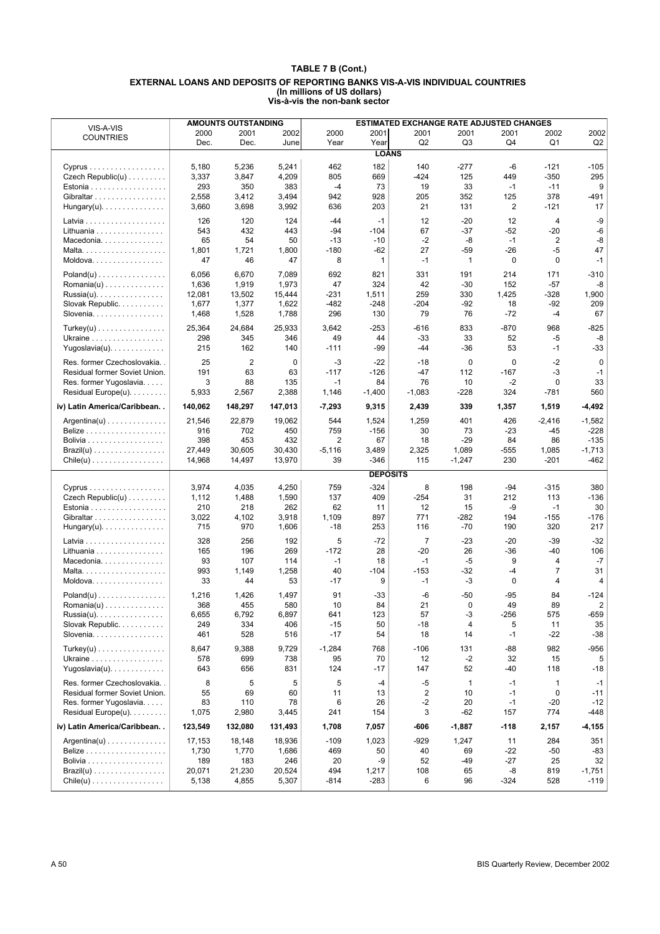|                                                |         | <b>AMOUNTS OUTSTANDING</b> |         |          |                 | <b>ESTIMATED EXCHANGE RATE ADJUSTED CHANGES</b> |              |             |                |                |
|------------------------------------------------|---------|----------------------------|---------|----------|-----------------|-------------------------------------------------|--------------|-------------|----------------|----------------|
| VIS-A-VIS                                      | 2000    | 2001                       | 2002    | 2000     | 2001            | 2001                                            | 2001         | 2001        | 2002           | 2002           |
| <b>COUNTRIES</b>                               | Dec.    | Dec.                       | June    | Year     | Year            | Q2                                              | Q3           | Q4          | Q1             | Q2             |
|                                                |         |                            |         |          | <b>LOANS</b>    |                                                 |              |             |                |                |
| Cyprus                                         | 5,180   | 5,236                      | 5,241   | 462      | 182             | 140                                             | $-277$       | -6          | $-121$         | $-105$         |
| Czech Republic(u)                              | 3,337   | 3,847                      | 4,209   | 805      | 669             | $-424$                                          | 125          | 449         | -350           | 295            |
|                                                | 293     | 350                        | 383     | $-4$     | 73              | 19                                              | 33           | $-1$        | $-11$          | 9              |
| Estonia                                        |         |                            |         |          |                 |                                                 |              | 125         |                |                |
| Gibraltar                                      | 2,558   | 3,412                      | 3,494   | 942      | 928             | 205                                             | 352          |             | 378            | -491           |
| Hungary(u). $\ldots \ldots \ldots \ldots$      | 3,660   | 3,698                      | 3,992   | 636      | 203             | 21                                              | 131          | 2           | -121           | 17             |
|                                                | 126     | 120                        | 124     | -44      | $-1$            | 12                                              | $-20$        | 12          | $\overline{4}$ | -9             |
| Lithuania                                      | 543     | 432                        | 443     | $-94$    | $-104$          | 67                                              | $-37$        | $-52$       | $-20$          | -6             |
| Macedonia                                      | 65      | 54                         | 50      | $-13$    | $-10$           | $-2$                                            | -8           | $-1$        | 2              | -8             |
|                                                | 1,801   | 1,721                      | 1,800   | $-180$   | $-62$           | 27                                              | $-59$        | $-26$       | -5             | 47             |
| Moldova.                                       | 47      | 46                         | 47      | 8        | 1               | $-1$                                            | $\mathbf{1}$ | 0           | 0              | $-1$           |
| $Poland(u) \ldots \ldots \ldots \ldots \ldots$ | 6,056   | 6,670                      | 7,089   | 692      | 821             | 331                                             | 191          | 214         | 171            | -310           |
| $Romania(u) \ldots \ldots \ldots \ldots$       | 1,636   | 1,919                      | 1,973   | 47       | 324             | 42                                              | $-30$        | 152         | -57            | -8             |
| $Russia(u)$ .                                  | 12,081  | 13,502                     | 15,444  | $-231$   | 1,511           | 259                                             | 330          | 1,425       | -328           | 1,900          |
| Slovak Republic.                               | 1,677   | 1,377                      | 1,622   | $-482$   | $-248$          | -204                                            | $-92$        | 18          | -92            | 209            |
| Slovenia                                       | 1,468   | 1,528                      | 1,788   | 296      | 130             | 79                                              | 76           | -72         | $-4$           | 67             |
|                                                |         |                            |         |          |                 |                                                 |              |             |                |                |
| $Turkey(u)$                                    | 25,364  | 24,684                     | 25,933  | 3,642    | $-253$          | $-616$                                          | 833          | $-870$      | 968            | $-825$         |
| Ukraine                                        | 298     | 345                        | 346     | 49       | 44              | $-33$                                           | 33           | 52          | -5             | -8             |
| Yugoslavia(u).                                 | 215     | 162                        | 140     | $-111$   | $-99$           | -44                                             | -36          | 53          | $-1$           | $-33$          |
| Res. former Czechoslovakia                     | 25      | 2                          | 0       | -3       | $-22$           | $-18$                                           | 0            | 0           | $-2$           | $\mathbf 0$    |
| Residual former Soviet Union.                  | 191     | 63                         | 63      | $-117$   | $-126$          | $-47$                                           | 112          | $-167$      | -3             | $-1$           |
| Res. former Yugoslavia.                        | 3       | 88                         | 135     | $-1$     | 84              | 76                                              | 10           | $-2$        | 0              | 33             |
| Residual Europe(u).                            | 5,933   | 2,567                      | 2,388   | 1,146    | $-1,400$        | $-1,083$                                        | $-228$       | 324         | -781           | 560            |
| iv) Latin America/Caribbean                    | 140,062 | 148,297                    | 147,013 | $-7,293$ | 9,315           | 2,439                                           | 339          | 1,357       | 1,519          | $-4,492$       |
| $Argentina(u) \ldots \ldots \ldots \ldots$     | 21,546  | 22,879                     | 19,062  | 544      | 1,524           | 1,259                                           | 401          | 426         | $-2,416$       | $-1,582$       |
|                                                | 916     | 702                        | 450     | 759      | $-156$          | 30                                              | 73           | $-23$       | -45            | -228           |
| Bolivia                                        | 398     | 453                        | 432     | 2        | 67              | 18                                              | $-29$        | 84          | 86             | $-135$         |
| $Brazil(u)$                                    | 27,449  | 30,605                     | 30,430  | $-5,116$ | 3,489           | 2,325                                           | 1,089        | -555        | 1,085          | $-1,713$       |
| $Chile(u)$                                     | 14,968  | 14,497                     | 13,970  | 39       | -346            | 115                                             | $-1,247$     | 230         | $-201$         | -462           |
|                                                |         |                            |         |          | <b>DEPOSITS</b> |                                                 |              |             |                |                |
|                                                |         |                            |         | 759      | $-324$          |                                                 |              |             |                |                |
| Cyprus                                         | 3,974   | 4,035                      | 4,250   |          |                 | 8                                               | 198          | $-94$       | $-315$         | 380            |
| Czech Republic(u)                              | 1,112   | 1,488                      | 1,590   | 137      | 409             | -254                                            | 31           | 212         | 113            | $-136$         |
| Estonia                                        | 210     | 218                        | 262     | 62       | 11              | 12                                              | 15           | -9          | $-1$           | 30             |
| Gibraltar                                      | 3,022   | 4,102                      | 3,918   | 1,109    | 897             | 771                                             | $-282$       | 194         | $-155$         | $-176$         |
| Hungary(u). $\ldots \ldots \ldots \ldots$      | 715     | 970                        | 1,606   | $-18$    | 253             | 116                                             | $-70$        | 190         | 320            | 217            |
|                                                | 328     | 256                        | 192     | 5        | $-72$           | 7                                               | $-23$        | $-20$       | $-39$          | $-32$          |
| Lithuania $\ldots \ldots \ldots \ldots$        | 165     | 196                        | 269     | $-172$   | 28              | $-20$                                           | 26           | $-36$       | -40            | 106            |
| Macedonia                                      | 93      | 107                        | 114     | $-1$     | 18              | $-1$                                            | $-5$         | 9           | 4              | $-7$           |
|                                                | 993     | 1,149                      | 1,258   | 40       | $-104$          | $-153$                                          | $-32$        | $-4$        | $\overline{7}$ | 31             |
| $M$ oldova                                     | 33      | 44                         | 53      | $-17$    | 9               | $-1$                                            | -3           | $\mathbf 0$ | 4              | $\overline{4}$ |
| $Poland(u) \ldots \ldots \ldots \ldots \ldots$ | 1,216   | 1,426                      | 1,497   | 91       | $-33$           | -6                                              | $-50$        | $-95$       | 84             | -124           |
| $Romania(u) \ldots \ldots \ldots \ldots$       | 368     | 455                        | 580     | 10       | 84              | 21                                              | 0            | 49          | 89             | $\overline{2}$ |
| $Russia(u)$ .                                  | 6,655   | 6,792                      | 6,897   | 641      | 123             | 57                                              | $-3$         | $-256$      | 575            | $-659$         |
| Slovak Republic.                               | 249     | 334                        | 406     | $-15$    | 50              | $-18$                                           | 4            | 5           | 11             | 35             |
| Slovenia                                       | 461     | 528                        | 516     | $-17$    | 54              | 18                                              | 14           | $-1$        | $-22$          | $-38$          |
|                                                |         |                            |         |          |                 |                                                 |              |             |                |                |
| $Turkey(u)$                                    | 8,647   | 9,388                      | 9,729   | $-1,284$ | 768             | $-106$                                          | 131          | $-88$       | 982            | -956           |
| Ukraine                                        | 578     | 699                        | 738     | 95       | 70              | 12                                              | $-2$         | 32          | 15             | 5              |
| Yugoslavia(u).                                 | 643     | 656                        | 831     | 124      | $-17$           | 147                                             | 52           | $-40$       | 118            | -18            |
| Res. former Czechoslovakia                     | 8       | 5                          | 5       | 5        | $-4$            | $-5$                                            | $\mathbf{1}$ | $-1$        | 1              | $-1$           |
| Residual former Soviet Union.                  | 55      | 69                         | 60      | 11       | 13              | $\overline{2}$                                  | 10           | $-1$        | 0              | $-11$          |
| Res. former Yugoslavia.                        | 83      | 110                        | 78      | 6        | 26              | $-2$                                            | 20           | $-1$        | $-20$          | $-12$          |
| Residual Europe(u).                            | 1,075   | 2,980                      | 3,445   | 241      | 154             | 3                                               | $-62$        | 157         | 774            | $-448$         |
| iv) Latin America/Caribbean                    | 123,549 | 132,080                    | 131,493 | 1,708    | 7,057           | -606                                            | $-1,887$     | -118        | 2,157          | $-4,155$       |
| $Argentina(u) \ldots \ldots \ldots \ldots$     | 17,153  | 18,148                     | 18,936  | $-109$   | 1,023           | -929                                            | 1,247        | 11          | 284            | 351            |
|                                                | 1,730   | 1,770                      | 1,686   | 469      | 50              | 40                                              | 69           | $-22$       | $-50$          | -83            |
| Bolivia                                        | 189     | 183                        | 246     | 20       | -9              | 52                                              | -49          | -27         | 25             | 32             |
| $\text{Brazil}(u)$                             | 20,071  | 21,230                     | 20,524  | 494      | 1,217           | 108                                             | 65           | -8          | 819            | $-1,751$       |
| $Chile(u)$                                     | 5,138   | 4,855                      | 5,307   | $-814$   | $-283$          | 6                                               | 96           | -324        | 528            | $-119$         |
|                                                |         |                            |         |          |                 |                                                 |              |             |                |                |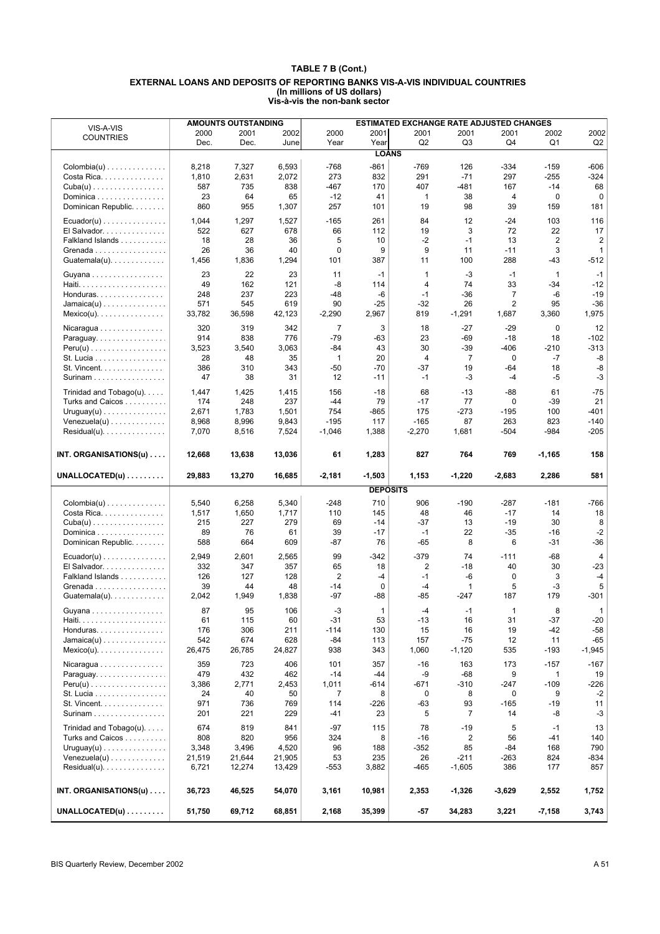|                                                         |             | <b>AMOUNTS OUTSTANDING</b> |             |                       |                 | <b>ESTIMATED EXCHANGE RATE ADJUSTED CHANGES</b> |                         |                |                |                |
|---------------------------------------------------------|-------------|----------------------------|-------------|-----------------------|-----------------|-------------------------------------------------|-------------------------|----------------|----------------|----------------|
| VIS-A-VIS                                               | 2000        | 2001                       | 2002        | 2000                  | 2001            | 2001                                            | 2001                    | 2001           | 2002           | 2002           |
| <b>COUNTRIES</b>                                        | Dec.        | Dec.                       | June        | Year                  | Year            | Q2                                              | Q3                      | Q4             | Q1             | Q2             |
|                                                         |             |                            |             |                       | <b>LOANS</b>    |                                                 |                         |                |                |                |
| $Colombia(u) \ldots \ldots \ldots \ldots$               | 8,218       | 7,327                      | 6,593       | $-768$                | $-861$          | -769                                            | 126                     | $-334$         | $-159$         | -606           |
| Costa Rica.                                             | 1,810       | 2,631                      | 2,072       | 273                   | 832             | 291                                             | $-71$                   | 297            | -255           | -324           |
| $Cuba(u)$                                               | 587         | 735                        | 838         | $-467$                | 170             | 407                                             | -481                    | 167            | $-14$          | 68             |
| Dominica                                                | 23          | 64                         | 65          | $-12$                 | 41              | 1                                               | 38                      | $\overline{4}$ | $\mathbf 0$    | $\mathbf 0$    |
| Dominican Republic.                                     | 860         | 955                        | 1,307       | 257                   | 101             | 19                                              | 98                      | 39             | 159            | 181            |
|                                                         |             |                            |             |                       |                 |                                                 |                         |                |                |                |
| $Ecuador(u) \ldots \ldots \ldots \ldots \ldots$         | 1,044       | 1,297                      | 1,527       | $-165$                | 261             | 84                                              | 12                      | -24            | 103            | 116            |
| El Salvador.                                            | 522         | 627                        | 678         | 66                    | 112             | 19                                              | 3                       | 72             | 22             | 17             |
| Falkland Islands                                        | 18          | 28                         | 36          | 5                     | 10              | $-2$                                            | $-1$                    | 13             | $\overline{2}$ | 2              |
| Grenada                                                 | 26          | 36                         | 40          | 0                     | 9               | 9                                               | 11                      | $-11$          | 3              | $\mathbf{1}$   |
| Guatemala( $u$ ). $\ldots$ .                            | 1,456       | 1,836                      | 1,294       | 101                   | 387             | 11                                              | 100                     | 288            | -43            | -512           |
| Guyana                                                  | 23          | 22                         | 23          | 11                    | $-1$            | $\mathbf{1}$                                    | $-3$                    | $-1$           | $\mathbf{1}$   | $-1$           |
| Haiti                                                   | 49          | 162                        | 121         | $-8$                  | 114             | $\overline{4}$                                  | 74                      | 33             | $-34$          | $-12$          |
| Honduras                                                | 248         | 237                        | 223         | -48                   | -6              | $-1$                                            | $-36$                   | 7              | -6             | $-19$          |
| $Jamaica(u) \ldots \ldots \ldots \ldots$                | 571         | 545                        | 619         | 90                    | $-25$           | $-32$                                           | 26                      | $\overline{2}$ | 95             | $-36$          |
| $Mexico(u)$                                             | 33,782      | 36,598                     | 42,123      | $-2,290$              | 2,967           | 819                                             | $-1,291$                | 1,687          | 3,360          | 1,975          |
|                                                         |             |                            |             |                       |                 |                                                 |                         |                |                |                |
| Nicaragua                                               | 320         | 319                        | 342         | 7                     | 3               | 18                                              | -27                     | $-29$          | 0              | 12             |
| Paraguay.                                               | 914         | 838                        | 776         | $-79$                 | $-63$           | 23                                              | $-69$                   | $-18$          | 18             | $-102$         |
|                                                         | 3,523<br>28 | 3,540<br>48                | 3,063<br>35 | $-84$<br>$\mathbf{1}$ | 43<br>20        | 30<br>$\overline{4}$                            | $-39$<br>$\overline{7}$ | -406<br>0      | -210<br>$-7$   | -313<br>-8     |
| St. Lucia                                               |             |                            |             |                       |                 |                                                 |                         |                |                |                |
| St. Vincent.                                            | 386<br>47   | 310                        | 343         | -50                   | $-70$           | $-37$<br>$-1$                                   | 19                      | $-64$          | 18             | -8             |
| Surinam                                                 |             | 38                         | 31          | 12                    | $-11$           |                                                 | -3                      | $-4$           | -5             | $-3$           |
| Trinidad and Tobago(u).                                 | 1,447       | 1,425                      | 1,415       | 156                   | $-18$           | 68                                              | $-13$                   | -88            | 61             | $-75$          |
| Turks and Caicos                                        | 174         | 248                        | 237         | -44                   | 79              | $-17$                                           | 77                      | 0              | $-39$          | 21             |
| $Uruguay(u) \ldots \ldots \ldots \ldots$                | 2,671       | 1,783                      | 1,501       | 754                   | -865            | 175                                             | $-273$                  | -195           | 100            | -401           |
| $Venezuela(u) \ldots \ldots \ldots \ldots$              | 8,968       | 8,996                      | 9,843       | $-195$                | 117             | $-165$                                          | 87                      | 263            | 823            | $-140$         |
| Residual(u).                                            | 7,070       | 8,516                      | 7,524       | $-1,046$              | 1,388           | $-2,270$                                        | 1,681                   | $-504$         | -984           | $-205$         |
|                                                         |             |                            |             |                       |                 |                                                 |                         |                |                |                |
| INT. ORGANISATIONS(u)                                   | 12,668      | 13,638                     | 13,036      | 61                    | 1,283           | 827                                             | 764                     | 769            | $-1,165$       | 158            |
|                                                         |             |                            |             |                       |                 |                                                 |                         |                |                |                |
|                                                         |             |                            |             |                       |                 |                                                 |                         |                |                |                |
| UNALLOCATED(u)                                          | 29,883      | 13,270                     | 16,685      | $-2,181$              | $-1,503$        | 1,153                                           | $-1,220$                | $-2,683$       | 2,286          | 581            |
|                                                         |             |                            |             |                       |                 |                                                 |                         |                |                |                |
|                                                         |             |                            |             |                       | <b>DEPOSITS</b> |                                                 |                         |                |                |                |
| $Colombia(u)$                                           | 5,540       | 6,258                      | 5,340       | -248                  | 710             | 906                                             | $-190$                  | $-287$         | $-181$         | -766           |
| Costa Rica.                                             | 1,517       | 1,650                      | 1,717       | 110                   | 145             | 48                                              | 46                      | $-17$          | 14             | 18             |
| $Cuba(u) \ldots \ldots \ldots \ldots \ldots$            | 215         | 227                        | 279         | 69                    | $-14$           | $-37$                                           | 13                      | $-19$          | 30             | 8              |
| Dominica                                                | 89          | 76                         | 61          | 39                    | $-17$           | $-1$                                            | 22                      | $-35$          | $-16$          | $-2$           |
| Dominican Republic.                                     | 588         | 664                        | 609         | -87                   | 76              | $-65$                                           | 8                       | 6              | -31            | $-36$          |
| $Ecuador(u) \ldots \ldots \ldots \ldots$                | 2,949       | 2,601                      | 2,565       | 99                    | $-342$          | $-379$                                          | 74                      | -111           | $-68$          | $\overline{4}$ |
| El Salvador.                                            | 332         | 347                        | 357         | 65                    | 18              | 2                                               | $-18$                   | 40             | 30             | $-23$          |
| Falkland Islands                                        | 126         | 127                        | 128         | $\overline{2}$        | -4              | $-1$                                            | -6                      | 0              | 3              | $-4$           |
| Grenada                                                 | 39          | 44                         | 48          | -14                   | $\mathbf 0$     | $-4$                                            | $\mathbf{1}$            | 5              | -3             | 5              |
| $Guatemala(u)$ .                                        | 2,042       | 1,949                      | 1,838       | -97                   | -88             | -85                                             | $-247$                  | 187            | 179            | -301           |
|                                                         | 87          | 95                         |             | $-3$                  | $\mathbf{1}$    | $-4$                                            | $-1$                    | 1              | 8              | $\mathbf{1}$   |
| Guyana                                                  | 61          |                            | 106<br>60   | $-31$                 |                 | $-13$                                           |                         | 31             |                |                |
| Honduras                                                | 176         | 115<br>306                 | 211         | $-114$                | 53<br>130       | 15                                              | 16<br>16                | 19             | -37<br>$-42$   | $-20$<br>-58   |
|                                                         | 542         | 674                        | 628         | -84                   | 113             | 157                                             | $-75$                   | 12             | 11             | -65            |
| $Jamaica(u) \ldots \ldots \ldots \ldots$<br>$Mexico(u)$ | 26,475      | 26,785                     | 24,827      | 938                   | 343             | 1,060                                           | $-1,120$                | 535            | $-193$         | $-1,945$       |
|                                                         |             |                            |             |                       |                 |                                                 |                         |                |                |                |
| Nicaragua                                               | 359         | 723                        | 406         | 101                   | 357             | $-16$                                           | 163                     | 173            | $-157$         | $-167$         |
| Paraguay.                                               | 479         | 432                        | 462         | $-14$                 | $-44$           | -9                                              | -68                     | 9              | 1              | 19             |
| $Peru(u)$                                               | 3,386       | 2,771                      | 2,453       | 1,011                 | -614            | $-671$                                          | $-310$                  | -247           | $-109$         | $-226$         |
| St. Lucia                                               | 24          | 40                         | 50          | 7                     | 8               | 0                                               | 8                       | 0              | 9              | $-2$           |
| St. Vincent.                                            | 971         | 736                        | 769         | 114                   | -226            | $-63$                                           | 93                      | -165           | $-19$          | 11             |
| Surinam                                                 | 201         | 221                        | 229         | $-41$                 | 23              | 5                                               | 7                       | 14             | -8             | -3             |
| Trinidad and $Tobago(u)$                                | 674         | 819                        | 841         | $-97$                 | 115             | 78                                              | $-19$                   | 5              | $-1$           | 13             |
| Turks and Caicos                                        | 808         | 820                        | 956         | 324                   | 8               | $-16$                                           | $\overline{2}$          | 56             | -41            | 140            |
| $Uruguay(u) \ldots \ldots \ldots \ldots$                | 3,348       | 3,496                      | 4,520       | 96                    | 188             | -352                                            | 85                      | -84            | 168            | 790            |
| $Venezuela(u) \ldots \ldots \ldots \ldots$              | 21,519      | 21,644                     | 21,905      | 53                    | 235             | 26                                              | $-211$                  | $-263$         | 824            | -834           |
| $Residual(u)$ .                                         | 6,721       | 12,274                     | 13,429      | $-553$                | 3,882           | $-465$                                          | $-1,605$                | 386            | 177            | 857            |
|                                                         |             |                            |             |                       |                 |                                                 |                         |                |                |                |
| INT. ORGANISATIONS(u)                                   | 36,723      | 46,525                     | 54,070      | 3,161                 | 10,981          | 2,353                                           | $-1,326$                | $-3,629$       | 2,552          | 1,752          |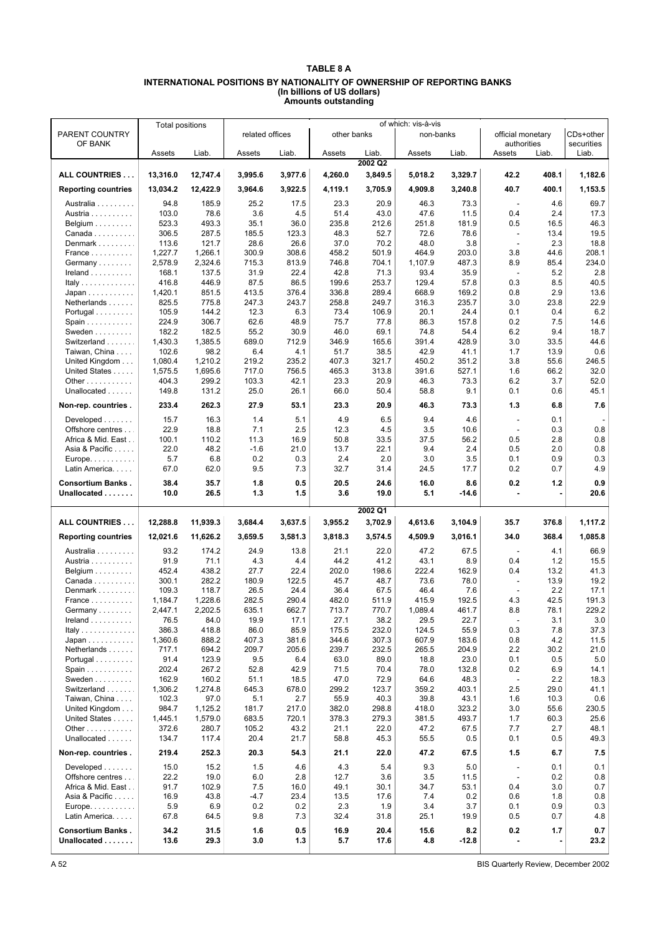# **TABLE 8 A INTERNATIONAL POSITIONS BY NATIONALITY OF OWNERSHIP OF REPORTING BANKS (In billions of US dollars) Amounts outstanding**

|                                         | <b>Total positions</b> |              | of which: vis-à-vis |            |             |              |             |                |                          |       |             |
|-----------------------------------------|------------------------|--------------|---------------------|------------|-------------|--------------|-------------|----------------|--------------------------|-------|-------------|
| PARENT COUNTRY                          |                        |              | related offices     |            | other banks |              | non-banks   |                | official monetary        |       | CDs+other   |
| OF BANK                                 |                        |              |                     |            |             |              |             |                | authorities              |       | securities  |
|                                         | Assets                 | Liab.        | Assets              | Liab.      | Assets      | Liab.        | Assets      | Liab.          | Assets                   | Liab. | Liab.       |
|                                         |                        |              |                     |            |             | 2002 Q2      |             |                |                          |       |             |
| ALL COUNTRIES                           | 13,316.0               | 12,747.4     | 3,995.6             | 3,977.6    | 4,260.0     | 3,849.5      | 5,018.2     | 3,329.7        | 42.2                     | 408.1 | 1,182.6     |
| <b>Reporting countries</b>              | 13,034.2               | 12,422.9     | 3,964.6             | 3,922.5    | 4,119.1     | 3,705.9      | 4,909.8     | 3,240.8        | 40.7                     | 400.1 | 1,153.5     |
| Australia                               | 94.8                   | 185.9        | 25.2                | 17.5       | 23.3        | 20.9         | 46.3        | 73.3           | $\overline{\phantom{a}}$ | 4.6   | 69.7        |
| Austria                                 | 103.0                  | 78.6         | 3.6                 | 4.5        | 51.4        | 43.0         | 47.6        | 11.5           | 0.4                      | 2.4   | 17.3        |
| Belgium $\ldots \ldots \ldots$          | 523.3                  | 493.3        | 35.1                | 36.0       | 235.8       | 212.6        | 251.8       | 181.9          | 0.5                      | 16.5  | 46.3        |
| Canada                                  | 306.5                  | 287.5        | 185.5               | 123.3      | 48.3        | 52.7         | 72.6        | 78.6           | $\blacksquare$           | 13.4  | 19.5        |
| Denmark                                 | 113.6                  | 121.7        | 28.6                | 26.6       | 37.0        | 70.2         | 48.0        | 3.8            | $\overline{\phantom{a}}$ | 2.3   | 18.8        |
| France                                  | 1,227.7                | 1,266.1      | 300.9               | 308.6      | 458.2       | 501.9        | 464.9       | 203.0          | 3.8                      | 44.6  | 208.1       |
| Germany                                 | 2,578.9                | 2,324.6      | 715.3               | 813.9      | 746.8       | 704.1        | 1,107.9     | 487.3          | 8.9                      | 85.4  | 234.0       |
| $I$ reland $\ldots \ldots \ldots$       | 168.1                  | 137.5        | 31.9                | 22.4       | 42.8        | 71.3         | 93.4        | 35.9           | $\overline{a}$           | 5.2   | 2.8         |
| Italy                                   | 416.8                  | 446.9        | 87.5                | 86.5       | 199.6       | 253.7        | 129.4       | 57.8           | 0.3                      | 8.5   | 40.5        |
| Japan                                   | 1,420.1                | 851.5        | 413.5               | 376.4      | 336.8       | 289.4        | 668.9       | 169.2          | 0.8                      | 2.9   | 13.6        |
| Netherlands                             | 825.5                  | 775.8        | 247.3               | 243.7      | 258.8       | 249.7        | 316.3       | 235.7          | 3.0                      | 23.8  | 22.9        |
| Portugal                                | 105.9                  | 144.2        | 12.3                | 6.3        | 73.4        | 106.9        | 20.1        | 24.4           | 0.1                      | 0.4   | 6.2         |
| Spain                                   | 224.9                  | 306.7        | 62.6                | 48.9       | 75.7        | 77.8         | 86.3        | 157.8          | 0.2                      | 7.5   | 14.6        |
| Sweden $\dots\dots\dots$                | 182.2                  | 182.5        | 55.2                | 30.9       | 46.0        | 69.1         | 74.8        | 54.4           | 6.2                      | 9.4   | 18.7        |
| Switzerland                             | 1,430.3                | 1,385.5      | 689.0               | 712.9      | 346.9       | 165.6        | 391.4       | 428.9          | 3.0                      | 33.5  | 44.6        |
| Taiwan, China                           | 102.6                  | 98.2         | 6.4                 | 4.1        | 51.7        | 38.5         | 42.9        | 41.1           | 1.7                      | 13.9  | 0.6         |
| United Kingdom                          | 1,080.4                | 1.210.2      | 219.2               | 235.2      | 407.3       | 321.7        | 450.2       | 351.2          | 3.8                      | 55.6  | 246.5       |
| United States                           | 1,575.5                | 1,695.6      | 717.0               | 756.5      | 465.3       | 313.8        | 391.6       | 527.1          | 1.6                      | 66.2  | 32.0        |
| Other                                   | 404.3                  | 299.2        | 103.3               | 42.1       | 23.3        | 20.9         | 46.3        | 73.3           | 6.2                      | 3.7   | 52.0        |
| Unallocated                             | 149.8                  | 131.2        | 25.0                | 26.1       | 66.0        | 50.4         | 58.8        | 9.1            | 0.1                      | 0.6   | 45.1        |
|                                         |                        |              |                     |            |             |              |             |                |                          |       |             |
| Non-rep. countries.                     | 233.4                  | 262.3        | 27.9                | 53.1       | 23.3        | 20.9         | 46.3        | 73.3           | 1.3                      | 6.8   | 7.6         |
| Developed $\ldots \ldots$               | 15.7                   | 16.3         | 1.4                 | 5.1        | 4.9         | 6.5          | 9.4         | 4.6            | $\overline{\phantom{a}}$ | 0.1   |             |
| Offshore centres                        | 22.9                   | 18.8         | 7.1                 | 2.5        | 12.3        | 4.5          | 3.5         | 10.6           | $\overline{\phantom{a}}$ | 0.3   | 0.8         |
| Africa & Mid. East                      | 100.1                  | 110.2        | 11.3                | 16.9       | 50.8        | 33.5         | 37.5        | 56.2           | 0.5                      | 2.8   | 0.8         |
| Asia & Pacific                          | 22.0                   | 48.2         | $-1.6$              | 21.0       | 13.7        | 22.1         | 9.4         | 2.4            | 0.5                      | 2.0   | 0.8         |
| $Europe. \ldots. \ldots.$               | 5.7                    | 6.8          | 0.2                 | 0.3        | 2.4         | 2.0          | 3.0         | 3.5            | 0.1                      | 0.9   | 0.3         |
| Latin America.                          | 67.0                   | 62.0         | 9.5                 | 7.3        | 32.7        | 31.4         | 24.5        | 17.7           | 0.2                      | 0.7   | 4.9         |
| <b>Consortium Banks.</b>                | 38.4                   | 35.7         | 1.8                 | 0.5        | 20.5        | 24.6         | 16.0        | 8.6            | 0.2                      | 1.2   | 0.9         |
| Unallocated                             | 10.0                   | 26.5         | 1.3                 | 1.5        | 3.6         | 19.0         | 5.1         | $-14.6$        | ÷,                       |       | 20.6        |
|                                         |                        |              |                     |            |             |              |             |                |                          |       |             |
|                                         |                        |              |                     |            |             | 2002 Q1      |             |                |                          |       |             |
| ALL COUNTRIES                           | 12,288.8               | 11,939.3     | 3,684.4             | 3,637.5    | 3,955.2     | 3,702.9      | 4,613.6     | 3,104.9        | 35.7                     | 376.8 | 1,117.2     |
| <b>Reporting countries</b>              | 12,021.6               | 11,626.2     | 3,659.5             | 3,581.3    | 3,818.3     | 3,574.5      | 4,509.9     | 3,016.1        | 34.0                     | 368.4 | 1,085.8     |
| Australia                               | 93.2                   | 174.2        | 24.9                | 13.8       | 21.1        | 22.0         | 47.2        | 67.5           | $\overline{\phantom{a}}$ | 4.1   | 66.9        |
| Austria                                 | 91.9                   | 71.1         | 4.3                 | 4.4        | 44.2        | 41.2         | 43.1        | 8.9            | 0.4                      | 1.2   | 15.5        |
| Belgium                                 | 452.4                  | 438.2        | 27.7                | 22.4       | 202.0       | 198.6        | 222.4       | 162.9          | 0.4                      | 13.2  | 41.3        |
| Canada                                  | 300.1                  | 282.2        | 180.9               | 122.5      | 45.7        | 48.7         | 73.6        | 78.0           | $\overline{\phantom{a}}$ | 13.9  | 19.2        |
| Denmark                                 | 109.3                  | 118.7        | 26.5                | 24.4       | 36.4        | 67.5         | 46.4        | 7.6            | $\overline{\phantom{a}}$ | 2.2   | 17.1        |
| France                                  | 1,184.7                | 1,228.6      | 282.5               | 290.4      | 482.0       | 511.9        | 415.9       | 192.5          | 4.3                      | 42.5  | 191.3       |
| Germany                                 | 2,447.1                | 2,202.5      | 635.1               | 662.7      | 713.7       | 770.7        | 1,089.4     | 461.7          | 8.8                      | 78.1  | 229.2       |
| $I$ reland $\ldots \ldots \ldots$       | 76.5                   | 84.0         | 19.9                | 17.1       | 27.1        | 38.2         | 29.5        | 22.7           | $\frac{1}{2}$            | 3.1   | 3.0         |
| Italy                                   | 386.3                  | 418.8        | 86.0                | 85.9       | 175.5       | 232.0        | 124.5       | 55.9           | 0.3                      | 7.8   | 37.3        |
| Japan                                   | 1,360.6                | 888.2        | 407.3               | 381.6      | 344.6       | 307.3        | 607.9       | 183.6          | 0.8                      | 4.2   | 11.5        |
| Netherlands                             | 717.1                  | 694.2        | 209.7               | 205.6      | 239.7       | 232.5        | 265.5       | 204.9          | 2.2                      | 30.2  | 21.0        |
| Portugal                                | 91.4                   | 123.9        | 9.5                 | 6.4        | 63.0        | 89.0         | 18.8        | 23.0           | 0.1                      | 0.5   | 5.0         |
| Spain                                   | 202.4                  | 267.2        | 52.8                | 42.9       | 71.5        | 70.4         | 78.0        | 132.8          | 0.2                      | 6.9   | 14.1        |
| Sweden                                  | 162.9                  | 160.2        | 51.1                | 18.5       | 47.0        | 72.9         | 64.6        | 48.3           | $\overline{\phantom{a}}$ | 2.2   | 18.3        |
| Switzerland                             | 1,306.2                | 1,274.8      | 645.3               | 678.0      | 299.2       | 123.7        | 359.2       | 403.1          | 2.5                      | 29.0  | 41.1        |
| Taiwan, China                           | 102.3                  | 97.0         | 5.1                 | 2.7        | 55.9        | 40.3         | 39.8        | 43.1           | 1.6                      | 10.3  | 0.6         |
| United Kingdom                          | 984.7                  | 1,125.2      | 181.7               | 217.0      | 382.0       | 298.8        | 418.0       | 323.2          | 3.0                      | 55.6  | 230.5       |
| United States                           | 1,445.1                | 1,579.0      | 683.5               | 720.1      | 378.3       | 279.3        | 381.5       | 493.7          | 1.7                      | 60.3  | 25.6        |
| Other                                   | 372.6                  | 280.7        | 105.2               | 43.2       | 21.1        | 22.0         | 47.2        | 67.5           | 7.7                      | 2.7   | 48.1        |
| Unallocated                             | 134.7                  | 117.4        | 20.4                | 21.7       | 58.8        | 45.3         | 55.5        | 0.5            | 0.1                      | 0.5   | 49.3        |
| Non-rep. countries.                     | 219.4                  | 252.3        | 20.3                | 54.3       | 21.1        | 22.0         | 47.2        | 67.5           | 1.5                      | 6.7   | 7.5         |
| Developed $\ldots \ldots$               | 15.0                   | 15.2         | 1.5                 | 4.6        | 4.3         | 5.4          | 9.3         | 5.0            | $\overline{\phantom{a}}$ | 0.1   | 0.1         |
| Offshore centres                        | 22.2                   | 19.0         | 6.0                 | 2.8        | 12.7        | 3.6          | 3.5         | 11.5           | $\overline{\phantom{a}}$ | 0.2   | 0.8         |
| Africa & Mid. East                      | 91.7                   | 102.9        | 7.5                 | 16.0       | 49.1        | 30.1         | 34.7        | 53.1           | 0.4                      | 3.0   | 0.7         |
| Asia & Pacific                          | 16.9                   | 43.8         | -4.7                | 23.4       | 13.5        | 17.6         | 7.4         | 0.2            | 0.6                      | 1.8   | 0.8         |
| $Europe. \ldots. \ldots.$               | 5.9                    | 6.9          | 0.2                 | 0.2        | 2.3         | 1.9          | 3.4         | 3.7            | 0.1                      | 0.9   | 0.3         |
| Latin America.                          | 67.8                   | 64.5         | 9.8                 | 7.3        | 32.4        | 31.8         | 25.1        | 19.9           | 0.5                      | 0.7   | 4.8         |
| <b>Consortium Banks.</b><br>Unallocated | 34.2<br>13.6           | 31.5<br>29.3 | 1.6<br>3.0          | 0.5<br>1.3 | 16.9<br>5.7 | 20.4<br>17.6 | 15.6<br>4.8 | 8.2<br>$-12.8$ | 0.2                      | 1.7   | 0.7<br>23.2 |

A 52 BIS Quarterly Review, December 2002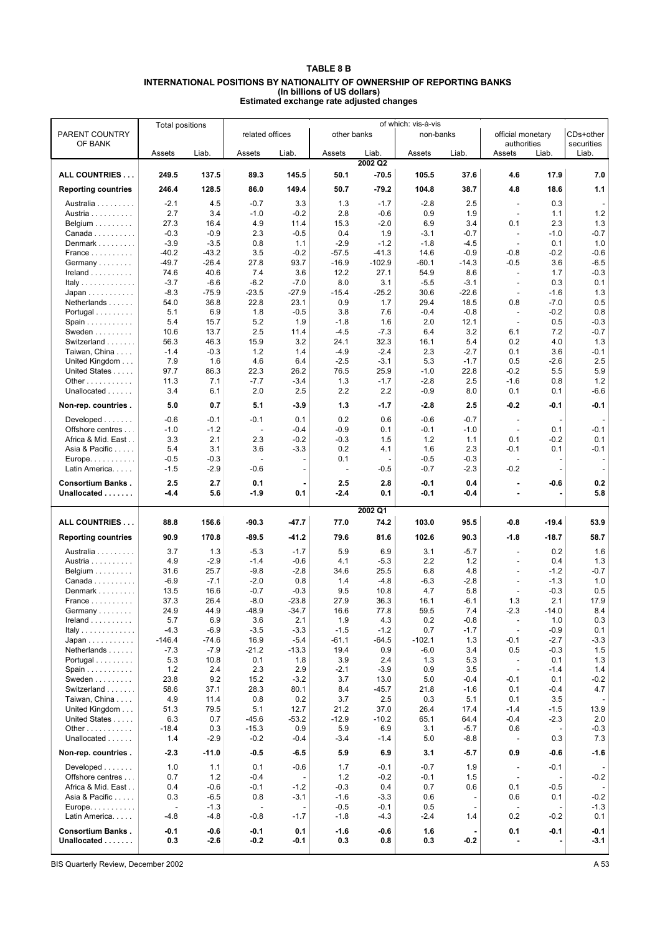# **TABLE 8 B**

#### **INTERNATIONAL POSITIONS BY NATIONALITY OF OWNERSHIP OF REPORTING BANKS (In billions of US dollars) Estimated exchange rate adjusted changes**

|                                            | <b>Total positions</b> |                  | of which: vis-à-vis |                |                          |                  |            |         |                              |         |                  |
|--------------------------------------------|------------------------|------------------|---------------------|----------------|--------------------------|------------------|------------|---------|------------------------------|---------|------------------|
| PARENT COUNTRY                             |                        |                  | related offices     |                |                          | other banks      | non-banks  |         | official monetary            |         | CDs+other        |
| OF BANK                                    |                        |                  |                     |                |                          |                  |            |         | authorities                  |         | securities       |
|                                            | Assets                 | Liab.            | Assets              | Liab.          | Assets                   | Liab.<br>2002 Q2 | Assets     | Liab.   | Assets                       | Liab.   | Liab.            |
| ALL COUNTRIES                              | 249.5                  | 137.5            | 89.3                | 145.5          | 50.1                     | $-70.5$          | 105.5      | 37.6    | 4.6                          | 17.9    | 7.0              |
| <b>Reporting countries</b>                 | 246.4                  | 128.5            | 86.0                | 149.4          | 50.7                     | $-79.2$          | 104.8      | 38.7    | 4.8                          | 18.6    | 1.1              |
|                                            |                        |                  |                     |                |                          |                  |            |         |                              |         |                  |
| Australia                                  | $-2.1$                 | 4.5              | $-0.7$              | 3.3            | 1.3                      | $-1.7$           | $-2.8$     | 2.5     | $\blacksquare$               | 0.3     |                  |
| Austria                                    | 2.7                    | 3.4              | $-1.0$              | $-0.2$         | 2.8                      | $-0.6$           | 0.9        | 1.9     | $\blacksquare$               | 1.1     | 1.2              |
| Belgium $\ldots \ldots \ldots$             | 27.3                   | 16.4             | 4.9                 | 11.4           | 15.3                     | $-2.0$           | 6.9        | 3.4     | 0.1                          | 2.3     | 1.3              |
| Canada                                     | $-0.3$                 | $-0.9$           | 2.3                 | $-0.5$         | 0.4                      | 1.9              | $-3.1$     | -0.7    | $\overline{\phantom{a}}$     | $-1.0$  | $-0.7$           |
| Denmark                                    | $-3.9$                 | $-3.5$           | 0.8                 | 1.1            | $-2.9$                   | $-1.2$           | $-1.8$     | $-4.5$  | $\overline{\phantom{a}}$     | 0.1     | 1.0              |
| France                                     | $-40.2$                | $-43.2$          | 3.5                 | $-0.2$         | $-57.5$                  | $-41.3$          | 14.6       | $-0.9$  | $-0.8$                       | $-0.2$  | $-0.6$           |
| Germany                                    | $-49.7$                | $-26.4$          | 27.8                | 93.7           | $-16.9$                  | $-102.9$         | $-60.1$    | $-14.3$ | $-0.5$                       | 3.6     | $-6.5$           |
| $I$ reland $\ldots \ldots \ldots$          | 74.6                   | 40.6             | 7.4                 | 3.6            | 12.2                     | 27.1             | 54.9       | 8.6     |                              | 1.7     | $-0.3$           |
| Italy                                      | $-3.7$                 | $-6.6$           | $-6.2$              | $-7.0$         | 8.0                      | 3.1              | $-5.5$     | $-3.1$  | $\qquad \qquad \blacksquare$ | 0.3     | 0.1              |
| $Japan \ldots \ldots \ldots$               | $-8.3$                 | -75.9            | $-23.5$             | $-27.9$        | $-15.4$                  | $-25.2$          | 30.6       | $-22.6$ | $\overline{\phantom{a}}$     | $-1.6$  | 1.3              |
| Netherlands                                | 54.0                   | 36.8             | 22.8                | 23.1           | 0.9                      | 1.7              | 29.4       | 18.5    | 0.8                          | $-7.0$  | 0.5              |
| Portugal                                   | 5.1                    | 6.9              | 1.8                 | $-0.5$         | 3.8                      | 7.6              | $-0.4$     | $-0.8$  | ÷,                           | $-0.2$  | 0.8              |
| Spain                                      | 5.4                    | 15.7             | 5.2                 | 1.9            | $-1.8$                   | 1.6              | 2.0        | 12.1    | $\overline{\phantom{a}}$     | 0.5     | $-0.3$           |
| Sweden                                     | 10.6                   | 13.7             | 2.5                 | 11.4           | $-4.5$                   | $-7.3$           | 6.4        | 3.2     | 6.1                          | 7.2     | $-0.7$           |
| Switzerland                                | 56.3                   | 46.3             | 15.9                | 3.2            | 24.1                     | 32.3             | 16.1       | 5.4     | 0.2                          | 4.0     | 1.3              |
| Taiwan, China                              | $-1.4$                 | $-0.3$           | 1.2                 | 1.4            | $-4.9$                   | $-2.4$           | 2.3        | $-2.7$  | 0.1                          | 3.6     | $-0.1$           |
| United Kingdom                             | 7.9                    | 1.6              | 4.6                 | 6.4            | $-2.5$                   | $-3.1$           | 5.3        | $-1.7$  | 0.5                          | -2.6    | 2.5              |
| United States                              | 97.7                   | 86.3             | 22.3                | 26.2           | 76.5                     | 25.9             | $-1.0$     | 22.8    | $-0.2$                       | 5.5     | 5.9              |
| Other                                      | 11.3                   | 7.1              | $-7.7$              | $-3.4$         | 1.3                      | $-1.7$           | $-2.8$     | 2.5     | $-1.6$                       | 0.8     | $1.2$            |
| Unallocated                                | 3.4                    | 6.1              | 2.0                 | 2.5            | 2.2                      | 2.2              | $-0.9$     | 8.0     | 0.1                          | 0.1     | $-6.6$           |
| Non-rep. countries.                        | 5.0                    | 0.7              | 5.1                 | $-3.9$         | 1.3                      | $-1.7$           | $-2.8$     | 2.5     | -0.2                         | -0.1    | $-0.1$           |
| Developed $\ldots$                         | $-0.6$                 | $-0.1$           | $-0.1$              | 0.1            | 0.2                      | 0.6              | $-0.6$     | -0.7    | $\overline{\phantom{a}}$     |         |                  |
| Offshore centres                           | $-1.0$                 | $-1.2$           |                     | $-0.4$         | $-0.9$                   | 0.1              | $-0.1$     | $-1.0$  | $\overline{\phantom{a}}$     | 0.1     | $-0.1$           |
| Africa & Mid. East                         | 3.3                    | 2.1              | 2.3                 | $-0.2$         | $-0.3$                   | 1.5              | 1.2        | 1.1     | 0.1                          | $-0.2$  | 0.1              |
| Asia & Pacific                             | 5.4                    | 3.1              | 3.6                 | $-3.3$         | 0.2                      | 4.1              | 1.6        | 2.3     | $-0.1$                       | 0.1     | $-0.1$           |
| Europe.                                    | $-0.5$                 | $-0.3$           |                     |                | 0.1                      |                  | $-0.5$     | $-0.3$  |                              |         |                  |
| Latin America.                             | $-1.5$                 | $-2.9$           | $-0.6$              | $\overline{a}$ | $\overline{\phantom{a}}$ | $-0.5$           | $-0.7$     | $-2.3$  | $-0.2$                       |         |                  |
|                                            |                        |                  |                     |                |                          |                  |            |         |                              |         |                  |
| <b>Consortium Banks.</b>                   | 2.5                    | 2.7              | 0.1                 |                | 2.5                      | 2.8              | -0.1       | 0.4     | $\overline{a}$               | -0.6    | 0.2              |
| Unallocated                                | $-4.4$                 | 5.6              | $-1.9$              | 0.1            | $-2.4$                   | 0.1              | -0.1       | -0.4    |                              |         | 5.8              |
|                                            |                        |                  |                     |                |                          | 2002 Q1          |            |         |                              |         |                  |
| ALL COUNTRIES                              | 88.8                   | 156.6            | -90.3               | $-47.7$        | 77.0                     | 74.2             | 103.0      | 95.5    | -0.8                         | $-19.4$ | 53.9             |
| <b>Reporting countries</b>                 | 90.9                   | 170.8            | $-89.5$             | $-41.2$        | 79.6                     | 81.6             | 102.6      | 90.3    | $-1.8$                       | $-18.7$ | 58.7             |
| Australia                                  | 3.7                    | 1.3              | $-5.3$              | $-1.7$         | 5.9                      | 6.9              | 3.1        | $-5.7$  | $\overline{a}$               | 0.2     | 1.6              |
| Austria                                    | 4.9                    | $-2.9$           | $-1.4$              | $-0.6$         | 4.1                      | $-5.3$           | 2.2        | 1.2     | $\overline{\phantom{a}}$     | 0.4     | 1.3              |
| Belgium $\ldots \ldots \ldots$             | 31.6                   | 25.7             | $-9.8$              | $-2.8$         | 34.6                     | 25.5             | 6.8        | 4.8     |                              | $-1.2$  | $-0.7$           |
| Canada                                     | $-6.9$                 | $-7.1$           | $-2.0$              | 0.8            | 1.4                      | $-4.8$           | $-6.3$     | -2.8    |                              | $-1.3$  | 1.0              |
| Denmark                                    | 13.5                   | 16.6             | $-0.7$              | $-0.3$         | 9.5                      | 10.8             | 4.7        | 5.8     | $\overline{a}$               | $-0.3$  | 0.5              |
| France                                     | 37.3                   | 26.4             | $-8.0$              | $-23.8$        | 27.9                     | 36.3             | 16.1       | $-6.1$  | 1.3                          | 2.1     | 17.9             |
| Germany                                    | 24.9                   | 44.9             | -48.9               | $-34.7$        | 16.6                     | 77.8             | 59.5       | $7.4$   | $-2.3$                       | $-14.0$ | 8.4              |
| $\mathsf{I}$ reland $\ldots \ldots \ldots$ | 5.7                    | 6.9              | 3.6                 | 2.1            | 1.9                      | 4.3              | 0.2        | $-0.8$  | $\qquad \qquad \blacksquare$ | 1.0     | 0.3              |
| Italy                                      | $-4.3$                 | $-6.9$           | $-3.5$              | $-3.3$         | $-1.5$                   | $-1.2$           | 0.7        | $-1.7$  | $\overline{\phantom{a}}$     | -0.9    | 0.1              |
| Japan                                      | $-146.4$               | -74.6            | 16.9                | $-5.4$         | $-61.1$                  | -64.5            | $-102.1$   | 1.3     | $-0.1$                       | $-2.7$  | $-3.3$           |
| Netherlands                                | $-7.3$                 | $-7.9$           | -21.2               | $-13.3$        | 19.4                     | 0.9              | -6.0       | 3.4     | 0.5                          | $-0.3$  | 1.5              |
| Portugal                                   | 5.3                    | 10.8             | 0.1                 | 1.8            | 3.9                      | 2.4              | 1.3        | 5.3     | $\overline{\phantom{a}}$     | 0.1     | 1.3              |
| Spain                                      | 1.2                    | 2.4              | 2.3                 | 2.9            | $-2.1$                   | $-3.9$           | 0.9        | 3.5     | $\overline{\phantom{a}}$     | $-1.4$  | 1.4              |
| Sweden                                     | 23.8                   | 9.2              | 15.2                | $-3.2$         | 3.7                      | 13.0             | 5.0        | -0.4    | $-0.1$                       | 0.1     | $-0.2$           |
| Switzerland                                | 58.6                   | 37.1             | 28.3                | 80.1           | 8.4                      | -45.7            | 21.8       | $-1.6$  | 0.1                          | $-0.4$  | 4.7              |
| Taiwan, China                              | 4.9                    | 11.4             | 0.8                 | 0.2            | 3.7                      | 2.5              | 0.3        | 5.1     | 0.1                          | 3.5     |                  |
| United Kingdom                             | 51.3                   | 79.5             | 5.1                 | 12.7           | 21.2                     | 37.0             | 26.4       | 17.4    | $-1.4$                       | $-1.5$  | 13.9             |
| United States                              | 6.3                    | 0.7              | $-45.6$             | $-53.2$        | $-12.9$                  | $-10.2$          | 65.1       | 64.4    | $-0.4$                       | $-2.3$  | 2.0              |
| Other $\ldots$                             | $-18.4$                | 0.3              | $-15.3$             | 0.9            | 5.9                      | 6.9              | 3.1        | $-5.7$  | 0.6                          |         | $-0.3$           |
| Unallocated                                | 1.4                    | $-2.9$           | $-0.2$              | $-0.4$         | $-3.4$                   | $-1.4$           | 5.0        | -8.8    | $\overline{\phantom{a}}$     | 0.3     | 7.3              |
| Non-rep. countries.                        | $-2.3$                 | -11.0            | $-0.5$              | -6.5           | 5.9                      | 6.9              | 3.1        | -5.7    | 0.9                          | -0.6    | $-1.6$           |
| Developed                                  | 1.0                    | 1.1              | 0.1                 | $-0.6$         | 1.7                      | $-0.1$           | $-0.7$     | 1.9     |                              | $-0.1$  |                  |
| Offshore centres                           | 0.7                    | 1.2              | $-0.4$              |                | 1.2                      | $-0.2$           | $-0.1$     | 1.5     | $\overline{\phantom{a}}$     |         | $-0.2$           |
| Africa & Mid. East                         | 0.4                    | -0.6             | $-0.1$              | $-1.2$         | $-0.3$                   | 0.4              | 0.7        | 0.6     | 0.1                          | -0.5    |                  |
| Asia & Pacific                             | 0.3                    | $-6.5$           | 0.8                 | $-3.1$         | $-1.6$                   | $-3.3$           | 0.6        |         | 0.6                          | 0.1     | $-0.2$           |
| $Europe. \ldots \ldots \ldots$             | $\overline{a}$         | $-1.3$           |                     |                | $-0.5$                   | $-0.1$           | 0.5        |         |                              |         | $-1.3$           |
| Latin America.                             | $-4.8$                 | $-4.8$           | $-0.8$              | $-1.7$         | $-1.8$                   | $-4.3$           | -2.4       | 1.4     | 0.2                          | -0.2    | 0.1              |
| <b>Consortium Banks.</b><br>Unallocated    | $-0.1$<br>0.3          | $-0.6$<br>$-2.6$ | $-0.1$<br>$-0.2$    | 0.1<br>-0.1    | $-1.6$<br>0.3            | $-0.6$<br>0.8    | 1.6<br>0.3 | -0.2    | 0.1                          | -0.1    | $-0.1$<br>$-3.1$ |
|                                            |                        |                  |                     |                |                          |                  |            |         |                              |         |                  |

BIS Quarterly Review, December 2002 A 53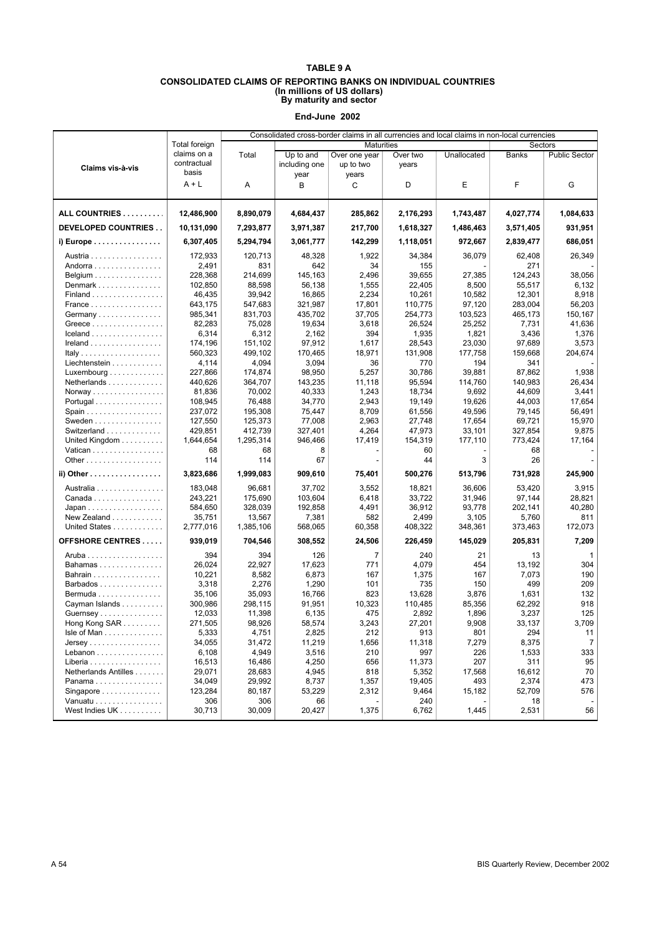|                                              | Consolidated cross-border claims in all currencies and local claims in non-local currencies |           |               |                   |           |             |              |                      |
|----------------------------------------------|---------------------------------------------------------------------------------------------|-----------|---------------|-------------------|-----------|-------------|--------------|----------------------|
|                                              | <b>Total foreign</b>                                                                        |           |               | <b>Maturities</b> |           |             | Sectors      |                      |
|                                              | claims on a                                                                                 | Total     | Up to and     | Over one year     | Over two  | Unallocated | <b>Banks</b> | <b>Public Sector</b> |
| Claims vis-à-vis                             | contractual                                                                                 |           | including one | up to two         | years     |             |              |                      |
|                                              | basis                                                                                       |           | year          | years             |           |             |              |                      |
|                                              | $A + L$                                                                                     | Α         | B             | C                 | D         | Е           | F            | G                    |
|                                              |                                                                                             |           |               |                   |           |             |              |                      |
|                                              |                                                                                             |           |               |                   |           |             |              |                      |
| ALL COUNTRIES                                | 12,486,900                                                                                  | 8,890,079 | 4,684,437     | 285,862           | 2,176,293 | 1,743,487   | 4,027,774    | 1,084,633            |
| <b>DEVELOPED COUNTRIES</b>                   | 10,131,090                                                                                  | 7,293,877 | 3,971,387     | 217,700           | 1,618,327 | 1,486,463   | 3,571,405    | 931,951              |
| i) Europe                                    | 6,307,405                                                                                   | 5,294,794 | 3,061,777     | 142,299           | 1,118,051 | 972,667     | 2,839,477    | 686,051              |
| Austria                                      | 172,933                                                                                     | 120,713   | 48,328        | 1,922             | 34,384    | 36,079      | 62,408       | 26,349               |
| Andorra                                      | 2,491                                                                                       | 831       | 642           | 34                | 155       |             | 271          |                      |
| Belgium                                      | 228,368                                                                                     | 214,699   | 145,163       | 2,496             | 39,655    | 27,385      | 124,243      | 38,056               |
| Denmark                                      | 102,850                                                                                     | 88,598    | 56,138        | 1,555             | 22.405    | 8,500       | 55,517       | 6,132                |
| $Finaland$                                   | 46,435                                                                                      | 39,942    | 16,865        | 2,234             | 10,261    | 10,582      | 12,301       | 8,918                |
| France                                       | 643,175                                                                                     | 547,683   | 321,987       | 17,801            | 110,775   | 97,120      | 283,004      | 56,203               |
| Germany                                      | 985,341                                                                                     | 831,703   | 435,702       | 37,705            | 254,773   | 103,523     | 465,173      | 150,167              |
| Greece                                       | 82,283                                                                                      | 75,028    | 19,634        | 3,618             | 26,524    | 25,252      | 7,731        | 41,636               |
| $lceland \ldots \ldots \ldots \ldots \ldots$ | 6,314                                                                                       | 6,312     | 2,162         | 394               | 1,935     | 1,821       | 3,436        | 1,376                |
| $I$ reland                                   | 174,196                                                                                     | 151,102   | 97,912        | 1,617             | 28,543    | 23,030      | 97,689       | 3,573                |
| Italy                                        | 560,323                                                                                     | 499,102   | 170,465       | 18,971            | 131,908   | 177,758     | 159,668      | 204,674              |
| Liechtenstein                                | 4,114                                                                                       | 4,094     | 3,094         | 36                | 770       | 194         | 341          |                      |
| Luxembourg                                   | 227,866                                                                                     | 174,874   | 98,950        | 5,257             | 30,786    | 39,881      | 87,862       | 1,938                |
| Netherlands                                  | 440,626                                                                                     | 364.707   | 143,235       | 11,118            | 95,594    | 114,760     | 140,983      | 26,434               |
| Norway                                       | 81,836                                                                                      | 70,002    | 40,333        | 1,243             | 18,734    | 9,692       | 44,609       | 3,441                |
| Portugal $\ldots \ldots \ldots \ldots$       | 108,945                                                                                     | 76,488    | 34,770        | 2,943             | 19.149    | 19,626      | 44,003       | 17,654               |
| Spain                                        | 237,072                                                                                     | 195,308   | 75,447        | 8,709             | 61,556    | 49,596      | 79,145       | 56,491               |
| Sweden $\dots\dots\dots\dots\dots\dots$      | 127,550                                                                                     | 125,373   | 77,008        | 2,963             | 27,748    | 17,654      | 69,721       | 15,970               |
| Switzerland                                  | 429,851                                                                                     | 412,739   | 327,401       | 4,264             | 47,973    | 33,101      | 327,854      | 9,875                |
| United Kingdom                               | 1,644,654                                                                                   | 1,295,314 | 946,466       | 17,419            | 154,319   | 177,110     | 773,424      | 17,164               |
| Vatican                                      | 68                                                                                          | 68        | 8             |                   | 60        |             | 68           |                      |
| Other                                        | 114                                                                                         | 114       | 67            |                   | 44        | 3           | 26           |                      |
| ii) Other                                    | 3,823,686                                                                                   | 1,999,083 | 909,610       | 75,401            | 500,276   | 513,796     | 731,928      | 245,900              |
| Australia                                    | 183,048                                                                                     | 96,681    | 37,702        | 3,552             | 18,821    | 36,606      | 53,420       | 3,915                |
| Canada                                       | 243,221                                                                                     | 175,690   | 103,604       | 6,418             | 33,722    | 31,946      | 97,144       | 28,821               |
| $Japan \dots \dots \dots \dots \dots \dots$  | 584,650                                                                                     | 328,039   | 192,858       | 4,491             | 36,912    | 93,778      | 202,141      | 40,280               |
| New Zealand                                  | 35,751                                                                                      | 13,567    | 7,381         | 582               | 2,499     | 3,105       | 5,760        | 811                  |
| United States                                | 2,777,016                                                                                   | 1,385,106 | 568,065       | 60,358            | 408,322   | 348,361     | 373,463      | 172,073              |
| <b>OFFSHORE CENTRES</b>                      | 939,019                                                                                     | 704,546   | 308,552       | 24,506            | 226,459   | 145,029     | 205,831      | 7,209                |
| Aruba                                        | 394                                                                                         | 394       | 126           | $\overline{7}$    | 240       | 21          | 13           | 1                    |
| Bahamas                                      | 26,024                                                                                      | 22,927    | 17,623        | 771               | 4,079     | 454         | 13,192       | 304                  |
| Bahrain                                      | 10,221                                                                                      | 8,582     | 6,873         | 167               | 1,375     | 167         | 7,073        | 190                  |
| Barbados                                     | 3,318                                                                                       | 2,276     | 1,290         | 101               | 735       | 150         | 499          | 209                  |
| Bermuda                                      | 35,106                                                                                      | 35,093    | 16,766        | 823               | 13,628    | 3,876       | 1,631        | 132                  |
| Cayman Islands                               | 300,986                                                                                     | 298,115   | 91,951        | 10,323            | 110,485   | 85,356      | 62,292       | 918                  |
| Guernsey                                     | 12,033                                                                                      | 11,398    | 6,135         | 475               | 2,892     | 1,896       | 3,237        | 125                  |
| Hong Kong SAR                                | 271,505                                                                                     | 98,926    | 58,574        | 3,243             | 27,201    | 9,908       | 33,137       | 3,709                |
| Isle of Man                                  | 5,333                                                                                       | 4,751     | 2,825         | 212               | 913       | 801         | 294          | 11                   |
| $Jersey \ldots \ldots$                       | 34,055                                                                                      | 31,472    | 11,219        | 1,656             | 11,318    | 7,279       | 8,375        | 7                    |
| Lebanon                                      | 6,108                                                                                       | 4,949     | 3,516         | 210               | 997       | 226         | 1,533        | 333                  |
| Liberia                                      | 16,513                                                                                      | 16,486    | 4,250         | 656               | 11,373    | 207         | 311          | 95                   |
| Netherlands Antilles                         | 29,071                                                                                      | 28,683    | 4,945         | 818               | 5,352     | 17,568      | 16,612       | 70                   |
| Panama                                       | 34,049                                                                                      | 29,992    | 8,737         | 1,357             | 19,405    | 493         | 2,374        | 473                  |
| Singapore $\ldots \ldots \ldots \ldots$      | 123,284                                                                                     | 80,187    | 53,229        | 2,312             | 9,464     | 15,182      | 52,709       | 576                  |
| Vanuatu                                      | 306                                                                                         | 306       | 66            |                   | 240       |             | 18           |                      |
| West Indies UK                               | 30,713                                                                                      | 30,009    | 20,427        | 1,375             | 6,762     | 1,445       | 2,531        | 56                   |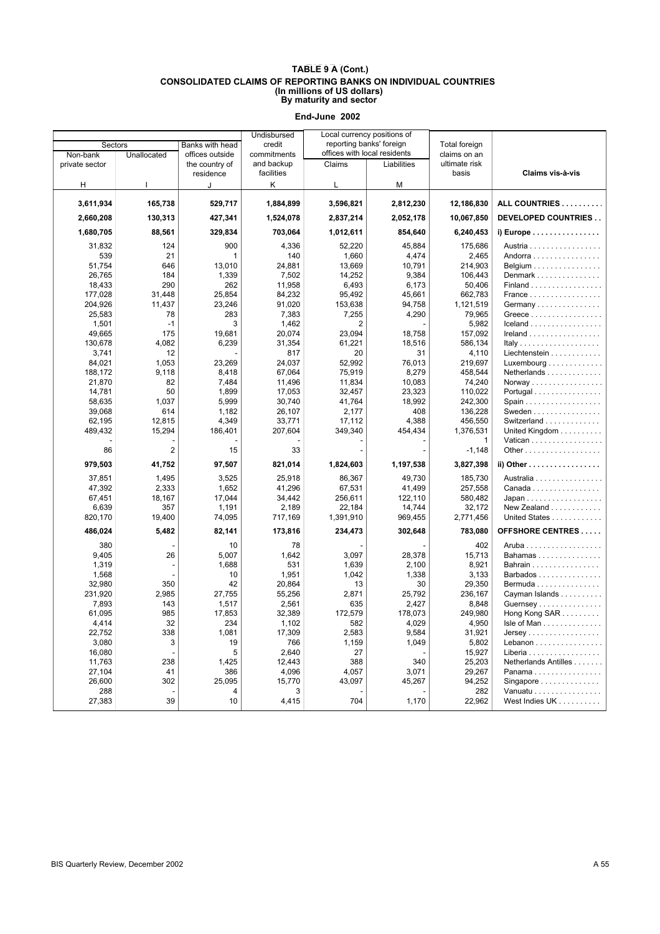|                |                |                 | Undisbursed |                | Local currency positions of  |               |                                                   |
|----------------|----------------|-----------------|-------------|----------------|------------------------------|---------------|---------------------------------------------------|
| Sectors        |                | Banks with head | credit      |                | reporting banks' foreign     | Total foreign |                                                   |
| Non-bank       | Unallocated    | offices outside | commitments |                | offices with local residents | claims on an  |                                                   |
| private sector |                | the country of  | and backup  | Claims         | Liabilities                  | ultimate risk |                                                   |
|                |                | residence       | facilities  |                |                              | basis         | Claims vis-à-vis                                  |
| н              |                | J               | Κ           | L              | M                            |               |                                                   |
| 3,611,934      | 165,738        | 529,717         | 1,884,899   | 3,596,821      | 2,812,230                    | 12,186,830    | ALL COUNTRIES                                     |
| 2,660,208      | 130,313        | 427,341         | 1,524,078   | 2,837,214      | 2,052,178                    | 10,067,850    | <b>DEVELOPED COUNTRIES</b>                        |
| 1,680,705      | 88,561         | 329,834         | 703,064     | 1,012,611      | 854,640                      | 6,240,453     | $i)$ Europe $\dots\dots\dots\dots\dots\dots\dots$ |
| 31,832         | 124            | 900             | 4,336       | 52,220         | 45.884                       | 175,686       | Austria                                           |
| 539            | 21             |                 | 140         | 1,660          | 4,474                        | 2,465         | Andorra                                           |
| 51,754         | 646            | 13.010          | 24,881      | 13,669         | 10,791                       | 214.903       | Belgium                                           |
| 26,765         | 184            | 1,339           | 7,502       | 14,252         | 9,384                        | 106,443       | Denmark                                           |
| 18,433         | 290            | 262             | 11,958      | 6,493          | 6,173                        | 50,406        | Finland                                           |
| 177,028        | 31,448         | 25,854          | 84,232      | 95,492         | 45,661                       | 662,783       | France                                            |
| 204,926        | 11,437         | 23,246          | 91,020      | 153,638        | 94,758                       | 1,121,519     | Germany                                           |
| 25,583         | 78             | 283             | 7,383       | 7,255          | 4,290                        | 79,965        | Greece                                            |
| 1,501          | $-1$           | 3               | 1,462       | $\overline{2}$ |                              | 5,982         | $l$ celand                                        |
| 49,665         | 175            | 19,681          | 20,074      | 23,094         | 18,758                       | 157,092       | $I$ reland                                        |
| 130,678        | 4,082          | 6,239           | 31,354      | 61,221         | 18,516                       | 586,134       | Italy                                             |
| 3,741          | 12             |                 | 817         | 20             | 31                           | 4,110         | Liechtenstein                                     |
|                | 1,053          |                 |             |                |                              | 219,697       |                                                   |
| 84,021         |                | 23,269          | 24,037      | 52,992         | 76,013                       |               | Luxembourg                                        |
| 188,172        | 9,118          | 8,418           | 67,064      | 75,919         | 8,279                        | 458,544       | Netherlands                                       |
| 21,870         | 82             | 7,484           | 11,496      | 11,834         | 10,083                       | 74,240        | Norway                                            |
| 14,781         | 50             | 1,899           | 17,053      | 32,457         | 23,323                       | 110,022       | Portugal                                          |
| 58,635         | 1,037          | 5,999           | 30,740      | 41,764         | 18,992                       | 242,300       | Spain                                             |
| 39,068         | 614            | 1.182           | 26,107      | 2,177          | 408                          | 136,228       | Sweden                                            |
| 62,195         | 12,815         | 4,349           | 33,771      | 17,112         | 4,388                        | 456,550       | Switzerland                                       |
| 489,432        | 15,294         | 186,401         | 207,604     | 349,340        | 454,434                      | 1,376,531     | United Kingdom                                    |
|                | $\overline{2}$ |                 | 33          |                |                              |               | Vatican                                           |
| 86             |                | 15              |             |                |                              | $-1,148$      |                                                   |
| 979,503        | 41,752         | 97,507          | 821,014     | 1,824,603      | 1,197,538                    | 3,827,398     | ii) Other                                         |
| 37,851         | 1,495          | 3,525           | 25,918      | 86,367         | 49.730                       | 185,730       | Australia                                         |
| 47,392         | 2,333          | 1,652           | 41,296      | 67,531         | 41,499                       | 257,558       | $Canada \ldots \ldots \ldots \ldots$              |
| 67,451         | 18,167         | 17,044          | 34,442      | 256,611        | 122,110                      | 580,482       |                                                   |
| 6,639          | 357            | 1,191           | 2,189       | 22,184         | 14,744                       | 32,172        | New Zealand                                       |
| 820,170        | 19,400         | 74,095          | 717,169     | 1,391,910      | 969,455                      | 2,771,456     | United States                                     |
| 486,024        | 5,482          | 82,141          | 173,816     | 234,473        | 302,648                      | 783,080       | <b>OFFSHORE CENTRES</b>                           |
| 380            |                | 10              | 78          |                |                              | 402           | Aruba                                             |
| 9,405          | 26             | 5,007           | 1,642       | 3,097          | 28,378                       | 15,713        | Bahamas                                           |
| 1,319          |                | 1,688           | 531         | 1,639          | 2,100                        | 8,921         | Bahrain                                           |
| 1,568          |                | 10              | 1,951       | 1,042          | 1,338                        | 3,133         | Barbados                                          |
| 32,980         | 350            | 42              | 20,864      | 13             | 30                           | 29,350        | Bermuda                                           |
| 231,920        | 2,985          | 27,755          | 55,256      | 2,871          | 25,792                       | 236,167       | Cayman Islands                                    |
| 7,893          | 143            | 1,517           | 2,561       | 635            | 2,427                        | 8,848         | Guernsey                                          |
| 61,095         | 985            | 17,853          | 32,389      | 172,579        | 178,073                      | 249,980       | Hong Kong SAR                                     |
| 4,414          | 32             | 234             | 1,102       | 582            | 4,029                        | 4,950         | Isle of Man                                       |
| 22,752         | 338            | 1,081           | 17,309      | 2,583          | 9,584                        | 31,921        | Jersey                                            |
| 3,080          | 3              | 19              | 766         | 1.159          | 1.049                        | 5,802         | Lebanon                                           |
| 16,080         |                | 5               | 2,640       | 27             |                              | 15,927        | Liberia                                           |
| 11,763         | 238            |                 | 12,443      | 388            | 340                          | 25,203        | Netherlands Antilles                              |
|                |                | 1,425           |             |                |                              |               |                                                   |
| 27,104         | 41             | 386             | 4,096       | 4,057          | 3,071                        | 29,267        | Panama                                            |
| 26,600         | 302            | 25.095          | 15.770      | 43.097         | 45,267                       | 94,252        | Singapore $\ldots \ldots \ldots \ldots$           |
| 288            |                | $\overline{4}$  | 3           |                |                              | 282           | Vanuatu                                           |
| 27,383         | 39             | 10              | 4,415       | 704            | 1,170                        | 22,962        | West Indies UK                                    |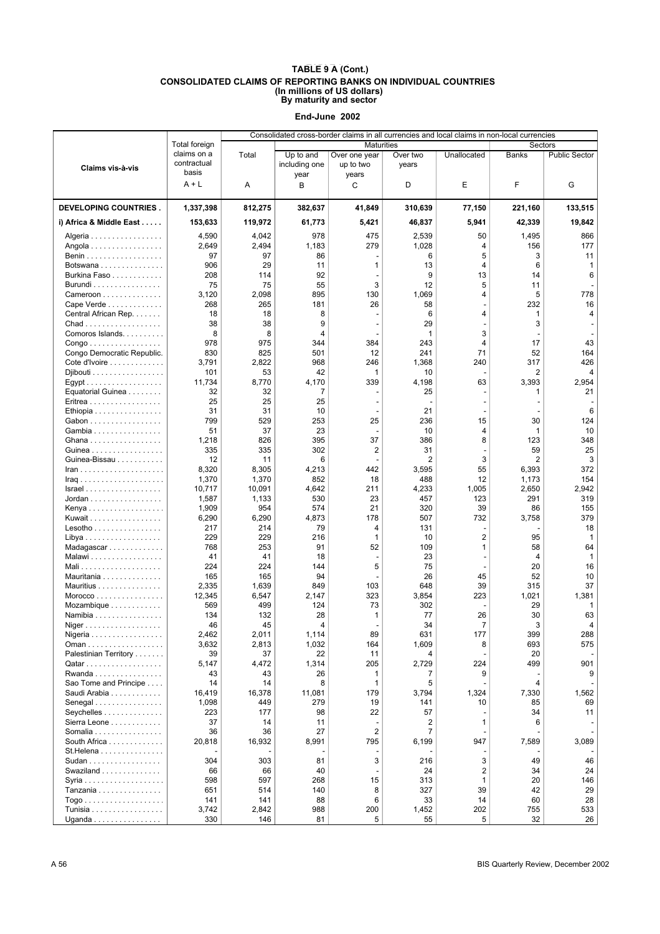|                                                 |                | Consolidated cross-border claims in all currencies and local claims in non-local currencies |                |                   |                |                         |              |                      |
|-------------------------------------------------|----------------|---------------------------------------------------------------------------------------------|----------------|-------------------|----------------|-------------------------|--------------|----------------------|
|                                                 | Total foreign  |                                                                                             |                | <b>Maturities</b> |                |                         | Sectors      |                      |
|                                                 | claims on a    | Total                                                                                       | Up to and      | Over one year     | Over two       | Unallocated             | <b>Banks</b> | <b>Public Sector</b> |
|                                                 | contractual    |                                                                                             | including one  | up to two         | years          |                         |              |                      |
| Claims vis-à-vis                                | basis          |                                                                                             | year           | years             |                |                         |              |                      |
|                                                 | $A + L$        | Α                                                                                           | B              | C                 | D              | E                       | F            | G                    |
|                                                 |                |                                                                                             |                |                   |                |                         |              |                      |
|                                                 |                |                                                                                             |                |                   |                |                         |              |                      |
| <b>DEVELOPING COUNTRIES.</b>                    | 1,337,398      | 812,275                                                                                     | 382,637        | 41,849            | 310,639        | 77,150                  | 221,160      | 133,515              |
| i) Africa & Middle East                         | 153,633        | 119,972                                                                                     | 61,773         | 5,421             | 46,837         | 5,941                   | 42,339       | 19,842               |
|                                                 |                |                                                                                             |                |                   |                |                         |              |                      |
| Algeria                                         | 4,590          | 4,042                                                                                       | 978            | 475               | 2,539          | 50                      | 1,495        | 866                  |
| Angola                                          | 2,649          | 2,494                                                                                       | 1,183          | 279               | 1,028          | 4                       | 156          | 177                  |
| Benin                                           | 97             | 97                                                                                          | 86             |                   | 6              | 5                       | 3            | 11                   |
| Botswana                                        | 906            | 29                                                                                          | 11             | 1                 | 13             | 4                       | 6            |                      |
| Burkina Faso                                    | 208            | 114                                                                                         | 92             |                   | 9              | 13                      | 14           | 6                    |
| Burundi                                         | 75             | 75                                                                                          | 55             | 3                 | 12             | 5                       | 11           |                      |
| Cameroon                                        | 3,120          | 2,098                                                                                       | 895            | 130               | 1,069          | 4                       | 5            | 778                  |
| Cape Verde                                      | 268            | 265                                                                                         | 181            | 26                | 58             |                         | 232          | 16                   |
| Central African Rep.                            | 18             | 18                                                                                          | 8              |                   | 6              | 4                       | 1            |                      |
| Chad                                            | 38             | 38                                                                                          | 9              |                   | 29             |                         | 3            |                      |
| Comoros Islands.                                | 8              | 8                                                                                           | 4              |                   | 1              | 3                       |              |                      |
| $Congo \ldots \ldots \ldots \ldots \ldots$      | 978            | 975                                                                                         | 344            | 384               | 243            | 4                       | 17           | 43                   |
| Congo Democratic Republic.                      | 830            | 825                                                                                         | 501            | 12                | 241            | 71                      | 52           | 164                  |
| Cote d'Ivoire                                   | 3,791          | 2,822                                                                                       | 968            | 246               | 1,368          | 240                     | 317          | 426                  |
| Djibouti                                        | 101            | 53                                                                                          | 42             | 1                 | 10             |                         | 2            | 4                    |
| Egypt                                           | 11,734         | 8,770                                                                                       | 4,170          | 339               | 4,198          | 63                      | 3,393        | 2,954                |
| Equatorial Guinea                               | 32             | 32                                                                                          | 7              |                   | 25             |                         | 1            | 21                   |
| Eritrea                                         | 25             | 25                                                                                          | 25             |                   |                |                         |              |                      |
| Ethiopia                                        | 31             | 31                                                                                          | 10             |                   | 21             |                         |              | 6                    |
| Gabon                                           | 799            | 529                                                                                         | 253            | 25                | 236            | 15                      | 30           | 124                  |
| Gambia                                          | 51             | 37                                                                                          | 23             |                   | 10             | 4                       | 1            | 10                   |
|                                                 | 1,218          | 826                                                                                         | 395            | 37                | 386            | 8                       | 123          | 348                  |
| Ghana<br>Guinea                                 | 335            | 335                                                                                         | 302            | $\overline{2}$    | 31             |                         | 59           | 25                   |
| Guinea-Bissau                                   | 12             | 11                                                                                          | 6              |                   | $\overline{2}$ | 3                       | 2            | 3                    |
|                                                 | 8,320          | 8,305                                                                                       | 4,213          | 442               | 3,595          | 55                      | 6,393        | 372                  |
| $lran$                                          |                |                                                                                             | 852            |                   | 488            | 12                      |              | 154                  |
|                                                 | 1,370          | 1,370                                                                                       |                | 18                |                |                         | 1,173        |                      |
| $Israel \ldots \ldots \ldots \ldots \ldots$     | 10,717         | 10,091                                                                                      | 4,642          | 211               | 4,233          | 1,005                   | 2,650        | 2,942                |
| Jordan                                          | 1,587          | 1,133                                                                                       | 530            | 23                | 457            | 123                     | 291          | 319                  |
| Kenya                                           | 1,909          | 954                                                                                         | 574            | 21                | 320            | 39                      | 86           | 155                  |
| Kuwait                                          | 6,290          | 6,290                                                                                       | 4,873          | 178               | 507            | 732                     | 3,758        | 379                  |
| $Lesotho \ldots \ldots \ldots$                  | 217            | 214<br>229                                                                                  | 79             | 4                 | 131            | $\overline{\mathbf{c}}$ | 95           | 18                   |
| Libya                                           | 229            |                                                                                             | 216            | 1                 | 10             |                         |              | -1                   |
| Madagascar                                      | 768            | 253                                                                                         | 91             | 52                | 109            | 1                       | 58           | 64                   |
| Malawi                                          | 41<br>224      | 41<br>224                                                                                   | 18             | 5                 | 23<br>75       |                         | 4<br>20      | -1                   |
| Mali                                            | 165            | 165                                                                                         | 144<br>94      |                   | 26             | 45                      | 52           | 16<br>10             |
| Mauritania<br>Mauritius                         | 2,335          | 1,639                                                                                       | 849            | 103               | 648            | 39                      | 315          | 37                   |
|                                                 |                |                                                                                             |                |                   |                |                         |              |                      |
| $M$ orocco $\ldots \ldots \ldots \ldots \ldots$ | 12,345         | 6,547                                                                                       | 2,147          | 323               | 3,854          | 223                     | 1,021        | 1,381                |
| Mozambique                                      | 569<br>134     | 499<br>132                                                                                  | 124<br>28      | 73<br>1           | 302<br>77      | 26                      | 29<br>30     | 1<br>63              |
| Namibia                                         |                |                                                                                             |                |                   |                |                         |              |                      |
| Niger                                           | 46             | 45                                                                                          | 4              |                   | 34             | $\overline{7}$          | 3            | $\overline{4}$       |
| Nigeria                                         | 2,462<br>3,632 | 2,011<br>2,813                                                                              | 1,114<br>1,032 | 89<br>164         | 631<br>1,609   | 177<br>8                | 399<br>693   | 288<br>575           |
| Oman                                            |                |                                                                                             |                |                   |                |                         |              |                      |
| Palestinian Territory                           | 39             | 37                                                                                          | 22             | 11                | 4              |                         | 20           |                      |
| Qatar                                           | 5,147          | 4,472                                                                                       | 1,314          | 205               | 2,729          | 224<br>9                | 499          | 901<br>9             |
| Rwanda                                          | 43             | 43                                                                                          | 26             | 1                 |                |                         |              |                      |
| Sao Tome and Principe                           | 14             | 14                                                                                          | 8              | 1                 | 5              |                         | 4            |                      |
| Saudi Arabia                                    | 16,419         | 16,378                                                                                      | 11,081         | 179               | 3,794          | 1,324                   | 7,330        | 1,562                |
| Senegal                                         | 1,098          | 449                                                                                         | 279            | 19                | 141            | 10                      | 85           | 69                   |
| Seychelles                                      | 223            | 177                                                                                         | 98             | 22                | 57             |                         | 34           | 11                   |
| Sierra Leone                                    | 37             | 14                                                                                          | 11             |                   | 2              | 1                       | 6            |                      |
| Somalia                                         | 36             | 36                                                                                          | 27             | $\overline{2}$    | 7              |                         |              |                      |
| South Africa                                    | 20,818         | 16,932                                                                                      | 8,991          | 795               | 6,199          | 947                     | 7,589        | 3,089                |
| St.Helena                                       |                |                                                                                             |                |                   |                |                         |              |                      |
| Sudan                                           | 304            | 303                                                                                         | 81             | 3                 | 216            | 3                       | 49           | 46                   |
| Swaziland $\ldots$ , $\ldots$ ,                 | 66             | 66                                                                                          | 40             |                   | 24             | $\overline{2}$          | 34           | 24                   |
|                                                 | 598            | 597                                                                                         | 268            | 15                | 313            | $\mathbf{1}$            | 20           | 146                  |
| Tanzania                                        | 651            | 514                                                                                         | 140            | 8                 | 327            | 39                      | 42           | 29                   |
|                                                 | 141            | 141                                                                                         | 88             | 6                 | 33             | 14                      | 60           | 28                   |
| Tunisia                                         | 3,742          | 2,842                                                                                       | 988            | 200               | 1,452          | 202                     | 755          | 533                  |
| Uganda                                          | 330            | 146                                                                                         | 81             | 5                 | 55             | 5                       | 32           | 26                   |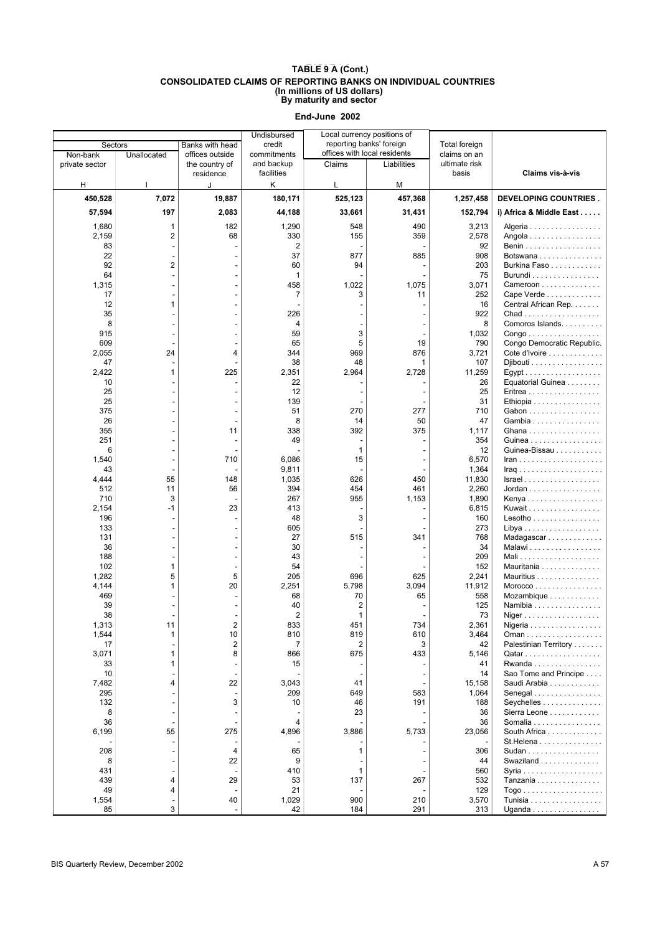|                |                         |                         | Undisbursed    | Local currency positions of  |             |               |                                          |
|----------------|-------------------------|-------------------------|----------------|------------------------------|-------------|---------------|------------------------------------------|
| Sectors        |                         | Banks with head         | credit         | reporting banks' foreign     |             | Total foreign |                                          |
| Non-bank       | Unallocated             | offices outside         | commitments    | offices with local residents |             | claims on an  |                                          |
| private sector |                         | the country of          | and backup     | Claims                       | Liabilities | ultimate risk |                                          |
|                |                         | residence               | facilities     |                              |             | basis         | Claims vis-à-vis                         |
| н              |                         | J                       | Κ              | L                            | M           |               |                                          |
| 450,528        | 7,072                   | 19,887                  | 180,171        | 525,123                      | 457,368     | 1,257,458     | <b>DEVELOPING COUNTRIES.</b>             |
|                |                         |                         |                |                              |             |               |                                          |
| 57,594         | 197                     | 2,083                   | 44,188         | 33,661                       | 31,431      | 152,794       | i) Africa & Middle East                  |
| 1,680          | 1                       | 182                     | 1,290          | 548                          | 490         | 3,213         | Algeria                                  |
| 2,159          | $\overline{\mathbf{c}}$ | 68                      | 330            | 155                          | 359         | 2,578         | Angola                                   |
| 83             |                         |                         | 2              |                              |             | 92            | Benin                                    |
| 22             |                         |                         | 37             | 877                          | 885         | 908           | Botswana                                 |
| 92             | $\overline{c}$          |                         | 60             | 94                           |             | 203           | Burkina Faso                             |
| 64             |                         |                         | 1              |                              |             | 75            | Burundi                                  |
| 1,315          |                         |                         | 458            | 1,022                        | 1,075       | 3,071         | Cameroon                                 |
| 17             |                         |                         | 7              | 3                            | 11          | 252           | Cape Verde                               |
| 12             | 1                       |                         |                |                              |             | 16            | Central African Rep.                     |
| 35             |                         |                         | 226            |                              |             | 922           | Chad                                     |
| 8              |                         |                         | 4              |                              |             | 8             | Comoros Islands.                         |
| 915            |                         |                         | 59             | 3                            |             | 1,032         | Congo                                    |
| 609            |                         |                         | 65             | 5                            | 19          | 790           | Congo Democratic Republic.               |
| 2,055          | 24                      | 4                       | 344            | 969                          | 876         | 3,721         | Cote d'Ivoire                            |
| 47             |                         |                         | 38             | 48                           | 1           | 107           | Djibouti                                 |
| 2,422          | $\mathbf{1}$            | 225                     | 2,351          | 2,964                        | 2,728       | 11,259        |                                          |
| 10             |                         |                         | 22             |                              |             | 26            | Equatorial Guinea                        |
| 25             |                         |                         | 12             |                              |             | 25            | Eritrea                                  |
| 25             |                         |                         | 139            |                              |             | 31            | Ethiopia                                 |
| 375            |                         |                         | 51             | 270                          | 277         | 710           | Gabon                                    |
| 26             |                         |                         | 8              | 14                           | 50          | 47            | Gambia                                   |
| 355            |                         | 11                      | 338            | 392                          | 375         | 1,117         | Ghana                                    |
| 251            |                         |                         | 49             |                              |             | 354           | Guinea                                   |
| 6              |                         |                         |                | 1                            |             | 12            | Guinea-Bissau                            |
| 1,540          |                         | 710                     | 6,086          | 15                           |             | 6,570         | $lran$                                   |
| 43             |                         |                         | 9,811          |                              |             | 1,364         |                                          |
| 4,444          | 55                      | 148                     | 1,035          | 626                          | 450         | 11,830        | Israel                                   |
| 512            | 11                      | 56                      | 394            | 454                          | 461         | 2,260         | Jordan                                   |
| 710            | 3                       |                         | 267            | 955                          | 1,153       | 1,890         | Kenya                                    |
| 2,154          | $-1$                    | 23                      | 413            |                              |             | 6,815         | Kuwait                                   |
| 196            |                         |                         | 48             | 3                            |             | 160           | Lesotho $\ldots \ldots \ldots \ldots$    |
| 133            |                         |                         | 605            |                              |             | 273           | Libya                                    |
| 131            |                         |                         | 27             | 515                          | 341         | 768           | Madagascar                               |
| 36             |                         |                         | 30             |                              |             | 34            | Malawi                                   |
| 188<br>102     | 1                       |                         | 43<br>54       |                              |             | 209<br>152    | Mali<br>Mauritania                       |
| 1,282          | 5                       | 5                       | 205            | 696                          | 625         | 2,241         | Mauritius                                |
| 4,144          | 1                       | 20                      | 2,251          | 5,798                        | 3,094       | 11,912        | $Moreover \dots \dots \dots \dots \dots$ |
| 469            |                         |                         | 68             | 70                           | 65          | 558           | Mozambique                               |
| 39             |                         |                         | 40             | 2                            |             | 125           | Namibia                                  |
| 38             |                         |                         | 2              | 1                            |             | 73            | Niger                                    |
| 1,313          |                         |                         | 833            | 451                          | 734         | 2.361         | Nigeria $\ldots \ldots \ldots \ldots$    |
| 1,544          |                         | 10                      | 810            | 819                          | 610         | 3,464         | Oman                                     |
| 17             |                         | $\overline{\mathbf{c}}$ | $\overline{7}$ | $\overline{\mathbf{c}}$      | 3           | 42            | Palestinian Territory                    |
| 3,071          | 1                       | 8                       | 866            | 675                          | 433         | 5,146         | Qatar                                    |
| 33             | $\mathbf{1}$            |                         | 15             |                              |             | 41            | Rwanda                                   |
| 10             |                         |                         |                | $\overline{\phantom{a}}$     |             | 14            | Sao Tome and Principe                    |
| 7,482          | 4                       | 22                      | 3,043          | 41                           |             | 15,158        | Saudi Arabia                             |
| 295            |                         |                         | 209            | 649                          | 583         | 1,064         | Senegal                                  |
| 132            |                         | 3                       | 10             | 46                           | 191         | 188           | Seychelles                               |
| 8              |                         |                         |                | 23                           |             | 36            | Sierra Leone                             |
| 36             |                         |                         | 4              |                              |             | 36            | Somalia                                  |
| 6,199          | 55                      | 275                     | 4,896          | 3,886                        | 5,733       | 23,056        | South Africa                             |
|                |                         |                         |                |                              |             |               | St.Helena                                |
| 208            |                         | $\overline{4}$          | 65             | 1                            |             | 306           | Sudan                                    |
| 8              |                         | 22                      | 9              |                              |             | 44            | Swaziland                                |
| 431            |                         |                         | 410            | 1                            |             | 560           |                                          |
| 439            | $\overline{4}$          | 29                      | 53             | 137                          | 267         | 532           | Tanzania                                 |
| 49             | 4                       |                         | 21             |                              |             | 129           |                                          |
| 1,554          |                         | 40                      | 1,029          | 900                          | 210         | 3,570         | Tunisia                                  |
| 85             | 3                       |                         | 42             | 184                          | 291         | 313           | Uganda                                   |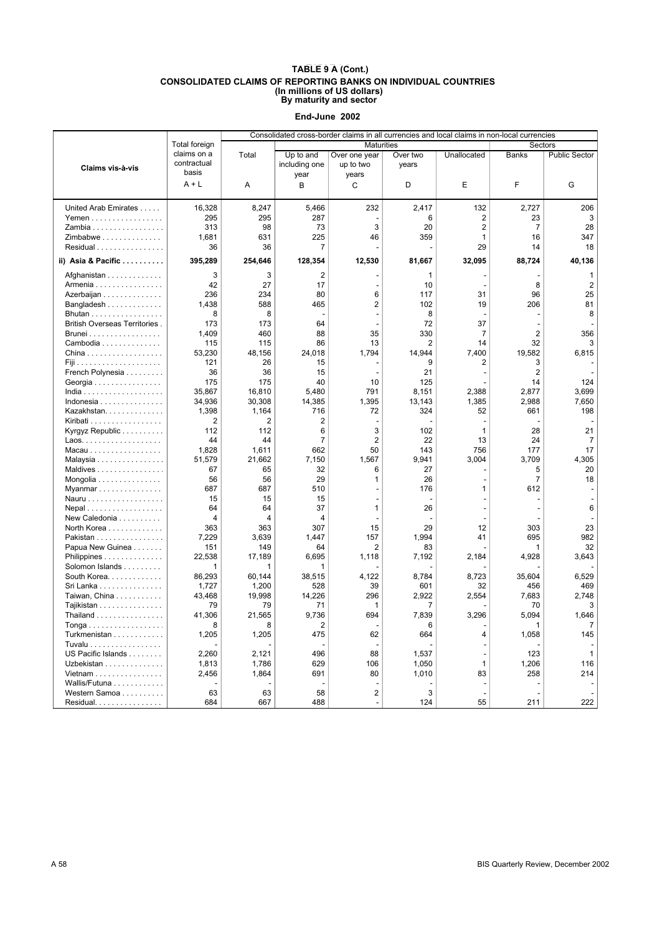|                                      |                      | Consolidated cross-border claims in all currencies and local claims in non-local currencies |               |                   |                |                |                |                      |
|--------------------------------------|----------------------|---------------------------------------------------------------------------------------------|---------------|-------------------|----------------|----------------|----------------|----------------------|
|                                      | <b>Total foreign</b> |                                                                                             |               | <b>Maturities</b> |                |                | Sectors        |                      |
|                                      | claims on a          | Total                                                                                       | Up to and     | Over one year     | Over two       | Unallocated    | <b>Banks</b>   | <b>Public Sector</b> |
|                                      | contractual          |                                                                                             | including one | up to two         | years          |                |                |                      |
| Claims vis-à-vis                     | basis                |                                                                                             | year          | years             |                |                |                |                      |
|                                      | $A + L$              | Α                                                                                           | B             | C                 | D              | E              | F              | G                    |
|                                      |                      |                                                                                             |               |                   |                |                |                |                      |
|                                      |                      |                                                                                             |               |                   |                |                |                |                      |
| United Arab Emirates                 | 16,328               | 8,247                                                                                       | 5.466         | 232               | 2.417          | 132            | 2.727          | 206                  |
| Yemen                                | 295                  | 295                                                                                         | 287           |                   | 6              | $\overline{2}$ | 23             | 3                    |
| Zambia                               | 313                  | 98                                                                                          | 73            | 3                 | 20             | 2              | 7              | 28                   |
| Zimbabwe                             | 1,681                | 631                                                                                         | 225           | 46                | 359            | 1              | 16             | 347                  |
| Residual                             | 36                   | 36                                                                                          | 7             |                   |                | 29             | 14             | 18                   |
| ii) Asia & Pacific                   | 395,289              | 254,646                                                                                     | 128,354       | 12,530            | 81,667         | 32,095         | 88,724         | 40,136               |
|                                      |                      |                                                                                             |               |                   |                |                |                |                      |
| Afghanistan                          | 3                    | 3                                                                                           | 2             |                   | 1              |                |                | 1                    |
| Armenia                              | 42                   | 27                                                                                          | 17            |                   | 10             |                | 8              | 2                    |
| Azerbaijan                           | 236                  | 234                                                                                         | 80            | 6                 | 117            | 31             | 96             | 25                   |
| Bangladesh                           | 1.438                | 588                                                                                         | 465           | $\overline{2}$    | 102            | 19             | 206            | 81                   |
| Bhutan                               | 8                    | 8                                                                                           |               |                   | 8              |                |                | 8                    |
| <b>British Overseas Territories.</b> | 173                  | 173                                                                                         | 64            |                   | 72             | 37             |                |                      |
| Brunei                               | 1,409                | 460                                                                                         | 88            | 35                | 330            | $\overline{7}$ | $\overline{2}$ | 356                  |
| Cambodia                             | 115                  | 115                                                                                         | 86            | 13                | $\overline{2}$ | 14             | 32             | 3                    |
| China                                | 53,230               | 48,156                                                                                      | 24,018        | 1,794             | 14,944         | 7,400          | 19,582         | 6,815                |
|                                      | 121                  | 26                                                                                          | 15            |                   | 9              | 2              | 3              |                      |
| French Polynesia                     | 36                   | 36                                                                                          | 15            |                   | 21             |                | $\overline{2}$ |                      |
| Georgia                              | 175                  | 175                                                                                         | 40            | 10                | 125            |                | 14             | 124                  |
|                                      | 35,867               | 16,810                                                                                      | 5,480         | 791               | 8,151          | 2,388          | 2,877          | 3,699                |
| Indonesia                            | 34,936               | 30,308                                                                                      | 14,385        | 1,395             | 13,143         | 1,385          | 2,988          | 7,650                |
| Kazakhstan                           | 1,398                | 1,164                                                                                       | 716           | 72                | 324            | 52             | 661            | 198                  |
| Kiribati                             | $\overline{2}$       | 2                                                                                           | 2             |                   |                |                |                |                      |
| Kyrgyz Republic                      | 112                  | 112                                                                                         | 6             | 3                 | 102            | 1              | 28             | 21                   |
|                                      | 44                   | 44                                                                                          | 7             | $\overline{2}$    | 22             | 13             | 24             | 7                    |
|                                      | 1,828                | 1,611                                                                                       | 662           | 50                | 143            | 756            | 177            | 17                   |
| Macau                                | 51,579               | 21,662                                                                                      | 7,150         | 1,567             | 9.941          | 3,004          | 3,709          | 4,305                |
| Malaysia                             |                      |                                                                                             | 32            | 6                 |                |                |                |                      |
| Maldives                             | 67<br>56             | 65<br>56                                                                                    |               |                   | 27             |                | 5              | 20                   |
| Mongolia                             |                      |                                                                                             | 29            | 1                 | 26             | 1              | 7              | 18                   |
| Myanmar                              | 687                  | 687                                                                                         | 510           |                   | 176            |                | 612            |                      |
| Nauru                                | 15                   | 15                                                                                          | 15            |                   |                |                |                |                      |
| $Nepal$                              | 64                   | 64                                                                                          | 37            | 1                 | 26             |                | $\blacksquare$ | 6                    |
| New Caledonia                        | 4                    | 4                                                                                           | 4             |                   |                |                |                |                      |
| North Korea                          | 363                  | 363                                                                                         | 307           | 15                | 29             | 12             | 303            | 23                   |
| Pakistan                             | 7,229                | 3,639                                                                                       | 1,447         | 157               | 1,994          | 41             | 695            | 982                  |
| Papua New Guinea                     | 151                  | 149                                                                                         | 64            | $\overline{2}$    | 83             |                | 1              | 32                   |
| Philippines                          | 22,538               | 17,189                                                                                      | 6,695         | 1,118             | 7,192          | 2,184          | 4,928          | 3,643                |
| Solomon Islands                      | 1                    | 1                                                                                           | 1             |                   |                |                |                |                      |
| South Korea.                         | 86.293               | 60.144                                                                                      | 38.515        | 4,122             | 8.784          | 8,723          | 35.604         | 6.529                |
| Sri Lanka                            | 1,727                | 1,200                                                                                       | 528           | 39                | 601            | 32             | 456            | 469                  |
| Taiwan, China                        | 43.468               | 19.998                                                                                      | 14,226        | 296               | 2.922          | 2,554          | 7.683          | 2.748                |
| Tajikistan                           | 79                   | 79                                                                                          | 71            | 1                 | 7              |                | 70             | 3                    |
| Thailand                             | 41,306               | 21,565                                                                                      | 9,736         | 694               | 7,839          | 3,296          | 5,094          | 1,646                |
| Tonga                                | 8                    | 8                                                                                           | 2             |                   | 6              |                |                |                      |
| Turkmenistan                         | 1,205                | 1,205                                                                                       | 475           | 62                | 664            | 4              | 1,058          | 145                  |
| Tuvalu                               |                      |                                                                                             |               |                   |                |                |                |                      |
| US Pacific Islands                   | 2.260                | 2,121                                                                                       | 496           | 88                | 1,537          |                | 123            | 1                    |
| Uzbekistan                           | 1,813                | 1,786                                                                                       | 629           | 106               | 1,050          | 1              | 1,206          | 116                  |
| Vietnam                              | 2,456                | 1,864                                                                                       | 691           | 80                | 1,010          | 83             | 258            | 214                  |
|                                      |                      |                                                                                             |               |                   |                |                |                |                      |
| Wallis/Futuna                        |                      |                                                                                             |               |                   |                |                |                |                      |
| Western Samoa                        | 63                   | 63                                                                                          | 58            | 2                 | 3              |                |                |                      |
| Residual.                            | 684                  | 667                                                                                         | 488           |                   | 124            | 55             | 211            | 222                  |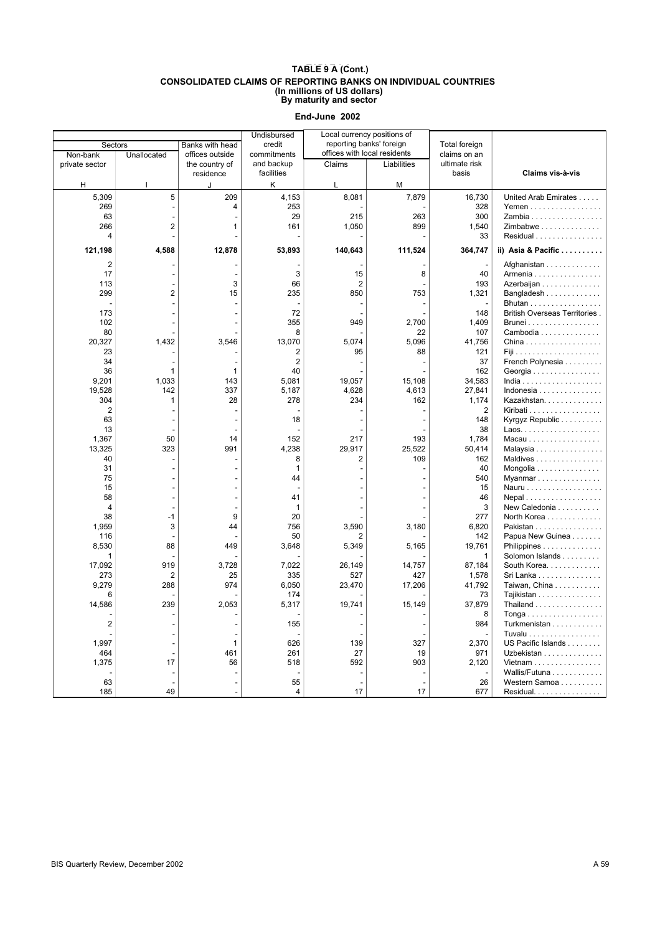|                |                |                 | Undisbursed | Local currency positions of  |             |                |                                      |
|----------------|----------------|-----------------|-------------|------------------------------|-------------|----------------|--------------------------------------|
| Sectors        |                | Banks with head | credit      | reporting banks' foreign     |             | Total foreign  |                                      |
| Non-bank       | Unallocated    | offices outside | commitments | offices with local residents |             | claims on an   |                                      |
| private sector |                | the country of  | and backup  | Claims                       | Liabilities | ultimate risk  |                                      |
|                |                | residence       | facilities  |                              |             | basis          | Claims vis-à-vis                     |
| н              |                | J               | κ           | L                            | M           |                |                                      |
| 5,309          | 5              | 209             | 4,153       | 8,081                        | 7,879       | 16,730         | United Arab Emirates                 |
| 269            |                | $\overline{4}$  | 253         |                              |             | 328            | Yemen                                |
| 63             |                |                 | 29          | 215                          | 263         | 300            | Zambia                               |
| 266            | $\overline{2}$ | 1               | 161         | 1,050                        | 899         | 1,540          | Zimbabwe                             |
| 4              |                |                 |             |                              |             | 33             | $Residual$                           |
| 121,198        | 4,588          | 12,878          | 53,893      | 140,643                      | 111,524     | 364,747        | ii) Asia & Pacific                   |
| 2              |                |                 |             |                              |             |                |                                      |
| 17             |                |                 | 3           | 15                           | 8           | 40             | Afghanistan                          |
|                |                | 3               |             |                              |             |                | Armenia                              |
| 113            |                |                 | 66          | $\overline{2}$               |             | 193            | Azerbaijan                           |
| 299            | $\overline{2}$ | 15              | 235         | 850                          | 753         | 1,321          | Bangladesh                           |
|                |                |                 |             |                              |             |                | Bhutan                               |
| 173            |                |                 | 72          |                              |             | 148            | <b>British Overseas Territories.</b> |
| 102            |                |                 | 355         | 949                          | 2,700       | 1,409          | Brunei                               |
| 80             |                |                 | 8           |                              | 22          | 107            | Cambodia                             |
| 20,327         | 1,432          | 3,546           | 13,070      | 5,074                        | 5,096       | 41,756         | China                                |
| 23             |                |                 | 2           | 95                           | 88          | 121            |                                      |
| 34             |                |                 | 2           |                              |             | 37             | French Polynesia                     |
| 36             | 1              | $\mathbf{1}$    | 40          |                              |             | 162            | Georgia                              |
| 9,201          | 1,033          | 143             | 5,081       | 19,057                       | 15,108      | 34,583         |                                      |
| 19,528         | 142            | 337             | 5,187       | 4,628                        | 4,613       | 27,841         | Indonesia                            |
| 304            | $\mathbf{1}$   | 28              | 278         | 234                          | 162         | 1,174          | Kazakhstan                           |
| 2              |                |                 |             |                              |             | $\overline{2}$ | Kiribati                             |
| 63             |                |                 | 18          |                              |             | 148            | Kyrgyz Republic                      |
| 13             |                |                 |             |                              |             | 38             | Laos.                                |
| 1,367          | 50             | 14              | 152         | 217                          | 193         | 1.784          | Macau                                |
| 13,325         | 323            | 991             | 4,238       | 29,917                       | 25,522      | 50,414         | Malaysia                             |
| 40             |                |                 | 8           | $\overline{2}$               | 109         | 162            | Maldives                             |
| 31             |                |                 | 1           |                              |             | 40             | Mongolia                             |
| 75             |                |                 | 44          |                              |             | 540            | Myanmar                              |
| 15             |                |                 |             |                              |             | 15             | Nauru                                |
| 58             |                |                 | 41          |                              |             | 46             | $Nepal$                              |
| 4              |                |                 | 1           |                              |             | 3              | New Caledonia                        |
| 38             | -1             | 9               | 20          |                              |             | 277            | North Korea                          |
| 1,959          | 3              | 44              | 756         | 3,590                        | 3,180       | 6,820          | Pakistan                             |
| 116            |                |                 | 50          | $\overline{2}$               |             | 142            | Papua New Guinea                     |
| 8,530          | 88             | 449             | 3,648       | 5,349                        | 5,165       | 19,761         | Philippines                          |
| 1              |                |                 |             |                              |             | 1              | Solomon Islands                      |
| 17,092         | 919            | 3,728           | 7,022       | 26,149                       | 14,757      | 87,184         | South Korea.                         |
| 273            | $\overline{2}$ | 25              | 335         | 527                          | 427         | 1,578          | Sri Lanka                            |
| 9,279          | 288            | 974             | 6,050       | 23,470                       | 17,206      | 41,792         | Taiwan, China                        |
| 6              |                |                 | 174         |                              |             | 73             | Tajikistan                           |
| 14,586         | 239            | 2,053           | 5,317       | 19,741                       | 15,149      | 37,879         | Thailand                             |
|                |                |                 |             |                              |             | 8              | Tonga                                |
| 2              |                |                 | 155         |                              |             | 984            | Turkmenistan                         |
|                |                |                 |             |                              |             |                | Tuvalu                               |
| 1,997          |                | $\mathbf 1$     | 626         | 139                          | 327         | 2.370          | US Pacific Islands                   |
| 464            |                | 461             | 261         | 27                           | 19          | 971            | Uzbekistan                           |
| 1,375          | 17             | 56              | 518         | 592                          | 903         | 2,120          | Vietnam                              |
|                |                |                 |             |                              |             |                | Wallis/Futuna                        |
| 63             |                |                 | 55          |                              |             | 26             | Western Samoa                        |
| 185            | 49             |                 | 4           | 17                           | 17          | 677            | Residual.                            |
|                |                |                 |             |                              |             |                |                                      |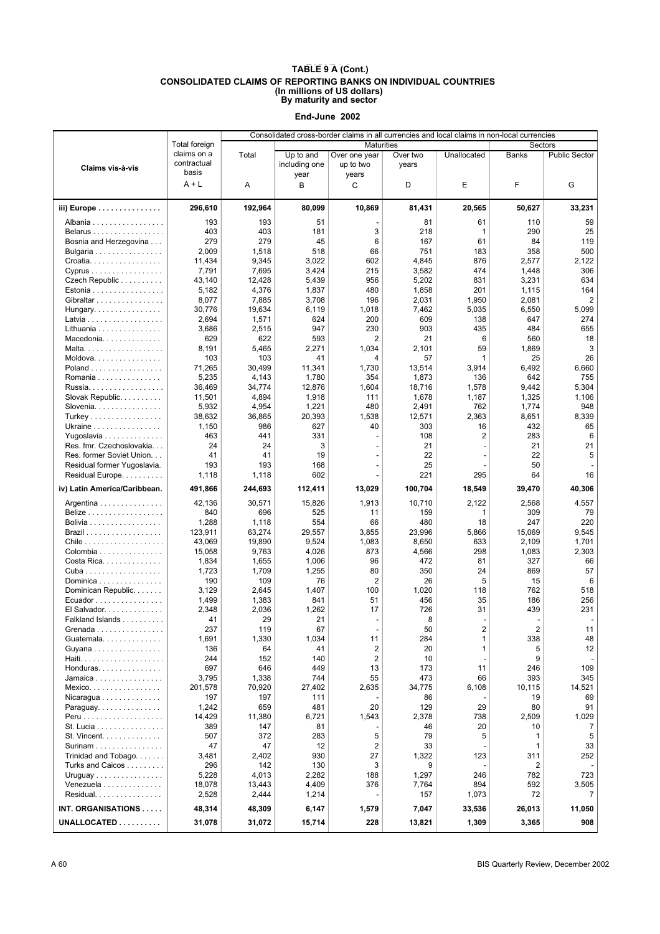|                                 |               | Consolidated cross-border claims in all currencies and local claims in non-local currencies |               |                      |           |                |              |                      |
|---------------------------------|---------------|---------------------------------------------------------------------------------------------|---------------|----------------------|-----------|----------------|--------------|----------------------|
|                                 | Total foreign |                                                                                             |               | <b>Maturities</b>    |           |                | Sectors      |                      |
|                                 | claims on a   | Total                                                                                       | Up to and     | Over one year        | Over two  | Unallocated    | <b>Banks</b> | <b>Public Sector</b> |
| Claims vis-à-vis                | contractual   |                                                                                             | including one | up to two            | years     |                |              |                      |
|                                 | basis         |                                                                                             | year          | years                |           |                |              |                      |
|                                 | $A + L$       | Α                                                                                           | B             | C                    | D         | E              | F            | G                    |
|                                 |               |                                                                                             |               |                      |           |                |              |                      |
| iii) Europe                     | 296,610       | 192,964                                                                                     | 80,099        | 10,869               | 81,431    | 20,565         | 50,627       | 33,231               |
|                                 |               |                                                                                             |               |                      |           |                |              |                      |
| Albania                         | 193           | 193                                                                                         | 51            |                      | 81        | 61             | 110          | 59                   |
| Belarus                         | 403           | 403                                                                                         | 181           | 3                    | 218       | 1              | 290          | 25                   |
| Bosnia and Herzegovina          | 279           | 279                                                                                         | 45            | 6                    | 167       | 61             | 84           | 119                  |
| Bulgaria                        | 2,009         | 1,518                                                                                       | 518           | 66                   | 751       | 183            | 358          | 500                  |
| Croatia.                        | 11,434        | 9,345                                                                                       | 3,022         | 602                  | 4,845     | 876            | 2,577        | 2,122                |
| $Cvprus$                        | 7,791         | 7,695                                                                                       | 3,424         | 215                  | 3,582     | 474            | 1,448        | 306                  |
| Czech Republic                  | 43,140        | 12,428                                                                                      | 5,439         | 956                  | 5,202     | 831            | 3,231        | 634                  |
| Estonia                         | 5,182         | 4,376                                                                                       | 1,837         | 480                  | 1,858     | 201            | 1,115        | 164                  |
| Gibraltar                       | 8,077         | 7,885                                                                                       | 3,708         | 196                  | 2,031     | 1,950          | 2,081        | $\overline{2}$       |
| Hungary.                        | 30,776        | 19,634                                                                                      | 6,119         | 1,018                | 7,462     | 5,035          | 6,550        | 5,099                |
| Latvia                          | 2,694         | 1,571                                                                                       | 624           | 200                  | 609       | 138            | 647          | 274                  |
| Lithuania                       | 3,686         | 2,515                                                                                       | 947           | 230                  | 903       | 435            | 484          | 655                  |
| Macedonia                       | 629           | 622                                                                                         | 593           | 2                    | 21        | 6              | 560          | 18                   |
| Malta.                          | 8,191         | 5,465                                                                                       | 2,271         | 1,034                | 2,101     | 59             | 1,869        | 3                    |
| Moldova.                        | 103           | 103                                                                                         | 41            | 4                    | 57        | 1              | 25           | 26                   |
| Poland                          | 71.265        | 30,499                                                                                      | 11,341        | 1,730                | 13,514    | 3,914          | 6,492        | 6,660                |
| Romania                         | 5,235         | 4,143                                                                                       | 1,780         | 354                  | 1,873     | 136            | 642          | 755                  |
| Russia.                         | 36,469        | 34,774                                                                                      | 12,876        | 1,604                | 18.716    | 1,578          | 9,442        | 5,304                |
| Slovak Republic.                | 11,501        | 4,894                                                                                       | 1,918         | 111                  | 1,678     | 1,187          | 1,325        | 1,106                |
| Slovenia                        | 5,932         | 4,954                                                                                       | 1,221         | 480                  | 2,491     | 762            | 1,774        | 948                  |
| Turkey                          | 38,632        | 36,865                                                                                      | 20,393        | 1,538                | 12,571    | 2,363          | 8,651        | 8,339                |
| Ukraine                         | 1,150         | 986                                                                                         | 627           | 40                   | 303       | 16             | 432          | 65                   |
| Yugoslavia                      | 463           | 441                                                                                         | 331           |                      | 108       | $\overline{2}$ | 283          | 6                    |
| Res. fmr. Czechoslovakia        | 24            | 24                                                                                          | 3             |                      | 21        |                | 21           | 21                   |
| Res. former Soviet Union.       | 41            | 41                                                                                          | 19            |                      | 22        |                | 22           | 5                    |
| Residual former Yugoslavia.     | 193           | 193                                                                                         | 168           |                      | 25        |                | 50           |                      |
| Residual Europe.                | 1,118         | 1,118                                                                                       | 602           |                      | 221       | 295            | 64           | 16                   |
| iv) Latin America/Caribbean.    | 491,866       | 244,693                                                                                     | 112,411       | 13,029               | 100,704   | 18,549         | 39,470       | 40,306               |
|                                 |               |                                                                                             |               |                      |           |                |              |                      |
| Argentina                       | 42,136        | 30,571                                                                                      | 15,826        | 1,913                | 10,710    | 2,122          | 2,568        | 4,557                |
| Belize                          | 840           | 696                                                                                         | 525           | 11                   | 159       | 1              | 309          | 79                   |
| Bolivia                         | 1,288         | 1,118                                                                                       | 554           | 66                   | 480       | 18             | 247          | 220                  |
| Brazil                          | 123,911       | 63,274                                                                                      | 29,557        | 3,855                | 23,996    | 5,866          | 15,069       | 9,545                |
|                                 | 43,069        | 19,890                                                                                      | 9,524         | 1,083                | 8,650     | 633            | 2,109        | 1,701                |
| Colombia                        | 15,058        | 9,763                                                                                       | 4,026         | 873                  | 4,566     | 298            | 1,083        | 2,303                |
| Costa Rica.                     | 1,834         | 1,655                                                                                       | 1,006         | 96                   | 472       | 81             | 327          | 66                   |
| Cuba                            | 1,723<br>190  | 1,709<br>109                                                                                | 1,255<br>76   | 80<br>$\overline{2}$ | 350<br>26 | 24<br>5        | 869<br>15    | 57<br>6              |
| Dominica<br>Dominican Republic. | 3,129         | 2,645                                                                                       | 1,407         | 100                  | 1,020     | 118            | 762          |                      |
|                                 | 1,499         |                                                                                             |               |                      | 456       | 35             |              | 518<br>256           |
| Ecuador<br>El Salvador.         | 2,348         | 1,383<br>2,036                                                                              | 841<br>1,262  | 51<br>17             | 726       | 31             | 186<br>439   | 231                  |
|                                 | 41            | 29                                                                                          | 21            |                      | 8         |                | ٠            |                      |
| Falkland Islands                | 237           | 119                                                                                         | 67            |                      | 50        | $\overline{c}$ | 2            | 11                   |
| Grenada<br>Guatemala.           | 1,691         | 1,330                                                                                       | 1,034         | 11                   | 284       | 1              | 338          | 48                   |
| Guyana                          | 136           | 64                                                                                          | 41            | $\overline{2}$       | 20        | 1              | 5            | 12                   |
|                                 | 244           | 152                                                                                         | 140           | $\overline{2}$       | 10        |                | 9            |                      |
| Honduras.                       | 697           | 646                                                                                         | 449           | 13                   | 173       | 11             | 246          | 109                  |
| Jamaica                         | 3,795         | 1,338                                                                                       | 744           | 55                   | 473       | 66             | 393          | 345                  |
| Mexico.                         | 201,578       | 70,920                                                                                      | 27,402        | 2,635                | 34,775    | 6,108          | 10,115       | 14,521               |
| Nicaragua                       | 197           | 197                                                                                         | 111           |                      | 86        |                | 19           | 69                   |
| Paraguay                        | 1,242         | 659                                                                                         | 481           | 20                   | 129       | 29             | 80           | 91                   |
|                                 | 14,429        | 11,380                                                                                      | 6,721         | 1,543                | 2,378     | 738            | 2,509        | 1,029                |
| St. Lucia                       | 389           | 147                                                                                         | 81            |                      | 46        | 20             | 10           | 7                    |
| St. Vincent.                    | 507           | 372                                                                                         | 283           | 5                    | 79        | 5              | 1            | 5                    |
| Surinam                         | 47            | 47                                                                                          | 12            | $\overline{2}$       | 33        |                | 1            | 33                   |
| Trinidad and Tobago             | 3,481         | 2,402                                                                                       | 930           | 27                   | 1,322     | 123            | 311          | 252                  |
| Turks and Caicos                | 296           | 142                                                                                         | 130           | 3                    | 9         |                | 2            |                      |
| Uruguay                         | 5,228         | 4,013                                                                                       | 2,282         | 188                  | 1,297     | 246            | 782          | 723                  |
| Venezuela                       | 18,078        | 13,443                                                                                      | 4,409         | 376                  | 7,764     | 894            | 592          | 3,505                |
| Residual.                       | 2,528         | 2,444                                                                                       | 1,214         |                      | 157       | 1,073          | 72           | 7                    |
| INT. ORGANISATIONS              |               | 48,309                                                                                      |               |                      | 7,047     |                |              |                      |
|                                 | 48,314        |                                                                                             | 6,147         | 1,579                |           | 33,536         | 26,013       | 11,050               |
| UNALLOCATED                     | 31,078        | 31,072                                                                                      | 15,714        | 228                  | 13,821    | 1,309          | 3,365        | 908                  |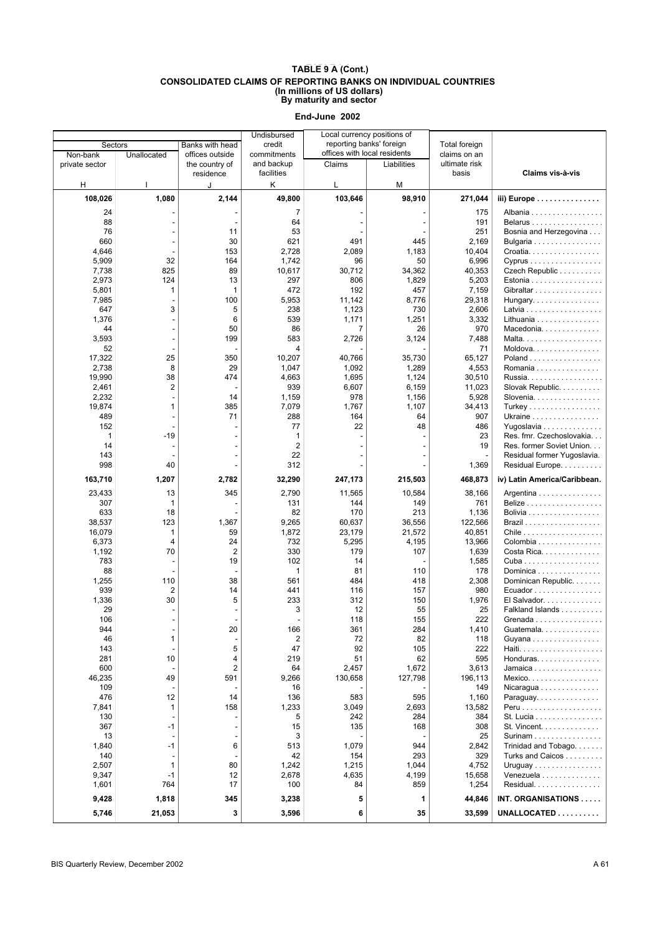| Local currency positions of<br>Undisbursed<br>reporting banks' foreign |                                  |                                   |                               |                |                              |                               |                                         |
|------------------------------------------------------------------------|----------------------------------|-----------------------------------|-------------------------------|----------------|------------------------------|-------------------------------|-----------------------------------------|
| Sectors                                                                |                                  | Banks with head                   | credit                        |                | offices with local residents | Total foreign                 |                                         |
| Non-bank                                                               | Unallocated                      | offices outside<br>the country of | commitments<br>and backup     | Claims         | Liabilities                  | claims on an<br>ultimate risk |                                         |
| private sector                                                         |                                  | residence                         | facilities                    |                |                              | basis                         | Claims vis-à-vis                        |
| н                                                                      |                                  |                                   | κ                             | L              | M                            |                               |                                         |
|                                                                        |                                  | J                                 |                               |                |                              |                               |                                         |
| 108,026                                                                | 1,080                            | 2,144                             | 49,800                        | 103,646        | 98,910                       | 271,044                       | iii) Europe                             |
| 24                                                                     |                                  |                                   | 7                             |                |                              | 175                           | Albania                                 |
| 88                                                                     |                                  |                                   | 64                            |                |                              | 191                           | Belarus                                 |
| 76                                                                     |                                  | 11                                | 53                            |                |                              | 251                           | Bosnia and Herzegovina                  |
| 660                                                                    |                                  | 30                                | 621                           | 491            | 445                          | 2,169                         | Bulgaria                                |
| 4,646                                                                  |                                  | 153                               | 2,728                         | 2,089          | 1,183                        | 10,404                        | Croatia.                                |
| 5,909                                                                  | 32                               | 164                               | 1,742                         | 96             | 50                           | 6,996                         | Cyprus                                  |
| 7,738                                                                  | 825                              | 89                                | 10,617                        | 30.712         | 34,362                       | 40,353                        | Czech Republic                          |
| 2,973<br>5,801                                                         | 124                              | 13                                | 297<br>472                    | 806<br>192     | 1,829<br>457                 | 5,203                         | Estonia                                 |
| 7,985                                                                  | 1                                | 1<br>100                          | 5,953                         | 11,142         | 8,776                        | 7,159<br>29,318               | Gibraltar<br>Hungary                    |
| 647                                                                    | 3                                | 5                                 | 238                           | 1,123          | 730                          | 2,606                         | Latvia                                  |
| 1,376                                                                  |                                  | 6                                 | 539                           | 1,171          | 1,251                        | 3,332                         | Lithuania                               |
| 44                                                                     |                                  | 50                                | 86                            | $\overline{7}$ | 26                           | 970                           | Macedonia                               |
| 3,593                                                                  |                                  | 199                               | 583                           | 2,726          | 3,124                        | 7,488                         | Malta.                                  |
| 52                                                                     |                                  |                                   | 4                             |                |                              | 71                            | Moldova.                                |
| 17,322                                                                 | 25                               | 350                               | 10,207                        | 40,766         | 35,730                       | 65,127                        | Poland                                  |
| 2,738                                                                  | 8                                | 29                                | 1,047                         | 1,092          | 1,289                        | 4,553                         | Romania                                 |
| 19,990                                                                 | 38                               | 474                               | 4,663                         | 1,695          | 1,124                        | 30,510                        | Russia.                                 |
| 2,461                                                                  | $\overline{2}$                   |                                   | 939                           | 6,607          | 6,159                        | 11,023                        | Slovak Republic.                        |
| 2,232                                                                  |                                  | 14                                | 1,159                         | 978            | 1,156                        | 5,928                         | Slovenia                                |
| 19,874                                                                 | 1                                | 385                               | 7,079                         | 1,767          | 1,107                        | 34,413                        | Turkey                                  |
| 489                                                                    |                                  | 71                                | 288                           | 164            | 64                           | 907                           | Ukraine                                 |
| 152                                                                    |                                  |                                   | 77                            | 22             | 48                           | 486                           | Yugoslavia                              |
| 1                                                                      | $-19$                            |                                   | 1                             |                |                              | 23                            | Res. fmr. Czechoslovakia                |
| 14<br>143                                                              |                                  |                                   | $\overline{\mathbf{c}}$<br>22 |                |                              | 19                            | Res. former Soviet Union.               |
| 998                                                                    | 40                               |                                   | 312                           |                |                              | 1,369                         | Residual former Yugoslavia.             |
|                                                                        |                                  |                                   |                               |                |                              |                               | Residual Europe.                        |
| 163,710                                                                | 1,207                            | 2,782                             | 32,290                        | 247,173        | 215,503                      | 468,873                       | iv) Latin America/Caribbean.            |
| 23,433                                                                 | 13                               | 345                               | 2,790                         | 11,565         | 10,584                       | 38,166                        | Argentina                               |
| 307                                                                    | $\mathbf 1$                      |                                   | 131                           | 144            | 149                          | 761                           |                                         |
| 633                                                                    | 18                               |                                   | 82                            | 170            | 213                          | 1,136                         | Bolivia                                 |
| 38,537                                                                 | 123                              | 1,367                             | 9,265                         | 60,637         | 36,556                       | 122,566                       |                                         |
| 16,079                                                                 | 1                                | 59                                | 1,872                         | 23,179         | 21,572                       | 40,851                        |                                         |
| 6,373                                                                  | $\overline{4}$                   | 24                                | 732                           | 5,295          | 4,195                        | 13,966                        | Colombia                                |
| 1,192                                                                  | 70                               | 2                                 | 330                           | 179            | 107                          | 1,639                         | Costa Rica.                             |
| 783<br>88                                                              |                                  | 19                                | 102                           | 14             |                              | 1,585                         | Cuba                                    |
| 1,255                                                                  | 110                              | 38                                | 1<br>561                      | 81<br>484      | 110<br>418                   | 178<br>2,308                  | Dominica<br>Dominican Republic.         |
| 939                                                                    | $\overline{2}$                   | 14                                | 441                           | 116            | 157                          | 980                           | Ecuador                                 |
| 1,336                                                                  | 30                               | 5                                 | 233                           | 312            | 150                          | 1,976                         | El Salvador.                            |
| 29                                                                     |                                  |                                   | 3                             | 12             | 55                           | 25                            | Falkland Islands                        |
| 106                                                                    |                                  |                                   |                               | 118            | 155                          | 222                           | Grenada                                 |
| 944                                                                    |                                  | 20                                | 166                           | 361            | 284                          | 1,410                         | Guatemala.                              |
| 46                                                                     | 1                                |                                   | $\overline{\mathbf{c}}$       | 72             | 82                           | 118                           | Guyana                                  |
| 143                                                                    |                                  | 5                                 | 47                            | 92             | 105                          | 222                           |                                         |
| 281                                                                    | 10                               | 4                                 | 219                           | 51             | 62                           | 595                           | Honduras                                |
| 600                                                                    |                                  | $\overline{2}$                    | 64                            | 2,457          | 1,672                        | 3,613                         | Jamaica                                 |
| 46,235                                                                 | 49                               | 591                               | 9,266                         | 130,658        | 127,798                      | 196,113                       | Mexico.                                 |
| 109                                                                    | $\overline{\phantom{a}}$         |                                   | 16                            |                |                              | 149                           | $Nicaragua \ldots \ldots \ldots \ldots$ |
| 476                                                                    | 12                               | 14                                | 136                           | 583            | 595                          | 1,160                         | Paraguay                                |
| 7,841                                                                  | $\mathbf{1}$                     | 158                               | 1,233                         | 3,049          | 2,693                        | 13,582                        |                                         |
| 130                                                                    |                                  |                                   | 5                             | 242            | 284                          | 384                           | St. Lucia                               |
| 367<br>13                                                              | $-1$<br>$\overline{\phantom{a}}$ |                                   | 15                            | 135            | 168                          | 308                           | St. Vincent.                            |
| 1,840                                                                  | $-1$                             | 6                                 | 3<br>513                      | 1,079          | 944                          | 25<br>2,842                   | Surinam<br>Trinidad and Tobago          |
| 140                                                                    |                                  |                                   | 42                            | 154            | 293                          | 329                           | Turks and Caicos                        |
| 2,507                                                                  | $\mathbf{1}$                     | 80                                | 1,242                         | 1,215          | 1,044                        | 4,752                         | Uruguay                                 |
| 9,347                                                                  | $-1$                             | 12                                | 2,678                         | 4,635          | 4,199                        | 15,658                        | Venezuela                               |
| 1,601                                                                  | 764                              | 17                                | 100                           | 84             | 859                          | 1,254                         | Residual.                               |
|                                                                        |                                  |                                   |                               |                |                              |                               |                                         |
| 9,428                                                                  | 1,818                            | 345                               | 3,238                         | 5              | 1                            | 44,846                        | INT. ORGANISATIONS                      |
| 5,746                                                                  | 21,053                           | 3                                 | 3,596                         | 6              | 35                           | 33,599                        | UNALLOCATED                             |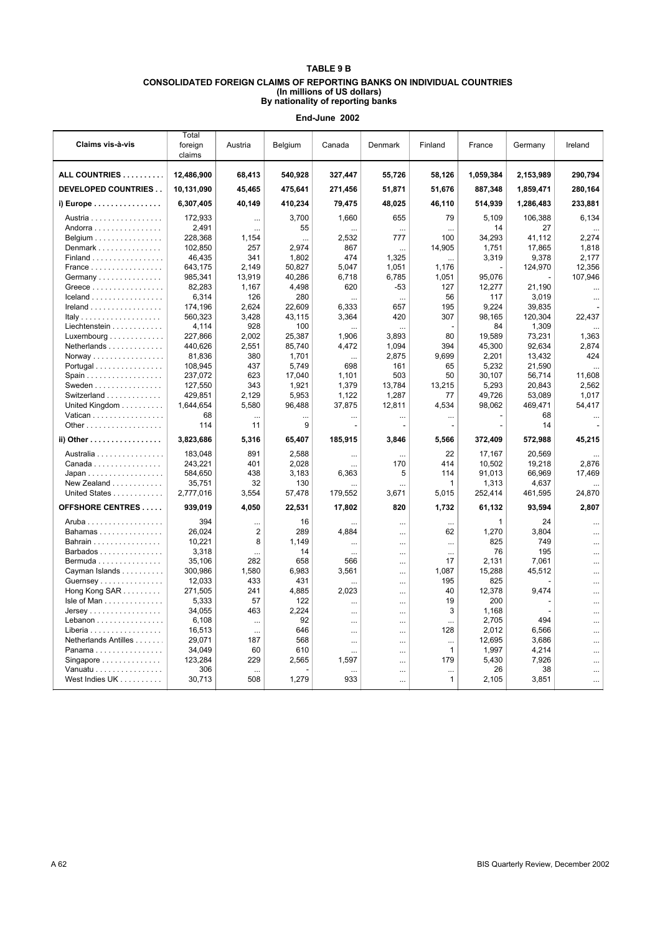| Claims vis-à-vis                             | Total<br>foreign<br>claims | Austria         | Belgium        | Canada          | Denmark               | Finland      | France           | Germany          | Ireland         |
|----------------------------------------------|----------------------------|-----------------|----------------|-----------------|-----------------------|--------------|------------------|------------------|-----------------|
| ALL COUNTRIES                                | 12,486,900                 | 68,413          | 540,928        | 327,447         | 55,726                | 58,126       | 1,059,384        | 2,153,989        | 290,794         |
| <b>DEVELOPED COUNTRIES</b>                   | 10,131,090                 | 45,465          | 475,641        | 271,456         | 51,871                | 51,676       | 887,348          | 1,859,471        | 280,164         |
| $i)$ Europe                                  | 6,307,405                  | 40,149          | 410,234        | 79,475          | 48,025                | 46,110       | 514,939          | 1,286,483        | 233,881         |
| Austria                                      | 172,933                    | $\cdots$        | 3,700          | 1.660           | 655                   | 79           | 5.109            | 106,388          | 6.134           |
| Andorra                                      | 2,491                      | $\cdots$        | 55             |                 | $\cdots$              | $\ddotsc$    | 14               | 27               | $\cdots$        |
| Belgium                                      | 228,368                    | 1,154           |                | 2,532           | 777                   | 100          | 34,293           | 41,112           | 2,274           |
| Denmark                                      | 102,850                    | 257             | 2,974          | 867             | $\cdots$              | 14,905       | 1,751            | 17,865           | 1,818           |
| Finland                                      | 46,435                     | 341             | 1,802          | 474             | 1,325                 |              | 3,319            | 9,378            | 2,177           |
| France                                       | 643,175                    | 2,149           | 50,827         | 5,047           | 1,051                 | 1,176        |                  | 124,970          | 12,356          |
| Germany                                      | 985,341                    | 13,919          | 40,286         | 6.718           | 6,785                 | 1,051        | 95,076           |                  | 107,946         |
| Greece                                       | 82,283                     | 1,167           | 4,498          | 620             | $-53$                 | 127          | 12,277           | 21,190           | $\cdots$        |
| $lceland \ldots \ldots \ldots \ldots \ldots$ | 6,314                      | 126             | 280            |                 |                       | 56           | 117              | 3,019            | $\cdots$        |
| $I$ reland                                   | 174,196                    | 2,624           | 22,609         | 6,333           | 657                   | 195          | 9,224            | 39,835           |                 |
| Italy                                        | 560,323                    | 3,428           | 43,115         | 3,364           | 420                   | 307          | 98,165           | 120,304          | 22,437          |
| Liechtenstein                                | 4,114                      | 928             | 100            |                 | $\ddotsc$             |              | 84               | 1,309            |                 |
| Luxembourg $\dots\dots\dots\dots\dots$       | 227,866                    | 2,002           | 25,387         | 1,906           | 3,893                 | 80           | 19,589           | 73,231           | 1,363           |
| Netherlands                                  | 440,626                    | 2,551           | 85,740         | 4,472           | 1,094                 | 394          | 45,300           | 92,634           | 2,874           |
| $Normay \dots \dots \dots \dots \dots \dots$ | 81,836                     | 380             | 1,701          | $\ddotsc$       | 2,875                 | 9,699        | 2,201            | 13,432           | 424             |
| Portugal                                     | 108,945                    | 437             | 5,749          | 698             | 161<br>503            | 65           | 5,232            | 21,590           |                 |
| Spain                                        | 237,072                    | 623             | 17,040         | 1,101           |                       | 50           | 30,107           | 56,714           | 11,608          |
| Sweden                                       | 127,550                    | 343<br>2.129    | 1,921<br>5,953 | 1,379           | 13,784<br>1,287       | 13,215<br>77 | 5,293            | 20,843<br>53,089 | 2,562           |
| Switzerland<br>United Kingdom                | 429,851<br>1,644,654       | 5,580           | 96,488         | 1,122<br>37,875 | 12,811                | 4,534        | 49,726<br>98,062 | 469,471          | 1,017<br>54,417 |
| Vatican                                      | 68                         |                 |                |                 |                       |              |                  | 68               |                 |
|                                              | 114                        | $\cdots$<br>11  | <br>9          | $\cdots$        | $\cdots$              |              |                  | 14               | $\cdots$        |
|                                              |                            |                 |                |                 |                       |              |                  |                  |                 |
| ii) Other                                    | 3,823,686                  | 5,316           | 65,407         | 185,915         | 3,846                 | 5,566        | 372,409          | 572,988          | 45,215          |
| Australia                                    | 183,048                    | 891             | 2,588          | $\cdots$        | $\cdots$              | 22           | 17,167           | 20,569           |                 |
| Canada                                       | 243,221                    | 401             | 2,028          |                 | 170                   | 414          | 10,502           | 19,218           | 2.876           |
| Japan                                        | 584,650                    | 438             | 3,183          | 6,363           | 5                     | 114          | 91,013           | 66,969           | 17,469          |
| New Zealand                                  | 35,751                     | 32              | 130            |                 |                       | 1            | 1,313            | 4,637            |                 |
| United States                                | 2,777,016                  | 3,554           | 57,478         | 179,552         | 3,671                 | 5,015        | 252,414          | 461,595          | 24,870          |
| <b>OFFSHORE CENTRES</b>                      | 939,019                    | 4,050           | 22,531         | 17,802          | 820                   | 1,732        | 61,132           | 93,594           | 2,807           |
| Aruba                                        | 394                        |                 | 16             |                 | $\cdots$              | $\cdots$     | 1                | 24               | $\cdots$        |
| Bahamas                                      | 26,024                     | 2               | 289            | 4,884           | $\cdots$              | 62           | 1,270            | 3,804            | $\cdots$        |
| Bahrain                                      | 10,221                     | 8               | 1,149          | $\ddotsc$       | $\cdots$              |              | 825              | 749              | $\cdots$        |
| Barbados                                     | 3,318                      |                 | 14             | $\ddotsc$       | $\cdots$              | $\ddotsc$    | 76               | 195              | $\cdots$        |
| Bermuda                                      | 35,106                     | 282             | 658            | 566             | $\cdots$              | 17           | 2,131            | 7,061            | $\cdots$        |
| Cayman Islands                               | 300,986                    | 1,580           | 6,983          | 3,561           | $\ddotsc$             | 1,087        | 15,288           | 45,512           | $\ddotsc$       |
| Guernsey                                     | 12,033                     | 433             | 431            |                 | $\cdots$              | 195          | 825              |                  |                 |
| Hong Kong SAR                                | 271,505                    | 241             | 4,885          | 2,023           | $\cdots$              | 40           | 12,378           | 9,474            | $\cdots$        |
| Isle of Man                                  | 5,333                      | 57              | 122            | $\cdots$        | $\cdots$              | 19           | 200              |                  | $\cdots$        |
| $Jersey \ldots \ldots \ldots$                | 34,055                     | 463             | 2.224          | $\cdots$        | $\cdots$              | 3            | 1.168            | 494              | $\cdots$        |
| Lebanon<br>Liberia                           | 6,108<br>16,513            |                 | 92<br>646      | $\cdots$        | $\cdots$              | 128          | 2,705<br>2,012   | 6,566            | $\cdots$        |
| Netherlands Antilles                         | 29,071                     | $\cdots$<br>187 | 568            | $\cdots$        | $\cdots$              |              | 12,695           | 3,686            | $\cdots$        |
| Panama                                       | 34,049                     | 60              | 610            | $\cdots$        | $\cdots$              | <br>1        | 1,997            | 4,214            |                 |
| Singapore                                    | 123,284                    | 229             | 2,565          | 1,597           | $\cdots$<br>$\ddotsc$ | 179          | 5,430            | 7,926            | $\cdots$        |
| Vanuatu                                      | 306                        | $\ddotsc$       |                | $\ddotsc$       | $\cdots$              |              | 26               | 38               | <br>            |
| West Indies $UK$                             | 30,713                     | 508             | 1,279          | 933             | $\ddotsc$             | 1            | 2.105            | 3,851            | $\cdots$        |
|                                              |                            |                 |                |                 |                       |              |                  |                  |                 |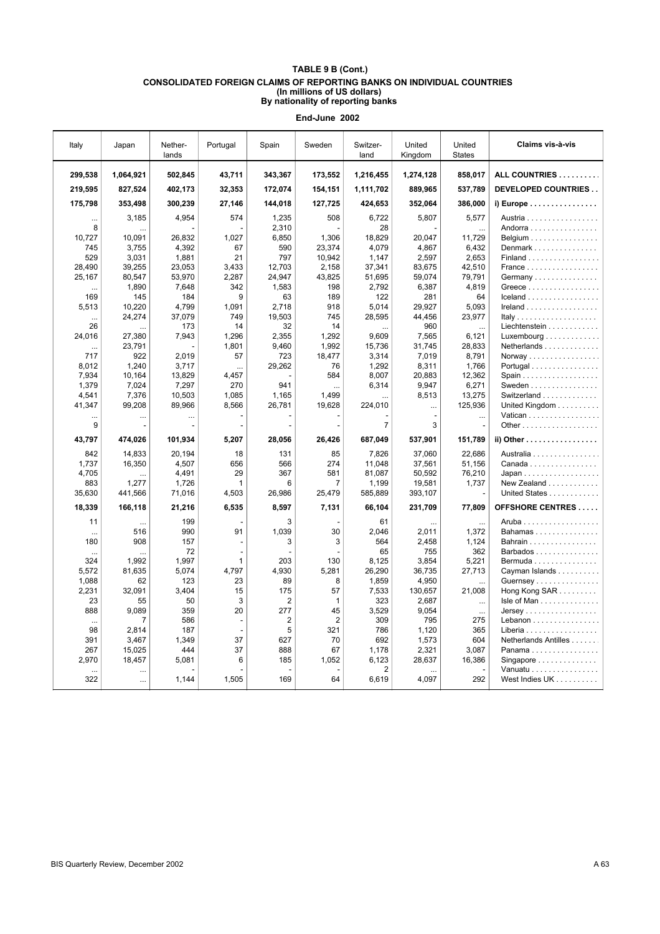| Italy          | Japan          | Nether-<br>lands | Portugal     | Spain          | Sweden         | Switzer-<br>land | United<br>Kingdom | United<br><b>States</b> | Claims vis-à-vis                        |
|----------------|----------------|------------------|--------------|----------------|----------------|------------------|-------------------|-------------------------|-----------------------------------------|
| 299.538        | 1,064,921      | 502,845          | 43.711       | 343,367        | 173,552        | 1,216,455        | 1,274,128         | 858,017                 | ALL COUNTRIES                           |
| 219,595        | 827,524        | 402,173          | 32,353       | 172,074        | 154,151        | 1,111,702        | 889,965           | 537,789                 | <b>DEVELOPED COUNTRIES</b>              |
| 175,798        | 353,498        | 300,239          | 27,146       | 144,018        | 127,725        | 424,653          | 352,064           | 386,000                 | i) Europe                               |
|                |                |                  |              |                |                |                  |                   |                         |                                         |
|                | 3,185          | 4,954            | 574          | 1,235          | 508            | 6,722            | 5,807             | 5,577                   | Austria                                 |
| 8<br>10,727    | 10,091         | 26,832           | 1,027        | 2,310<br>6,850 | 1,306          | 28<br>18,829     | 20,047            | 11,729                  | Andorra<br>Belgium                      |
| 745            | 3.755          | 4,392            | 67           | 590            | 23.374         | 4,079            | 4,867             | 6.432                   | Denmark                                 |
| 529            | 3,031          | 1,881            | 21           | 797            | 10,942         | 1,147            | 2,597             | 2,653                   | Finland                                 |
| 28,490         | 39,255         | 23,053           | 3,433        | 12,703         | 2,158          | 37,341           | 83,675            | 42,510                  | France                                  |
| 25,167         | 80,547         | 53,970           | 2.287        | 24,947         | 43,825         | 51,695           | 59,074            | 79,791                  | Germany                                 |
|                | 1,890          | 7,648            | 342          | 1,583          | 198            | 2,792            | 6,387             | 4,819                   | Greece                                  |
| 169            | 145            | 184              | 9            | 63             | 189            | 122              | 281               | 64                      |                                         |
| 5.513          | 10,220         | 4.799            | 1,091        | 2,718          | 918            | 5.014            | 29.927            | 5.093                   | $I$ reland                              |
|                | 24,274         | 37,079           | 749          | 19,503         | 745            | 28,595           | 44,456            | 23,977                  |                                         |
| 26             | $\ddotsc$      | 173              | 14           | 32             | 14             | $\ddotsc$        | 960               | $\cdots$                | Liechtenstein                           |
| 24,016         | 27,380         | 7,943            | 1,296        | 2,355          | 1,292          | 9,609            | 7,565             | 6,121                   | Luxembourg                              |
|                | 23,791         |                  | 1,801        | 9,460          | 1,992          | 15,736           | 31,745            | 28,833                  | Netherlands                             |
| 717            | 922            | 2,019            | 57           | 723            | 18,477         | 3,314            | 7,019             | 8,791                   | Norway                                  |
| 8,012          | 1,240          | 3,717            | $\cdots$     | 29,262         | 76             | 1,292            | 8,311             | 1,766                   | Portugal                                |
| 7,934          | 10,164         | 13,829           | 4.457        |                | 584            | 8,007            | 20,883            | 12,362                  | Spain                                   |
| 1,379          | 7,024          | 7,297            | 270          | 941            | $\cdots$       | 6,314            | 9,947             | 6,271                   | Sweden                                  |
| 4,541          | 7,376          | 10,503           | 1,085        | 1,165          | 1,499          |                  | 8,513             | 13,275                  | Switzerland                             |
| 41,347         | 99,208         | 89,966           | 8,566        | 26,781         | 19,628         | 224,010          | $\ddotsc$         | 125,936                 | United Kingdom                          |
| .              |                | $\ddotsc$        |              |                |                |                  |                   | $\ddots$                | Vatican                                 |
| 9              |                |                  |              |                |                | 7                | 3                 |                         |                                         |
| 43,797         | 474,026        | 101,934          | 5,207        | 28,056         | 26,426         | 687,049          | 537,901           | 151,789                 | ii) Other                               |
| 842            | 14,833         | 20,194           | 18           | 131            | 85             | 7,826            | 37,060            | 22,686                  | Australia                               |
| 1,737          | 16,350         | 4,507            | 656          | 566            | 274            | 11,048           | 37,561            | 51,156                  | $Canada \ldots \ldots \ldots \ldots$    |
| 4,705          |                | 4,491            | 29           | 367            | 581            | 81,087           | 50,592            | 76,210                  | Japan                                   |
| 883            | 1,277          | 1,726            | $\mathbf{1}$ | 6              | $\overline{7}$ | 1,199            | 19.581            | 1.737                   | New Zealand                             |
| 35,630         | 441,566        | 71,016           | 4,503        | 26,986         | 25,479         | 585,889          | 393,107           |                         | United States                           |
| 18,339         | 166,118        | 21,216           | 6,535        | 8,597          | 7,131          | 66,104           | 231,709           | 77,809                  | <b>OFFSHORE CENTRES</b>                 |
|                |                |                  |              |                |                |                  |                   |                         |                                         |
| 11             |                | 199              |              | 3              |                | 61               |                   | $\ddotsc$               | Aruba                                   |
|                | 516            | 990              | 91           | 1,039          | 30             | 2,046            | 2,011             | 1,372                   | Bahamas                                 |
| 180            | 908            | 157              |              | 3              | 3              | 564              | 2,458             | 1,124                   | Bahrain                                 |
| $\ddotsc$      |                | 72               |              |                |                | 65               | 755               | 362                     | Barbados                                |
| 324            | 1,992          | 1,997            | $\mathbf{1}$ | 203            | 130            | 8,125            | 3,854             | 5,221                   | Bermuda                                 |
| 5,572<br>1,088 | 81,635<br>62   | 5,074<br>123     | 4,797<br>23  | 4,930<br>89    | 5,281<br>8     | 26,290<br>1,859  | 36,735<br>4,950   | 27,713                  | Cayman Islands                          |
| 2,231          | 32,091         | 3,404            | 15           | 175            | 57             | 7,533            | 130,657           | $\cdots$<br>21,008      | Guernsey<br>Hong Kong $SAR$             |
| 23             | 55             | 50               | 3            | $\overline{2}$ | $\mathbf{1}$   | 323              | 2,687             |                         | $Isle of Man$                           |
| 888            | 9,089          | 359              | 20           | 277            | 45             | 3,529            | 9,054             | $\cdots$<br>$\ldots$    | $Jersey \ldots \ldots \ldots$           |
| $\ddotsc$      | $\overline{7}$ | 586              |              | $\overline{2}$ | $\overline{2}$ | 309              | 795               | 275                     | Lebanon                                 |
| 98             | 2,814          | 187              |              | 5              | 321            | 786              | 1,120             | 365                     | Liberia                                 |
| 391            | 3,467          | 1,349            | 37           | 627            | 70             | 692              | 1,573             | 604                     | Netherlands Antilles                    |
| 267            | 15,025         | 444              | 37           | 888            | 67             | 1,178            | 2,321             | 3,087                   | Panama                                  |
| 2,970          | 18,457         | 5,081            | 6            | 185            | 1,052          | 6.123            | 28,637            | 16,386                  | $Singapore \ldots \ldots \ldots \ldots$ |
|                | $\ddotsc$      |                  |              |                |                | $\overline{2}$   |                   |                         | Vanuatu                                 |
| 322            | $\ddots$       | 1,144            | 1,505        | 169            | 64             | 6,619            | 4,097             | 292                     | West Indies UK                          |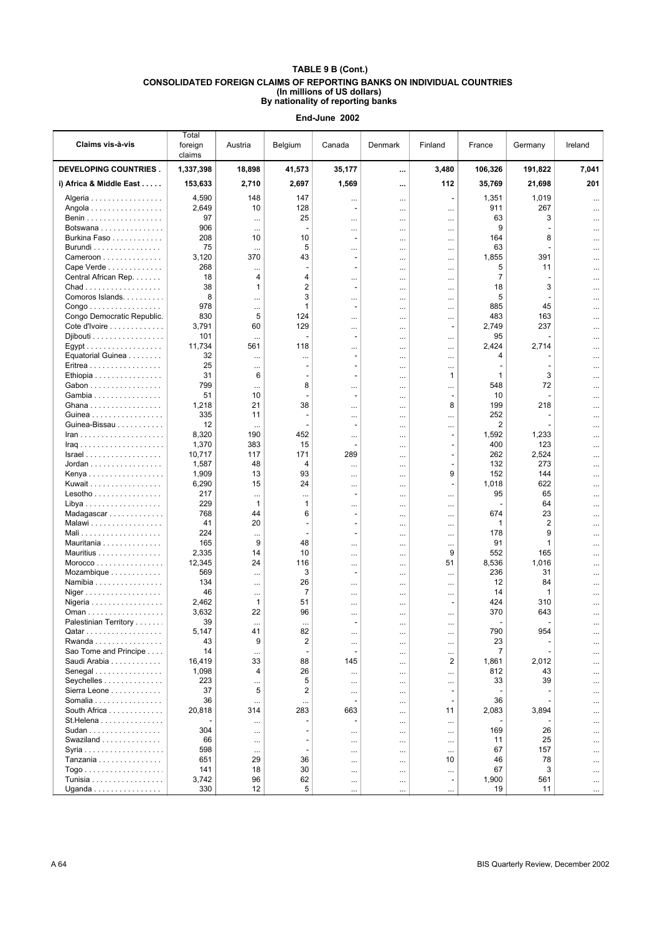| Claims vis-à-vis                                              | Total<br>foreign<br>claims | Austria         | Belgium                  | Canada                       | Denmark              | Finland              | France         | Germany      | Ireland       |
|---------------------------------------------------------------|----------------------------|-----------------|--------------------------|------------------------------|----------------------|----------------------|----------------|--------------|---------------|
| <b>DEVELOPING COUNTRIES.</b>                                  | 1,337,398                  | 18,898          | 41,573                   | 35,177                       |                      | 3,480                | 106,326        | 191,822      | 7,041         |
| i) Africa & Middle East                                       | 153,633                    | 2,710           | 2,697                    | 1,569                        |                      | 112                  | 35,769         | 21,698       | 201           |
| Algeria                                                       | 4,590                      | 148             | 147                      |                              |                      |                      | 1,351          | 1,019        | $\cdots$      |
| Angola                                                        | 2,649                      | 10              | 128                      |                              | $\cdots$             |                      | 911            | 267          |               |
| Benin                                                         | 97                         |                 | 25                       |                              |                      | $\cdots$             | 63             | 3            |               |
| Botswana                                                      | 906                        | $\cdots$        |                          |                              |                      | $\cdots$             | 9              |              |               |
| Burkina Faso                                                  | 208                        | 10              | 10                       | $\overline{a}$               | $\cdots$             | $\cdots$             | 164            | 8            | $\ddotsc$     |
| Burundi                                                       | 75<br>3,120                | $\ddots$<br>370 | 5<br>43                  | <br>٠                        |                      |                      | 63<br>1,855    | 391          |               |
| Cameroon<br>Cape Verde                                        | 268                        |                 | $\blacksquare$           | $\overline{a}$               | <br>$\cdots$         | <br>$\cdots$         | 5              | 11           | <br>          |
| Central African Rep.                                          | 18                         | 4               | 4                        |                              | $\cdots$             | $\cdots$             | 7              |              | $\cdots$      |
| Chad                                                          | 38                         | 1               | $\overline{2}$           | $\overline{a}$               | $\cdots$             | $\cdots$             | 18             | 3            |               |
| Comoros Islands.                                              | 8                          |                 | 3                        |                              |                      | $\cdots$             | 5              |              |               |
| $Congo \ldots \ldots \ldots \ldots \ldots$                    | 978                        |                 | 1                        | $\overline{a}$               |                      |                      | 885            | 45           |               |
| Congo Democratic Republic.                                    | 830                        | 5               | 124<br>129               |                              | $\cdots$             |                      | 483            | 163          |               |
| Cote d'Ivoire<br>Djibouti                                     | 3,791<br>101               | 60              |                          |                              | $\cdots$             | $\overline{a}$       | 2,749<br>95    | 237          |               |
| Egypt                                                         | 11,734                     | <br>561         | 118                      |                              | <br>                 | <br>$\cdots$         | 2,424          | 2,714        |               |
| Equatorial Guinea                                             | 32                         |                 | $\cdots$                 |                              | $\cdots$             | $\cdots$             | 4              |              | $\ddotsc$     |
| Eritrea                                                       | 25                         |                 |                          | -                            | $\cdots$             | $\ddotsc$            |                |              | $\ddotsc$     |
| Ethiopia                                                      | 31                         | 6               |                          | L,                           |                      | 1                    | 1              | 3            |               |
| Gabon                                                         | 799                        | $\cdots$        | 8                        |                              | $\cdots$             |                      | 548            | 72           |               |
| Gambia                                                        | 51                         | 10              |                          | $\overline{a}$               | $\cdots$             | $\overline{a}$       | 10             |              |               |
| Ghana<br>Guinea                                               | 1,218<br>335               | 21<br>11        | 38                       |                              | $\cdots$             | 8                    | 199<br>252     | 218          |               |
| Guinea-Bissau                                                 | 12                         | $\cdots$        |                          | <br>$\overline{\phantom{a}}$ | <br>                 | <br>                 | $\overline{2}$ |              | <br>          |
| $\mathsf{lran}\dots\dots\dots\dots\dots\dots\dots\dots$       | 8,320                      | 190             | 452                      |                              |                      | $\overline{a}$       | 1,592          | 1,233        |               |
|                                                               | 1,370                      | 383             | 15                       |                              | $\cdots$             | $\overline{a}$       | 400            | 123          | $\ddotsc$     |
| Israel                                                        | 10,717                     | 117             | 171                      | 289                          |                      |                      | 262            | 2,524        |               |
| Jordan                                                        | 1,587                      | 48              | 4                        |                              |                      |                      | 132            | 273          |               |
| Kenya                                                         | 1,909                      | 13              | 93<br>24                 |                              |                      | 9                    | 152            | 144          |               |
| Kuwait<br>$Lesotho \ldots \ldots \ldots$                      | 6,290<br>217               | 15              |                          | <br>$\overline{\phantom{a}}$ |                      | $\overline{a}$       | 1,018<br>95    | 622<br>65    |               |
| Libya                                                         | 229                        | <br>1           | $\cdots$<br>$\mathbf{1}$ |                              | $\cdots$<br>         | $\cdots$<br>$\cdots$ |                | 64           | $\ddotsc$<br> |
| Madagascar                                                    | 768                        | 44              | 6                        | ٠                            | $\cdots$             | $\cdots$             | 674            | 23           |               |
| Malawi                                                        | 41                         | 20              |                          | ٠                            | $\cdots$             | $\ddotsc$            | 1              | 2            |               |
| Mali                                                          | 224                        |                 |                          | $\overline{\phantom{a}}$     | $\cdots$             | $\cdots$             | 178            | 9            |               |
| Mauritania                                                    | 165                        | 9               | 48                       |                              |                      | $\cdots$             | 91             | 1            |               |
| Mauritius                                                     | 2,335<br>12,345            | 14<br>24        | 10<br>116                |                              |                      | 9<br>51              | 552<br>8,536   | 165<br>1,016 |               |
| $M$ orocco $\ldots \ldots \ldots \ldots \ldots$<br>Mozambique | 569                        | $\cdots$        | 3                        | <br>$\overline{\phantom{a}}$ | <br>                 | $\cdots$             | 236            | 31           |               |
| Namibia                                                       | 134                        |                 | 26                       |                              |                      | $\ddotsc$            | 12             | 84           |               |
| Niger                                                         | 46                         |                 | 7                        |                              | $\cdots$             | $\cdots$             | 14             | $\mathbf{1}$ |               |
| Nigeria $\ldots \ldots \ldots \ldots \ldots$                  | 2,462                      | 1               | 51                       |                              |                      | ٠                    | 424            | 310          |               |
| Oman                                                          | 3,632                      | 22              | 96                       |                              | $\cdots$             | $\cdots$             | 370            | 643          |               |
| Palestinian Territory                                         | 39                         | $\cdots$        | $\cdots$                 |                              | $\cdots$             | $\ddotsc$            |                |              | $\cdots$      |
| Qatar<br>Rwanda                                               | 5,147<br>43                | 41<br>9         | 82<br>$\overline{c}$     |                              |                      | $\cdots$             | 790<br>23      | 954          |               |
| Sao Tome and Principe                                         | 14                         | $\cdots$        |                          |                              | $\cdots$<br>$\cdots$ | $\cdots$<br>$\cdots$ | 7              |              | <br>$\cdots$  |
| Saudi Arabia                                                  | 16,419                     | 33              | 88                       | 145                          | $\cdots$             | 2                    | 1,861          | 2,012        | $\cdots$      |
| Senegal                                                       | 1,098                      | 4               | 26                       | $\cdots$                     | $\cdots$             |                      | 812            | 43           | $\cdots$      |
| Seychelles                                                    | 223                        |                 | 5                        | $\cdots$                     |                      |                      | 33             | 39           |               |
| Sierra Leone                                                  | 37                         | 5               | $\overline{2}$           |                              |                      | $\overline{a}$       |                |              |               |
| Somalia                                                       | 36                         | $\cdots$<br>314 | $\cdots$<br>283          | 663                          | $\cdots$             | 11                   | 36             |              |               |
| South Africa<br>St.Helena                                     | 20,818                     |                 |                          |                              | $\cdots$             |                      | 2,083          | 3,894        |               |
| Sudan                                                         | 304                        | $\cdots$<br>    |                          |                              | <br>$\cdots$         | <br>$\cdots$         | 169            | 26           | <br>$\cdots$  |
| Swaziland                                                     | 66                         |                 |                          |                              |                      | $\cdots$             | 11             | 25           |               |
|                                                               | 598                        |                 |                          |                              |                      | $\cdots$             | 67             | 157          | $\cdots$      |
| Tanzania                                                      | 651                        | 29              | 36                       |                              | $\cdots$             | 10                   | 46             | 78           |               |
|                                                               | 141                        | 18              | 30                       | $\cdots$                     |                      | $\cdots$             | 67             | 3            |               |
| Tunisia<br>Uganda                                             | 3,742<br>330               | 96<br>12        | 62<br>5                  |                              | $\cdots$             | $\overline{a}$       | 1,900<br>19    | 561<br>11    |               |
|                                                               |                            |                 |                          |                              | $\cdots$             | $\cdots$             |                |              | $\cdots$      |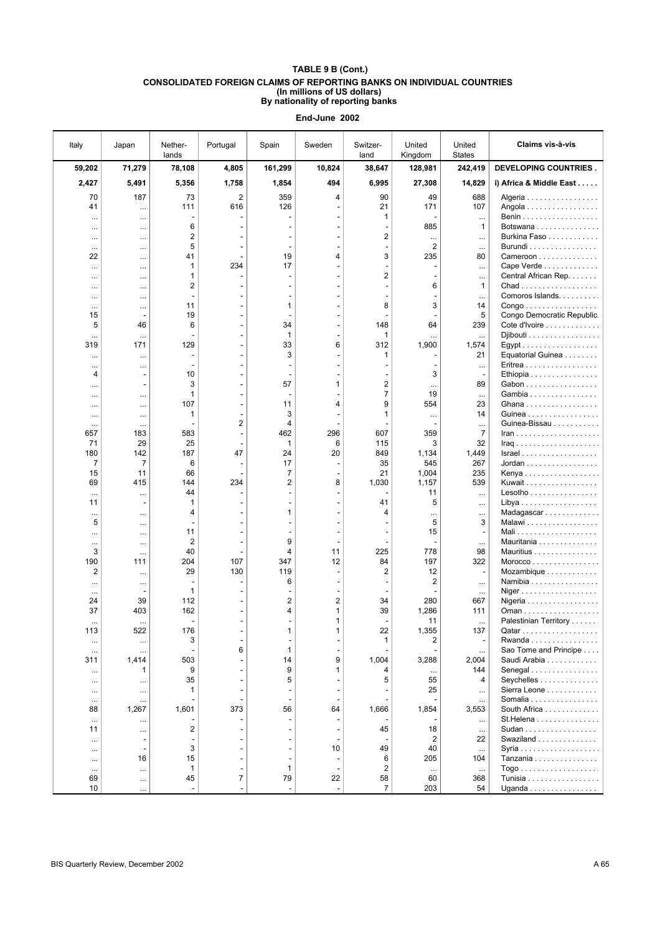| Italy                 | Japan                                | Nether-<br>lands                | Portugal   | Spain                | Sweden            | Switzer-<br>land | United<br>Kingdom             | United<br><b>States</b>              | Claims vis-à-vis                                      |
|-----------------------|--------------------------------------|---------------------------------|------------|----------------------|-------------------|------------------|-------------------------------|--------------------------------------|-------------------------------------------------------|
| 59,202                | 71,279                               | 78,108                          | 4,805      | 161,299              | 10,824            | 38,647           | 128,981                       | 242,419                              | <b>DEVELOPING COUNTRIES.</b>                          |
| 2,427                 | 5,491                                | 5,356                           | 1,758      | 1,854                | 494               | 6,995            | 27,308                        | 14,829                               | i) Africa & Middle East                               |
| 70                    | 187                                  | 73                              | 2          | 359                  | 4                 | 90               | 49                            | 688                                  | Algeria                                               |
| 41                    | $\cdots$                             | 111                             | 616        | 126                  |                   | 21               | 171                           | 107                                  | Angola                                                |
| $\cdots$              | $\cdots$                             |                                 |            |                      |                   | 1                |                               | $\ddotsc$                            |                                                       |
| $\ddotsc$<br>$\cdots$ | $\cdots$<br>$\cdots$                 | 6<br>2                          |            |                      |                   | 2                | 885<br>$\cdots$               | $\mathbf{1}$<br>$\cdots$             | Botswana<br>Burkina Faso                              |
| $\cdots$              | $\cdots$                             | $\overline{5}$                  |            |                      |                   |                  | $\overline{c}$                | $\cdots$                             | Burundi                                               |
| 22                    | $\cdots$                             | 41                              |            | 19                   | 4                 | 3                | 235                           | 80                                   | Cameroon                                              |
|                       | $\cdots$                             | 1<br>1                          | 234        | 17                   |                   | $\overline{c}$   |                               | $\cdots$                             | Cape Verde<br>Central African Rep.                    |
| <br>                  | $\cdots$<br>$\cdots$                 | 2                               |            |                      |                   |                  | 6                             | $\cdots$<br>1                        |                                                       |
|                       | $\cdots$                             |                                 |            |                      |                   |                  |                               | $\cdots$                             | Comoros Islands.                                      |
| $\cdots$              | $\cdots$                             | 11                              |            | $\mathbf{1}$         |                   | 8                | 3                             | 14                                   | $\mathsf{Congo}\dots\dots\dots\dots\dots\dots\quad$   |
| 15<br>5               | 46                                   | 19<br>6                         |            | 34                   |                   | 148              | 64                            | 5<br>239                             | Congo Democratic Republic.<br>Cote d'Ivoire           |
|                       | $\cdots$                             |                                 |            | $\mathbf{1}$         |                   | 1                |                               | $\cdots$                             | $Dijbouti$                                            |
| 319                   | 171                                  | 129                             |            | 33                   | 6                 | 312              | 1,900                         | 1,574                                | Egypt                                                 |
| $\cdots$              | $\cdots$                             |                                 |            | 3                    |                   | 1                |                               | 21                                   | Equatorial Guinea                                     |
| <br>4                 | $\cdots$<br>$\overline{\phantom{a}}$ | 10                              |            | ٠<br>٠               |                   |                  | $\overline{\phantom{a}}$<br>3 | $\cdots$<br>$\overline{\phantom{a}}$ | Eritrea<br>Ethiopia                                   |
|                       | $\overline{\phantom{a}}$             | 3                               |            | 57                   | 1                 | 2                | $\cdots$                      | 89                                   | Gabon                                                 |
|                       | $\cdots$                             | 1                               |            |                      |                   | 7                | 19                            | $\cdots$                             | Gambia                                                |
|                       | $\cdots$                             | 107                             |            | 11                   | 4                 | 9                | 554                           | 23                                   | Ghana                                                 |
|                       | $\cdots$                             | 1                               | 2          | 3<br>4               |                   | 1                |                               | 14                                   | Guinea<br>Guinea-Bissau                               |
| 657                   | $\cdots$<br>183                      | 583                             |            | 462                  | 296               | 607              | 359                           | <br>$\overline{7}$                   | $lran$                                                |
| 71                    | 29                                   | 25                              |            | $\mathbf{1}$         | 6                 | 115              | 3                             | 32                                   |                                                       |
| 180                   | 142                                  | 187                             | 47         | 24                   | 20                | 849              | 1,134                         | 1,449                                | $Israel$                                              |
| $\overline{7}$<br>15  | 7<br>11                              | 6<br>66                         |            | 17<br>$\overline{7}$ |                   | 35<br>21         | 545<br>1,004                  | 267<br>235                           | $Jordan \dots \dots \dots \dots \dots \dots$<br>Kenya |
| 69                    | 415                                  | 144                             | 234        | 2                    | 8                 | 1,030            | 1,157                         | 539                                  | Kuwait                                                |
| $\cdots$              | $\cdots$                             | 44                              |            |                      |                   |                  | 11                            | $\cdots$                             | $Lesotho \ldots \ldots \ldots$                        |
| 11                    | $\overline{a}$                       | 1                               |            |                      |                   | 41               | 5                             | $\cdots$                             | Libya                                                 |
| $\cdots$<br>5         | $\cdots$                             | 4                               |            | 1                    |                   | 4                | $\cdots$<br>5                 | $\cdots$<br>3                        | Madagascar<br>Malawi                                  |
|                       | $\cdots$<br>$\cdots$                 | 11                              |            |                      |                   |                  | 15                            | $\overline{a}$                       |                                                       |
|                       | $\cdots$                             | $\overline{2}$                  |            | 9                    |                   |                  |                               | $\cdots$                             | Mauritania                                            |
| 3                     | $\cdots$                             | 40                              |            | 4                    | 11                | 225              | 778                           | 98                                   | Mauritius                                             |
| 190<br>$\overline{2}$ | 111                                  | 204<br>29                       | 107<br>130 | 347<br>119           | 12                | 84<br>2          | 197<br>12                     | 322<br>$\overline{a}$                | Morocco<br>Mozambique                                 |
|                       | $\cdots$<br>$\cdots$                 |                                 |            | 6                    |                   |                  | 2                             | $\cdots$                             | Namibia                                               |
| $\cdots$              |                                      | 1                               |            |                      |                   |                  |                               | $\cdots$                             | Niger                                                 |
| 24                    | 39                                   | 112                             |            | 2                    | $\overline{2}$    | 34               | 280                           | 667                                  | Nigeria $\ldots \ldots \ldots \ldots \ldots$          |
| 37                    | 403                                  | 162<br>$\overline{\phantom{a}}$ |            | 4                    | 1<br>1            | 39               | 1,286<br>11                   | 111                                  | Palestinian Territory                                 |
| <br>113               | $\cdots$<br>522                      | 176                             |            |                      |                   | 22               | 1,355                         | $\cdots$<br>137                      | Qatar                                                 |
| $\cdots$              | $\cdots$                             | 3                               |            |                      |                   | 1                | 2                             | $\overline{\phantom{a}}$             | $Rwanda$                                              |
| $\cdots$              | $\cdots$                             |                                 | 6          | $\mathbf{1}$         |                   |                  |                               | $\cdots$                             | Sao Tome and Principe                                 |
| 311                   | 1,414                                | 503<br>9                        |            | 14<br>9              | 9<br>$\mathbf{1}$ | 1,004            | 3,288                         | 2,004                                | Saudi Arabia                                          |
| $\cdots$<br>          | 1<br>$\cdots$                        | 35                              |            | 5                    |                   | 4<br>5           | $\cdots$<br>55                | 144<br>4                             | Senegal<br>Seychelles                                 |
|                       | $\cdots$                             | 1                               |            |                      |                   |                  | 25                            | $\cdots$                             | Sierra Leone                                          |
| $\cdots$              | $\ldots$                             |                                 |            |                      |                   |                  |                               | $\cdots$                             | Somalia $\ldots$ , $\ldots$ , $\ldots$ , $\ldots$     |
| 88                    | 1,267                                | 1,601                           | 373        | 56                   | 64                | 1,666            | 1,854                         | 3,553                                | South Africa<br>St.Helena                             |
| $\cdots$<br>11        | $\ldots$<br>$\cdots$                 | 2                               |            |                      |                   | 45               | 18                            | $\cdots$<br>$\cdots$                 | Sudan                                                 |
| $\cdots$              | $\overline{\phantom{a}}$             |                                 |            |                      |                   |                  | 2                             | 22                                   | Swaziland                                             |
| $\cdots$              | $\overline{\phantom{a}}$             | 3                               |            |                      | 10                | 49               | 40                            | $\cdots$                             |                                                       |
| $\cdots$              | 16                                   | 15                              |            |                      |                   | 6                | 205                           | 104                                  | Tanzania                                              |
| $\cdots$<br>69        | $\ldots$<br>$\cdots$                 | $\mathbf{1}$<br>45              | 7          | $\mathbf{1}$<br>79   | 22                | 2<br>58          | $\cdots$<br>60                | $\cdots$<br>368                      | Tunisia                                               |
| 10                    | $\cdots$                             |                                 |            |                      |                   | $\overline{7}$   | 203                           | 54                                   | Uganda                                                |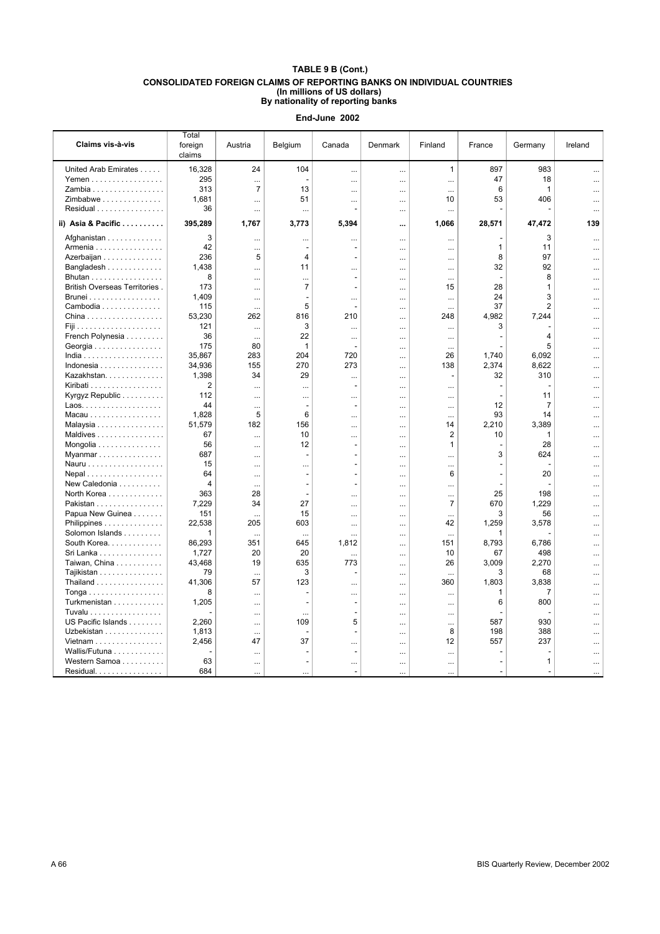| Claims vis-à-vis                           | Total<br>foreign<br>claims | Austria        | Belgium        | Canada         | Denmark   | Finland        | France | Germany        | Ireland   |
|--------------------------------------------|----------------------------|----------------|----------------|----------------|-----------|----------------|--------|----------------|-----------|
| United Arab Emirates                       | 16,328                     | 24             | 104            | $\ddotsc$      | $\cdots$  | $\mathbf{1}$   | 897    | 983            | $\cdots$  |
| Yemen                                      | 295                        |                |                | $\cdots$       | $\cdots$  |                | 47     | 18             |           |
| Zambia                                     | 313                        | $\overline{7}$ | 13             | $\cdots$       | $\cdots$  | $\cdots$       | 6      | 1              |           |
| Zimbabwe                                   | 1,681                      | $\cdots$       | 51             | $\cdots$       | $\ddotsc$ | 10             | 53     | 406            |           |
| Residual                                   | 36                         | $\cdots$       | $\cdots$       |                | $\cdots$  |                |        |                |           |
| ii) Asia & Pacific                         | 395,289                    | 1,767          | 3,773          | 5,394          |           | 1,066          | 28,571 | 47,472         | 139       |
| Afghanistan                                | 3                          |                |                | .              | $\cdots$  |                |        | 3              |           |
| Armenia                                    | 42                         | $\cdots$       |                | ä,             | $\cdots$  | $\cdots$       | 1      | 11             |           |
| Azerbaijan                                 | 236                        | 5              | 4              | $\overline{a}$ | $\cdots$  |                | 8      | 97             |           |
| Bangladesh                                 | 1,438                      |                | 11             | $\cdots$       | $\cdots$  |                | 32     | 92             |           |
| Bhutan                                     | 8                          |                |                | L,             | $\cdots$  |                |        | 8              | $\ddotsc$ |
| <b>British Overseas Territories.</b>       | 173                        |                | $\overline{7}$ | ÷,             | $\ddotsc$ | 15             | 28     | 1              |           |
| Brunei                                     | 1,409                      | $\cdots$       |                | $\cdots$       | $\cdots$  | $\cdots$       | 24     | 3              | $\ddotsc$ |
| Cambodia                                   | 115                        | $\ddots$       | 5              |                | $\cdots$  |                | 37     | $\overline{2}$ |           |
| $China \ldots \ldots \ldots \ldots \ldots$ | 53,230                     | 262            | 816            | 210            | $\cdots$  | 248            | 4,982  | 7,244          |           |
|                                            | 121                        | $\cdots$       | 3              | $\cdots$       | $\cdots$  |                | 3      |                |           |
| French Polynesia                           | 36                         | $\cdots$       | 22             |                | $\ddotsc$ | $\ddots$       |        | 4              |           |
| Georgia                                    | 175                        | 80             | $\mathbf{1}$   |                | $\cdots$  | $\cdots$       |        | 5              |           |
|                                            | 35,867                     | 283            | 204            | 720            | $\ddots$  | 26             | 1,740  | 6,092          |           |
| Indonesia                                  | 34,936                     | 155            | 270            | 273            | $\cdots$  | 138            | 2,374  | 8,622          | $\cdots$  |
| Kazakhstan.                                | 1,398                      | 34             | 29             |                | $\cdots$  |                | 32     | 310            |           |
| Kiribati                                   | 2                          | $\ddots$       | $\ddots$       | ä,             | $\cdots$  | $\ddots$       |        |                |           |
| Kyrgyz Republic                            | 112                        | $\cdots$       | $\cdots$       | $\ldots$       | $\cdots$  | $\cdots$       |        | 11             |           |
|                                            | 44                         |                |                | ÷,             | $\cdots$  | $\cdots$       | 12     | $\overline{7}$ |           |
| Macau                                      | 1,828                      | 5              | 6              | $\cdots$       | $\cdots$  | $\cdots$       | 93     | 14             | $\ddotsc$ |
| Malaysia                                   | 51,579                     | 182            | 156            |                | $\cdots$  | 14             | 2,210  | 3,389          |           |
| Maldives                                   | 67                         | $\ddotsc$      | 10             | $\cdots$       | $\cdots$  | 2              | 10     | 1              | $\cdots$  |
| Mongolia                                   | 56                         |                | 12             | $\overline{a}$ | $\cdots$  | 1              |        | 28             |           |
| Myanmar                                    | 687                        | $\ddotsc$      | $\overline{a}$ | ٠              | $\ddotsc$ | $\ddotsc$      | 3      | 624            |           |
| Nauru                                      | 15                         |                |                | $\overline{a}$ | $\cdots$  | $\sim$         |        |                |           |
| Nepal                                      | 64                         | $\cdots$       |                | L,             | $\ddotsc$ | 6              |        | 20             |           |
| New Caledonia                              | 4                          | $\cdots$       |                | L.             | $\cdots$  | .              |        |                |           |
| North Korea                                | 363                        | 28             |                |                | $\ddots$  |                | 25     | 198            |           |
| Pakistan                                   | 7,229                      | 34             | 27             | $\ddotsc$      | $\ddotsc$ | $\overline{7}$ | 670    | 1,229          | $\sim$    |
| Papua New Guinea                           | 151                        | $\ddots$       | 15             |                | $\cdots$  |                | 3      | 56             | $\ddotsc$ |
| Philippines                                | 22,538                     | 205            | 603            | $\cdots$       | $\cdots$  | 42             | 1,259  | 3,578          |           |
| Solomon Islands                            | 1                          | $\ddotsc$      | $\sim$         |                | $\ddotsc$ | $\ddotsc$      | 1      |                |           |
| South Korea.                               | 86.293                     | 351            | 645            | 1,812          | $\cdots$  | 151            | 8.793  | 6,786          |           |
| Sri Lanka                                  | 1,727                      | 20             | 20             | $\ddotsc$      | $\ddotsc$ | 10             | 67     | 498            | $\ddotsc$ |
| Taiwan, China                              | 43,468                     | 19             | 635            | 773            | $\ddots$  | 26             | 3,009  | 2,270          |           |
| Tajikistan                                 | 79                         | $\ddotsc$      | 3              |                | $\cdots$  | $\ddotsc$      | 3      | 68             | $\ddotsc$ |
| Thailand                                   | 41,306                     | 57             | 123            | $\cdots$       | $\cdots$  | 360            | 1,803  | 3,838          | $\ddotsc$ |
| Tonga                                      | 8                          | $\ddotsc$      |                | $\ddotsc$      | $\ddotsc$ | $\ddotsc$      | 1      | 7              |           |
| Turkmenistan                               | 1,205                      |                |                |                | $\ddotsc$ | $\cdots$       | 6      | 800            |           |
| Tuvalu                                     |                            |                | $\ddots$       |                | $\cdots$  |                |        |                |           |
| US Pacific Islands                         | 2,260                      | $\cdots$       | 109            | 5              | $\cdots$  | $\cdots$       | 587    | 930            |           |
| Uzbekistan                                 | 1,813                      |                |                | L,             | $\cdots$  | 8              | 198    | 388            |           |
| Vietnam                                    | 2,456                      | 47             | 37             | $\cdots$       | $\ldots$  | 12             | 557    | 237            | $\ddotsc$ |
| Wallis/Futuna                              |                            |                |                |                | $\cdots$  |                |        |                |           |
| Western Samoa                              | 63                         | $\cdots$       |                | $\cdots$       | $\cdots$  | $\ddotsc$      |        | 1              |           |
| Residual                                   | 684                        |                |                |                |           |                |        |                |           |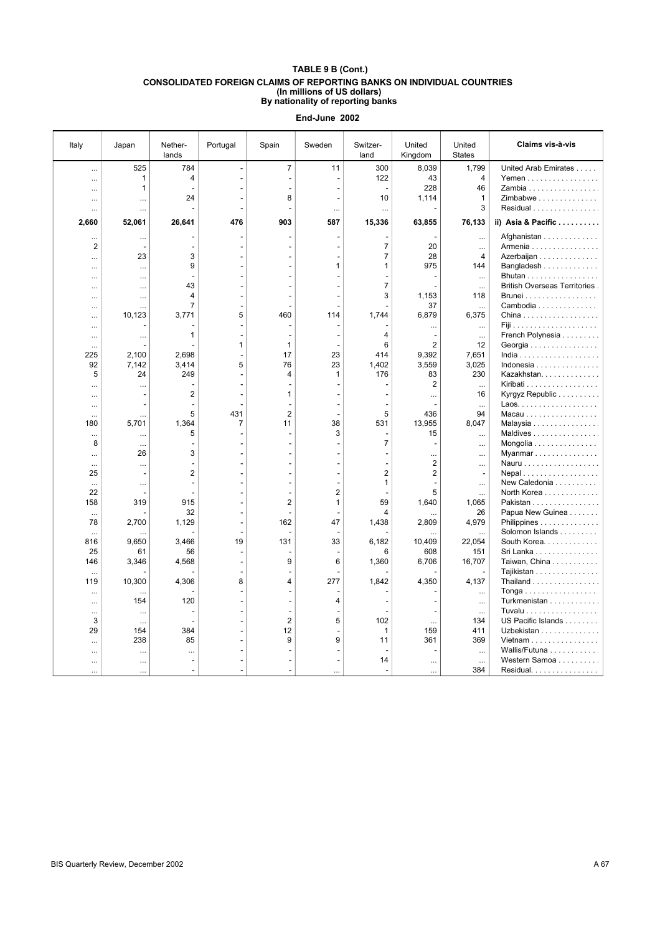| Italy          | Japan                    | Nether-<br>lands         | Portugal | Spain                    | Sweden         | Switzer-<br>land | United<br>Kingdom | United<br><b>States</b> | Claims vis-à-vis              |
|----------------|--------------------------|--------------------------|----------|--------------------------|----------------|------------------|-------------------|-------------------------|-------------------------------|
|                | 525                      | 784                      | ÷,       | $\overline{7}$           | 11             | 300              | 8,039             | 1,799                   | United Arab Emirates          |
| $\ddotsc$      | $\mathbf{1}$             | 4                        |          | ÷.                       |                | 122              | 43                | 4                       | Yemen                         |
|                | $\mathbf{1}$             |                          |          |                          |                |                  | 228               | 46                      | Zambia                        |
| $\ddotsc$      | $\cdots$                 | 24                       |          | 8                        |                | 10               | 1,114             | $\mathbf{1}$            | Zimbabwe                      |
|                | $\cdots$                 |                          |          |                          |                |                  |                   | 3                       | Residual                      |
|                |                          |                          |          |                          |                |                  |                   |                         |                               |
| 2,660          | 52,061                   | 26,641                   | 476      | 903                      | 587            | 15,336           | 63,855            | 76,133                  | ii) Asia & Pacific            |
|                | $\cdots$                 |                          |          |                          |                |                  |                   | $\cdots$                | Afghanistan                   |
| $\overline{2}$ | $\blacksquare$           | $\overline{\phantom{a}}$ |          |                          | ٠              | $\overline{7}$   | 20                | $\ldots$                | Armenia                       |
| $\ddotsc$      | 23                       | 3                        |          |                          |                | $\overline{7}$   | 28                | $\overline{4}$          | Azerbaijan                    |
| $\ddotsc$      | $\cdots$                 | 9                        |          |                          | 1              | 1                | 975               | 144                     | Bangladesh                    |
| .              | $\cdots$                 |                          |          |                          |                |                  |                   | $\cdots$                | Bhutan                        |
| $\ddotsc$      | $\cdots$                 | 43                       |          |                          |                | $\overline{7}$   |                   | $\cdots$                | British Overseas Territories. |
| $\ddotsc$      | $\cdots$                 | 4                        |          |                          |                | 3                | 1,153             | 118                     | Brunei                        |
|                | $\cdots$                 | $\overline{7}$           |          |                          |                |                  | 37                | $\cdots$                | Cambodia                      |
|                | 10,123                   | 3,771                    | 5        | 460                      | 114            | 1,744            | 6,879             | 6,375                   |                               |
| $\ddotsc$      |                          |                          |          |                          |                |                  |                   | $\cdots$                |                               |
|                | $\cdots$                 | $\mathbf{1}$             |          |                          |                | 4                |                   | $\ddots$                | French Polynesia              |
| $\cdots$       |                          |                          | 1        | $\mathbf{1}$             |                | 6                | $\overline{2}$    | 12                      | Georgia                       |
| 225            | 2.100                    | 2,698                    |          | 17                       | 23             | 414              | 9,392             | 7,651                   |                               |
| 92             | 7,142                    | 3,414                    | 5        | 76                       | 23             | 1,402            | 3,559             | 3,025                   | Indonesia                     |
| 5              | 24                       | 249                      |          | 4                        | 1              | 176              | 83                | 230                     | Kazakhstan                    |
|                |                          |                          |          |                          |                |                  | 2                 |                         | Kiribati                      |
|                | $\cdots$                 | $\overline{c}$           |          | $\mathbf{1}$             |                |                  |                   | $\cdots$<br>16          | Kyrgyz Republic               |
|                |                          |                          |          |                          |                |                  | $\cdots$          |                         |                               |
| $\ddotsc$      |                          | 5                        | 431      | $\overline{2}$           |                | 5                | 436               | $\ddots$<br>94          | Macau                         |
| <br>180        | $\cdots$<br>5,701        | 1,364                    | 7        | 11                       | 38             | 531              | 13,955            | 8,047                   |                               |
|                |                          | 5                        |          | $\overline{\phantom{a}}$ | 3              | $\overline{a}$   | 15                |                         | Malaysia                      |
| .              | $\cdots$                 |                          |          |                          |                | 7                |                   | $\cdots$                | Maldives                      |
| 8              | $\cdots$                 |                          |          |                          |                |                  |                   | $\cdots$                | Mongolia                      |
| $\ddotsc$      | 26                       | 3                        |          |                          |                |                  | $\cdots$          | $\cdots$                | Myanmar                       |
| $\cdots$       | $\cdots$                 |                          |          |                          |                |                  | 2                 | $\cdots$                | Nauru                         |
| 25             | $\overline{\phantom{a}}$ | $\overline{2}$           |          |                          |                | $\overline{2}$   | $\overline{2}$    | $\overline{a}$          | $Nepal$                       |
| $\ddotsc$      | $\cdots$                 | ÷,                       |          |                          |                | 1                |                   | $\ddots$                | New Caledonia                 |
| 22             |                          |                          |          |                          | $\overline{2}$ |                  | 5                 | $\cdots$                | North Korea                   |
| 158            | 319                      | 915                      |          | 2                        | $\mathbf{1}$   | 59               | 1,640             | 1,065                   | Pakistan                      |
| $\ddotsc$      |                          | 32                       |          |                          |                | 4                |                   | 26                      | Papua New Guinea              |
| 78             | 2,700                    | 1,129                    |          | 162                      | 47             | 1,438            | 2,809             | 4,979                   | Philippines                   |
|                |                          |                          |          |                          |                |                  |                   | $\ddotsc$               | Solomon Islands               |
| 816            | 9,650                    | 3,466                    | 19       | 131                      | 33             | 6,182            | 10,409            | 22,054                  | South Korea.                  |
| 25             | 61                       | 56                       |          |                          |                | 6                | 608               | 151                     | Sri Lanka                     |
| 146            | 3,346                    | 4,568                    |          | 9                        | 6              | 1,360            | 6,706             | 16,707                  | Taiwan, China                 |
| $\cdots$       |                          |                          |          |                          |                |                  |                   |                         | Tajikistan                    |
| 119            | 10,300                   | 4,306                    | 8        | $\overline{4}$           | 277            | 1,842            | 4,350             | 4,137                   | Thailand                      |
| $\ddotsc$      | $\cdots$                 |                          |          |                          |                |                  |                   | $\ddotsc$               | Tonga                         |
|                | 154                      | 120                      |          |                          | 4              |                  |                   | $\cdots$                | Turkmenistan                  |
| $\ddotsc$      | $\cdots$                 |                          |          |                          |                |                  |                   | $\ddotsc$               | Tuvalu                        |
| 3              | $\ddotsc$                |                          |          | $\overline{2}$           | 5              | 102              | $\cdots$          | 134                     | US Pacific Islands            |
| 29             | 154                      | 384                      |          | 12                       |                | 1                | 159               | 411                     | Uzbekistan                    |
|                | 238                      | 85                       |          | 9                        | 9              | 11               | 361               | 369                     | Vietnam                       |
|                | $\ddotsc$                | .                        |          |                          |                |                  |                   | $\cdots$                | Wallis/Futuna                 |
| $\ddotsc$      | $\cdots$                 |                          |          |                          |                | 14               |                   | $\ddots$                | Western Samoa                 |
|                |                          |                          |          |                          |                |                  |                   | 384                     | Residual                      |
|                |                          |                          |          |                          |                |                  |                   |                         |                               |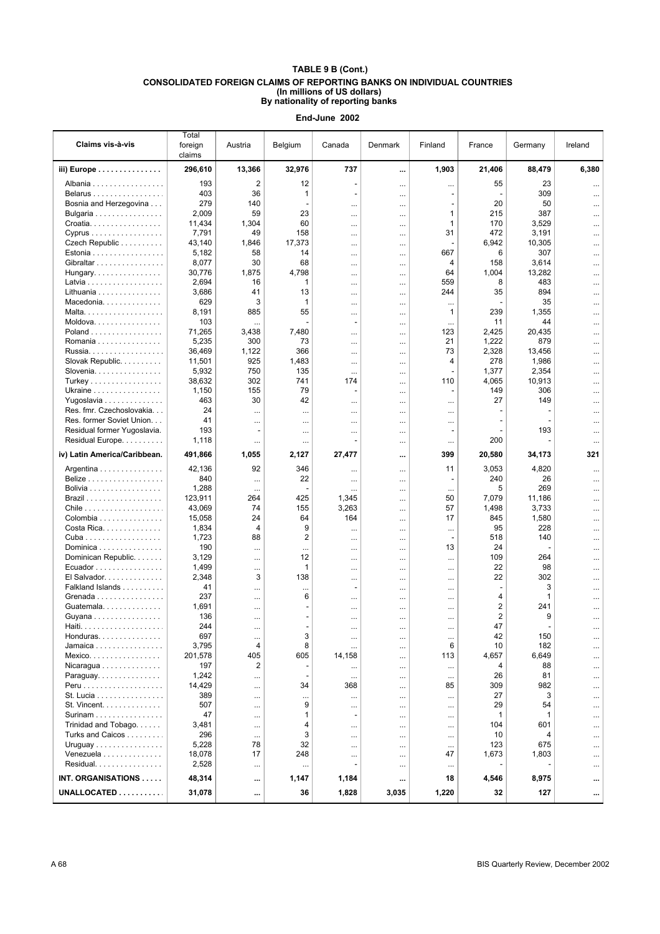| Claims vis-à-vis                             | Total<br>foreign<br>claims | Austria        | Belgium       | Canada                   | Denmark              | Finland        | France         | Germany      | Ireland      |
|----------------------------------------------|----------------------------|----------------|---------------|--------------------------|----------------------|----------------|----------------|--------------|--------------|
| iii) Europe                                  | 296,610                    | 13,366         | 32,976        | 737                      |                      | 1,903          | 21,406         | 88,479       | 6,380        |
| Albania                                      | 193                        | 2              | 12            | $\overline{\phantom{a}}$ | $\cdots$             |                | 55             | 23           | $\ddotsc$    |
| Belarus                                      | 403                        | 36             | 1             | $\overline{\phantom{a}}$ | $\cdots$             | $\overline{a}$ |                | 309          |              |
| Bosnia and Herzegovina                       | 279                        | 140            |               |                          | $\cdots$             |                | 20             | 50           |              |
| Bulgaria                                     | 2,009                      | 59             | 23            |                          | $\cdots$             | 1              | 215            | 387          |              |
| Croatia.                                     | 11,434                     | 1,304          | 60            |                          | $\cdots$             | 1              | 170            | 3,529        |              |
| $Cyprus \ldots \ldots \ldots \ldots \ldots$  | 7,791                      | 49             | 158           |                          |                      | 31             | 472            | 3,191        |              |
| Czech Republic                               | 43,140                     | 1,846          | 17,373        |                          | $\cdots$             |                | 6,942          | 10,305       |              |
| Estonia                                      | 5,182                      | 58             | 14            |                          | $\cdots$             | 667            | 6              | 307          |              |
| Gibraltar                                    | 8,077                      | 30             | 68            | $\cdots$                 | $\cdots$             | 4              | 158            | 3,614        |              |
| Hungary                                      | 30.776                     | 1,875          | 4,798         | $\cdots$                 | $\ddotsc$            | 64             | 1,004          | 13,282       | $\ddotsc$    |
| Latvia<br>Lithuania                          | 2,694<br>3,686             | 16<br>41       | 1<br>13       | $\cdots$                 | $\cdots$             | 559<br>244     | 8<br>35        | 483<br>894   | $\ddotsc$    |
| Macedonia                                    | 629                        | 3              | 1             | $\cdots$                 | $\cdots$             |                |                | 35           |              |
| Malta.                                       | 8,191                      | 885            | 55            | $\cdots$<br>$\cdots$     | $\cdots$<br>$\cdots$ | <br>1          | 239            | 1,355        | <br>         |
| Moldova.                                     | 103                        | $\cdots$       |               | $\overline{a}$           | $\cdots$             |                | 11             | 44           |              |
| Poland                                       | 71,265                     | 3,438          | 7,480         | $\cdots$                 |                      | 123            | 2,425          | 20,435       |              |
| Romania                                      | 5,235                      | 300            | 73            |                          |                      | 21             | 1,222          | 879          |              |
| Russia.                                      | 36,469                     | 1,122          | 366           | $\cdots$                 | $\cdots$             | 73             | 2,328          | 13,456       | $\cdots$     |
| Slovak Republic.                             | 11,501                     | 925            | 1,483         |                          |                      | 4              | 278            | 1,986        |              |
| Slovenia                                     | 5,932                      | 750            | 135           | $\cdots$                 | $\cdots$             |                | 1,377          | 2,354        |              |
| Turkey                                       | 38,632                     | 302            | 741           | 174                      | $\cdots$             | 110            | 4,065          | 10,913       |              |
| Ukraine                                      | 1,150                      | 155            | 79            | ٠                        | $\cdots$             |                | 149            | 306          |              |
| Yugoslavia                                   | 463                        | 30             | 42            | $\cdots$                 | $\cdots$             |                | 27             | 149          |              |
| Res. fmr. Czechoslovakia                     | 24                         | $\cdots$       | $\cdots$      | $\cdots$                 | $\cdots$             | $\cdots$       |                |              |              |
| Res. former Soviet Union.                    | 41                         | $\cdots$       | $\cdots$      | $\cdots$                 | $\cdots$             | $\cdots$       |                |              | $\ddotsc$    |
| Residual former Yugoslavia.                  | 193                        |                |               | $\cdots$                 | $\cdots$             | $\overline{a}$ |                | 193          | $\ddotsc$    |
| Residual Europe.                             | 1,118                      | $\cdots$       | $\cdots$      | ٠                        | $\cdots$             | $\ddotsc$      | 200            |              |              |
| iv) Latin America/Caribbean.                 | 491,866                    | 1,055          | 2,127         | 27,477                   |                      | 399            | 20,580         | 34,173       | 321          |
| Argentina                                    | 42,136                     | 92             | 346           | $\cdots$                 | $\cdots$             | 11             | 3,053          | 4,820        |              |
| Belize                                       | 840                        | $\cdots$       | 22            | $\cdots$                 | $\cdots$             |                | 240            | 26           | $\cdots$     |
| Bolivia                                      | 1,288                      | $\cdots$       |               | $\cdots$                 | $\cdots$             | $\ddotsc$      | 5              | 269          | $\ddotsc$    |
| Brazil                                       | 123,911                    | 264            | 425           | 1,345                    | $\cdots$             | 50             | 7,079          | 11,186       | $\cdots$     |
|                                              | 43,069                     | 74             | 155           | 3,263                    | $\cdots$             | 57             | 1,498          | 3,733        |              |
| Colombia                                     | 15,058                     | 24<br>4        | 64<br>9       | 164                      | $\cdots$             | 17             | 845            | 1,580<br>228 |              |
| Costa Rica.<br>Cuba                          | 1,834<br>1,723             | 88             | 2             |                          | $\cdots$             |                | 95<br>518      | 140          |              |
| Dominica                                     | 190                        |                | $\cdots$      | $\cdots$<br>$\cdots$     | $\cdots$<br>         | 13             | 24             |              | <br>         |
| Dominican Republic.                          | 3,129                      | $\cdots$       | 12            | $\cdots$                 | $\cdots$             | $\cdots$       | 109            | 264          |              |
| Ecuador                                      | 1,499                      |                | 1             |                          |                      |                | 22             | 98           |              |
| $El$ Salvador. $\ldots$ . $\ldots$           | 2,348                      | 3              | 138           |                          | $\cdots$             |                | 22             | 302          |              |
| Falkland Islands                             | 41                         |                | $\cdots$      | $\overline{a}$           | $\cdots$             | $\cdots$       |                | 3            | $\ddotsc$    |
| Grenada                                      | 237                        |                | 6             |                          | $\cdots$             |                | 4              | 1            |              |
| Guatemala.                                   | 1,691                      |                |               |                          | $\cdots$             | .              | 2              | 241          |              |
| Guyana                                       | 136                        | $\cdots$       |               | $\cdots$                 | $\cdots$             |                | $\overline{2}$ | 9            | $\cdots$     |
|                                              | 244                        |                |               |                          |                      |                | 47             |              |              |
| Honduras                                     | 697                        | $\cdots$       | 3             |                          |                      | $\cdots$       | 42             | 150          |              |
| Jamaica                                      | 3,795                      | $\overline{4}$ | 8             |                          | $\cdots$             | 6              | 10             | 182          |              |
| Mexico. $\ldots \ldots \ldots \ldots$        | 201,578                    | 405            | 605           | 14,158                   | $\cdots$             | 113            | 4,657          | 6,649        |              |
| Nicaragua                                    | 197                        | 2              |               |                          |                      | $\cdots$       | 4              | 88           |              |
| Paraguay                                     | 1,242<br>14,429            |                | 34            | <br>368                  | $\cdots$             | $\cdots$<br>85 | 26<br>309      | 81<br>982    | $\cdots$     |
| St. Lucia                                    | 389                        | $\cdots$       |               |                          |                      |                | 27             | 3            |              |
| $St.$ Vincent. $\ldots \ldots \ldots \ldots$ | 507                        | <br>$\cdots$   | $\cdots$<br>9 | <br>$\cdots$             | $\cdots$<br>$\cdots$ | <br>           | 29             | 54           |              |
| Surinam                                      | 47                         |                | 1             | $\overline{a}$           | $\cdots$             |                | 1              | 1            |              |
| Trinidad and Tobago.                         | 3,481                      | <br>$\cdots$   | 4             | $\cdots$                 | $\cdots$             | $\cdots$       | 104            | 601          | <br>$\cdots$ |
| Turks and Caicos                             | 296                        | $\cdots$       | 3             | $\cdots$                 | $\cdots$             | $\cdots$       | 10             | 4            |              |
| Uruguay                                      | 5,228                      | 78             | 32            | $\cdots$                 | $\cdots$             | $\cdots$       | 123            | 675          |              |
| Venezuela                                    | 18,078                     | 17             | 248           | $\cdots$                 | $\cdots$             | 47             | 1,673          | 1,803        |              |
| Residual                                     | 2,528                      | $\cdots$       | $\cdots$      | $\overline{a}$           | $\cdots$             |                |                |              |              |
| INT. ORGANISATIONS                           | 48,314                     |                | 1,147         | 1,184                    |                      | 18             | 4,546          | 8,975        |              |
| UNALLOCATED                                  | 31,078                     | $\cdots$       | 36            | 1,828                    | 3,035                | 1,220          | 32             | 127          |              |
|                                              |                            |                |               |                          |                      |                |                |              |              |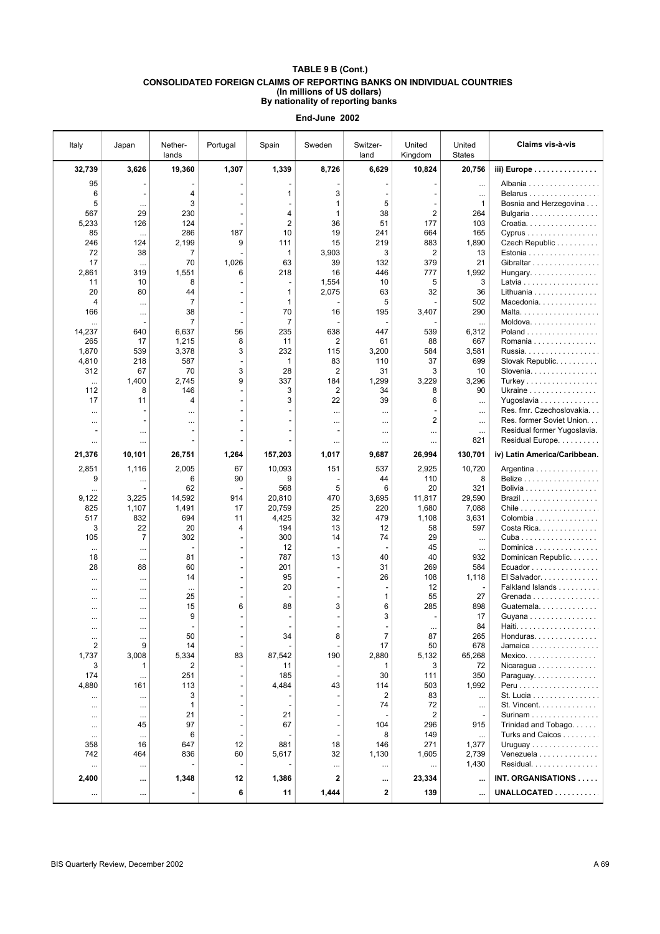| Italy                | Japan           | Nether-<br>lands | Portugal | Spain          | Sweden                   | Switzer-<br>land | United<br>Kingdom | United<br><b>States</b>    | Claims vis-à-vis                             |
|----------------------|-----------------|------------------|----------|----------------|--------------------------|------------------|-------------------|----------------------------|----------------------------------------------|
| 32,739               | 3,626           | 19,360           | 1,307    | 1,339          | 8,726                    | 6,629            | 10,824            | 20,756                     | iii) Europe                                  |
| 95                   |                 |                  |          |                |                          |                  |                   | $\cdots$                   | Albania                                      |
| 6                    |                 | 4                |          |                | 3                        |                  |                   | $\cdots$                   | Belarus                                      |
| 5                    | $\cdots$        | 3                |          |                | 1                        | 5                |                   | $\mathbf{1}$               | Bosnia and Herzegovina                       |
| 567                  | 29              | 230              |          | 4              | 1                        | 38               | $\overline{2}$    | 264                        | Bulgaria                                     |
| 5,233                | 126             | 124              |          | $\overline{2}$ | 36                       | 51               | 177               | 103                        | Croatia.                                     |
| 85                   | $\ddotsc$       | 286              | 187      | 10             | 19                       | 241              | 664               | 165                        | $Cyprus \ldots \ldots \ldots \ldots \ldots$  |
| 246                  | 124             | 2,199            | 9        | 111            | 15                       | 219              | 883               | 1,890                      | Czech Republic                               |
| 72<br>17             | 38              | 7<br>70          | 1,026    | 1<br>63        | 3,903<br>39              | 3<br>132         | 2<br>379          | 13<br>21                   | Estonia<br>Gibraltar                         |
| 2,861                | $\ldots$<br>319 | 1,551            | 6        | 218            | 16                       | 446              | 777               | 1,992                      | Hungary                                      |
| 11                   | 10              | 8                |          |                | 1,554                    | 10               | 5                 | 3                          | Latvia                                       |
| 20                   | 80              | 44               |          | $\mathbf{1}$   | 2,075                    | 63               | 32                | 36                         | Lithuania                                    |
| 4                    |                 | 7                |          | 1              |                          | 5                |                   | 502                        | Macedonia                                    |
| 166                  | $\cdots$        | 38               |          | 70             | 16                       | 195              | 3,407             | 290                        | Malta.                                       |
|                      |                 | $\overline{7}$   |          | 7              |                          |                  |                   | $\cdots$                   | Moldova.                                     |
| 14,237               | 640             | 6,637            | 56       | 235            | 638                      | 447              | 539               | 6,312                      | Poland                                       |
| 265                  | 17              | 1,215            | 8        | 11             | $\overline{2}$           | 61               | 88                | 667                        | Romania                                      |
| 1,870                | 539             | 3,378            | 3        | 232            | 115                      | 3,200            | 584               | 3,581                      | Russia.                                      |
| 4,810                | 218             | 587              |          | 1              | 83                       | 110              | 37                | 699                        | Slovak Republic.                             |
| 312                  | 67              | 70               | 3        | 28             | $\overline{2}$           | 31               | 3                 | 10                         | Slovenia                                     |
| $\cdots$             | 1,400           | 2,745            | 9        | 337            | 184                      | 1,299            | 3,229             | 3,296                      | Turkey                                       |
| 112                  | 8               | 146              |          | 3              | 2                        | 34               | 8                 | 90                         | Ukraine                                      |
| 17                   | 11              | 4                |          | 3              | 22                       | 39               | 6                 | $\cdots$                   | Yugoslavia                                   |
| $\cdots$             |                 |                  |          |                | $\cdots$                 | $\cdots$         |                   | $\cdots$                   | Res. fmr. Czechoslovakia                     |
|                      |                 |                  |          |                |                          |                  | $\overline{c}$    | $\ddots$                   | Res. former Soviet Union                     |
|                      |                 |                  |          |                |                          |                  |                   | $\cdots$                   | Residual former Yugoslavia.                  |
|                      |                 |                  |          |                |                          | $\ddotsc$        |                   | 821                        | Residual Europe.                             |
| 21,376               | 10,101          | 26,751           | 1,264    | 157,203        | 1,017                    | 9,687            | 26,994            | 130,701                    | iv) Latin America/Caribbean.                 |
| 2,851                | 1,116           | 2,005            | 67       | 10,093         | 151                      | 537              | 2,925             | 10,720                     | Argentina $\ldots \ldots \ldots \ldots$      |
| 9                    |                 | 6                | 90       | 9              |                          | 44               | 110               | 8                          |                                              |
|                      |                 | 62               |          | 568            | 5                        | 6                | 20                | 321                        | Bolivia                                      |
| 9,122                | 3,225           | 14,592           | 914      | 20,810         | 470                      | 3,695            | 11,817            | 29,590                     |                                              |
| 825                  | 1,107           | 1,491            | 17       | 20,759         | 25                       | 220              | 1,680             | 7,088                      |                                              |
| 517                  | 832             | 694              | 11       | 4,425          | 32                       | 479              | 1,108             | 3,631                      | Colombia                                     |
| 3                    | 22              | 20               | 4        | 194            | 13                       | 12               | 58                | 597                        | Costa Rica.                                  |
| 105                  | $\overline{7}$  | 302              |          | 300<br>12      | 14                       | 74               | 29<br>45          | $\cdots$                   |                                              |
| $\cdots$<br>18       |                 | 81               |          | 787            | 13                       | 40               | 40                | $\cdots$<br>932            | Dominica<br>Dominican Republic.              |
| 28                   | $\cdots$<br>88  | 60               |          | 201            |                          | 31               | 269               | 584                        | Ecuador                                      |
| $\cdots$             | $\cdots$        | 14               |          | 95             |                          | 26               | 108               | 1,118                      | El Salvador.                                 |
|                      |                 |                  |          | 20             |                          |                  | 12                |                            | Falkland Islands                             |
| $\cdots$             | $\ddotsc$       | 25               |          |                |                          | 1                | 55                | 27                         | Grenada                                      |
|                      |                 | 15               | 6        | 88             | 3                        | 6                | 285               | 898                        | Guatemala.                                   |
| $\cdots$             |                 | 9                |          |                |                          | 3                |                   | 17                         | Guyana                                       |
|                      |                 |                  |          |                |                          |                  |                   | 84                         |                                              |
|                      |                 | 50               |          | 34             | 8                        | 7                | 87                | 265                        | Honduras                                     |
| $\overline{2}$       | 9               | 14               |          |                |                          | 17               | 50                | 678                        | Jamaica                                      |
| 1,737                | 3,008           | 5,334            | 83       | 87,542         | 190                      | 2,880            | 5.132             | 65,268                     | $Mexico. \ldots \ldots \ldots \ldots \ldots$ |
| 3                    | 1               | 2                |          | 11             |                          | 1                | 3                 | 72                         | Nicaragua                                    |
| 174                  | $\cdots$        | 251              |          | 185            |                          | 30               | 111               | 350                        | Paraguay                                     |
| 4,880                | 161             | 113              |          | 4,484          | 43                       | 114              | 503               | 1.992                      |                                              |
| $\cdots$             | $\cdots$        | 3<br>1           |          |                | $\overline{\phantom{a}}$ | 2<br>74          | 83<br>72          | $\cdots$                   | St. Lucia<br>St. Vincent.                    |
| $\cdots$             | $\cdots$        | 21               |          | 21             |                          |                  | 2                 | $\cdots$<br>$\overline{a}$ | Surinam                                      |
| $\cdots$             | $\cdots$<br>45  | 97               |          | 67             | $\sim$                   | 104              | 296               | 915                        | Trinidad and Tobago                          |
| $\cdots$<br>$\cdots$ | $\cdots$        | 6                |          |                |                          | 8                | 149               | $\cdots$                   | Turks and Caicos                             |
| 358                  | 16              | 647              | 12       | 881            | 18                       | 146              | 271               | 1,377                      | Uruguay                                      |
| 742                  | 464             | 836              | 60       | 5,617          | 32                       | 1,130            | 1,605             | 2,739                      | Venezuela                                    |
| $\cdots$             | $\cdots$        |                  |          |                | $\cdots$                 | $\cdots$         | $\cdots$          | 1,430                      | Residual                                     |
| 2,400                |                 | 1,348            | 12       | 1,386          | $\mathbf{2}$             |                  | 23,334            | $\ddotsc$                  | INT. ORGANISATIONS                           |
|                      |                 |                  |          |                |                          |                  |                   |                            |                                              |
|                      |                 |                  | 6        | 11             | 1,444                    | $\mathbf{2}$     | 139               |                            | UNALLOCATED                                  |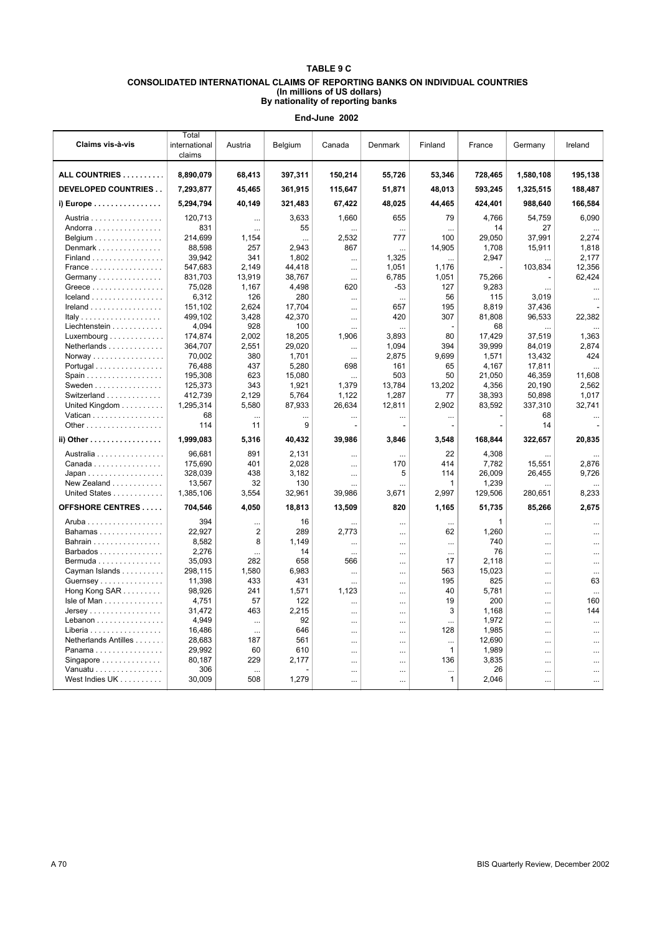# **TABLE 9 C CONSOLIDATED INTERNATIONAL CLAIMS OF REPORTING BANKS ON INDIVIDUAL COUNTRIES (In millions of US dollars) By nationality of reporting banks**

| Claims vis-à-vis                             | Total<br>international<br>claims | Austria         | Belgium         | Canada          | Denmark         | Finland      | France           | Germany           | Ireland         |
|----------------------------------------------|----------------------------------|-----------------|-----------------|-----------------|-----------------|--------------|------------------|-------------------|-----------------|
| ALL COUNTRIES                                | 8,890,079                        | 68,413          | 397,311         | 150,214         | 55,726          | 53,346       | 728,465          | 1,580,108         | 195,138         |
| <b>DEVELOPED COUNTRIES</b>                   | 7,293,877                        | 45,465          | 361,915         | 115,647         | 51,871          | 48,013       | 593,245          | 1,325,515         | 188,487         |
| $i)$ Europe $\dots\dots\dots\dots\dots\dots$ | 5,294,794                        | 40,149          | 321,483         | 67,422          | 48,025          | 44,465       | 424,401          | 988,640           | 166,584         |
| Austria                                      | 120,713                          | $\cdots$        | 3,633           | 1,660           | 655             | 79           | 4,766            | 54,759            | 6,090           |
| Andorra                                      | 831                              | $\ldots$        | 55              |                 | $\ddots$        | $\ddotsc$    | 14               | 27                |                 |
| Belgium                                      | 214,699                          | 1,154           |                 | 2,532           | 777             | 100          | 29,050           | 37,991            | 2,274           |
| Denmark                                      | 88,598                           | 257             | 2,943           | 867             | $\cdots$        | 14,905       | 1,708            | 15,911            | 1,818           |
| $Finaland$                                   | 39,942                           | 341             | 1,802           | $\cdots$        | 1,325           | $\ddotsc$    | 2,947            |                   | 2,177           |
| France                                       | 547,683                          | 2,149           | 44,418          | $\ddotsc$       | 1,051           | 1,176        |                  | 103,834           | 12,356          |
| Germany                                      | 831,703                          | 13,919          | 38,767          | $\ddotsc$       | 6,785           | 1,051        | 75,266           |                   | 62,424          |
| Greece                                       | 75,028                           | 1,167           | 4,498           | 620             | -53             | 127          | 9,283            |                   | $\cdots$        |
| Iceland                                      | 6,312                            | 126             | 280             | $\ddotsc$       | $\ddotsc$       | 56           | 115              | 3,019             |                 |
| $I$ reland                                   | 151,102                          | 2,624           | 17,704          | $\cdots$        | 657             | 195          | 8,819            | 37,436            |                 |
| Italy                                        | 499,102                          | 3,428           | 42,370          | $\cdots$        | 420             | 307          | 81,808           | 96,533            | 22,382          |
| Liechtenstein                                | 4,094                            | 928             | 100             |                 | $\ddotsc$       |              | 68               |                   |                 |
| Luxembourg                                   | 174,874                          | 2,002           | 18,205          | 1,906           | 3,893           | 80           | 17,429           | 37,519            | 1,363           |
| Netherlands                                  | 364,707                          | 2,551           | 29,020          | $\cdots$        | 1,094           | 394          | 39,999           | 84,019            | 2,874           |
| $Normay \dots \dots \dots \dots \dots$       | 70.002                           | 380             | 1.701           | $\ddotsc$       | 2,875           | 9.699        | 1,571            | 13,432            | 424             |
| Portugal                                     | 76,488                           | 437             | 5,280           | 698             | 161             | 65           | 4,167            | 17,811            |                 |
| Spain                                        | 195,308                          | 623             | 15,080          |                 | 503             | 50           | 21,050           | 46,359            | 11.608          |
|                                              | 125,373                          | 343             | 1,921           | 1,379           | 13,784          | 13,202       | 4,356            | 20,190            | 2,562           |
| Switzerland                                  | 412.739<br>1,295,314             | 2.129<br>5,580  | 5.764<br>87,933 | 1,122<br>26,634 | 1.287<br>12,811 | 77<br>2,902  | 38,393<br>83,592 | 50,898<br>337,310 | 1.017<br>32,741 |
| United Kingdom                               | 68                               |                 |                 |                 |                 |              |                  | 68                |                 |
| Vatican                                      | 114                              | $\ddotsc$<br>11 | <br>9           | $\cdots$        | $\cdots$        |              |                  | 14                | $\ddotsc$       |
|                                              |                                  |                 |                 |                 |                 |              |                  |                   |                 |
| ii) Other                                    | 1,999,083                        | 5,316           | 40,432          | 39,986          | 3,846           | 3,548        | 168,844          | 322,657           | 20,835          |
| Australia                                    | 96,681                           | 891             | 2,131           | $\ddotsc$       | $\ddotsc$       | 22           | 4,308            |                   |                 |
| Canada                                       | 175,690                          | 401             | 2,028           | $\cdots$        | 170             | 414          | 7,782            | 15,551            | 2,876           |
| $Japan \dots \dots \dots \dots \dots \dots$  | 328,039                          | 438             | 3,182           |                 | 5               | 114          | 26,009           | 26,455            | 9,726           |
| New Zealand                                  | 13,567                           | 32              | 130             |                 |                 | 1            | 1,239            |                   |                 |
| United States                                | 1,385,106                        | 3,554           | 32,961          | 39,986          | 3,671           | 2,997        | 129,506          | 280,651           | 8,233           |
| <b>OFFSHORE CENTRES</b>                      | 704,546                          | 4,050           | 18,813          | 13,509          | 820             | 1,165        | 51,735           | 85,266            | 2,675           |
| Aruba                                        | 394                              |                 | 16              |                 | $\cdots$        |              | 1                |                   | $\cdots$        |
| Bahamas                                      | 22,927                           | $\overline{2}$  | 289             | 2,773           |                 | 62           | 1,260            |                   | $\cdots$        |
| Bahrain                                      | 8,582                            | 8               | 1,149           | $\cdots$        | $\ddotsc$       |              | 740              | $\ddotsc$         | $\cdots$        |
| Barbados                                     | 2,276                            | $\ddotsc$       | 14              | $\ddotsc$       | $\ddotsc$       |              | 76               |                   |                 |
| Bermuda                                      | 35,093                           | 282             | 658             | 566             | $\ddotsc$       | 17           | 2,118            |                   | $\cdots$        |
| Cayman Islands                               | 298,115                          | 1,580           | 6,983           | $\ddotsc$       |                 | 563          | 15,023           |                   | $\cdots$        |
| Guernsey                                     | 11,398                           | 433             | 431             | $\ddotsc$       | $\cdots$        | 195          | 825              | .                 | 63              |
| Hong Kong SAR                                | 98,926                           | 241             | 1,571           | 1,123           |                 | 40           | 5,781            |                   | $\cdots$        |
| $Isle of Man \ldots \ldots$                  | 4,751                            | 57              | 122             | $\cdots$        |                 | 19           | 200              |                   | 160             |
| Jersey                                       | 31,472                           | 463             | 2,215           | $\ddotsc$       | $\ddotsc$       | 3            | 1,168            | $\ddotsc$         | 144             |
| Lebanon                                      | 4.949                            | $\ddotsc$       | 92              | $\cdots$        | $\cdots$        | $\ddotsc$    | 1,972            |                   | $\ddotsc$       |
| Liberia                                      | 16,486                           | $\ddotsc$       | 646             |                 |                 | 128          | 1,985            |                   |                 |
| Netherlands Antilles                         | 28,683                           | 187             | 561             | $\cdots$        | $\ddotsc$       |              | 12,690           |                   | $\cdots$        |
| Panama                                       | 29,992                           | 60              | 610             | $\cdots$        | $\ddotsc$       | $\mathbf{1}$ | 1,989            |                   | $\cdots$        |
| Singapore $\ldots \ldots \ldots \ldots$      | 80,187                           | 229             | 2,177           | $\cdots$        | $\ddotsc$       | 136          | 3,835            |                   | $\cdots$        |
| Vanuatu                                      | 306                              |                 |                 | $\ddotsc$       | $\cdots$        | .            | 26               | $\ddotsc$         | $\cdots$        |
| West Indies UK                               | 30,009                           | 508             | 1,279           | $\ddotsc$       | $\ddotsc$       | $\mathbf{1}$ | 2,046            | $\ddotsc$         | $\ddotsc$       |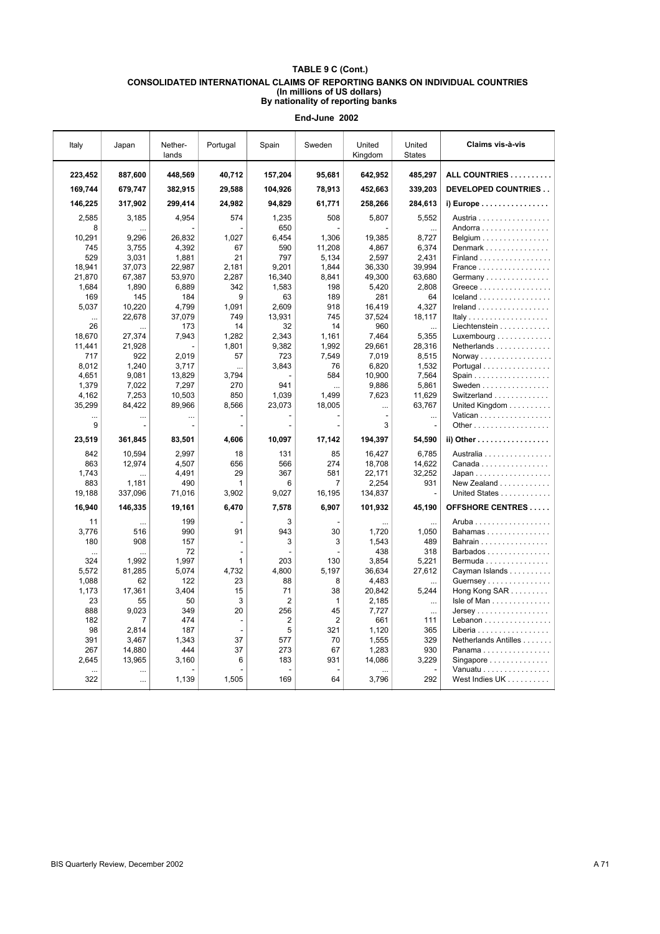| Italy     | Japan     | Nether-<br>lands | Portugal | Spain          | Sweden         | United<br>Kingdom | United<br><b>States</b> | Claims vis-à-vis       |
|-----------|-----------|------------------|----------|----------------|----------------|-------------------|-------------------------|------------------------|
| 223,452   | 887,600   | 448,569          | 40,712   | 157,204        | 95,681         | 642,952           | 485,297                 | ALL COUNTRIES          |
| 169.744   | 679.747   | 382,915          | 29,588   | 104,926        | 78.913         | 452,663           | 339,203                 | DEVELOPED COUNTRIES    |
| 146,225   | 317,902   | 299,414          | 24,982   | 94,829         | 61,771         | 258,266           | 284,613                 | i) Europe              |
| 2,585     | 3,185     | 4,954            | 574      | 1,235          | 508            | 5,807             | 5,552                   | Austria                |
| 8         |           |                  |          | 650            |                |                   | $\ddotsc$               | Andorra                |
| 10,291    | 9,296     | 26,832           | 1,027    | 6,454          | 1,306          | 19,385            | 8,727                   | Belgium                |
| 745       | 3,755     | 4,392            | 67       | 590            | 11,208         | 4,867             | 6,374                   | Denmark                |
| 529       | 3,031     | 1,881            | 21       | 797            | 5,134          | 2,597             | 2,431                   | Finland                |
| 18,941    | 37,073    | 22,987           | 2,181    | 9,201          | 1,844          | 36,330            | 39,994                  | France                 |
| 21,870    | 67,387    | 53,970           | 2,287    | 16,340         | 8,841          | 49,300            | 63,680                  | Germany                |
| 1,684     | 1,890     | 6,889            | 342      | 1,583          | 198            | 5,420             | 2,808                   | Greece                 |
| 169       | 145       | 184              | 9        | 63             | 189            | 281               | 64                      | Iceland                |
| 5.037     | 10,220    | 4.799            | 1.091    | 2,609          | 918            | 16,419            | 4.327                   | $I$ reland             |
|           | 22,678    | 37,079           | 749      | 13,931         | 745            | 37,524            | 18,117                  |                        |
| 26        | $\ddotsc$ | 173              | 14       | 32             | 14             | 960               |                         | Liechtenstein          |
| 18,670    | 27,374    | 7,943            | 1,282    | 2,343          | 1,161          | 7,464             | 5,355                   | Luxembourg             |
| 11,441    | 21,928    |                  | 1,801    | 9,382          | 1,992          | 29,661            | 28,316                  | Netherlands            |
| 717       | 922       | 2,019            | 57       | 723            | 7,549          | 7,019             | 8,515                   | Norway                 |
| 8,012     | 1,240     | 3,717            |          | 3,843          | 76             | 6,820             | 1,532                   | Portugal               |
| 4,651     | 9,081     | 13,829           | 3,794    |                | 584            | 10,900            | 7,564                   |                        |
| 1,379     | 7,022     | 7,297            | 270      | 941            | $\ddotsc$      | 9,886             | 5,861                   | Sweden                 |
| 4,162     | 7,253     | 10,503           | 850      | 1,039          | 1,499          | 7,623             | 11,629                  | Switzerland            |
| 35,299    | 84,422    | 89,966           | 8,566    | 23,073         | 18,005         | $\cdots$          | 63,767                  | United Kingdom         |
| $\ddotsc$ |           | $\cdots$         |          |                |                |                   |                         | Vatican                |
| 9         |           |                  |          |                |                | 3                 |                         | Other                  |
| 23,519    | 361,845   | 83,501           | 4,606    | 10,097         | 17,142         | 194,397           | 54,590                  | ii) Other              |
| 842       | 10,594    | 2,997            | 18       | 131            | 85             | 16,427            | 6,785                   | Australia              |
| 863       | 12,974    | 4,507            | 656      | 566            | 274            | 18,708            | 14,622                  | Canada                 |
| 1.743     |           | 4,491            | 29       | 367            | 581            | 22,171            | 32,252                  | Japan                  |
| 883       | 1,181     | 490              | 1        | 6              | 7              | 2,254             | 931                     | New Zealand            |
| 19,188    | 337,096   | 71,016           | 3,902    | 9,027          | 16,195         | 134,837           |                         | United States          |
| 16,940    | 146,335   | 19,161           | 6,470    | 7,578          | 6,907          | 101,932           | 45,190                  | OFFSHORE CENTRES       |
| 11        |           | 199              |          | 3              |                |                   |                         | Aruba                  |
| 3,776     | 516       | 990              | 91       | 943            | 30             | 1,720             | 1,050                   | Bahamas                |
| 180       | 908       | 157              |          | 3              | 3              | 1,543             | 489                     | Bahrain                |
| $\ddotsc$ |           | 72               |          |                |                | 438               | 318                     | Barbados               |
| 324       | 1,992     | 1,997            | 1        | 203            | 130            | 3.854             | 5.221                   | Bermuda                |
| 5,572     | 81,285    | 5,074            | 4,732    | 4,800          | 5,197          | 36,634            | 27,612                  | Cayman Islands         |
| 1,088     | 62        | 122              | 23       | 88             | 8              | 4,483             | $\ddotsc$               | Guernsey               |
| 1.173     | 17,361    | 3.404            | 15       | 71             | 38             | 20.842            | 5.244                   | Hong Kong SAR          |
| 23        | 55        | 50               | 3        | $\overline{2}$ | 1              | 2,185             | $\cdots$                | Isle of Man            |
| 888       | 9,023     | 349              | 20       | 256            | 45             | 7,727             | $\ddotsc$               | $Jersev \ldots \ldots$ |
| 182       | 7         | 474              |          | 2              | $\overline{2}$ | 661               | 111                     | Lebanon                |
| 98        | 2,814     | 187              |          | 5              | 321            | 1,120             | 365                     | Liberia                |
| 391       | 3,467     | 1,343            | 37       | 577            | 70             | 1,555             | 329                     | Netherlands Antilles   |
| 267       | 14,880    | 444              | 37       | 273            | 67             | 1,283             | 930                     | Panama                 |
| 2.645     | 13,965    | 3.160            | 6        | 183            | 931            | 14,086            | 3.229                   |                        |
|           |           |                  |          |                |                |                   |                         | Vanuatu                |
| 322       |           | 1,139            | 1,505    | 169            | 64             | 3,796             | 292                     | West Indies UK         |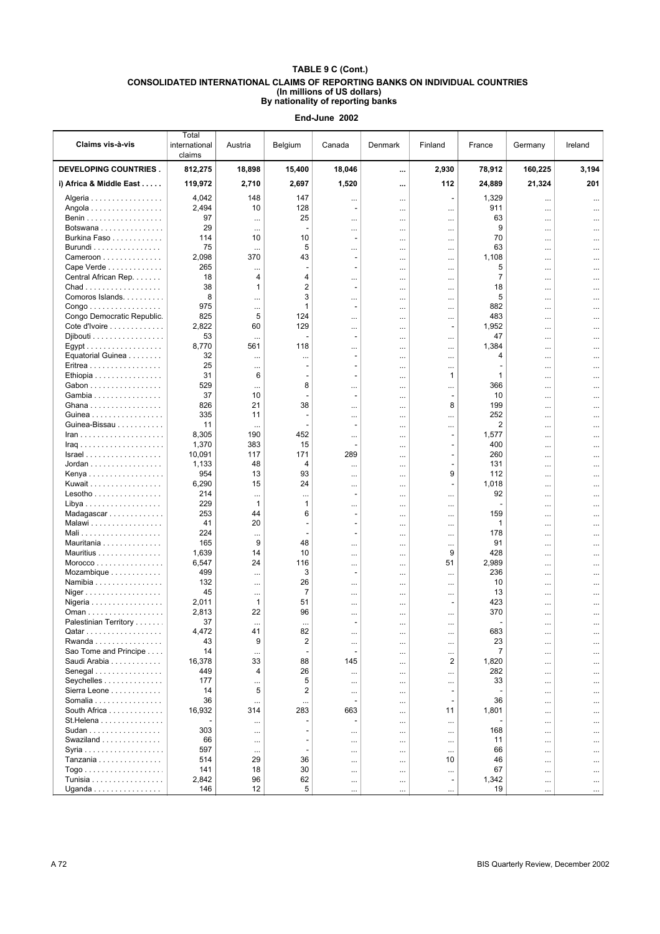|                                                         | Total         |                  |                          |                          |                      |                            |                |                      |           |
|---------------------------------------------------------|---------------|------------------|--------------------------|--------------------------|----------------------|----------------------------|----------------|----------------------|-----------|
| Claims vis-à-vis                                        | international | Austria          | Belgium                  | Canada                   | Denmark              | Finland                    | France         | Germany              | Ireland   |
|                                                         | claims        |                  |                          |                          |                      |                            |                |                      |           |
| DEVELOPING COUNTRIES.                                   | 812,275       | 18,898           | 15,400                   | 18,046                   |                      | 2,930                      | 78,912         | 160,225              | 3,194     |
| i) Africa & Middle East                                 | 119,972       | 2,710            | 2,697                    | 1,520                    |                      | 112                        | 24,889         | 21,324               | 201       |
|                                                         |               |                  |                          |                          |                      |                            |                |                      |           |
| Algeria                                                 | 4,042         | 148              | 147                      |                          |                      |                            | 1,329          | $\cdots$             | $\cdots$  |
| Angola                                                  | 2,494         | 10               | 128                      | ٠                        |                      |                            | 911            | $\cdots$             |           |
|                                                         | 97            | $\ldots$         | 25                       |                          | $\cdots$             |                            | 63             | $\ldots$             |           |
| Botswana                                                | 29            | $\cdots$         |                          |                          | $\cdots$             | $\cdots$                   | 9              | $\cdots$             |           |
| Burkina Faso                                            | 114           | 10               | 10                       | ۰                        | $\cdots$             | $\cdots$                   | 70             | $\cdots$             | $\ddotsc$ |
| Burundi                                                 | 75            | $\ddotsc$        | 5                        |                          | $\cdots$             | $\cdots$                   | 63             | $\cdots$             |           |
| Cameroon                                                | 2,098         | 370              | 43                       | ۰                        | $\cdots$             | $\cdots$                   | 1,108          | $\cdots$             |           |
| Cape Verde<br>Central African Rep.                      | 265<br>18     |                  | $\overline{\phantom{a}}$ | $\overline{\phantom{a}}$ |                      |                            | 5<br>7         |                      |           |
|                                                         | 38            | 4<br>1           | 4<br>$\overline{2}$      |                          | $\cdots$             | $\cdots$                   | 18             | $\cdots$             |           |
| Chad<br>Comoros Islands.                                | 8             |                  | 3                        | $\overline{\phantom{a}}$ | $\cdots$             |                            | 5              | $\cdots$             |           |
| $Congo \ldots \ldots \ldots \ldots \ldots$              | 975           |                  | 1                        | <br>$\overline{a}$       | $\cdots$             |                            | 882            |                      |           |
| Congo Democratic Republic.                              | 825           | <br>5            | 124                      |                          | $\cdots$             | $\cdots$                   | 483            |                      |           |
| Cote d'Ivoire                                           | 2,822         | 60               | 129                      |                          | $\cdots$<br>$\cdots$ |                            | 1,952          |                      | $\ddotsc$ |
| Djibouti                                                | 53            |                  |                          | <br>$\overline{a}$       |                      |                            | 47             | $\cdots$             |           |
| Egypt                                                   | 8,770         | $\ddotsc$<br>561 | 118                      |                          | <br>$\cdots$         | $\cdots$                   | 1,384          | <br>$\cdots$         | <br>      |
| Equatorial Guinea                                       | 32            | $\cdots$         | $\cdots$                 | <br>$\overline{a}$       |                      |                            | 4              | $\cdots$             |           |
| Eritrea                                                 | 25            |                  |                          | -                        | $\cdots$             |                            |                | $\cdots$             |           |
| Ethiopia                                                | 31            | 6                |                          | ٠                        |                      | 1                          | 1              | $\cdots$             |           |
| Gabon                                                   | 529           | $\cdots$         | 8                        |                          |                      |                            | 366            | $\cdots$             |           |
| Gambia                                                  | 37            | 10               |                          | $\overline{a}$           |                      | $\overline{a}$             | 10             | $\cdots$             |           |
| Ghana                                                   | 826           | 21               | 38                       |                          | $\cdots$             | 8                          | 199            | $\cdots$             |           |
| Guinea                                                  | 335           | 11               |                          |                          | $\cdots$             |                            | 252            |                      |           |
| Guinea-Bissau                                           | 11            | $\ddots$         |                          |                          |                      |                            | $\overline{2}$ | $\cdots$             |           |
| $\mathsf{lran}\dots\dots\dots\dots\dots\dots\dots\dots$ | 8,305         | 190              | 452                      |                          |                      |                            | 1,577          | $\cdots$             |           |
|                                                         | 1,370         | 383              | 15                       |                          |                      |                            | 400            | $\cdots$             |           |
| Israel                                                  | 10,091        | 117              | 171                      | 289                      | $\cdots$             |                            | 260            | $\cdots$             |           |
| Jordan                                                  | 1,133         | 48               | 4                        |                          |                      |                            | 131            | $\cdots$             |           |
| Kenya                                                   | 954           | 13               | 93                       |                          |                      | 9                          | 112            |                      |           |
| Kuwait                                                  | 6,290         | 15               | 24                       |                          | $\cdots$             | $\overline{a}$             | 1,018          | $\cdots$             |           |
| Lesotho                                                 | 214           | $\ddotsc$        | $\cdots$                 | $\overline{\phantom{a}}$ | $\cdots$             | $\cdots$                   | 92             | $\cdots$             |           |
| Libya                                                   | 229           | 1                | 1                        |                          | $\cdots$             | $\cdots$                   |                | $\cdots$             |           |
| Madagascar                                              | 253           | 44               | 6                        | $\overline{\phantom{a}}$ | $\cdots$             |                            | 159            |                      |           |
| Malawi                                                  | 41            | 20               |                          | $\overline{a}$           |                      | $\cdots$                   | 1              | $\cdots$             |           |
|                                                         | 224           | $\ddotsc$        |                          | $\overline{\phantom{a}}$ | $\cdots$             | $\cdots$                   | 178            | $\cdots$             |           |
| Mauritania                                              | 165           | 9                | 48                       |                          |                      | $\cdots$                   | 91             | $\cdots$             |           |
| Mauritius                                               | 1,639         | 14               | 10                       |                          | $\cdots$             | 9                          | 428            |                      |           |
| $M$ orocco                                              | 6,547         | 24               | 116                      |                          |                      | 51                         | 2,989          | $\cdots$             |           |
| Mozambique                                              | 499           | $\cdots$         | 3                        | ÷                        | $\cdots$             | $\ddotsc$                  | 236            | $\cdots$             |           |
| Namibia                                                 | 132           | $\cdots$         | 26                       |                          | $\cdots$             | $\ddotsc$                  | 10             | $\cdots$             | $\ddotsc$ |
| Niger<br>Nigeria                                        | 45<br>2,011   | <br>1            | 7<br>51                  |                          |                      | $\cdots$<br>$\overline{a}$ | 13<br>423      | $\cdots$             |           |
| Oman                                                    | 2,813         | 22               | 96                       |                          |                      |                            | 370            |                      |           |
| Palestinian Territory                                   | 37            | $\cdots$         | $\cdots$                 |                          | $\cdots$<br>$\cdots$ | <br>                       |                | $\cdots$<br>$\cdots$ | <br>      |
| Qatar                                                   | 4,472         | 41               | 82                       |                          |                      | $\cdots$                   | 683            | $\cdots$             |           |
| Rwanda                                                  | 43            | 9                | 2                        |                          | $\cdots$             | $\cdots$                   | 23             | $\cdots$             |           |
| Sao Tome and Principe                                   | 14            | $\cdots$         |                          |                          |                      | $\cdots$                   | 7              | $\cdots$             | $\cdots$  |
| Saudi Arabia                                            | 16,378        | 33               | 88                       | 145                      | $\cdots$             | $\overline{c}$             | 1,820          | $\cdots$             |           |
| Senegal                                                 | 449           | 4                | 26                       |                          | $\cdots$             | $\cdots$                   | 282            | $\cdots$             | $\cdots$  |
| Seychelles                                              | 177           |                  | 5                        |                          |                      |                            | 33             | $\cdots$             |           |
| Sierra Leone                                            | 14            | 5                | $\overline{2}$           |                          |                      |                            |                | $\cdots$             |           |
| Somalia                                                 | 36            | $\cdots$         | $\cdots$                 |                          |                      |                            | 36             | $\ldots$             |           |
| South Africa                                            | 16,932        | 314              | 283                      | 663                      |                      | 11                         | 1,801          | $\cdots$             | $\cdots$  |
| St.Helena                                               |               |                  |                          |                          |                      |                            |                | $\cdots$             |           |
| Sudan                                                   | 303           | $\cdots$         |                          |                          | $\cdots$             | $\cdots$                   | 168            | $\cdots$             |           |
| Swaziland                                               | 66            | $\cdots$         |                          |                          |                      | $\cdots$                   | 11             | $\cdots$             |           |
|                                                         | 597           | $\cdots$         |                          |                          | $\cdots$             | $\cdots$                   | 66             | $\cdots$             |           |
| Tanzania                                                | 514           | 29               | 36                       |                          | $\cdots$             | 10                         | 46             | $\cdots$             |           |
|                                                         | 141           | 18               | 30                       |                          | $\cdots$             | $\cdots$                   | 67             | $\cdots$             |           |
| Tunisia                                                 | 2,842         | 96               | 62                       |                          |                      | $\overline{a}$             | 1,342          | $\cdots$             |           |
| Uganda                                                  | 146           | 12               | 5                        | $\cdots$                 |                      | $\cdots$                   | 19             | $\cdots$             |           |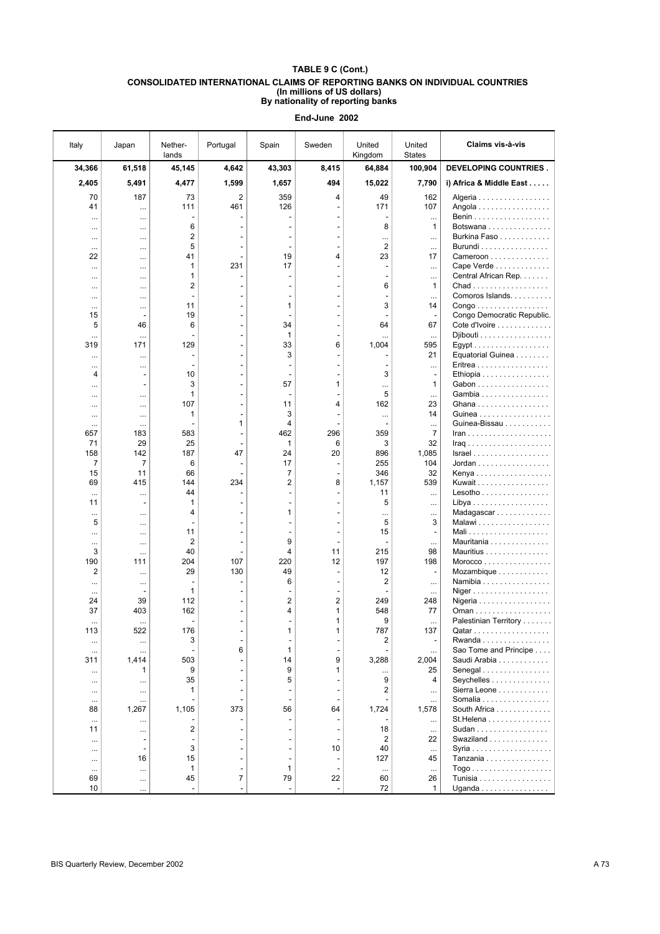| Italy                | Japan                                | Nether-<br>lands | Portugal       | Spain    | Sweden   | United<br>Kingdom | United<br><b>States</b>      | Claims vis-à-vis                                        |
|----------------------|--------------------------------------|------------------|----------------|----------|----------|-------------------|------------------------------|---------------------------------------------------------|
| 34,366               | 61,518                               | 45,145           | 4,642          | 43,303   | 8,415    | 64,884            | 100,904                      | DEVELOPING COUNTRIES.                                   |
| 2,405                | 5,491                                | 4,477            | 1,599          | 1,657    | 494      | 15,022            | 7,790                        | i) Africa & Middle East                                 |
| 70                   | 187                                  | 73               | 2              | 359      | 4        | 49                | 162                          | Algeria                                                 |
| 41                   | $\cdots$                             | 111              | 461            | 126      |          | 171               | 107                          | Angola                                                  |
| $\ddotsc$            | $\ddotsc$                            | 6                |                |          |          | 8                 | $\ddotsc$<br>1               | Benin<br>Botswana                                       |
| $\cdots$<br>$\cdots$ | $\ddotsc$<br>$\cdots$                | 2                |                |          |          | $\cdots$          |                              | Burkina Faso                                            |
| $\ddots$             | $\cdots$                             | 5                |                | ٠        |          | 2                 | $\cdots$                     | Burundi                                                 |
| 22                   | $\cdots$                             | 41               |                | 19       | 4        | 23                | 17                           | Cameroon                                                |
| $\cdots$             | $\cdots$                             | 1<br>1           | 231            | 17       |          |                   | $\cdots$                     | Cape Verde<br>Central African Rep.                      |
| $\cdots$<br>         | $\cdots$<br>                         | 2                |                |          |          | 6                 | <br>1                        | Chad                                                    |
|                      |                                      | $\overline{a}$   |                |          |          |                   |                              | Comoros Islands.                                        |
|                      | $\cdots$                             | 11               |                | 1        |          | 3                 | 14                           | Congo                                                   |
| 15                   |                                      | 19               |                |          |          |                   |                              | Congo Democratic Republic.                              |
| 5<br>$\cdots$        | 46<br>$\cdots$                       | 6                |                | 34<br>1  |          | 64<br>$\cdots$    | 67<br>$\cdots$               | Cote d'Ivoire<br>Djibouti                               |
| 319                  | 171                                  | 129              |                | 33       | 6        | 1,004             | 595                          | Egypt                                                   |
| $\cdots$             | $\cdots$                             |                  |                | 3        |          |                   | 21                           | Equatorial Guinea                                       |
| $\ddotsc$            | $\cdots$                             |                  |                |          |          |                   |                              | Eritrea                                                 |
| 4                    | $\blacksquare$                       | 10               |                |          |          | 3                 | ٠<br>1                       | Ethiopia                                                |
| <br>                 | $\overline{\phantom{a}}$<br>$\cdots$ | 3<br>1           |                | 57       | 1        | $\cdots$<br>5     | $\cdots$                     | Gabon<br>Gambia                                         |
| $\cdots$             |                                      | 107              |                | 11       | 4        | 162               | 23                           | Ghana                                                   |
| $\cdots$             | $\cdots$                             | 1                |                | 3        |          | $\cdots$          | 14                           | Guinea                                                  |
| $\ddotsc$            |                                      |                  | 1              | 4        |          |                   |                              | Guinea-Bissau                                           |
| 657<br>71            | 183<br>29                            | 583<br>25        |                | 462<br>1 | 296<br>6 | 359<br>3          | $\overline{7}$<br>32         |                                                         |
| 158                  | 142                                  | 187              | 47             | 24       | 20       | 896               | 1,085                        | $Israel \ldots \ldots \ldots \ldots$                    |
| 7                    | $\overline{7}$                       | 6                |                | 17       |          | 255               | 104                          | $Jordan$                                                |
| 15                   | 11                                   | 66               |                | 7        |          | 346               | 32                           | Kenya                                                   |
| 69                   | 415                                  | 144              | 234            | 2        | 8        | 1,157             | 539                          | Kuwait                                                  |
| $\cdots$<br>11       | $\cdots$                             | 44<br>1          |                |          |          | 11<br>5           | $\cdots$                     | Lesotho $\ldots \ldots \ldots \ldots \ldots$<br>Libya   |
|                      | $\cdots$                             | 4                |                | 1        |          | .                 | <br>                         | Madagascar                                              |
| 5                    | $\cdots$                             |                  |                |          |          | 5                 | 3                            | Malawi                                                  |
|                      | $\cdots$                             | 11               |                |          |          | 15                | L,                           | Mali                                                    |
| <br>3                | $\cdots$                             | 2<br>40          |                | 9<br>4   | 11       | 215               | <br>98                       | Mauritania<br>Mauritius                                 |
| 190                  | $\cdots$<br>111                      | 204              | 107            | 220      | 12       | 197               | 198                          | Morocco                                                 |
| 2                    | $\cdots$                             | 29               | 130            | 49       |          | 12                | $\overline{a}$               | Mozambique                                              |
|                      |                                      |                  |                | 6        |          | 2                 |                              | Namibia                                                 |
| $\cdots$             |                                      | $\mathbf{1}$     |                |          |          |                   |                              | Niger                                                   |
| 24<br>37             | 39<br>403                            | 112<br>162       |                | 2<br>4   | 2<br>1   | 249<br>548        | 248<br>77                    | Nigeria<br>Oman                                         |
| $\ddotsc$            | $\ddotsc$                            | ٠                |                |          | 1        | 9                 | $\cdots$                     | Palestinian Territory                                   |
| 113                  | 522                                  | 176              |                |          |          | 787               | 137                          | <u>Qatar</u>                                            |
| $\cdots$             | $\cdots$                             | 3                |                |          |          | 2                 | $\qquad \qquad \blacksquare$ | Rwanda                                                  |
| $\cdots$             | $\cdots$                             |                  | 6              | 1        |          |                   |                              | Sao Tome and Principe                                   |
| 311                  | 1,414<br>1                           | 503<br>9         |                | 14<br>9  | 9<br>1   | 3,288             | 2,004<br>25                  | Saudi Arabia<br>Senegal                                 |
| $\cdots$<br>         |                                      | 35               |                | 5        |          | <br>9             | 4                            | Seychelles                                              |
| $\cdots$             | $\cdots$                             | 1                |                |          |          | 2                 |                              | Sierra Leone                                            |
| $\cdots$             |                                      |                  |                |          |          |                   |                              | Somalia                                                 |
| 88                   | 1,267                                | 1,105            | 373            | 56       | 64       | 1,724             | 1,578                        | South Africa                                            |
| $\cdots$<br>11       | $\ddotsc$                            | 2                |                |          |          | 18                | $\cdots$                     | St. Helena<br>Sudan                                     |
| $\cdots$             | $\cdots$<br>$\overline{a}$           |                  |                |          |          | 2                 | $\cdots$<br>22               | Swaziland                                               |
| $\cdots$             |                                      | 3                |                |          | 10       | 40                | $\cdots$                     |                                                         |
| $\cdots$             | 16                                   | 15               |                |          |          | 127               | 45                           | Tanzania                                                |
| $\cdots$             | $\cdots$                             | 1<br>45          | $\overline{7}$ | 1<br>79  | 22       | $\cdots$<br>60    | $\cdots$                     | $Togo \ldots \ldots \ldots \ldots \ldots \ldots \ldots$ |
| 69<br>10             | $\cdots$                             |                  |                |          |          | 72                | 26<br>$\mathbf{1}$           | Tunisia<br>Uganda                                       |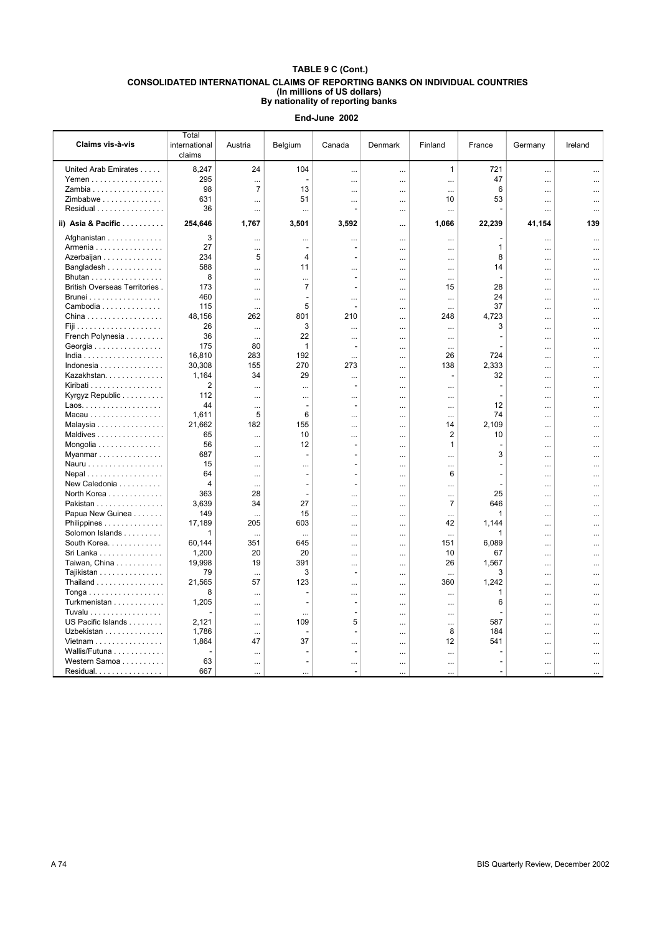| Claims vis-à-vis                     | Total<br>international<br>claims | Austria        | Belgium        | Canada         | Denmark   | Finland        | France | Germany   | Ireland   |
|--------------------------------------|----------------------------------|----------------|----------------|----------------|-----------|----------------|--------|-----------|-----------|
| United Arab Emirates                 | 8,247                            | 24             | 104            |                | $\cdots$  | 1              | 721    | $\cdots$  |           |
| Yemen                                | 295                              | $\cdots$       |                |                | $\cdots$  | $\cdots$       | 47     | $\cdots$  |           |
| Zambia                               | 98                               | $\overline{7}$ | 13             |                | $\cdots$  |                | 6      | $\ddotsc$ |           |
| Zimbabwe                             | 631                              |                | 51             |                | $\cdots$  | 10             | 53     | $\cdots$  |           |
| Residual                             | 36                               | $\cdots$       | $\cdots$       |                | $\cdots$  | $\cdots$       |        | $\cdots$  |           |
| ii) Asia & Pacific                   | 254,646                          | 1,767          | 3,501          | 3,592          |           | 1,066          | 22,239 | 41,154    | 139       |
| Afghanistan                          | 3                                | $\cdots$       | $\cdots$       |                | $\cdots$  | $\cdots$       |        | $\cdots$  |           |
| Armenia                              | 27                               | $\ddotsc$      |                |                | $\cdots$  |                | 1      | $\ddotsc$ |           |
| Azerbaijan                           | 234                              | 5              | $\overline{4}$ | L,             | $\cdots$  | $\cdots$       | 8      | $\ddotsc$ | $\ddotsc$ |
| Bangladesh                           | 588                              |                | 11             |                | $\cdots$  |                | 14     | $\cdots$  |           |
| Bhutan                               | 8                                | $\ddotsc$      | $\cdots$       | ÷.             | $\cdots$  | $\cdots$       |        | $\cdots$  | $\cdots$  |
| <b>British Overseas Territories.</b> | 173                              | $\ddotsc$      | $\overline{7}$ | $\overline{a}$ | $\cdots$  | 15             | 28     | $\ddotsc$ |           |
| Brunei                               | 460                              | $\cdots$       |                |                | $\cdots$  |                | 24     | $\cdots$  |           |
| Cambodia                             | 115                              | $\cdots$       | 5              |                | $\cdots$  | $\cdots$       | 37     | $\cdots$  |           |
| China                                | 48,156                           | 262            | 801            | 210            | $\ddotsc$ | 248            | 4,723  | $\ddotsc$ | $\ddotsc$ |
|                                      | 26                               | $\cdots$       | 3              | $\cdots$       | $\cdots$  | $\cdots$       | 3      | $\cdots$  |           |
| French Polynesia                     | 36                               | $\ldots$       | 22             |                | $\cdots$  | $\cdots$       |        | $\cdots$  |           |
| Georgia                              | 175                              | 80             | 1              | ٠              | $\ddotsc$ | $\ddotsc$      |        | $\cdots$  |           |
|                                      | 16,810                           | 283            | 192            |                | $\cdots$  | 26             | 724    | $\cdots$  |           |
| Indonesia                            | 30,308                           | 155            | 270            | 273            | $\ddotsc$ | 138            | 2,333  | $\ldots$  |           |
| Kazakhstan                           | 1,164                            | 34             | 29             |                | $\cdots$  | ÷              | 32     | $\cdots$  |           |
| Kiribati                             | 2                                |                | $\cdots$       |                | $\cdots$  |                |        | $\ddotsc$ |           |
| Kyrgyz Republic                      | 112                              | $\ddotsc$      | $\ldots$       |                | $\cdots$  | $\cdots$       |        | $\cdots$  | $\cdots$  |
|                                      | 44                               | $\ddotsc$      |                |                | $\cdots$  | $\cdots$       | 12     | $\ldots$  |           |
| Macau                                | 1,611                            | 5              | 6              |                | $\cdots$  | $\cdots$       | 74     | $\cdots$  | $\ddotsc$ |
| Malaysia                             | 21,662                           | 182            | 155            |                | $\ddotsc$ | 14             | 2.109  | $\ddotsc$ | $\ddotsc$ |
| Maldives                             | 65                               | $\cdots$       | 10             |                | $\cdots$  | 2              | 10     | $\cdots$  |           |
| Mongolia                             | 56                               |                | 12             |                | $\cdots$  | 1              |        | $\cdots$  |           |
| Myanmar                              | 687                              | $\ddotsc$      | $\overline{a}$ | ٠              | $\ddotsc$ |                | 3      | $\ddotsc$ |           |
| Nauru                                | 15                               | $\ddotsc$      | $\cdots$       |                | $\cdots$  | $\cdots$       |        | $\ddotsc$ | $\ddotsc$ |
| $Nepal$                              | 64                               |                |                |                | $\cdots$  | 6              |        | $\cdots$  |           |
| New Caledonia                        | 4                                | $\cdots$       |                | ÷,             | $\cdots$  | .              |        | $\ddotsc$ |           |
| North Korea                          | 363                              | 28             |                |                | $\cdots$  | .              | 25     |           |           |
| Pakistan                             | 3,639                            | 34             | 27             | $\cdots$       | $\cdots$  | $\overline{7}$ | 646    | $\cdots$  |           |
| Papua New Guinea                     | 149                              | $\ddotsc$      | 15             |                | $\cdots$  | $\cdots$       | 1      | $\cdots$  |           |
| Philippines                          | 17,189                           | 205            | 603            |                | $\cdots$  | 42             | 1,144  | $\cdots$  | $\ddotsc$ |
| Solomon Islands                      | 1                                | $\ddotsc$      | $\cdots$       | $\ddots$       | $\cdots$  | $\ddotsc$      |        | $\cdots$  |           |
| South Korea.                         | 60,144                           | 351            | 645            |                | $\cdots$  | 151            | 6,089  | $\cdots$  |           |
| Sri Lanka                            | 1,200                            | 20             | 20             | $\cdots$       | $\cdots$  | 10             | 67     | $\cdots$  | $\cdots$  |
| Taiwan, China                        | 19,998                           | 19             | 391            |                | $\cdots$  | 26             | 1,567  | $\ddotsc$ |           |
| Tajikistan                           | 79                               | $\cdots$       | 3              | ÷.             | $\cdots$  | $\cdots$       | 3      | $\cdots$  |           |
| Thailand                             | 21,565                           | 57             | 123            |                | $\cdots$  | 360            | 1,242  | $\cdots$  |           |
| Tonga                                | 8                                | $\ddotsc$      | $\blacksquare$ |                | $\cdots$  |                | 1      | $\ddotsc$ |           |
| Turkmenistan                         | 1,205                            | $\ddotsc$      |                |                | $\cdots$  | $\cdots$       | 6      | $\cdots$  |           |
| Tuvalu                               |                                  | $\ddots$       | $\cdots$       |                | $\cdots$  | $\ldots$       |        | $\cdots$  |           |
| US Pacific Islands                   | 2,121                            | $\cdots$       | 109            | 5              | $\cdots$  | $\cdots$       | 587    | $\cdots$  |           |
| Uzbekistan                           | 1,786                            | $\ddotsc$      |                |                | $\cdots$  | 8              | 184    | $\ddotsc$ |           |
| Vietnam                              | 1,864                            | 47             | 37             |                | $\cdots$  | 12             | 541    | $\cdots$  | $\ddotsc$ |
| Wallis/Futuna                        |                                  | $\cdots$       |                | L.             | $\cdots$  | $\cdots$       |        | $\cdots$  |           |
| Western Samoa                        | 63                               | $\cdots$       |                |                | $\cdots$  | $\cdots$       |        | $\cdots$  |           |
| Residual.                            | 667                              |                |                |                | $\ddotsc$ |                |        | $\ddotsc$ |           |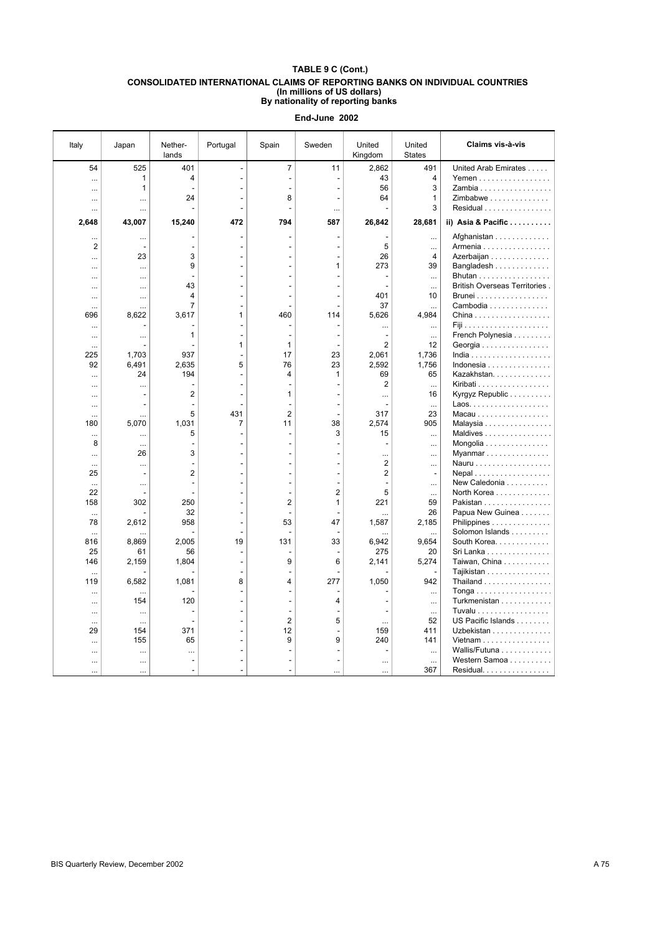| Italy          | Japan           | Nether-<br>lands | Portugal | Spain          | Sweden | United<br>Kingdom | United<br><b>States</b> | Claims vis-à-vis                     |
|----------------|-----------------|------------------|----------|----------------|--------|-------------------|-------------------------|--------------------------------------|
| 54             | 525             | 401              |          | 7              | 11     | 2,862             | 491                     | United Arab Emirates                 |
|                | 1               | $\overline{4}$   |          |                | ÷.     | 43                | 4                       | Yemen                                |
| $\cdots$       | 1               |                  |          |                |        | 56                | 3                       | Zambia                               |
|                | $\ddotsc$       | 24               |          | 8              |        | 64                | $\mathbf{1}$            | Zimbabwe                             |
| $\cdots$       |                 |                  |          |                |        |                   | 3                       | Residual                             |
| 2,648          | 43,007          | 15,240           | 472      | 794            | 587    | 26,842            | 28,681                  | ii) Asia & Pacific                   |
|                |                 |                  |          |                |        |                   |                         | Afghanistan                          |
| 2              |                 |                  |          |                | ÷      | 5                 | $\cdots$                | Armenia                              |
|                | 23              | 3                |          |                |        | 26                | 4                       | Azerbaijan                           |
| $\cdots$       | $\cdots$        | 9                |          |                | 1      | 273               | 39                      | Bangladesh                           |
| $\cdots$       | $\cdots$        |                  |          |                |        |                   | $\cdots$                | Bhutan                               |
| $\cdots$       |                 | 43               |          |                |        |                   | $\cdots$                | <b>British Overseas Territories.</b> |
| $\cdots$       | $\cdots$        | 4                |          |                |        | 401               | 10                      | Brunei                               |
| $\ddotsc$      |                 | 7                |          |                |        | 37                | $\ddotsc$               | Cambodia                             |
| 696            | 8,622           | 3,617            | 1        | 460            | 114    | 5,626             | 4,984                   | $China \ldots \ldots \ldots \ldots$  |
| $\cdots$       |                 |                  |          |                |        | $\ddotsc$         | $\cdots$                |                                      |
| $\ldots$       |                 | 1                |          |                | ÷.     |                   | $\cdots$                | French Polynesia                     |
|                |                 |                  | 1        | $\mathbf{1}$   |        | $\overline{2}$    | 12                      | Georgia                              |
| 225            | 1,703           | 937              |          | 17             | 23     | 2,061             | 1,736                   |                                      |
| 92             | 6,491           | 2,635            | 5        | 76             | 23     | 2,592             | 1,756                   | Indonesia                            |
| $\cdots$       | 24              | 194              |          | 4              | 1      | 69                | 65                      | Kazakhstan.                          |
| $\cdots$       |                 |                  |          |                |        | $\overline{2}$    | $\cdots$                | Kiribati                             |
| $\cdots$       |                 | 2                |          | 1              |        |                   | 16                      | Kyrgyz Republic                      |
|                |                 |                  |          |                | L.     |                   | $\ddotsc$               |                                      |
|                | $\cdots$        | 5                | 431      | 2              |        | 317               | 23                      | Macau                                |
| 180            | 5,070           | 1,031            | 7        | 11             | 38     | 2,574             | 905                     | Malaysia                             |
| $\ddotsc$      | $\ddotsc$       | 5                |          |                | 3      | 15                | $\ddotsc$               | Maldives                             |
| 8              | $\cdots$        |                  |          |                |        |                   | $\cdots$                | Mongolia                             |
|                | 26              | 3                |          |                |        |                   | $\cdots$                | Myanmar                              |
| $\cdots$       |                 |                  |          |                |        | 2                 | $\cdots$                | Nauru                                |
| 25             |                 | $\overline{2}$   |          |                |        | $\overline{2}$    |                         | $Nepal$                              |
| $\cdots$       | $\cdots$        |                  |          |                | L,     |                   | $\cdots$                | New Caledonia                        |
| 22             |                 |                  |          |                | 2      | 5                 | $\cdots$                | North Korea                          |
| 158            | 302             | 250              |          | 2              | 1      | 221               | 59                      | Pakistan                             |
| $\cdots$       |                 | 32               |          |                |        | $\ddotsc$         | 26                      | Papua New Guinea                     |
| 78             | 2,612           | 958              |          | 53             | 47     | 1,587             | 2,185                   | Philippines                          |
| $\ddotsc$      |                 |                  |          |                |        |                   | $\ddotsc$               | Solomon Islands                      |
| 816            | 8,869           | 2,005            | 19       | 131            | 33     | 6,942             | 9,654                   | South Korea.                         |
| 25             | 61              | 56               |          |                |        | 275               | 20                      | Sri Lanka                            |
| 146            | 2,159           | 1,804            |          | 9              | 6      | 2,141             | 5,274                   | Taiwan, China                        |
| $\ddotsc$      |                 |                  |          |                |        |                   |                         | Tajikistan                           |
| 119            | 6,582           | 1,081            | 8        | 4              | 277    | 1,050             | 942                     | Thailand                             |
|                |                 |                  |          |                |        |                   |                         | Tonga                                |
| $\cdots$       | 154             | 120              |          |                | 4      |                   |                         | Turkmenistan                         |
|                |                 |                  |          |                |        |                   | $\cdots$                | Tuvalu                               |
| $\cdots$       |                 |                  |          | $\overline{2}$ | 5      |                   | $\ddotsc$<br>52         | US Pacific Islands                   |
| $\cdots$<br>29 | $\ldots$<br>154 | 371              |          | 12             |        | $\ddots$<br>159   | 411                     | Uzbekistan                           |
|                | 155             | 65               |          | 9              | 9      | 240               | 141                     | Vietnam                              |
|                |                 |                  |          |                |        |                   |                         | Wallis/Futuna                        |
| $\ddotsc$      | $\ddotsc$       | ÷,               |          |                |        |                   |                         | Western Samoa                        |
| $\cdots$       | $\cdots$        |                  |          |                |        |                   | $\ddotsc$<br>367        | Residual                             |
| $\ddotsc$      | $\ddotsc$       |                  |          |                |        |                   |                         |                                      |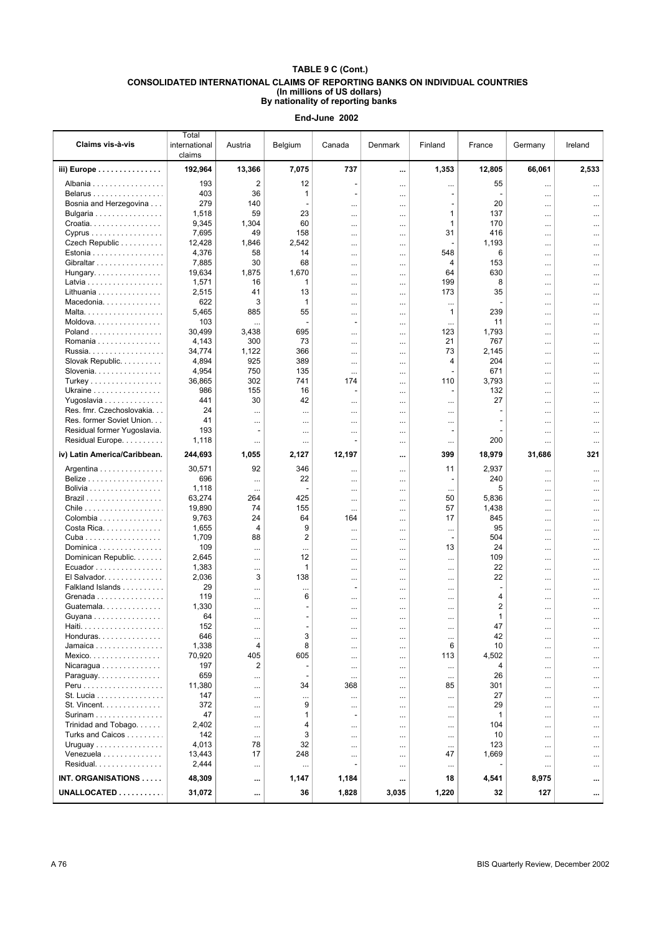| Claims vis-à-vis                             | Total<br>international<br>claims | Austria                    | Belgium    | Canada                   | Denmark              | Finland                  | France         | Germany              | Ireland       |
|----------------------------------------------|----------------------------------|----------------------------|------------|--------------------------|----------------------|--------------------------|----------------|----------------------|---------------|
| iii) Europe                                  | 192,964                          | 13,366                     | 7,075      | 737                      |                      | 1,353                    | 12,805         | 66,061               | 2,533         |
| Albania                                      | 193                              | 2                          | 12         | $\overline{\phantom{a}}$ | $\cdots$             |                          | 55             | $\cdots$             | $\cdots$      |
| Belarus                                      | 403                              | 36                         | 1          | $\overline{\phantom{a}}$ | $\ddotsc$            | $\overline{\phantom{a}}$ |                | $\cdots$             | $\cdots$      |
| Bosnia and Herzegovina                       | 279                              | 140                        |            |                          | $\cdots$             |                          | 20             |                      |               |
| Bulgaria                                     | 1,518                            | 59                         | 23         |                          | $\cdots$             | 1                        | 137            |                      |               |
| Croatia.                                     | 9,345                            | 1,304                      | 60         | $\cdots$                 | $\cdots$             | 1                        | 170            |                      |               |
| $Cyprus \ldots \ldots \ldots \ldots \ldots$  | 7,695                            | 49                         | 158        |                          |                      | 31                       | 416            |                      |               |
| Czech Republic                               | 12,428                           | 1,846                      | 2,542      |                          | $\cdots$             |                          | 1,193          |                      |               |
| Estonia<br>Gibraltar                         | 4,376<br>7,885                   | 58<br>30                   | 14<br>68   |                          | $\cdots$             | 548<br>4                 | 6<br>153       |                      |               |
| Hungary                                      | 19,634                           | 1,875                      | 1,670      |                          | $\cdots$             | 64                       | 630            |                      |               |
| Latvia                                       | 1,571                            | 16                         | 1          | $\cdots$                 | $\cdots$             | 199                      | 8              |                      | $\cdots$      |
| Lithuania                                    | 2,515                            | 41                         | 13         | $\cdots$<br>$\cdots$     | $\cdots$<br>$\cdots$ | 173                      | 35             | $\cdots$<br>$\cdots$ | $\ddotsc$<br> |
| Macedonia                                    | 622                              | 3                          | 1          | $\cdots$                 | $\cdots$             |                          |                | $\cdots$             |               |
| Malta.                                       | 5,465                            | 885                        | 55         | $\cdots$                 | $\cdots$             | 1                        | 239            | $\cdots$             | $\cdots$      |
| Moldova.                                     | 103                              | $\cdots$                   |            | $\overline{a}$           | $\cdots$             | $\cdots$                 | 11             |                      |               |
| Poland                                       | 30,499                           | 3,438                      | 695        | $\cdots$                 | $\cdots$             | 123                      | 1,793          |                      |               |
| Romania                                      | 4,143                            | 300                        | 73         |                          | $\cdots$             | 21                       | 767            |                      |               |
| Russia.                                      | 34,774                           | 1,122                      | 366        | $\cdots$                 | $\cdots$             | 73                       | 2,145          |                      |               |
| Slovak Republic.                             | 4,894                            | 925                        | 389        |                          |                      | 4                        | 204            |                      |               |
| Slovenia                                     | 4,954                            | 750                        | 135        | $\cdots$                 | $\cdots$             |                          | 671            |                      |               |
| Turkey                                       | 36,865                           | 302                        | 741        | 174                      | $\cdots$             | 110                      | 3,793          |                      |               |
| Ukraine                                      | 986                              | 155                        | 16         | ٠                        | $\cdots$             |                          | 132            | $\ldots$             |               |
| Yugoslavia                                   | 441                              | 30                         | 42         | $\cdots$                 | $\cdots$             |                          | 27             |                      |               |
| Res. fmr. Czechoslovakia                     | 24                               | $\cdots$                   | $\cdots$   | $\cdots$                 | $\cdots$             |                          |                | $\cdots$             | $\cdots$      |
| Res. former Soviet Union                     | 41                               | $\cdots$                   | $\cdots$   | $\cdots$                 | $\cdots$             |                          |                | $\cdots$             |               |
| Residual former Yugoslavia.                  | 193                              |                            | $\cdots$   | $\cdots$                 | $\cdots$             | $\overline{a}$           |                | $\cdots$             | $\ddotsc$     |
| Residual Europe.                             | 1,118                            | $\cdots$                   | $\cdots$   | ٠                        | $\cdots$             | $\ddotsc$                | 200            | $\cdots$             |               |
| iv) Latin America/Caribbean.                 | 244,693                          | 1,055                      | 2,127      | 12,197                   |                      | 399                      | 18,979         | 31,686               | 321           |
| Argentina                                    | 30,571                           | 92                         | 346        |                          | $\cdots$             | 11                       | 2,937          |                      |               |
| Belize                                       | 696                              | $\cdots$                   | 22         | $\cdots$                 | $\cdots$             |                          | 240            | $\cdots$             |               |
| Bolivia                                      | 1,118                            | $\cdots$                   |            | $\cdots$                 | $\cdots$             | $\cdots$                 | 5              | $\cdots$             | $\cdots$      |
| Brazil                                       | 63,274<br>19,890                 | 264<br>74                  | 425<br>155 | $\cdots$                 | $\cdots$             | 50<br>57                 | 5,836<br>1,438 | $\cdots$             |               |
| Colombia                                     | 9,763                            | 24                         | 64         | $\cdots$<br>164          | $\cdots$<br>$\cdots$ | 17                       | 845            | $\cdots$<br>         | <br>          |
| Costa Rica.                                  | 1,655                            | $\overline{4}$             | 9          |                          | $\cdots$             |                          | 95             |                      |               |
| Cuba                                         | 1,709                            | 88                         | 2          | $\cdots$                 | $\cdots$             |                          | 504            | $\cdots$             |               |
| Dominica                                     | 109                              |                            | $\cdots$   | $\cdots$                 |                      | 13                       | 24             |                      |               |
| Dominican Republic.                          | 2,645                            | $\cdots$                   | 12         | $\cdots$                 | $\cdots$             | $\cdots$                 | 109            | $\ldots$             |               |
| Ecuador                                      | 1,383                            |                            | 1          |                          |                      |                          | 22             | $\cdots$             |               |
| $El$ Salvador. $\ldots$ . $\ldots$           | 2,036                            | 3                          | 138        | $\cdots$                 | $\cdots$             |                          | 22             | $\cdots$             |               |
| Falkland Islands                             | 29                               |                            | $\cdots$   | $\overline{a}$           | $\cdots$             |                          |                | $\cdots$             |               |
| Grenada                                      | 119                              |                            | 6          |                          | $\cdots$             |                          | 4              | $\cdots$             |               |
| Guatemala.                                   | 1,330                            |                            |            |                          | $\cdots$             |                          | 2              |                      |               |
| Guyana                                       | 64<br>152                        | $\cdots$                   |            | $\cdots$                 | $\cdots$             | $\cdots$                 | 1<br>47        | $\ddotsc$            | $\cdots$      |
| Honduras                                     | 646                              |                            | 3          |                          |                      |                          | 42             |                      |               |
| Jamaica                                      | 1,338                            | $\cdots$<br>$\overline{4}$ | 8          |                          |                      | $\cdots$<br>6            | 10             |                      |               |
| $Mexico. \ldots \ldots \ldots \ldots \ldots$ | 70,920                           | 405                        | 605        | $\cdots$<br>$\cdots$     | $\cdots$<br>$\cdots$ | 113                      | 4,502          | $\cdots$<br>         | <br>$\ddotsc$ |
| Nicaragua                                    | 197                              | 2                          |            |                          | $\cdots$             |                          | 4              | $\cdots$             |               |
| Paraguay                                     | 659                              |                            |            |                          | $\cdots$             | $\cdots$                 | 26             | $\cdots$             | $\ddotsc$     |
|                                              | 11,380                           |                            | 34         | 368                      |                      | 85                       | 301            |                      |               |
| St. Lucia                                    | 147                              |                            | $\cdots$   |                          | $\cdots$             |                          | 27             |                      | $\cdots$      |
| $St.$ Vincent. $\ldots \ldots \ldots \ldots$ | 372                              | $\cdots$                   | 9          | $\cdots$                 | $\cdots$             |                          | 29             |                      |               |
| Surinam                                      | 47                               |                            | 1          | $\overline{a}$           | $\cdots$             |                          | 1              | $\cdots$             |               |
| Trinidad and Tobago.                         | 2,402                            | $\cdots$                   | 4          | $\cdots$                 | $\cdots$             | $\cdots$                 | 104            | $\ddotsc$            | $\cdots$      |
| Turks and Caicos                             | 142                              | $\cdots$                   | 3          | $\cdots$                 | $\cdots$             |                          | 10             | $\cdots$             |               |
| Uruguay                                      | 4,013                            | 78                         | 32         | $\cdots$                 | $\cdots$             | $\cdots$                 | 123            | $\cdots$             |               |
| Venezuela                                    | 13,443                           | 17                         | 248        | $\cdots$                 | $\cdots$             | 47                       | 1,669          | $\cdots$             |               |
| Residual                                     | 2,444                            | $\ldots$                   | $\cdots$   | $\overline{a}$           | $\cdots$             |                          |                | $\cdots$             |               |
| INT. ORGANISATIONS                           | 48,309                           |                            | 1,147      | 1,184                    |                      | 18                       | 4,541          | 8,975                |               |
| UNALLOCATED                                  | 31,072                           | $\cdots$                   | 36         | 1,828                    | 3,035                | 1,220                    | 32             | 127                  |               |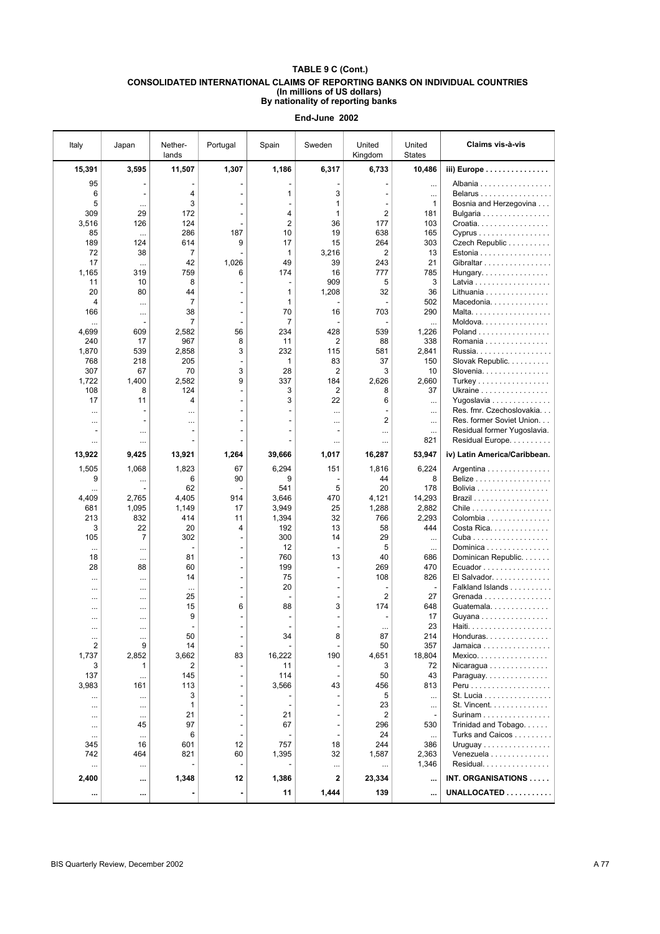| Italy              | Japan           | Nether-<br>lands | Portugal                 | Spain                | Sweden               | United<br>Kingdom | United<br><b>States</b> | Claims vis-à-vis             |
|--------------------|-----------------|------------------|--------------------------|----------------------|----------------------|-------------------|-------------------------|------------------------------|
| 15,391             | 3,595           | 11,507           | 1,307                    | 1,186                | 6,317                | 6,733             | 10,486                  | iii) Europe                  |
| 95                 |                 |                  |                          |                      |                      |                   | $\cdots$                | Albania                      |
| 6                  |                 | 4                |                          | 1                    | 3                    |                   | $\cdots$                | Belarus                      |
| 5                  | $\cdots$        | 3                |                          |                      | 1                    |                   | 1                       | Bosnia and Herzegovina       |
| 309                | 29              | 172              |                          | 4                    | 1                    | 2                 | 181                     | Bulgaria                     |
| 3,516              | 126             | 124              | 187                      | $\overline{2}$<br>10 | 36                   | 177               | 103                     | Croatia.                     |
| 85<br>189          | $\cdots$<br>124 | 286<br>614       | 9                        | 17                   | 19<br>15             | 638<br>264        | 165<br>303              | Cyprus                       |
| 72                 | 38              | 7                |                          | $\mathbf{1}$         | 3,216                | 2                 | 13                      | Czech Republic<br>Estonia    |
| 17                 |                 | 42               | 1,026                    | 49                   | 39                   | 243               | 21                      | Gibraltar                    |
| 1,165              | $\cdots$<br>319 | 759              | 6                        | 174                  | 16                   | 777               | 785                     | Hungary                      |
| 11                 | 10              | 8                |                          |                      | 909                  | 5                 | 3                       | Latvia                       |
| 20                 | 80              | 44               |                          | $\mathbf{1}$         | 1,208                | 32                | 36                      | Lithuania                    |
| 4                  | $\cdots$        | 7                |                          | 1                    |                      |                   | 502                     | Macedonia                    |
| 166                | $\cdots$        | 38               |                          | 70                   | 16                   | 703               | 290                     | Malta.                       |
| $\ddots$           |                 | 7                |                          | 7                    |                      |                   |                         | Moldova.                     |
| 4,699              | 609             | 2,582            | 56                       | 234                  | 428                  | 539               | 1,226                   | Poland                       |
| 240                | 17              | 967              | 8                        | 11                   | 2                    | 88                | 338                     | Romania                      |
| 1,870              | 539             | 2,858            | 3                        | 232                  | 115                  | 581               | 2,841                   | Russia.                      |
| 768                | 218             | 205              |                          | 1                    | 83                   | 37                | 150                     | Slovak Republic.             |
| 307                | 67              | 70               | 3                        | 28                   | $\overline{c}$       | 3                 | 10                      | Slovenia                     |
| 1,722              | 1,400           | 2,582            | 9                        | 337                  | 184                  | 2,626             | 2,660                   | Turkey                       |
| 108                | 8               | 124              |                          | 3                    | 2                    | 8                 | 37                      | Ukraine                      |
| 17                 | 11              | 4                |                          | 3                    | 22                   | 6                 |                         | Yugoslavia                   |
| $\cdots$           |                 |                  |                          |                      | $\cdots$             |                   |                         | Res. fmr. Czechoslovakia.    |
|                    |                 | $\cdots$         |                          |                      | $\cdots$             | $\overline{2}$    |                         | Res. former Soviet Union     |
|                    | $\cdots$        |                  |                          |                      |                      |                   | $\cdots$                | Residual former Yugoslavia.  |
| $\cdots$           | $\cdots$        |                  |                          |                      | $\cdots$             | $\cdots$          | 821                     | Residual Europe.             |
| 13,922             | 9,425           | 13,921           | 1,264                    | 39,666               | 1,017                | 16,287            | 53,947                  | iv) Latin America/Caribbean. |
|                    |                 |                  |                          |                      |                      |                   |                         |                              |
| 1,505              | 1,068           | 1,823            | 67                       | 6,294                | 151                  | 1,816             | 6,224                   | Argentina                    |
| 9                  | $\cdots$        | 6<br>62          | 90                       | 9<br>541             | 5                    | 44<br>20          | 8<br>178                | Belize<br>Bolivia            |
| $\ddotsc$<br>4,409 | 2,765           | 4,405            | 914                      | 3,646                | 470                  | 4,121             | 14,293                  |                              |
| 681                | 1,095           | 1,149            | 17                       | 3,949                | 25                   | 1,288             | 2,882                   |                              |
| 213                | 832             | 414              | 11                       | 1,394                | 32                   | 766               | 2,293                   | Colombia                     |
| 3                  | 22              | 20               | 4                        | 192                  | 13                   | 58                | 444                     | Costa Rica.                  |
| 105                | 7               | 302              |                          | 300                  | 14                   | 29                |                         | Cuba                         |
| $\ldots$           |                 |                  |                          | 12                   |                      | 5                 | $\cdots$                | Dominica                     |
| 18                 | $\cdots$        | 81               |                          | 760                  | 13                   | 40                | 686                     | Dominican Republic.          |
| 28                 | 88              | 60               |                          | 199                  |                      | 269               | 470                     | Ecuador                      |
|                    | $\cdots$        | 14               |                          | 75                   |                      | 108               | 826                     | El Salvador.                 |
|                    | $\cdots$        | $\cdots$         |                          | 20                   |                      |                   |                         | Falkland Islands             |
| $\cdots$           | $\cdots$        | 25               |                          |                      |                      | $\overline{2}$    | 27                      | Grenada                      |
| $\cdots$           | $\cdots$        | 15               | 6                        | 88                   | 3                    | 174               | 648                     | Guatemala                    |
| $\cdots$           | $\cdots$        | 9                |                          |                      |                      |                   | 17                      | Guyana                       |
|                    |                 |                  |                          |                      |                      |                   | 23                      |                              |
|                    | $\cdots$        | 50               | $\overline{\phantom{a}}$ | 34                   | 8                    | 87                | 214                     | Honduras                     |
| $\overline{2}$     | 9               | 14               |                          |                      |                      | 50                | 357                     | Jamaica                      |
| 1,737              | 2,852           | 3,662            | 83                       | 16,222               | 190                  | 4,651             | 18,804                  | Mexico.                      |
| 3                  | 1               | 2                |                          | 11                   |                      | 3                 | 72                      | Nicaragua                    |
| 137                | $\cdots$        | 145              | $\overline{\phantom{a}}$ | 114                  | $\overline{a}$       | 50                | 43                      | Paraguay                     |
| 3,983              | 161             | 113              |                          | 3,566                | 43                   | 456               | 813                     |                              |
| $\cdots$           | $\cdots$        | 3                |                          |                      |                      | 5                 | $\cdots$                | St. Lucia                    |
| $\cdots$           | $\cdots$        | 1                | $\overline{\phantom{0}}$ |                      |                      | 23                | $\cdots$                | St. Vincent. $\ldots$ .      |
|                    | $\cdots$        | 21               |                          | 21                   |                      | 2                 |                         | Surinam                      |
| $\cdots$           | 45              | 97               | $\overline{\phantom{a}}$ | 67                   |                      | 296               | 530                     | Trinidad and Tobago.         |
| $\cdots$<br>345    | $\cdots$<br>16  | 6<br>601         | 12                       | 757                  | $\overline{a}$<br>18 | 24<br>244         | $\cdots$<br>386         | Turks and Caicos             |
| 742                | 464             | 821              | 60                       | 1,395                | 32                   | 1,587             | 2,363                   | Uruguay<br>Venezuela         |
|                    |                 |                  | $\blacksquare$           |                      |                      |                   | 1,346                   | Residual                     |
| $\cdots$           | $\cdots$        |                  |                          |                      | $\cdots$             | $\cdots$          |                         |                              |
| 2,400              |                 | 1,348            | 12                       | 1,386                | 2                    | 23,334            |                         | INT. ORGANISATIONS           |
| $\cdots$           |                 |                  | $\blacksquare$           | 11                   | 1,444                | 139               |                         | UNALLOCATED                  |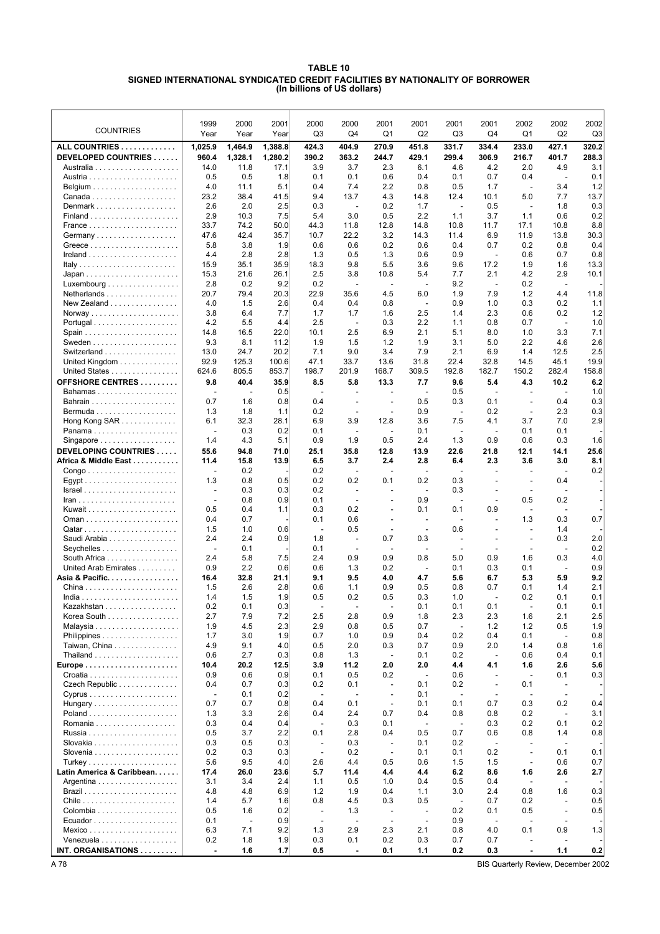#### **TABLE 10 SIGNED INTERNATIONAL SYNDICATED CREDIT FACILITIES BY NATIONALITY OF BORROWER (In billions of US dollars)**

| <b>COUNTRIES</b>                                          | 1999<br>Year             | 2000<br>Year             | 2001<br>Year  | 2000<br>Q3               | 2000<br>Q4               | 2001<br>Q1               | 2001<br>Q <sub>2</sub>          | 2001<br>Q3               | 2001<br>Q4                      | 2002<br>Q1                      | 2002<br>Q <sub>2</sub>          | 2002<br>Q3  |
|-----------------------------------------------------------|--------------------------|--------------------------|---------------|--------------------------|--------------------------|--------------------------|---------------------------------|--------------------------|---------------------------------|---------------------------------|---------------------------------|-------------|
| ALL COUNTRIES                                             | 1,025.9                  | 1,464.9                  | 1,388.8       | 424.3                    | 404.9                    | 270.9                    | 451.8                           | 331.7                    | 334.4                           | 233.0                           | 427.1                           | 320.2       |
| DEVELOPED COUNTRIES                                       | 960.4                    | 1,328.1                  | 1,280.2       | 390.2                    | 363.2                    | 244.7                    | 429.1                           | 299.4                    | 306.9                           | 216.7                           | 401.7                           | 288.3       |
|                                                           | 14.0                     | 11.8                     | 17.1          | 3.9                      | 3.7                      | 2.3                      | 6.1                             | 4.6                      | 4.2                             | 2.0                             | 4.9                             | 3.1         |
|                                                           | 0.5                      | 0.5                      | 1.8           | 0.1                      | 0.1                      | 0.6                      | 0.4                             | 0.1                      | 0.7                             | 0.4                             | $\overline{\phantom{a}}$        | 0.1         |
|                                                           | 4.0                      | 11.1                     | 5.1           | 0.4                      | 7.4                      | 2.2                      | 0.8                             | 0.5                      | 1.7                             | $\overline{\phantom{a}}$        | 3.4                             | 1.2         |
|                                                           | 23.2                     | 38.4                     | 41.5          | 9.4                      | 13.7                     | 4.3                      | 14.8                            | 12.4                     | 10.1                            | 5.0                             | 7.7                             | 13.7        |
| Denmark                                                   | 2.6                      | 2.0                      | 2.5           | 0.3                      | $\overline{\phantom{a}}$ | 0.2                      | 1.7                             | $\overline{\phantom{a}}$ | 0.5                             | $\overline{\phantom{a}}$        | 1.8                             | 0.3         |
|                                                           | 2.9                      | 10.3                     | 7.5           | 5.4                      | 3.0                      | 0.5                      | 2.2                             | 1.1                      | 3.7                             | 1.1                             | 0.6                             | 0.2         |
|                                                           | 33.7                     | 74.2                     | 50.0          | 44.3                     | 11.8                     | 12.8                     | 14.8                            | 10.8                     | 11.7                            | 17.1                            | 10.8                            | 8.8         |
|                                                           | 47.6                     | 42.4                     | 35.7          | 10.7                     | 22.2                     | 3.2                      | 14.3                            | 11.4                     | 6.9                             | 11.9                            | 13.8                            | 30.3        |
|                                                           | 5.8                      | 3.8                      | 1.9           | 0.6                      | 0.6                      | 0.2                      | 0.6                             | 0.4                      | 0.7                             | 0.2                             | 0.8                             | 0.4         |
|                                                           | 4.4                      | 2.8                      | 2.8           | 1.3                      | 0.5                      | 1.3                      | 0.6                             | 0.9                      | $\overline{\phantom{a}}$        | 0.6                             | 0.7                             | 0.8         |
|                                                           | 15.9                     | 35.1                     | 35.9          | 18.3                     | 9.8                      | 5.5                      | 3.6                             | 9.6                      | 17.2                            | 1.9                             | 1.6                             | 13.3        |
|                                                           | 15.3                     | 21.6                     | 26.1          | 2.5                      | 3.8                      | 10.8                     | 5.4                             | 7.7                      | 2.1                             | 4.2                             | 2.9                             | 10.1        |
| Luxembourg                                                | 2.8                      | 0.2                      | 9.2           | 0.2                      | $\overline{a}$           |                          | $\overline{\phantom{a}}$        | 9.2                      | $\overline{\phantom{a}}$        | 0.2                             | ÷,                              |             |
| Netherlands                                               | 20.7                     | 79.4                     | 20.3          | 22.9                     | 35.6                     | 4.5                      | 6.0                             | 1.9                      | 7.9                             | 1.2                             | 4.4                             | 11.8        |
| New Zealand                                               | 4.0                      | 1.5                      | 2.6           | 0.4                      | 0.4                      | 0.8                      | $\overline{\phantom{a}}$        | 0.9                      | 1.0                             | 0.3                             | 0.2                             | 1.1         |
|                                                           | 3.8                      | 6.4                      | 7.7           | 1.7                      | 1.7                      | 1.6                      | 2.5                             | 1.4                      | 2.3                             | 0.6                             | 0.2                             | 1.2         |
|                                                           | 4.2                      | 5.5                      | 4.4           | 2.5                      | $\overline{\phantom{a}}$ | 0.3                      | 2.2                             | 1.1                      | 0.8                             | 0.7                             | $\overline{\phantom{a}}$        | 1.0         |
|                                                           | 14.8                     | 16.5                     | 22.0          | 10.1                     | 2.5                      | 6.9                      | 2.1                             | 5.1                      | 8.0                             | 1.0                             | 3.3                             | 7.1         |
|                                                           | 9.3                      | 8.1                      | 11.2          | 1.9                      | 1.5                      | 1.2                      | 1.9                             | 3.1                      | 5.0                             | 2.2                             | 4.6                             | 2.6         |
| Switzerland                                               | 13.0<br>92.9             | 24.7<br>125.3            | 20.2<br>100.6 | 7.1<br>47.1              | 9.0<br>33.7              | 3.4<br>13.6              | 7.9<br>31.8                     | 2.1<br>22.4              | 6.9<br>32.8                     | 1.4<br>14.5                     | 12.5<br>45.1                    | 2.5<br>19.9 |
| United Kingdom                                            | 624.6                    | 805.5                    | 853.7         | 198.7                    | 201.9                    | 168.7                    | 309.5                           | 192.8                    | 182.7                           | 150.2                           | 282.4                           | 158.8       |
| United States                                             |                          |                          |               |                          |                          |                          |                                 |                          |                                 |                                 | 10.2                            |             |
| OFFSHORE CENTRES<br>Bahamas                               | 9.8<br>$\overline{a}$    | 40.4<br>$\overline{a}$   | 35.9<br>0.5   | 8.5                      | 5.8                      | 13.3                     | 7.7                             | 9.6<br>0.5               | 5.4<br>$\overline{\phantom{a}}$ | 4.3<br>$\overline{\phantom{a}}$ |                                 | 6.2<br>1.0  |
|                                                           | 0.7                      | 1.6                      | 0.8           | 0.4                      | $\overline{\phantom{a}}$ | $\overline{a}$           | 0.5                             | 0.3                      | 0.1                             | $\overline{\phantom{a}}$        | 0.4                             | 0.3         |
| Bermuda                                                   | 1.3                      | 1.8                      | 1.1           | 0.2                      | $\overline{a}$           |                          | 0.9                             | $\overline{\phantom{a}}$ | 0.2                             | $\overline{\phantom{a}}$        | 2.3                             | 0.3         |
| Hong Kong SAR                                             | 6.1                      | 32.3                     | 28.1          | 6.9                      | 3.9                      | 12.8                     | 3.6                             | 7.5                      | 4.1                             | 3.7                             | 7.0                             | 2.9         |
| Panama                                                    | $\overline{\phantom{a}}$ | 0.3                      | 0.2           | 0.1                      | $\sim$                   |                          | 0.1                             | $\overline{\phantom{a}}$ | $\overline{\phantom{a}}$        | 0.1                             | 0.1                             |             |
| Singapore $\ldots \ldots \ldots \ldots \ldots$            | 1.4                      | 4.3                      | 5.1           | 0.9                      | 1.9                      | 0.5                      | 2.4                             | 1.3                      | 0.9                             | 0.6                             | 0.3                             | 1.6         |
| DEVELOPING COUNTRIES                                      | 55.6                     | 94.8                     | 71.0          | 25.1                     | 35.8                     | 12.8                     | 13.9                            | 22.6                     | 21.8                            | 12.1                            | 14.1                            | 25.6        |
| Africa & Middle East                                      | 11.4                     | 15.8                     | 13.9          | 6.5                      | 3.7                      | 2.4                      | 2.8                             | 6.4                      | 2.3                             | 3.6                             | 3.0                             | 8.1         |
|                                                           | $\sim$                   | 0.2                      |               | 0.2                      | $\overline{\phantom{a}}$ | ٠                        | $\overline{\phantom{a}}$        | $\sim$                   | $\overline{a}$                  | $\overline{\phantom{a}}$        | $\overline{\phantom{a}}$        | 0.2         |
|                                                           | 1.3                      | 0.8                      | 0.5           | 0.2                      | 0.2                      | 0.1                      | 0.2                             | 0.3                      |                                 |                                 | 0.4                             |             |
| $Israel \dots \dots \dots \dots \dots \dots \dots \dots$  | $\overline{\phantom{a}}$ | 0.3                      | 0.3           | 0.2                      | $\overline{\phantom{a}}$ |                          | $\overline{a}$                  | 0.3                      | $\overline{\phantom{a}}$        | $\overline{\phantom{a}}$        |                                 |             |
|                                                           | $\overline{\phantom{a}}$ | 0.8                      | 0.9           | 0.1                      | $\sim$                   |                          | 0.9                             | $\frac{1}{2}$            | $\overline{\phantom{a}}$        | 0.5                             | 0.2                             |             |
|                                                           | 0.5                      | 0.4                      | 1.1           | 0.3                      | 0.2                      | $\overline{a}$           | 0.1                             | 0.1                      | 0.9                             | $\overline{\phantom{a}}$        | ÷,                              |             |
|                                                           | 0.4                      | 0.7                      |               | 0.1                      | 0.6                      |                          | $\overline{\phantom{a}}$        | $\overline{\phantom{a}}$ |                                 | 1.3                             | 0.3                             | 0.7         |
|                                                           | 1.5                      | 1.0                      | 0.6           | $\overline{\phantom{a}}$ | 0.5                      |                          | $\overline{\phantom{a}}$        | 0.6                      |                                 | $\overline{a}$                  | 1.4                             |             |
| Saudi Arabia                                              | 2.4                      | 2.4                      | 0.9           | 1.8                      | $\overline{\phantom{a}}$ | 0.7                      | 0.3                             | $\overline{\phantom{a}}$ |                                 | $\overline{\phantom{a}}$        | 0.3                             | 2.0         |
| Seychelles                                                | $\overline{\phantom{a}}$ | 0.1                      |               | 0.1                      | $\overline{\phantom{a}}$ | $\overline{\phantom{a}}$ |                                 | $\overline{\phantom{a}}$ | $\overline{a}$                  | $\overline{\phantom{a}}$        | $\overline{\phantom{a}}$        | 0.2         |
| South Africa                                              | 2.4                      | 5.8                      | 7.5           | 2.4                      | 0.9                      | 0.9                      | 0.8                             | 5.0                      | 0.9                             | 1.6                             | 0.3                             | 4.0         |
| United Arab Emirates<br>Asia & Pacific                    | 0.9<br>16.4              | 2.2<br>32.8              | 0.6<br>21.1   | 0.6<br>9.1               | 1.3<br>9.5               | 0.2<br>4.0               | $\overline{\phantom{a}}$<br>4.7 | 0.1<br>5.6               | 0.3<br>6.7                      | 0.1<br>5.3                      | $\overline{\phantom{a}}$<br>5.9 | 0.9         |
|                                                           | 1.5                      | 2.6                      | 2.8           | 0.6                      | 1.1                      | 0.9                      | 0.5                             | 0.8                      | 0.7                             | 0.1                             | 1.4                             | 9.2<br>2.1  |
|                                                           | 1.4                      | 1.5                      | 1.9           | 0.5                      | 0.2                      | 0.5                      | 0.3                             | 1.0                      | $\overline{a}$                  | 0.2                             | 0.1                             | 0.1         |
| Kazakhstan                                                | 0.2                      | 0.1                      | 0.3           |                          |                          |                          | 0.1                             | 0.1                      | 0.1                             |                                 | 0.1                             | 0.1         |
| Korea South                                               | 2.7                      | 7.9                      | 7.2           | 2.5                      | 2.8                      | 0.9                      | 1.8                             | 2.3                      | 2.3                             | 1.6                             | 2.1                             | 2.5         |
|                                                           | 1.9                      | 4.5                      | 2.3           | 2.9                      | 0.8                      | 0.5                      | 0.7                             | $\overline{\phantom{a}}$ | 1.2                             | 1.2                             | 0.5                             | 1.9         |
| Philippines                                               | 1.7                      | 3.0                      | 1.9           | 0.7                      | 1.0                      | 0.9                      | 0.4                             | 0.2                      | 0.4                             | 0.1                             | $\overline{\phantom{a}}$        | 0.8         |
| Taiwan, China                                             | 4.9                      | 9.1                      | 4.0           | 0.5                      | 2.0                      | 0.3                      | 0.7                             | 0.9                      | 2.0                             | 1.4                             | 0.8                             | 1.6         |
|                                                           | 0.6                      | 2.7                      | 0.3           | 0.8                      | 1.3                      |                          | 0.1                             | 0.2                      | $\overline{a}$                  | 0.6                             | 0.4                             | 0.1         |
|                                                           | 10.4                     | 20.2                     | 12.5          | 3.9                      | 11.2                     | 2.0                      | 2.0                             | 4.4                      | 4.1                             | 1.6                             | 2.6                             | 5.6         |
|                                                           | 0.9                      | 0.6                      | 0.9           | 0.1                      | 0.5                      | 0.2                      | $\overline{\phantom{a}}$        | 0.6                      | $\overline{\phantom{a}}$        | $\overline{\phantom{a}}$        | 0.1                             | 0.3         |
| Czech Republic                                            | 0.4                      | 0.7                      | 0.3           | 0.2                      | 0.1                      | $\overline{\phantom{a}}$ | 0.1                             | 0.2                      | $\overline{\phantom{a}}$        | 0.1                             | $\overline{\phantom{a}}$        |             |
| $Cyprus \ldots \ldots \ldots \ldots \ldots \ldots \ldots$ | $\overline{\phantom{a}}$ | 0.1                      | 0.2           | $\overline{\phantom{a}}$ | $\overline{\phantom{a}}$ | $\overline{\phantom{a}}$ | 0.1                             | $\overline{\phantom{a}}$ | $\overline{\phantom{a}}$        | $\overline{\phantom{a}}$        | $\overline{\phantom{a}}$        |             |
| Hungary                                                   | 0.7                      | 0.7                      | 0.8           | 0.4                      | 0.1                      | $\overline{\phantom{a}}$ | 0.1                             | 0.1                      | 0.7                             | 0.3                             | 0.2                             | 0.4         |
|                                                           | 1.3                      | 3.3                      | 2.6           | 0.4                      | 2.4                      | 0.7                      | 0.4                             | 0.8                      | 0.8                             | 0.2                             | $\overline{\phantom{a}}$        | 3.1         |
|                                                           | 0.3                      | 0.4                      | 0.4           | $\overline{\phantom{a}}$ | 0.3                      | 0.1                      | $\overline{\phantom{a}}$        | $\overline{\phantom{a}}$ | 0.3                             | 0.2                             | 0.1                             | 0.2         |
|                                                           | 0.5                      | 3.7                      | 2.2           | 0.1                      | 2.8                      | 0.4                      | 0.5                             | 0.7                      | 0.6                             | 0.8                             | 1.4                             | 0.8         |
|                                                           | 0.3                      | 0.5                      | 0.3           | $\overline{\phantom{a}}$ | 0.3                      |                          | 0.1                             | 0.2                      | $\overline{\phantom{a}}$        | $\overline{\phantom{a}}$        | $\overline{\phantom{a}}$        |             |
| Slovenia $\ldots \ldots \ldots \ldots \ldots \ldots$      | 0.2                      | 0.3                      | 0.3           | $\overline{\phantom{a}}$ | 0.2                      | ÷,                       | 0.1                             | 0.1                      | 0.2                             | $\overline{\phantom{a}}$        | 0.1                             | 0.1         |
|                                                           | 5.6                      | 9.5                      | 4.0           | 2.6                      | 4.4                      | 0.5                      | 0.6                             | 1.5                      | 1.5                             | $\overline{\phantom{a}}$        | 0.6                             | 0.7         |
| Latin America & Caribbean.                                | 17.4<br>3.1              | 26.0<br>3.4              | 23.6<br>2.4   | 5.7<br>1.1               | 11.4<br>0.5              | 4.4<br>1.0               | 4.4<br>0.4                      | 6.2<br>0.5               | 8.6<br>0.4                      | 1.6<br>$\overline{\phantom{a}}$ | 2.6<br>$\overline{\phantom{a}}$ | 2.7         |
|                                                           | 4.8                      | 4.8                      | 6.9           | 1.2                      | 1.9                      | 0.4                      | 1.1                             | 3.0                      | 2.4                             | 0.8                             | 1.6                             | 0.3         |
|                                                           | 1.4                      | 5.7                      | 1.6           | 0.8                      | 4.5                      | 0.3                      | 0.5                             | $\overline{\phantom{a}}$ | 0.7                             | 0.2                             |                                 | 0.5         |
|                                                           | 0.5                      | 1.6                      | 0.2           | $\overline{\phantom{a}}$ | 1.3                      | $\overline{\phantom{a}}$ | $\overline{\phantom{a}}$        | 0.2                      | 0.1                             | 0.5                             | $\overline{\phantom{a}}$        | 0.5         |
| Ecuador                                                   | 0.1                      | $\overline{\phantom{a}}$ | 0.9           | $\overline{\phantom{a}}$ | $\overline{\phantom{a}}$ | $\overline{\phantom{a}}$ | $\overline{\phantom{a}}$        | 0.9                      | $\sim$                          | $\overline{\phantom{a}}$        |                                 |             |
|                                                           | 6.3                      | 7.1                      | 9.2           | 1.3                      | 2.9                      | 2.3                      | 2.1                             | 0.8                      | 4.0                             | 0.1                             | 0.9                             | 1.3         |
| Venezuela                                                 | 0.2                      | 1.8                      | 1.9           | 0.3                      | 0.1                      | 0.2                      | 0.3                             | 0.7                      | 0.7                             |                                 |                                 |             |
| INT. ORGANISATIONS                                        | $\blacksquare$           | 1.6                      | 1.7           | 0.5                      | $\blacksquare$           | 0.1                      | 1.1                             | 0.2                      | 0.3                             | $\blacksquare$                  | 1.1                             | 0.2         |

A 78 BIS Quarterly Review, December 2002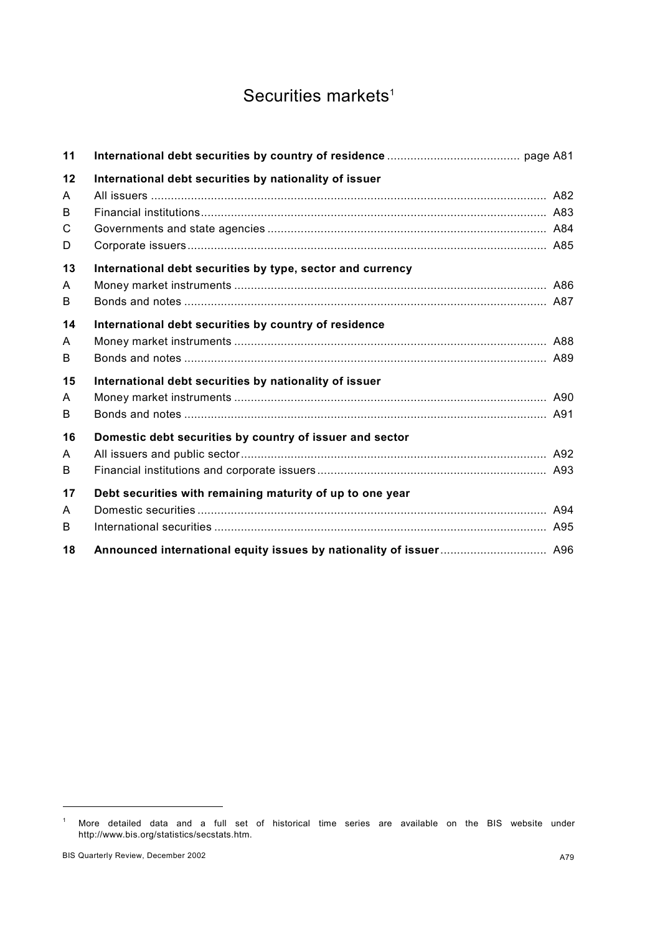# Securities markets<sup>1</sup>

| 11 |                                                            |  |
|----|------------------------------------------------------------|--|
| 12 | International debt securities by nationality of issuer     |  |
| A  |                                                            |  |
| B  |                                                            |  |
| C  |                                                            |  |
| D  |                                                            |  |
| 13 | International debt securities by type, sector and currency |  |
| A  |                                                            |  |
| B  |                                                            |  |
| 14 | International debt securities by country of residence      |  |
| A  |                                                            |  |
| B  |                                                            |  |
| 15 | International debt securities by nationality of issuer     |  |
| A  |                                                            |  |
| B  |                                                            |  |
| 16 | Domestic debt securities by country of issuer and sector   |  |
| A  |                                                            |  |
| B  |                                                            |  |
| 17 | Debt securities with remaining maturity of up to one year  |  |
| A  |                                                            |  |
| B  |                                                            |  |
| 18 |                                                            |  |

l

<sup>1</sup> More detailed data and a full set of historical time series are available on the BIS website under http://www.bis.org/statistics/secstats.htm.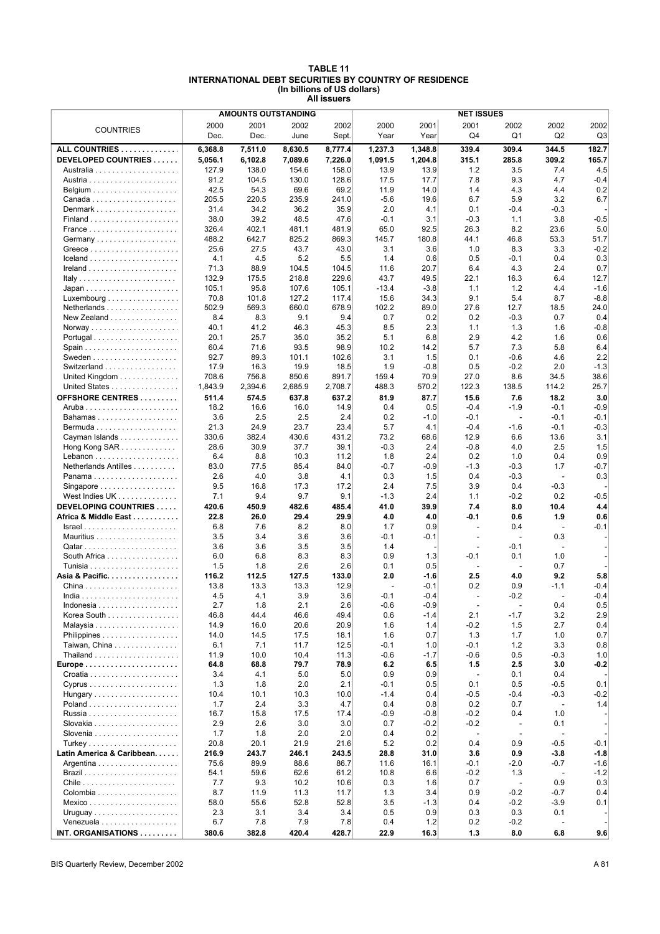| <b>TABLE 11</b>                                              |
|--------------------------------------------------------------|
| <b>INTERNATIONAL DEBT SECURITIES BY COUNTRY OF RESIDENCE</b> |
| (In billions of US dollars)                                  |
| All issuers                                                  |

|                                             |              |                  | <b>AMOUNTS OUTSTANDING</b> |                  | <b>NET ISSUES</b> |               |                                 |                                    |                  |               |  |
|---------------------------------------------|--------------|------------------|----------------------------|------------------|-------------------|---------------|---------------------------------|------------------------------------|------------------|---------------|--|
| <b>COUNTRIES</b>                            | 2000         | 2001             | 2002                       | 2002             | 2000              | 2001          | 2001                            | 2002                               | 2002             | 2002          |  |
|                                             | Dec.         | Dec.             | June                       | Sept.            | Year              | Year          | Q4                              | Q1                                 | Q <sub>2</sub>   | Q3            |  |
| ALL COUNTRIES                               | 6,368.8      | 7,511.0          | 8,630.5                    | 8,777.4          | 1,237.3           | 1,348.8       | 339.4                           | 309.4                              | 344.5            | 182.7         |  |
| DEVELOPED COUNTRIES                         | 5,056.1      | 6,102.8          | 7,089.6                    | 7,226.0          | 1,091.5           | 1,204.8       | 315.1                           | 285.8                              | 309.2            | 165.7         |  |
|                                             | 127.9        | 138.0            | 154.6                      | 158.0            | 13.9              | 13.9          | 1.2                             | 3.5                                | 7.4              | 4.5           |  |
|                                             | 91.2         | 104.5            | 130.0                      | 128.6            | 17.5              | 17.7          | 7.8                             | 9.3                                | 4.7              | $-0.4$        |  |
|                                             | 42.5         | 54.3             | 69.6                       | 69.2             | 11.9              | 14.0          | 1.4                             | 4.3                                | 4.4              | 0.2           |  |
|                                             | 205.5        | 220.5            | 235.9                      | 241.0            | $-5.6$            | 19.6          | 6.7                             | 5.9                                | 3.2              | 6.7           |  |
| Denmark                                     | 31.4         | 34.2             | 36.2                       | 35.9             | 2.0               | 4.1           | 0.1                             | $-0.4$                             | $-0.3$           |               |  |
|                                             | 38.0         | 39.2             | 48.5                       | 47.6             | $-0.1$            | 3.1           | $-0.3$                          | 1.1                                | 3.8              | $-0.5$        |  |
|                                             | 326.4        | 402.1            | 481.1                      | 481.9            | 65.0              | 92.5          | 26.3                            | 8.2                                | 23.6             | 5.0           |  |
|                                             | 488.2        | 642.7            | 825.2                      | 869.3            | 145.7             | 180.8         | 44.1                            | 46.8                               | 53.3             | 51.7          |  |
|                                             | 25.6         | 27.5             | 43.7                       | 43.0             | 3.1               | 3.6           | 1.0                             | 8.3                                | 3.3              | $-0.2$        |  |
|                                             | 4.1          | 4.5              | 5.2                        | 5.5              | 1.4               | 0.6           | 0.5                             | $-0.1$                             | 0.4              | 0.3           |  |
|                                             | 71.3         | 88.9             | 104.5                      | 104.5            | 11.6              | 20.7          | 6.4                             | 4.3                                | 2.4              | 0.7           |  |
| Italy                                       | 132.9        | 175.5            | 218.8                      | 229.6            | 43.7              | 49.5          | 22.1                            | 16.3                               | 6.4              | 12.7          |  |
|                                             | 105.1        | 95.8             | 107.6                      | 105.1            | $-13.4$           | $-3.8$        | 1.1                             | 1.2                                | 4.4              | $-1.6$        |  |
| Luxembourg $\dots\dots\dots\dots\dots\dots$ | 70.8         | 101.8            | 127.2                      | 117.4            | 15.6              | 34.3          | 9.1                             | 5.4                                | 8.7              | $-8.8$        |  |
| Netherlands                                 | 502.9        | 569.3            | 660.0                      | 678.9            | 102.2             | 89.0          | 27.6                            | 12.7                               | 18.5             | 24.0          |  |
| New Zealand                                 | 8.4          | 8.3              | 9.1                        | 9.4              | 0.7               | 0.2           | 0.2                             | $-0.3$                             | 0.7              | 0.4           |  |
|                                             | 40.1         | 41.2             | 46.3                       | 45.3             | 8.5               | 2.3           | 1.1                             | 1.3                                | 1.6              | $-0.8$        |  |
|                                             | 20.1         | 25.7             | 35.0                       | 35.2             | 5.1               | 6.8           | 2.9                             | 4.2                                | 1.6              | 0.6           |  |
|                                             | 60.4         | 71.6             | 93.5                       | 98.9             | 10.2              | 14.2          | 5.7                             | 7.3                                | 5.8              | 6.4           |  |
|                                             | 92.7<br>17.9 | 89.3<br>16.3     | 101.1<br>19.9              | 102.6<br>18.5    | 3.1<br>1.9        | 1.5<br>$-0.8$ | 0.1                             | $-0.6$<br>$-0.2$                   | 4.6<br>2.0       | 2.2<br>$-1.3$ |  |
| Switzerland                                 |              |                  |                            |                  |                   |               | 0.5                             |                                    |                  |               |  |
| United Kingdom                              | 708.6        | 756.8<br>2,394.6 | 850.6<br>2,685.9           | 891.7<br>2,708.7 | 159.4<br>488.3    | 70.9<br>570.2 | 27.0<br>122.3                   | 8.6<br>138.5                       | 34.5<br>114.2    | 38.6<br>25.7  |  |
| United States                               | 1,843.9      |                  |                            |                  |                   |               |                                 |                                    |                  |               |  |
| <b>OFFSHORE CENTRES</b>                     | 511.4        | 574.5            | 637.8                      | 637.2            | 81.9              | 87.7          | 15.6                            | 7.6                                | 18.2             | 3.0<br>$-0.9$ |  |
| Bahamas                                     | 18.2<br>3.6  | 16.6<br>2.5      | 16.0<br>2.5                | 14.9<br>2.4      | 0.4<br>0.2        | 0.5<br>$-1.0$ | $-0.4$<br>-0.1                  | $-1.9$<br>$\overline{\phantom{a}}$ | $-0.1$<br>$-0.1$ | $-0.1$        |  |
| Bermuda                                     | 21.3         | 24.9             | 23.7                       | 23.4             | 5.7               | 4.1           | $-0.4$                          | $-1.6$                             | $-0.1$           | $-0.3$        |  |
| Cayman Islands                              | 330.6        | 382.4            | 430.6                      | 431.2            | 73.2              | 68.6          | 12.9                            | 6.6                                | 13.6             | 3.1           |  |
| Hong Kong $SAR$                             | 28.6         | 30.9             | 37.7                       | 39.1             | $-0.3$            | 2.4           | $-0.8$                          | 4.0                                | 2.5              | 1.5           |  |
|                                             | 6.4          | 8.8              | 10.3                       | 11.2             | 1.8               | 2.4           | 0.2                             | 1.0                                | 0.4              | 0.9           |  |
| Netherlands Antilles                        | 83.0         | 77.5             | 85.4                       | 84.0             | $-0.7$            | $-0.9$        | $-1.3$                          | $-0.3$                             | 1.7              | $-0.7$        |  |
| Panama                                      | 2.6          | 4.0              | 3.8                        | 4.1              | 0.3               | 1.5           | 0.4                             | $-0.3$                             | $\overline{a}$   | 0.3           |  |
| Singapore                                   | 9.5          | 16.8             | 17.3                       | 17.2             | 2.4               | 7.5           | 3.9                             | 0.4                                | $-0.3$           |               |  |
| West Indies UK                              | 7.1          | 9.4              | 9.7                        | 9.1              | $-1.3$            | 2.4           | 1.1                             | $-0.2$                             | 0.2              | $-0.5$        |  |
| DEVELOPING COUNTRIES                        | 420.6        | 450.9            | 482.6                      | 485.4            | 41.0              | 39.9          | 7.4                             | 8.0                                | 10.4             | 4.4           |  |
| Africa & Middle East                        | 22.8         | 26.0             | 29.4                       | 29.9             | 4.0               | 4.0           | -0.1                            | 0.6                                | 1.9              | 0.6           |  |
|                                             | 6.8          | 7.6              | 8.2                        | 8.0              | 1.7               | 0.9           | $\sim$                          | 0.4                                | $\overline{a}$   | $-0.1$        |  |
|                                             | 3.5          | 3.4              | 3.6                        | 3.6              | -0.1              | $-0.1$        | $\overline{\phantom{a}}$        | $\overline{\phantom{a}}$           | 0.3              |               |  |
|                                             | 3.6          | 3.6              | 3.5                        | 3.5              | 1.4               |               | ÷,                              | $-0.1$                             | L,               |               |  |
| South Africa                                | 6.0          | 6.8              | 8.3                        | 8.3              | 0.9               | 1.3           | -0.1                            | 0.1                                | 1.0              |               |  |
|                                             | 1.5          | 1.8              | 2.6                        | 2.6              | 0.1               | 0.5           | $\overline{\phantom{a}}$        | $\overline{\phantom{a}}$           | 0.7              |               |  |
| Asia & Pacific                              | 116.2        | 112.5            | 127.5                      | 133.0            | 2.0               | $-1.6$        | 2.5                             | 4.0                                | 9.2              | 5.8           |  |
|                                             | 13.8         | 13.3             | 13.3                       | 12.9             |                   | $-0.1$        | 0.2                             | 0.9                                | $-1.1$           | $-0.4$        |  |
|                                             | 4.5          | 4.1              | 3.9                        | 3.6              | $-0.1$            | $-0.4$        | $\sim$                          | $-0.2$                             | $\sim$           | $-0.4$        |  |
| Indonesia                                   | 2.7          | 1.8              | 2.1                        | 2.6              | $-0.6$            | $-0.9$        | $\overline{\phantom{a}}$        |                                    | 0.4              | 0.5           |  |
| Korea South                                 | 46.8         | 44.4             | 46.6                       | 49.4             | 0.6               | $-1.4$        | 2.1                             | $-1.7$                             | 3.2              | 2.9           |  |
|                                             | 14.9         | 16.0             | 20.6                       | 20.9             | 1.6               | 1.4           | $-0.2$                          | 1.5                                | 2.7              | 0.4           |  |
| Philippines                                 | 14.0         | 14.5             | 17.5                       | 18.1             | 1.6               | 0.7           | 1.3                             | 1.7                                | 1.0              | 0.7           |  |
| Taiwan, China                               | 6.1          | 7.1              | 11.7                       | 12.5             | $-0.1$            | 1.0           | -0.1                            | $1.2$                              | 3.3              | 0.8           |  |
|                                             | 11.9         | 10.0             | 10.4                       | 11.3             | $-0.6$            | $-1.7$        | $-0.6$                          | 0.5                                | -0.3             | 1.0           |  |
|                                             | 64.8<br>3.4  | 68.8             | 79.7<br>5.0                | 78.9<br>5.0      | 6.2<br>0.9        | 6.5<br>0.9    | 1.5<br>$\overline{\phantom{a}}$ | 2.5<br>0.1                         | 3.0<br>0.4       | $-0.2$        |  |
|                                             | 1.3          | 4.1<br>1.8       | 2.0                        | 2.1              | $-0.1$            | 0.5           | 0.1                             | 0.5                                | $-0.5$           | 0.1           |  |
|                                             | 10.4         | 10.1             | 10.3                       | 10.0             | $-1.4$            | 0.4           | $-0.5$                          | $-0.4$                             | $-0.3$           | $-0.2$        |  |
|                                             | 1.7          | 2.4              | 3.3                        | 4.7              | 0.4               | 0.8           | 0.2                             | 0.7                                | $\overline{a}$   | 1.4           |  |
|                                             | 16.7         | 15.8             | 17.5                       | 17.4             | $-0.9$            | $-0.8$        | -0.2                            | 0.4                                | 1.0              |               |  |
|                                             | 2.9          | 2.6              | 3.0                        | 3.0              | 0.7               | $-0.2$        | -0.2                            | $\overline{\phantom{a}}$           | 0.1              |               |  |
|                                             | 1.7          | 1.8              | 2.0                        | 2.0              | 0.4               | 0.2           | $\overline{\phantom{a}}$        |                                    | $\overline{a}$   |               |  |
| Turkey                                      | 20.8         | 20.1             | 21.9                       | 21.6             | 5.2               | 0.2           | 0.4                             | 0.9                                | $-0.5$           | $-0.1$        |  |
| Latin America & Caribbean.                  | 216.9        | 243.7            | 246.1                      | 243.5            | 28.8              | 31.0          | 3.6                             | 0.9                                | $-3.8$           | $-1.8$        |  |
|                                             | 75.6         | 89.9             | 88.6                       | 86.7             | 11.6              | 16.1          | -0.1                            | $-2.0$                             | $-0.7$           | $-1.6$        |  |
|                                             | 54.1         | 59.6             | 62.6                       | 61.2             | 10.8              | 6.6           | $-0.2$                          | 1.3                                | $\overline{a}$   | $-1.2$        |  |
|                                             | 7.7          | 9.3              | 10.2                       | 10.6             | 0.3               | 1.6           | 0.7                             | $\overline{\phantom{a}}$           | 0.9              | 0.3           |  |
|                                             | 8.7          | 11.9             | 11.3                       | 11.7             | 1.3               | 3.4           | 0.9                             | $-0.2$                             | $-0.7$           | 0.4           |  |
|                                             | 58.0         | 55.6             | 52.8                       | 52.8             | 3.5               | $-1.3$        | 0.4                             | $-0.2$                             | $-3.9$           | 0.1           |  |
|                                             | 2.3          | 3.1              | 3.4                        | 3.4              | 0.5               | 0.9           | 0.3                             | 0.3                                | 0.1              |               |  |
| Venezuela                                   | 6.7          | 7.8              | 7.9                        | 7.8              | 0.4               | $1.2$         | 0.2                             | $-0.2$                             | $\overline{a}$   |               |  |
| INT. ORGANISATIONS                          | 380.6        | 382.8            | 420.4                      | 428.7            | 22.9              | 16.3          | 1.3                             | 8.0                                | 6.8              | 9.6           |  |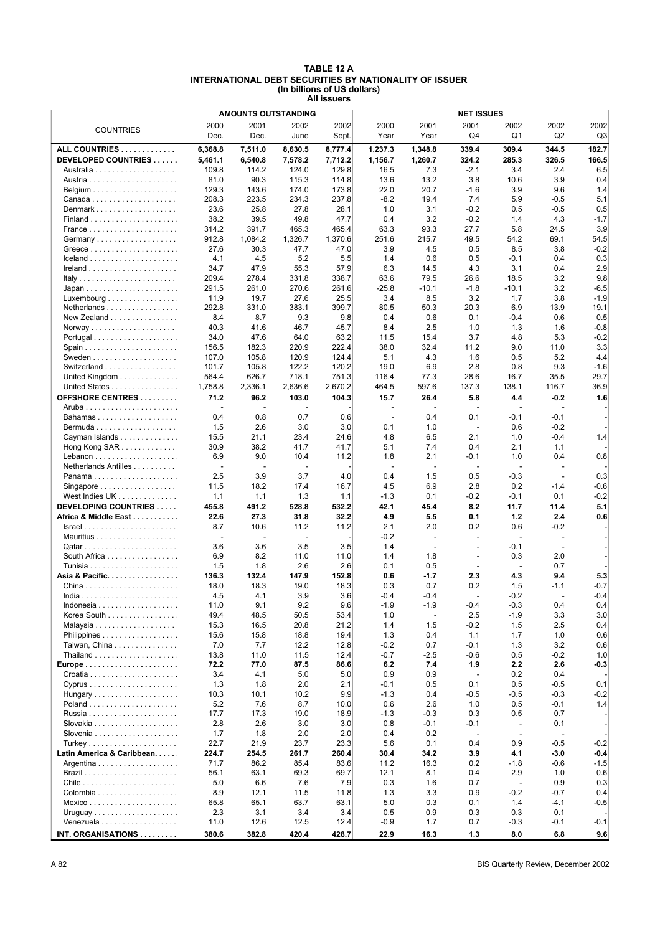#### **TABLE 12 A INTERNATIONAL DEBT SECURITIES BY NATIONALITY OF ISSUER (In billions of US dollars) All issuers**

|                                                    |                          |                | <b>AMOUNTS OUTSTANDING</b> |         | <b>NET ISSUES</b> |         |                          |                          |                          |        |  |  |
|----------------------------------------------------|--------------------------|----------------|----------------------------|---------|-------------------|---------|--------------------------|--------------------------|--------------------------|--------|--|--|
|                                                    | 2000                     | 2001           | 2002                       | 2002    | 2000              | 2001    | 2001                     | 2002                     | 2002                     | 2002   |  |  |
| <b>COUNTRIES</b>                                   | Dec.                     | Dec.           | June                       | Sept.   | Year              | Year    | Q4                       | Q <sub>1</sub>           | Q2                       | Q3     |  |  |
|                                                    |                          |                |                            |         |                   |         |                          |                          |                          |        |  |  |
| ALL COUNTRIES                                      | 6,368.8                  | 7,511.0        | 8,630.5                    | 8,777.4 | 1,237.3           | 1,348.8 | 339.4                    | 309.4                    | 344.5                    | 182.7  |  |  |
| DEVELOPED COUNTRIES                                | 5,461.1                  | 6,540.8        | 7,578.2                    | 7,712.2 | 1,156.7           | 1,260.7 | 324.2                    | 285.3                    | 326.5                    | 166.5  |  |  |
|                                                    | 109.8                    | 114.2          | 124.0                      | 129.8   | 16.5              | 7.3     | $-2.1$                   | 3.4                      | 2.4                      | 6.5    |  |  |
|                                                    | 81.0                     | 90.3           | 115.3                      | 114.8   | 13.6              | 13.2    | 3.8                      | 10.6                     | 3.9                      | 0.4    |  |  |
|                                                    | 129.3                    | 143.6          | 174.0                      | 173.8   | 22.0              | 20.7    | $-1.6$                   | 3.9                      | 9.6                      | 1.4    |  |  |
|                                                    | 208.3                    | 223.5          | 234.3                      | 237.8   | $-8.2$            | 19.4    | 7.4                      | 5.9                      | $-0.5$                   | 5.1    |  |  |
| Denmark                                            | 23.6                     | 25.8           | 27.8                       | 28.1    | 1.0               | 3.1     | $-0.2$                   | 0.5                      | $-0.5$                   | 0.5    |  |  |
|                                                    | 38.2                     | 39.5           | 49.8                       | 47.7    | 0.4               | 3.2     | $-0.2$                   | 1.4                      | 4.3                      | $-1.7$ |  |  |
|                                                    | 314.2                    | 391.7          | 465.3                      | 465.4   | 63.3              | 93.3    | 27.7                     | 5.8                      | 24.5                     | 3.9    |  |  |
|                                                    | 912.8                    | 1,084.2        | 1,326.7                    | 1,370.6 | 251.6             | 215.7   | 49.5                     | 54.2                     | 69.1                     | 54.5   |  |  |
|                                                    | 27.6                     | 30.3           | 47.7                       | 47.0    | 3.9               | 4.5     | 0.5                      | 8.5                      | 3.8                      | $-0.2$ |  |  |
|                                                    | 4.1                      | 4.5            | 5.2                        | 5.5     | 1.4               | 0.6     | 0.5                      | $-0.1$                   | 0.4                      | 0.3    |  |  |
|                                                    | 34.7                     | 47.9           | 55.3                       | 57.9    | 6.3               | 14.5    | 4.3                      | 3.1                      | 0.4                      | 2.9    |  |  |
| Italy                                              | 209.4                    | 278.4          | 331.8                      | 338.7   | 63.6              | 79.5    | 26.6                     | 18.5                     | 3.2                      | 9.8    |  |  |
|                                                    | 291.5                    | 261.0          | 270.6                      | 261.6   | $-25.8$           | $-10.1$ | $-1.8$                   | $-10.1$                  | 3.2                      | $-6.5$ |  |  |
| $Luxembourg \ldots  \ldots $                       | 11.9                     | 19.7           | 27.6                       | 25.5    | 3.4               | 8.5     | 3.2                      | 1.7                      | 3.8                      | $-1.9$ |  |  |
| Netherlands                                        | 292.8                    | 331.0          | 383.1                      | 399.7   | 80.5              | 50.3    | 20.3                     | 6.9                      | 13.9                     | 19.1   |  |  |
| New Zealand                                        | 8.4                      | 8.7            | 9.3                        | 9.8     | 0.4               | 0.6     | 0.1                      | -0.4                     | 0.6                      | 0.5    |  |  |
|                                                    | 40.3                     | 41.6           | 46.7                       | 45.7    | 8.4               | 2.5     | 1.0                      | 1.3                      | 1.6                      | $-0.8$ |  |  |
|                                                    | 34.0                     | 47.6           | 64.0                       | 63.2    | 11.5              | 15.4    | 3.7                      | 4.8                      | 5.3                      | $-0.2$ |  |  |
| Spain                                              | 156.5                    | 182.3          | 220.9                      | 222.4   | 38.0              | 32.4    | 11.2                     | 9.0                      | 11.0                     | 3.3    |  |  |
|                                                    | 107.0                    | 105.8          | 120.9                      | 124.4   | 5.1               | 4.3     | 1.6                      | 0.5                      | 5.2                      | 4.4    |  |  |
| Switzerland                                        | 101.7                    | 105.8          | 122.2                      | 120.2   | 19.0              | 6.9     | 2.8                      | 0.8                      | 9.3                      | $-1.6$ |  |  |
| United Kingdom                                     | 564.4                    | 626.7          | 718.1                      | 751.3   | 116.4             | 77.3    | 28.6                     | 16.7                     | 35.5                     | 29.7   |  |  |
| United States                                      | 1,758.8                  | 2,336.1        | 2,636.6                    | 2,670.2 | 464.5             | 597.6   | 137.3                    | 138.1                    | 116.7                    | 36.9   |  |  |
| OFFSHORE CENTRES                                   | 71.2                     | 96.2           | 103.0                      | 104.3   | 15.7              | 26.4    | 5.8                      | 4.4                      | $-0.2$                   | 1.6    |  |  |
|                                                    |                          |                |                            |         |                   |         | $\blacksquare$           |                          | ٠                        |        |  |  |
| Bahamas                                            | 0.4                      | 0.8            | 0.7                        | 0.6     |                   | 0.4     | 0.1                      | -0.1                     | $-0.1$                   |        |  |  |
|                                                    | 1.5                      | 2.6            | 3.0                        | 3.0     | 0.1               | 1.0     | $\overline{\phantom{a}}$ | 0.6                      | $-0.2$                   |        |  |  |
| Cayman Islands                                     | 15.5                     | 21.1           | 23.4                       | 24.6    | 4.8               | 6.5     | 2.1                      | 1.0                      | $-0.4$                   | 1.4    |  |  |
| Hong Kong $SAR$                                    | 30.9                     | 38.2           | 41.7                       | 41.7    | 5.1               | 7.4     | 0.4                      | 2.1                      | 1.1                      |        |  |  |
|                                                    | 6.9                      | 9.0            | 10.4                       | 11.2    | 1.8               | 2.1     | $-0.1$                   | 1.0                      | 0.4                      | 0.8    |  |  |
| Netherlands Antilles                               |                          |                |                            |         |                   |         | $\overline{a}$           |                          |                          |        |  |  |
| Panama                                             | 2.5                      | 3.9            | 3.7                        | 4.0     | 0.4               | 1.5     | 0.5                      | -0.3                     | $\overline{\phantom{a}}$ | 0.3    |  |  |
| Singapore                                          | 11.5                     | 18.2           | 17.4                       | 16.7    | 4.5               | 6.9     | 2.8                      | 0.2                      | $-1.4$                   | $-0.6$ |  |  |
| West Indies UK                                     | 1.1                      | 1.1            | 1.3                        | 1.1     | $-1.3$            | 0.1     | $-0.2$                   | $-0.1$                   | 0.1                      | $-0.2$ |  |  |
| DEVELOPING COUNTRIES                               | 455.8                    | 491.2          | 528.8                      | 532.2   | 42.1              | 45.4    | 8.2                      | 11.7                     | 11.4                     | 5.1    |  |  |
| Africa & Middle East                               | 22.6                     | 27.3           | 31.8                       | 32.2    | 4.9               | 5.5     | 0.1                      | $1.2$                    | 2.4                      | 0.6    |  |  |
| $Israel \ldots \ldots \ldots \ldots \ldots \ldots$ | 8.7                      | 10.6           | 11.2                       | 11.2    | 2.1               | 2.0     | 0.2                      | 0.6                      | $-0.2$                   |        |  |  |
|                                                    | $\overline{\phantom{a}}$ | $\overline{a}$ | $\overline{\phantom{a}}$   |         | -0.2              |         | $\overline{\phantom{a}}$ | $\overline{\phantom{a}}$ |                          |        |  |  |
|                                                    | 3.6                      | 3.6            | 3.5                        | 3.5     | 1.4               |         |                          | -0.1                     |                          |        |  |  |
| South Africa                                       | 6.9                      | 8.2            | 11.0                       | 11.0    | 1.4               | 1.8     | $\sim$                   | 0.3                      | 2.0                      |        |  |  |
|                                                    | 1.5                      | 1.8            | 2.6                        | 2.6     | 0.1               | 0.5     | $\overline{a}$           | $\overline{a}$           | 0.7                      |        |  |  |
| Asia & Pacific.                                    | 136.3                    | 132.4          | 147.9                      | 152.8   | 0.6               | $-1.7$  | 2.3                      | 4.3                      | 9.4                      | 5.3    |  |  |
|                                                    | 18.0                     | 18.3           | 19.0                       | 18.3    | 0.3               | 0.7     | 0.2                      | 1.5                      | $-1.1$                   | $-0.7$ |  |  |
|                                                    | 4.5                      | 4.1            | 3.9                        | 3.6     | $-0.4$            | $-0.4$  | $\overline{\phantom{a}}$ | $-0.2$                   | ÷,                       | $-0.4$ |  |  |
|                                                    | 11.0                     | 9.1            | 9.2                        | 9.6     | $-1.9$            | $-1.9$  | -0.4                     | $-0.3$                   | 0.4                      | 0.4    |  |  |
| Korea South                                        | 49.4                     | 48.5           | 50.5                       | 53.4    | 1.0               |         | 2.5                      | $-1.9$                   | 3.3                      | 3.0    |  |  |
|                                                    | 15.3                     | 16.5           | 20.8                       | 21.2    | 1.4               | 1.5     | $-0.2$                   | 1.5                      | 2.5                      | 0.4    |  |  |
|                                                    | 15.6                     | 15.8           | 18.8                       | 19.4    | 1.3               | 0.4     | 1.1                      | 1.7                      | 1.0                      | 0.6    |  |  |
| Taiwan, China                                      | 7.0                      | 7.7            | 12.2                       | 12.8    | $-0.2$            | 0.7     | $-0.1$                   | 1.3                      | 3.2                      | 0.6    |  |  |
|                                                    | 13.8                     | 11.0           | 11.5                       | 12.4    | $-0.7$            | $-2.5$  | $-0.6$                   | 0.5                      | $-0.2$                   | 1.0    |  |  |
|                                                    | 72.2                     | 77.0           | 87.5                       | 86.6    | 6.2               | 7.4     | 1.9                      | 2.2                      | 2.6                      | -0.3   |  |  |
|                                                    | 3.4                      | 4.1            | 5.0                        | 5.0     | 0.9               | 0.9     | $\overline{\phantom{a}}$ | 0.2                      | 0.4                      |        |  |  |
|                                                    | 1.3                      | 1.8            | 2.0                        | 2.1     | -0.1              | 0.5     | 0.1                      | 0.5                      | $-0.5$                   | 0.1    |  |  |
| Hungary                                            | 10.3                     | 10.1           | 10.2                       | 9.9     | $-1.3$            | 0.4     | -0.5                     | -0.5                     | $-0.3$                   | $-0.2$ |  |  |
|                                                    | 5.2                      | 7.6            | 8.7                        | 10.0    | 0.6               | 2.6     | 1.0                      | 0.5                      | $-0.1$                   | 1.4    |  |  |
|                                                    | 17.7                     | 17.3           | 19.0                       | 18.9    | $-1.3$            | $-0.3$  | 0.3                      | 0.5                      | 0.7                      |        |  |  |
|                                                    | 2.8                      | 2.6            | 3.0                        | 3.0     | 0.8               | $-0.1$  | $-0.1$                   |                          | 0.1                      |        |  |  |
|                                                    | 1.7                      | 1.8            | 2.0                        | 2.0     | 0.4               | 0.2     | $\overline{\phantom{a}}$ |                          | $\overline{a}$           |        |  |  |
| Turkey                                             | 22.7                     | 21.9           | 23.7                       | 23.3    | 5.6               | 0.1     | 0.4                      | 0.9                      | $-0.5$                   | $-0.2$ |  |  |
| Latin America & Caribbean                          | 224.7                    | 254.5          | 261.7                      | 260.4   | 30.4              | 34.2    | 3.9                      | 4.1                      | $-3.0$                   | $-0.4$ |  |  |
|                                                    | 71.7                     | 86.2           | 85.4                       | 83.6    | 11.2              | 16.3    | 0.2                      | -1.8                     | $-0.6$                   | $-1.5$ |  |  |
|                                                    | 56.1                     | 63.1           | 69.3                       | 69.7    | 12.1              | 8.1     | 0.4                      | 2.9                      | 1.0                      | 0.6    |  |  |
|                                                    | 5.0                      | 6.6            | 7.6                        | 7.9     | 0.3               | 1.6     | 0.7                      | $\overline{\phantom{a}}$ | 0.9                      | 0.3    |  |  |
|                                                    | 8.9                      | 12.1           | 11.5                       | 11.8    | 1.3               | 3.3     | 0.9                      | $-0.2$                   | $-0.7$                   | 0.4    |  |  |
| $Mexico \ldots \ldots \ldots \ldots$               | 65.8                     | 65.1           | 63.7                       | 63.1    | 5.0               | 0.3     | 0.1                      | 1.4                      | $-4.1$                   | $-0.5$ |  |  |
|                                                    | 2.3                      | 3.1            | 3.4                        | 3.4     | 0.5               | 0.9     | 0.3                      | 0.3                      | 0.1                      |        |  |  |
| Venezuela                                          | 11.0                     | 12.6           | 12.5                       | 12.4    | $-0.9$            | 1.7     | 0.7                      | -0.3                     | $-0.1$                   | $-0.1$ |  |  |
|                                                    |                          |                |                            |         |                   |         |                          |                          |                          |        |  |  |
| INT. ORGANISATIONS                                 | 380.6                    | 382.8          | 420.4                      | 428.7   | 22.9              | 16.3    | 1.3                      | 8.0                      | 6.8                      | 9.6    |  |  |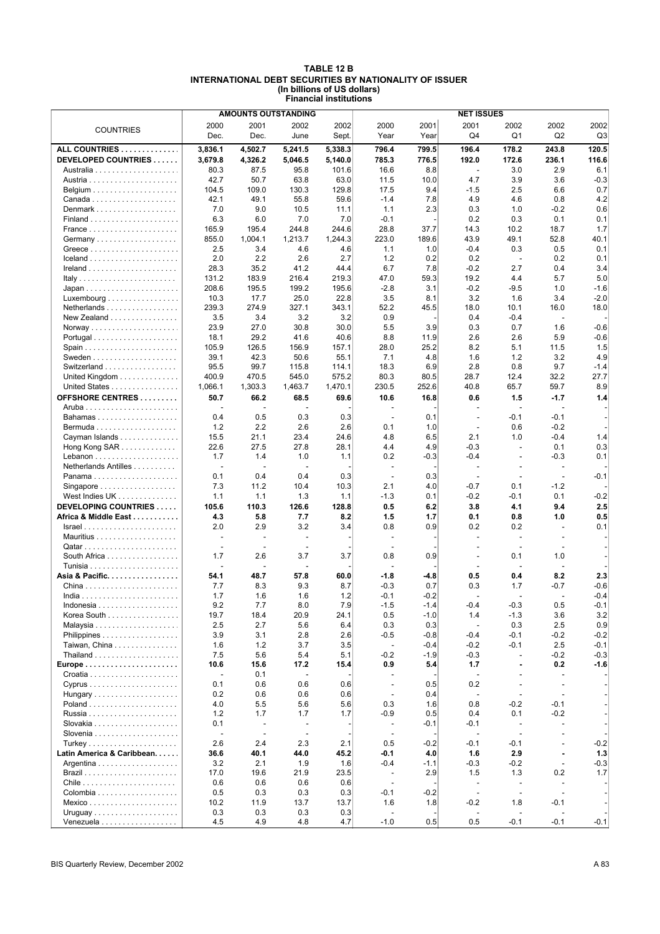#### **TABLE 12 B INTERNATIONAL DEBT SECURITIES BY NATIONALITY OF ISSUER (In billions of US dollars) Financial institutions**

|                                                       |                          |                          | <b>AMOUNTS OUTSTANDING</b> |         | <b>NET ISSUES</b>        |        |                          |                          |                          |        |  |  |
|-------------------------------------------------------|--------------------------|--------------------------|----------------------------|---------|--------------------------|--------|--------------------------|--------------------------|--------------------------|--------|--|--|
|                                                       | 2000                     | 2001                     | 2002                       | 2002    | 2000                     | 2001   | 2001                     | 2002                     | 2002                     | 2002   |  |  |
| <b>COUNTRIES</b>                                      | Dec.                     | Dec.                     | June                       | Sept.   | Year                     | Year   | Q4                       | Q <sub>1</sub>           | Q2                       | Q3     |  |  |
| ALL COUNTRIES                                         |                          |                          |                            |         | 796.4                    | 799.5  | 196.4                    | 178.2                    | 243.8                    | 120.5  |  |  |
|                                                       | 3,836.1                  | 4,502.7                  | 5,241.5                    | 5,338.3 |                          |        |                          |                          |                          |        |  |  |
| DEVELOPED COUNTRIES                                   | 3,679.8                  | 4,326.2                  | 5,046.5                    | 5,140.0 | 785.3                    | 776.5  | 192.0                    | 172.6                    | 236.1                    | 116.6  |  |  |
|                                                       | 80.3                     | 87.5                     | 95.8                       | 101.6   | 16.6                     | 8.8    | $\overline{\phantom{a}}$ | 3.0                      | 2.9                      | 6.1    |  |  |
|                                                       | 42.7                     | 50.7                     | 63.8                       | 63.0    | 11.5                     | 10.0   | 4.7                      | 3.9                      | 3.6                      | $-0.3$ |  |  |
|                                                       | 104.5                    | 109.0                    | 130.3                      | 129.8   | 17.5                     | 9.4    | -1.5                     | 2.5                      | 6.6                      | 0.7    |  |  |
|                                                       | 42.1                     | 49.1                     | 55.8                       | 59.6    | $-1.4$                   | 7.8    | 4.9                      | 4.6                      | 0.8                      | 4.2    |  |  |
| Denmark                                               | 7.0                      | 9.0                      | 10.5                       | 11.1    | 1.1                      | 2.3    | 0.3                      | 1.0                      | $-0.2$                   | 0.6    |  |  |
|                                                       | 6.3                      | 6.0                      | 7.0                        | 7.0     | $-0.1$                   |        | 0.2                      | 0.3                      | 0.1                      | 0.1    |  |  |
| France                                                | 165.9                    | 195.4                    | 244.8                      | 244.6   | 28.8                     | 37.7   | 14.3                     | 10.2                     | 18.7                     | 1.7    |  |  |
|                                                       | 855.0                    | 1,004.1                  | 1,213.7                    | 1,244.3 | 223.0                    | 189.6  | 43.9                     | 49.1                     | 52.8                     | 40.1   |  |  |
|                                                       | 2.5                      | 3.4                      | 4.6                        | 4.6     | 1.1                      | 1.0    | $-0.4$                   | 0.3                      | 0.5                      | 0.1    |  |  |
|                                                       | 2.0                      | 2.2                      | 2.6                        | 2.7     | 1.2                      | 0.2    | 0.2                      | $\overline{\phantom{a}}$ | 0.2                      | 0.1    |  |  |
|                                                       | 28.3                     | 35.2                     | 41.2                       | 44.4    | 6.7                      | 7.8    | -0.2                     | 2.7                      | 0.4                      | 3.4    |  |  |
|                                                       | 131.2                    | 183.9                    | 216.4                      | 219.3   | 47.0                     | 59.3   | 19.2                     | 4.4                      | 5.7                      | 5.0    |  |  |
|                                                       | 208.6                    | 195.5                    | 199.2                      | 195.6   | $-2.8$                   | 3.1    | $-0.2$                   | $-9.5$                   | 1.0                      | $-1.6$ |  |  |
| Luxembourg                                            | 10.3                     | 17.7                     | 25.0                       | 22.8    | 3.5                      | 8.1    | 3.2                      | 1.6                      | 3.4                      | $-2.0$ |  |  |
| Netherlands                                           | 239.3                    | 274.9                    | 327.1                      | 343.1   | 52.2                     | 45.5   | 18.0                     | 10.1                     | 16.0                     | 18.0   |  |  |
| New Zealand                                           | 3.5                      | 3.4                      | 3.2                        | 3.2     | 0.9                      |        | 0.4                      | $-0.4$                   | $\overline{a}$           |        |  |  |
|                                                       | 23.9                     | 27.0                     | 30.8                       | 30.0    | 5.5                      | 3.9    | 0.3                      | 0.7                      | 1.6                      | $-0.6$ |  |  |
| Portugal                                              | 18.1                     | 29.2                     | 41.6                       | 40.6    | 8.8                      | 11.9   | 2.6                      | 2.6                      | 5.9                      | $-0.6$ |  |  |
|                                                       | 105.9                    | 126.5                    | 156.9                      | 157.1   | 28.0                     | 25.2   | 8.2                      | 5.1                      | 11.5                     | 1.5    |  |  |
| Sweden $\ldots \ldots \ldots \ldots \ldots \ldots$    | 39.1                     | 42.3                     | 50.6                       | 55.1    | 7.1                      | 4.8    | 1.6                      | 1.2                      | 3.2                      | 4.9    |  |  |
| Switzerland                                           | 95.5                     | 99.7                     | 115.8                      | 114.1   | 18.3                     | 6.9    | 2.8                      | 0.8                      | 9.7                      | $-1.4$ |  |  |
| United Kingdom                                        | 400.9                    | 470.5                    | 545.0                      | 575.2   | 80.3                     | 80.5   | 28.7                     | 12.4                     | 32.2                     | 27.7   |  |  |
|                                                       |                          |                          |                            |         |                          |        |                          |                          |                          |        |  |  |
| United States                                         | 1,066.1                  | 1,303.3                  | 1,463.7                    | 1,470.1 | 230.5                    | 252.6  | 40.8                     | 65.7                     | 59.7                     | 8.9    |  |  |
| OFFSHORE CENTRES                                      | 50.7                     | 66.2                     | 68.5                       | 69.6    | 10.6                     | 16.8   | 0.6                      | 1.5                      | $-1.7$                   | 1.4    |  |  |
|                                                       |                          | ÷,                       |                            |         |                          |        |                          |                          |                          |        |  |  |
| Bahamas                                               | 0.4                      | 0.5                      | 0.3                        | 0.3     |                          | 0.1    | $\overline{\phantom{a}}$ | $-0.1$                   | $-0.1$                   |        |  |  |
|                                                       | 1.2                      | 2.2                      | 2.6                        | 2.6     | 0.1                      | 1.0    | $\sim$                   | 0.6                      | $-0.2$                   |        |  |  |
| Cayman Islands                                        | 15.5                     | 21.1                     | 23.4                       | 24.6    | 4.8                      | 6.5    | 2.1                      | 1.0                      | $-0.4$                   | 1.4    |  |  |
| Hong Kong $SAR$                                       | 22.6                     | 27.5                     | 27.8                       | 28.1    | 4.4                      | 4.9    | $-0.3$                   | $\overline{\phantom{a}}$ | 0.1                      | 0.3    |  |  |
|                                                       | 1.7                      | 1.4                      | 1.0                        | 1.1     | 0.2                      | $-0.3$ | $-0.4$                   | $\sim$                   | $-0.3$                   | 0.1    |  |  |
| Netherlands Antilles                                  | ÷,                       |                          |                            |         |                          |        | $\overline{\phantom{a}}$ | $\overline{\phantom{a}}$ | $\overline{\phantom{0}}$ |        |  |  |
| Panama                                                | 0.1                      | 0.4                      | 0.4                        | 0.3     | $\overline{\phantom{a}}$ | 0.3    | $\sim$                   | $\overline{\phantom{a}}$ | $\overline{a}$           | $-0.1$ |  |  |
| Singapore                                             | 7.3                      | 11.2                     | 10.4                       | 10.3    | 2.1                      | 4.0    | -0.7                     | 0.1                      | $-1.2$                   |        |  |  |
| West Indies UK                                        | 1.1                      | 1.1                      | 1.3                        | 1.1     | $-1.3$                   | 0.1    | $-0.2$                   | -0.1                     | 0.1                      | $-0.2$ |  |  |
| DEVELOPING COUNTRIES                                  | 105.6                    | 110.3                    | 126.6                      | 128.8   | 0.5                      | 6.2    | 3.8                      | 4.1                      | 9.4                      | 2.5    |  |  |
| Africa & Middle East                                  | 4.3                      | 5.8                      | 7.7                        | 8.2     | 1.5                      | 1.7    | 0.1                      | 0.8                      | 1.0                      | 0.5    |  |  |
| $Israel \ldots \ldots \ldots \ldots \ldots \ldots$    | 2.0                      | 2.9                      | 3.2                        | 3.4     | 0.8                      | 0.9    | 0.2                      | 0.2                      | $\overline{a}$           | 0.1    |  |  |
|                                                       | $\overline{\phantom{a}}$ | $\overline{\phantom{a}}$ | $\overline{\phantom{a}}$   |         | $\overline{\phantom{a}}$ |        | $\sim$                   | $\sim$                   |                          |        |  |  |
|                                                       |                          |                          |                            |         |                          |        |                          |                          |                          |        |  |  |
| South Africa                                          | 1.7                      | 2.6                      | 3.7                        | 3.7     | 0.8                      | 0.9    |                          | 0.1                      | 1.0                      |        |  |  |
|                                                       |                          |                          |                            |         |                          |        | $\overline{\phantom{a}}$ |                          |                          |        |  |  |
| Asia & Pacific.                                       | 54.1                     | 48.7                     | 57.8                       | 60.0    | -1.8                     | -4.8   | 0.5                      | 0.4                      | 8.2                      | 2.3    |  |  |
|                                                       | 7.7                      | 8.3                      | 9.3                        | 8.7     | $-0.3$                   | 0.7    | 0.3                      | 1.7                      | $-0.7$                   | $-0.6$ |  |  |
|                                                       | 1.7                      | 1.6                      | 1.6                        | 1.2     | $-0.1$                   | $-0.2$ | $\overline{\phantom{a}}$ |                          | $\overline{\phantom{a}}$ | $-0.4$ |  |  |
| Indonesia                                             | 9.2                      |                          | 8.0                        | 7.9     | $-1.5$                   | $-1.4$ | -0.4                     |                          | 0.5                      | $-0.1$ |  |  |
|                                                       |                          | 7.7                      |                            |         |                          |        | 1.4                      | -0.3                     |                          | 3.2    |  |  |
| Korea South                                           | 19.7                     | 18.4                     | 20.9                       | 24.1    | 0.5                      | $-1.0$ |                          | $-1.3$                   | 3.6                      |        |  |  |
|                                                       | 2.5                      | 2.7                      | 5.6                        | 6.4     | 0.3                      | 0.3    | $\overline{\phantom{a}}$ | 0.3                      | 2.5                      | 0.9    |  |  |
| Philippines                                           | 3.9                      | 3.1                      | 2.8                        | 2.6     | $-0.5$                   | $-0.8$ | $-0.4$                   | $-0.1$                   | $-0.2$                   | $-0.2$ |  |  |
| Taiwan, China                                         | 1.6                      | 1.2                      | 3.7                        | 3.5     | $\overline{\phantom{a}}$ | $-0.4$ | $-0.2$                   | $-0.1$                   | 2.5                      | $-0.1$ |  |  |
|                                                       | 7.5                      | 5.6                      | 5.4                        | 5.1     | $-0.2$                   | $-1.9$ | $-0.3$                   | $\overline{\phantom{a}}$ | $-0.2$                   | $-0.3$ |  |  |
|                                                       | 10.6                     | 15.6                     | 17.2                       | 15.4    | 0.9                      | 5.4    | 1.7                      | $\blacksquare$           | 0.2                      | $-1.6$ |  |  |
|                                                       | $\overline{\phantom{a}}$ | 0.1                      | $\overline{\phantom{a}}$   |         |                          |        | $\sim$                   |                          | $\blacksquare$           |        |  |  |
|                                                       | 0.1                      | 0.6                      | 0.6                        | 0.6     | $\overline{\phantom{a}}$ | 0.5    | 0.2                      | $\overline{\phantom{a}}$ | $\overline{\phantom{a}}$ |        |  |  |
| Hungary                                               | 0.2                      | 0.6                      | 0.6                        | 0.6     | $\sim$                   | 0.4    | $\blacksquare$           |                          |                          |        |  |  |
|                                                       | 4.0                      | 5.5                      | 5.6                        | 5.6     | 0.3                      | 1.6    | 0.8                      | $-0.2$                   | $-0.1$                   |        |  |  |
|                                                       | 1.2                      | 1.7                      | 1.7                        | 1.7     | $-0.9$                   | 0.5    | 0.4                      | 0.1                      | $-0.2$                   |        |  |  |
|                                                       | 0.1                      | $\overline{a}$           | $\overline{\phantom{a}}$   |         |                          | $-0.1$ | -0.1                     |                          |                          |        |  |  |
|                                                       |                          | $\overline{\phantom{a}}$ | $\overline{a}$             |         |                          |        | $\overline{\phantom{a}}$ |                          |                          |        |  |  |
| Turkey                                                | 2.6                      | 2.4                      | 2.3                        | 2.1     | 0.5                      | $-0.2$ | -0.1                     | $-0.1$                   | $\frac{1}{2}$            | $-0.2$ |  |  |
| Latin America & Caribbean.                            | 36.6                     | 40.1                     | 44.0                       | 45.2    | -0.1                     | 4.0    | 1.6                      | 2.9                      | $\blacksquare$           | 1.3    |  |  |
| Argentina $\ldots \ldots \ldots \ldots \ldots \ldots$ | 3.2                      | 2.1                      | 1.9                        | 1.6     | $-0.4$                   | $-1.1$ | -0.3                     | $-0.2$                   | $\blacksquare$           | $-0.3$ |  |  |
|                                                       | 17.0                     | 19.6                     | 21.9                       | 23.5    | $\overline{\phantom{a}}$ | 2.9    | 1.5                      | 1.3                      | 0.2                      | 1.7    |  |  |
|                                                       | 0.6                      | 0.6                      | 0.6                        | 0.6     | $\overline{\phantom{a}}$ |        | $\sim$                   |                          | $\overline{\phantom{a}}$ |        |  |  |
|                                                       | 0.5                      | 0.3                      | 0.3                        | 0.3     | $-0.1$                   | $-0.2$ | $\sim$                   | $\sim$                   | $\overline{\phantom{a}}$ |        |  |  |
|                                                       | 10.2                     | 11.9                     | 13.7                       | 13.7    | 1.6                      | 1.8    | $-0.2$                   | 1.8                      | $-0.1$                   |        |  |  |
|                                                       | 0.3                      | 0.3                      | 0.3                        | 0.3     | $\overline{\phantom{a}}$ |        | $\sim$                   | L,                       | $\overline{a}$           |        |  |  |
| Venezuela                                             | 4.5                      | 4.9                      | 4.8                        | 4.7     | $-1.0$                   | 0.5    | 0.5                      | $-0.1$                   | $-0.1$                   | $-0.1$ |  |  |
|                                                       |                          |                          |                            |         |                          |        |                          |                          |                          |        |  |  |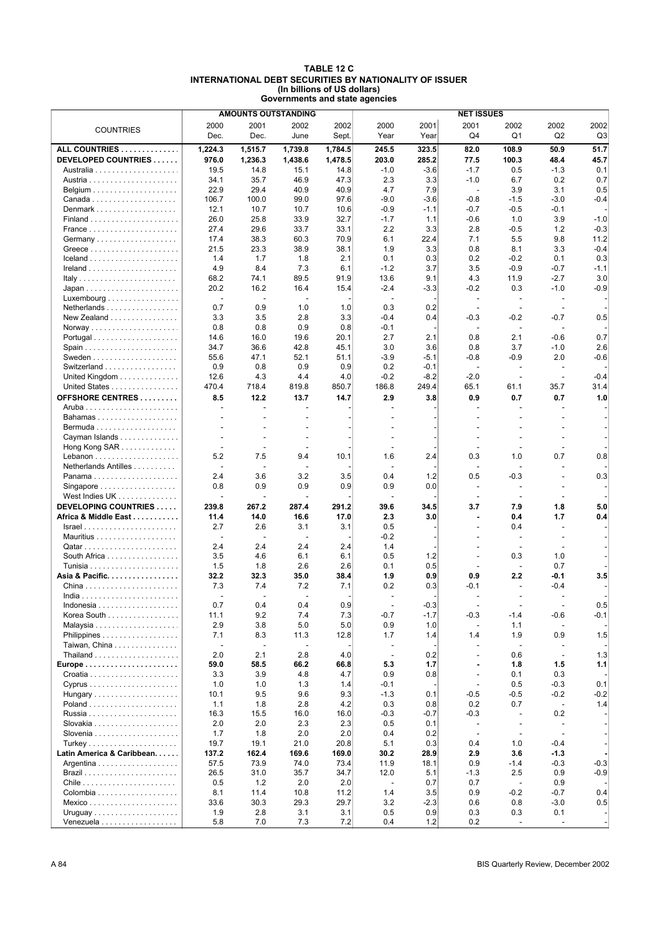| TABLE 12 C                                             |
|--------------------------------------------------------|
| INTERNATIONAL DEBT SECURITIES BY NATIONALITY OF ISSUER |
| (In billions of US dollars)                            |
| Governments and state agencies                         |

|                                                           |                          |                          | <b>AMOUNTS OUTSTANDING</b> |              |                          |             | <b>NET ISSUES</b>        |                                            |                          |        |
|-----------------------------------------------------------|--------------------------|--------------------------|----------------------------|--------------|--------------------------|-------------|--------------------------|--------------------------------------------|--------------------------|--------|
| <b>COUNTRIES</b>                                          | 2000                     | 2001                     | 2002                       | 2002         | 2000                     | 2001        | 2001                     | 2002                                       | 2002                     | 2002   |
|                                                           | Dec.                     | Dec.                     | June                       | Sept.        | Year                     | Year        | Q4                       | Q1                                         | Q2                       | Q3     |
| ALL COUNTRIES                                             | 1,224.3                  | 1,515.7                  | 1,739.8                    | 1,784.5      | 245.5                    | 323.5       | 82.0                     | 108.9                                      | 50.9                     | 51.7   |
| DEVELOPED COUNTRIES                                       | 976.0                    | 1,236.3                  | 1,438.6                    | 1,478.5      | 203.0                    | 285.2       | 77.5                     | 100.3                                      | 48.4                     | 45.7   |
|                                                           | 19.5                     | 14.8                     | 15.1                       | 14.8         | $-1.0$                   | $-3.6$      | $-1.7$                   | 0.5                                        | $-1.3$                   | 0.1    |
|                                                           | 34.1                     | 35.7                     | 46.9                       | 47.3         | 2.3                      | 3.3         | $-1.0$                   | 6.7                                        | 0.2                      | 0.7    |
|                                                           | 22.9                     | 29.4                     | 40.9                       | 40.9         | 4.7                      | 7.9         | $\overline{\phantom{a}}$ | 3.9                                        | 3.1                      | 0.5    |
|                                                           | 106.7                    | 100.0                    | 99.0                       | 97.6         | $-9.0$                   | $-3.6$      | $-0.8$                   | $-1.5$                                     | $-3.0$                   | $-0.4$ |
| Denmark                                                   | 12.1                     | 10.7                     | 10.7                       | 10.6         | $-0.9$                   | $-1.1$      | -0.7                     | $-0.5$                                     | -0.1                     |        |
|                                                           | 26.0                     | 25.8                     | 33.9                       | 32.7         | $-1.7$                   | 1.1         | $-0.6$                   | 1.0                                        | 3.9                      | $-1.0$ |
|                                                           | 27.4                     | 29.6                     | 33.7                       | 33.1         | 2.2                      | 3.3         | 2.8                      | $-0.5$                                     | 1.2                      | $-0.3$ |
|                                                           | 17.4                     | 38.3                     | 60.3                       | 70.9         | 6.1                      | 22.4        | 7.1                      | 5.5                                        | 9.8                      | 11.2   |
|                                                           | 21.5                     | 23.3                     | 38.9                       | 38.1         | 1.9                      | 3.3         | 0.8                      | 8.1                                        | 3.3                      | $-0.4$ |
| $lceland \ldots \ldots \ldots \ldots \ldots \ldots$       | 1.4                      | 1.7                      | 1.8                        | 2.1          | 0.1                      | 0.3         | 0.2                      | $-0.2$                                     | 0.1                      | 0.3    |
|                                                           | 4.9                      | 8.4                      | 7.3                        | 6.1          | $-1.2$                   | 3.7         | 3.5                      | $-0.9$                                     | $-0.7$                   | $-1.1$ |
| Italy                                                     | 68.2                     | 74.1                     | 89.5                       | 91.9         | 13.6                     | 9.1         | 4.3                      | 11.9                                       | $-2.7$                   | 3.0    |
|                                                           | 20.2                     | 16.2                     | 16.4                       | 15.4         | $-2.4$                   | $-3.3$      | $-0.2$                   | 0.3                                        | $-1.0$                   | $-0.9$ |
| $Luxembourg \ldots  \ldots $                              | $\overline{\phantom{a}}$ | $\overline{a}$           | $\blacksquare$             |              | $\overline{\phantom{a}}$ |             | $\overline{\phantom{a}}$ |                                            | $\overline{a}$           |        |
| Netherlands                                               | 0.7                      | 0.9                      | 1.0                        | 1.0          | 0.3                      | 0.2         | $\overline{a}$           |                                            | $\overline{a}$           |        |
| New Zealand                                               | 3.3                      | 3.5                      | 2.8                        | 3.3          | -0.4                     | 0.4         | $-0.3$                   | $-0.2$                                     | $-0.7$                   | 0.5    |
|                                                           | 0.8                      | 0.8                      | 0.9                        | 0.8          | $-0.1$                   |             | $\overline{\phantom{a}}$ | $\sim$                                     | $\overline{\phantom{a}}$ |        |
|                                                           | 14.6                     | 16.0                     | 19.6                       | 20.1         | 2.7                      | 2.1         | 0.8                      | 2.1                                        | $-0.6$                   | 0.7    |
|                                                           | 34.7                     | 36.6                     | 42.8                       | 45.1         | 3.0                      | 3.6         | 0.8                      | 3.7                                        | $-1.0$                   | 2.6    |
|                                                           | 55.6                     | 47.1                     | 52.1                       | 51.1         | $-3.9$                   | $-5.1$      | $-0.8$                   | $-0.9$                                     | 2.0                      | $-0.6$ |
| Switzerland                                               | 0.9                      | 0.8                      | 0.9                        | 0.9          | 0.2                      | $-0.1$      | $\overline{\phantom{a}}$ | $\overline{a}$                             | $\overline{a}$           |        |
| United Kingdom                                            | 12.6                     | 4.3                      | 4.4                        | 4.0          | $-0.2$                   | $-8.2$      | $-2.0$                   | $\overline{\phantom{a}}$                   | $\overline{\phantom{a}}$ | $-0.4$ |
| United States                                             | 470.4                    | 718.4                    | 819.8                      | 850.7        | 186.8                    | 249.4       | 65.1                     | 61.1                                       | 35.7                     | 31.4   |
| OFFSHORE CENTRES                                          | 8.5                      | 12.2                     | 13.7                       | 14.7         | 2.9                      | 3.8         | 0.9                      | 0.7                                        | 0.7                      | 1.0    |
|                                                           |                          |                          |                            |              |                          |             | ÷                        |                                            |                          |        |
| Bahamas                                                   |                          |                          |                            |              |                          |             |                          |                                            |                          |        |
|                                                           |                          |                          |                            |              |                          |             |                          |                                            |                          |        |
| Cayman Islands                                            |                          |                          |                            |              |                          |             |                          |                                            |                          |        |
| Hong Kong $SAR$                                           | 5.2                      | 7.5                      | 9.4                        | 10.1         | 1.6                      | 2.4         | 0.3                      | 1.0                                        | 0.7                      | 0.8    |
| Netherlands Antilles                                      |                          |                          |                            |              |                          |             |                          |                                            |                          |        |
| Panama                                                    | 2.4                      | 3.6                      | 3.2                        | 3.5          | 0.4                      | 1.2         | 0.5                      | $-0.3$                                     | $\overline{\phantom{a}}$ | 0.3    |
| Singapore $\dots\dots\dots\dots\dots\dots\dots$           | 0.8                      | 0.9                      | 0.9                        | 0.9          | 0.9                      | 0.0         | $\overline{\phantom{a}}$ | $\overline{\phantom{a}}$                   |                          |        |
| West Indies UK                                            | ÷                        | $\overline{\phantom{a}}$ | $\overline{a}$             |              | $\overline{a}$           |             | $\overline{\phantom{a}}$ | $\overline{a}$                             | $\sim$                   |        |
| DEVELOPING COUNTRIES                                      | 239.8                    | 267.2                    | 287.4                      | 291.2        | 39.6                     | 34.5        | 3.7                      | 7.9                                        | 1.8                      | 5.0    |
| Africa & Middle East                                      | 11.4                     | 14.0                     | 16.6                       | 17.0         | 2.3                      | 3.0         |                          | 0.4                                        | 1.7                      | 0.4    |
|                                                           | 2.7                      | 2.6                      | 3.1                        | 3.1          | 0.5                      |             | $\overline{\phantom{a}}$ | 0.4                                        | $\overline{\phantom{a}}$ |        |
|                                                           | $\overline{\phantom{a}}$ | $\overline{a}$           |                            |              | $-0.2$                   |             |                          |                                            |                          |        |
|                                                           | 2.4                      | 2.4                      | 2.4                        | 2.4          | 1.4                      |             |                          |                                            |                          |        |
| South Africa                                              | 3.5                      | 4.6                      | 6.1                        | 6.1          | 0.5                      | 1.2         | $\overline{\phantom{a}}$ | 0.3                                        | 1.0                      |        |
|                                                           | 1.5                      | 1.8                      | 2.6                        | 2.6          | 0.1                      | 0.5         | $\overline{\phantom{a}}$ | $\overline{\phantom{a}}$                   | 0.7                      |        |
| Asia & Pacific.                                           | 32.2                     | 32.3                     | 35.0                       | 38.4         | 1.9                      | 0.9         | 0.9                      | 2.2                                        | $-0.1$                   | 3.5    |
|                                                           | 7.3                      | 7.4                      | 7.2                        | 7.1          | 0.2                      | 0.3         | $-0.1$                   | $\overline{\phantom{a}}$                   | $-0.4$                   |        |
|                                                           |                          | $\overline{\phantom{a}}$ | $\overline{\phantom{a}}$   |              |                          |             | $\overline{\phantom{a}}$ |                                            | $\overline{\phantom{a}}$ |        |
| Indonesia                                                 | 0.7                      | 0.4                      | 0.4                        | 09           |                          | -0.3        |                          |                                            |                          | 0.5    |
| Korea South                                               | 11.1                     | 9.2                      | 7.4                        | 7.3          | $-0.7$                   | $-1.7$      | $-0.3$                   | $-1.4$                                     | $-0.6$                   | $-0.1$ |
|                                                           | 2.9                      | 3.8                      | 5.0                        | 5.0          | 0.9                      | 1.0         | $\overline{\phantom{a}}$ | 1.1                                        | $\overline{a}$           |        |
|                                                           | 7.1                      | 8.3                      | 11.3                       | 12.8         | 1.7                      | 1.4         | 1.4                      | 1.9                                        | 0.9                      | 1.5    |
| Taiwan, China                                             |                          | $\overline{a}$           |                            |              | $\overline{\phantom{a}}$ |             | $\sim$                   | $\overline{\phantom{a}}$                   |                          |        |
|                                                           | 2.0                      | 2.1                      | 2.8                        | 4.0          | $\overline{\phantom{a}}$ | 0.2         | $\overline{\phantom{a}}$ | 0.6                                        | $\overline{a}$           | 1.3    |
|                                                           | 59.0                     | 58.5                     | 66.2                       | 66.8         | 5.3                      | 1.7         | $\blacksquare$           | 1.8                                        | 1.5                      | 1.1    |
|                                                           | 3.3                      | 3.9                      | 4.8                        | 4.7          | 0.9                      | 0.8         | $\overline{\phantom{a}}$ | 0.1                                        | 0.3                      |        |
| $Cyprus \ldots \ldots \ldots \ldots \ldots \ldots \ldots$ | 1.0                      | 1.0                      | 1.3                        | 1.4          | $-0.1$                   |             | $\blacksquare$           | 0.5                                        | $-0.3$                   | 0.1    |
| Hungary                                                   | 10.1                     | 9.5                      | 9.6                        | 9.3          | $-1.3$                   | 0.1         | $-0.5$                   | $-0.5$                                     | $-0.2$                   | $-0.2$ |
| Poland                                                    | 1.1                      | 1.8                      | 2.8                        | 4.2          | 0.3                      | 0.8         | 0.2                      | 0.7                                        | $\blacksquare$           | 1.4    |
|                                                           | 16.3                     | 15.5                     | 16.0                       | 16.0         | $-0.3$                   | $-0.7$      | $-0.3$                   | $\overline{a}$                             | 0.2                      |        |
|                                                           | 2.0                      | 2.0                      | 2.3                        | 2.3          | 0.5                      | 0.1         | $\overline{\phantom{a}}$ | $\overline{\phantom{a}}$<br>$\overline{a}$ |                          |        |
|                                                           | 1.7                      | 1.8                      | 2.0                        | 2.0          | 0.4                      | 0.2         | $\sim$                   |                                            | $\overline{a}$           |        |
| Turkey                                                    | 19.7                     | 19.1                     | 21.0                       | 20.8         | 5.1                      | 0.3         | 0.4                      | 1.0                                        | $-0.4$                   |        |
| Latin America & Caribbean.                                | 137.2                    | 162.4                    | 169.6                      | 169.0        | 30.2                     | 28.9        | 2.9                      | 3.6                                        | $-1.3$                   | $-0.3$ |
|                                                           | 57.5<br>26.5             | 73.9<br>31.0             | 74.0<br>35.7               | 73.4<br>34.7 | 11.9<br>12.0             | 18.1<br>5.1 | 0.9<br>$-1.3$            | $-1.4$<br>2.5                              | $-0.3$<br>0.9            | $-0.9$ |
|                                                           | 0.5                      | 1.2                      | 2.0                        | 2.0          | $\overline{\phantom{a}}$ | 0.7         | 0.7                      | $\overline{\phantom{a}}$                   | 0.9                      |        |
|                                                           | 8.1                      | 11.4                     | 10.8                       | 11.2         | 1.4                      | 3.5         | 0.9                      | $-0.2$                                     | $-0.7$                   | 0.4    |
|                                                           | 33.6                     | 30.3                     | 29.3                       | 29.7         | 3.2                      | $-2.3$      | 0.6                      | 0.8                                        | $-3.0$                   | 0.5    |
|                                                           | 1.9                      | 2.8                      | 3.1                        | 3.1          | 0.5                      | 0.9         | 0.3                      | 0.3                                        | 0.1                      |        |
| Venezuela                                                 | 5.8                      | 7.0                      | 7.3                        | 7.2          | 0.4                      | 1.2         | 0.2                      | $\sim$                                     | $\overline{\phantom{a}}$ |        |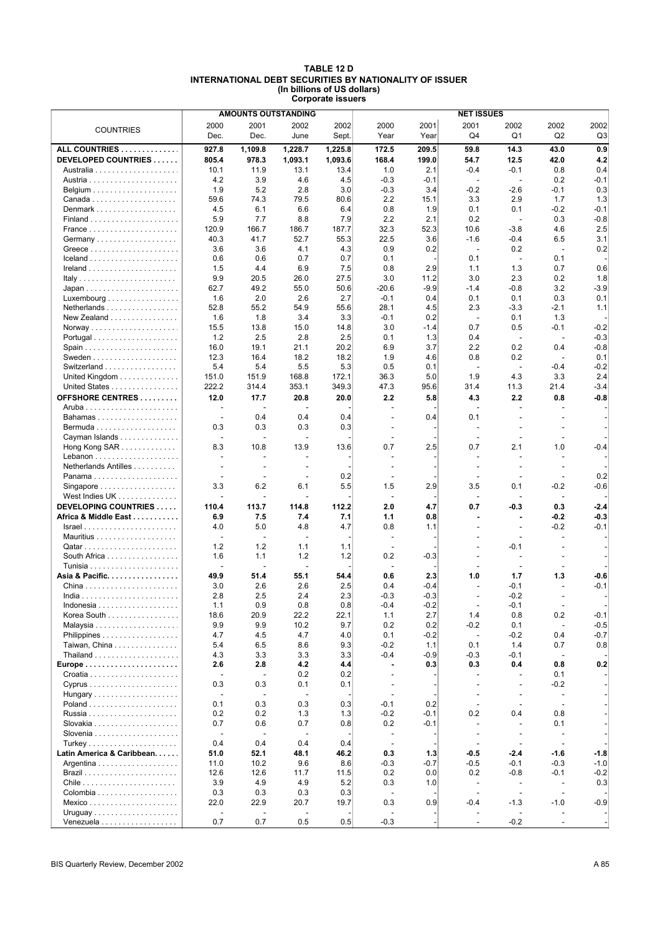#### **TABLE 12 D INTERNATIONAL DEBT SECURITIES BY NATIONALITY OF ISSUER (In billions of US dollars) Corporate issuers**

|                                                    |                                 |                                 | <b>AMOUNTS OUTSTANDING</b>      |               |                                            |              | <b>NET ISSUES</b>                          |                                    |                                 |                          |
|----------------------------------------------------|---------------------------------|---------------------------------|---------------------------------|---------------|--------------------------------------------|--------------|--------------------------------------------|------------------------------------|---------------------------------|--------------------------|
| <b>COUNTRIES</b>                                   | 2000<br>Dec.                    | 2001<br>Dec.                    | 2002<br>June                    | 2002<br>Sept. | 2000<br>Year                               | 2001<br>Year | 2001<br>Q4                                 | 2002<br>Q1                         | 2002<br>Q <sub>2</sub>          | 2002<br>Q <sub>3</sub>   |
| ALL COUNTRIES                                      | 927.8                           | 1,109.8                         | 1,228.7                         | 1,225.8       | 172.5                                      | 209.5        | 59.8                                       | 14.3                               | 43.0                            | 0.9                      |
| DEVELOPED COUNTRIES                                | 805.4                           | 978.3                           | 1,093.1                         | 1,093.6       | 168.4                                      | 199.0        | 54.7                                       | 12.5                               | 42.0                            | 4.2                      |
|                                                    | 10.1                            | 11.9                            | 13.1                            | 13.4          | 1.0                                        | 2.1          | $-0.4$                                     | $-0.1$                             | 0.8                             | 0.4                      |
|                                                    | 4.2                             | 3.9                             | 4.6                             | 4.5           | $-0.3$                                     | $-0.1$       | $\overline{\phantom{a}}$                   | $\overline{\phantom{a}}$           | 0.2                             | $-0.1$                   |
|                                                    | 1.9                             | 5.2                             | 2.8                             | 3.0           | $-0.3$                                     | 3.4          | $-0.2$                                     | $-2.6$                             | $-0.1$                          | 0.3                      |
|                                                    | 59.6                            | 74.3                            | 79.5                            | 80.6          | 2.2                                        | 15.1         | 3.3                                        | 2.9                                | 1.7                             | 1.3                      |
| Denmark                                            | 4.5                             | 6.1                             | 6.6                             | 6.4           | 0.8                                        | 1.9          | 0.1                                        | 0.1                                | $-0.2$                          | $-0.1$                   |
|                                                    | 5.9                             | 7.7                             | 8.8                             | 7.9           | 2.2                                        | 2.1          | 0.2                                        | $\overline{\phantom{a}}$           | 0.3                             | $-0.8$                   |
|                                                    | 120.9                           | 166.7                           | 186.7                           | 187.7         | 32.3                                       | 52.3         | 10.6                                       | $-3.8$                             | 4.6                             | 2.5                      |
|                                                    | 40.3                            | 41.7                            | 52.7                            | 55.3          | 22.5<br>0.9                                | 3.6          | $-1.6$<br>$\overline{\phantom{a}}$         | $-0.4$                             | 6.5                             | 3.1<br>0.2               |
|                                                    | 3.6<br>0.6                      | 3.6<br>0.6                      | 4.1<br>0.7                      | 4.3<br>0.7    | 0.1                                        | 0.2          | 0.1                                        | 0.2<br>$\overline{\phantom{a}}$    | $\overline{\phantom{a}}$<br>0.1 |                          |
|                                                    | 1.5                             | 4.4                             | 6.9                             | 7.5           | 0.8                                        | 2.9          | 1.1                                        | 1.3                                | 0.7                             | 0.6                      |
| Italy                                              | 9.9                             | 20.5                            | 26.0                            | 27.5          | 3.0                                        | 11.2         | 3.0                                        | 2.3                                | 0.2                             | 1.8                      |
|                                                    | 62.7                            | 49.2                            | 55.0                            | 50.6          | $-20.6$                                    | $-9.9$       | $-1.4$                                     | $-0.8$                             | 3.2                             | $-3.9$                   |
| $Luxembourg \ldots  \ldots $                       | 1.6                             | 2.0                             | 2.6                             | 2.7           | $-0.1$                                     | 0.4          | 0.1                                        | 0.1                                | 0.3                             | 0.1                      |
| Netherlands                                        | 52.8                            | 55.2                            | 54.9                            | 55.6          | 28.1                                       | 4.5          | 2.3                                        | $-3.3$                             | $-2.1$                          | 1.1                      |
| New Zealand                                        | 1.6                             | 1.8                             | 3.4                             | 3.3           | $-0.1$                                     | 0.2          | $\sim$                                     | 0.1                                | 1.3                             |                          |
|                                                    | 15.5                            | 13.8                            | 15.0                            | 14.8          | 3.0                                        | $-1.4$       | 0.7                                        | 0.5                                | $-0.1$                          | $-0.2$                   |
|                                                    | 1.2                             | 2.5                             | 2.8                             | 2.5           | 0.1                                        | 1.3          | 0.4                                        | $\overline{\phantom{a}}$           | $\overline{\phantom{a}}$        | $-0.3$                   |
|                                                    | 16.0                            | 19.1                            | 21.1                            | 20.2          | 6.9                                        | 3.7          | 2.2                                        | 0.2                                | 0.4                             | $-0.8$                   |
|                                                    | 12.3                            | 16.4                            | 18.2                            | 18.2          | 1.9                                        | 4.6          | 0.8                                        | 0.2                                | $\overline{\phantom{a}}$        | 0.1                      |
| Switzerland                                        | 5.4                             | 5.4                             | 5.5                             | 5.3           | 0.5                                        | 0.1          | $\overline{\phantom{a}}$                   | $\frac{1}{2}$                      | $-0.4$                          | $-0.2$                   |
| United Kingdom                                     | 151.0<br>222.2                  | 151.9                           | 168.8                           | 172.1         | 36.3<br>47.3                               | 5.0          | 1.9                                        | 4.3                                | 3.3                             | 2.4<br>$-3.4$            |
| United States                                      |                                 | 314.4                           | 353.1                           | 349.3         |                                            | 95.6         | 31.4                                       | 11.3                               | 21.4                            |                          |
| OFFSHORE CENTRES                                   | 12.0                            | 17.7                            | 20.8                            | 20.0          | 2.2                                        | 5.8          | 4.3                                        | 2.2                                | 0.8                             | $-0.8$                   |
| Bahamas                                            |                                 | 0.4                             | 0.4                             | 0.4           |                                            | 0.4          | $\overline{\phantom{a}}$<br>0.1            | L.                                 |                                 |                          |
|                                                    | 0.3                             | 0.3                             | 0.3                             | 0.3           |                                            |              | $\overline{\phantom{a}}$                   | ٠                                  |                                 |                          |
| Cayman Islands                                     |                                 |                                 |                                 |               |                                            |              | $\overline{\phantom{a}}$                   | $\overline{a}$                     |                                 |                          |
| Hong Kong $SAR$                                    | 8.3                             | 10.8                            | 13.9                            | 13.6          | 0.7                                        | 2.5          | 0.7                                        | 2.1                                | 1.0                             | $-0.4$                   |
|                                                    | $\overline{a}$                  |                                 |                                 |               |                                            |              | $\overline{\phantom{a}}$                   | ÷,                                 |                                 |                          |
| Netherlands Antilles                               |                                 |                                 |                                 |               |                                            |              |                                            |                                    |                                 |                          |
| Panama                                             | $\overline{a}$                  | $\overline{a}$                  | $\overline{\phantom{a}}$        | 0.2           |                                            |              | $\overline{\phantom{a}}$                   | $\overline{\phantom{a}}$           | $\overline{a}$                  | 0.2                      |
| Singapore                                          | 3.3                             | 6.2                             | 6.1                             | 5.5           | 1.5                                        | 2.9          | 3.5                                        | 0.1                                | $-0.2$                          | $-0.6$                   |
| West Indies UK                                     | L,                              | $\overline{a}$                  | ÷,                              |               |                                            |              | $\overline{\phantom{a}}$                   |                                    | $\overline{\phantom{a}}$        |                          |
| DEVELOPING COUNTRIES                               | 110.4                           | 113.7                           | 114.8                           | 112.2         | 2.0                                        | 4.7          | 0.7                                        | $-0.3$                             | 0.3                             | $-2.4$                   |
| Africa & Middle East                               | 6.9                             | 7.5                             | 7.4                             | 7.1           | 1.1                                        | 0.8          | ٠                                          | ٠                                  | $-0.2$                          | $-0.3$                   |
| $Israel \ldots \ldots \ldots \ldots \ldots \ldots$ | 4.0                             | 5.0<br>$\overline{a}$           | 4.8<br>$\overline{a}$           | 4.7           | 0.8                                        | 1.1          |                                            |                                    | $-0.2$<br>$\overline{a}$        | $-0.1$                   |
|                                                    | $\overline{\phantom{a}}$<br>1.2 | 1.2                             | 1.1                             | 1.1           |                                            |              |                                            | $-0.1$                             |                                 |                          |
| South Africa                                       | 1.6                             | 1.1                             | 1.2                             | 1.2           | 0.2                                        | $-0.3$       | $\overline{\phantom{a}}$                   | $\overline{\phantom{a}}$           | $\overline{\phantom{a}}$        |                          |
|                                                    | $\overline{a}$                  | $\sim$                          | $\overline{\phantom{a}}$        |               |                                            |              | $\overline{\phantom{a}}$                   | $\overline{\phantom{a}}$           | $\overline{\phantom{a}}$        |                          |
| Asia & Pacific.                                    | 49.9                            | 51.4                            | 55.1                            | 54.4          | 0.6                                        | 2.3          | 1.0                                        | 1.7                                | 1.3                             | $-0.6$                   |
|                                                    | 3.0                             | 2.6                             | 2.6                             | 2.5           | 0.4                                        | $-0.4$       |                                            | $-0.1$                             |                                 | $-0.1$                   |
|                                                    | 2.8                             | 2.5                             | 2.4                             | 2.3           | $-0.3$                                     | $-0.3$       |                                            | $-0.2$                             | $\overline{\phantom{a}}$        |                          |
|                                                    | 1.1                             | 0.9                             | 0.8                             | 0.8           | $-0.4$                                     | $-0.2$       |                                            | $-0.1$                             |                                 |                          |
| Korea South                                        | 18.6                            | 20.9                            | 22.2                            | 22.1          | 1.1                                        | 2.7          | 1.4                                        | 0.8                                | 0.2                             | $-0.1$                   |
|                                                    | 9.9                             | 9.9                             | 10.2                            | 9.7           | 0.2                                        | 0.2          | $-0.2$                                     | 0.1                                | $\overline{a}$                  | $-0.5$                   |
| Philippines                                        | 4.7                             | 4.5                             | 4.7                             | 4.0           | 0.1                                        | $-0.2$       | $\overline{\phantom{a}}$                   | $-0.2$                             | 0.4                             | $-0.7$                   |
| Taiwan, China                                      | 5.4                             | 6.5                             | 8.6                             | 9.3           | $-0.2$                                     | 1.1          | 0.1                                        | 1.4                                | 0.7                             | 0.8                      |
|                                                    | 4.3                             | 3.3                             | 3.3                             | 3.3           | -0.4                                       | $-0.9$       | $-0.3$                                     | $-0.1$                             | $\overline{\phantom{a}}$        |                          |
|                                                    | 2.6<br>$\overline{\phantom{a}}$ | 2.8<br>$\overline{\phantom{a}}$ | 4.2<br>0.2                      | 4.4<br>0.2    | $\blacksquare$<br>$\overline{\phantom{a}}$ | 0.3          | 0.3<br>$\overline{a}$                      | 0.4<br>÷,                          | 0.8<br>0.1                      | 0.2                      |
|                                                    | 0.3                             | 0.3                             | 0.1                             | 0.1           | $\overline{\phantom{a}}$                   |              | $\overline{\phantom{a}}$                   | $\overline{\phantom{a}}$           | $-0.2$                          | $\overline{\phantom{a}}$ |
| Hungary                                            | $\overline{\phantom{a}}$        | $\overline{\phantom{a}}$        | ÷,                              |               | $\blacksquare$                             |              | $\overline{\phantom{a}}$                   | $\overline{\phantom{a}}$           | $\overline{\phantom{a}}$        |                          |
|                                                    | 0.1                             | 0.3                             | 0.3                             | 0.3           | $-0.1$                                     | 0.2          | $\overline{\phantom{a}}$                   | $\overline{\phantom{a}}$           | $\overline{\phantom{a}}$        |                          |
|                                                    | 0.2                             | 0.2                             | 1.3                             | 1.3           | $-0.2$                                     | $-0.1$       | 0.2                                        | 0.4                                | 0.8                             |                          |
|                                                    | 0.7                             | 0.6                             | 0.7                             | 0.8           | 0.2                                        | $-0.1$       | $\overline{\phantom{a}}$                   | $\overline{a}$                     | 0.1                             | $\overline{\phantom{a}}$ |
|                                                    | $\overline{a}$                  | $\overline{a}$                  |                                 |               |                                            |              | $\overline{\phantom{a}}$                   | $\overline{\phantom{a}}$           | $\overline{\phantom{a}}$        |                          |
| Turkey                                             | 0.4                             | 0.4                             | 0.4                             | 0.4           | $\overline{\phantom{a}}$                   |              | $\sim$                                     |                                    | $\sim$                          |                          |
| Latin America & Caribbean.                         | 51.0                            | 52.1                            | 48.1                            | 46.2          | 0.3                                        | 1.3          | $-0.5$                                     | $-2.4$                             | $-1.6$                          | $-1.8$                   |
|                                                    | 11.0                            | 10.2                            | 9.6                             | 8.6           | $-0.3$                                     | $-0.7$       | $-0.5$                                     | $-0.1$                             | $-0.3$                          | $-1.0$                   |
|                                                    | 12.6                            | 12.6                            | 11.7                            | 11.5          | 0.2                                        | 0.0          | 0.2                                        | $-0.8$                             | $-0.1$                          | $-0.2$                   |
|                                                    | 3.9                             | 4.9                             | 4.9                             | 5.2           | 0.3                                        | 1.0          | $\overline{\phantom{a}}$                   |                                    | $\overline{\phantom{a}}$        | 0.3                      |
|                                                    | 0.3                             | 0.3                             | 0.3                             | 0.3           |                                            |              | $\overline{\phantom{a}}$                   |                                    | $\overline{\phantom{a}}$        |                          |
|                                                    | 22.0                            | 22.9                            | 20.7                            | 19.7          | 0.3                                        | 0.9          | $-0.4$                                     | $-1.3$                             | $-1.0$                          | $-0.9$                   |
| Venezuela                                          | $\overline{\phantom{a}}$<br>0.7 | $\overline{\phantom{a}}$<br>0.7 | $\overline{\phantom{a}}$<br>0.5 | 0.5           | $-0.3$                                     |              | $\overline{a}$<br>$\overline{\phantom{a}}$ | $\overline{\phantom{a}}$<br>$-0.2$ | $\overline{\phantom{a}}$        |                          |
|                                                    |                                 |                                 |                                 |               |                                            |              |                                            |                                    |                                 |                          |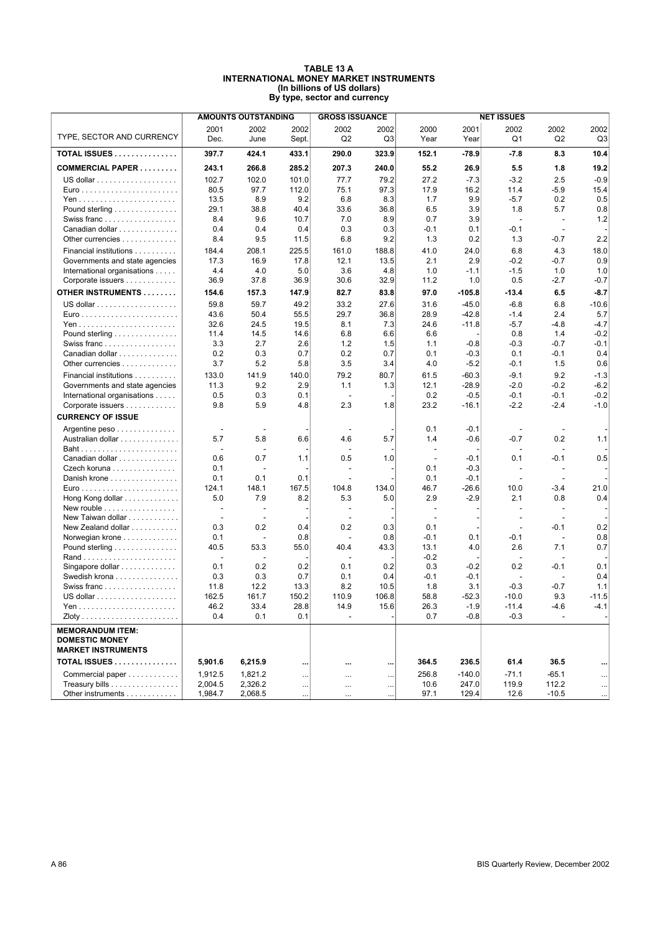#### **TABLE 13 A INTERNATIONAL MONEY MARKET INSTRUMENTS (In billions of US dollars) By type, sector and currency**

|                                |                | <b>AMOUNTS OUTSTANDING</b> |          | <b>GROSS ISSUANCE</b>    |          |                          |          | <b>NET ISSUES</b>        |                          |          |
|--------------------------------|----------------|----------------------------|----------|--------------------------|----------|--------------------------|----------|--------------------------|--------------------------|----------|
|                                | 2001           | 2002                       | 2002     | 2002                     | 2002     | 2000                     | 2001     | 2002                     | 2002                     | 2002     |
| TYPE, SECTOR AND CURRENCY      | Dec.           | June                       | Sept.    | Q <sub>2</sub>           | Q3       | Year                     | Year     | Q1                       | Q <sub>2</sub>           | Q3       |
| TOTAL ISSUES                   | 397.7          | 424.1                      | 433.1    | 290.0                    | 323.9    | 152.1                    | -78.9    | $-7.8$                   | 8.3                      | 10.4     |
| COMMERCIAL PAPER               | 243.1          | 266.8                      | 285.2    | 207.3                    | 240.0    | 55.2                     | 26.9     | 5.5                      | 1.8                      | 19.2     |
|                                | 102.7          | 102.0                      | 101.0    | 77.7                     | 79.2     | 27.2                     | $-7.3$   | $-3.2$                   | 2.5                      | $-0.9$   |
|                                | 80.5           | 97.7                       | 112.0    | 75.1                     | 97.3     | 17.9                     | 16.2     | 11.4                     | $-5.9$                   | 15.4     |
|                                | 13.5           | 8.9                        | 9.2      | 6.8                      | 8.3      | 1.7                      | 9.9      | $-5.7$                   | 0.2                      | 0.5      |
| Pound sterling                 | 29.1           | 38.8                       | 40.4     | 33.6                     | 36.8     | 6.5                      | 3.9      | 1.8                      | 5.7                      | 0.8      |
| Swiss franc                    | 8.4            | 9.6                        | 10.7     | 7.0                      | 8.9      | 0.7                      | 3.9      | $\overline{\phantom{a}}$ | $\overline{\phantom{a}}$ | 1.2      |
| Canadian dollar                | 0.4            | 0.4                        | 0.4      | 0.3                      | 0.3      | $-0.1$                   | 0.1      | $-0.1$                   | $\overline{\phantom{a}}$ |          |
| Other currencies               | 8.4            | 9.5                        | 11.5     | 6.8                      | 9.2      | 1.3                      | 0.2      | 1.3                      | $-0.7$                   | 2.2      |
| Financial institutions         | 184.4          | 208.1                      | 225.5    | 161.0                    | 188.8    | 41.0                     | 24.0     | 6.8                      | 4.3                      | 18.0     |
| Governments and state agencies | 17.3           | 16.9                       | 17.8     | 12.1                     | 13.5     | 2.1                      | 2.9      | $-0.2$                   | $-0.7$                   | 0.9      |
| International organisations    | 4.4            | 4.0                        | 5.0      | 3.6                      | 4.8      | 1.0                      | $-1.1$   | $-1.5$                   | 1.0                      | 1.0      |
| Corporate issuers              | 36.9           | 37.8                       | 36.9     | 30.6                     | 32.9     | 11.2                     | 1.0      | 0.5                      | $-2.7$                   | $-0.7$   |
| <b>OTHER INSTRUMENTS </b>      | 154.6          | 157.3                      | 147.9    | 82.7                     | 83.8     | 97.0                     | $-105.8$ | $-13.4$                  | 6.5                      | $-8.7$   |
|                                | 59.8           | 59.7                       | 49.2     | 33.2                     | 27.6     | 31.6                     | $-45.0$  | $-6.8$                   | 6.8                      | $-10.6$  |
|                                | 43.6           | 50.4                       | 55.5     | 29.7                     | 36.8     | 28.9                     | $-42.8$  | $-1.4$                   | 2.4                      | 5.7      |
|                                | 32.6           | 24.5                       | 19.5     | 8.1                      | 7.3      | 24.6                     | $-11.8$  | $-5.7$                   | $-4.8$                   | $-4.7$   |
| Pound sterling                 | 11.4           | 14.5                       | 14.6     | 6.8                      | 6.6      | 6.6                      |          | 0.8                      | 1.4                      | $-0.2$   |
| Swiss franc                    | 3.3            | 2.7                        | 2.6      | 1.2                      | 1.5      | 1.1                      | $-0.8$   | $-0.3$                   | $-0.7$                   | $-0.1$   |
| Canadian dollar                | 0.2            | 0.3                        | 0.7      | 0.2                      | 0.7      | 0.1                      | $-0.3$   | 0.1                      | $-0.1$                   | 0.4      |
| Other currencies               | 3.7            | 5.2                        | 5.8      | 3.5                      | 3.4      | 4.0                      | $-5.2$   | $-0.1$                   | 1.5                      | 0.6      |
| Financial institutions         | 133.0          | 141.9                      | 140.0    | 79.2                     | 80.7     | 61.5                     | $-60.3$  | $-9.1$                   | 9.2                      | $-1.3$   |
| Governments and state agencies | 11.3           | 9.2                        | 2.9      | 1.1                      | 1.3      | 12.1                     | $-28.9$  | $-2.0$                   | $-0.2$                   | $-6.2$   |
| International organisations    | 0.5            | 0.3                        | 0.1      | $\overline{a}$           |          | 0.2                      | $-0.5$   | $-0.1$                   | $-0.1$                   | $-0.2$   |
| Corporate issuers              | 9.8            | 5.9                        | 4.8      | 2.3                      | 1.8      | 23.2                     | $-16.1$  | $-2.2$                   | $-2.4$                   | $-1.0$   |
| <b>CURRENCY OF ISSUE</b>       |                |                            |          |                          |          |                          |          |                          |                          |          |
| Argentine peso                 |                |                            |          |                          |          | 0.1                      | $-0.1$   |                          |                          |          |
| Australian dollar              | 5.7            | 5.8                        | 6.6      | 4.6                      | 5.7      | 1.4                      | $-0.6$   | $-0.7$                   | 0.2                      | 1.1      |
| Baht                           |                | $\overline{\phantom{a}}$   |          |                          |          | ÷,                       |          |                          |                          |          |
| Canadian dollar                | 0.6            | 0.7                        | 1.1      | 0.5                      | 1.0      | $\overline{\phantom{a}}$ | $-0.1$   | 0.1                      | $-0.1$                   | 0.5      |
| Czech koruna                   | 0.1            | $\overline{\phantom{a}}$   |          | $\overline{\phantom{a}}$ |          | 0.1                      | $-0.3$   | $\blacksquare$           | $\overline{\phantom{a}}$ |          |
| Danish krone                   | 0.1            | 0.1                        | 0.1      |                          |          | 0.1                      | $-0.1$   | $\blacksquare$           | $\overline{\phantom{a}}$ |          |
|                                | 124.1          | 148.1                      | 167.5    | 104.8                    | 134.0    | 46.7                     | $-26.6$  | 10.0                     | $-3.4$                   | 21.0     |
| Hong Kong dollar               | 5.0            | 7.9                        | 8.2      | 5.3                      | 5.0      | 2.9                      | $-2.9$   | 2.1                      | 0.8                      | 0.4      |
| New rouble                     | $\blacksquare$ | $\overline{\phantom{a}}$   |          | ٠                        |          | $\overline{\phantom{a}}$ |          | $\overline{\phantom{a}}$ | $\overline{\phantom{a}}$ |          |
| New Taiwan dollar              |                | $\blacksquare$             |          |                          |          | $\overline{\phantom{a}}$ |          | $\overline{\phantom{a}}$ | $\overline{\phantom{a}}$ |          |
| New Zealand dollar             | 0.3            | 0.2                        | 0.4      | 0.2                      | 0.3      | 0.1                      |          |                          | $-0.1$                   | 0.2      |
| Norwegian krone                | 0.1            | $\overline{a}$             | 0.8      | $\overline{a}$           | 0.8      | $-0.1$                   | 0.1      | $-0.1$                   | $\overline{a}$           | 0.8      |
| Pound sterling                 | 40.5           | 53.3                       | 55.0     | 40.4                     | 43.3     | 13.1                     | 4.0      | 2.6                      | 7.1                      | 0.7      |
|                                |                |                            |          |                          |          | $-0.2$                   |          |                          |                          |          |
| Singapore dollar               | 0.1            | 0.2                        | 0.2      | 0.1                      | 0.2      | 0.3                      | $-0.2$   | 0.2                      | $-0.1$                   | 0.1      |
| Swedish krona                  | 0.3            | 0.3                        | 0.7      | 0.1                      | 0.4      | $-0.1$                   | $-0.1$   |                          | $\overline{\phantom{a}}$ | 0.4      |
| Swiss franc                    | 11.8           | 12.2                       | 13.3     | 8.2                      | 10.5     | 1.8                      | 3.1      | $-0.3$                   | $-0.7$                   | 1.1      |
|                                | 162.5          | 161.7                      | 150.2    | 110.9                    | 106.8    | 58.8                     | $-52.3$  | $-10.0$                  | 9.3                      | $-11.5$  |
|                                | 46.2           | 33.4                       | 28.8     | 14.9                     | 15.6     | 26.3                     | $-1.9$   | $-11.4$                  | $-4.6$                   | $-4.1$   |
|                                | 0.4            | 0.1                        | 0.1      |                          |          | 0.7                      | $-0.8$   | $-0.3$                   |                          |          |
| <b>MEMORANDUM ITEM:</b>        |                |                            |          |                          |          |                          |          |                          |                          |          |
| <b>DOMESTIC MONEY</b>          |                |                            |          |                          |          |                          |          |                          |                          |          |
| <b>MARKET INSTRUMENTS</b>      |                |                            |          |                          |          |                          |          |                          |                          |          |
| TOTAL ISSUES                   | 5,901.6        | 6,215.9                    |          | $\cdots$                 |          | 364.5                    | 236.5    | 61.4                     | 36.5                     |          |
| Commercial paper               | 1,912.5        | 1,821.2                    | $\cdots$ | $\cdots$                 | $\cdots$ | 256.8                    | $-140.0$ | $-71.1$                  | $-65.1$                  | $\cdots$ |
| Treasury bills                 | 2,004.5        | 2,326.2                    | $\cdots$ | $\cdots$                 |          | 10.6                     | 247.0    | 119.9                    | 112.2                    | $\cdots$ |
| Other instruments              | 1,984.7        | 2,068.5                    | $\cdots$ | $\cdots$                 |          | 97.1                     | 129.4    | 12.6                     | $-10.5$                  | $\cdots$ |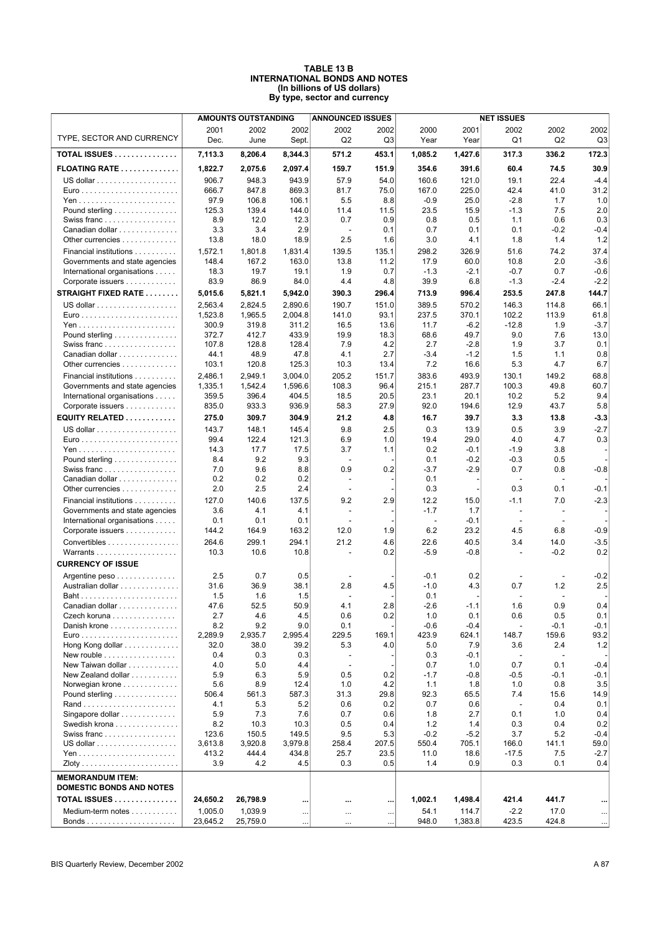#### **TABLE 13 B INTERNATIONAL BONDS AND NOTES (In billions of US dollars) By type, sector and currency**

|                                                               |                    | <b>AMOUNTS OUTSTANDING</b> |                    | <b>ANNOUNCED ISSUES</b>          |               |                          |                | <b>NET ISSUES</b>        |                          |                |
|---------------------------------------------------------------|--------------------|----------------------------|--------------------|----------------------------------|---------------|--------------------------|----------------|--------------------------|--------------------------|----------------|
| TYPE, SECTOR AND CURRENCY                                     | 2001<br>Dec.       | 2002<br>June               | 2002<br>Sept.      | 2002<br>Q <sub>2</sub>           | 2002<br>Q3    | 2000<br>Year             | 2001<br>Year   | 2002<br>Q1               | 2002<br>Q2               | 2002<br>Q3     |
| TOTAL ISSUES                                                  | 7,113.3            | 8,206.4                    | 8,344.3            | 571.2                            | 453.1         | 1,085.2                  | 1,427.6        | 317.3                    | 336.2                    | 172.3          |
| <b>FLOATING RATE</b>                                          | 1,822.7            | 2,075.6                    | 2,097.4            | 159.7                            | 151.9         | 354.6                    | 391.6          | 60.4                     | 74.5                     | 30.9           |
|                                                               | 906.7              | 948.3                      | 943.9              | 57.9                             | 54.0          | 160.6                    | 121.0          | 19.1                     | 22.4                     | $-4.4$         |
| $Euro$                                                        | 666.7              | 847.8                      | 869.3              | 81.7                             | 75.0          | 167.0                    | 225.0          | 42.4                     | 41.0                     | 31.2           |
|                                                               | 97.9               | 106.8                      | 106.1              | 5.5                              | 8.8           | $-0.9$                   | 25.0           | $-2.8$                   | 1.7                      | 1.0            |
| Pound sterling $\dots\dots\dots\dots\dots$                    | 125.3              | 139.4                      | 144.0              | 11.4                             | 11.5          | 23.5                     | 15.9           | $-1.3$                   | 7.5                      | 2.0            |
| Swiss franc                                                   | 8.9                | 12.0                       | 12.3               | 0.7                              | 0.9           | 0.8                      | 0.5            | 1.1                      | 0.6                      | 0.3            |
| Canadian dollar<br>Other currencies                           | 3.3                | 3.4                        | 2.9                |                                  | 0.1           | 0.7<br>3.0               | 0.1            | 0.1                      | $-0.2$                   | $-0.4$         |
|                                                               | 13.8               | 18.0                       | 18.9               | 2.5                              | 1.6           |                          | 4.1            | 1.8                      | 1.4                      | 1.2            |
| Financial institutions<br>Governments and state agencies      | 1,572.1<br>148.4   | 1,801.8<br>167.2           | 1,831.4<br>163.0   | 139.5<br>13.8                    | 135.1<br>11.2 | 298.2<br>17.9            | 326.9<br>60.0  | 51.6<br>10.8             | 74.2<br>2.0              | 37.4<br>$-3.6$ |
| International organisations                                   | 18.3               | 19.7                       | 19.1               | 1.9                              | 0.7           | $-1.3$                   | $-2.1$         | $-0.7$                   | 0.7                      | $-0.6$         |
| Corporate issuers                                             | 83.9               | 86.9                       | 84.0               | 4.4                              | 4.8           | 39.9                     | 6.8            | $-1.3$                   | $-2.4$                   | $-2.2$         |
| <b>STRAIGHT FIXED RATE </b>                                   | 5,015.6            | 5,821.1                    | 5,942.0            | 390.3                            | 296.4         | 713.9                    | 996.4          | 253.5                    | 247.8                    | 144.7          |
|                                                               | 2,563.4            | 2,824.5                    | 2,890.6            | 190.7                            | 151.0         | 389.5                    | 570.2          | 146.3                    | 114.8                    | 66.1           |
|                                                               | 1,523.8            | 1,965.5                    | 2,004.8            | 141.0                            | 93.1          | 237.5                    | 370.1          | 102.2                    | 113.9                    | 61.8           |
|                                                               | 300.9              | 319.8                      | 311.2              | 16.5                             | 13.6          | 11.7                     | $-6.2$         | $-12.8$                  | 1.9                      | $-3.7$         |
| Pound sterling                                                | 372.7              | 412.7                      | 433.9              | 19.9                             | 18.3          | 68.6                     | 49.7           | 9.0                      | 7.6                      | 13.0           |
| Swiss franc                                                   | 107.8              | 128.8                      | 128.4              | 7.9                              | 4.2           | 2.7                      | $-2.8$         | 1.9                      | 3.7                      | 0.1            |
| Canadian dollar                                               | 44.1               | 48.9                       | 47.8               | 4.1                              | 2.7           | $-3.4$                   | $-1.2$         | 1.5                      | 1.1                      | 0.8            |
| Other currencies                                              | 103.1              | 120.8                      | 125.3              | 10.3                             | 13.4          | 7.2                      | 16.6           | 5.3                      | 4.7                      | 6.7            |
| Financial institutions<br>Governments and state agencies      | 2,486.1<br>1,335.1 | 2.949.1<br>1,542.4         | 3,004.0<br>1,596.6 | 205.2<br>108.3                   | 151.7<br>96.4 | 383.6<br>215.1           | 493.9<br>287.7 | 130.1<br>100.3           | 149.2<br>49.8            | 68.8<br>60.7   |
| International organisations                                   | 359.5              | 396.4                      | 404.5              | 18.5                             | 20.5          | 23.1                     | 20.1           | 10.2                     | 5.2                      | 9.4            |
| Corporate issuers                                             | 835.0              | 933.3                      | 936.9              | 58.3                             | 27.9          | 92.0                     | 194.6          | 12.9                     | 43.7                     | 5.8            |
| EQUITY RELATED                                                | 275.0              | 309.7                      | 304.9              | 21.2                             | 4.8           | 16.7                     | 39.7           | 3.3                      | 13.8                     | $-3.3$         |
|                                                               | 143.7              | 148.1                      | 145.4              | 9.8                              | 2.5           | 0.3                      | 13.9           | 0.5                      | 3.9                      | $-2.7$         |
| $Euro$                                                        | 99.4               | 122.4                      | 121.3              | 6.9                              | 1.0           | 19.4                     | 29.0           | 4.0                      | 4.7                      | 0.3            |
|                                                               | 14.3               | 17.7                       | 17.5               | 3.7                              | 1.1           | 0.2                      | $-0.1$         | $-1.9$                   | 3.8                      |                |
| Pound sterling                                                | 8.4                | 9.2                        | 9.3                | $\overline{\phantom{a}}$         |               | 0.1                      | $-0.2$         | $-0.3$                   | 0.5                      |                |
| Swiss franc                                                   | 7.0                | 9.6                        | 8.8                | 0.9                              | 0.2           | $-3.7$                   | $-2.9$         | 0.7                      | 0.8                      | $-0.8$         |
| Canadian dollar                                               | 0.2                | 0.2                        | 0.2                | $\overline{a}$                   |               | 0.1                      |                | $\overline{a}$           | $\overline{\phantom{a}}$ |                |
| Other currencies                                              | 2.0                | 2.5                        | 2.4                | $\overline{a}$                   |               | 0.3                      |                | 0.3                      | 0.1                      | $-0.1$         |
| Financial institutions                                        | 127.0              | 140.6                      | 137.5              | 9.2                              | 2.9           | 12.2                     | 15.0           | $-1.1$<br>$\overline{a}$ | 7.0<br>$\overline{a}$    | $-2.3$         |
| Governments and state agencies<br>International organisations | 3.6<br>0.1         | 4.1<br>0.1                 | 4.1<br>0.1         | $\overline{a}$<br>$\overline{a}$ |               | $-1.7$<br>$\overline{a}$ | 1.7<br>$-0.1$  | $\blacksquare$           |                          |                |
| Corporate issuers                                             | 144.2              | 164.9                      | 163.2              | 12.0                             | 1.9           | 6.2                      | 23.2           | 4.5                      | 6.8                      | $-0.9$         |
| Convertibles                                                  | 264.6              | 299.1                      | 294.1              | 21.2                             | 4.6           | 22.6                     | 40.5           | 3.4                      | 14.0                     | $-3.5$         |
|                                                               | 10.3               | 10.6                       | 10.8               |                                  | 0.2           | $-5.9$                   | $-0.8$         | $\overline{a}$           | $-0.2$                   | 0.2            |
| <b>CURRENCY OF ISSUE</b>                                      |                    |                            |                    |                                  |               |                          |                |                          |                          |                |
| Argentine peso                                                | 2.5                | 0.7                        | 0.5                |                                  |               | $-0.1$                   | 0.2            |                          | $\overline{\phantom{a}}$ | $-0.2$         |
| Australian dollar                                             | 31.6               | 36.9                       | 38.1               | 2.8                              | 4.5           | $-1.0$                   | 4.3            | 0.7                      | 1.2                      | 2.5            |
| Baht                                                          | 1.5                | 1.6                        | 1.5                |                                  |               | 0.1                      |                |                          | $\blacksquare$           |                |
| Canadian dollar                                               | 47.6               | 52.5                       | 50.9               | 4.1                              | 2.8           | $-2.6$                   | $-1.1$         | 1.6                      | 0.9                      | 0.4            |
| Czech koruna                                                  | 2.7                | 4.6                        | 4.5                | 0.6                              | 0.2           | 1.0                      | 0.1            | 0.6                      | 0.5                      | 0.1            |
| Danish krone                                                  | 8.2                | 9.2                        | 9.0                | 0.1                              |               | $-0.6$                   | $-0.4$         | ÷,                       | $-0.1$                   | $-0.1$         |
| Hong Kong dollar                                              | 2.289.9<br>32.0    | 2,935.7<br>38.0            | 2,995.4<br>39.2    | 229.5<br>5.3                     | 169.1<br>4.0  | 423.9<br>5.0             | 624.1<br>7.9   | 148.7<br>3.6             | 159.6<br>2.4             | 93.2<br>1.2    |
| New rouble                                                    | 0.4                | 0.3                        | 0.3                | $\overline{\phantom{a}}$         |               | 0.3                      | $-0.1$         | $\overline{\phantom{a}}$ | $\overline{\phantom{a}}$ |                |
| New Taiwan dollar                                             | 4.0                | 5.0                        | 4.4                | $\overline{\phantom{a}}$         |               | 0.7                      | 1.0            | 0.7                      | 0.1                      | $-0.4$         |
| New Zealand dollar                                            | 5.9                | 6.3                        | 5.9                | 0.5                              | 0.2           | $-1.7$                   | $-0.8$         | $-0.5$                   | $-0.1$                   | -0.1           |
| Norwegian krone                                               | 5.6                | 8.9                        | 12.4               | 1.0                              | 4.2           | 1.1                      | 1.8            | 1.0                      | 0.8                      | 3.5            |
| Pound sterling                                                | 506.4              | 561.3                      | 587.3              | 31.3                             | 29.8          | 92.3                     | 65.5           | 7.4                      | 15.6                     | 14.9           |
|                                                               | 4.1                | 5.3                        | 5.2                | 0.6                              | 0.2           | 0.7                      | 0.6            | $\overline{\phantom{a}}$ | 0.4                      | 0.1            |
| Singapore dollar                                              | 5.9                | 7.3                        | 7.6                | 0.7                              | 0.6           | 1.8                      | 2.7            | 0.1                      | 1.0                      | 0.4            |
| Swedish krona<br>Swiss franc                                  | 8.2<br>123.6       | 10.3<br>150.5              | 10.3<br>149.5      | 0.5<br>9.5                       | 0.4<br>5.3    | 1.2<br>$-0.2$            | 1.4<br>$-5.2$  | 0.3<br>3.7               | 0.4<br>5.2               | 0.2<br>$-0.4$  |
|                                                               | 3,613.8            | 3,920.8                    | 3,979.8            | 258.4                            | 207.5         | 550.4                    | 705.1          | 166.0                    | 141.1                    | 59.0           |
|                                                               | 413.2              | 444.4                      | 434.8              | 25.7                             | 23.5          | 11.0                     | 18.6           | $-17.5$                  | 7.5                      | -2.7           |
|                                                               | 3.9                | 4.2                        | 4.5                | 0.3                              | 0.5           | 1.4                      | 0.9            | 0.3                      | 0.1                      | 0.4            |
| <b>MEMORANDUM ITEM:</b>                                       |                    |                            |                    |                                  |               |                          |                |                          |                          |                |
| <b>DOMESTIC BONDS AND NOTES</b>                               |                    |                            |                    |                                  |               |                          |                |                          |                          |                |
| <b>TOTAL ISSUES</b>                                           | 24,650.2           | 26,798.9                   |                    | $\cdots$                         |               | 1,002.1                  | 1,498.4        | 421.4                    | 441.7                    |                |
| Medium-term notes                                             | 1,005.0            | 1,039.9                    | $\cdots$           | $\cdots$                         | $\cdots$      | 54.1                     | 114.7          | $-2.2$                   | 17.0                     | $\cdots$       |
|                                                               | 23,645.2           | 25,759.0                   | $\cdots$           | $\cdots$                         | $\ddotsc$     | 948.0                    | 1,383.8        | 423.5                    | 424.8                    | $\cdots$       |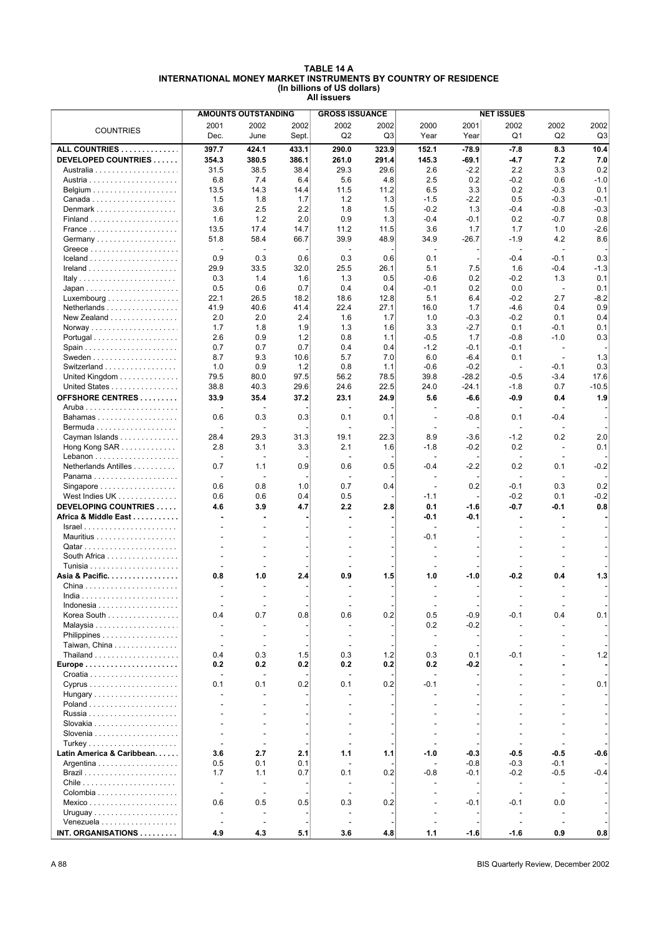#### **TABLE 14 A INTERNATIONAL MONEY MARKET INSTRUMENTS BY COUNTRY OF RESIDENCE (In billions of US dollars) All issuers**

|                                                    |                          | <b>AMOUNTS OUTSTANDING</b>                 |       | <b>GROSS ISSUANCE</b> |       |                          |         | <b>NET ISSUES</b> |                          |         |
|----------------------------------------------------|--------------------------|--------------------------------------------|-------|-----------------------|-------|--------------------------|---------|-------------------|--------------------------|---------|
|                                                    | 2001                     | 2002                                       | 2002  | 2002                  | 2002  | 2000                     | 2001    | 2002              | 2002                     | 2002    |
| <b>COUNTRIES</b>                                   | Dec.                     | June                                       | Sept. | Q <sub>2</sub>        | Q3    | Year                     | Year    | Q1                | Q <sub>2</sub>           | Q3      |
| ALL COUNTRIES                                      | 397.7                    | 424.1                                      | 433.1 | 290.0                 | 323.9 | 152.1                    | -78.9   | $-7.8$            | 8.3                      | 10.4    |
| DEVELOPED COUNTRIES                                | 354.3                    | 380.5                                      | 386.1 | 261.0                 | 291.4 | 145.3                    | -69.1   | $-4.7$            | 7.2                      | 7.0     |
|                                                    | 31.5                     | 38.5                                       | 38.4  | 29.3                  | 29.6  | 2.6                      | $-2.2$  | 2.2               | 3.3                      | 0.2     |
|                                                    | 6.8                      | 7.4                                        | 6.4   | 5.6                   | 4.8   | 2.5                      | 0.2     | $-0.2$            | 0.6                      | $-1.0$  |
|                                                    | 13.5                     | 14.3                                       | 14.4  | 11.5                  | 11.2  | 6.5                      | 3.3     | 0.2               | $-0.3$                   | 0.1     |
|                                                    | 1.5                      | 1.8                                        | 1.7   | 1.2                   | 1.3   | $-1.5$                   | $-2.2$  | 0.5               | $-0.3$                   | $-0.1$  |
| Denmark                                            | 3.6                      | 2.5                                        | 2.2   | 1.8                   | 1.5   | $-0.2$                   | 1.3     | -0.4              | $-0.8$                   | $-0.3$  |
|                                                    | 1.6                      | 1.2                                        | 2.0   | 0.9                   | 1.3   | $-0.4$                   | $-0.1$  | 0.2               | $-0.7$                   | 0.8     |
|                                                    | 13.5                     | 17.4                                       | 14.7  | 11.2                  | 11.5  | 3.6                      | 1.7     | 1.7               | 1.0                      | $-2.6$  |
|                                                    | 51.8                     | 58.4                                       | 66.7  | 39.9                  | 48.9  | 34.9                     | $-26.7$ | $-1.9$            | 4.2                      | 8.6     |
|                                                    | ÷,                       | $\overline{a}$                             |       | $\overline{a}$        |       | ÷,                       |         |                   | $\overline{\phantom{a}}$ |         |
|                                                    | 0.9                      | 0.3                                        | 0.6   | 0.3                   | 0.6   | 0.1                      |         | $-0.4$            | $-0.1$                   | 0.3     |
|                                                    | 29.9                     | 33.5                                       | 32.0  | 25.5                  | 26.1  | 5.1                      | 7.5     | 1.6               | $-0.4$                   | $-1.3$  |
|                                                    | 0.3                      | 1.4                                        | 1.6   | 1.3                   | 0.5   | $-0.6$                   | 0.2     | $-0.2$            | 1.3                      | 0.1     |
|                                                    | 0.5                      | 0.6                                        | 0.7   | 0.4                   | 0.4   | $-0.1$                   | 0.2     | 0.0               | $\overline{\phantom{a}}$ | 0.1     |
| $Luxembourg \ldots  \ldots $                       | 22.1                     | 26.5                                       | 18.2  | 18.6                  | 12.8  | 5.1                      | 6.4     | $-0.2$            | 2.7                      | $-8.2$  |
| Netherlands                                        | 41.9                     | 40.6                                       | 41.4  | 22.4                  | 27.1  | 16.0                     | 1.7     | $-4.6$            | 0.4                      | 0.9     |
| New Zealand                                        | 2.0                      | 2.0                                        | 2.4   | 1.6                   | 1.7   | 1.0                      | $-0.3$  | $-0.2$            | 0.1                      | 0.4     |
|                                                    | 1.7                      | 1.8                                        | 1.9   | 1.3                   | 1.6   | 3.3                      | $-2.7$  | 0.1               | $-0.1$                   | 0.1     |
|                                                    | 2.6                      | 0.9                                        | 1.2   | 0.8                   | 1.1   | $-0.5$                   | 1.7     | $-0.8$            | $-1.0$                   | 0.3     |
|                                                    | 0.7                      | 0.7                                        | 0.7   | 0.4                   | 0.4   | $-1.2$                   | -0.1    | $-0.1$            | $\overline{\phantom{a}}$ |         |
|                                                    | 8.7                      | 9.3                                        | 10.6  | 5.7                   | 7.0   | 6.0                      | $-6.4$  | 0.1               | $\sim$                   | 1.3     |
| Switzerland                                        | 1.0                      | 0.9                                        | 1.2   | 0.8                   | 1.1   | $-0.6$                   | $-0.2$  |                   | $-0.1$                   | 0.3     |
| United Kingdom                                     | 79.5                     | 80.0                                       | 97.5  | 56.2                  | 78.5  | 39.8                     | $-28.2$ | $-0.5$            | $-3.4$                   | 17.6    |
| United States                                      | 38.8                     | 40.3                                       | 29.6  | 24.6                  | 22.5  | 24.0                     | $-24.1$ | $-1.8$            | 0.7                      | $-10.5$ |
| OFFSHORE CENTRES                                   | 33.9                     | 35.4                                       | 37.2  | 23.1                  | 24.9  | 5.6                      | -6.6    | -0.9              | 0.4                      | 1.9     |
|                                                    |                          |                                            |       |                       |       |                          |         |                   |                          |         |
| Bahamas                                            | 0.6                      | 0.3                                        | 0.3   | 0.1                   | 0.1   | $\overline{\phantom{a}}$ | $-0.8$  | 0.1               | $-0.4$                   |         |
|                                                    |                          | $\blacksquare$                             |       |                       |       |                          |         |                   | ٠                        |         |
| Cayman Islands                                     | 28.4                     | 29.3                                       | 31.3  | 19.1                  | 22.3  | 8.9                      | $-3.6$  | $-1.2$            | 0.2                      | 2.0     |
| Hong Kong $SAR$                                    | 2.8                      | 3.1                                        | 3.3   | 2.1                   | 1.6   | $-1.8$                   | $-0.2$  | 0.2               | $\overline{\phantom{a}}$ | 0.1     |
|                                                    | $\overline{\phantom{a}}$ | $\overline{a}$                             |       | $\overline{a}$        |       | ٠                        |         | $\overline{a}$    | $\overline{\phantom{a}}$ |         |
| Netherlands Antilles                               | 0.7                      | 1.1                                        | 0.9   | 0.6                   | 0.5   | $-0.4$                   | $-2.2$  | 0.2               | 0.1                      | $-0.2$  |
| Panama                                             |                          |                                            |       |                       |       |                          |         |                   |                          |         |
| Singapore                                          | 0.6                      | 0.8                                        | 1.0   | 0.7                   | 0.4   |                          | 0.2     | $-0.1$            | 0.3                      | 0.2     |
| West Indies UK                                     | 0.6                      | 0.6                                        | 0.4   | 0.5                   |       | $-1.1$                   |         | $-0.2$            | 0.1                      | $-0.2$  |
| DEVELOPING COUNTRIES                               | 4.6                      | 3.9                                        | 4.7   | 2.2                   | 2.8   | 0.1                      | -1.6    | $-0.7$            | -0.1                     | 0.8     |
| Africa & Middle East                               |                          |                                            |       |                       |       | -0.1                     | -0.1    |                   | $\blacksquare$           |         |
| $Israel \ldots \ldots \ldots \ldots \ldots \ldots$ |                          |                                            |       |                       |       | $-0.1$                   |         |                   |                          |         |
|                                                    |                          |                                            |       |                       |       |                          |         |                   |                          |         |
| South Africa                                       |                          |                                            |       |                       |       |                          |         |                   |                          |         |
|                                                    |                          |                                            |       |                       |       |                          |         |                   |                          |         |
| Asia & Pacific.                                    | 0.8                      | 1.0                                        | 2.4   | 0.9                   | 1.5   | 1.0                      | $-1.0$  | $-0.2$            | 0.4                      | 1.3     |
| China                                              |                          |                                            |       |                       |       |                          |         |                   |                          |         |
|                                                    |                          |                                            |       |                       |       |                          |         |                   |                          |         |
|                                                    |                          |                                            |       |                       |       |                          |         |                   |                          |         |
| Korea South                                        | 0.4                      | 0.7                                        | 0.8   | 0.6                   | 0.2   | 0.5                      | $-0.9$  | -0.1              | 0.4                      | 0.1     |
|                                                    |                          |                                            |       |                       |       | 0.2                      | $-0.2$  |                   |                          |         |
| Philippines                                        |                          | $\overline{\phantom{a}}$                   |       | $\overline{a}$        |       | $\sim$                   |         |                   |                          |         |
| Taiwan, China                                      |                          |                                            |       |                       |       | $\overline{\phantom{a}}$ |         |                   |                          |         |
|                                                    | 0.4                      | 0.3                                        | 1.5   | 0.3                   | 1.2   | 0.3                      | 0.1     | -0.1              |                          | 1.2     |
|                                                    | 0.2                      | 0.2                                        | 0.2   | 0.2                   | 0.2   | 0.2                      | $-0.2$  |                   |                          |         |
|                                                    |                          | $\overline{\phantom{a}}$                   |       |                       |       |                          |         |                   |                          |         |
|                                                    | 0.1                      | 0.1                                        | 0.2   | 0.1                   | 0.2   | -0.1                     |         |                   | $\overline{\phantom{a}}$ | 0.1     |
| Hungary                                            |                          |                                            |       |                       |       |                          |         |                   |                          |         |
|                                                    |                          |                                            |       |                       |       |                          |         |                   |                          |         |
|                                                    |                          | $\overline{a}$                             |       |                       |       |                          |         |                   |                          |         |
|                                                    |                          | $\overline{\phantom{a}}$                   |       |                       |       |                          |         |                   |                          |         |
|                                                    |                          | $\overline{\phantom{a}}$                   |       |                       |       |                          |         |                   |                          |         |
|                                                    |                          | $\blacksquare$                             |       |                       |       |                          |         |                   |                          |         |
| Latin America & Caribbean.                         | 3.6                      | 2.7                                        | 2.1   | 1.1                   | 1.1   | $-1.0$                   | $-0.3$  | -0.5              | $-0.5$                   | $-0.6$  |
|                                                    | 0.5                      | 0.1                                        | 0.1   |                       |       |                          | $-0.8$  | $-0.3$            | -0.1                     |         |
|                                                    | 1.7                      | 1.1                                        | 0.7   | 0.1                   | 0.2   | $-0.8$                   | -0.1    | $-0.2$            | $-0.5$                   | $-0.4$  |
| $Chile$                                            | $\overline{a}$           | $\overline{\phantom{a}}$<br>$\overline{a}$ |       |                       |       |                          |         |                   | $\overline{a}$           |         |
|                                                    |                          |                                            |       |                       |       |                          |         |                   |                          |         |
|                                                    | 0.6                      | 0.5                                        | 0.5   | 0.3                   | 0.2   |                          | $-0.1$  | -0.1              | 0.0                      |         |
| Venezuela                                          |                          |                                            |       |                       |       |                          |         |                   |                          |         |
| INT. ORGANISATIONS                                 | 4.9                      | 4.3                                        | 5.1   | 3.6                   | 4.8   | 1.1                      | $-1.6$  | $-1.6$            | 0.9                      | 0.8     |
|                                                    |                          |                                            |       |                       |       |                          |         |                   |                          |         |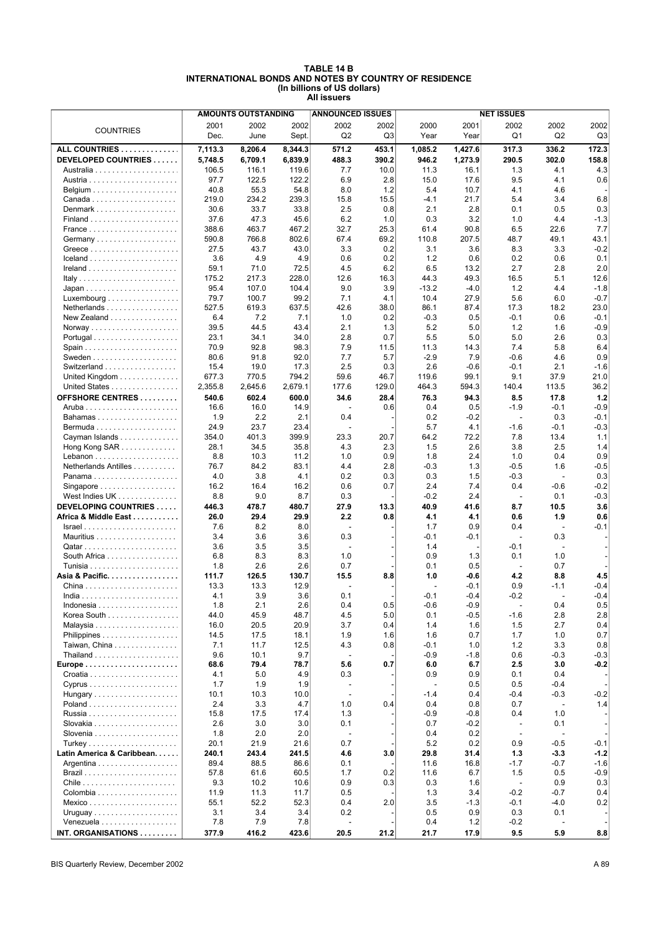#### **TABLE 14 B INTERNATIONAL BONDS AND NOTES BY COUNTRY OF RESIDENCE (In billions of US dollars) All issuers**

|                                                    |              | <b>AMOUNTS OUTSTANDING</b> |               | <b>ANNOUNCED ISSUES</b>  |            |                          |                  | <b>NET ISSUES</b>        |                          |                  |
|----------------------------------------------------|--------------|----------------------------|---------------|--------------------------|------------|--------------------------|------------------|--------------------------|--------------------------|------------------|
| <b>COUNTRIES</b>                                   | 2001         | 2002                       | 2002          | 2002                     | 2002       | 2000                     | 2001             | 2002                     | 2002                     | 2002             |
|                                                    | Dec.         | June                       | Sept.         | Q2                       | Q3         | Year                     | Year             | Q1                       | Q <sub>2</sub>           | Q3               |
| ALL COUNTRIES                                      | 7,113.3      | 8,206.4                    | 8,344.3       | 571.2                    | 453.1      | 1,085.2                  | 1,427.6          | 317.3                    | 336.2                    | 172.3            |
| DEVELOPED COUNTRIES                                | 5,748.5      | 6,709.1                    | 6,839.9       | 488.3                    | 390.2      | 946.2                    | 1,273.9          | 290.5                    | 302.0                    | 158.8            |
|                                                    | 106.5        | 116.1                      | 119.6         | 7.7                      | 10.0       | 11.3                     | 16.1             | 1.3                      | 4.1                      | 4.3              |
|                                                    | 97.7         | 122.5                      | 122.2         | 6.9                      | 2.8        | 15.0                     | 17.6             | 9.5                      | 4.1                      | 0.6              |
|                                                    | 40.8         | 55.3                       | 54.8          | 8.0                      | 1.2        | 5.4                      | 10.7             | 4.1                      | 4.6                      |                  |
|                                                    | 219.0        | 234.2                      | 239.3         | 15.8                     | 15.5       | $-4.1$                   | 21.7             | 5.4                      | 3.4                      | 6.8              |
| Denmark                                            | 30.6         | 33.7                       | 33.8          | 2.5                      | 0.8        | 2.1                      | 2.8              | 0.1                      | 0.5                      | 0.3              |
|                                                    | 37.6         | 47.3                       | 45.6          | 6.2                      | 1.0        | 0.3                      | 3.2              | 1.0                      | 4.4                      | $-1.3$           |
| France                                             | 388.6        | 463.7                      | 467.2         | 32.7                     | 25.3       | 61.4                     | 90.8             | 6.5                      | 22.6                     | 7.7              |
|                                                    | 590.8        | 766.8                      | 802.6         | 67.4                     | 69.2       | 110.8                    | 207.5            | 48.7                     | 49.1                     | 43.1             |
|                                                    | 27.5         | 43.7                       | 43.0          | 3.3                      | 0.2        | 3.1                      | 3.6              | 8.3                      | 3.3                      | $-0.2$           |
|                                                    | 3.6          | 4.9                        | 4.9           | 0.6                      | 0.2        | 1.2                      | 0.6              | 0.2                      | 0.6                      | 0.1              |
|                                                    | 59.1         | 71.0                       | 72.5          | 4.5                      | 6.2        | 6.5                      | 13.2             | 2.7                      | 2.8                      | 2.0              |
|                                                    | 175.2        | 217.3                      | 228.0         | 12.6                     | 16.3       | 44.3                     | 49.3             | 16.5                     | 5.1                      | 12.6             |
|                                                    | 95.4         | 107.0                      | 104.4         | 9.0                      | 3.9        | $-13.2$                  | $-4.0$           | 1.2                      | 4.4                      | $-1.8$           |
| Luxembourg                                         | 79.7         | 100.7                      | 99.2          | 7.1                      | 4.1        | 10.4                     | 27.9             | 5.6                      | 6.0                      | $-0.7$           |
| Netherlands                                        | 527.5        | 619.3                      | 637.5         | 42.6                     | 38.0       | 86.1                     | 87.4             | 17.3                     | 18.2                     | 23.0             |
| New Zealand                                        | 6.4          | 7.2                        | 7.1           | 1.0                      | 0.2        | $-0.3$                   | 0.5              | $-0.1$                   | 0.6                      | $-0.1$           |
|                                                    | 39.5         | 44.5                       | 43.4          | 2.1                      | 1.3        | 5.2                      | 5.0              | 1.2                      | 1.6                      | $-0.9$           |
|                                                    | 23.1         | 34.1                       | 34.0          | 2.8                      | 0.7        | 5.5                      | 5.0              | 5.0                      | 2.6                      | 0.3              |
|                                                    | 70.9         | 92.8                       | 98.3          | 7.9                      | 11.5       | 11.3                     | 14.3             | 7.4                      | 5.8                      | 6.4              |
| Switzerland                                        | 80.6<br>15.4 | 91.8<br>19.0               | 92.0<br>17.3  | 7.7<br>2.5               | 5.7<br>0.3 | $-2.9$<br>2.6            | 7.9<br>$-0.6$    | $-0.6$<br>$-0.1$         | 4.6<br>2.1               | 0.9<br>$-1.6$    |
| United Kingdom                                     | 677.3        | 770.5                      | 794.2         | 59.6                     | 46.7       | 119.6                    | 99.1             | 9.1                      | 37.9                     | 21.0             |
| United States                                      | 2,355.8      | 2,645.6                    | 2,679.1       | 177.6                    | 129.0      | 464.3                    | 594.3            | 140.4                    | 113.5                    | 36.2             |
| <b>OFFSHORE CENTRES</b>                            | 540.6        | 602.4                      | 600.0         | 34.6                     | 28.4       | 76.3                     | 94.3             | 8.5                      | 17.8                     | 1.2              |
|                                                    | 16.6         | 16.0                       | 14.9          |                          | 0.6        | 0.4                      | 0.5              | $-1.9$                   | $-0.1$                   | $-0.9$           |
| Bahamas                                            | 1.9          | 2.2                        | 2.1           | 0.4                      |            | 0.2                      | $-0.2$           | $\blacksquare$           | 0.3                      | $-0.1$           |
|                                                    | 24.9         | 23.7                       | 23.4          |                          |            | 5.7                      | 4.1              | $-1.6$                   | $-0.1$                   | $-0.3$           |
| Cayman Islands                                     | 354.0        | 401.3                      | 399.9         | 23.3                     | 20.7       | 64.2                     | 72.2             | 7.8                      | 13.4                     | 1.1              |
| Hong Kong $SAR$                                    | 28.1         | 34.5                       | 35.8          | 4.3                      | 2.3        | 1.5                      | 2.6              | 3.8                      | 2.5                      | 1.4              |
|                                                    | 8.8          | 10.3                       | 11.2          | 1.0                      | 0.9        | 1.8                      | 2.4              | 1.0                      | 0.4                      | 0.9              |
| Netherlands Antilles                               | 76.7         | 84.2                       | 83.1          | 4.4                      | 2.8        | $-0.3$                   | 1.3              | $-0.5$                   | 1.6                      | $-0.5$           |
| Panama                                             | 4.0          | 3.8                        | 4.1           | 0.2                      | 0.3        | 0.3                      | 1.5              | $-0.3$                   | $\overline{\phantom{a}}$ | 0.3              |
| Singapore                                          | 16.2         | 16.4                       | 16.2          | 0.6                      | 0.7        | 2.4                      | 7.4              | 0.4                      | $-0.6$                   | $-0.2$           |
| West Indies UK                                     | 8.8          | 9.0                        | 8.7           | 0.3                      |            | $-0.2$                   | 2.4              | $\overline{\phantom{a}}$ | 0.1                      | $-0.3$           |
| DEVELOPING COUNTRIES                               | 446.3        | 478.7                      | 480.7         | 27.9                     | 13.3       | 40.9                     | 41.6             | 8.7                      | 10.5                     | 3.6              |
| Africa & Middle East                               | 26.0         | 29.4                       | 29.9          | 2.2                      | 0.8        | 4.1                      | 4.1              | 0.6                      | 1.9                      | 0.6              |
| $Israel \ldots \ldots \ldots \ldots \ldots \ldots$ | 7.6          | 8.2                        | 8.0           | $\sim$                   |            | 1.7                      | 0.9              | 0.4                      | $\overline{\phantom{a}}$ | $-0.1$           |
|                                                    | 3.4          | 3.6                        | 3.6           | 0.3                      |            | $-0.1$                   | $-0.1$           | $\overline{\phantom{a}}$ | 0.3                      |                  |
|                                                    | 3.6          | 3.5                        | 3.5           |                          |            | 1.4                      |                  | $-0.1$                   | ÷,                       |                  |
| South Africa                                       | 6.8          | 8.3                        | 8.3           | 1.0                      |            | 0.9                      | 1.3              | 0.1                      | 1.0                      |                  |
|                                                    | 1.8          | 2.6                        | 2.6           | 0.7                      |            | 0.1                      | 0.5              | $\overline{\phantom{a}}$ | 0.7                      |                  |
| Asia & Pacific.                                    | 111.7        | 126.5                      | 130.7<br>12.9 | 15.5<br>$\overline{a}$   | 8.8        | 1.0<br>$\overline{a}$    | -0.6             | 4.2                      | 8.8<br>$-1.1$            | 4.5              |
|                                                    | 13.3<br>4.1  | 13.3<br>3.9                | 3.6           | 0.1                      |            | $-0.1$                   | $-0.1$<br>$-0.4$ | 0.9<br>$-0.2$            | $\overline{\phantom{a}}$ | $-0.4$<br>$-0.4$ |
| Indonesia                                          | 1.8          | 2.1                        | 2.6           | 0.4                      | 0.5        | $-0.6$                   | $-0.9$           |                          | 0.4                      | 0.5              |
| Korea South                                        | 44.0         | 45.9                       | 48.7          | 4.5                      | 5.0        | 0.1                      | $-0.5$           | $-1.6$                   | 2.8                      | 2.8              |
|                                                    | 16.0         | 20.5                       | 20.9          | 3.7                      | 0.4        | 1.4                      | 1.6              | 1.5                      | 2.7                      | 0.4              |
| Philippines                                        | 14.5         | 17.5                       | 18.1          | 1.9                      | 1.6        | 1.6                      | 0.7              | 1.7                      | 1.0                      | 0.7              |
| Taiwan, China                                      | 7.1          | 11.7                       | 12.5          | 4.3                      | 0.8        | $-0.1$                   | 1.0              | 1.2                      | 3.3                      | 0.8              |
|                                                    | 9.6          | 10.1                       | 9.7           | $\overline{\phantom{a}}$ |            | $-0.9$                   | $-1.8$           | 0.6                      | $-0.3$                   | $-0.3$           |
| Europe                                             | 68.6         | 79.4                       | 78.7          | 5.6                      | 0.7        | 6.0                      | 6.7              | 2.5                      | 3.0                      | -0.2             |
|                                                    | 4.1          | 5.0                        | 4.9           | 0.3                      |            | 0.9                      | 0.9              | 0.1                      | 0.4                      |                  |
| $Cyprus \ldots \ldots \ldots \ldots \ldots \ldots$ | 1.7          | 1.9                        | 1.9           | $\overline{a}$           |            | $\overline{\phantom{a}}$ | 0.5              | 0.5                      | -0.4                     |                  |
| Hungary                                            | 10.1         | 10.3                       | 10.0          | $\overline{a}$           |            | $-1.4$                   | 0.4              | $-0.4$                   | $-0.3$                   | $-0.2$           |
|                                                    | 2.4          | 3.3                        | 4.7           | 1.0                      | 0.4        | 0.4                      | 0.8              | 0.7                      | $\overline{a}$           | 1.4              |
|                                                    | 15.8         | 17.5                       | 17.4          | 1.3                      |            | $-0.9$                   | $-0.8$           | 0.4                      | 1.0                      |                  |
|                                                    | 2.6          | 3.0                        | 3.0           | 0.1                      |            | 0.7                      | $-0.2$           |                          | 0.1                      |                  |
|                                                    | 1.8          | 2.0                        | 2.0           | $\overline{\phantom{a}}$ |            | 0.4                      | 0.2              |                          |                          |                  |
|                                                    | 20.1         | 21.9                       | 21.6          | 0.7                      |            | 5.2                      | 0.2              | 0.9                      | $-0.5$                   | $-0.1$           |
| Latin America & Caribbean.                         | 240.1        | 243.4                      | 241.5         | 4.6                      | 3.0        | 29.8                     | 31.4             | 1.3                      | $-3.3$                   | $-1.2$           |
|                                                    | 89.4         | 88.5                       | 86.6          | 0.1                      |            | 11.6                     | 16.8             | $-1.7$                   | $-0.7$                   | $-1.6$           |
|                                                    | 57.8         | 61.6                       | 60.5          | 1.7                      | 0.2        | 11.6                     | 6.7              | 1.5                      | 0.5                      | $-0.9$           |
|                                                    | 9.3          | 10.2                       | 10.6          | 0.9                      | 0.3        | 0.3                      | 1.6              | $\overline{\phantom{a}}$ | 0.9                      | 0.3              |
|                                                    | 11.9         | 11.3                       | 11.7          | 0.5                      |            | 1.3                      | 3.4              | $-0.2$                   | $-0.7$                   | 0.4              |
|                                                    | 55.1<br>3.1  | 52.2<br>3.4                | 52.3<br>3.4   | 0.4<br>0.2               | 2.0        | 3.5<br>0.5               | $-1.3$<br>0.9    | $-0.1$<br>0.3            | $-4.0$<br>0.1            | 0.2              |
| Venezuela                                          | 7.8          | 7.9                        | 7.8           |                          |            | 0.4                      | $1.2$            | $-0.2$                   |                          |                  |
| INT. ORGANISATIONS                                 | 377.9        | 416.2                      | 423.6         | 20.5                     | 21.2       | 21.7                     | 17.9             | 9.5                      | 5.9                      | 8.8              |
|                                                    |              |                            |               |                          |            |                          |                  |                          |                          |                  |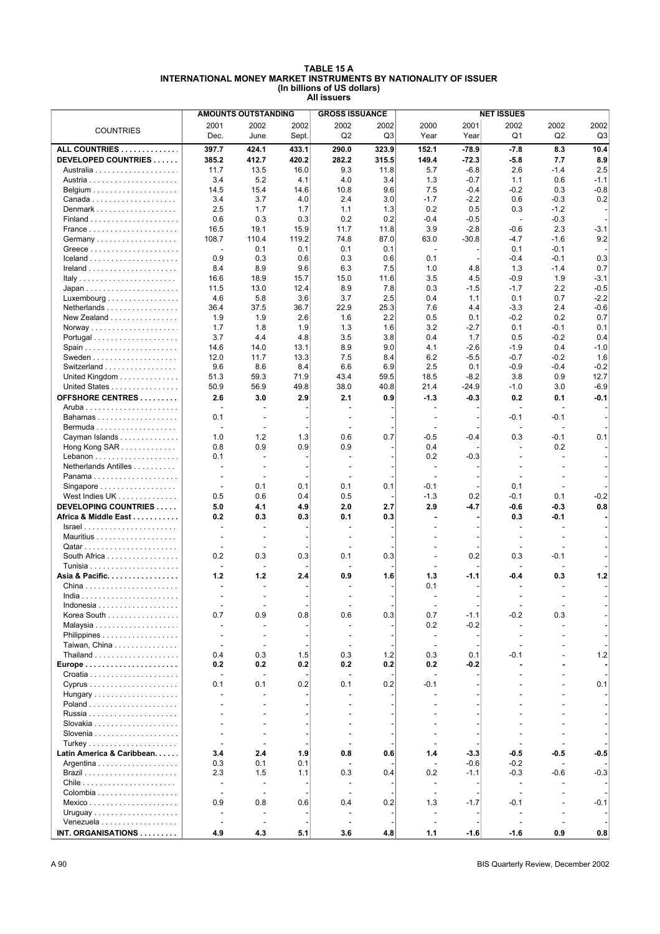#### **TABLE 15 A INTERNATIONAL MONEY MARKET INSTRUMENTS BY NATIONALITY OF ISSUER (In billions of US dollars) All issuers**

|                                                           |                          | <b>AMOUNTS OUTSTANDING</b> |       | <b>GROSS ISSUANCE</b>    |                |                                 |         | <b>NET ISSUES</b>        |                          |        |
|-----------------------------------------------------------|--------------------------|----------------------------|-------|--------------------------|----------------|---------------------------------|---------|--------------------------|--------------------------|--------|
|                                                           | 2001                     | 2002                       | 2002  | 2002                     | 2002           | 2000                            | 2001    | 2002                     | 2002                     | 2002   |
| <b>COUNTRIES</b>                                          | Dec.                     | June                       | Sept. | Q <sub>2</sub>           | Q <sub>3</sub> | Year                            | Year    | Q <sub>1</sub>           | Q <sub>2</sub>           | Q3     |
| ALL COUNTRIES                                             | 397.7                    | 424.1                      | 433.1 | 290.0                    | 323.9          | 152.1                           | $-78.9$ | $-7.8$                   | 8.3                      | 10.4   |
| DEVELOPED COUNTRIES                                       | 385.2                    | 412.7                      | 420.2 | 282.2                    | 315.5          | 149.4                           | $-72.3$ | $-5.8$                   | 7.7                      | 8.9    |
|                                                           | 11.7                     | 13.5                       | 16.0  | 9.3                      | 11.8           | 5.7                             | $-6.8$  | 2.6                      | $-1.4$                   | 2.5    |
|                                                           | 3.4                      | 5.2                        | 4.1   | 4.0                      | 3.4            | 1.3                             | $-0.7$  | 1.1                      | 0.6                      | $-1.1$ |
|                                                           | 14.5                     | 15.4                       | 14.6  | 10.8                     | 9.6            | 7.5                             | $-0.4$  | $-0.2$                   | 0.3                      | $-0.8$ |
|                                                           | 3.4                      | 3.7                        | 4.0   | 2.4                      | 3.0            | $-1.7$                          | $-2.2$  | 0.6                      | $-0.3$                   | 0.2    |
| Denmark                                                   | 2.5                      | 1.7                        | 1.7   | 1.1                      | 1.3            | 0.2                             | 0.5     | 0.3                      | $-1.2$                   |        |
|                                                           | 0.6                      | 0.3                        | 0.3   | 0.2                      | 0.2            | $-0.4$                          | $-0.5$  | $\overline{\phantom{a}}$ | $-0.3$                   |        |
| France                                                    | 16.5                     | 19.1                       | 15.9  | 11.7                     | 11.8           | 3.9                             | $-2.8$  | $-0.6$                   | 2.3                      | $-3.1$ |
|                                                           | 108.7                    | 110.4                      | 119.2 | 74.8                     | 87.0           | 63.0                            | $-30.8$ | $-4.7$                   | $-1.6$                   | 9.2    |
| Greece $\ldots \ldots \ldots \ldots \ldots \ldots \ldots$ | $\overline{\phantom{a}}$ | 0.1                        | 0.1   | 0.1                      | 0.1            | $\overline{\phantom{a}}$        |         | 0.1                      | $-0.1$                   |        |
|                                                           | 0.9                      | 0.3                        | 0.6   | 0.3                      | 0.6            | 0.1                             |         | $-0.4$                   | $-0.1$                   | 0.3    |
|                                                           | 8.4                      | 8.9                        | 9.6   | 6.3                      | 7.5            | 1.0                             | 4.8     | 1.3                      | $-1.4$                   | 0.7    |
| Italy                                                     | 16.6                     | 18.9                       | 15.7  | 15.0                     | 11.6           | 3.5                             | 4.5     | $-0.9$                   | 1.9                      | $-3.1$ |
| $Japan \dots \dots \dots \dots \dots \dots \dots \dots$   | 11.5                     | 13.0                       | 12.4  | 8.9                      | 7.8            | 0.3                             | $-1.5$  | $-1.7$                   | 2.2                      | $-0.5$ |
| $Luxembourg \ldots  \ldots $                              | 4.6                      | 5.8                        | 3.6   | 3.7                      | 2.5            | 0.4                             | 1.1     | 0.1                      | 0.7                      | $-2.2$ |
| Netherlands                                               | 36.4                     | 37.5                       | 36.7  | 22.9                     | 25.3           | 7.6                             | 4.4     | $-3.3$                   | 2.4                      | $-0.6$ |
| New Zealand                                               | 1.9                      | 1.9                        | 2.6   | 1.6                      | 2.2            | 0.5                             | 0.1     | $-0.2$                   | 0.2                      | 0.7    |
|                                                           | 1.7                      | 1.8                        | 1.9   | 1.3                      | 1.6            | 3.2                             | $-2.7$  | 0.1                      | $-0.1$                   | 0.1    |
|                                                           | 3.7                      | 4.4                        | 4.8   | 3.5                      | 3.8            | 0.4                             | 1.7     | 0.5                      | $-0.2$                   | 0.4    |
|                                                           | 14.6                     | 14.0                       | 13.1  | 8.9                      | 9.0            | 4.1                             | $-2.6$  | $-1.9$                   | 0.4                      | $-1.0$ |
|                                                           | 12.0                     | 11.7                       | 13.3  | 7.5                      | 8.4            | 6.2                             | $-5.5$  | $-0.7$                   | $-0.2$                   | 1.6    |
| Switzerland                                               | 9.6                      | 8.6                        | 8.4   | 6.6                      | 6.9            | 2.5                             | 0.1     | $-0.9$                   | -0.4                     | $-0.2$ |
| United Kingdom                                            | 51.3                     | 59.3                       | 71.9  | 43.4                     | 59.5           | 18.5                            | $-8.2$  | 3.8                      | 0.9                      | 12.7   |
| United States                                             | 50.9                     | 56.9                       | 49.8  | 38.0                     | 40.8           | 21.4                            | $-24.9$ | $-1.0$                   | 3.0                      | $-6.9$ |
| <b>OFFSHORE CENTRES</b>                                   | 2.6                      | 3.0                        | 2.9   | 2.1                      | 0.9            | $-1.3$                          | $-0.3$  | 0.2                      | 0.1                      | $-0.1$ |
|                                                           |                          |                            |       |                          |                |                                 |         |                          |                          |        |
| Bahamas                                                   | 0.1                      |                            |       |                          |                |                                 |         | $-0.1$                   | $-0.1$                   |        |
|                                                           |                          |                            |       |                          |                |                                 |         |                          |                          |        |
| Cayman Islands                                            | 1.0                      | 1.2                        | 1.3   | 0.6                      | 0.7            | $-0.5$                          | $-0.4$  | 0.3                      | $-0.1$                   | 0.1    |
| Hong Kong SAR                                             | 0.8                      | 0.9                        | 0.9   | 0.9                      |                | 0.4                             |         |                          | 0.2                      |        |
|                                                           | 0.1                      | $\sim$                     |       |                          |                | 0.2                             | $-0.3$  |                          |                          |        |
| Netherlands Antilles                                      | $\overline{a}$           | $\overline{\phantom{a}}$   |       |                          |                | $\sim$                          |         |                          |                          |        |
| Panama                                                    | $\blacksquare$           |                            |       |                          |                | $\blacksquare$                  |         |                          |                          |        |
|                                                           | ÷,                       | 0.1                        | 0.1   | 0.1                      | 0.1            | $-0.1$                          |         | 0.1                      | $\overline{a}$           |        |
| West Indies UK                                            | 0.5                      | 0.6                        | 0.4   | 0.5                      |                | $-1.3$                          | 0.2     | $-0.1$                   | 0.1                      | $-0.2$ |
| <b>DEVELOPING COUNTRIES </b>                              | 5.0                      | 4.1                        | 4.9   | 2.0                      | 2.7            | 2.9                             | $-4.7$  | $-0.6$                   | $-0.3$                   | 0.8    |
| Africa & Middle East                                      | 0.2                      | 0.3                        | 0.3   | 0.1                      | 0.3            |                                 |         | 0.3                      | $-0.1$                   |        |
| $Israel \ldots \ldots \ldots \ldots \ldots$               | $\overline{a}$           | $\overline{a}$             |       |                          |                |                                 |         |                          |                          |        |
|                                                           | $\overline{\phantom{a}}$ | $\blacksquare$             |       |                          |                |                                 |         |                          |                          |        |
|                                                           |                          |                            |       |                          |                |                                 |         |                          |                          |        |
| South Africa                                              | 0.2                      | 0.3                        | 0.3   | 0.1                      | 0.3            | $\overline{a}$                  | 0.2     | 0.3                      | $-0.1$                   |        |
|                                                           | $\overline{a}$           |                            |       |                          |                |                                 |         |                          |                          |        |
| Asia & Pacific.                                           | 1.2                      | $1.2$                      | 2.4   | 0.9                      | 1.6            | 1.3                             | $-1.1$  | $-0.4$                   | 0.3                      | 1.2    |
|                                                           |                          |                            |       |                          |                | 0.1                             |         |                          |                          |        |
|                                                           |                          |                            |       |                          |                |                                 |         |                          |                          |        |
| Indonesia $\ldots$ .                                      |                          |                            |       |                          |                |                                 |         |                          |                          |        |
| Korea South                                               | 0.7                      | 0.9                        | 0.8   | 0.6                      | 0.3            | 0.7                             | $-1.1$  | $-0.2$                   | 0.3                      |        |
|                                                           |                          | $\overline{\phantom{a}}$   |       |                          |                | 0.2                             | $-0.2$  |                          |                          |        |
| Philippines                                               | $\overline{\phantom{a}}$ | $\overline{\phantom{a}}$   |       |                          |                | $\overline{\phantom{a}}$        |         |                          |                          |        |
| Taiwan, China                                             |                          |                            |       |                          |                | $\overline{\phantom{a}}$        |         |                          |                          |        |
|                                                           | 0.4                      | 0.3                        | 1.5   | 0.3                      | $1.2$          | 0.3                             | 0.1     | $-0.1$                   |                          | 1.2    |
| $Europe \ldots \ldots \ldots \ldots \ldots \ldots \ldots$ | 0.2                      | 0.2                        | 0.2   | 0.2                      | 0.2            | 0.2<br>$\overline{\phantom{a}}$ | $-0.2$  |                          |                          |        |
|                                                           | 0.1                      | $\overline{a}$<br>0.1      | 0.2   | 0.1                      | 0.2            | -0.1                            |         |                          | $\overline{\phantom{a}}$ | 0.1    |
| Hungary                                                   |                          |                            |       |                          |                |                                 |         |                          |                          |        |
|                                                           |                          |                            |       |                          |                |                                 |         |                          |                          |        |
|                                                           |                          |                            |       |                          |                |                                 |         |                          |                          |        |
|                                                           |                          | $\overline{\phantom{a}}$   |       |                          |                |                                 |         |                          |                          |        |
|                                                           |                          |                            |       |                          |                |                                 |         |                          |                          |        |
|                                                           |                          |                            |       |                          |                |                                 |         |                          |                          |        |
| Latin America & Caribbean.                                | 3.4                      | 2.4                        | 1.9   | 0.8                      | 0.6            | 1.4                             | $-3.3$  | $-0.5$                   | -0.5                     | $-0.5$ |
|                                                           | 0.3                      | 0.1                        | 0.1   |                          |                |                                 | $-0.6$  | $-0.2$                   |                          |        |
|                                                           | 2.3                      | 1.5                        | 1.1   | 0.3                      | 0.4            | 0.2                             | $-1.1$  | $-0.3$                   | $-0.6$                   | $-0.3$ |
| $Chile$                                                   | $\overline{a}$           | $\overline{\phantom{a}}$   |       | $\overline{\phantom{a}}$ |                | $\overline{\phantom{a}}$        |         |                          |                          |        |
|                                                           |                          | $\overline{\phantom{a}}$   |       |                          |                | $\overline{\phantom{a}}$        |         |                          |                          |        |
|                                                           | 0.9                      | 0.8                        | 0.6   | 0.4                      | 0.2            | 1.3                             | -1.7    | $-0.1$                   | $\overline{\phantom{a}}$ | $-0.1$ |
|                                                           |                          |                            |       |                          |                | $\sim$                          |         |                          |                          |        |
| Venezuela                                                 |                          |                            |       |                          |                |                                 |         |                          |                          |        |
| INT. ORGANISATIONS                                        | 4.9                      | 4.3                        | 5.1   | 3.6                      | 4.8            | 1.1                             | $-1.6$  | $-1.6$                   | 0.9                      | 0.8    |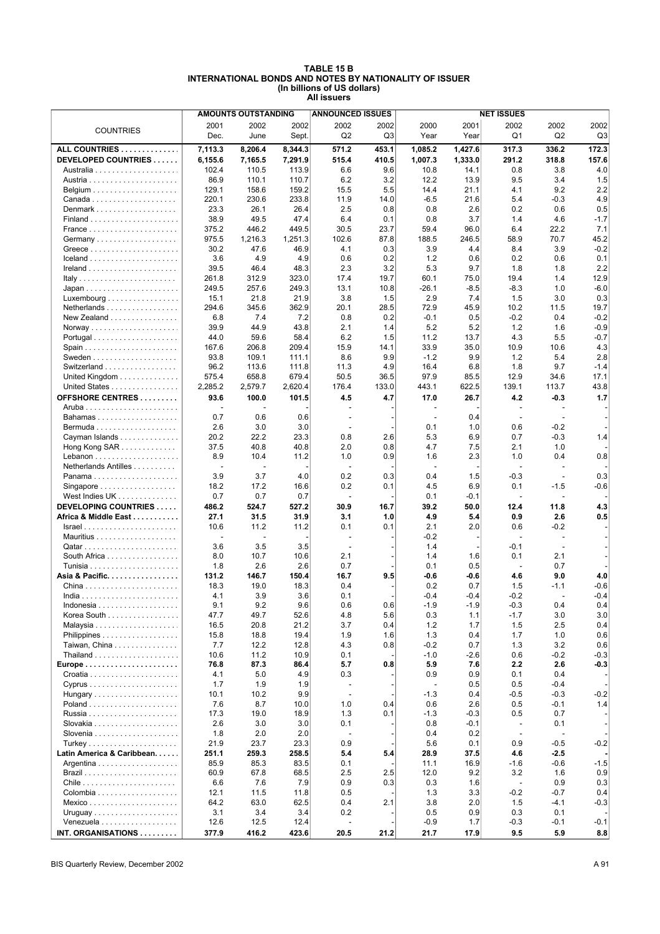#### **TABLE 15 B INTERNATIONAL BONDS AND NOTES BY NATIONALITY OF ISSUER (In billions of US dollars) All issuers**

|                                                    |                          | <b>AMOUNTS OUTSTANDING</b> |         | <b>ANNOUNCED ISSUES</b>  |       |                          |         | <b>NET ISSUES</b>        |                          |        |
|----------------------------------------------------|--------------------------|----------------------------|---------|--------------------------|-------|--------------------------|---------|--------------------------|--------------------------|--------|
|                                                    | 2001                     | 2002                       | 2002    | 2002                     | 2002  | 2000                     | 2001    | 2002                     | 2002                     | 2002   |
| <b>COUNTRIES</b>                                   | Dec.                     | June                       | Sept.   | Q <sub>2</sub>           | Q3    | Year                     | Year    | Q1                       | Q <sub>2</sub>           | Q3     |
|                                                    |                          |                            |         |                          |       |                          |         |                          |                          |        |
| ALL COUNTRIES                                      | 7,113.3                  | 8,206.4                    | 8,344.3 | 571.2                    | 453.1 | 1,085.2                  | 1,427.6 | 317.3                    | 336.2                    | 172.3  |
| DEVELOPED COUNTRIES                                | 6,155.6                  | 7,165.5                    | 7,291.9 | 515.4                    | 410.5 | 1,007.3                  | 1,333.0 | 291.2                    | 318.8                    | 157.6  |
|                                                    | 102.4                    | 110.5                      | 113.9   | 6.6                      | 9.6   | 10.8                     | 14.1    | 0.8                      | 3.8                      | 4.0    |
|                                                    | 86.9                     | 110.1                      | 110.7   | 6.2                      | 3.2   | 12.2                     | 13.9    | 9.5                      | 3.4                      | 1.5    |
|                                                    | 129.1                    | 158.6                      | 159.2   | 15.5                     | 5.5   | 14.4                     | 21.1    | 4.1                      | 9.2                      | 2.2    |
|                                                    | 220.1                    | 230.6                      | 233.8   | 11.9                     | 14.0  | $-6.5$                   | 21.6    | 5.4                      | $-0.3$                   | 4.9    |
| Denmark                                            | 23.3                     | 26.1                       | 26.4    | 2.5                      | 0.8   | 0.8                      | 2.6     | 0.2                      | 0.6                      | 0.5    |
|                                                    | 38.9                     | 49.5                       | 47.4    | 6.4                      | 0.1   | 0.8                      | 3.7     | 1.4                      | 4.6                      | $-1.7$ |
| France                                             | 375.2                    | 446.2                      | 449.5   | 30.5                     | 23.7  | 59.4                     | 96.0    | 6.4                      | 22.2                     | 7.1    |
|                                                    | 975.5                    | 1,216.3                    | 1,251.3 | 102.6                    | 87.8  | 188.5                    | 246.5   | 58.9                     | 70.7                     | 45.2   |
|                                                    | 30.2                     | 47.6                       | 46.9    | 4.1                      | 0.3   | 3.9                      | 4.4     | 8.4                      | 3.9                      | $-0.2$ |
|                                                    | 3.6                      | 4.9                        | 4.9     | 0.6                      | 0.2   | 1.2                      | 0.6     | 0.2                      | 0.6                      | 0.1    |
|                                                    | 39.5                     | 46.4                       | 48.3    | 2.3                      | 3.2   | 5.3                      | 9.7     | 1.8                      | 1.8                      | 2.2    |
| Italy                                              | 261.8                    | 312.9                      | 323.0   | 17.4                     | 19.7  | 60.1                     | 75.0    | 19.4                     | 1.4                      | 12.9   |
|                                                    | 249.5                    | 257.6                      | 249.3   | 13.1                     | 10.8  | $-26.1$                  | $-8.5$  | $-8.3$                   | 1.0                      | $-6.0$ |
| $Luxembourg \ldots  \ldots $                       | 15.1                     | 21.8                       | 21.9    | 3.8                      | 1.5   | 2.9                      | 7.4     | 1.5                      | 3.0                      | 0.3    |
| Netherlands                                        | 294.6                    | 345.6                      | 362.9   | 20.1                     | 28.5  | 72.9                     | 45.9    | 10.2                     | 11.5                     | 19.7   |
| New Zealand                                        | 6.8                      | 7.4                        | 7.2     | 0.8                      | 0.2   | $-0.1$                   | 0.5     | $-0.2$                   | 0.4                      | $-0.2$ |
|                                                    | 39.9                     | 44.9                       | 43.8    | 2.1                      | 1.4   | 5.2                      | 5.2     | 1.2                      | 1.6                      | $-0.9$ |
|                                                    | 44.0                     | 59.6                       | 58.4    | 6.2                      | 1.5   | 11.2                     | 13.7    | 4.3                      | 5.5                      | $-0.7$ |
|                                                    | 167.6                    | 206.8                      | 209.4   | 15.9                     | 14.1  | 33.9                     | 35.0    | 10.9                     | 10.6                     | 4.3    |
|                                                    | 93.8                     | 109.1                      | 111.1   | 8.6                      | 9.9   | $-1.2$                   | 9.9     | 1.2                      | 5.4                      | 2.8    |
| Switzerland                                        | 96.2                     | 113.6                      | 111.8   | 11.3                     | 4.9   | 16.4                     | 6.8     | 1.8                      | 9.7                      | $-1.4$ |
| United Kingdom                                     | 575.4                    | 658.8                      | 679.4   | 50.5                     | 36.5  | 97.9                     | 85.5    | 12.9                     | 34.6                     | 17.1   |
| United States                                      | 2,285.2                  | 2,579.7                    | 2.620.4 | 176.4                    | 133.0 | 443.1                    | 622.5   | 139.1                    | 113.7                    | 43.8   |
|                                                    |                          |                            |         |                          |       |                          |         |                          |                          |        |
| <b>OFFSHORE CENTRES</b>                            | 93.6                     | 100.0                      | 101.5   | 4.5                      | 4.7   | 17.0                     | 26.7    | 4.2                      | -0.3                     | 1.7    |
|                                                    |                          |                            |         |                          |       |                          |         |                          | $\overline{\phantom{a}}$ |        |
| Bahamas                                            | 0.7                      | 0.6                        | 0.6     |                          |       | ÷,                       | 0.4     |                          |                          |        |
|                                                    | 2.6                      | 3.0                        | 3.0     |                          |       | 0.1                      | 1.0     | 0.6                      | $-0.2$                   |        |
| Cayman Islands                                     | 20.2                     | 22.2                       | 23.3    | 0.8                      | 2.6   | 5.3                      | 6.9     | 0.7                      | $-0.3$                   | 1.4    |
| Hong Kong $SAR$                                    | 37.5                     | 40.8                       | 40.8    | 2.0                      | 0.8   | 4.7                      | 7.5     | 2.1                      | 1.0                      |        |
|                                                    | 8.9                      | 10.4                       | 11.2    | 1.0                      | 0.9   | 1.6                      | 2.3     | 1.0                      | 0.4                      | 0.8    |
| Netherlands Antilles                               |                          |                            |         |                          |       |                          |         |                          |                          |        |
| Panama                                             | 3.9                      | 3.7                        | 4.0     | 0.2                      | 0.3   | 0.4                      | 1.5     | $-0.3$                   | $\overline{\phantom{a}}$ | 0.3    |
| Singapore                                          | 18.2                     | 17.2                       | 16.6    | 0.2                      | 0.1   | 4.5                      | 6.9     | 0.1                      | $-1.5$                   | $-0.6$ |
| West Indies UK                                     | 0.7                      | 0.7                        | 0.7     | $\overline{a}$           |       | 0.1                      | $-0.1$  | $\overline{\phantom{a}}$ | $\overline{a}$           |        |
| DEVELOPING COUNTRIES                               | 486.2                    | 524.7                      | 527.2   | 30.9                     | 16.7  | 39.2                     | 50.0    | 12.4                     | 11.8                     | 4.3    |
| Africa & Middle East                               | 27.1                     | 31.5                       | 31.9    | 3.1                      | 1.0   | 4.9                      | 5.4     | 0.9                      | 2.6                      | 0.5    |
| $Israel \ldots \ldots \ldots \ldots \ldots \ldots$ | 10.6                     | 11.2                       | 11.2    | 0.1                      | 0.1   | 2.1                      | 2.0     | 0.6                      | $-0.2$                   |        |
|                                                    | $\overline{\phantom{a}}$ | $\overline{a}$             |         |                          |       | $-0.2$                   |         | $\overline{\phantom{a}}$ |                          |        |
|                                                    | 3.6                      | 3.5                        | 3.5     |                          |       | 1.4                      |         | $-0.1$                   |                          |        |
| South Africa                                       | 8.0                      | 10.7                       | 10.6    | 2.1                      |       | 1.4                      | 1.6     | 0.1                      | 2.1                      |        |
|                                                    | 1.8                      | 2.6                        | 2.6     | 0.7                      |       | 0.1                      | 0.5     | $\overline{\phantom{a}}$ | 0.7                      |        |
| Asia & Pacific.                                    | 131.2                    | 146.7                      | 150.4   | 16.7                     | 9.5   | $-0.6$                   | -0.6    | 4.6                      | 9.0                      | 4.0    |
|                                                    | 18.3                     | 19.0                       | 18.3    | 0.4                      |       | 0.2                      | 0.7     | 1.5                      | $-1.1$                   | $-0.6$ |
|                                                    | 4.1                      | 3.9                        | 3.6     | 0.1                      |       | $-0.4$                   | $-0.4$  | $-0.2$                   | $\overline{a}$           | $-0.4$ |
|                                                    | 9.1                      | 9.2                        | 9.6     | 0.6                      | 0.6   | -1.9                     | $-1.9$  | $-0.3$                   | 0.4                      | 0.4    |
| Korea South                                        | 47.7                     | 49.7                       | 52.6    | 4.8                      | 5.6   | 0.3                      | 1.1     | -1.7                     | 3.0                      | 3.0    |
|                                                    | 16.5                     | 20.8                       | 21.2    | 3.7                      | 0.4   | $1.2$                    | 1.7     | 1.5                      | 2.5                      | 0.4    |
| Philippines                                        | 15.8                     | 18.8                       | 19.4    | 1.9                      | 1.6   | 1.3                      | 0.4     | 1.7                      | 1.0                      | 0.6    |
| Taiwan, China                                      | 7.7                      | 12.2                       | 12.8    | 4.3                      | 0.8   | $-0.2$                   | 0.7     | 1.3                      | 3.2                      | 0.6    |
|                                                    | 10.6                     | 11.2                       | 10.9    | 0.1                      |       | $-1.0$                   | $-2.6$  | 0.6                      | $-0.2$                   | $-0.3$ |
| Europe                                             | 76.8                     | 87.3                       | 86.4    | 5.7                      | 0.8   | 5.9                      | 7.6     | 2.2                      | 2.6                      | $-0.3$ |
|                                                    | 4.1                      | 5.0                        | 4.9     | 0.3                      |       | 0.9                      | 0.9     | 0.1                      | 0.4                      |        |
|                                                    | 1.7                      | 1.9                        | 1.9     | $\overline{\phantom{a}}$ |       | $\overline{\phantom{a}}$ | 0.5     | 0.5                      | $-0.4$                   |        |
| Hungary                                            | 10.1                     | 10.2                       | 9.9     | $\overline{\phantom{a}}$ |       | $-1.3$                   | 0.4     | $-0.5$                   | $-0.3$                   | $-0.2$ |
|                                                    | 7.6                      | 8.7                        | 10.0    | 1.0                      | 0.4   | 0.6                      | 2.6     | 0.5                      | $-0.1$                   | 1.4    |
|                                                    | 17.3                     | 19.0                       | 18.9    | 1.3                      | 0.1   | $-1.3$                   | $-0.3$  | 0.5                      | 0.7                      |        |
|                                                    | 2.6                      | 3.0                        | 3.0     | 0.1                      |       | 0.8                      | $-0.1$  |                          | 0.1                      |        |
|                                                    | 1.8                      | 2.0                        | 2.0     | $\blacksquare$           |       | 0.4                      | 0.2     |                          | $\overline{a}$           |        |
| Turkey                                             | 21.9                     | 23.7                       | 23.3    | 0.9                      |       | 5.6                      | 0.1     | 0.9                      | $-0.5$                   | $-0.2$ |
| Latin America & Caribbean.                         | 251.1                    | 259.3                      | 258.5   | 5.4                      | 5.4   | 28.9                     | 37.5    | 4.6                      | $-2.5$                   |        |
|                                                    | 85.9                     | 85.3                       | 83.5    | 0.1                      |       | 11.1                     | 16.9    | $-1.6$                   | $-0.6$                   | $-1.5$ |
|                                                    | 60.9                     | 67.8                       | 68.5    | 2.5                      | 2.5   | 12.0                     | 9.2     | 3.2                      | 1.6                      | 0.9    |
|                                                    |                          | 7.6                        |         | 0.9                      |       | 0.3                      | 1.6     | $\overline{a}$           | 0.9                      | 0.3    |
|                                                    | 6.6                      |                            | 7.9     |                          | 0.3   |                          |         |                          |                          |        |
|                                                    | 12.1                     | 11.5                       | 11.8    | 0.5                      |       | 1.3                      | 3.3     | $-0.2$                   | $-0.7$                   | 0.4    |
| $Mexico$                                           | 64.2                     | 63.0                       | 62.5    | 0.4                      | 2.1   | 3.8                      | 2.0     | 1.5                      | $-4.1$                   | $-0.3$ |
|                                                    | 3.1                      | 3.4                        | 3.4     | 0.2                      |       | 0.5                      | 0.9     | 0.3                      | 0.1                      |        |
| Venezuela                                          | 12.6                     | 12.5                       | 12.4    |                          |       | $-0.9$                   | 1.7     | $-0.3$                   | $-0.1$                   | $-0.1$ |
| INT. ORGANISATIONS                                 | 377.9                    | 416.2                      | 423.6   | 20.5                     | 21.2  | 21.7                     | 17.9    | 9.5                      | 5.9                      | 8.8    |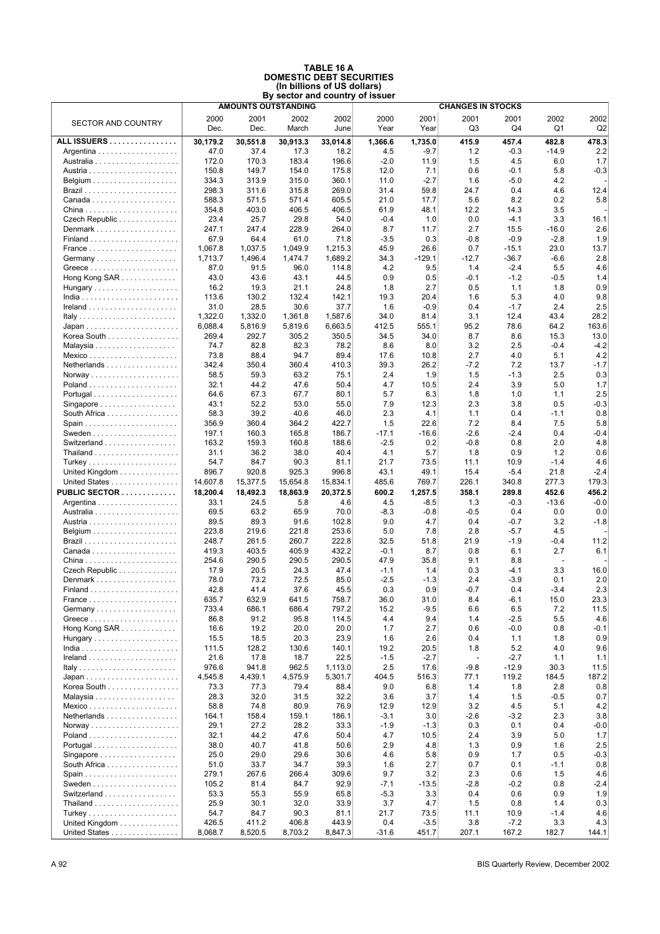#### **TABLE 16 A DOMESTIC DEBT SECURITIES (In billions of US dollars) By sector and country of issuer**

|                                                   |              |          | <b>AMOUNTS OUTSTANDING</b> |          |         |          | <b>CHANGES IN STOCKS</b> |         |                |            |
|---------------------------------------------------|--------------|----------|----------------------------|----------|---------|----------|--------------------------|---------|----------------|------------|
|                                                   | 2000         | 2001     | 2002                       | 2002     | 2000    | 2001     | 2001                     | 2001    | 2002           | 2002       |
| <b>SECTOR AND COUNTRY</b>                         | Dec.         | Dec.     | March                      | June     | Year    | Year     | Q3                       | Q4      | Q1             | Q2         |
|                                                   |              |          |                            |          |         |          |                          |         |                |            |
| ALL ISSUERS                                       | 30,179.2     | 30,551.8 | 30,913.3                   | 33,014.8 | 1,366.6 | 1.735.0  | 415.9                    | 457.4   | 482.8          | 478.3      |
|                                                   | 47.0         | 37.4     | 17.3                       | 18.2     | 4.5     | $-9.7$   | 1.2                      | $-0.3$  | $-14.9$        | 2.2        |
|                                                   | 172.0        | 170.3    | 183.4                      | 196.6    | $-2.0$  | 11.9     | 1.5                      | 4.5     | 6.0            | 1.7        |
|                                                   | 150.8        | 149.7    | 154.0                      | 175.8    | 12.0    | 7.1      | 0.6                      | $-0.1$  | 5.8            | $-0.3$     |
|                                                   | 334.3        | 313.9    | 315.0                      | 360.1    | 11.0    | $-2.7$   | 1.6                      | $-5.0$  | 4.2            |            |
|                                                   | 298.3        | 311.6    | 315.8                      | 269.0    | 31.4    | 59.8     | 24.7                     | 0.4     | 4.6            | 12.4       |
|                                                   | 588.3        | 571.5    | 571.4                      | 605.5    | 21.0    | 17.7     | 5.6                      | 8.2     | 0.2            | 5.8        |
|                                                   | 354.8        | 403.0    | 406.5                      | 406.5    | 61.9    | 48.1     | 12.2                     | 14.3    | 3.5            |            |
| Czech Republic                                    | 23.4         | 25.7     | 29.8                       | 54.0     | $-0.4$  | 1.0      | 0.0                      | $-4.1$  | 3.3            | 16.1       |
| Denmark                                           | 247.1        | 247.4    | 228.9                      | 264.0    | 8.7     | 11.7     | 2.7                      | 15.5    | $-16.0$        | 2.6        |
|                                                   | 67.9         | 64.4     | 61.0                       | 71.8     | $-3.5$  | 0.3      | $-0.8$                   | $-0.9$  | $-2.8$         | 1.9        |
|                                                   | 1,067.8      | 1,037.5  | 1,049.9                    | 1,215.3  | 45.9    | 26.6     | 0.7                      | $-15.1$ | 23.0           | 13.7       |
|                                                   | 1,713.7      | 1.496.4  | 1,474.7                    | 1,689.2  | 34.3    | $-129.1$ | $-12.7$                  | $-36.7$ | $-6.6$         | 2.8        |
|                                                   | 87.0         | 91.5     | 96.0                       | 114.8    | 4.2     | 9.5      | 1.4                      | $-2.4$  | 5.5            | 4.6        |
| Hong Kong SAR                                     | 43.0         | 43.6     | 43.1                       | 44.5     | 0.9     | 0.5      | $-0.1$                   | $-1.2$  | $-0.5$         | 1.4        |
| Hungary                                           | 16.2         | 19.3     | 21.1                       | 24.8     | 1.8     | 2.7      | 0.5                      | 1.1     | 1.8            | 0.9        |
|                                                   | 113.6        | 130.2    | 132.4                      | 142.1    | 19.3    | 20.4     | 1.6                      | 5.3     | 4.0            | 9.8        |
|                                                   | 31.0         | 28.5     | 30.6                       | 37.7     | 1.6     | $-0.9$   | 0.4                      | $-1.7$  | 2.4            | 2.5        |
|                                                   | 1,322.0      | 1,332.0  | 1,361.8                    | 1.587.6  | 34.0    | 81.4     | 3.1                      | 12.4    | 43.4           | 28.2       |
|                                                   | 6.088.4      | 5.816.9  | 5,819.6                    | 6,663.5  | 412.5   | 555.1    | 95.2                     | 78.6    | 64.2           | 163.6      |
| Korea South                                       | 269.4        | 292.7    | 305.2                      | 350.5    | 34.5    | 34.0     | 8.7                      | 8.6     | 15.3           | 13.0       |
|                                                   | 74.7         | 82.8     | 82.3                       | 78.2     | 8.6     | 8.0      | 3.2                      | 2.5     | $-0.4$         | $-4.2$     |
|                                                   | 73.8         | 88.4     | 94.7                       | 89.4     | 17.6    | 10.8     | 2.7                      | 4.0     | 5.1            | 4.2        |
| Netherlands                                       | 342.4        | 350.4    | 360.4                      | 410.3    | 39.3    | 26.2     | $-7.2$                   | 7.2     | 13.7           | $-1.7$     |
|                                                   | 58.5         | 59.3     | 63.2                       | 75.1     | 2.4     | 1.9      | 1.5                      | $-1.3$  | 2.5            | 0.3        |
|                                                   | 32.1         | 44.2     | 47.6                       | 50.4     | 4.7     | 10.5     | 2.4                      | 3.9     | 5.0            | 1.7        |
| Portugal                                          | 64.6         | 67.3     | 67.7                       | 80.1     | 5.7     | 6.3      | 1.8                      | 1.0     | 1.1            | 2.5        |
| Singapore                                         | 43.1         | 52.2     | 53.0                       | 55.0     | 7.9     | 12.3     | 2.3                      | 3.8     | 0.5            | $-0.3$     |
| South Africa                                      | 58.3         | 39.2     | 40.6                       | 46.0     | 2.3     | 4.1      | 1.1                      | 0.4     | $-1.1$         | 0.8        |
|                                                   | 356.9        | 360.4    | 364.2                      | 422.7    | 1.5     | 22.6     | 7.2                      | 8.4     | 7.5            | 5.8        |
|                                                   |              |          |                            | 186.7    |         |          | $-2.6$                   |         | 0.4            | $-0.4$     |
|                                                   | 197.1        | 160.3    | 165.8                      |          | -17.1   | -16.6    |                          | -2.4    |                | 4.8        |
| Switzerland                                       | 163.2        | 159.3    | 160.8                      | 188.6    | $-2.5$  | 0.2      | $-0.8$                   | 0.8     | 2.0            |            |
|                                                   | 31.1         | 36.2     | 38.0                       | 40.4     | 4.1     | 5.7      | 1.8                      | 0.9     | 1.2            | 0.6        |
|                                                   | 54.7         | 84.7     | 90.3                       | 81.1     | 21.7    | 73.5     | 11.1                     | 10.9    | $-1.4$         | 4.6        |
| United Kingdom                                    | 896.7        | 920.8    | 925.3                      | 996.8    | 43.1    | 49.1     | 15.4                     | $-5.4$  | 21.8           | $-2.4$     |
| United States                                     | 14,607.8     | 15,377.5 | 15,654.8                   | 15,834.1 | 485.6   | 769.7    | 226.1                    | 340.8   | 277.3          | 179.3      |
| PUBLIC SECTOR                                     | 18,200.4     | 18,492.3 | 18,863.9                   | 20,372.5 | 600.2   | 1,257.5  | 358.1                    | 289.8   | 452.6          | 456.2      |
|                                                   | 33.1         | 24.5     | 5.8                        | 4.6      | 4.5     | $-8.5$   | 1.3                      | $-0.3$  | $-13.6$        | $-0.0$     |
|                                                   | 69.5         | 63.2     | 65.9                       | 70.0     | $-8.3$  | $-0.8$   | $-0.5$                   | 0.4     | 0.0            | 0.0        |
|                                                   | 89.5         | 89.3     | 91.6                       | 102.8    | 9.0     | 4.7      | 0.4                      | $-0.7$  | 3.2            | $-1.8$     |
|                                                   | 223.8        | 219.6    | 221.8                      | 253.6    | 5.0     | 7.8      | 2.8                      | $-5.7$  | 4.5            |            |
|                                                   | 248.7        | 261.5    | 260.7                      | 222.8    | 32.5    | 51.8     | 21.9                     | $-1.9$  | $-0.4$         | 11.2       |
|                                                   | 419.3        | 403.5    | 405.9                      | 432.2    | $-0.1$  | 8.7      | 0.8                      | 6.1     | 2.7            | 6.1        |
|                                                   | 254.6        | 290.5    | 290.5                      | 290.5    | 47.9    | 35.8     | 9.1                      | 8.8     | $\overline{a}$ |            |
| Czech Republic                                    | 17.9         | 20.5     | 24.3                       | 47.4     | $-1.1$  | 1.4      | 0.3                      | $-4.1$  | 3.3            | 16.0       |
| Denmark                                           | 78.0         | 73.2     | 72.5                       | 85.0     | $-2.5$  | $-1.3$   | 2.4                      | $-3.9$  | 0.1            | 2.0        |
|                                                   | 42.8         | 41.4     | 37.6                       | 45.5     | 0.3     | 0.9      | $-0.7$                   | 0.4     | $-3.4$         | 2.3        |
|                                                   | 635.7        | 632.9    | 641.5                      | 758.7    | 36.0    | 31.0     | 8.4                      | -6.1    | 15.0           | 23.3       |
|                                                   | 733.4        | 686.1    | 686.4                      | 797.2    | 15.2    | $-9.5$   | 6.6                      | 6.5     | 7.2            | 11.5       |
|                                                   | 86.8         | 91.2     | 95.8                       | 114.5    | 4.4     | 9.4      | 1.4                      | $-2.5$  | 5.5            | 4.6        |
| Hong Kong SAR                                     | 16.6         | 19.2     | 20.0                       | 20.0     | 1.7     | 2.7      | 0.6                      | $-0.0$  | 0.8            | $-0.1$     |
| Hungary                                           | 15.5         | 18.5     | 20.3                       | 23.9     | 1.6     | 2.6      | 0.4                      | 1.1     | 1.8            | 0.9        |
|                                                   | 111.5        | 128.2    | 130.6                      | 140.1    | 19.2    | 20.5     | 1.8                      | 5.2     | 4.0            | 9.6        |
|                                                   | 21.6         | 17.8     | 18.7                       | 22.5     | $-1.5$  | $-2.7$   | $\overline{a}$           | $-2.7$  | 1.1            | 1.1        |
| Italy                                             | 976.6        | 941.8    | 962.5                      | 1,113.0  | 2.5     | 17.6     | $-9.8$                   | $-12.9$ | 30.3           | 11.5       |
|                                                   | 4,545.8      | 4,439.1  | 4,575.9                    | 5,301.7  | 404.5   | 516.3    | 77.1                     | 119.2   | 184.5          | 187.2      |
| Korea South                                       | 73.3         | 77.3     | 79.4                       | 88.4     | 9.0     | 6.8      | 1.4                      | 1.8     | 2.8            | 0.8        |
|                                                   | 28.3         | 32.0     | 31.5                       | 32.2     | 3.6     | 3.7      | 1.4                      | 1.5     | $-0.5$         | 0.7        |
|                                                   | 58.8         | 74.8     | 80.9                       | 76.9     | 12.9    | 12.9     | 3.2                      | 4.5     | 5.1            | 4.2        |
| Netherlands                                       | 164.1        | 158.4    | 159.1                      | 186.1    | $-3.1$  | 3.0      | $-2.6$                   | $-3.2$  | 2.3            | 3.8        |
|                                                   | 29.1         | 27.2     | 28.2                       | 33.3     | $-1.9$  | $-1.3$   | 0.3                      | 0.1     | 0.4            | $-0.0$     |
|                                                   |              | 44.2     | 47.6                       | 50.4     | 4.7     | 10.5     | 2.4                      | 3.9     | 5.0            |            |
|                                                   | 32.1<br>38.0 | 40.7     | 41.8                       | 50.6     | 2.9     | 4.8      | 1.3                      | 0.9     | 1.6            | 1.7<br>2.5 |
| Portugal                                          |              |          |                            |          |         |          |                          |         |                |            |
| Singapore                                         | 25.0         | 29.0     | 29.6                       | 30.6     | 4.6     | 5.8      | 0.9                      | 1.7     | 0.5            | $-0.3$     |
| South Africa                                      | 51.0         | 33.7     | 34.7                       | 39.3     | 1.6     | 2.7      | 0.7                      | 0.1     | $-1.1$         | 0.8        |
|                                                   | 279.1        | 267.6    | 266.4                      | 309.6    | 9.7     | 3.2      | 2.3                      | 0.6     | 1.5            | 4.6        |
| Sweden $\dots\dots\dots\dots\dots\dots\dots\dots$ | 105.2        | 81.4     | 84.7                       | 92.9     | $-7.1$  | $-13.5$  | -2.8                     | -0.2    | 0.8            | $-2.4$     |
| Switzerland                                       | 53.3         | 55.3     | 55.9                       | 65.8     | $-5.3$  | 3.3      | 0.4                      | 0.6     | 0.9            | 1.9        |
|                                                   | 25.9         | 30.1     | 32.0                       | 33.9     | 3.7     | 4.7      | 1.5                      | 0.8     | 1.4            | 0.3        |
|                                                   | 54.7         | 84.7     | 90.3                       | 81.1     | 21.7    | 73.5     | 11.1                     | 10.9    | $-1.4$         | 4.6        |
| United Kingdom                                    | 426.5        | 411.2    | 406.8                      | 443.9    | 0.4     | $-3.5$   | 3.8                      | -7.2    | 3.3            | 4.3        |
| United States                                     | 8,068.7      | 8,520.5  | 8,703.2                    | 8,847.3  | $-31.6$ | 451.7    | 207.1                    | 167.2   | 182.7          | 144.1      |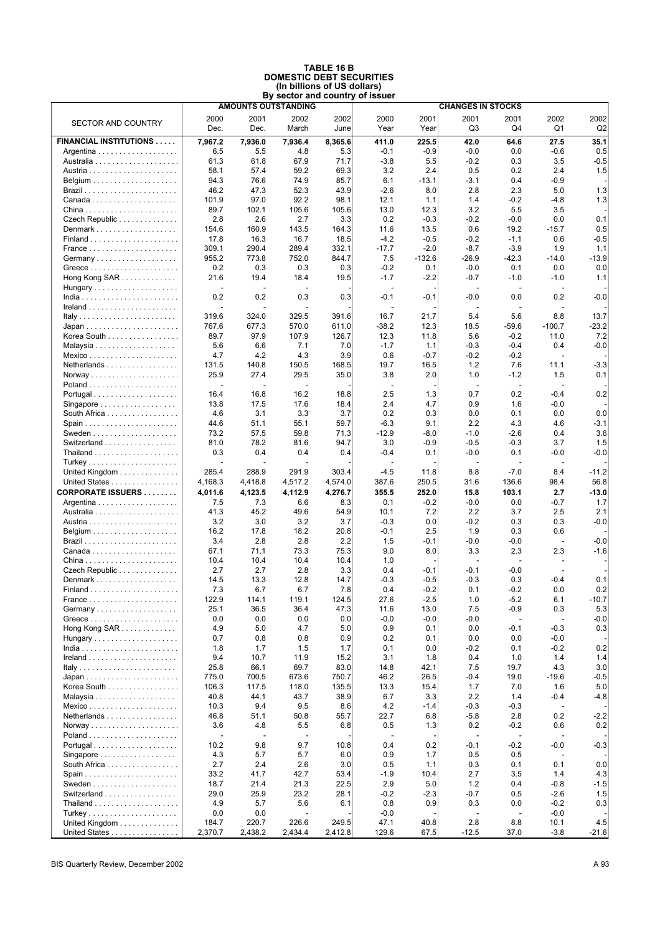#### **TABLE 16 B DOMESTIC DEBT SECURITIES (In billions of US dollars) By sector and country of issuer**

|                                                   |                          |                          | <b>AMOUNTS OUTSTANDING</b> |              |                          |                | <b>CHANGES IN STOCKS</b> |                          |                                  |         |
|---------------------------------------------------|--------------------------|--------------------------|----------------------------|--------------|--------------------------|----------------|--------------------------|--------------------------|----------------------------------|---------|
|                                                   | 2000                     | 2001                     | 2002                       | 2002         | 2000                     | 2001           | 2001                     | 2001                     | 2002                             | 2002    |
| <b>SECTOR AND COUNTRY</b>                         | Dec.                     | Dec.                     | March                      | June         | Year                     | Year           | Q3                       | Q4                       | Q1                               | Q2      |
| <b>FINANCIAL INSTITUTIONS </b>                    | 7,967.2                  | 7,936.0                  | 7,936.4                    | 8,365.6      | 411.0                    | 225.5          | 42.0                     | 64.6                     | 27.5                             | 35.1    |
|                                                   | 6.5                      | 5.5                      | 4.8                        | 5.3          | $-0.1$                   | $-0.9$         | $-0.0$                   | 0.0                      | $-0.6$                           | 0.5     |
|                                                   | 61.3                     | 61.8                     | 67.9                       | 71.7         | $-3.8$                   | 5.5            | $-0.2$                   | 0.3                      | 3.5                              | $-0.5$  |
|                                                   | 58.1                     | 57.4                     | 59.2                       | 69.3         | 3.2                      | 2.4            | 0.5                      | 0.2                      | 2.4                              | 1.5     |
|                                                   | 94.3                     | 76.6                     | 74.9                       | 85.7         | 6.1                      | $-13.1$        | $-3.1$                   | 0.4                      | $-0.9$                           |         |
|                                                   | 46.2                     | 47.3                     | 52.3                       | 43.9         | $-2.6$                   | 8.0            | 2.8                      | 2.3                      | 5.0                              | 1.3     |
|                                                   | 101.9                    | 97.0                     | 92.2                       | 98.1         | 12.1                     | 1.1            | 1.4                      | -0.2                     | -4.8                             | 1.3     |
|                                                   | 89.7                     | 102.1                    | 105.6                      | 105.6        | 13.0                     | 12.3           | 3.2                      | 5.5                      | 3.5                              |         |
| Czech Republic                                    | 2.8                      | 2.6                      | 2.7                        | 3.3          | 0.2                      | $-0.3$         | $-0.2$                   | $-0.0$                   | 0.0                              | 0.1     |
| Denmark                                           | 154.6                    | 160.9                    | 143.5                      | 164.3        | 11.6                     | 13.5           | 0.6                      | 19.2                     | $-15.7$                          | 0.5     |
|                                                   | 17.8                     | 16.3                     | 16.7                       | 18.5         | $-4.2$                   | $-0.5$         | $-0.2$                   | $-1.1$                   | 0.6                              | $-0.5$  |
|                                                   | 309.1                    | 290.4                    | 289.4                      | 332.1        | $-17.7$                  | $-2.0$         | $-8.7$                   | $-3.9$                   | 1.9                              | 1.1     |
|                                                   | 955.2                    | 773.8                    | 752.0                      | 844.7        | 7.5                      | $-132.6$       | $-26.9$                  | $-42.3$                  | $-14.0$                          | $-13.9$ |
|                                                   | 0.2                      | 0.3                      | 0.3                        | 0.3          | $-0.2$                   | 0.1            | $-0.0$                   | 0.1                      | 0.0                              | 0.0     |
| Hong Kong SAR                                     | 21.6                     | 19.4                     | 18.4                       | 19.5         | $-1.7$                   | $-2.2$         | $-0.7$                   | $-1.0$                   | $-1.0$                           | 1.1     |
| Hungary                                           | $\overline{\phantom{a}}$ | $\overline{\phantom{a}}$ | $\overline{\phantom{a}}$   |              | $\blacksquare$           |                | $\overline{\phantom{a}}$ | $\sim$                   | $\overline{\phantom{a}}$         |         |
|                                                   | 0.2                      | 0.2                      | 0.3                        | 0.3          | $-0.1$                   | $-0.1$         | $-0.0$                   | 0.0                      | 0.2                              | $-0.0$  |
|                                                   |                          |                          |                            |              |                          |                | $\overline{a}$           |                          | $\overline{a}$                   |         |
|                                                   | 319.6                    | 324.0                    | 329.5                      | 391.6        | 16.7                     | 21.7           | 5.4                      | 5.6                      | 8.8                              | 13.7    |
|                                                   | 767.6                    | 677.3                    | 570.0                      | 611.0        | $-38.2$                  | 12.3           | 18.5                     | -59.6                    | $-100.7$                         | $-23.2$ |
| Korea South                                       | 89.7                     | 97.9                     | 107.9                      | 126.7        | 12.3                     | 11.8           | 5.6                      | $-0.2$                   | 11.0                             | 7.2     |
|                                                   | 5.6                      | 6.6                      | 7.1                        | 7.0          | $-1.7$                   | 1.1            | $-0.3$                   | $-0.4$                   | 0.4                              | $-0.0$  |
|                                                   | 4.7<br>131.5             | 4.2<br>140.8             | 4.3<br>150.5               | 3.9<br>168.5 | 0.6<br>19.7              | $-0.7$<br>16.5 | $-0.2$<br>1.2            | $-0.2$<br>7.6            | $\overline{\phantom{a}}$<br>11.1 | $-3.3$  |
| Netherlands                                       | 25.9                     | 27.4                     | 29.5                       | 35.0         | 3.8                      | 2.0            | 1.0                      | $-1.2$                   | 1.5                              | 0.1     |
|                                                   |                          |                          |                            |              | $\overline{\phantom{a}}$ |                | $\overline{\phantom{a}}$ |                          |                                  |         |
| Portugal                                          | 16.4                     | 16.8                     | 16.2                       | 18.8         | 2.5                      | 1.3            | 0.7                      | 0.2                      | $-0.4$                           | 0.2     |
| Singapore $\ldots \ldots \ldots \ldots \ldots$    | 13.8                     | 17.5                     | 17.6                       | 18.4         | 2.4                      | 4.7            | 0.9                      | 1.6                      | $-0.0$                           |         |
| South Africa                                      | 4.6                      | 3.1                      | 3.3                        | 3.7          | 0.2                      | 0.3            | 0.0                      | 0.1                      | 0.0                              | 0.0     |
|                                                   | 44.6                     | 51.1                     | 55.1                       | 59.7         | $-6.3$                   | 9.1            | 2.2                      | 4.3                      | 4.6                              | $-3.1$  |
|                                                   | 73.2                     | 57.5                     | 59.8                       | 71.3         | $-12.9$                  | $-8.0$         | $-1.0$                   | -2.6                     | 0.4                              | 3.6     |
| Switzerland                                       | 81.0                     | 78.2                     | 81.6                       | 94.7         | 3.0                      | $-0.9$         | $-0.5$                   | $-0.3$                   | 3.7                              | 1.5     |
|                                                   | 0.3                      | 0.4                      | 0.4                        | 0.4          | $-0.4$                   | 0.1            | $-0.0$                   | 0.1                      | $-0.0$                           | $-0.0$  |
|                                                   |                          |                          | $\blacksquare$             |              | $\overline{\phantom{a}}$ |                | $\overline{\phantom{a}}$ | $\overline{\phantom{a}}$ | $\overline{a}$                   |         |
| United Kingdom                                    | 285.4                    | 288.9                    | 291.9                      | 303.4        | $-4.5$                   | 11.8           | 8.8                      | $-7.0$                   | 8.4                              | $-11.2$ |
| United States                                     | 4,168.3                  | 4,418.8                  | 4,517.2                    | 4,574.0      | 387.6                    | 250.5          | 31.6                     | 136.6                    | 98.4                             | 56.8    |
| <b>CORPORATE ISSUERS</b>                          | 4,011.6                  | 4,123.5                  | 4,112.9                    | 4,276.7      | 355.5                    | 252.0          | 15.8                     | 103.1                    | 2.7                              | $-13.0$ |
|                                                   | 7.5                      | 7.3                      | 6.6                        | 8.3          | 0.1                      | $-0.2$         | $-0.0$                   | 0.0                      | $-0.7$                           | 1.7     |
|                                                   | 41.3                     | 45.2                     | 49.6                       | 54.9         | 10.1                     | 7.2            | 2.2                      | 3.7                      | 2.5                              | 2.1     |
|                                                   | 3.2                      | 3.0                      | 3.2                        | 3.7          | $-0.3$                   | 0.0            | $-0.2$                   | 0.3                      | 0.3                              | $-0.0$  |
|                                                   | 16.2                     | 17.8                     | 18.2                       | 20.8         | $-0.1$                   | 2.5            | 1.9                      | 0.3                      | 0.6                              |         |
|                                                   | 3.4                      | 2.8                      | 2.8                        | 2.2          | 1.5                      | $-0.1$         | $-0.0$                   | $-0.0$                   | $\blacksquare$                   | $-0.0$  |
|                                                   | 67.1                     | 71.1                     | 73.3                       | 75.3         | 9.0                      | 8.0            | 3.3                      | 2.3                      | 2.3                              | $-1.6$  |
|                                                   | 10.4                     | 10.4                     | 10.4                       | 10.4         | 1.0                      |                | $\overline{a}$           |                          |                                  |         |
| Czech Republic                                    | 2.7                      | 2.7                      | 2.8                        | 3.3          | 0.4                      | $-0.1$         | $-0.1$                   | $-0.0$                   | $\overline{a}$                   |         |
| Denmark                                           | 14.5                     | 13.3                     | 12.8                       | 14.7         | $-0.3$                   | -0.5           | $-0.3$                   | 0.3                      | $-0.4$                           | 0.1     |
|                                                   | 7.3                      | 6.7                      | 6.7                        | 7.8          | 0.4                      | $-0.2$         | 0.1                      | $-0.2$                   | 0.0                              | 0.2     |
|                                                   | 122.9                    | 114.1                    | 119.1                      | 124.5        | 27.6                     | -2.5           | 1.0                      | $-5.2$                   | 6.1                              | $-10.7$ |
|                                                   | 25.1                     | 36.5                     | 36.4                       | 47.3         | 11.6                     | 13.0           | 7.5                      | $-0.9$                   | 0.3                              | 5.3     |
|                                                   | 0.0                      | 0.0                      | 0.0                        | 0.0          | $-0.0$                   | $-0.0$         | $-0.0$                   | $\overline{a}$           | $\overline{\phantom{a}}$         | $-0.0$  |
| Hong Kong SAR                                     | 4.9                      | 5.0                      | 4.7                        | 5.0          | 0.9                      | 0.1            | 0.0                      | $-0.1$                   | $-0.3$                           | 0.3     |
| Hungary                                           | 0.7                      | 0.8                      | 0.8                        | 0.9<br>1.7   | 0.2<br>0.1               | 0.1<br>0.0     | 0.0<br>$-0.2$            | 0.0<br>0.1               | $-0.0$<br>$-0.2$                 | 0.2     |
|                                                   | 1.8<br>9.4               | 1.7<br>10.7              | 1.5<br>11.9                | 15.2         | 3.1                      | 1.8            | 0.4                      | 1.0                      | 1.4                              | 1.4     |
|                                                   | 25.8                     | 66.1                     | 69.7                       | 83.0         | 14.8                     | 42.1           | 7.5                      | 19.7                     | 4.3                              | 3.0     |
|                                                   | 775.0                    | 700.5                    | 673.6                      | 750.7        | 46.2                     | 26.5           | $-0.4$                   | 19.0                     | $-19.6$                          | $-0.5$  |
| Korea South                                       | 106.3                    | 117.5                    | 118.0                      | 135.5        | 13.3                     | 15.4           | 1.7                      | 7.0                      | 1.6                              | 5.0     |
|                                                   | 40.8                     | 44.1                     | 43.7                       | 38.9         | 6.7                      | 3.3            | 2.2                      | 1.4                      | $-0.4$                           | $-4.8$  |
|                                                   | 10.3                     | 9.4                      | 9.5                        | 8.6          | 4.2                      | $-1.4$         | $-0.3$                   | -0.3                     | $\overline{a}$                   |         |
| Netherlands                                       | 46.8                     | 51.1                     | 50.8                       | 55.7         | 22.7                     | 6.8            | $-5.8$                   | 2.8                      | 0.2                              | $-2.2$  |
|                                                   | 3.6                      | 4.8                      | 5.5                        | 6.8          | 0.5                      | 1.3            | 0.2                      | $-0.2$                   | 0.6                              | 0.2     |
|                                                   |                          | $\blacksquare$           | $\overline{\phantom{a}}$   |              | $\overline{\phantom{a}}$ |                | $\overline{\phantom{a}}$ | $\overline{\phantom{a}}$ | $\overline{\phantom{a}}$         |         |
| Portugal                                          | 10.2                     | 9.8                      | 9.7                        | 10.8         | 0.4                      | 0.2            | $-0.1$                   | $-0.2$                   | $-0.0$                           | $-0.3$  |
| Singapore $\ldots \ldots \ldots \ldots \ldots$    | 4.3                      | 5.7                      | 5.7                        | 6.0          | 0.9                      | 1.7            | 0.5                      | 0.5                      | ÷,                               |         |
| South Africa                                      | 2.7                      | 2.4                      | 2.6                        | 3.0          | 0.5                      | 1.1            | 0.3                      | 0.1                      | 0.1                              | 0.0     |
|                                                   | 33.2                     | 41.7                     | 42.7                       | 53.4         | $-1.9$                   | 10.4           | 2.7                      | 3.5                      | 1.4                              | 4.3     |
| Sweden $\dots\dots\dots\dots\dots\dots\dots\dots$ | 18.7                     | 21.4                     | 21.3                       | 22.5         | 2.9                      | 5.0            | 1.2                      | 0.4                      | $-0.8$                           | $-1.5$  |
| Switzerland                                       | 29.0                     | 25.9                     | 23.2                       | 28.1         | $-0.2$                   | $-2.3$         | $-0.7$                   | 0.5                      | $-2.6$                           | 1.5     |
|                                                   | 4.9                      | 5.7                      | 5.6                        | 6.1          | 0.8                      | 0.9            | 0.3                      | 0.0                      | $-0.2$                           | 0.3     |
|                                                   | 0.0                      | 0.0                      | ÷.                         |              | $-0.0$                   |                | $\overline{\phantom{a}}$ | $\blacksquare$           | $-0.0$                           |         |
| United Kingdom                                    | 184.7                    | 220.7                    | 226.6                      | 249.5        | 47.1                     | 40.8           | 2.8                      | 8.8                      | 10.1                             | 4.5     |
| United States                                     | 2,370.7                  | 2,438.2                  | 2,434.4                    | 2,412.8      | 129.6                    | 67.5           | $-12.5$                  | 37.0                     | $-3.8$                           | $-21.6$ |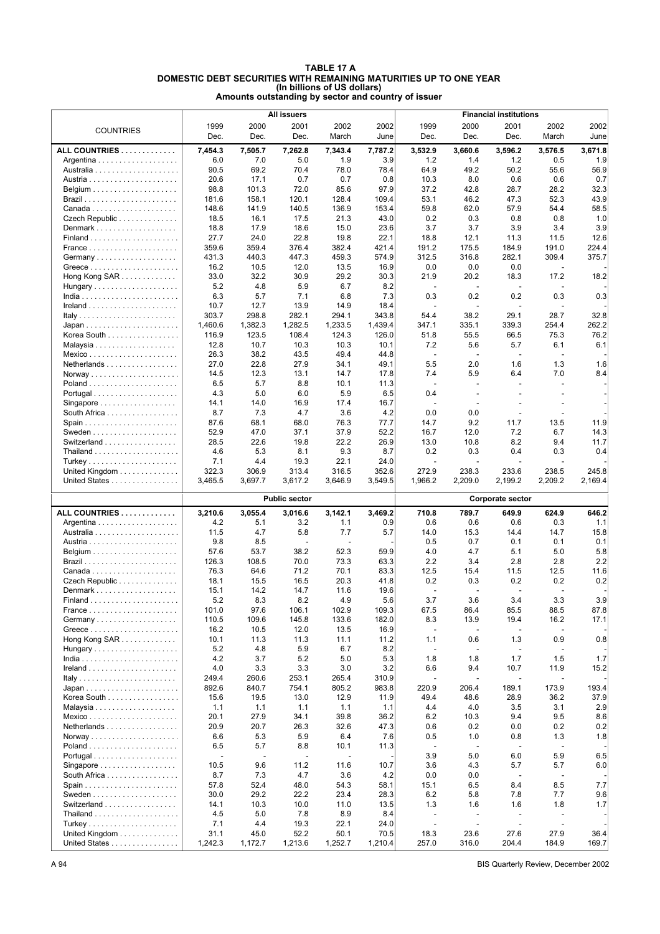#### **TABLE 17 A DOMESTIC DEBT SECURITIES WITH REMAINING MATURITIES UP TO ONE YEAR (In billions of US dollars) Amounts outstanding by sector and country of issuer**

|                                                           |                 |                                 | <b>All issuers</b>   |                        |                 |                          |                          | <b>Financial institutions</b>   |                          |                                  |
|-----------------------------------------------------------|-----------------|---------------------------------|----------------------|------------------------|-----------------|--------------------------|--------------------------|---------------------------------|--------------------------|----------------------------------|
|                                                           | 1999            | 2000                            | 2001                 | 2002                   | 2002            | 1999                     | 2000                     | 2001                            | 2002                     | 2002                             |
| <b>COUNTRIES</b>                                          | Dec.            | Dec.                            | Dec.                 | March                  | June            | Dec.                     | Dec.                     | Dec.                            | March                    | June                             |
|                                                           |                 |                                 |                      |                        |                 |                          |                          |                                 |                          |                                  |
| ALL COUNTRIES                                             | 7,454.3         | 7,505.7                         | 7,262.8              | 7,343.4                | 7,787.2         | 3,532.9                  | 3,660.6                  | 3,596.2                         | 3,576.5                  | 3,671.8                          |
|                                                           | 6.0             | 7.0                             | 5.0                  | 1.9                    | 3.9             | 1.2                      | 1.4                      | 1.2                             | 0.5                      | 1.9                              |
|                                                           | 90.5            | 69.2                            | 70.4                 | 78.0                   | 78.4            | 64.9                     | 49.2                     | 50.2                            | 55.6                     | 56.9                             |
|                                                           | 20.6            | 17.1                            | 0.7                  | 0.7                    | 0.8             | 10.3                     | 8.0                      | 0.6                             | 0.6                      | 0.7                              |
|                                                           | 98.8            | 101.3                           | 72.0                 | 85.6                   | 97.9            | 37.2                     | 42.8                     | 28.7                            | 28.2                     | 32.3                             |
|                                                           | 181.6           | 158.1                           | 120.1                | 128.4                  | 109.4           | 53.1                     | 46.2                     | 47.3                            | 52.3                     | 43.9                             |
|                                                           | 148.6           | 141.9                           | 140.5                | 136.9                  | 153.4           | 59.8                     | 62.0                     | 57.9                            | 54.4                     | 58.5                             |
| Czech Republic                                            | 18.5            | 16.1                            | 17.5                 | 21.3                   | 43.0            | 0.2                      | 0.3                      | 0.8                             | 0.8                      | 1.0                              |
| Denmark                                                   | 18.8            | 17.9                            | 18.6                 | 15.0                   | 23.6            | 3.7                      | 3.7                      | 3.9                             | 3.4                      | 3.9                              |
|                                                           | 27.7            | 24.0                            | 22.8                 | 19.8                   | 22.1            | 18.8                     | 12.1                     | 11.3                            | 11.5                     | 12.6                             |
|                                                           | 359.6           | 359.4                           | 376.4                | 382.4                  | 421.4           | 191.2                    | 175.5                    | 184.9                           | 191.0                    | 224.4                            |
| Germany                                                   | 431.3           | 440.3                           | 447.3                | 459.3                  | 574.9           | 312.5                    | 316.8                    | 282.1                           | 309.4                    | 375.7                            |
| Greece $\ldots \ldots \ldots \ldots \ldots \ldots \ldots$ | 16.2            | 10.5                            | 12.0                 | 13.5                   | 16.9            | 0.0                      | 0.0                      | 0.0                             |                          |                                  |
| Hong Kong SAR                                             | 33.0            | 32.2                            | 30.9                 | 29.2                   | 30.3            | 21.9                     | 20.2                     | 18.3                            | 17.2                     | 18.2                             |
| Hungary                                                   | 5.2             | 4.8                             | 5.9                  | 6.7                    | 8.2             |                          | $\overline{\phantom{a}}$ |                                 |                          |                                  |
|                                                           | 6.3             | 5.7                             | 7.1                  | 6.8                    | 7.3             | 0.3                      | 0.2                      | 0.2                             | 0.3                      | 0.3                              |
|                                                           | 10.7            | 12.7                            | 13.9                 | 14.9                   | 18.4            |                          |                          |                                 |                          |                                  |
|                                                           | 303.7           | 298.8                           | 282.1                | 294.1                  | 343.8           | 54.4                     | 38.2                     | 29.1                            | 28.7                     | 32.8                             |
|                                                           |                 |                                 |                      |                        |                 |                          |                          |                                 |                          |                                  |
| $Japan \dots \dots \dots \dots \dots \dots \dots \dots$   | 1,460.6         | 1,382.3                         | 1,282.5              | 1,233.5                | 1,439.4         | 347.1                    | 335.1                    | 339.3                           | 254.4                    | 262.2                            |
| Korea South                                               | 116.9           | 123.5                           | 108.4                | 124.3                  | 126.0           | 51.8                     | 55.5                     | 66.5                            | 75.3                     | 76.2                             |
|                                                           | 12.8            | 10.7                            | 10.3                 | 10.3                   | 10.1            | 7.2                      | 5.6                      | 5.7                             | 6.1                      | 6.1                              |
|                                                           | 26.3            | 38.2                            | 43.5                 | 49.4                   | 44.8            | $\sim$                   | $\sim$                   | ÷,                              | $\overline{a}$           |                                  |
| Netherlands                                               | 27.0            | 22.8                            | 27.9                 | 34.1                   | 49.1            | 5.5                      | 2.0                      | 1.6                             | 1.3                      | 1.6                              |
|                                                           | 14.5            | 12.3                            | 13.1                 | 14.7                   | 17.8            | 7.4                      | 5.9                      | 6.4                             | 7.0                      | 8.4                              |
|                                                           | 6.5             | 5.7                             | 8.8                  | 10.1                   | 11.3            | $\overline{\phantom{a}}$ | $\overline{\phantom{a}}$ | $\blacksquare$                  | $\overline{\phantom{a}}$ |                                  |
|                                                           | 4.3             | 5.0                             | 6.0                  | 5.9                    | 6.5             | 0.4                      | $\blacksquare$           |                                 | $\overline{\phantom{a}}$ |                                  |
| Singapore $\ldots \ldots \ldots \ldots \ldots$            | 14.1            | 14.0                            | 16.9                 | 17.4                   | 16.7            | $\overline{\phantom{a}}$ | $\overline{\phantom{a}}$ |                                 |                          |                                  |
| South Africa                                              | 8.7             | 7.3                             | 4.7                  | 3.6                    | 4.2             | 0.0                      | 0.0                      |                                 |                          |                                  |
|                                                           | 87.6            | 68.1                            | 68.0                 | 76.3                   | 77.7            | 14.7                     | 9.2                      | 11.7                            | 13.5                     | 11.9                             |
| Sweden $\dots\dots\dots\dots\dots\dots\dots\dots$         | 52.9            | 47.0                            | 37.1                 | 37.9                   | 52.2            | 16.7                     | 12.0                     | 7.2                             | 6.7                      | 14.3                             |
| Switzerland                                               | 28.5            | 22.6                            | 19.8                 | 22.2                   | 26.9            | 13.0                     | 10.8                     | 8.2                             | 9.4                      | 11.7                             |
|                                                           | 4.6             | 5.3                             | 8.1                  | 9.3                    | 8.7             | 0.2                      | 0.3                      | 0.4                             | 0.3                      | 0.4                              |
|                                                           | 7.1             | 4.4                             | 19.3                 | 22.1                   | 24.0            |                          |                          |                                 |                          |                                  |
| United Kingdom                                            | 322.3           | 306.9                           | 313.4                | 316.5                  | 352.6           | 272.9                    | 238.3                    | 233.6                           | 238.5                    | 245.8                            |
|                                                           |                 |                                 |                      |                        |                 |                          |                          |                                 |                          |                                  |
| United States                                             | 3,465.5         | 3,697.7                         | 3,617.2              | 3,646.9                | 3,549.5         | 1,966.2                  | 2,209.0                  | 2,199.2                         | 2,209.2                  | 2,169.4                          |
|                                                           |                 |                                 |                      |                        |                 |                          |                          |                                 |                          |                                  |
|                                                           |                 |                                 | <b>Public sector</b> |                        |                 |                          |                          | <b>Corporate sector</b>         |                          |                                  |
| ALL COUNTRIES                                             | 3,210.6         | 3,055.4                         | 3,016.6              | 3,142.1                | 3,469.2         | 710.8                    | 789.7                    | 649.9                           | 624.9                    | 646.2                            |
| Argentina                                                 | 4.2             | 5.1                             | 3.2                  | 1.1                    | 0.9             | 0.6                      | 0.6                      | 0.6                             | 0.3                      | 1.1                              |
|                                                           | 11.5            | 4.7                             | 5.8                  | 7.7                    | 5.7             | 14.0                     | 15.3                     | 14.4                            | 14.7                     | 15.8                             |
|                                                           | 9.8             | 8.5                             |                      |                        |                 | 0.5                      | 0.7                      | 0.1                             | 0.1                      | 0.1                              |
|                                                           | 57.6            | 53.7                            | 38.2                 | 52.3                   | 59.9            | 4.0                      | 4.7                      | 5.1                             | 5.0                      | 5.8                              |
|                                                           | 126.3           | 108.5                           | 70.0                 | 73.3                   | 63.3            | 2.2                      | 3.4                      | 2.8                             | 2.8                      | 2.2                              |
|                                                           | 76.3            | 64.6                            | 71.2                 | 70.1                   | 83.3            | 12.5                     | 15.4                     | 11.5                            | 12.5                     | 11.6                             |
| Czech Republic                                            | 18.1            | 15.5                            | 16.5                 | 20.3                   | 41.8            | 0.2                      | 0.3                      | 0.2                             | 0.2                      | 0.2                              |
|                                                           | 15.1            | 14.2                            | 14.7                 | 11.6                   | 19.6            | $\overline{a}$           |                          |                                 |                          |                                  |
|                                                           | 5.2             | 8.3                             | 8.2                  | 4.9                    | 5.6             | 3.7                      | 3.6                      | 3.4                             | 3.3                      | 3.9                              |
| France                                                    | 101.0           | 97.6                            | 106.1                | 102.9                  | 109.3           | 67.5                     | 86.4                     | 85.5                            | 88.5                     | 87.8                             |
| Germany                                                   | 110.5           | 109.6                           | 145.8                | 133.6                  | 182.0           | 8.3                      | 13.9                     | 19.4                            | 16.2                     | 17.1                             |
|                                                           | 16.2            | 10.5                            | 12.0                 | 13.5                   | 16.9            | $\overline{\phantom{a}}$ | $\overline{\phantom{a}}$ |                                 | $\overline{\phantom{a}}$ |                                  |
| Hong Kong SAR                                             | 10.1            | 11.3                            | 11.3                 | 11.1                   | 11.2            | 1.1                      | 0.6                      | 1.3                             | 0.9                      | 0.8                              |
|                                                           | 5.2             | 4.8                             | 5.9                  | 6.7                    | 8.2             | $\overline{\phantom{a}}$ | $\blacksquare$           | ÷,                              |                          |                                  |
|                                                           | 4.2             | 3.7                             | 5.2                  | 5.0                    | 5.3             | 1.8                      | 1.8                      | 1.7                             | 1.5                      | 1.7                              |
|                                                           |                 |                                 |                      | 3.0                    |                 | 6.6                      | 9.4                      | 10.7                            | 11.9                     |                                  |
| Italy                                                     | 4.0<br>249.4    | 3.3<br>260.6                    | 3.3<br>253.1         | 265.4                  | 3.2<br>310.9    | $\overline{a}$           | $\overline{\phantom{a}}$ |                                 | $\overline{a}$           | 15.2                             |
|                                                           |                 |                                 |                      |                        |                 |                          |                          |                                 |                          |                                  |
| $Japan \dots \dots \dots \dots \dots \dots \dots \dots$   | 892.6           | 840.7                           | 754.1                | 805.2                  | 983.8           | 220.9                    | 206.4                    | 189.1                           | 173.9                    | 193.4                            |
| Korea South                                               | 15.6            | 19.5                            | 13.0                 | 12.9                   | 11.9            | 49.4                     | 48.6                     | 28.9                            | 36.2                     |                                  |
|                                                           | 1.1             | 1.1                             | 1.1                  | 1.1                    | 1.1             | 4.4                      | 4.0                      | 3.5                             | 3.1                      |                                  |
|                                                           | 20.1            | 27.9                            | 34.1                 | 39.8                   | 36.2            | 6.2                      | 10.3                     | 9.4                             | 9.5                      |                                  |
| Netherlands                                               | 20.9            | 20.7                            | 26.3                 | 32.6                   | 47.3            | 0.6                      | 0.2                      | 0.0                             | 0.2                      | 0.2                              |
|                                                           | 6.6             | 5.3                             | 5.9                  | 6.4                    | 7.6             | 0.5                      | 1.0                      | 0.8<br>$\overline{\phantom{a}}$ | 1.3<br>$\overline{a}$    | 1.8                              |
|                                                           | 6.5<br>L,       | 5.7<br>$\overline{\phantom{a}}$ | 8.8                  | 10.1<br>$\blacksquare$ | 11.3            | $\overline{\phantom{a}}$ | $\overline{\phantom{a}}$ |                                 |                          |                                  |
|                                                           |                 |                                 |                      |                        |                 | 3.9                      | 5.0                      | 6.0                             | 5.9                      | 6.5                              |
| Singapore                                                 | 10.5            | 9.6                             | 11.2                 | 11.6                   | 10.7            | 3.6                      | 4.3                      | 5.7                             | 5.7                      |                                  |
| South Africa                                              | 8.7             | 7.3                             | 4.7                  | 3.6                    | 4.2             | 0.0                      | 0.0                      | $\overline{\phantom{a}}$        | $\overline{\phantom{a}}$ |                                  |
|                                                           | 57.8            | 52.4                            | 48.0                 | 54.3                   | 58.1            | 15.1                     | 6.5                      | 8.4                             | 8.5                      | 7.7                              |
|                                                           | 30.0            | 29.2                            | 22.2                 | 23.4                   | 28.3            | 6.2                      | 5.8                      | 7.8                             | 7.7                      | 37.9<br>2.9<br>8.6<br>6.0<br>9.6 |
| Switzerland                                               | 14.1            | 10.3                            | 10.0                 | 11.0                   | 13.5            | 1.3                      | 1.6                      | 1.6                             | 1.8                      | 1.7                              |
|                                                           | 4.5             | 5.0                             | 7.8                  | 8.9                    | 8.4             | $\overline{\phantom{a}}$ | $\overline{\phantom{a}}$ |                                 | $\overline{a}$           |                                  |
| Turkey                                                    | 7.1             | 4.4                             | 19.3                 | 22.1                   | 24.0            | $\overline{\phantom{a}}$ | $\overline{\phantom{a}}$ | $\sim$                          | $\overline{a}$           |                                  |
| United Kingdom<br>United States                           | 31.1<br>1,242.3 | 45.0<br>1,172.7                 | 52.2<br>1,213.6      | 50.1<br>1,252.7        | 70.5<br>1,210.4 | 18.3<br>257.0            | 23.6<br>316.0            | 27.6<br>204.4                   | 27.9<br>184.9            | 36.4<br>169.7                    |

A 94 BIS Quarterly Review, December 2002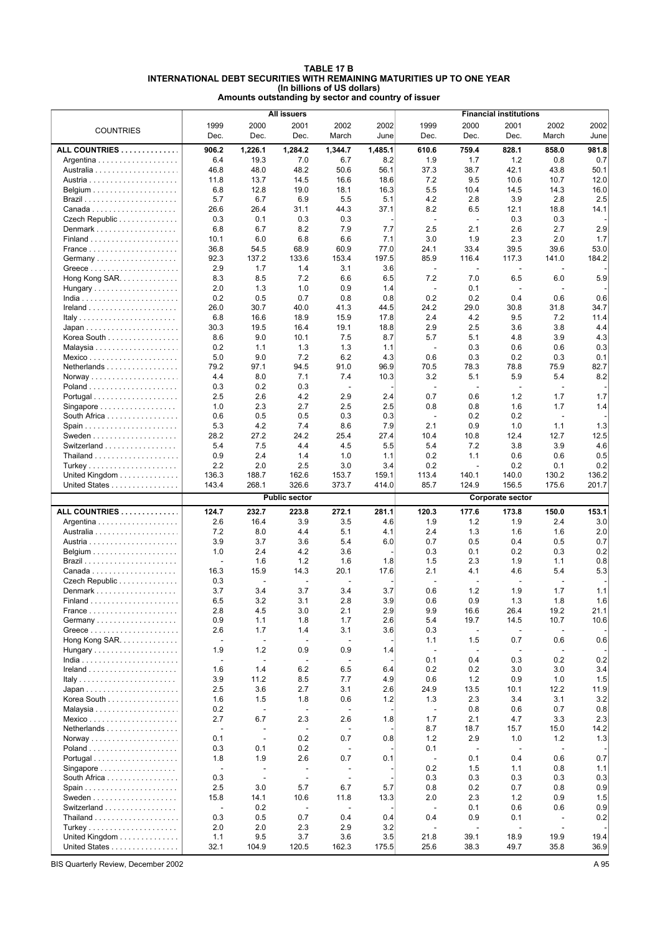#### **TABLE 17 B INTERNATIONAL DEBT SECURITIES WITH REMAINING MATURITIES UP TO ONE YEAR (In billions of US dollars) Amounts outstanding by sector and country of issuer**

|                                                         |                          |                                 | <b>All issuers</b>              |                                 |              |                          |                                  | <b>Financial institutions</b> |                          |              |
|---------------------------------------------------------|--------------------------|---------------------------------|---------------------------------|---------------------------------|--------------|--------------------------|----------------------------------|-------------------------------|--------------------------|--------------|
|                                                         | 1999                     | 2000                            | 2001                            | 2002                            | 2002         | 1999                     | 2000                             | 2001                          | 2002                     | 2002         |
| <b>COUNTRIES</b>                                        | Dec.                     | Dec.                            | Dec.                            | March                           | June         | Dec.                     | Dec.                             | Dec.                          | March                    | June         |
| ALL COUNTRIES                                           | 906.2                    |                                 | 1,284.2                         |                                 | 1,485.1      | 610.6                    | 759.4                            | 828.1                         | 858.0                    | 981.8        |
|                                                         | 6.4                      | 1,226.1<br>19.3                 | 7.0                             | 1,344.7<br>6.7                  | 8.2          | 1.9                      | 1.7                              | 1.2                           | 0.8                      | 0.7          |
|                                                         | 46.8                     | 48.0                            | 48.2                            | 50.6                            | 56.1         | 37.3                     | 38.7                             | 42.1                          | 43.8                     | 50.1         |
|                                                         | 11.8                     | 13.7                            | 14.5                            | 16.6                            | 18.6         | 7.2                      | 9.5                              | 10.6                          | 10.7                     | 12.0         |
|                                                         |                          |                                 |                                 |                                 |              |                          |                                  |                               |                          |              |
|                                                         | 6.8                      | 12.8                            | 19.0                            | 18.1                            | 16.3         | 5.5                      | 10.4                             | 14.5                          | 14.3                     | 16.0         |
|                                                         | 5.7                      | 6.7                             | 6.9                             | 5.5                             | 5.1          | 4.2                      | 2.8                              | 3.9                           | 2.8                      | 2.5          |
|                                                         | 26.6                     | 26.4                            | 31.1                            | 44.3                            | 37.1         | 8.2                      | 6.5                              | 12.1                          | 18.8                     | 14.1         |
| Czech Republic                                          | 0.3                      | 0.1                             | 0.3                             | 0.3                             |              | $\frac{1}{2}$            | $\overline{\phantom{a}}$         | 0.3                           | 0.3                      |              |
| Denmark                                                 | 6.8                      | 6.7                             | 8.2                             | 7.9                             | 7.7          | 2.5                      | 2.1                              | 2.6                           | 2.7                      | 2.9          |
|                                                         | 10.1                     | 6.0                             | 6.8                             | 6.6                             | 7.1          | 3.0                      | 1.9                              | 2.3                           | 2.0                      | 1.7          |
|                                                         | 36.8                     | 54.5                            | 68.9                            | 60.9                            | 77.0         | 24.1                     | 33.4                             | 39.5                          | 39.6                     | 53.0         |
|                                                         | 92.3                     | 137.2                           | 133.6                           | 153.4                           | 197.5        | 85.9                     | 116.4                            | 117.3                         | 141.0                    | 184.2        |
|                                                         | 2.9                      | 1.7                             | 1.4                             | 3.1                             | 3.6          | $\overline{\phantom{a}}$ | $\overline{\phantom{a}}$         |                               | $\overline{a}$           |              |
| Hong Kong SAR.                                          | 8.3                      | 8.5                             | 7.2                             | 6.6                             | 6.5          | 7.2                      | 7.0                              | 6.5                           | 6.0                      | 5.9          |
| Hungary                                                 | 2.0                      | 1.3                             | 1.0                             | 0.9                             | 1.4          | $\overline{\phantom{a}}$ | 0.1                              |                               |                          |              |
|                                                         | 0.2                      | 0.5                             | 0.7                             | 0.8                             | 0.8          | 0.2                      | 0.2                              | 0.4                           | 0.6                      | 0.6          |
|                                                         | 26.0                     | 30.7                            | 40.0                            | 41.3                            | 44.5         | 24.2                     | 29.0                             | 30.8                          | 31.8                     | 34.7         |
| Italy                                                   | 6.8                      | 16.6                            | 18.9                            | 15.9                            | 17.8         | 2.4                      | 4.2                              | 9.5                           | 7.2                      | 11.4         |
| $Japan \dots \dots \dots \dots \dots \dots \dots \dots$ | 30.3                     | 19.5                            | 16.4                            | 19.1                            | 18.8         | 2.9                      | 2.5                              | 3.6                           | 3.8                      | 4.4          |
| Korea South                                             | 8.6                      | 9.0                             | 10.1                            | 7.5                             | 8.7          | 5.7                      | 5.1                              | 4.8                           | 3.9                      | 4.3          |
|                                                         | 0.2                      | 1.1                             | 1.3                             | 1.3                             | 1.1          | $\overline{\phantom{a}}$ | 0.3                              | 0.6                           | 0.6                      | 0.3          |
|                                                         | 5.0                      | 9.0                             | 7.2                             | 6.2                             | 4.3          | 0.6                      | 0.3                              | 0.2                           | 0.3                      | 0.1          |
| Netherlands                                             | 79.2                     | 97.1                            | 94.5                            | 91.0                            | 96.9         | 70.5                     | 78.3                             | 78.8                          | 75.9                     | 82.7         |
|                                                         | 4.4                      |                                 | 7.1                             | 7.4                             | 10.3         | 3.2                      | 5.1                              | 5.9                           | 5.4                      | 8.2          |
|                                                         |                          | 8.0                             |                                 |                                 |              |                          |                                  |                               |                          |              |
|                                                         | 0.3                      | 0.2                             | 0.3                             | L,                              |              | $\sim$                   | $\overline{\phantom{a}}$         | $\overline{a}$                | ÷,                       |              |
|                                                         | 2.5                      | 2.6                             | 4.2                             | 2.9                             | 2.4          | 0.7                      | 0.6                              | 1.2                           | 1.7                      | 1.7          |
| Singapore                                               | 1.0                      | 2.3                             | 2.7                             | 2.5                             | 2.5          | 0.8                      | 0.8                              | 1.6                           | 1.7                      | 1.4          |
| South Africa                                            | 0.6                      | 0.5                             | 0.5                             | 0.3                             | 0.3          | $\blacksquare$           | 0.2                              | 0.2                           | $\overline{\phantom{a}}$ |              |
|                                                         | 5.3                      | 4.2                             | 7.4                             | 8.6                             | 7.9          | 2.1                      | 0.9                              | 1.0                           | 1.1                      | 1.3          |
|                                                         | 28.2                     | 27.2                            | 24.2                            | 25.4                            | 27.4         | 10.4                     | 10.8                             | 12.4                          | 12.7                     | 12.5         |
| Switzerland                                             | 5.4                      | 7.5                             | 4.4                             | 4.5                             | 5.5          | 5.4                      | 7.2                              | 3.8                           | 3.9                      | 4.6          |
|                                                         | 0.9                      | 2.4                             | 1.4                             | 1.0                             | 1.1          | 0.2                      | 1.1                              | 0.6                           | 0.6                      | 0.5          |
| Turkey                                                  | 2.2                      | 2.0                             | 2.5                             | 3.0                             | 3.4          | 0.2                      | $\overline{\phantom{a}}$         | 0.2                           | 0.1                      | 0.2          |
| United Kingdom                                          | 136.3                    | 188.7                           | 162.6                           | 153.7                           | 159.1        | 113.4                    | 140.1                            | 140.0                         | 130.2                    | 136.2        |
| United States                                           | 143.4                    | 268.1                           | 326.6                           | 373.7                           | 414.0        | 85.7                     | 124.9                            | 156.5                         | 175.6                    | 201.7        |
|                                                         |                          |                                 |                                 |                                 |              |                          |                                  |                               |                          |              |
|                                                         |                          |                                 |                                 |                                 |              |                          |                                  |                               |                          |              |
|                                                         |                          |                                 | <b>Public sector</b>            |                                 |              |                          |                                  | <b>Corporate sector</b>       |                          |              |
| ALL COUNTRIES                                           | 124.7                    | 232.7                           | 223.8                           | 272.1                           | 281.1        | 120.3                    | 177.6                            | 173.8                         | 150.0                    | 153.1        |
|                                                         | 2.6                      | 16.4                            | 3.9                             | 3.5                             | 4.6          | 1.9                      | 1.2                              | 1.9                           | 2.4                      | 3.0          |
|                                                         | 7.2                      | 8.0                             | 4.4                             | 5.1                             | 4.1          | 2.4                      | 1.3                              | 1.6                           | 1.6                      | 2.0          |
|                                                         | 3.9                      | 3.7                             | 3.6                             | 5.4                             | 6.0          | 0.7                      | 0.5                              | 0.4                           | 0.5                      | 0.7          |
|                                                         | 1.0                      | 2.4                             | 4.2                             | 3.6                             |              | 0.3                      | 0.1                              | 0.2                           | 0.3                      | 0.2          |
|                                                         | $\overline{a}$           | 1.6                             | 1.2                             | 1.6                             | 1.8          | 1.5                      | 2.3                              | 1.9                           | 1.1                      | 0.8          |
|                                                         | 16.3                     | 15.9                            | 14.3                            | 20.1                            | 17.6         | 2.1                      | 4.1                              | 4.6                           | 5.4                      | 5.3          |
| Czech Republic                                          | 0.3                      |                                 |                                 |                                 |              | $\overline{a}$           |                                  |                               | $\overline{a}$           |              |
| Denmark                                                 | 3.7                      | 3.4                             | 3.7                             | 3.4                             | 3.7          | 0.6                      | 1.2                              | 1.9                           | 1.7                      | 1.1          |
|                                                         | 6.5                      | 3.2                             | 3.1                             | 2.8                             | 3.9          | 0.6                      | 0.9                              | 1.3                           | 1.8                      | 1.6          |
| France                                                  | 2.8                      | 4.5                             | 3.0                             | 2.1                             | 2.9          | 9.9                      | 16.6                             | 26.4                          | 19.2                     | 21.1         |
|                                                         |                          |                                 |                                 |                                 |              |                          |                                  |                               |                          |              |
| Germany                                                 | 0.9                      | 1.1                             | 1.8                             | 1.7                             | 2.6          | 5.4                      | 19.7<br>$\overline{\phantom{a}}$ | 14.5                          | 10.7                     | 10.6         |
|                                                         | 2.6                      | 1.7<br>$\overline{\phantom{a}}$ | 1.4<br>$\overline{\phantom{a}}$ | 3.1<br>$\overline{\phantom{a}}$ | 3.6          | 0.3                      |                                  |                               |                          |              |
| Hong Kong SAR                                           | $\overline{\phantom{a}}$ |                                 |                                 |                                 |              | 1.1                      | 1.5                              | 0.7                           | 0.6                      | 0.6          |
| Hungary                                                 | 1.9                      | $1.2$                           | 0.9                             | 0.9                             | 1.4          | $\overline{\phantom{a}}$ | $\overline{\phantom{a}}$         |                               | $\overline{a}$           |              |
|                                                         | $\overline{\phantom{a}}$ | $\overline{a}$                  |                                 | $\overline{\phantom{a}}$        |              | 0.1                      | 0.4                              | 0.3                           | 0.2                      | 0.2          |
|                                                         | 1.6                      | 1.4                             | 6.2                             | 6.5                             | 6.4          | 0.2                      | 0.2                              | 3.0                           | 3.0                      | 3.4          |
|                                                         | 3.9                      | 11.2                            | 8.5                             | 7.7                             | 4.9          | 0.6                      | 1.2                              | 0.9                           | 1.0                      | 1.5          |
|                                                         | 2.5                      | 3.6                             | 2.7                             | 3.1                             | 2.6          | 24.9                     | 13.5                             | 10.1                          | 12.2                     | 11.9         |
| Korea South                                             | 1.6                      | 1.5                             | 1.8                             | 0.6                             | 1.2          | 1.3                      | 2.3                              | 3.4                           | 3.1                      | 3.2          |
|                                                         | 0.2                      | $\overline{\phantom{a}}$        |                                 |                                 |              | $\blacksquare$           | 0.8                              | 0.6                           | 0.7                      | 0.8          |
| Mexico                                                  | 2.7                      | 6.7                             | 2.3                             | 2.6                             | 1.8          | 1.7                      | 2.1                              | 4.7                           | 3.3                      |              |
| Netherlands                                             | $\frac{1}{2}$            | $\overline{\phantom{a}}$        | $\overline{\phantom{a}}$        | $\overline{a}$                  |              | 8.7                      | 18.7                             | 15.7                          | 15.0                     | 14.2         |
|                                                         | 0.1                      | $\overline{\phantom{a}}$        | 0.2                             | 0.7                             | 0.8          | 1.2                      | 2.9                              | 1.0                           | 1.2                      | 1.3          |
|                                                         | 0.3                      | 0.1                             | 0.2                             | $\overline{\phantom{a}}$        |              | 0.1                      | $\overline{\phantom{a}}$         | $\overline{a}$                | $\overline{a}$           |              |
|                                                         | 1.8                      | 1.9                             | 2.6                             | 0.7                             | 0.1          | $\overline{\phantom{a}}$ | 0.1                              | 0.4                           | 0.6                      | 0.7          |
| Singapore                                               | $\overline{a}$           | $\overline{\phantom{a}}$        | $\overline{a}$                  | $\overline{a}$                  |              | 0.2                      | 1.5                              | 1.1                           | 0.8                      | 1.1          |
| South Africa                                            | 0.3                      | $\sim$                          | $\sim$                          | $\overline{a}$                  |              | 0.3                      | 0.3                              | 0.3                           | 0.3                      |              |
|                                                         | 2.5                      | 3.0                             | 5.7                             | 6.7                             | 5.7          | 0.8                      | 0.2                              | 0.7                           | 0.8                      | 0.9          |
|                                                         | 15.8                     | 14.1                            | 10.6                            | 11.8                            | 13.3         | 2.0                      | 2.3                              | $1.2$                         | 0.9                      |              |
|                                                         | $\overline{a}$           |                                 | ÷,                              | $\overline{\phantom{a}}$        |              | $\overline{\phantom{a}}$ |                                  |                               |                          | 1.5          |
| Switzerland                                             |                          | 0.2                             |                                 |                                 |              |                          | 0.1                              | 0.6                           | 0.6                      | 0.9          |
|                                                         | 0.3                      | 0.5                             | 0.7                             | 0.4                             | 0.4          | 0.4                      | 0.9                              | 0.1                           | $\overline{\phantom{a}}$ | 0.2          |
| Turkey                                                  | 2.0                      | 2.0                             | 2.3                             | 2.9                             | 3.2          | $\overline{\phantom{a}}$ | $\overline{\phantom{a}}$         | $\overline{a}$                | $\overline{\phantom{a}}$ | 2.3<br>0.3   |
| United Kingdom<br>United States                         | 1.1<br>32.1              | 9.5<br>104.9                    | 3.7<br>120.5                    | 3.6<br>162.3                    | 3.5<br>175.5 | 21.8<br>25.6             | 39.1<br>38.3                     | 18.9<br>49.7                  | 19.9<br>35.8             | 19.4<br>36.9 |

BIS Quarterly Review, December 2002 A 95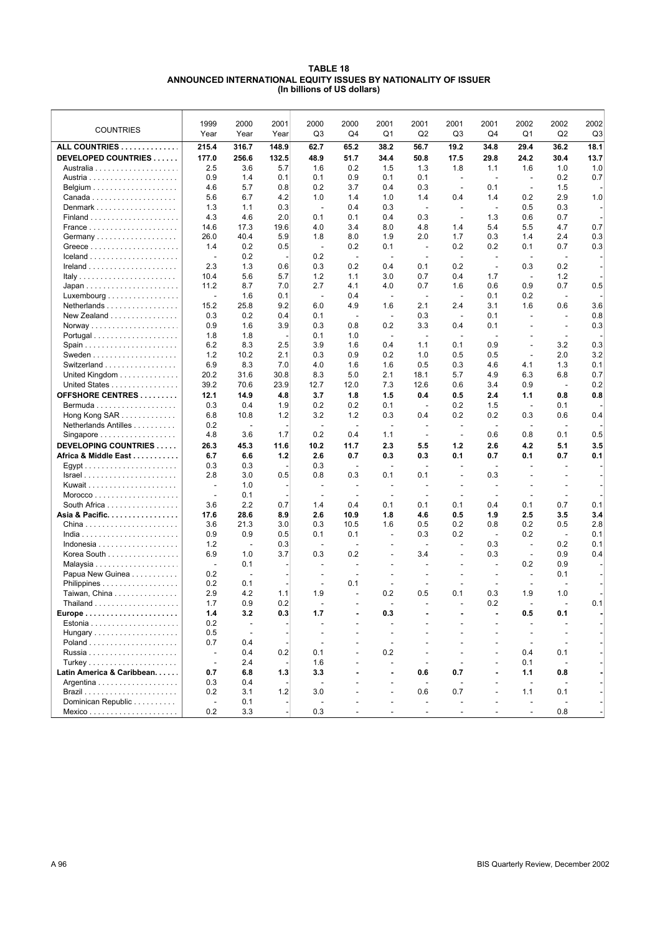#### **TABLE 18 ANNOUNCED INTERNATIONAL EQUITY ISSUES BY NATIONALITY OF ISSUER (In billions of US dollars)**

| <b>COUNTRIES</b>                                    | 1999<br>Year                     | 2000<br>Year             | 2001<br>Year | 2000<br>Q <sub>3</sub>          | 2000<br>Q4               | 2001<br>Q1                      | 2001<br>Q <sub>2</sub>          | 2001<br>Q3                      | 2001<br>Q4               | 2002<br>Q1                      | 2002<br>Q2                      | 2002<br>Q <sub>3</sub> |
|-----------------------------------------------------|----------------------------------|--------------------------|--------------|---------------------------------|--------------------------|---------------------------------|---------------------------------|---------------------------------|--------------------------|---------------------------------|---------------------------------|------------------------|
| ALL COUNTRIES                                       | 215.4                            | 316.7                    | 148.9        | 62.7                            | 65.2                     | 38.2                            | 56.7                            | 19.2                            | 34.8                     | 29.4                            | 36.2                            | 18.1                   |
| DEVELOPED COUNTRIES                                 | 177.0                            | 256.6                    | 132.5        | 48.9                            | 51.7                     | 34.4                            | 50.8                            | 17.5                            | 29.8                     | 24.2                            | 30.4                            | 13.7                   |
|                                                     | 2.5                              | 3.6                      | 5.7          | 1.6                             | 0.2                      | 1.5                             | 1.3                             | 1.8                             | 1.1                      | 1.6                             | 1.0                             | 1.0                    |
|                                                     | 0.9                              | 1.4                      | 0.1          | 0.1                             | 0.9                      | 0.1                             | 0.1                             | $\sim$                          | $\overline{a}$           | $\sim$                          | 0.2                             | 0.7                    |
|                                                     | 4.6                              | 5.7                      | 0.8          | 0.2                             | 3.7                      | 0.4                             | 0.3                             | $\overline{\phantom{a}}$        | 0.1                      | $\overline{\phantom{a}}$        | 1.5                             |                        |
|                                                     | 5.6                              | 6.7                      | 4.2          | 1.0                             | 1.4                      | 1.0                             | 1.4                             | 0.4                             | 1.4                      | 0.2                             | 2.9                             | 1.0                    |
| Denmark                                             | 1.3                              | 1.1                      | 0.3          | $\overline{a}$                  | 0.4                      | 0.3                             | $\overline{\phantom{a}}$        |                                 | $\overline{a}$           | 0.5                             | 0.3                             |                        |
|                                                     | 4.3                              | 4.6                      | 2.0          | 0.1                             | 0.1                      | 0.4                             | 0.3                             | $\sim$                          | 1.3                      | 0.6                             | 0.7                             |                        |
| France                                              | 14.6                             | 17.3                     | 19.6         | 4.0                             | 3.4                      | 8.0                             | 4.8                             | 1.4                             | 5.4                      | 5.5                             | 4.7                             | 0.7                    |
|                                                     | 26.0                             | 40.4                     | 5.9          | 1.8                             | 8.0                      | 1.9                             | 2.0                             | 1.7                             | 0.3                      | 1.4                             | 2.4                             | 0.3                    |
|                                                     | 1.4                              | 0.2                      | 0.5          | $\overline{\phantom{a}}$        | 0.2                      | 0.1                             | $\overline{\phantom{a}}$        | 0.2                             | 0.2                      | 0.1                             | 0.7                             | 0.3                    |
| $lceland \ldots \ldots \ldots \ldots \ldots \ldots$ | $\overline{\phantom{a}}$         | 0.2                      |              | 0.2                             | $\overline{\phantom{a}}$ | $\overline{a}$                  | $\overline{\phantom{a}}$        | $\overline{\phantom{a}}$        | $\overline{a}$           | $\overline{\phantom{a}}$        | $\overline{\phantom{a}}$        |                        |
|                                                     | 2.3                              | 1.3                      | 0.6          | 0.3                             | 0.2                      | 0.4                             | 0.1                             | 0.2                             | $\overline{\phantom{a}}$ | 0.3                             | 0.2                             |                        |
| Italy                                               | 10.4                             | 5.6                      | 5.7          | 1.2                             | 1.1                      | 3.0                             | 0.7                             | 0.4                             | 1.7                      | $\overline{\phantom{a}}$        | 1.2                             |                        |
|                                                     | 11.2                             | 8.7                      | 7.0          | 2.7                             | 4.1                      | 4.0                             | 0.7                             | 1.6                             | 0.6                      | 0.9                             | 0.7                             | 0.5                    |
| Luxembourg $\dots\dots\dots\dots\dots\dots$         | $\overline{\phantom{a}}$<br>15.2 | 1.6<br>25.8              | 0.1<br>9.2   | $\overline{\phantom{a}}$<br>6.0 | 0.4<br>4.9               | $\overline{\phantom{a}}$<br>1.6 | $\overline{\phantom{a}}$<br>2.1 | $\overline{\phantom{a}}$<br>2.4 | 0.1<br>3.1               | 0.2<br>1.6                      | $\overline{\phantom{a}}$<br>0.6 | 3.6                    |
| Netherlands<br>New Zealand                          | 0.3                              | 0.2                      | 0.4          | 0.1                             | $\overline{\phantom{a}}$ |                                 | 0.3                             | $\overline{\phantom{a}}$        | 0.1                      |                                 |                                 | 0.8                    |
|                                                     | 0.9                              | 1.6                      | 3.9          | 0.3                             | 0.8                      | 0.2                             | 3.3                             | 0.4                             | 0.1                      |                                 | $\overline{\phantom{a}}$        | 0.3                    |
|                                                     | 1.8                              | 1.8                      |              | 0.1                             | 1.0                      | $\overline{\phantom{a}}$        | $\overline{\phantom{a}}$        | $\overline{\phantom{a}}$        |                          |                                 | $\overline{\phantom{a}}$        |                        |
|                                                     | 6.2                              | 8.3                      | 2.5          | 3.9                             | 1.6                      | 0.4                             | 1.1                             | 0.1                             | 0.9                      | $\overline{\phantom{a}}$        | 3.2                             | 0.3                    |
|                                                     | 1.2                              | 10.2                     | 2.1          | 0.3                             | 0.9                      | 0.2                             | 1.0                             | 0.5                             | 0.5                      |                                 | 2.0                             | 3.2                    |
| Switzerland                                         | 6.9                              | 8.3                      | 7.0          | 4.0                             | 1.6                      | 1.6                             | 0.5                             | 0.3                             | 4.6                      | 4.1                             | 1.3                             | 0.1                    |
| United Kingdom                                      | 20.2                             | 31.6                     | 30.8         | 8.3                             | 5.0                      | 2.1                             | 18.1                            | 5.7                             | 4.9                      | 6.3                             | 6.8                             | 0.7                    |
| United States                                       | 39.2                             | 70.6                     | 23.9         | 12.7                            | 12.0                     | 7.3                             | 12.6                            | 0.6                             | 3.4                      | 0.9                             | $\overline{\phantom{a}}$        | 0.2                    |
| <b>OFFSHORE CENTRES</b>                             | 12.1                             | 14.9                     | 4.8          | 3.7                             | 1.8                      | 1.5                             | 0.4                             | 0.5                             | 2.4                      | 1.1                             | 0.8                             | 0.8                    |
| Bermuda                                             | 0.3                              | 0.4                      | 1.9          | 0.2                             | 0.2                      | 0.1                             | ÷,                              | 0.2                             | 1.5                      | $\overline{\phantom{a}}$        | 0.1                             |                        |
| Hong Kong SAR                                       | 6.8                              | 10.8                     | 1.2          | 3.2                             | 1.2                      | 0.3                             | 0.4                             | 0.2                             | 0.2                      | 0.3                             | 0.6                             | 0.4                    |
| Netherlands Antilles                                | 0.2                              | L,                       |              | L,                              | L,                       |                                 | $\overline{a}$                  | $\overline{\phantom{a}}$        | L,                       |                                 |                                 |                        |
| Singapore                                           | 4.8                              | 3.6                      | 1.7          | 0.2                             | 0.4                      | 1.1                             | $\overline{\phantom{a}}$        | $\overline{\phantom{a}}$        | 0.6                      | 0.8                             | 0.1                             | 0.5                    |
| DEVELOPING COUNTRIES                                | 26.3                             | 45.3                     | 11.6         | 10.2                            | 11.7                     | 2.3                             | 5.5                             | 1.2                             | 2.6                      | 4.2                             | 5.1                             | 3.5                    |
| Africa & Middle East                                | 6.7                              | 6.6                      | 1.2          | 2.6                             | 0.7                      | 0.3                             | 0.3                             | 0.1                             | 0.7                      | 0.1                             | 0.7                             | 0.1                    |
|                                                     | 0.3                              | 0.3                      |              | 0.3                             |                          |                                 |                                 |                                 |                          |                                 |                                 |                        |
| $Israel \ldots \ldots \ldots \ldots \ldots$         | 2.8                              | 3.0                      | 0.5          | 0.8                             | 0.3                      | 0.1                             | 0.1                             | L,                              | 0.3                      |                                 |                                 |                        |
|                                                     | $\sim$                           | 1.0                      |              | ÷,                              | $\overline{a}$           |                                 |                                 |                                 | L,                       |                                 |                                 |                        |
|                                                     | $\overline{\phantom{a}}$         | 0.1                      |              |                                 | $\overline{\phantom{a}}$ |                                 | $\overline{\phantom{a}}$        |                                 |                          |                                 |                                 |                        |
| South Africa                                        | 3.6                              | 2.2                      | 0.7          | 1.4                             | 0.4                      | 0.1                             | 0.1                             | 0.1                             | 0.4                      | 0.1                             | 0.7                             | 0.1                    |
| Asia & Pacific.                                     | 17.6<br>3.6                      | 28.6<br>21.3             | 8.9<br>3.0   | 2.6<br>0.3                      | 10.9<br>10.5             | 1.8<br>1.6                      | 4.6<br>0.5                      | 0.5<br>0.2                      | 1.9<br>0.8               | 2.5<br>0.2                      | 3.5<br>0.5                      | 3.4<br>2.8             |
|                                                     | 0.9                              | 0.9                      | 0.5          | 0.1                             | 0.1                      | $\overline{\phantom{a}}$        | 0.3                             | 0.2                             | $\overline{\phantom{a}}$ | 0.2                             | $\overline{\phantom{a}}$        | 0.1                    |
|                                                     | 1.2                              | $\overline{\phantom{a}}$ | 0.3          | ٠                               | $\overline{a}$           |                                 | $\overline{\phantom{a}}$        | $\overline{\phantom{a}}$        | 0.3                      | $\overline{\phantom{a}}$        | 0.2                             | 0.1                    |
| Korea South                                         | 6.9                              | 1.0                      | 3.7          | 0.3                             | 0.2                      |                                 | 3.4                             |                                 | 0.3                      | $\overline{\phantom{a}}$        | 0.9                             | 0.4                    |
|                                                     | $\overline{\phantom{a}}$         | 0.1                      |              | $\overline{\phantom{a}}$        | $\overline{\phantom{a}}$ | $\overline{\phantom{a}}$        | $\overline{a}$                  | $\blacksquare$                  | $\overline{\phantom{a}}$ | 0.2                             | 0.9                             |                        |
| Papua New Guinea                                    | 0.2                              | $\overline{\phantom{a}}$ |              |                                 | $\overline{\phantom{a}}$ | ٠                               | $\overline{\phantom{a}}$        |                                 | $\overline{\phantom{a}}$ | $\overline{\phantom{a}}$        | 0.1                             |                        |
|                                                     | 0.2                              | 0.1                      |              | $\overline{\phantom{a}}$        | 0.1                      | $\overline{\phantom{a}}$        | $\overline{\phantom{a}}$        |                                 |                          | $\overline{a}$                  |                                 |                        |
| Taiwan, China                                       | 2.9                              | 4.2                      | 1.1          | 1.9                             | $\overline{\phantom{a}}$ | 0.2                             | 0.5                             | 0.1                             | 0.3                      | 1.9                             | 1.0                             |                        |
|                                                     | 1.7                              | 0.9                      | 0.2          |                                 |                          |                                 |                                 |                                 | 0.2                      |                                 |                                 | 0.1                    |
|                                                     | 1.4                              | 3.2                      | 0.3          | 1.7                             |                          | 0.3                             |                                 |                                 |                          | 0.5                             | 0.1                             |                        |
|                                                     | 0.2                              | $\overline{\phantom{a}}$ |              |                                 | $\overline{\phantom{a}}$ | $\frac{1}{2}$                   |                                 |                                 | $\overline{a}$           |                                 |                                 |                        |
|                                                     | 0.5                              | $\overline{\phantom{a}}$ |              |                                 |                          | $\overline{a}$                  |                                 |                                 |                          |                                 | $\sim$                          |                        |
|                                                     | 0.7                              | 0.4                      |              | $\overline{\phantom{a}}$        |                          | $\overline{\phantom{a}}$        |                                 |                                 |                          | $\overline{\phantom{a}}$        | $\overline{\phantom{a}}$        |                        |
|                                                     | $\overline{\phantom{a}}$         | 0.4                      | 0.2          | 0.1                             |                          | 0.2                             |                                 |                                 |                          | 0.4                             | 0.1                             |                        |
|                                                     | $\overline{\phantom{a}}$         | 2.4                      |              | 1.6                             |                          | $\overline{\phantom{a}}$        | $\overline{\phantom{a}}$        |                                 |                          | 0.1                             | $\overline{\phantom{a}}$        |                        |
| Latin America & Caribbean.                          | 0.7                              | 6.8<br>0.4               | 1.3          | 3.3<br>$\overline{a}$           |                          |                                 | 0.6                             | 0.7                             |                          | 1.1                             | 0.8                             |                        |
|                                                     | 0.3<br>0.2                       | 3.1                      | 1.2          | 3.0                             |                          | $\overline{\phantom{0}}$<br>÷   | $\overline{\phantom{a}}$<br>0.6 | $\overline{\phantom{a}}$<br>0.7 | $\overline{a}$           | $\overline{\phantom{a}}$<br>1.1 | 0.1                             |                        |
| Dominican Republic                                  | $\overline{\phantom{a}}$         | 0.1                      |              | $\overline{\phantom{a}}$        |                          | $\overline{\phantom{a}}$        | $\overline{\phantom{a}}$        | $\overline{\phantom{a}}$        | $\overline{\phantom{a}}$ | $\overline{\phantom{a}}$        |                                 |                        |
|                                                     | 0.2                              | 3.3                      |              | 0.3                             |                          | ÷.                              | $\sim$                          | $\overline{\phantom{a}}$        |                          | $\overline{\phantom{a}}$        | 0.8                             |                        |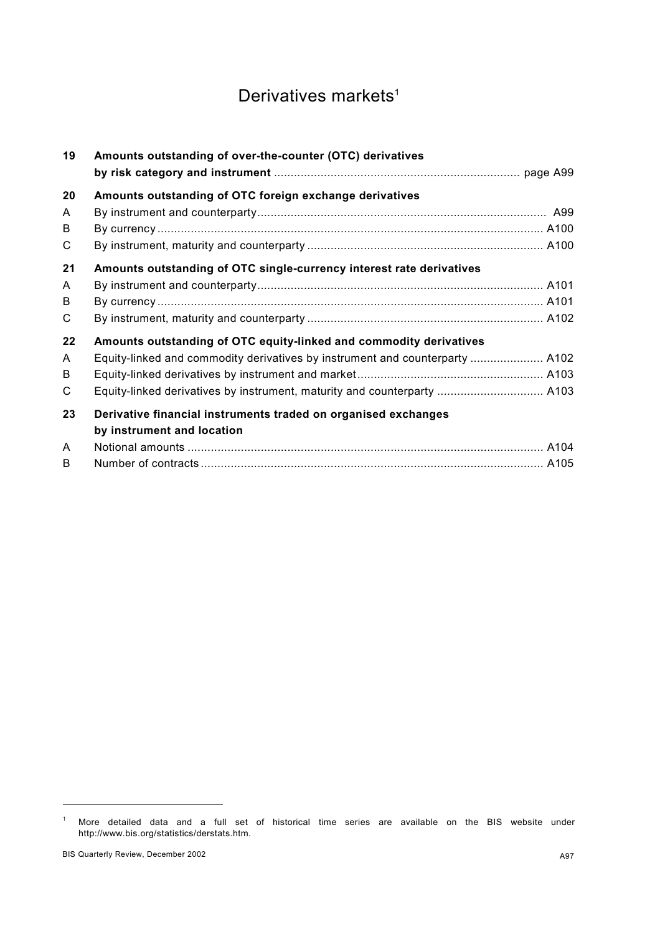# Derivatives markets<sup>1</sup>

| 19 | Amounts outstanding of over-the-counter (OTC) derivatives                    |  |
|----|------------------------------------------------------------------------------|--|
| 20 | Amounts outstanding of OTC foreign exchange derivatives                      |  |
| A  |                                                                              |  |
| B  |                                                                              |  |
| C  |                                                                              |  |
| 21 | Amounts outstanding of OTC single-currency interest rate derivatives         |  |
| A  |                                                                              |  |
| B  |                                                                              |  |
| C  |                                                                              |  |
| 22 | Amounts outstanding of OTC equity-linked and commodity derivatives           |  |
| A  | Equity-linked and commodity derivatives by instrument and counterparty  A102 |  |
| B  |                                                                              |  |
| C  | Equity-linked derivatives by instrument, maturity and counterparty  A103     |  |
| 23 | Derivative financial instruments traded on organised exchanges               |  |
|    | by instrument and location                                                   |  |
| A  |                                                                              |  |
| B  |                                                                              |  |

l

<sup>&</sup>lt;sup>1</sup> More detailed data and a full set of historical time series are available on the BIS website under http://www.bis.org/statistics/derstats.htm.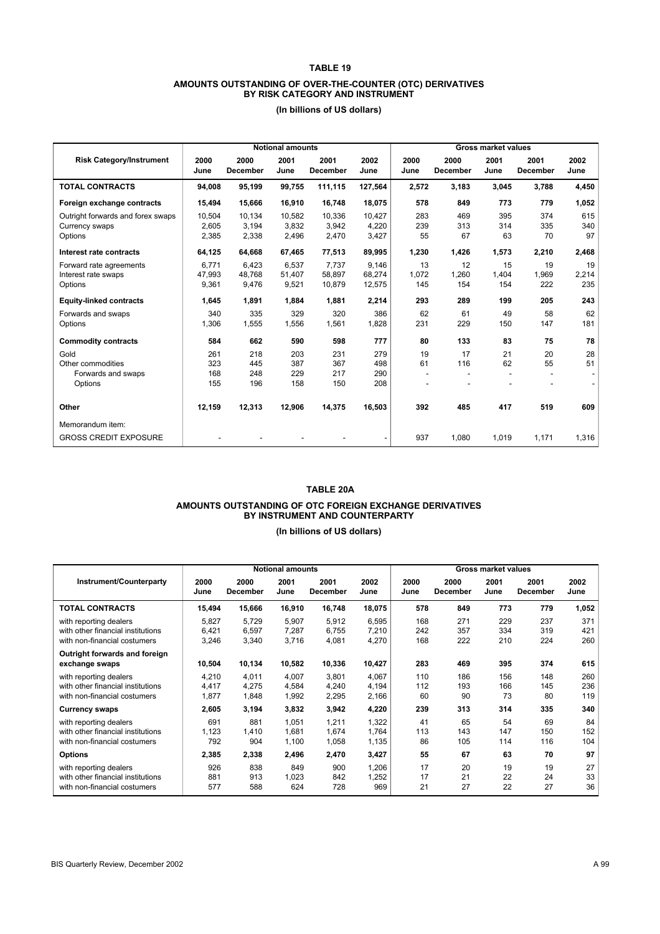## **TABLE 19 AMOUNTS OUTSTANDING OF OVER-THE-COUNTER (OTC) DERIVATIVES BY RISK CATEGORY AND INSTRUMENT**

**(In billions of US dollars)** 

|                                   |              |                         | <b>Notional amounts</b> |                         |              |              |                         | <b>Gross market values</b> |                         |              |
|-----------------------------------|--------------|-------------------------|-------------------------|-------------------------|--------------|--------------|-------------------------|----------------------------|-------------------------|--------------|
| <b>Risk Category/Instrument</b>   | 2000<br>June | 2000<br><b>December</b> | 2001<br>June            | 2001<br><b>December</b> | 2002<br>June | 2000<br>June | 2000<br><b>December</b> | 2001<br>June               | 2001<br><b>December</b> | 2002<br>June |
| <b>TOTAL CONTRACTS</b>            | 94,008       | 95,199                  | 99,755                  | 111,115                 | 127,564      | 2,572        | 3,183                   | 3,045                      | 3,788                   | 4,450        |
| Foreign exchange contracts        | 15,494       | 15,666                  | 16,910                  | 16,748                  | 18,075       | 578          | 849                     | 773                        | 779                     | 1,052        |
| Outright forwards and forex swaps | 10.504       | 10.134                  | 10.582                  | 10.336                  | 10.427       | 283          | 469                     | 395                        | 374                     | 615          |
| Currency swaps                    | 2,605        | 3,194                   | 3.832                   | 3,942                   | 4,220        | 239          | 313                     | 314                        | 335                     | 340          |
| Options                           | 2,385        | 2,338                   | 2,496                   | 2,470                   | 3,427        | 55           | 67                      | 63                         | 70                      | 97           |
| Interest rate contracts           | 64,125       | 64,668                  | 67,465                  | 77,513                  | 89,995       | 1,230        | 1,426                   | 1,573                      | 2,210                   | 2,468        |
| Forward rate agreements           | 6.771        | 6.423                   | 6,537                   | 7.737                   | 9.146        | 13           | 12                      | 15                         | 19                      | 19           |
| Interest rate swaps               | 47,993       | 48,768                  | 51,407                  | 58.897                  | 68,274       | 1,072        | 1,260                   | 1,404                      | 1,969                   | 2,214        |
| Options                           | 9,361        | 9,476                   | 9,521                   | 10,879                  | 12,575       | 145          | 154                     | 154                        | 222                     | 235          |
| <b>Equity-linked contracts</b>    | 1,645        | 1,891                   | 1,884                   | 1,881                   | 2,214        | 293          | 289                     | 199                        | 205                     | 243          |
| Forwards and swaps                | 340          | 335                     | 329                     | 320                     | 386          | 62           | 61                      | 49                         | 58                      | 62           |
| Options                           | 1,306        | 1,555                   | 1,556                   | 1,561                   | 1,828        | 231          | 229                     | 150                        | 147                     | 181          |
| <b>Commodity contracts</b>        | 584          | 662                     | 590                     | 598                     | 777          | 80           | 133                     | 83                         | 75                      | 78           |
| Gold                              | 261          | 218                     | 203                     | 231                     | 279          | 19           | 17                      | 21                         | 20                      | 28           |
| Other commodities                 | 323          | 445                     | 387                     | 367                     | 498          | 61           | 116                     | 62                         | 55                      | 51           |
| Forwards and swaps                | 168          | 248                     | 229                     | 217                     | 290          |              |                         |                            |                         |              |
| Options                           | 155          | 196                     | 158                     | 150                     | 208          |              |                         |                            |                         |              |
| Other                             | 12,159       | 12,313                  | 12,906                  | 14,375                  | 16,503       | 392          | 485                     | 417                        | 519                     | 609          |
| Memorandum item:                  |              |                         |                         |                         |              |              |                         |                            |                         |              |
| <b>GROSS CREDIT EXPOSURE</b>      |              |                         |                         |                         |              | 937          | 1,080                   | 1,019                      | 1,171                   | 1,316        |

#### **TABLE 20A**

#### **AMOUNTS OUTSTANDING OF OTC FOREIGN EXCHANGE DERIVATIVES BY INSTRUMENT AND COUNTERPARTY**

**(In billions of US dollars)** 

|                                                 |        |          | <b>Notional amounts</b> |                 |        |      |                 | <b>Gross market values</b> |                 |       |
|-------------------------------------------------|--------|----------|-------------------------|-----------------|--------|------|-----------------|----------------------------|-----------------|-------|
| Instrument/Counterparty                         | 2000   | 2000     | 2001                    | 2001            | 2002   | 2000 | 2000            | 2001                       | 2001            | 2002  |
|                                                 | June   | December | June                    | <b>December</b> | June   | June | <b>December</b> | June                       | <b>December</b> | June  |
| <b>TOTAL CONTRACTS</b>                          | 15,494 | 15,666   | 16,910                  | 16,748          | 18,075 | 578  | 849             | 773                        | 779             | 1,052 |
| with reporting dealers                          | 5,827  | 5,729    | 5,907                   | 5,912           | 6.595  | 168  | 271             | 229                        | 237             | 371   |
| with other financial institutions               | 6,421  | 6,597    | 7,287                   | 6,755           | 7,210  | 242  | 357             | 334                        | 319             | 421   |
| with non-financial costumers                    | 3,246  | 3,340    | 3,716                   | 4,081           | 4,270  | 168  | 222             | 210                        | 224             | 260   |
| Outright forwards and foreign<br>exchange swaps | 10,504 | 10,134   | 10,582                  | 10,336          | 10,427 | 283  | 469             | 395                        | 374             | 615   |
| with reporting dealers                          | 4,210  | 4,011    | 4,007                   | 3,801           | 4,067  | 110  | 186             | 156                        | 148             | 260   |
| with other financial institutions               | 4,417  | 4,275    | 4,584                   | 4,240           | 4,194  | 112  | 193             | 166                        | 145             | 236   |
| with non-financial costumers                    | 1,877  | 1,848    | 1,992                   | 2,295           | 2,166  | 60   | 90              | 73                         | 80              | 119   |
| <b>Currency swaps</b>                           | 2,605  | 3,194    | 3,832                   | 3,942           | 4,220  | 239  | 313             | 314                        | 335             | 340   |
| with reporting dealers                          | 691    | 881      | 1,051                   | 1,211           | 1,322  | 41   | 65              | 54                         | 69              | 84    |
| with other financial institutions               | 1,123  | 1.410    | 1,681                   | 1.674           | 1.764  | 113  | 143             | 147                        | 150             | 152   |
| with non-financial costumers                    | 792    | 904      | 1,100                   | 1,058           | 1,135  | 86   | 105             | 114                        | 116             | 104   |
| <b>Options</b>                                  | 2,385  | 2,338    | 2,496                   | 2,470           | 3,427  | 55   | 67              | 63                         | 70              | 97    |
| with reporting dealers                          | 926    | 838      | 849                     | 900             | 1,206  | 17   | 20              | 19                         | 19              | 27    |
| with other financial institutions               | 881    | 913      | 1,023                   | 842             | 1,252  | 17   | 21              | 22                         | 24              | 33    |
| with non-financial costumers                    | 577    | 588      | 624                     | 728             | 969    | 21   | 27              | 22                         | 27              | 36    |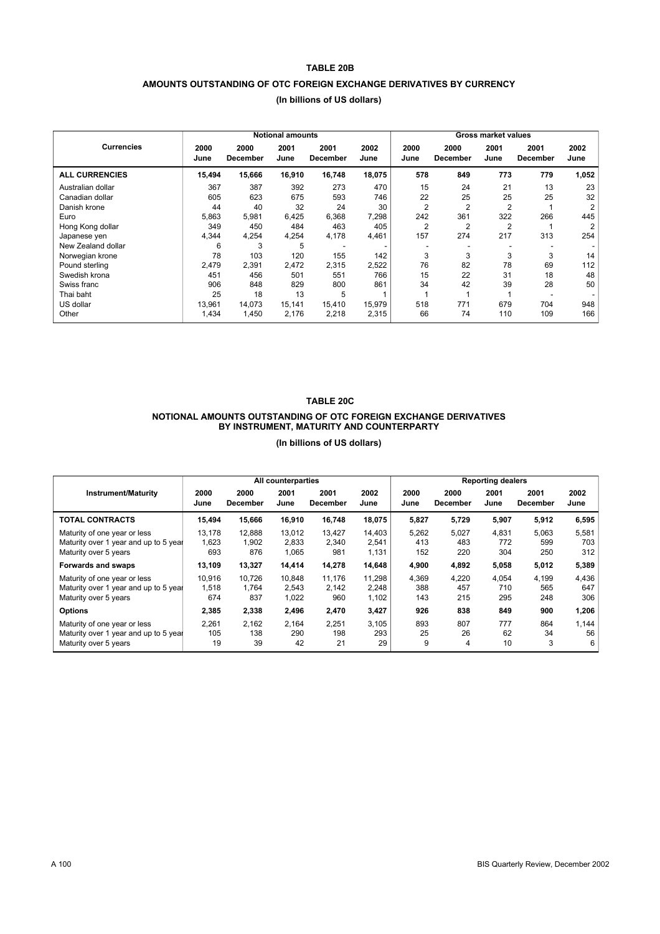# **TABLE 20B AMOUNTS OUTSTANDING OF OTC FOREIGN EXCHANGE DERIVATIVES BY CURRENCY**

|  |  |  | (In billions of US dollars) |
|--|--|--|-----------------------------|
|--|--|--|-----------------------------|

|                       |              |                  | <b>Notional amounts</b> |                  |              | <b>Gross market values</b> |                  |              |                         |                |  |
|-----------------------|--------------|------------------|-------------------------|------------------|--------------|----------------------------|------------------|--------------|-------------------------|----------------|--|
| <b>Currencies</b>     | 2000<br>June | 2000<br>December | 2001<br>June            | 2001<br>December | 2002<br>June | 2000<br>June               | 2000<br>December | 2001<br>June | 2001<br><b>December</b> | 2002<br>June   |  |
| <b>ALL CURRENCIES</b> | 15,494       | 15,666           | 16,910                  | 16,748           | 18,075       | 578                        | 849              | 773          | 779                     | 1,052          |  |
| Australian dollar     | 367          | 387              | 392                     | 273              | 470          | 15                         | 24               | 21           | 13                      | 23             |  |
| Canadian dollar       | 605          | 623              | 675                     | 593              | 746          | 22                         | 25               | 25           | 25                      | 32             |  |
| Danish krone          | 44           | 40               | 32                      | 24               | 30           | $\overline{2}$             | 2                | 2            |                         | $\overline{2}$ |  |
| Euro                  | 5,863        | 5,981            | 6,425                   | 6,368            | 7,298        | 242                        | 361              | 322          | 266                     | 445            |  |
| Hong Kong dollar      | 349          | 450              | 484                     | 463              | 405          | 2                          | 2                | 2            |                         |                |  |
| Japanese yen          | 4,344        | 4,254            | 4,254                   | 4,178            | 4,461        | 157                        | 274              | 217          | 313                     | 254            |  |
| New Zealand dollar    | 6            | 3                | 5                       |                  |              |                            |                  |              |                         |                |  |
| Norwegian krone       | 78           | 103              | 120                     | 155              | 142          | 3                          | 3                | 3            | 3                       | 14             |  |
| Pound sterling        | 2,479        | 2,391            | 2,472                   | 2,315            | 2,522        | 76                         | 82               | 78           | 69                      | 112            |  |
| Swedish krona         | 451          | 456              | 501                     | 551              | 766          | 15                         | 22               | 31           | 18                      | 48             |  |
| Swiss franc           | 906          | 848              | 829                     | 800              | 861          | 34                         | 42               | 39           | 28                      | 50             |  |
| Thai baht             | 25           | 18               | 13                      | 5                |              |                            |                  |              | -                       |                |  |
| US dollar             | 13.961       | 14.073           | 15.141                  | 15.410           | 15,979       | 518                        | 771              | 679          | 704                     | 948            |  |
| Other                 | 1,434        | 1.450            | 2,176                   | 2,218            | 2,315        | 66                         | 74               | 110          | 109                     | 166            |  |

# **TABLE 20C NOTIONAL AMOUNTS OUTSTANDING OF OTC FOREIGN EXCHANGE DERIVATIVES BY INSTRUMENT, MATURITY AND COUNTERPARTY**

**(In billions of US dollars)** 

|                                       |        |          | All counterparties |                 |        | <b>Reporting dealers</b> |          |       |                 |       |  |  |
|---------------------------------------|--------|----------|--------------------|-----------------|--------|--------------------------|----------|-------|-----------------|-------|--|--|
| <b>Instrument/Maturity</b>            | 2000   | 2000     | 2001               | 2001            | 2002   | 2000                     | 2000     | 2001  | 2001            | 2002  |  |  |
|                                       | June   | December | June               | <b>December</b> | June   | June                     | December | June  | <b>December</b> | June  |  |  |
| <b>TOTAL CONTRACTS</b>                | 15.494 | 15,666   | 16,910             | 16.748          | 18,075 | 5,827                    | 5,729    | 5,907 | 5,912           | 6,595 |  |  |
| Maturity of one year or less          | 13.178 | 12.888   | 13.012             | 13.427          | 14.403 | 5,262                    | 5,027    | 4,831 | 5,063           | 5,581 |  |  |
| Maturity over 1 year and up to 5 year | 1,623  | 1,902    | 2,833              | 2,340           | 2,541  | 413                      | 483      | 772   | 599             | 703   |  |  |
| Maturity over 5 years                 | 693    | 876      | 1,065              | 981             | 1,131  | 152                      | 220      | 304   | 250             | 312   |  |  |
| Forwards and swaps                    | 13,109 | 13,327   | 14,414             | 14,278          | 14,648 | 4,900                    | 4,892    | 5,058 | 5,012           | 5,389 |  |  |
| Maturity of one year or less          | 10.916 | 10.726   | 10.848             | 11.176          | 11.298 | 4,369                    | 4,220    | 4,054 | 4,199           | 4,436 |  |  |
| Maturity over 1 year and up to 5 year | 1.518  | 1.764    | 2.543              | 2.142           | 2,248  | 388                      | 457      | 710   | 565             | 647   |  |  |
| Maturity over 5 years                 | 674    | 837      | 1,022              | 960             | 1,102  | 143                      | 215      | 295   | 248             | 306   |  |  |
| <b>Options</b>                        | 2,385  | 2,338    | 2,496              | 2,470           | 3,427  | 926                      | 838      | 849   | 900             | 1,206 |  |  |
| Maturity of one year or less          | 2.261  | 2.162    | 2,164              | 2,251           | 3.105  | 893                      | 807      | 777   | 864             | 1,144 |  |  |
| Maturity over 1 year and up to 5 year | 105    | 138      | 290                | 198             | 293    | 25                       | 26       | 62    | 34              | 56    |  |  |
| Maturity over 5 years                 | 19     | 39       | 42                 | 21              | 29     | 9                        | 4        | 10    | 3               | 6     |  |  |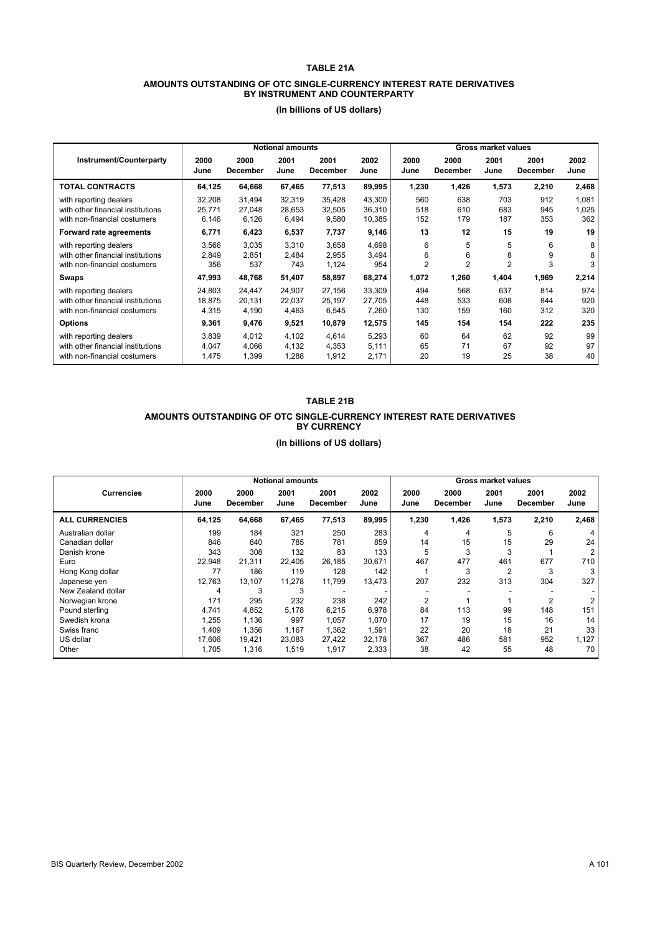## **TABLE 21A AMOUNTS OUTSTANDING OF OTC SINGLE-CURRENCY INTEREST RATE DERIVATIVES BY INSTRUMENT AND COUNTERPARTY**

**(In billions of US dollars)** 

|                                   |        |                 | <b>Notional amounts</b> |          |        |                |                | <b>Gross market values</b> |                 |       |
|-----------------------------------|--------|-----------------|-------------------------|----------|--------|----------------|----------------|----------------------------|-----------------|-------|
| Instrument/Counterparty           | 2000   | 2000            | 2001                    | 2001     | 2002   | 2000           | 2000           | 2001                       | 2001            | 2002  |
|                                   | June   | <b>December</b> | June                    | December | June   | June           | December       | June                       | <b>December</b> | June  |
| <b>TOTAL CONTRACTS</b>            | 64,125 | 64,668          | 67,465                  | 77,513   | 89,995 | 1,230          | 1,426          | 1,573                      | 2,210           | 2,468 |
| with reporting dealers            | 32,208 | 31,494          | 32,319                  | 35,428   | 43,300 | 560            | 638            | 703                        | 912             | 1,081 |
| with other financial institutions | 25,771 | 27,048          | 28,653                  | 32,505   | 36,310 | 518            | 610            | 683                        | 945             | 1,025 |
| with non-financial costumers      | 6,146  | 6,126           | 6,494                   | 9,580    | 10,385 | 152            | 179            | 187                        | 353             | 362   |
| <b>Forward rate agreements</b>    | 6,771  | 6,423           | 6,537                   | 7,737    | 9,146  | 13             | 12             | 15                         | 19              | 19    |
| with reporting dealers            | 3,566  | 3,035           | 3,310                   | 3,658    | 4,698  | 6              | 5              | 5                          | 6               | 8     |
| with other financial institutions | 2,849  | 2,851           | 2,484                   | 2,955    | 3,494  | 6              | 6              | 8                          | 9               | 8     |
| with non-financial costumers      | 356    | 537             | 743                     | 1,124    | 954    | $\overline{2}$ | $\overline{2}$ | $\overline{2}$             | 3               | 3     |
| Swaps                             | 47,993 | 48,768          | 51,407                  | 58,897   | 68,274 | 1,072          | 1,260          | 1,404                      | 1,969           | 2,214 |
| with reporting dealers            | 24.803 | 24,447          | 24.907                  | 27.156   | 33.309 | 494            | 568            | 637                        | 814             | 974   |
| with other financial institutions | 18.875 | 20,131          | 22,037                  | 25,197   | 27,705 | 448            | 533            | 608                        | 844             | 920   |
| with non-financial costumers      | 4,315  | 4,190           | 4,463                   | 6,545    | 7,260  | 130            | 159            | 160                        | 312             | 320   |
| <b>Options</b>                    | 9,361  | 9,476           | 9,521                   | 10,879   | 12,575 | 145            | 154            | 154                        | 222             | 235   |
| with reporting dealers            | 3,839  | 4,012           | 4,102                   | 4,614    | 5,293  | 60             | 64             | 62                         | 92              | 99    |
| with other financial institutions | 4,047  | 4,066           | 4,132                   | 4,353    | 5,111  | 65             | 71             | 67                         | 92              | 97    |
| with non-financial costumers      | 1,475  | 1,399           | 1,288                   | 1,912    | 2,171  | 20             | 19             | 25                         | 38              | 40    |

# **TABLE 21B AMOUNTS OUTSTANDING OF OTC SINGLE-CURRENCY INTEREST RATE DERIVATIVES BY CURRENCY (In billions of US dollars)**

|                       |              |                  | <b>Notional amounts</b> |                         |              | <b>Gross market values</b> |                  |              |                  |              |  |
|-----------------------|--------------|------------------|-------------------------|-------------------------|--------------|----------------------------|------------------|--------------|------------------|--------------|--|
| <b>Currencies</b>     | 2000<br>June | 2000<br>December | 2001<br>June            | 2001<br><b>December</b> | 2002<br>June | 2000<br>June               | 2000<br>December | 2001<br>June | 2001<br>December | 2002<br>June |  |
| <b>ALL CURRENCIES</b> | 64,125       | 64,668           | 67,465                  | 77,513                  | 89,995       | 1,230                      | 1,426            | 1,573        | 2,210            | 2,468        |  |
| Australian dollar     | 199          | 184              | 321                     | 250                     | 283          | 4                          | 4                | 5            | 6                | 4            |  |
| Canadian dollar       | 846          | 840              | 785                     | 781                     | 859          | 14                         | 15               | 15           | 29               | 24           |  |
| Danish krone          | 343          | 308              | 132                     | 83                      | 133          | 5                          | 3                | 3            |                  | 2            |  |
| Euro                  | 22.948       | 21.311           | 22,405                  | 26.185                  | 30.671       | 467                        | 477              | 461          | 677              | 710          |  |
| Hong Kong dollar      | 77           | 186              | 119                     | 128                     | 142          |                            | 3                | 2            | 3                | 3            |  |
| Japanese yen          | 12,763       | 13,107           | 11,278                  | 11.799                  | 13,473       | 207                        | 232              | 313          | 304              | 327          |  |
| New Zealand dollar    | 4            | 3                | 3                       |                         |              |                            |                  |              |                  |              |  |
| Norwegian krone       | 171          | 295              | 232                     | 238                     | 242          | $\overline{2}$             |                  |              | $\overline{2}$   | 2            |  |
| Pound sterling        | 4,741        | 4,852            | 5,178                   | 6,215                   | 6,978        | 84                         | 113              | 99           | 148              | 151          |  |
| Swedish krona         | 1,255        | 1.136            | 997                     | 1,057                   | 1,070        | 17                         | 19               | 15           | 16               | 14           |  |
| Swiss franc           | 1.409        | 1.356            | 1.167                   | 1.362                   | 1.591        | 22                         | 20               | 18           | 21               | 33           |  |
| US dollar             | 17.606       | 19.421           | 23,083                  | 27.422                  | 32,178       | 367                        | 486              | 581          | 952              | 1,127        |  |
| Other                 | 1,705        | 1,316            | 1,519                   | 1,917                   | 2,333        | 38                         | 42               | 55           | 48               | 70           |  |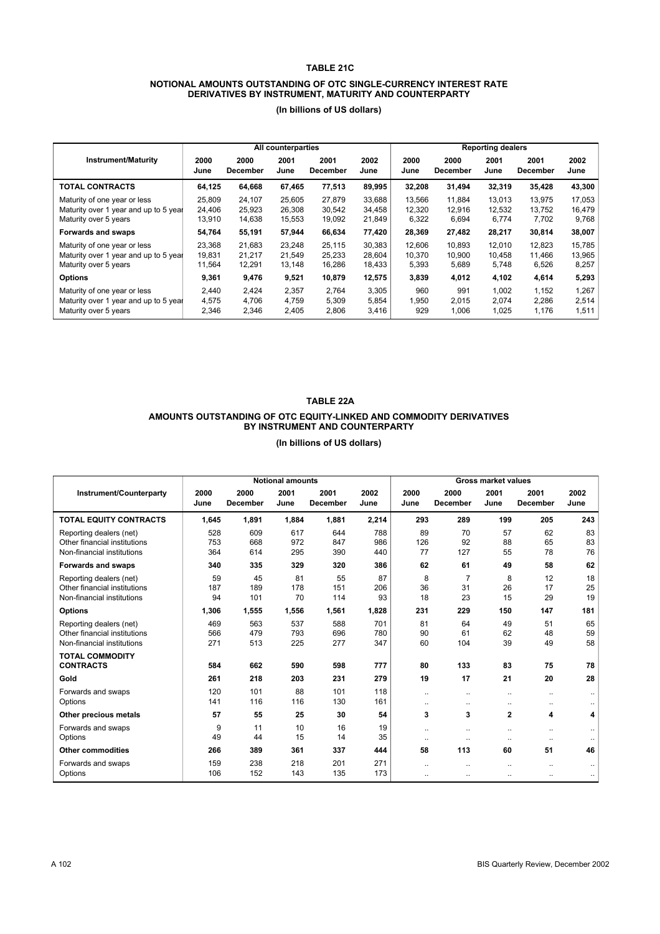**TABLE 21C**

#### **NOTIONAL AMOUNTS OUTSTANDING OF OTC SINGLE-CURRENCY INTEREST RATE DERIVATIVES BY INSTRUMENT, MATURITY AND COUNTERPARTY**

**(In billions of US dollars)** 

|                                       |        |          | All counterparties |          |        | <b>Reporting dealers</b> |          |        |                 |        |  |
|---------------------------------------|--------|----------|--------------------|----------|--------|--------------------------|----------|--------|-----------------|--------|--|
| <b>Instrument/Maturity</b>            | 2000   | 2000     | 2001               | 2001     | 2002   | 2000                     | 2000     | 2001   | 2001            | 2002   |  |
|                                       | June   | December | June               | December | June   | June                     | December | June   | <b>December</b> | June   |  |
| <b>TOTAL CONTRACTS</b>                | 64,125 | 64,668   | 67,465             | 77,513   | 89,995 | 32,208                   | 31,494   | 32,319 | 35,428          | 43,300 |  |
| Maturity of one year or less          | 25.809 | 24.107   | 25.605             | 27.879   | 33.688 | 13.566                   | 11.884   | 13.013 | 13.975          | 17.053 |  |
| Maturity over 1 year and up to 5 year | 24,406 | 25,923   | 26,308             | 30,542   | 34,458 | 12,320                   | 12,916   | 12,532 | 13,752          | 16,479 |  |
| Maturity over 5 years                 | 13,910 | 14,638   | 15,553             | 19,092   | 21,849 | 6,322                    | 6,694    | 6,774  | 7,702           | 9,768  |  |
| Forwards and swaps                    | 54,764 | 55,191   | 57,944             | 66,634   | 77,420 | 28,369                   | 27,482   | 28,217 | 30,814          | 38,007 |  |
| Maturity of one year or less          | 23.368 | 21.683   | 23.248             | 25.115   | 30.383 | 12.606                   | 10.893   | 12.010 | 12.823          | 15,785 |  |
| Maturity over 1 year and up to 5 year | 19.831 | 21,217   | 21.549             | 25,233   | 28.604 | 10.370                   | 10,900   | 10.458 | 11,466          | 13,965 |  |
| Maturity over 5 years                 | 11,564 | 12,291   | 13.148             | 16,286   | 18,433 | 5,393                    | 5,689    | 5,748  | 6,526           | 8,257  |  |
| <b>Options</b>                        | 9,361  | 9,476    | 9,521              | 10,879   | 12,575 | 3,839                    | 4,012    | 4,102  | 4,614           | 5,293  |  |
| Maturity of one year or less          | 2,440  | 2,424    | 2,357              | 2.764    | 3,305  | 960                      | 991      | 1.002  | 1,152           | 1,267  |  |
| Maturity over 1 year and up to 5 year | 4,575  | 4.706    | 4.759              | 5.309    | 5,854  | 1,950                    | 2.015    | 2.074  | 2,286           | 2,514  |  |
| Maturity over 5 years                 | 2,346  | 2,346    | 2,405              | 2,806    | 3,416  | 929                      | 1,006    | 1,025  | 1,176           | 1,511  |  |

# **TABLE 22A AMOUNTS OUTSTANDING OF OTC EQUITY-LINKED AND COMMODITY DERIVATIVES BY INSTRUMENT AND COUNTERPARTY**

**(In billions of US dollars)** 

|                                                                                       |                   |                         | <b>Notional amounts</b> |                         |                   |                        |                                              | <b>Gross market values</b>        |                                   |                        |
|---------------------------------------------------------------------------------------|-------------------|-------------------------|-------------------------|-------------------------|-------------------|------------------------|----------------------------------------------|-----------------------------------|-----------------------------------|------------------------|
| Instrument/Counterparty                                                               | 2000<br>June      | 2000<br><b>December</b> | 2001<br>June            | 2001<br><b>December</b> | 2002<br>June      | 2000<br>June           | 2000<br><b>December</b>                      | 2001<br>June                      | 2001<br><b>December</b>           | 2002<br>June           |
| <b>TOTAL EQUITY CONTRACTS</b>                                                         | 1,645             | 1,891                   | 1.884                   | 1,881                   | 2,214             | 293                    | 289                                          | 199                               | 205                               | 243                    |
| Reporting dealers (net)<br>Other financial institutions<br>Non-financial institutions | 528<br>753<br>364 | 609<br>668<br>614       | 617<br>972<br>295       | 644<br>847<br>390       | 788<br>986<br>440 | 89<br>126<br>77        | 70<br>92<br>127                              | 57<br>88<br>55                    | 62<br>65<br>78                    | 83<br>83<br>76         |
| <b>Forwards and swaps</b>                                                             | 340               | 335                     | 329                     | 320                     | 386               | 62                     | 61                                           | 49                                | 58                                | 62                     |
| Reporting dealers (net)<br>Other financial institutions<br>Non-financial institutions | 59<br>187<br>94   | 45<br>189<br>101        | 81<br>178<br>70         | 55<br>151<br>114        | 87<br>206<br>93   | 8<br>36<br>18          | 7<br>31<br>23                                | 8<br>26<br>15                     | 12<br>17<br>29                    | 18<br>25<br>19         |
| <b>Options</b>                                                                        | 1,306             | 1,555                   | 1,556                   | 1,561                   | 1,828             | 231                    | 229                                          | 150                               | 147                               | 181                    |
| Reporting dealers (net)<br>Other financial institutions<br>Non-financial institutions | 469<br>566<br>271 | 563<br>479<br>513       | 537<br>793<br>225       | 588<br>696<br>277       | 701<br>780<br>347 | 81<br>90<br>60         | 64<br>61<br>104                              | 49<br>62<br>39                    | 51<br>48<br>49                    | 65<br>59<br>58         |
| <b>TOTAL COMMODITY</b><br><b>CONTRACTS</b>                                            | 584               | 662                     | 590                     | 598                     | 777               | 80                     | 133                                          | 83                                | 75                                | 78                     |
| Gold                                                                                  | 261               | 218                     | 203                     | 231                     | 279               | 19                     | 17                                           | 21                                | 20                                | 28                     |
| Forwards and swaps<br>Options                                                         | 120<br>141        | 101<br>116              | 88<br>116               | 101<br>130              | 118<br>161        | $\ddotsc$<br>          | $\ddotsc$<br>$\ddot{\phantom{a}}$            | $\ddotsc$<br>                     | $\ddot{\phantom{a}}$<br>$\ddotsc$ | $\ddotsc$<br>$\ddotsc$ |
| Other precious metals                                                                 | 57                | 55                      | 25                      | 30                      | 54                | 3                      | 3                                            | $\mathbf{2}$                      | 4                                 | 4                      |
| Forwards and swaps<br>Options                                                         | 9<br>49           | 11<br>44                | 10<br>15                | 16<br>14                | 19<br>35          | $\ddotsc$<br>$\ddotsc$ | $\ddot{\phantom{a}}$<br>$\ddot{\phantom{a}}$ | $\ddotsc$<br>$\ddot{\phantom{a}}$ | $\ddotsc$<br>$\ddot{\phantom{a}}$ | $\ddotsc$<br>$\ddotsc$ |
| <b>Other commodities</b>                                                              | 266               | 389                     | 361                     | 337                     | 444               | 58                     | 113                                          | 60                                | 51                                | 46                     |
| Forwards and swaps<br>Options                                                         | 159<br>106        | 238<br>152              | 218<br>143              | 201<br>135              | 271<br>173        | <br>$\ddotsc$          | $\ddotsc$<br>$\ddot{\phantom{a}}$            | $\ddotsc$<br>$\ddotsc$            | $\ddotsc$<br>$\cdot\cdot$         | $\ddotsc$<br>$\ddotsc$ |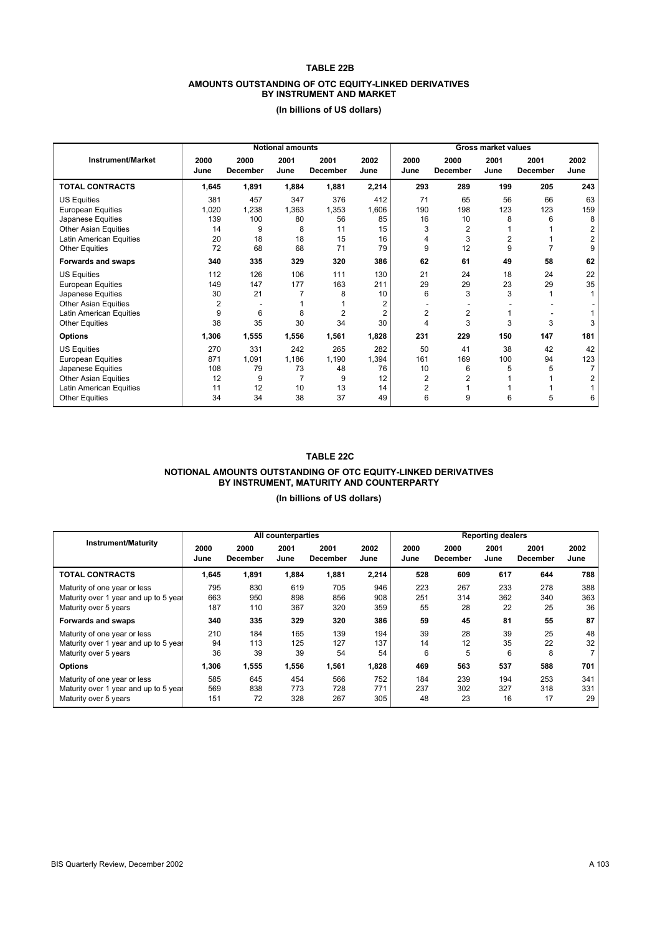## **TABLE 22B AMOUNTS OUTSTANDING OF OTC EQUITY-LINKED DERIVATIVES BY INSTRUMENT AND MARKET**

**(In billions of US dollars)** 

|                             |              |                         | <b>Notional amounts</b> |                         |                |                |                         | <b>Gross market values</b> |                         |                |
|-----------------------------|--------------|-------------------------|-------------------------|-------------------------|----------------|----------------|-------------------------|----------------------------|-------------------------|----------------|
| <b>Instrument/Market</b>    | 2000<br>June | 2000<br><b>December</b> | 2001<br>June            | 2001<br><b>December</b> | 2002<br>June   | 2000<br>June   | 2000<br><b>December</b> | 2001<br>June               | 2001<br><b>December</b> | 2002<br>June   |
| <b>TOTAL CONTRACTS</b>      | 1,645        | 1,891                   | 1,884                   | 1,881                   | 2,214          | 293            | 289                     | 199                        | 205                     | 243            |
| US Equities                 | 381          | 457                     | 347                     | 376                     | 412            | 71             | 65                      | 56                         | 66                      | 63             |
| <b>European Equities</b>    | 1,020        | 1,238                   | 1,363                   | 1,353                   | 1,606          | 190            | 198                     | 123                        | 123                     | 159            |
| Japanese Equities           | 139          | 100                     | 80                      | 56                      | 85             | 16             | 10                      | 8                          | 6                       | 8              |
| <b>Other Asian Equities</b> | 14           | 9                       | 8                       | 11                      | 15             | 3              | $\overline{2}$          |                            |                         | $\overline{2}$ |
| Latin American Equities     | 20           | 18                      | 18                      | 15                      | 16             | 4              | 3                       | $\overline{2}$             |                         | 2              |
| <b>Other Equities</b>       | 72           | 68                      | 68                      | 71                      | 79             | 9              | 12                      | 9                          |                         | 9              |
| <b>Forwards and swaps</b>   | 340          | 335                     | 329                     | 320                     | 386            | 62             | 61                      | 49                         | 58                      | 62             |
| <b>US Equities</b>          | 112          | 126                     | 106                     | 111                     | 130            | 21             | 24                      | 18                         | 24                      | 22             |
| <b>European Equities</b>    | 149          | 147                     | 177                     | 163                     | 211            | 29             | 29                      | 23                         | 29                      | 35             |
| Japanese Equities           | 30           | 21                      |                         | 8                       | 10             | 6              | 3                       | 3                          |                         |                |
| Other Asian Equities        | 2            |                         |                         |                         | 2              |                |                         |                            |                         |                |
| Latin American Equities     | 9            | 6                       | 8                       | 2                       | $\overline{2}$ | $\overline{2}$ | 2                       |                            |                         |                |
| <b>Other Equities</b>       | 38           | 35                      | 30                      | 34                      | 30             | 4              | 3                       | 3                          | 3                       | 3              |
| <b>Options</b>              | 1,306        | 1,555                   | 1,556                   | 1,561                   | 1,828          | 231            | 229                     | 150                        | 147                     | 181            |
| <b>US Equities</b>          | 270          | 331                     | 242                     | 265                     | 282            | 50             | 41                      | 38                         | 42                      | 42             |
| <b>European Equities</b>    | 871          | 1,091                   | 1,186                   | 1,190                   | 1,394          | 161            | 169                     | 100                        | 94                      | 123            |
| Japanese Equities           | 108          | 79                      | 73                      | 48                      | 76             | 10             | 6                       | 5                          | 5                       | 7              |
| <b>Other Asian Equities</b> | 12           | 9                       |                         | 9                       | 12             | $\overline{2}$ | 2                       |                            |                         | $\overline{2}$ |
| Latin American Equities     | 11           | 12                      | 10                      | 13                      | 14             | $\overline{2}$ |                         |                            |                         |                |
| <b>Other Equities</b>       | 34           | 34                      | 38                      | 37                      | 49             | 6              | 9                       | 6                          | 5                       | 6              |

### **TABLE 22C**

#### **NOTIONAL AMOUNTS OUTSTANDING OF OTC EQUITY-LINKED DERIVATIVES BY INSTRUMENT, MATURITY AND COUNTERPARTY**

#### **(In billions of US dollars)**

| <b>Instrument/Maturity</b>            |              | All counterparties      |              |                  | <b>Reporting dealers</b> |              |                         |              |                         |              |
|---------------------------------------|--------------|-------------------------|--------------|------------------|--------------------------|--------------|-------------------------|--------------|-------------------------|--------------|
|                                       | 2000<br>June | 2000<br><b>December</b> | 2001<br>June | 2001<br>December | 2002<br>June             | 2000<br>June | 2000<br><b>December</b> | 2001<br>June | 2001<br><b>December</b> | 2002<br>June |
| <b>TOTAL CONTRACTS</b>                | 1,645        | 1,891                   | 1,884        | 1,881            | 2,214                    | 528          | 609                     | 617          | 644                     | 788          |
| Maturity of one year or less          | 795          | 830                     | 619          | 705              | 946                      | 223          | 267                     | 233          | 278                     | 388          |
| Maturity over 1 year and up to 5 year | 663          | 950                     | 898          | 856              | 908                      | 251          | 314                     | 362          | 340                     | 363          |
| Maturity over 5 years                 | 187          | 110                     | 367          | 320              | 359                      | 55           | 28                      | 22           | 25                      | 36           |
| Forwards and swaps                    | 340          | 335                     | 329          | 320              | 386                      | 59           | 45                      | 81           | 55                      | 87           |
| Maturity of one year or less          | 210          | 184                     | 165          | 139              | 194                      | 39           | 28                      | 39           | 25                      | 48           |
| Maturity over 1 year and up to 5 year | 94           | 113                     | 125          | 127              | 137                      | 14           | 12                      | 35           | 22                      | 32           |
| Maturity over 5 years                 | 36           | 39                      | 39           | 54               | 54                       | 6            | 5                       | 6            | 8                       | 7            |
| <b>Options</b>                        | 1,306        | 1,555                   | 1,556        | 1,561            | 1,828                    | 469          | 563                     | 537          | 588                     | 701          |
| Maturity of one year or less          | 585          | 645                     | 454          | 566              | 752                      | 184          | 239                     | 194          | 253                     | 341          |
| Maturity over 1 year and up to 5 year | 569          | 838                     | 773          | 728              | 771                      | 237          | 302                     | 327          | 318                     | 331          |
| Maturity over 5 years                 | 151          | 72                      | 328          | 267              | 305                      | 48           | 23                      | 16           | 17                      | 29           |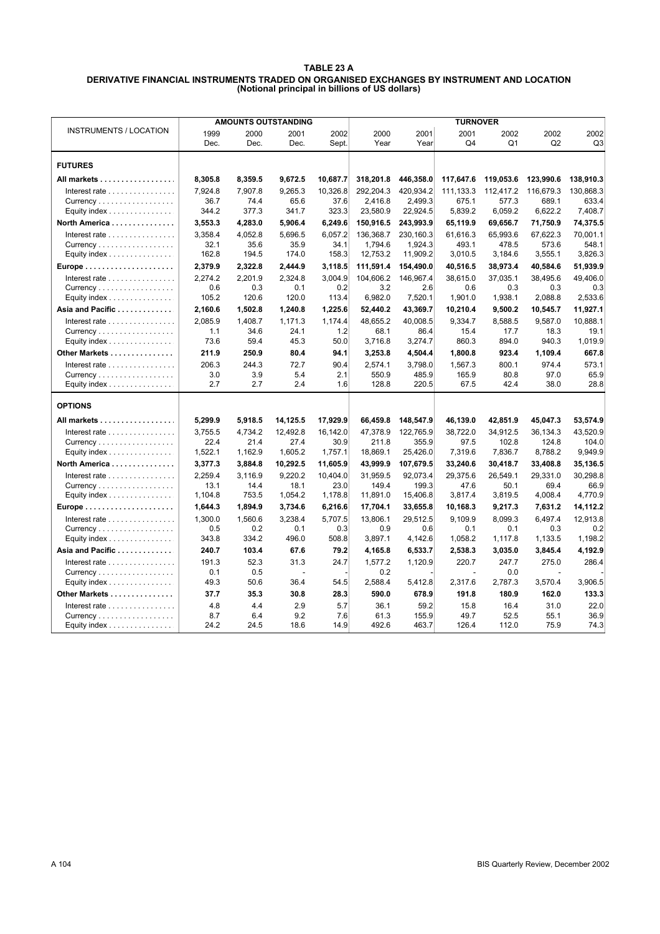#### **TABLE 23 A DERIVATIVE FINANCIAL INSTRUMENTS TRADED ON ORGANISED EXCHANGES BY INSTRUMENT AND LOCATION (Notional principal in billions of US dollars)**

|                                                   | <b>AMOUNTS OUTSTANDING</b> |                |                 |                 | <b>TURNOVER</b>     |                     |                  |                  |                  |                  |  |
|---------------------------------------------------|----------------------------|----------------|-----------------|-----------------|---------------------|---------------------|------------------|------------------|------------------|------------------|--|
| <b>INSTRUMENTS / LOCATION</b>                     | 1999                       | 2000           | 2001            | 2002            | 2000                | 2001                | 2001             | 2002             | 2002             | 2002             |  |
|                                                   | Dec.                       | Dec.           | Dec.            | Sept.           | Year                | Year                | Q <sub>4</sub>   | Q <sub>1</sub>   | Q2               | Q3               |  |
| <b>FUTURES</b>                                    |                            |                |                 |                 |                     |                     |                  |                  |                  |                  |  |
| All markets                                       | 8,305.8                    | 8,359.5        | 9,672.5         | 10,687.7        | 318,201.8           | 446,358.0           | 117,647.6        | 119,053.6        | 123,990.6        | 138,910.3        |  |
| Interest rate                                     | 7,924.8                    | 7,907.8        | 9,265.3         | 10,326.8        | 292,204.3           | 420,934.2           | 111,133.3        | 112,417.2        | 116,679.3        | 130,868.3        |  |
|                                                   | 36.7                       | 74.4           | 65.6            | 37.6            | 2,416.8             | 2,499.3             | 675.1            | 577.3            | 689.1            | 633.4            |  |
| Equity index                                      | 344.2                      | 377.3          | 341.7           | 323.3           | 23,580.9            | 22,924.5            | 5,839.2          | 6,059.2          | 6,622.2          | 7,408.7          |  |
| North America                                     | 3,553.3                    | 4,283.0        | 5,906.4         | 6,249.6         | 150,916.5           | 243,993.9           | 65,119.9         | 69,656.7         | 71,750.9         | 74,375.5         |  |
| Interest rate $\ldots \ldots \ldots \ldots$       | 3.358.4                    | 4.052.8        | 5.696.5         | 6.057.2         | 136.368.7           | 230.160.3           | 61.616.3         | 65.993.6         | 67.622.3         | 70.001.1         |  |
| $Current:$                                        | 32.1<br>162.8              | 35.6<br>194.5  | 35.9<br>174.0   | 34.1<br>158.3   | 1,794.6<br>12,753.2 | 1,924.3<br>11,909.2 | 493.1<br>3,010.5 | 478.5<br>3,184.6 | 573.6<br>3,555.1 | 548.1<br>3,826.3 |  |
| Equity index                                      |                            |                |                 |                 |                     |                     |                  |                  |                  |                  |  |
|                                                   | 2,379.9                    | 2,322.8        | 2,444.9         | 3,118.5         | 111,591.4           | 154,490.0           | 40,516.5         | 38,973.4         | 40,584.6         | 51,939.9         |  |
| Interest rate                                     | 2.274.2<br>0.6             | 2.201.9<br>0.3 | 2.324.8<br>0.1  | 3.004.9<br>0.2  | 104.606.2<br>3.2    | 146.967.4<br>2.6    | 38.615.0<br>0.6  | 37.035.1<br>0.3  | 38.495.6<br>0.3  | 49.406.0<br>0.3  |  |
| Equity index                                      | 105.2                      | 120.6          | 120.0           | 113.4           | 6,982.0             | 7,520.1             | 1,901.0          | 1,938.1          | 2,088.8          | 2,533.6          |  |
| Asia and Pacific                                  | 2,160.6                    | 1,502.8        | 1,240.8         | 1,225.6         | 52,440.2            | 43,369.7            | 10,210.4         | 9,500.2          | 10,545.7         | 11,927.1         |  |
| Interest rate                                     | 2,085.9                    | 1,408.7        | 1,171.3         | 1,174.4         | 48,655.2            | 40,008.5            | 9,334.7          | 8,588.5          | 9,587.0          | 10,888.1         |  |
| Currency                                          | 1.1                        | 34.6           | 24.1            | 1.2             | 68.1                | 86.4                | 15.4             | 17.7             | 18.3             | 19.1             |  |
| Equity index $\ldots \ldots \ldots \ldots \ldots$ | 73.6                       | 59.4           | 45.3            | 50.0            | 3,716.8             | 3,274.7             | 860.3            | 894.0            | 940.3            | 1,019.9          |  |
| Other Markets                                     | 211.9                      | 250.9          | 80.4            | 94.1            | 3,253.8             | 4,504.4             | 1,800.8          | 923.4            | 1,109.4          | 667.8            |  |
| Interest rate                                     | 206.3                      | 244.3          | 72.7            | 90.4            | 2.574.1             | 3.798.0             | 1,567.3          | 800.1            | 974.4            | 573.1            |  |
| Currency                                          | 3.0                        | 3.9            | 5.4             | 2.1             | 550.9               | 485.9               | 165.9            | 80.8             | 97.0             | 65.9             |  |
| Equity index $\ldots \ldots \ldots \ldots \ldots$ | 2.7                        | 2.7            | 2.4             | 1.6             | 128.8               | 220.5               | 67.5             | 42.4             | 38.0             | 28.8             |  |
| <b>OPTIONS</b>                                    |                            |                |                 |                 |                     |                     |                  |                  |                  |                  |  |
| All markets                                       | 5,299.9                    | 5,918.5        | 14,125.5        | 17,929.9        | 66,459.8            | 148,547.9           | 46,139.0         | 42,851.9         | 45,047.3         | 53,574.9         |  |
| Interest rate                                     | 3,755.5                    | 4,734.2        | 12,492.8        | 16.142.0        | 47,378.9            | 122,765.9           | 38,722.0         | 34,912.5         | 36,134.3         | 43,520.9         |  |
| Currency                                          | 22.4                       | 21.4           | 27.4            | 30.9            | 211.8               | 355.9               | 97.5             | 102.8            | 124.8            | 104.0            |  |
| Equity index                                      | 1,522.1                    | 1,162.9        | 1,605.2         | 1,757.1         | 18,869.1            | 25,426.0            | 7,319.6          | 7,836.7          | 8,788.2          | 9,949.9          |  |
| North America                                     | 3,377.3                    | 3,884.8        | 10,292.5        | 11,605.9        | 43,999.9            | 107,679.5           | 33,240.6         | 30,418.7         | 33,408.8         | 35,136.5         |  |
| Interest rate                                     | 2,259.4                    | 3,116.9        | 9,220.2         | 10,404.0        | 31,959.5            | 92,073.4            | 29,375.6         | 26,549.1         | 29,331.0         | 30,298.8         |  |
| Currency<br>Equity index                          | 13.1<br>1,104.8            | 14.4<br>753.5  | 18.1<br>1,054.2 | 23.0<br>1,178.8 | 149.4<br>11,891.0   | 199.3<br>15,406.8   | 47.6<br>3,817.4  | 50.1<br>3,819.5  | 69.4<br>4,008.4  | 66.9<br>4,770.9  |  |
|                                                   | 1,644.3                    | 1,894.9        | 3,734.6         | 6,216.6         | 17,704.1            | 33,655.8            | 10,168.3         | 9,217.3          | 7,631.2          | 14,112.2         |  |
| Interest rate $\ldots \ldots \ldots \ldots$       | 1.300.0                    | 1.560.6        | 3.238.4         | 5.707.5         | 13.806.1            | 29.512.5            | 9.109.9          | 8.099.3          | 6.497.4          | 12.913.8         |  |
| Current:                                          | 0.5                        | 0.2            | 0.1             | 0.3             | 0.9                 | 0.6                 | 0.1              | 0.1              | 0.3              | 0.2              |  |
| Equity index                                      | 343.8                      | 334.2          | 496.0           | 508.8           | 3,897.1             | 4,142.6             | 1,058.2          | 1,117.8          | 1,133.5          | 1,198.2          |  |
| Asia and Pacific                                  | 240.7                      | 103.4          | 67.6            | 79.2            | 4,165.8             | 6,533.7             | 2,538.3          | 3,035.0          | 3,845.4          | 4,192.9          |  |
| Interest rate                                     | 191.3                      | 52.3           | 31.3            | 24.7            | 1.577.2             | 1,120.9             | 220.7            | 247.7            | 275.0            | 286.4            |  |
|                                                   | 0.1                        | 0.5            |                 |                 | 0.2                 |                     |                  | 0.0              |                  |                  |  |
| Equity index                                      | 49.3                       | 50.6           | 36.4            | 54.5            | 2,588.4             | 5,412.8             | 2,317.6          | 2,787.3          | 3,570.4          | 3,906.5          |  |
| Other Markets                                     | 37.7                       | 35.3           | 30.8            | 28.3            | 590.0               | 678.9               | 191.8            | 180.9            | 162.0            | 133.3            |  |
| Interest rate                                     | 4.8<br>8.7                 | 4.4<br>6.4     | 2.9<br>9.2      | 5.7<br>7.6      | 36.1<br>61.3        | 59.2<br>155.9       | 15.8<br>49.7     | 16.4<br>52.5     | 31.0<br>55.1     | 22.0<br>36.9     |  |
| Equity index                                      | 24.2                       | 24.5           | 18.6            | 14.9            | 492.6               | 463.7               | 126.4            | 112.0            | 75.9             | 74.3             |  |
|                                                   |                            |                |                 |                 |                     |                     |                  |                  |                  |                  |  |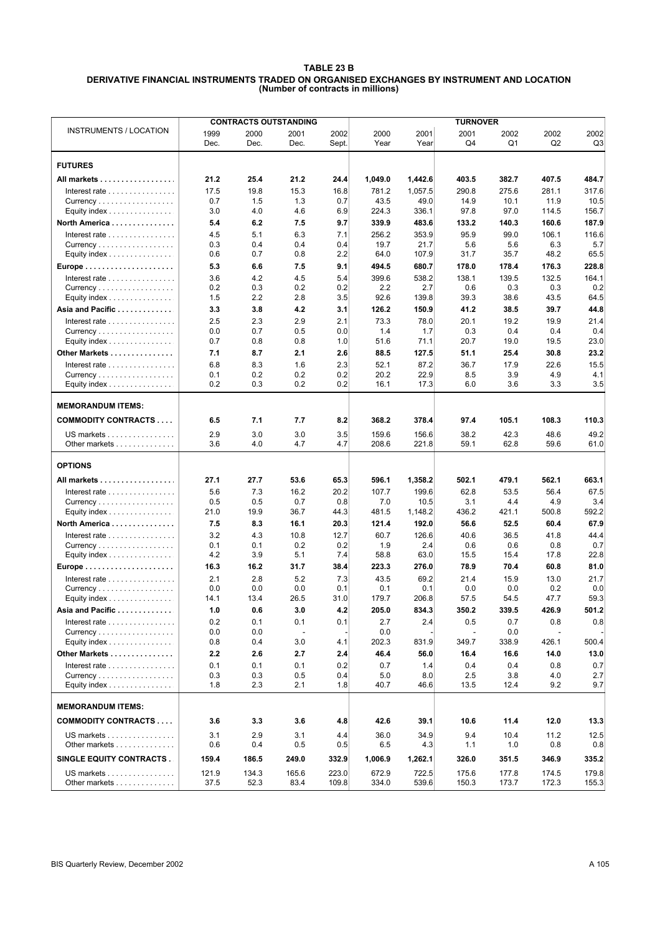#### **TABLE 23 B DERIVATIVE FINANCIAL INSTRUMENTS TRADED ON ORGANISED EXCHANGES BY INSTRUMENT AND LOCATION (Number of contracts in millions)**

|                                                               |              | <b>CONTRACTS OUTSTANDING</b> |                |               | <b>TURNOVER</b> |              |                        |                |                |               |  |
|---------------------------------------------------------------|--------------|------------------------------|----------------|---------------|-----------------|--------------|------------------------|----------------|----------------|---------------|--|
| INSTRUMENTS / LOCATION                                        | 1999<br>Dec. | 2000<br>Dec.                 | 2001<br>Dec.   | 2002<br>Sept. | 2000<br>Year    | 2001<br>Year | 2001<br>Q <sub>4</sub> | 2002<br>Q1     | 2002<br>Q2     | 2002<br>Q3    |  |
| <b>FUTURES</b>                                                |              |                              |                |               |                 |              |                        |                |                |               |  |
| All markets                                                   | 21.2         | 25.4                         | 21.2           | 24.4          | 1,049.0         | 1,442.6      | 403.5                  | 382.7          | 407.5          | 484.7         |  |
| Interest rate $\ldots \ldots \ldots \ldots$                   | 17.5         | 19.8                         | 15.3           | 16.8          | 781.2           | 1,057.5      | 290.8                  | 275.6          | 281.1          | 317.6         |  |
| Currency                                                      | 0.7          | 1.5                          | 1.3            | 0.7           | 43.5            | 49.0         | 14.9                   | 10.1           | 11.9           | 10.5          |  |
| Equity index                                                  | 3.0          | 4.0                          | 4.6            | 6.9           | 224.3           | 336.1        | 97.8                   | 97.0           | 114.5          | 156.7         |  |
| North America                                                 | 5.4          | 6.2                          | 7.5            | 9.7           | 339.9           | 483.6        | 133.2                  | 140.3          | 160.6          | 187.9         |  |
| Interest rate $\ldots \ldots \ldots \ldots$                   | 4.5          | 5.1                          | 6.3            | 7.1           | 256.2           | 353.9        | 95.9                   | 99.0           | 106.1          | 116.6         |  |
| Currency                                                      | 0.3<br>0.6   | 0.4<br>0.7                   | 0.4            | 0.4<br>2.2    | 19.7<br>64.0    | 21.7         | 5.6                    | 5.6            | 6.3<br>48.2    | 5.7           |  |
| Equity index                                                  | 5.3          |                              | 0.8            |               |                 | 107.9        | 31.7                   | 35.7           |                | 65.5<br>228.8 |  |
|                                                               |              | 6.6                          | 7.5<br>4.5     | 9.1<br>5.4    | 494.5<br>399.6  | 680.7        | 178.0<br>138.1         | 178.4<br>139.5 | 176.3<br>132.5 | 164.1         |  |
| Interest rate<br>Currency                                     | 3.6<br>0.2   | 4.2<br>0.3                   | 0.2            | 0.2           | 2.2             | 538.2<br>2.7 | 0.6                    | 0.3            | 0.3            | 0.2           |  |
| Equity index                                                  | 1.5          | 2.2                          | 2.8            | 3.5           | 92.6            | 139.8        | 39.3                   | 38.6           | 43.5           | 64.5          |  |
| Asia and Pacific                                              | 3.3          | 3.8                          | 4.2            | 3.1           | 126.2           | 150.9        | 41.2                   | 38.5           | 39.7           | 44.8          |  |
| Interest rate $\ldots \ldots \ldots \ldots$                   | 2.5          | 2.3                          | 2.9            | 2.1           | 73.3            | 78.0         | 20.1                   | 19.2           | 19.9           | 21.4          |  |
| Currency                                                      | 0.0          | 0.7                          | 0.5            | 0.0           | 1.4             | 1.7          | 0.3                    | 0.4            | 0.4            | 0.4           |  |
| Equity index                                                  | 0.7          | 0.8                          | 0.8            | 1.0           | 51.6            | 71.1         | 20.7                   | 19.0           | 19.5           | 23.0          |  |
| Other Markets                                                 | 7.1          | 8.7                          | 2.1            | 2.6           | 88.5            | 127.5        | 51.1                   | 25.4           | 30.8           | 23.2          |  |
| Interest rate $\ldots \ldots \ldots \ldots$                   | 6.8          | 8.3                          | 1.6            | 2.3           | 52.1            | 87.2         | 36.7                   | 17.9           | 22.6           | 15.5          |  |
| Currency                                                      | 0.1          | 0.2                          | 0.2            | 0.2           | 20.2            | 22.9         | 8.5                    | 3.9            | 4.9            | 4.1           |  |
| Equity index                                                  | 0.2          | 0.3                          | 0.2            | 0.2           | 16.1            | 17.3         | 6.0                    | 3.6            | 3.3            | 3.5           |  |
| <b>MEMORANDUM ITEMS:</b>                                      |              |                              |                |               |                 |              |                        |                |                |               |  |
| <b>COMMODITY CONTRACTS</b>                                    | 6.5          | 7.1                          | 7.7            | 8.2           | 368.2           | 378.4        | 97.4                   | 105.1          | 108.3          | 110.3         |  |
| US markets                                                    | 2.9          | 3.0                          | 3.0            | 3.5           | 159.6           | 156.6        | 38.2                   | 42.3           | 48.6           | 49.2          |  |
| Other markets                                                 | 3.6          | 4.0                          | 4.7            | 4.7           | 208.6           | 221.8        | 59.1                   | 62.8           | 59.6           | 61.0          |  |
| <b>OPTIONS</b>                                                |              |                              |                |               |                 |              |                        |                |                |               |  |
| All markets                                                   | 27.1         | 27.7                         | 53.6           | 65.3          | 596.1           | 1,358.2      | 502.1                  | 479.1          | 562.1          | 663.1         |  |
| Interest rate                                                 | 5.6          | 7.3                          | 16.2           | 20.2          | 107.7           | 199.6        | 62.8                   | 53.5           | 56.4           | 67.5          |  |
| Currency                                                      | 0.5          | 0.5                          | 0.7            | 0.8           | 7.0             | 10.5         | 3.1                    | 4.4            | 4.9            | 3.4           |  |
| Equity index                                                  | 21.0         | 19.9                         | 36.7           | 44.3          | 481.5           | 1,148.2      | 436.2                  | 421.1          | 500.8          | 592.2         |  |
| North America                                                 | 7.5          | 8.3                          | 16.1           | 20.3          | 121.4           | 192.0        | 56.6                   | 52.5           | 60.4           | 67.9          |  |
| Interest rate $\ldots \ldots \ldots \ldots$<br>Currency       | 3.2<br>0.1   | 4.3<br>0.1                   | 10.8<br>0.2    | 12.7<br>0.2   | 60.7<br>1.9     | 126.6<br>2.4 | 40.6<br>0.6            | 36.5<br>0.6    | 41.8<br>0.8    | 44.4<br>0.7   |  |
| Equity index                                                  | 4.2          | 3.9                          | 5.1            | 7.4           | 58.8            | 63.0         | 15.5                   | 15.4           | 17.8           | 22.8          |  |
|                                                               | 16.3         | 16.2                         | 31.7           | 38.4          | 223.3           | 276.0        | 78.9                   | 70.4           | 60.8           | 81.0          |  |
| Interest rate                                                 | 2.1          | 2.8                          | 5.2            | 7.3           | 43.5            | 69.2         | 21.4                   | 15.9           | 13.0           | 21.7          |  |
| Currency                                                      | 0.0          | 0.0                          | 0.0            | 0.1           | 0.1             | 0.1          | 0.0                    | 0.0            | 0.2            | 0.0           |  |
| Equity index $\ldots \ldots \ldots \ldots \ldots$             | 14.1         | 13.4                         | 26.5           | 31.0          | 179.7           | 206.8        | 57.5                   | 54.5           | 47.7           | 59.3          |  |
| Asia and Pacific                                              | 1.0          | 0.6                          | 3.0            | 4.2           | 205.0           | 834.3        | 350.2                  | 339.5          | 426.9          | 501.2         |  |
| Interest rate                                                 | 0.2          | 0.1                          | 0.1            | 0.1           | 2.7             | 2.4          | 0.5                    | 0.7            | 0.8            | 0.8           |  |
| Currency                                                      | 0.0          | 0.0                          | $\overline{a}$ |               | 0.0             |              |                        | 0.0            |                |               |  |
| Equity index                                                  | 0.8          | 0.4                          | 3.0            | 4.1           | 202.3           | 831.9        | 349.7                  | 338.9          | 426.1          | 500.4         |  |
| Other Markets                                                 | 2.2          | 2.6                          | 2.7            | 2.4           | 46.4            | 56.0         | 16.4                   | 16.6           | 14.0           | 13.0          |  |
| Interest rate                                                 | 0.1          | 0.1                          | 0.1            | 0.2           | 0.7             | 1.4          | 0.4                    | 0.4            | 0.8            | 0.7           |  |
| Currency<br>Equity index $\ldots \ldots \ldots \ldots \ldots$ | 0.3<br>1.8   | 0.3<br>2.3                   | 0.5<br>2.1     | 0.4<br>1.8    | 5.0<br>40.7     | 8.0<br>46.6  | 2.5<br>13.5            | 3.8<br>12.4    | 4.0<br>9.2     | 2.7<br>9.7    |  |
|                                                               |              |                              |                |               |                 |              |                        |                |                |               |  |
| <b>MEMORANDUM ITEMS:</b><br><b>COMMODITY CONTRACTS</b>        | 3.6          | 3.3                          | 3.6            | 4.8           | 42.6            | 39.1         | 10.6                   | 11.4           | 12.0           | 13.3          |  |
| US markets                                                    | 3.1          | 2.9                          | 3.1            | 4.4           | 36.0            | 34.9         | 9.4                    | 10.4           | 11.2           | 12.5          |  |
| Other markets                                                 | 0.6          | 0.4                          | 0.5            | 0.5           | 6.5             | 4.3          | 1.1                    | 1.0            | 0.8            | 0.8           |  |
| SINGLE EQUITY CONTRACTS.                                      | 159.4        | 186.5                        | 249.0          | 332.9         | 1,006.9         | 1,262.1      | 326.0                  | 351.5          | 346.9          | 335.2         |  |
| US markets                                                    | 121.9        | 134.3                        | 165.6          | 223.0         | 672.9           | 722.5        | 175.6                  | 177.8          | 174.5          | 179.8         |  |
| Other markets                                                 | 37.5         | 52.3                         | 83.4           | 109.8         | 334.0           | 539.6        | 150.3                  | 173.7          | 172.3          | 155.3         |  |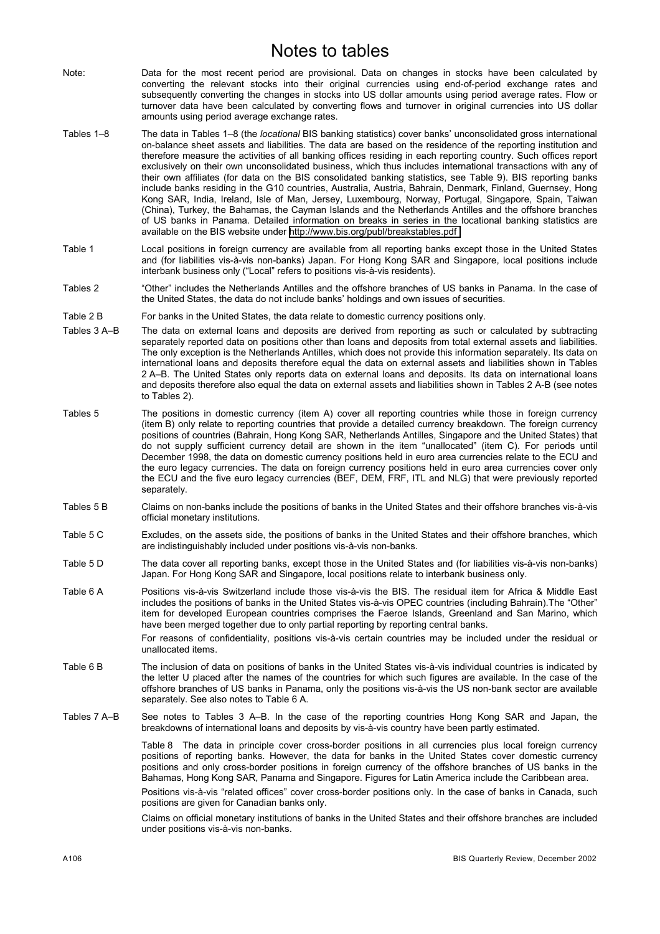# Notes to tables

- Note: Data for the most recent period are provisional. Data on changes in stocks have been calculated by converting the relevant stocks into their original currencies using end-of-period exchange rates and subsequently converting the changes in stocks into US dollar amounts using period average rates. Flow or turnover data have been calculated by converting flows and turnover in original currencies into US dollar amounts using period average exchange rates.
- Tables 1–8 The data in Tables 1–8 (the *locational* BIS banking statistics) cover banks' unconsolidated gross international on-balance sheet assets and liabilities. The data are based on the residence of the reporting institution and therefore measure the activities of all banking offices residing in each reporting country. Such offices report exclusively on their own unconsolidated business, which thus includes international transactions with any of their own affiliates (for data on the BIS consolidated banking statistics, see Table 9). BIS reporting banks include banks residing in the G10 countries, Australia, Austria, Bahrain, Denmark, Finland, Guernsey, Hong Kong SAR, India, Ireland, Isle of Man, Jersey, Luxembourg, Norway, Portugal, Singapore, Spain, Taiwan (China), Turkey, the Bahamas, the Cayman Islands and the Netherlands Antilles and the offshore branches of US banks in Panama. Detailed information on breaks in series in the locational banking statistics are available on the BIS website under [http://www.bis.org/publ/breakstables.pdf .](http://www.bis.org/publ/breakstables.pdf)
- Table 1 Local positions in foreign currency are available from all reporting banks except those in the United States and (for liabilities vis-à-vis non-banks) Japan. For Hong Kong SAR and Singapore, local positions include interbank business only ("Local" refers to positions vis-à-vis residents).
- Tables 2 <sup>"</sup>Other" includes the Netherlands Antilles and the offshore branches of US banks in Panama. In the case of the United States, the data do not include banks' holdings and own issues of securities.
- Table 2 B For banks in the United States, the data relate to domestic currency positions only.
- Tables 3 A–B The data on external loans and deposits are derived from reporting as such or calculated by subtracting separately reported data on positions other than loans and deposits from total external assets and liabilities. The only exception is the Netherlands Antilles, which does not provide this information separately. Its data on international loans and deposits therefore equal the data on external assets and liabilities shown in Tables 2 A-B. The United States only reports data on external loans and deposits. Its data on international loans and deposits therefore also equal the data on external assets and liabilities shown in Tables 2 A-B (see notes to Tables 2).
- Tables 5 The positions in domestic currency (item A) cover all reporting countries while those in foreign currency (item B) only relate to reporting countries that provide a detailed currency breakdown. The foreign currency positions of countries (Bahrain, Hong Kong SAR, Netherlands Antilles, Singapore and the United States) that do not supply sufficient currency detail are shown in the item "unallocated" (item C). For periods until December 1998, the data on domestic currency positions held in euro area currencies relate to the ECU and the euro legacy currencies. The data on foreign currency positions held in euro area currencies cover only the ECU and the five euro legacy currencies (BEF, DEM, FRF, ITL and NLG) that were previously reported separately.
- Tables 5 B Claims on non-banks include the positions of banks in the United States and their offshore branches vis-à-vis official monetary institutions.
- Table 5 C Excludes, on the assets side, the positions of banks in the United States and their offshore branches, which are indistinguishably included under positions vis-à-vis non-banks.
- Table 5 D The data cover all reporting banks, except those in the United States and (for liabilities vis-à-vis non-banks) Japan. For Hong Kong SAR and Singapore, local positions relate to interbank business only.
- Table 6 A Positions vis-à-vis Switzerland include those vis-à-vis the BIS. The residual item for Africa & Middle East includes the positions of banks in the United States vis-à-vis OPEC countries (including Bahrain).The "Other" item for developed European countries comprises the Faeroe Islands, Greenland and San Marino, which have been merged together due to only partial reporting by reporting central banks.

For reasons of confidentiality, positions vis-à-vis certain countries may be included under the residual or unallocated items.

- Table 6 B The inclusion of data on positions of banks in the United States vis-à-vis individual countries is indicated by the letter U placed after the names of the countries for which such figures are available. In the case of the offshore branches of US banks in Panama, only the positions vis-à-vis the US non-bank sector are available separately. See also notes to Table 6 A.
- Tables 7 A–B See notes to Tables 3 A–B. In the case of the reporting countries Hong Kong SAR and Japan, the breakdowns of international loans and deposits by vis-à-vis country have been partly estimated.

Table 8 The data in principle cover cross-border positions in all currencies plus local foreign currency positions of reporting banks. However, the data for banks in the United States cover domestic currency positions and only cross-border positions in foreign currency of the offshore branches of US banks in the Bahamas, Hong Kong SAR, Panama and Singapore. Figures for Latin America include the Caribbean area.

Positions vis-à-vis "related offices" cover cross-border positions only. In the case of banks in Canada, such positions are given for Canadian banks only.

Claims on official monetary institutions of banks in the United States and their offshore branches are included under positions vis-à-vis non-banks.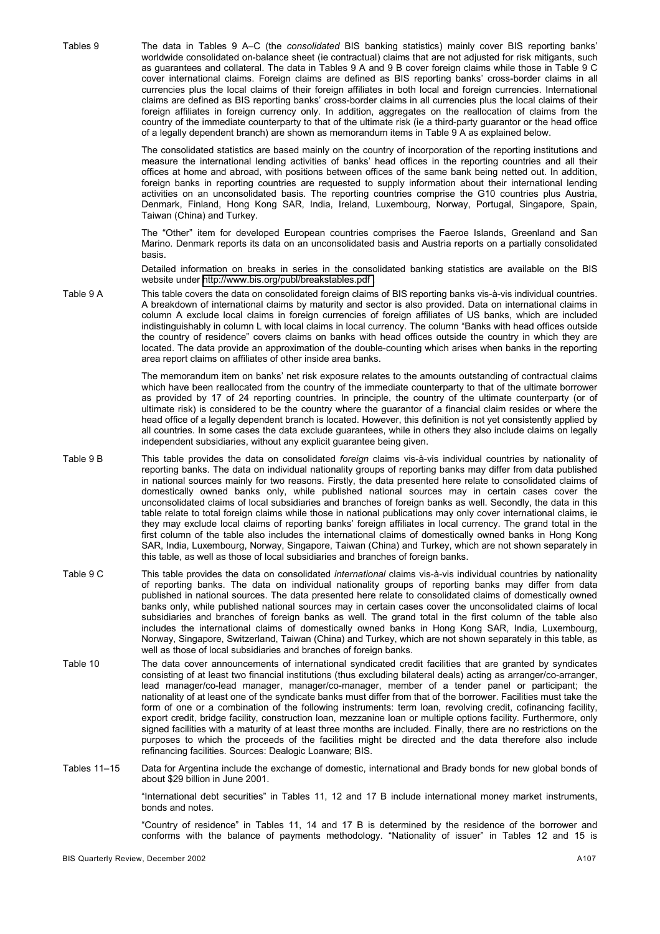Tables 9 The data in Tables 9 A–C (the *consolidated* BIS banking statistics) mainly cover BIS reporting banks' worldwide consolidated on-balance sheet (ie contractual) claims that are not adjusted for risk mitigants, such as guarantees and collateral. The data in Tables 9 A and 9 B cover foreign claims while those in Table 9 C cover international claims. Foreign claims are defined as BIS reporting banks' cross-border claims in all currencies plus the local claims of their foreign affiliates in both local and foreign currencies. International claims are defined as BIS reporting banksí cross-border claims in all currencies plus the local claims of their foreign affiliates in foreign currency only. In addition, aggregates on the reallocation of claims from the country of the immediate counterparty to that of the ultimate risk (ie a third-party guarantor or the head office of a legally dependent branch) are shown as memorandum items in Table 9 A as explained below. The consolidated statistics are based mainly on the country of incorporation of the reporting institutions and measure the international lending activities of banks' head offices in the reporting countries and all their offices at home and abroad, with positions between offices of the same bank being netted out. In addition, foreign banks in reporting countries are requested to supply information about their international lending activities on an unconsolidated basis. The reporting countries comprise the G10 countries plus Austria, Denmark, Finland, Hong Kong SAR, India, Ireland, Luxembourg, Norway, Portugal, Singapore, Spain, Taiwan (China) and Turkey. The "Other" item for developed European countries comprises the Faeroe Islands, Greenland and San Marino. Denmark reports its data on an unconsolidated basis and Austria reports on a partially consolidated basis. Detailed information on breaks in series in the consolidated banking statistics are available on the BIS website under [http://www.bis.org/publ/breakstables.pdf .](http://www.bis.org/publ/breakstables.pdf) Table 9 A This table covers the data on consolidated foreign claims of BIS reporting banks vis-à-vis individual countries. A breakdown of international claims by maturity and sector is also provided. Data on international claims in column A exclude local claims in foreign currencies of foreign affiliates of US banks, which are included indistinguishably in column L with local claims in local currency. The column "Banks with head offices outside the country of residenceî covers claims on banks with head offices outside the country in which they are located. The data provide an approximation of the double-counting which arises when banks in the reporting area report claims on affiliates of other inside area banks. The memorandum item on banks' net risk exposure relates to the amounts outstanding of contractual claims which have been reallocated from the country of the immediate counterparty to that of the ultimate borrower as provided by 17 of 24 reporting countries. In principle, the country of the ultimate counterparty (or of ultimate risk) is considered to be the country where the guarantor of a financial claim resides or where the head office of a legally dependent branch is located. However, this definition is not yet consistently applied by all countries. In some cases the data exclude guarantees, while in others they also include claims on legally independent subsidiaries, without any explicit guarantee being given. Table 9 B This table provides the data on consolidated *foreign* claims vis-à-vis individual countries by nationality of reporting banks. The data on individual nationality groups of reporting banks may differ from data published in national sources mainly for two reasons. Firstly, the data presented here relate to consolidated claims of domestically owned banks only, while published national sources may in certain cases cover the unconsolidated claims of local subsidiaries and branches of foreign banks as well. Secondly, the data in this table relate to total foreign claims while those in national publications may only cover international claims, ie they may exclude local claims of reporting banks' foreign affiliates in local currency. The grand total in the first column of the table also includes the international claims of domestically owned banks in Hong Kong SAR, India, Luxembourg, Norway, Singapore, Taiwan (China) and Turkey, which are not shown separately in this table, as well as those of local subsidiaries and branches of foreign banks.

- Table 9 C This table provides the data on consolidated *international* claims vis-à-vis individual countries by nationality of reporting banks. The data on individual nationality groups of reporting banks may differ from data published in national sources. The data presented here relate to consolidated claims of domestically owned banks only, while published national sources may in certain cases cover the unconsolidated claims of local subsidiaries and branches of foreign banks as well. The grand total in the first column of the table also includes the international claims of domestically owned banks in Hong Kong SAR, India, Luxembourg, Norway, Singapore, Switzerland, Taiwan (China) and Turkey, which are not shown separately in this table, as well as those of local subsidiaries and branches of foreign banks.
- Table 10 The data cover announcements of international syndicated credit facilities that are granted by syndicates consisting of at least two financial institutions (thus excluding bilateral deals) acting as arranger/co-arranger, lead manager/co-lead manager, manager/co-manager, member of a tender panel or participant; the nationality of at least one of the syndicate banks must differ from that of the borrower. Facilities must take the form of one or a combination of the following instruments: term loan, revolving credit, cofinancing facility, export credit, bridge facility, construction loan, mezzanine loan or multiple options facility. Furthermore, only signed facilities with a maturity of at least three months are included. Finally, there are no restrictions on the purposes to which the proceeds of the facilities might be directed and the data therefore also include refinancing facilities. Sources: Dealogic Loanware; BIS.

Tables 11-15 Data for Argentina include the exchange of domestic, international and Brady bonds for new global bonds of about \$29 billion in June 2001.

> "International debt securities" in Tables 11, 12 and 17 B include international money market instruments, bonds and notes.

> ìCountry of residenceî in Tables 11, 14 and 17 B is determined by the residence of the borrower and conforms with the balance of payments methodology. "Nationality of issuer" in Tables 12 and 15 is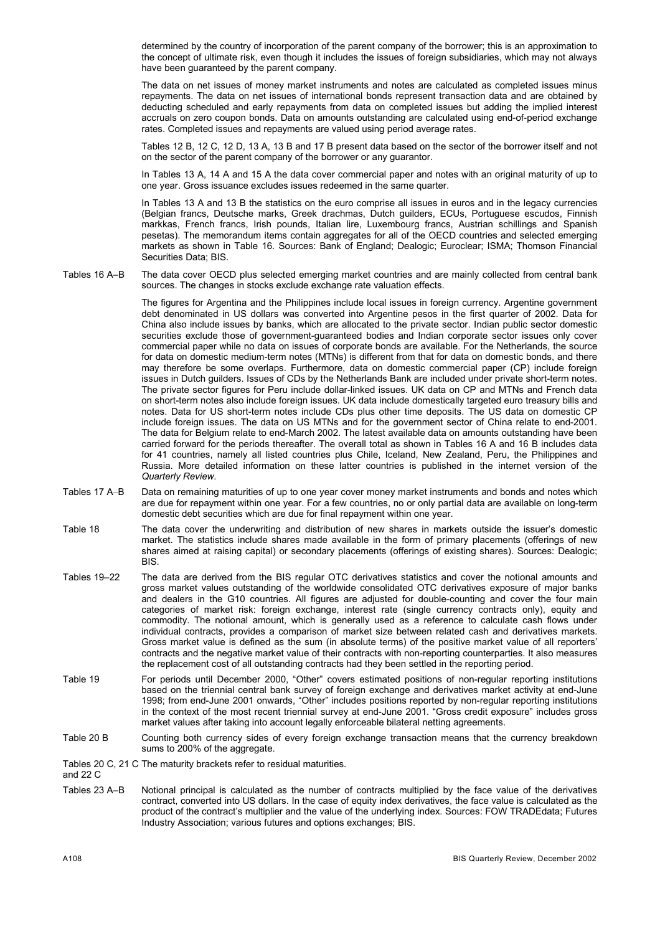determined by the country of incorporation of the parent company of the borrower; this is an approximation to the concept of ultimate risk, even though it includes the issues of foreign subsidiaries, which may not always have been guaranteed by the parent company.

The data on net issues of money market instruments and notes are calculated as completed issues minus repayments. The data on net issues of international bonds represent transaction data and are obtained by deducting scheduled and early repayments from data on completed issues but adding the implied interest accruals on zero coupon bonds. Data on amounts outstanding are calculated using end-of-period exchange rates. Completed issues and repayments are valued using period average rates.

Tables 12 B, 12 C, 12 D, 13 A, 13 B and 17 B present data based on the sector of the borrower itself and not on the sector of the parent company of the borrower or any guarantor.

In Tables 13 A, 14 A and 15 A the data cover commercial paper and notes with an original maturity of up to one year. Gross issuance excludes issues redeemed in the same quarter.

In Tables 13 A and 13 B the statistics on the euro comprise all issues in euros and in the legacy currencies (Belgian francs, Deutsche marks, Greek drachmas, Dutch guilders, ECUs, Portuguese escudos, Finnish markkas, French francs, Irish pounds, Italian lire, Luxembourg francs, Austrian schillings and Spanish pesetas). The memorandum items contain aggregates for all of the OECD countries and selected emerging markets as shown in Table 16. Sources: Bank of England; Dealogic; Euroclear; ISMA; Thomson Financial Securities Data; BIS.

Tables 16 A-B The data cover OECD plus selected emerging market countries and are mainly collected from central bank sources. The changes in stocks exclude exchange rate valuation effects.

> The figures for Argentina and the Philippines include local issues in foreign currency. Argentine government debt denominated in US dollars was converted into Argentine pesos in the first quarter of 2002. Data for China also include issues by banks, which are allocated to the private sector. Indian public sector domestic securities exclude those of government-guaranteed bodies and Indian corporate sector issues only cover commercial paper while no data on issues of corporate bonds are available. For the Netherlands, the source for data on domestic medium-term notes (MTNs) is different from that for data on domestic bonds, and there may therefore be some overlaps. Furthermore, data on domestic commercial paper (CP) include foreign issues in Dutch guilders. Issues of CDs by the Netherlands Bank are included under private short-term notes. The private sector figures for Peru include dollar-linked issues. UK data on CP and MTNs and French data on short-term notes also include foreign issues. UK data include domestically targeted euro treasury bills and notes. Data for US short-term notes include CDs plus other time deposits. The US data on domestic CP include foreign issues. The data on US MTNs and for the government sector of China relate to end-2001. The data for Belgium relate to end-March 2002. The latest available data on amounts outstanding have been carried forward for the periods thereafter. The overall total as shown in Tables 16 A and 16 B includes data for 41 countries, namely all listed countries plus Chile, Iceland, New Zealand, Peru, the Philippines and Russia. More detailed information on these latter countries is published in the internet version of the *Quarterly Review*.

- Tables 17 A-B Data on remaining maturities of up to one year cover money market instruments and bonds and notes which are due for repayment within one year. For a few countries, no or only partial data are available on long-term domestic debt securities which are due for final repayment within one year.
- Table 18 The data cover the underwriting and distribution of new shares in markets outside the issuer's domestic market. The statistics include shares made available in the form of primary placements (offerings of new shares aimed at raising capital) or secondary placements (offerings of existing shares). Sources: Dealogic; BIS.
- Tables 19-22 The data are derived from the BIS regular OTC derivatives statistics and cover the notional amounts and gross market values outstanding of the worldwide consolidated OTC derivatives exposure of major banks and dealers in the G10 countries. All figures are adjusted for double-counting and cover the four main categories of market risk: foreign exchange, interest rate (single currency contracts only), equity and commodity. The notional amount, which is generally used as a reference to calculate cash flows under individual contracts, provides a comparison of market size between related cash and derivatives markets. Gross market value is defined as the sum (in absolute terms) of the positive market value of all reportersí contracts and the negative market value of their contracts with non-reporting counterparties. It also measures the replacement cost of all outstanding contracts had they been settled in the reporting period.
- Table 19 For periods until December 2000, "Other" covers estimated positions of non-regular reporting institutions based on the triennial central bank survey of foreign exchange and derivatives market activity at end-June 1998; from end-June 2001 onwards, "Other" includes positions reported by non-regular reporting institutions in the context of the most recent triennial survey at end-June 2001. "Gross credit exposure" includes gross market values after taking into account legally enforceable bilateral netting agreements.
- Table 20 B Counting both currency sides of every foreign exchange transaction means that the currency breakdown sums to 200% of the aggregate.

Tables 20 C, 21 C The maturity brackets refer to residual maturities.

and  $22 \, C$ 

Tables 23 A-B Notional principal is calculated as the number of contracts multiplied by the face value of the derivatives contract, converted into US dollars. In the case of equity index derivatives, the face value is calculated as the product of the contract's multiplier and the value of the underlying index. Sources: FOW TRADEdata; Futures Industry Association; various futures and options exchanges; BIS.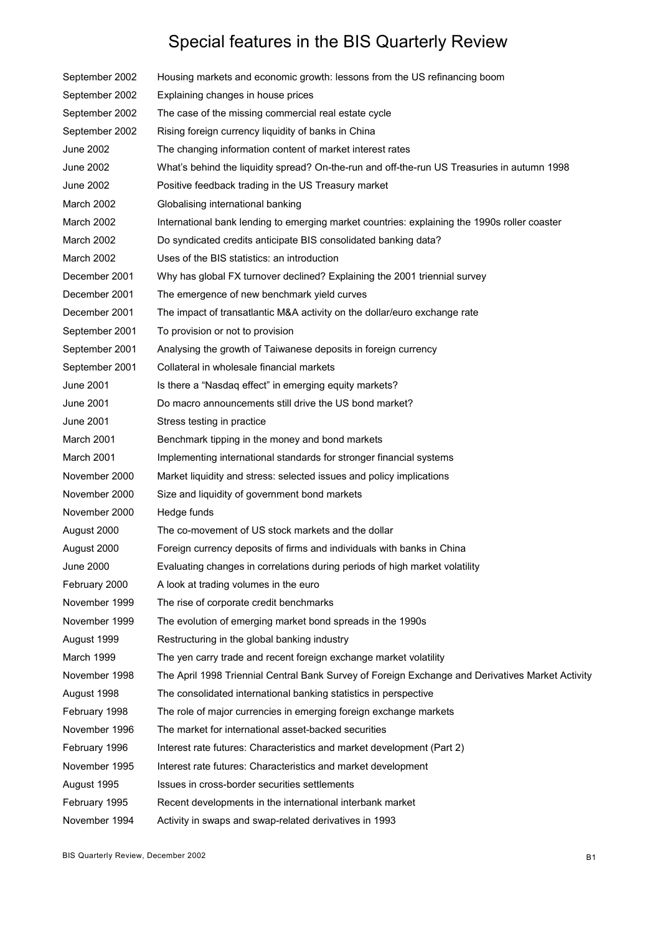## Special features in the BIS Quarterly Review

September 2002 Housing markets and economic growth: lessons from the US refinancing boom September 2002 Explaining changes in house prices September 2002 The case of the missing commercial real estate cycle September 2002 Rising foreign currency liquidity of banks in China June 2002 The changing information content of market interest rates June 2002 Whatís behind the liquidity spread? On-the-run and off-the-run US Treasuries in autumn 1998 June 2002 Positive feedback trading in the US Treasury market March 2002 Globalising international banking March 2002 International bank lending to emerging market countries: explaining the 1990s roller coaster March 2002 Do syndicated credits anticipate BIS consolidated banking data? March 2002 Uses of the BIS statistics: an introduction December 2001 Why has global FX turnover declined? Explaining the 2001 triennial survey December 2001 The emergence of new benchmark yield curves December 2001 The impact of transatlantic M&A activity on the dollar/euro exchange rate September 2001 To provision or not to provision September 2001 Analysing the growth of Taiwanese deposits in foreign currency September 2001 Collateral in wholesale financial markets June 2001 **Is there a "Nasdag effect"** in emerging equity markets? June 2001 Do macro announcements still drive the US bond market? June 2001 Stress testing in practice March 2001 Benchmark tipping in the money and bond markets March 2001 Implementing international standards for stronger financial systems November 2000 Market liquidity and stress: selected issues and policy implications November 2000 Size and liquidity of government bond markets November 2000 Hedge funds August 2000 The co-movement of US stock markets and the dollar August 2000 Foreign currency deposits of firms and individuals with banks in China June 2000 Evaluating changes in correlations during periods of high market volatility February 2000 A look at trading volumes in the euro November 1999 The rise of corporate credit benchmarks November 1999 The evolution of emerging market bond spreads in the 1990s August 1999 Restructuring in the global banking industry March 1999 The yen carry trade and recent foreign exchange market volatility November 1998 The April 1998 Triennial Central Bank Survey of Foreign Exchange and Derivatives Market Activity August 1998 The consolidated international banking statistics in perspective February 1998 The role of major currencies in emerging foreign exchange markets November 1996 The market for international asset-backed securities February 1996 Interest rate futures: Characteristics and market development (Part 2) November 1995 Interest rate futures: Characteristics and market development August 1995 Issues in cross-border securities settlements February 1995 Recent developments in the international interbank market November 1994 Activity in swaps and swap-related derivatives in 1993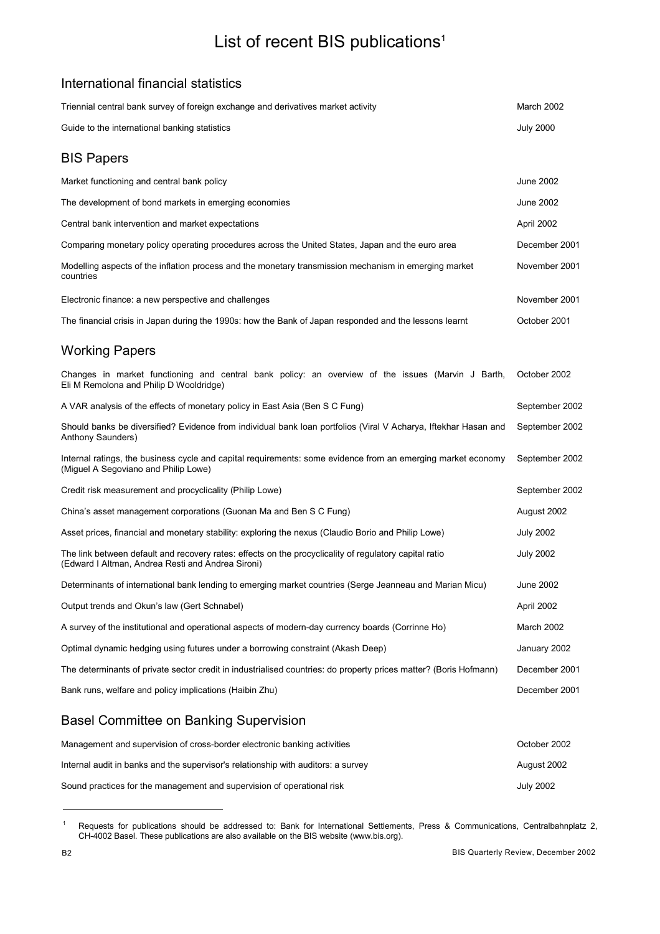# List of recent BIS publications<sup>1</sup>

#### International financial statistics

| Triennial central bank survey of foreign exchange and derivatives market activity                                                                           | March 2002       |
|-------------------------------------------------------------------------------------------------------------------------------------------------------------|------------------|
| Guide to the international banking statistics                                                                                                               | <b>July 2000</b> |
| <b>BIS Papers</b>                                                                                                                                           |                  |
| Market functioning and central bank policy                                                                                                                  | June 2002        |
| The development of bond markets in emerging economies                                                                                                       | June 2002        |
| Central bank intervention and market expectations                                                                                                           | April 2002       |
| Comparing monetary policy operating procedures across the United States, Japan and the euro area                                                            | December 2001    |
| Modelling aspects of the inflation process and the monetary transmission mechanism in emerging market<br>countries                                          | November 2001    |
| Electronic finance: a new perspective and challenges                                                                                                        | November 2001    |
| The financial crisis in Japan during the 1990s: how the Bank of Japan responded and the lessons learnt                                                      | October 2001     |
| <b>Working Papers</b>                                                                                                                                       |                  |
| Changes in market functioning and central bank policy: an overview of the issues (Marvin J Barth,<br>Eli M Remolona and Philip D Wooldridge)                | October 2002     |
| A VAR analysis of the effects of monetary policy in East Asia (Ben S C Fung)                                                                                | September 2002   |
| Should banks be diversified? Evidence from individual bank loan portfolios (Viral V Acharya, Iftekhar Hasan and<br>Anthony Saunders)                        | September 2002   |
| Internal ratings, the business cycle and capital requirements: some evidence from an emerging market economy<br>(Miguel A Segoviano and Philip Lowe)        | September 2002   |
| Credit risk measurement and procyclicality (Philip Lowe)                                                                                                    | September 2002   |
| China's asset management corporations (Guonan Ma and Ben S C Fung)                                                                                          | August 2002      |
| Asset prices, financial and monetary stability: exploring the nexus (Claudio Borio and Philip Lowe)                                                         | <b>July 2002</b> |
| The link between default and recovery rates: effects on the procyclicality of regulatory capital ratio<br>(Edward I Altman, Andrea Resti and Andrea Sironi) | <b>July 2002</b> |
| Determinants of international bank lending to emerging market countries (Serge Jeanneau and Marian Micu)                                                    | June 2002        |
| Output trends and Okun's law (Gert Schnabel)                                                                                                                | April 2002       |
| A survey of the institutional and operational aspects of modern-day currency boards (Corrinne Ho)                                                           | March 2002       |
| Optimal dynamic hedging using futures under a borrowing constraint (Akash Deep)                                                                             | January 2002     |
| The determinants of private sector credit in industrialised countries: do property prices matter? (Boris Hofmann)                                           | December 2001    |
| Bank runs, welfare and policy implications (Haibin Zhu)                                                                                                     | December 2001    |
| <b>Basel Committee on Banking Supervision</b>                                                                                                               |                  |
| Management and supervision of cross-border electronic banking activities                                                                                    | October 2002     |

| <u>management and supervision or cross-border electronic banking activities</u>   | <b>OULDUEL ZUUZ</b> |
|-----------------------------------------------------------------------------------|---------------------|
| Internal audit in banks and the supervisor's relationship with auditors: a survey | August 2002         |
| Sound practices for the management and supervision of operational risk            | <b>July 2002</b>    |

<sup>1</sup> Requests for publications should be addressed to: Bank for International Settlements, Press & Communications, Centralbahnplatz 2, CH-4002 Basel. These publications are also available on the BIS website (www.bis.org).

 $\overline{a}$